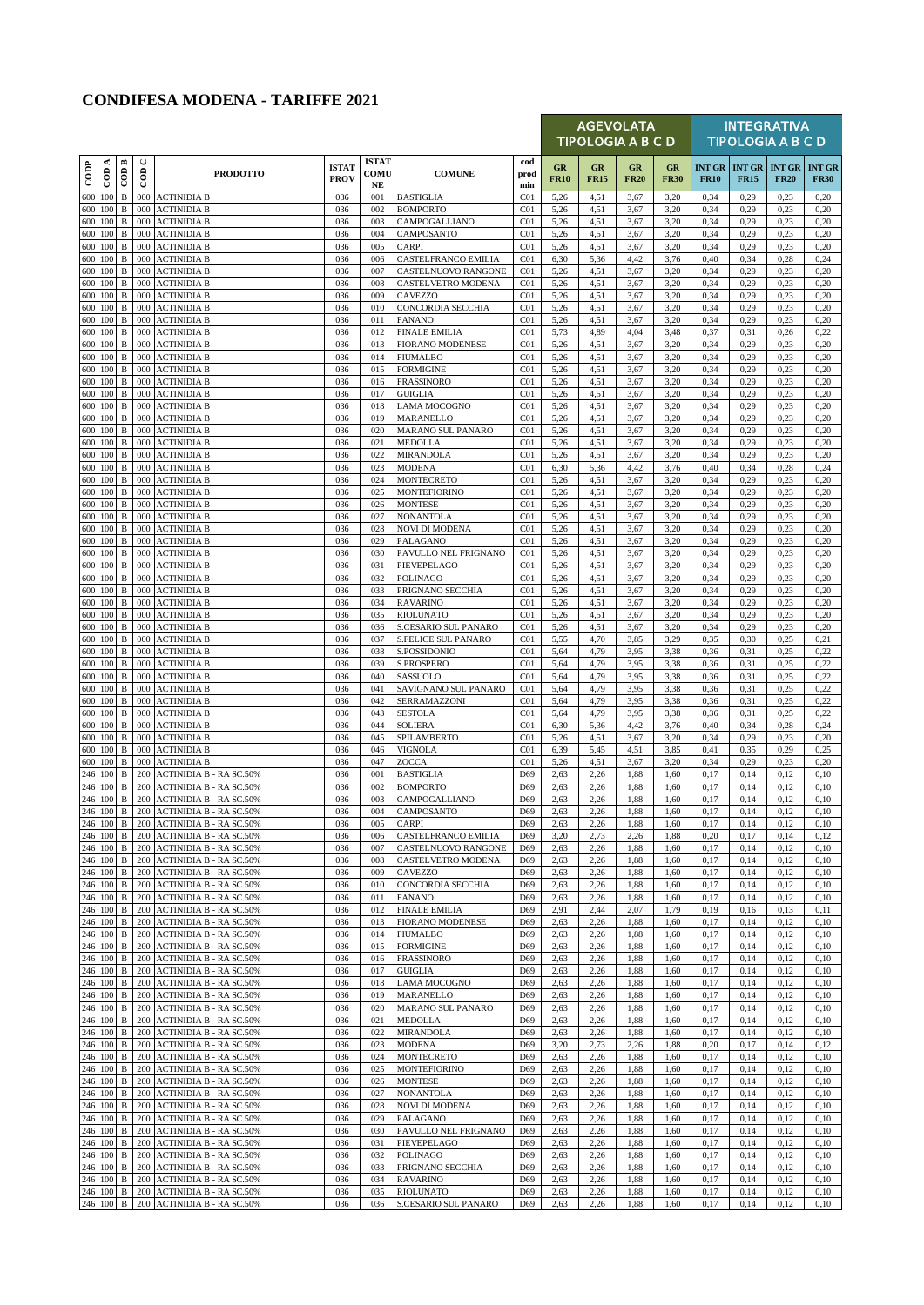## **CONDIFESA MODENA - TARIFFE 2021**

|            |                    |                              |                        |                                                                  |                             |                            |                                                 |                                    |                   |                   | <b>AGEVOLATA</b><br><b>TIPOLOGIA A B C D</b> |                   |              |                                                | <b>INTEGRATIVA</b><br><b>TIPOLOGIA A B C D</b> |                              |
|------------|--------------------|------------------------------|------------------------|------------------------------------------------------------------|-----------------------------|----------------------------|-------------------------------------------------|------------------------------------|-------------------|-------------------|----------------------------------------------|-------------------|--------------|------------------------------------------------|------------------------------------------------|------------------------------|
| CODP       | $\overline{CDA}$   | ⋍<br>$\epsilon$              | $\operatorname{con} C$ | <b>PRODOTTO</b>                                                  | <b>ISTAT</b><br><b>PROV</b> | <b>ISTAT</b><br>COMU<br>NE | <b>COMUNE</b>                                   | cod<br>prod<br>min                 | GR<br><b>FR10</b> | GR<br><b>FR15</b> | GR<br><b>FR20</b>                            | GR<br><b>FR30</b> | <b>FR10</b>  | <b>INT GR   INT GR   INT GR</b><br><b>FR15</b> | <b>FR20</b>                                    | <b>INT GR</b><br><b>FR30</b> |
| 600        | 100                | B                            | 000                    | <b>ACTINIDIA B</b>                                               | 036                         | 001                        | <b>BASTIGLIA</b>                                | C <sub>01</sub>                    | 5,26              | 4,51              | 3,67                                         | 3,20              | 0,34         | 0,29                                           | 0,23                                           | 0,20                         |
| 600<br>600 | 100<br>100         | B<br>B                       | 000<br>000             | <b>ACTINIDIA B</b><br><b>ACTINIDIA B</b>                         | 036<br>036                  | 002<br>003                 | <b>BOMPORTO</b><br>CAMPOGALLIANO                | CO <sub>1</sub><br>C <sub>01</sub> | 5,26<br>5,26      | 4,51<br>4,51      | 3,67<br>3,67                                 | 3,20<br>3,20      | 0,34<br>0,34 | 0,29<br>0,29                                   | 0,23<br>0,23                                   | 0,20<br>0,20                 |
| 600        | 100                | $\, {\bf B}$                 | 000                    | <b>ACTINIDIA B</b>                                               | 036                         | 004                        | CAMPOSANTO                                      | C <sub>01</sub>                    | 5,26              | 4,51              | 3,67                                         | 3,20              | 0,34         | 0,29                                           | 0,23                                           | 0,20                         |
| 600        | 100                | $\, {\bf B}$                 | 000                    | <b>ACTINIDIA B</b>                                               | 036                         | 005                        | <b>CARPI</b>                                    | C <sub>01</sub>                    | 5,26              | 4,51              | 3,67                                         | 3,20              | 0,34         | 0,29                                           | 0,23                                           | 0,20                         |
| 600<br>600 | 100<br>100         | B<br>$\, {\bf B}$            | 000<br>000             | <b>ACTINIDIA B</b><br><b>ACTINIDIA B</b>                         | 036<br>036                  | 006<br>007                 | CASTELFRANCO EMILIA<br>CASTELNUOVO RANGONE      | C <sub>01</sub><br>C <sub>01</sub> | 6,30<br>5,26      | 5,36<br>4,51      | 4,42<br>3,67                                 | 3,76<br>3,20      | 0,40<br>0,34 | 0,34<br>0,29                                   | 0,28<br>0,23                                   | 0,24<br>0,20                 |
| 600        | 100                | B                            | 000                    | <b>ACTINIDIA B</b>                                               | 036                         | 008                        | <b>CASTELVETRO MODENA</b>                       | C <sub>01</sub>                    | 5,26              | 4,51              | 3,67                                         | 3,20              | 0,34         | 0,29                                           | 0,23                                           | 0,20                         |
| 600        | 100                | B                            | 000                    | <b>ACTINIDIA B</b>                                               | 036                         | 009                        | CAVEZZO                                         | C <sub>01</sub>                    | 5,26              | 4,51              | 3,67                                         | 3,20              | 0,34         | 0,29                                           | 0,23                                           | 0,20                         |
| 600<br>600 | 100<br>100         | $\, {\bf B}$<br>B            | 000<br>000             | <b>ACTINIDIA B</b><br><b>ACTINIDIA B</b>                         | 036<br>036                  | 010<br>011                 | CONCORDIA SECCHIA<br><b>FANANO</b>              | C <sub>01</sub><br>C <sub>01</sub> | 5,26<br>5,26      | 4,51<br>4,51      | 3,67<br>3,67                                 | 3,20<br>3,20      | 0,34<br>0,34 | 0,29<br>0,29                                   | 0,23<br>0,23                                   | 0,20<br>0,20                 |
| 600        | 100                | B                            | 000                    | <b>ACTINIDIA B</b>                                               | 036                         | 012                        | <b>FINALE EMILIA</b>                            | C <sub>01</sub>                    | 5,73              | 4,89              | 4,04                                         | 3,48              | 0,37         | 0,31                                           | 0,26                                           | 0,22                         |
| 600        | 100                | B                            | 000                    | <b>ACTINIDIA B</b>                                               | 036                         | 013                        | <b>FIORANO MODENESE</b>                         | C <sub>01</sub>                    | 5,26              | 4,51              | 3,67                                         | 3,20              | 0,34         | 0,29                                           | 0,23                                           | 0,20                         |
| 600<br>600 | 100<br>100         | $\, {\bf B}$<br>B            | 000<br>000             | <b>ACTINIDIA B</b><br><b>ACTINIDIA B</b>                         | 036<br>036                  | 014<br>015                 | <b>FIUMALBO</b><br><b>FORMIGINE</b>             | C <sub>01</sub><br>C <sub>01</sub> | 5,26<br>5,26      | 4,51<br>4,51      | 3,67<br>3,67                                 | 3,20<br>3,20      | 0,34<br>0,34 | 0,29<br>0,29                                   | 0,23<br>0,23                                   | 0,20<br>0,20                 |
| 600        | 100                | B                            | 000                    | <b>ACTINIDIA B</b>                                               | 036                         | 016                        | <b>FRASSINORO</b>                               | C <sub>01</sub>                    | 5,26              | 4,51              | 3,67                                         | 3,20              | 0,34         | 0,29                                           | 0,23                                           | 0,20                         |
| 600        | 100                | B                            | 000                    | <b>ACTINIDIA B</b>                                               | 036                         | 017                        | <b>GUIGLIA</b>                                  | CO <sub>1</sub>                    | 5,26              | 4,51              | 3,67                                         | 3,20              | 0,34         | 0,29                                           | 0,23                                           | 0,20                         |
|            | 600 100            | B                            | 000                    | <b>ACTINIDIA B</b>                                               | 036                         | 018                        | LAMA MOCOGNO                                    | C <sub>01</sub>                    | 5,26              | 4,51              | 3,67                                         | 3,20              | 0,34         | 0,29                                           | 0,23                                           | 0,20                         |
| 600<br>600 | 100<br>100         | $\, {\bf B}$<br>$\, {\bf B}$ | 000<br>000             | <b>ACTINIDIA B</b><br><b>ACTINIDIA B</b>                         | 036<br>036                  | 019<br>020                 | MARANELLO<br>MARANO SUL PANARO                  | CO1<br>C <sub>01</sub>             | 5,26<br>5,26      | 4,51<br>4,51      | 3,67<br>3,67                                 | 3,20<br>3,20      | 0,34<br>0,34 | 0,29<br>0,29                                   | 0,23<br>0,23                                   | 0,20<br>0,20                 |
| 600        | 100                | B                            | 000                    | <b>ACTINIDIA B</b>                                               | 036                         | 021                        | <b>MEDOLLA</b>                                  | C <sub>01</sub>                    | 5,26              | 4,51              | 3,67                                         | 3,20              | 0,34         | 0,29                                           | 0,23                                           | 0,20                         |
| 600        | 100                | B                            | 000                    | <b>ACTINIDIA B</b>                                               | 036                         | 022                        | MIRANDOLA                                       | C <sub>01</sub>                    | 5,26              | 4,51              | 3,67                                         | 3,20              | 0,34         | 0,29                                           | 0,23                                           | 0,20                         |
| 600<br>600 | 100<br>100         | $\, {\bf B}$<br>B            | 000<br>000             | <b>ACTINIDIA B</b><br><b>ACTINIDIA B</b>                         | 036<br>036                  | 023<br>024                 | <b>MODENA</b><br>MONTECRETO                     | C <sub>01</sub><br>C <sub>01</sub> | 6,30              | 5,36              | 4,42<br>3,67                                 | 3,76<br>3,20      | 0,40<br>0,34 | 0,34<br>0,29                                   | 0,28<br>0,23                                   | 0,24<br>0,20                 |
| 600        | 100                | B                            | 000                    | <b>ACTINIDIA B</b>                                               | 036                         | 025                        | <b>MONTEFIORINO</b>                             | C <sub>01</sub>                    | 5,26<br>5,26      | 4,51<br>4,51      | 3,67                                         | 3,20              | 0,34         | 0,29                                           | 0,23                                           | 0,20                         |
| 600        | 100                | $\, {\bf B}$                 | 000                    | <b>ACTINIDIA B</b>                                               | 036                         | 026                        | <b>MONTESE</b>                                  | C <sub>01</sub>                    | 5,26              | 4,51              | 3,67                                         | 3,20              | 0,34         | 0,29                                           | 0,23                                           | 0,20                         |
| 600        | 100                | B                            | 000                    | <b>ACTINIDIA B</b>                                               | 036                         | 027                        | NONANTOLA                                       | C <sub>01</sub>                    | 5,26              | 4,51              | 3,67                                         | 3,20              | 0,34         | 0,29                                           | 0,23                                           | 0,20                         |
| 600<br>600 | 100<br>100         | B<br>$\mathbf B$             | 000<br>000             | <b>ACTINIDIA B</b><br><b>ACTINIDIA B</b>                         | 036<br>036                  | 028<br>029                 | <b>NOVI DI MODENA</b><br>PALAGANO               | C <sub>01</sub><br>C <sub>01</sub> | 5,26<br>5,26      | 4,51<br>4,51      | 3,67<br>3,67                                 | 3,20<br>3,20      | 0,34<br>0,34 | 0,29<br>0,29                                   | 0,23<br>0,23                                   | 0,20<br>0,20                 |
| 600        | 100                | $\, {\bf B}$                 | 000                    | <b>ACTINIDIA B</b>                                               | 036                         | 030                        | PAVULLO NEL FRIGNANO                            | C <sub>01</sub>                    | 5,26              | 4,51              | 3,67                                         | 3,20              | 0,34         | 0,29                                           | 0,23                                           | 0,20                         |
| 600        | 100                | B                            | 000                    | <b>ACTINIDIA B</b>                                               | 036                         | 031                        | PIEVEPELAGO                                     | C <sub>01</sub>                    | 5,26              | 4,51              | 3,67                                         | 3,20              | 0,34         | 0,29                                           | 0,23                                           | 0,20                         |
| 600<br>600 | 100<br>100         | $\, {\bf B}$<br>$\, {\bf B}$ | 000<br>000             | <b>ACTINIDIA B</b><br><b>ACTINIDIA B</b>                         | 036<br>036                  | 032                        | POLINAGO                                        | C <sub>01</sub><br>C <sub>01</sub> | 5,26              | 4,51              | 3,67<br>3,67                                 | 3,20<br>3,20      | 0,34<br>0,34 | 0,29                                           | 0,23<br>0,23                                   | 0,20                         |
| 600        | 100                | B                            | 000                    | <b>ACTINIDIA B</b>                                               | 036                         | 033<br>034                 | PRIGNANO SECCHIA<br><b>RAVARINO</b>             | C <sub>01</sub>                    | 5,26<br>5,26      | 4,51<br>4,51      | 3,67                                         | 3,20              | 0,34         | 0,29<br>0,29                                   | 0,23                                           | 0,20<br>0,20                 |
| 600        | 100                | $\, {\bf B}$                 | 000                    | <b>ACTINIDIA B</b>                                               | 036                         | 035                        | <b>RIOLUNATO</b>                                | C <sub>01</sub>                    | 5,26              | 4,51              | 3,67                                         | 3,20              | 0,34         | 0,29                                           | 0,23                                           | 0,20                         |
| 600        | 100                | B                            | 000                    | <b>ACTINIDIA B</b>                                               | 036                         | 036                        | S.CESARIO SUL PANARO                            | C <sub>01</sub>                    | 5,26              | 4,51              | 3,67                                         | 3,20              | 0,34         | 0,29                                           | 0,23                                           | 0,20                         |
| 600<br>600 | 100<br>100         | B<br>$\, {\bf B}$            | 000<br>000             | <b>ACTINIDIA B</b><br><b>ACTINIDIA B</b>                         | 036<br>036                  | 037<br>038                 | S.FELICE SUL PANARO<br>S.POSSIDONIO             | C <sub>01</sub><br>C <sub>01</sub> | 5,55<br>5,64      | 4,70<br>4,79      | 3,85<br>3,95                                 | 3,29<br>3,38      | 0,35<br>0,36 | 0,30<br>0,31                                   | 0,25<br>0,25                                   | 0,21<br>0,22                 |
| 600        | 100                | B                            | 000                    | <b>ACTINIDIA B</b>                                               | 036                         | 039                        | S.PROSPERO                                      | C <sub>01</sub>                    | 5,64              | 4,79              | 3.95                                         | 3,38              | 0,36         | 0,31                                           | 0,25                                           | 0,22                         |
| 600        | 100                | B                            | 000                    | <b>ACTINIDIA B</b>                                               | 036                         | 040                        | SASSUOLO                                        | C <sub>01</sub>                    | 5,64              | 4,79              | 3,95                                         | 3,38              | 0,36         | 0,31                                           | 0,25                                           | 0,22                         |
| 600<br>600 | 100<br>100         | $\, {\bf B}$                 | 000                    | <b>ACTINIDIA B</b>                                               | 036<br>036                  | 041<br>042                 | SAVIGNANO SUL PANARO                            | C <sub>01</sub>                    | 5,64              | 4,79              | 3.95                                         | 3,38              | 0,36         | 0,31                                           | 0,25                                           | 0,22                         |
| 600        | 100                | B<br>$\, {\bf B}$            | 000<br>000             | <b>ACTINIDIA B</b><br><b>ACTINIDIA B</b>                         | 036                         | 043                        | SERRAMAZZONI<br><b>SESTOLA</b>                  | C <sub>01</sub><br>C <sub>01</sub> | 5,64<br>5,64      | 4,79<br>4,79      | 3.95<br>3.95                                 | 3,38<br>3,38      | 0,36<br>0,36 | 0,31<br>0,31                                   | 0,25<br>0,25                                   | 0,22<br>0,22                 |
| 600        | 100                | $\, {\bf B}$                 | 000                    | <b>ACTINIDIA B</b>                                               | 036                         | 044                        | <b>SOLIERA</b>                                  | C <sub>01</sub>                    | 6,30              | 5,36              | 4,42                                         | 3,76              | 0,40         | 0,34                                           | 0,28                                           | 0,24                         |
| 600        | 100                | B                            | 000                    | <b>ACTINIDIA B</b>                                               | 036                         | 045                        | SPILAMBERTO                                     | C <sub>01</sub>                    | 5,26              | 4,51              | 3,67                                         | 3,20              | 0,34         | 0,29                                           | 0,23                                           | 0,20                         |
| 600<br>600 | 100<br>100         | $\, {\bf B}$<br>$\, {\bf B}$ | 000<br>000             | <b>ACTINIDIA B</b><br><b>ACTINIDIA B</b>                         | 036<br>036                  | 046<br>047                 | <b>VIGNOLA</b><br>ZOCCA                         | C <sub>01</sub><br>C <sub>01</sub> | 6,39<br>5,26      | 5,45<br>4,51      | 4,51<br>3,67                                 | 3,85<br>3,20      | 0.41<br>0,34 | 0,35<br>0,29                                   | 0,29<br>0,23                                   | 0,25<br>0,20                 |
| 246        | 100                | $\, {\bf B}$                 | 200                    | <b>ACTINIDIA B - RA SC.50%</b>                                   | 036                         | 001                        | <b>BASTIGLIA</b>                                | D69                                | 2,63              | 2,26              | 1,88                                         | 1,60              | 0,17         | 0,14                                           | 0,12                                           | 0,10                         |
| 246        | 100                | B                            | 200                    | <b>ACTINIDIA B - RA SC.50%</b>                                   | 036                         | 002                        | <b>BOMPORTO</b>                                 | D69                                | 2,63              | 2,26              | 1,88                                         | 1,60              | 0,17         | 0,14                                           | 0,12                                           | 0,10                         |
|            | 246 100<br>246 100 | $\, {\bf B}$                 |                        | 200 ACTINIDIA B - RA SC.50%<br>B 200 ACTINIDIA B - RA SC.50%     | 036<br>036                  | 003<br>004                 | CAMPOGALLIANO<br><b>CAMPOSANTO</b>              | D69<br>D69                         | 2,63<br>2,63      | 2,26<br>2,26      | 1,88<br>1,88                                 | 1,60<br>1,60      | 0,17<br>0,17 | 0,14<br>0,14                                   | 0,12<br>0,12                                   | 0,10<br>0,10                 |
|            | 246 100            | В                            | 200                    | <b>ACTINIDIA B - RA SC.50%</b>                                   | 036                         | 005                        | CARPI                                           | D69                                | 2,63              | 2,26              | 1,88                                         | 1,60              | 0,17         | 0,14                                           | 0,12                                           | 0,10                         |
|            | 246 100            | $\, {\bf B}$                 | 200                    | <b>ACTINIDIA B - RA SC.50%</b>                                   | 036                         | 006                        | CASTELFRANCO EMILIA                             | D69                                | 3,20              | 2,73              | 2,26                                         | 1,88              | 0,20         | 0,17                                           | 0,14                                           | 0,12                         |
|            | 246 100            | $\mathbf{B}$                 | 200                    | <b>ACTINIDIA B - RA SC.50%</b>                                   | 036                         | 007                        | CASTELNUOVO RANGONE                             | D69                                | 2,63              | 2,26              | 1,88                                         | 1,60              | 0,17         | 0,14                                           | 0,12                                           | 0,10                         |
|            | 246 100<br>246 100 | B<br>$\, {\bf B}$            | 200<br>200             | <b>ACTINIDIA B - RA SC.50%</b><br><b>ACTINIDIA B - RA SC.50%</b> | 036<br>036                  | 008<br>009                 | CASTELVETRO MODENA<br>CAVEZZO                   | D69<br>D69                         | 2,63<br>2,63      | 2,26<br>2,26      | 1,88<br>1,88                                 | 1,60<br>1,60      | 0,17<br>0,17 | 0,14<br>0,14                                   | 0,12<br>0,12                                   | 0,10<br>0,10                 |
|            | 246 100            | $\mathbf{B}$                 | 200                    | <b>ACTINIDIA B - RA SC.50%</b>                                   | 036                         | 010                        | CONCORDIA SECCHIA                               | D69                                | 2,63              | 2,26              | 1,88                                         | 1,60              | 0,17         | 0,14                                           | 0,12                                           | 0,10                         |
|            | 246 100            | $\, {\bf B}$                 | 200                    | <b>ACTINIDIA B - RA SC.50%</b>                                   | 036                         | 011                        | <b>FANANO</b>                                   | D69                                | 2,63              | 2,26              | 1,88                                         | 1,60              | 0,17         | 0,14                                           | 0,12                                           | 0,10                         |
|            | 246 100<br>246 100 | В<br>B                       | 200<br>200             | <b>ACTINIDIA B - RA SC.50%</b><br><b>ACTINIDIA B - RA SC.50%</b> | 036<br>036                  | 012<br>013                 | <b>FINALE EMILIA</b><br><b>FIORANO MODENESE</b> | D69<br>D69                         | 2,91<br>2,63      | 2,44<br>2,26      | 2,07<br>1,88                                 | 1,79<br>1,60      | 0,19<br>0,17 | 0,16<br>0,14                                   | 0,13<br>0,12                                   | 0,11<br>0,10                 |
|            | 246 100            | B                            | 200                    | <b>ACTINIDIA B - RA SC.50%</b>                                   | 036                         | 014                        | <b>FIUMALBO</b>                                 | D69                                | 2,63              | 2,26              | 1,88                                         | 1,60              | 0,17         | 0,14                                           | 0,12                                           | 0,10                         |
|            | 246 100            | В                            | 200                    | <b>ACTINIDIA B - RA SC.50%</b>                                   | 036                         | 015                        | <b>FORMIGINE</b>                                | D69                                | 2,63              | 2,26              | 1,88                                         | 1,60              | 0,17         | 0,14                                           | 0,12                                           | 0,10                         |
|            | 246 100            | B                            | 200                    | <b>ACTINIDIA B - RA SC.50%</b>                                   | 036                         | 016                        | <b>FRASSINORO</b>                               | D69                                | 2,63              | 2,26              | 1,88                                         | 1,60              | 0,17         | 0,14                                           | 0,12                                           | 0,10                         |
| 246        | 100<br>246 100     | B<br>B                       | 200<br>200             | <b>ACTINIDIA B - RA SC.50%</b><br><b>ACTINIDIA B - RA SC.50%</b> | 036<br>036                  | 017<br>018                 | <b>GUIGLIA</b><br>LAMA MOCOGNO                  | D69<br>D69                         | 2,63<br>2,63      | 2,26<br>2,26      | 1,88<br>1,88                                 | 1,60<br>1,60      | 0,17<br>0,17 | 0,14<br>0,14                                   | 0,12<br>0,12                                   | 0,10<br>0,10                 |
|            | 246 100            | $\, {\bf B}$                 | 200                    | <b>ACTINIDIA B - RA SC.50%</b>                                   | 036                         | 019                        | MARANELLO                                       | D69                                | 2,63              | 2,26              | 1,88                                         | 1,60              | 0,17         | 0,14                                           | 0,12                                           | 0,10                         |
|            | 246 100            | $\, {\bf B}$                 | 200                    | <b>ACTINIDIA B - RA SC.50%</b>                                   | 036                         | 020                        | MARANO SUL PANARO                               | D69                                | 2,63              | 2,26              | 1,88                                         | 1,60              | 0,17         | 0,14                                           | 0,12                                           | 0,10                         |
|            | 246 100<br>246 100 | B<br>$\, {\bf B}$            | 200<br>200             | <b>ACTINIDIA B - RA SC.50%</b><br><b>ACTINIDIA B - RA SC.50%</b> | 036<br>036                  | 021<br>022                 | <b>MEDOLLA</b><br>MIRANDOLA                     | D69<br>D69                         | 2,63<br>2,63      | 2,26<br>2,26      | 1,88<br>1,88                                 | 1,60<br>1,60      | 0,17<br>0,17 | 0,14<br>0,14                                   | 0,12<br>0,12                                   | 0,10<br>0,10                 |
| 246        | 100                | $\, {\bf B}$                 | 200                    | <b>ACTINIDIA B - RA SC.50%</b>                                   | 036                         | 023                        | MODENA                                          | D69                                | 3,20              | 2,73              | 2,26                                         | 1,88              | 0,20         | 0,17                                           | 0,14                                           | 0,12                         |
|            | 246 100            | B                            | 200                    | <b>ACTINIDIA B - RA SC.50%</b>                                   | 036                         | 024                        | <b>MONTECRETO</b>                               | D69                                | 2,63              | 2,26              | 1,88                                         | 1,60              | 0,17         | 0,14                                           | 0,12                                           | 0,10                         |
|            | 246 100            | $\, {\bf B}$                 | 200                    | <b>ACTINIDIA B - RA SC.50%</b>                                   | 036                         | 025                        | <b>MONTEFIORINO</b>                             | D69                                | 2,63              | 2,26              | 1,88                                         | 1,60              | 0,17         | 0,14                                           | 0,12                                           | 0,10                         |
| 246        | 100<br>246 100     | $\, {\bf B}$<br>$\, {\bf B}$ | 200<br>200             | <b>ACTINIDIA B - RA SC.50%</b><br><b>ACTINIDIA B - RA SC.50%</b> | 036<br>036                  | 026<br>027                 | <b>MONTESE</b><br>NONANTOLA                     | D69<br>D69                         | 2,63<br>2,63      | 2,26<br>2,26      | 1,88<br>1,88                                 | 1,60<br>1,60      | 0,17<br>0,17 | 0,14<br>0,14                                   | 0,12<br>0,12                                   | 0,10<br>0,10                 |
|            | 246 100            | $\, {\bf B}$                 | 200                    | <b>ACTINIDIA B - RA SC.50%</b>                                   | 036                         | 028                        | NOVI DI MODENA                                  | D69                                | 2,63              | 2,26              | 1,88                                         | 1,60              | 0,17         | 0,14                                           | 0,12                                           | 0,10                         |
| 246        | 100                | B                            | 200                    | <b>ACTINIDIA B - RA SC.50%</b>                                   | 036                         | 029                        | PALAGANO                                        | D69                                | 2,63              | 2,26              | 1,88                                         | 1,60              | 0,17         | 0,14                                           | 0,12                                           | 0,10                         |
|            | 246 100            | B<br>$\, {\bf B}$            | 200<br>200             | <b>ACTINIDIA B - RA SC.50%</b><br><b>ACTINIDIA B - RA SC.50%</b> | 036                         | 030<br>031                 | PAVULLO NEL FRIGNANO                            | D69<br>D69                         | 2,63              | 2,26              | 1,88                                         | 1,60              | 0,17         | 0,14<br>0,14                                   | 0,12                                           | 0,10<br>0,10                 |
|            | 246 100<br>246 100 | В                            | 200                    | <b>ACTINIDIA B - RA SC.50%</b>                                   | 036<br>036                  | 032                        | PIEVEPELAGO<br><b>POLINAGO</b>                  | D69                                | 2,63<br>2,63      | 2,26<br>2,26      | 1,88<br>1,88                                 | 1,60<br>1,60      | 0,17<br>0,17 | 0,14                                           | 0,12<br>0,12                                   | 0,10                         |
| 246        | 100                | B                            | 200                    | <b>ACTINIDIA B - RA SC.50%</b>                                   | 036                         | 033                        | PRIGNANO SECCHIA                                | D69                                | 2,63              | 2,26              | 1,88                                         | 1,60              | 0,17         | 0,14                                           | 0,12                                           | 0,10                         |
|            | 246 100            | $\, {\bf B}$                 | 200                    | <b>ACTINIDIA B - RA SC.50%</b>                                   | 036                         | 034                        | <b>RAVARINO</b>                                 | D69                                | 2,63              | 2,26              | 1,88                                         | 1,60              | 0,17         | 0,14                                           | 0,12                                           | 0,10                         |
|            | 246 100<br>246 100 | $\mathbf{B}$<br>$\, {\bf B}$ | 200<br>200             | <b>ACTINIDIA B - RA SC.50%</b><br><b>ACTINIDIA B - RA SC.50%</b> | 036<br>036                  | 035<br>036                 | <b>RIOLUNATO</b><br><b>S.CESARIO SUL PANARO</b> | D69<br>D69                         | 2,63<br>2,63      | 2,26<br>2,26      | 1,88<br>1,88                                 | 1,60<br>1,60      | 0,17<br>0,17 | 0,14<br>0,14                                   | 0,12<br>0,12                                   | 0,10<br>0,10                 |
|            |                    |                              |                        |                                                                  |                             |                            |                                                 |                                    |                   |                   |                                              |                   |              |                                                |                                                |                              |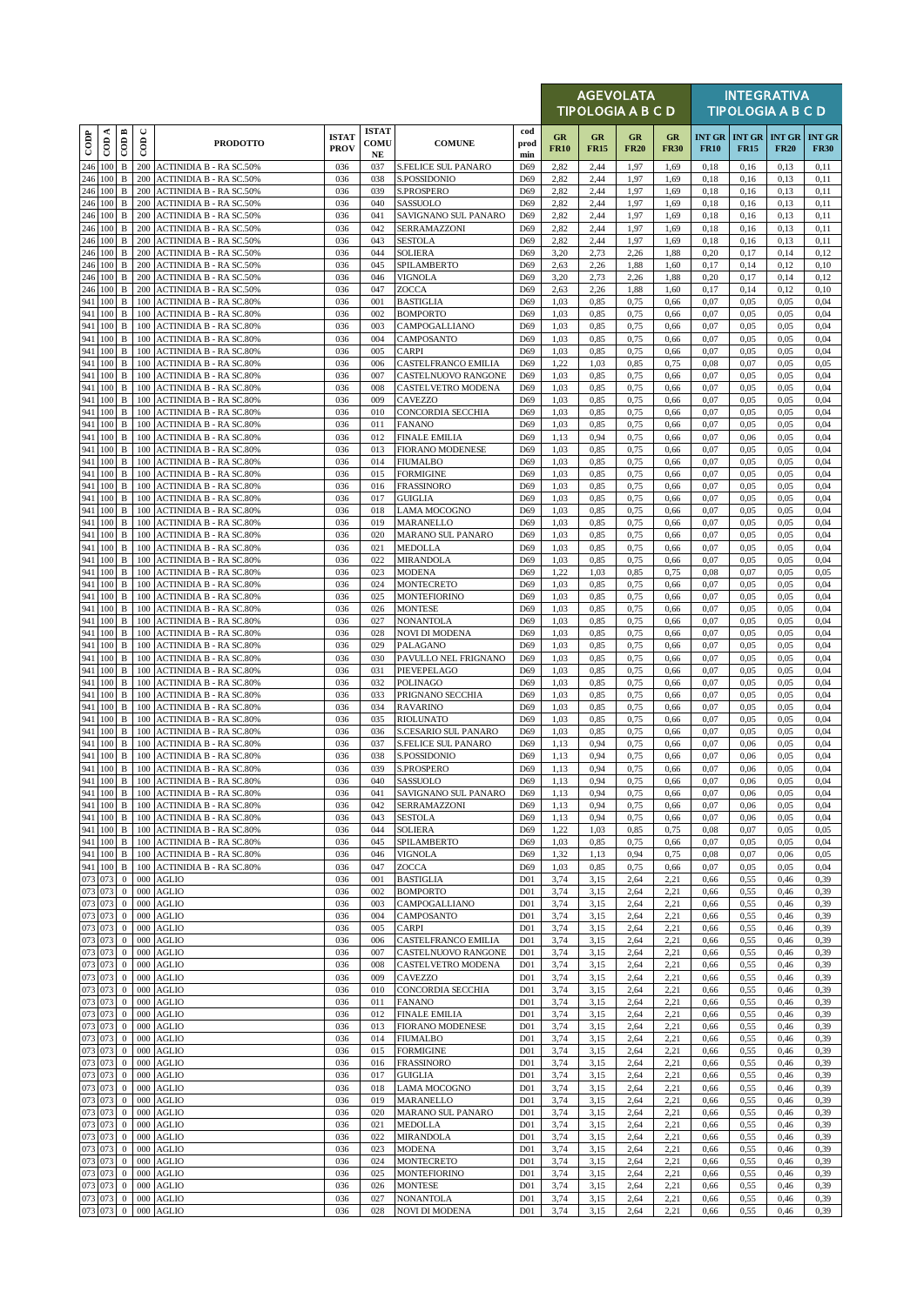|                    |                     |                              |                |                                                                  |                             |                                  |                                             |                                     |                   | <b>AGEVOLATA</b><br>TIPOLOGIA A B C D |                   |                   |              |                                       | <b>INTEGRATIVA</b><br><b>TIPOLOGIA A B C D</b> |                              |
|--------------------|---------------------|------------------------------|----------------|------------------------------------------------------------------|-----------------------------|----------------------------------|---------------------------------------------|-------------------------------------|-------------------|---------------------------------------|-------------------|-------------------|--------------|---------------------------------------|------------------------------------------------|------------------------------|
| $_{\rm{cop}}$      | ≺<br>$\overline{5}$ | $\overline{CDB}$             | $\cup$<br>600  | <b>PRODOTTO</b>                                                  | <b>ISTAT</b><br><b>PROV</b> | <b>ISTAT</b><br>COMU<br>$\bf NE$ | <b>COMUNE</b>                               | cod<br>prod<br>min                  | GR<br><b>FR10</b> | GR<br><b>FR15</b>                     | GR<br><b>FR20</b> | GR<br><b>FR30</b> | <b>FR10</b>  | <b>INT GR   INT GR</b><br><b>FR15</b> | <b>INT GR</b><br><b>FR20</b>                   | <b>INT GR</b><br><b>FR30</b> |
| 246 100            |                     | $\, {\bf B}$                 | 200            | <b>ACTINIDIA B - RA SC.50%</b>                                   | 036                         | 037                              | <b>S.FELICE SUL PANARO</b>                  | D69                                 | 2,82              | 2,44                                  | 1,97              | 1,69              | 0,18         | 0,16                                  | 0,13                                           | 0,11                         |
| 246 100<br>246 100 |                     | $\, {\bf B}$<br>B            | 200<br>200     | <b>ACTINIDIA B - RA SC.50%</b><br><b>ACTINIDIA B - RA SC.50%</b> | 036<br>036                  | 038<br>039                       | S.POSSIDONIO<br>S.PROSPERO                  | D69<br>D69                          | 2,82<br>2,82      | 2,44<br>2,44                          | 1,97<br>1,97      | 1,69<br>1,69      | 0,18<br>0,18 | 0,16<br>0,16                          | 0,13<br>0,13                                   | 0,11<br>0,11                 |
| 246 100            |                     | $\, {\bf B}$                 | 200            | <b>ACTINIDIA B - RA SC.50%</b>                                   | 036                         | 040                              | <b>SASSUOLO</b>                             | D69                                 | 2,82              | 2,44                                  | 1,97              | 1,69              | 0,18         | 0,16                                  | 0,13                                           | 0,11                         |
| 246 100<br>246 100 |                     | $\, {\bf B}$<br>$\, {\bf B}$ | 200<br>200     | <b>ACTINIDIA B - RA SC.50%</b><br><b>ACTINIDIA B - RA SC.50%</b> | 036<br>036                  | 041<br>042                       | SAVIGNANO SUL PANARO<br>SERRAMAZZONI        | D69<br>D69                          | 2,82<br>2,82      | 2,44<br>2,44                          | 1,97<br>1,97      | 1,69<br>1,69      | 0,18<br>0,18 | 0,16<br>0,16                          | 0,13<br>0,13                                   | 0,11<br>0,11                 |
| 246 100            |                     | $\, {\bf B}$                 | 200            | <b>ACTINIDIA B - RA SC.50%</b>                                   | 036                         | 043                              | <b>SESTOLA</b>                              | D69                                 | 2,82              | 2,44                                  | 1,97              | 1,69              | 0,18         | 0,16                                  | 0,13                                           | 0,11                         |
| 246 100            |                     | $\, {\bf B}$                 | 200            | <b>ACTINIDIA B - RA SC.50%</b>                                   | 036                         | 044                              | <b>SOLIERA</b>                              | D69                                 | 3,20              | 2,73                                  | 2.26              | 1,88              | 0,20         | 0,17                                  | 0,14                                           | 0,12                         |
| 246 100<br>246 100 |                     | B<br>$\, {\bf B}$            | 200<br>200     | <b>ACTINIDIA B - RA SC.50%</b><br><b>ACTINIDIA B - RA SC.50%</b> | 036<br>036                  | 045<br>046                       | SPILAMBERTO<br>VIGNOLA                      | D69<br>D69                          | 2,63<br>3,20      | 2,26<br>2,73                          | 1,88<br>2,26      | 1,60<br>1,88      | 0,17<br>0,20 | 0,14<br>0,17                          | 0,12<br>0,14                                   | 0,10<br>0,12                 |
| 246 100            |                     | $\, {\bf B}$                 | 200            | <b>ACTINIDIA B - RA SC.50%</b>                                   | 036                         | 047                              | <b>ZOCCA</b>                                | D69                                 | 2,63              | 2,26                                  | 1,88              | 1,60              | 0,17         | 0,14                                  | 0,12                                           | 0,10                         |
| 941 100            |                     | B                            | 100            | <b>ACTINIDIA B - RA SC.80%</b>                                   | 036                         | 001                              | <b>BASTIGLIA</b>                            | D69                                 | 1,03              | 0,85                                  | 0,75              | 0,66              | 0,07         | 0,05                                  | 0,05                                           | 0,04                         |
| 941 100<br>941 100 |                     | $\, {\bf B}$<br>B            | 100<br>100     | <b>ACTINIDIA B - RA SC.80%</b><br><b>ACTINIDIA B - RA SC.80%</b> | 036<br>036                  | 002<br>003                       | <b>BOMPORTO</b><br>CAMPOGALLIANO            | D69<br>D69                          | 1,03<br>1,03      | 0,85<br>0,85                          | 0,75<br>0,75      | 0,66<br>0,66      | 0,07<br>0,07 | 0.05<br>0,05                          | 0,05<br>0,05                                   | 0,04<br>0,04                 |
| 941 100            |                     | B                            | 100            | <b>ACTINIDIA B - RA SC.80%</b>                                   | 036                         | 004                              | CAMPOSANTO                                  | D69                                 | 1,03              | 0,85                                  | 0,75              | 0,66              | 0,07         | 0,05                                  | 0,05                                           | 0,04                         |
| 941 100            |                     | $\, {\bf B}$                 | 100            | <b>ACTINIDIA B - RA SC.80%</b>                                   | 036                         | 005                              | <b>CARPI</b>                                | D69                                 | 1,03              | 0.85                                  | 0,75              | 0,66              | 0,07         | 0,05                                  | 0,05                                           | 0,04                         |
| 941 100<br>941 100 |                     | $\, {\bf B}$<br>B            | 100<br>100     | <b>ACTINIDIA B - RA SC.80%</b><br><b>ACTINIDIA B - RA SC.80%</b> | 036<br>036                  | 006<br>007                       | CASTELFRANCO EMILIA<br>CASTELNUOVO RANGONE  | D69<br>D69                          | 1,22<br>1,03      | 1,03<br>0,85                          | 0.85<br>0,75      | 0,75<br>0,66      | 0.08<br>0,07 | 0,07<br>0,05                          | 0,05<br>0,05                                   | 0.05<br>0,04                 |
| 941 100            |                     | $\, {\bf B}$                 | 100            | <b>ACTINIDIA B - RA SC.80%</b>                                   | 036                         | 008                              | CASTELVETRO MODENA                          | D69                                 | 1,03              | 0,85                                  | 0,75              | 0,66              | 0,07         | 0,05                                  | 0,05                                           | 0,04                         |
| 941 100            |                     | $\, {\bf B}$                 | 100            | <b>ACTINIDIA B - RA SC.80%</b>                                   | 036                         | 009                              | <b>CAVEZZO</b>                              | D69                                 | 1,03              | 0,85                                  | 0,75              | 0,66              | 0,07         | 0.05                                  | 0,05                                           | 0,04                         |
| 941 100<br>941 100 |                     | $\, {\bf B}$<br>B            | 100<br>100     | <b>ACTINIDIA B - RA SC.80%</b><br><b>ACTINIDIA B - RA SC.80%</b> | 036<br>036                  | 010<br>011                       | <b>CONCORDIA SECCHIA</b><br><b>FANANO</b>   | D69<br>D69                          | 1,03<br>1,03      | 0,85<br>0,85                          | 0,75<br>0,75      | 0,66<br>0,66      | 0,07<br>0,07 | 0,05<br>0,05                          | 0,05<br>0,05                                   | 0,04<br>0,04                 |
| 941 100            |                     | $\, {\bf B}$                 | 100            | <b>ACTINIDIA B - RA SC.80%</b>                                   | 036                         | 012                              | <b>FINALE EMILIA</b>                        | D69                                 | 1,13              | 0,94                                  | 0,75              | 0,66              | 0,07         | 0,06                                  | 0,05                                           | 0,04                         |
| 941 100            |                     | B                            | 100            | <b>ACTINIDIA B - RA SC.80%</b>                                   | 036                         | 013                              | <b>FIORANO MODENESE</b>                     | D69                                 | 1,03              | 0,85                                  | 0,75              | 0,66              | 0,07         | 0,05                                  | 0,05                                           | 0,04                         |
| 941 100            |                     | $\, {\bf B}$                 | 100            | <b>ACTINIDIA B - RA SC.80%</b>                                   | 036                         | 014                              | <b>FIUMALBO</b>                             | D69                                 | 1,03              | 0.85                                  | 0,75              | 0,66              | 0,07         | 0.05                                  | 0,05                                           | 0,04                         |
| 941 100<br>941 100 |                     | $\, {\bf B}$<br>$\, {\bf B}$ | 100<br>100     | <b>ACTINIDIA B - RA SC.80%</b><br><b>ACTINIDIA B - RA SC.80%</b> | 036<br>036                  | 015<br>016                       | <b>FORMIGINE</b><br><b>FRASSINORO</b>       | D69<br>D69                          | 1,03<br>1,03      | 0,85<br>0,85                          | 0,75<br>0,75      | 0,66<br>0,66      | 0,07<br>0,07 | 0,05<br>0,05                          | 0,05<br>0,05                                   | 0,04<br>0,04                 |
| 941 100            |                     | B                            | 100            | <b>ACTINIDIA B - RA SC.80%</b>                                   | 036                         | 017                              | <b>GUIGLIA</b>                              | D69                                 | 1,03              | 0,85                                  | 0,75              | 0,66              | 0,07         | 0,05                                  | 0,05                                           | 0,04                         |
| 941 100            |                     | $\, {\bf B}$                 | 100            | <b>ACTINIDIA B - RA SC.80%</b>                                   | 036                         | 018                              | <b>LAMA MOCOGNO</b>                         | D69                                 | 1,03              | 0,85                                  | 0,75              | 0,66              | 0,07         | 0,05                                  | 0,05                                           | 0,04                         |
| 941<br>941 100     | 100                 | $\, {\bf B}$<br>$\, {\bf B}$ | 100<br>100     | <b>ACTINIDIA B - RA SC.80%</b><br><b>ACTINIDIA B - RA SC.80%</b> | 036<br>036                  | 019<br>020                       | MARANELLO<br><b>MARANO SUL PANARO</b>       | D69<br>D69                          | 1,03<br>1,03      | 0,85<br>0,85                          | 0,75<br>0,75      | 0,66<br>0,66      | 0,07<br>0,07 | 0.05<br>0.05                          | 0,05<br>0,05                                   | 0,04<br>0,04                 |
| 941 100            |                     | $\, {\bf B}$                 | 100            | <b>ACTINIDIA B - RA SC.80%</b>                                   | 036                         | 021                              | <b>MEDOLLA</b>                              | D69                                 | 1,03              | 0,85                                  | 0,75              | 0,66              | 0,07         | 0,05                                  | 0,05                                           | 0,04                         |
| 941 100            |                     | $\, {\bf B}$                 | 100            | <b>ACTINIDIA B - RA SC.80%</b>                                   | 036                         | 022                              | <b>MIRANDOLA</b>                            | D69                                 | 1,03              | 0,85                                  | 0,75              | 0,66              | 0,07         | 0,05                                  | 0,05                                           | 0,04                         |
| 941 100<br>941 100 |                     | B<br>$\mathbf B$             | 100<br>100     | <b>ACTINIDIA B - RA SC.80%</b><br><b>ACTINIDIA B - RA SC.80%</b> | 036<br>036                  | 023<br>024                       | <b>MODENA</b><br><b>MONTECRETO</b>          | D69<br>D69                          | 1,22<br>1,03      | 1,03<br>0,85                          | 0,85<br>0,75      | 0,75<br>0,66      | 0,08<br>0,07 | 0,07<br>0,05                          | 0,05<br>0,05                                   | 0,05<br>0,04                 |
| 941 100            |                     | B                            | 100            | ACTINIDIA B - RA SC.80%                                          | 036                         | 025                              | <b>MONTEFIORINO</b>                         | D69                                 | 1,03              | 0,85                                  | 0,75              | 0,66              | 0,07         | 0,05                                  | 0,05                                           | 0,04                         |
| 941 100            |                     | $\, {\bf B}$                 | 100            | <b>ACTINIDIA B - RA SC.80%</b>                                   | 036                         | 026                              | <b>MONTESE</b>                              | D69                                 | 1,03              | 0.85                                  | 0,75              | 0,66              | 0,07         | 0,05                                  | 0,05                                           | 0,04                         |
| 941 100<br>941 100 |                     | $\, {\bf B}$<br>B            | 100<br>100     | <b>ACTINIDIA B - RA SC.80%</b>                                   | 036<br>036                  | 027<br>028                       | <b>NONANTOLA</b>                            | D69<br>D69                          | 1,03<br>1,03      | 0,85<br>0,85                          | 0,75<br>0,75      | 0,66<br>0,66      | 0,07<br>0,07 | 0,05<br>0,05                          | 0,05<br>0,05                                   | 0,04<br>0,04                 |
| 941 100            |                     | B                            | 100            | <b>ACTINIDIA B - RA SC.80%</b><br><b>ACTINIDIA B - RA SC.80%</b> | 036                         | 029                              | <b>NOVI DI MODENA</b><br>PALAGANO           | D69                                 | 1,03              | 0,85                                  | 0,75              | 0,66              | 0,07         | 0,05                                  | 0,05                                           | 0,04                         |
| 941 100            |                     | $\, {\bf B}$                 | 100            | <b>ACTINIDIA B - RA SC.80%</b>                                   | 036                         | 030                              | PAVULLO NEL FRIGNANO                        | D69                                 | 1,03              | 0,85                                  | 0,75              | 0,66              | 0,07         | 0,05                                  | 0,05                                           | 0,04                         |
| 941 100            |                     | $\, {\bf B}$                 | 100            | <b>ACTINIDIA B - RA SC.80%</b>                                   | 036                         | 031                              | PIEVEPELAGO                                 | D69                                 | 1,03              | 0,85                                  | 0,75              | 0,66              | 0,07         | 0,05                                  | 0,05                                           | 0,04                         |
| 941 100<br>941 100 |                     | B<br>$\, {\bf B}$            | 100<br>100     | <b>ACTINIDIA B - RA SC.80%</b><br><b>ACTINIDIA B - RA SC.80%</b> | 036<br>036                  | 032<br>033                       | <b>POLINAGO</b><br>PRIGNANO SECCHIA         | D69<br>D69                          | 1,03<br>1,03      | 0,85<br>0,85                          | 0,75<br>0,75      | 0,66<br>0,66      | 0,07<br>0,07 | 0,05<br>0.05                          | 0,05<br>0,05                                   | 0,04<br>0,04                 |
| 941 100            |                     | $\, {\bf B}$                 | 100            | <b>ACTINIDIA B - RA SC.80%</b>                                   | 036                         | 034                              | <b>RAVARINO</b>                             | D69                                 | 1,03              | 0,85                                  | 0,75              | 0,66              | 0,07         | 0,05                                  | 0,05                                           | 0,04                         |
| 941 100            |                     | B                            | 100            | <b>ACTINIDIA B - RA SC.80%</b>                                   | 036                         | 035                              | <b>RIOLUNATO</b>                            | D69                                 | 1,03              | 0,85                                  | 0,75              | 0,66              | 0,07         | 0,05                                  | 0,05                                           | 0,04                         |
| 941 100<br>941 100 |                     | $\, {\bf B}$<br>B            | 100<br>100     | <b>ACTINIDIA B - RA SC.80%</b><br><b>ACTINIDIA B - RA SC.80%</b> | 036<br>036                  | 036<br>037                       | S.CESARIO SUL PANARO<br>S.FELICE SUL PANARO | D69<br>D69                          | 1,03<br>1,13      | 0.85<br>0,94                          | 0,75<br>0,75      | 0,66<br>0,66      | 0,07<br>0,07 | 0,05<br>0,06                          | 0,05<br>0,05                                   | 0,04<br>0,04                 |
| 941 100            |                     | $\, {\bf B}$                 | 100            | <b>ACTINIDIA B - RA SC.80%</b>                                   | 036                         | 038                              | S.POSSIDONIO                                | D69                                 | 1,13              | 0.94                                  | 0,75              | 0,66              | 0.07         | 0,06                                  | 0.05                                           | 0.04                         |
| 941 100            |                     | $\, {\bf B}$                 |                | 100 ACTINIDIA B - RA SC.80%                                      | 036                         | 039                              | S.PROSPERO                                  | D69                                 | 1,13              | 0,94                                  | 0,75              | 0,66              | 0,07         | 0,06                                  | 0,05                                           | 0,04                         |
| 941 100<br>941 100 |                     | $\, {\bf B}$<br>B            |                | 100 ACTINIDIA B - RA SC.80%<br>100 ACTINIDIA B - RA SC.80%       | 036<br>036                  | 040<br>041                       | SASSUOLO<br>SAVIGNANO SUL PANARO            | D69<br>D69                          | 1,13<br>1,13      | 0,94<br>0,94                          | 0,75<br>0,75      | 0,66<br>0,66      | 0,07<br>0,07 | 0,06<br>0,06                          | 0,05<br>0,05                                   | 0,04<br>0,04                 |
| 941 100            |                     | B                            | 100            | <b>ACTINIDIA B - RA SC.80%</b>                                   | 036                         | 042                              | SERRAMAZZONI                                | D69                                 | 1,13              | 0,94                                  | 0,75              | 0,66              | 0,07         | 0,06                                  | 0,05                                           | 0,04                         |
|                    | 941 100             | B                            | 100            | <b>ACTINIDIA B - RA SC.80%</b>                                   | 036                         | 043                              | <b>SESTOLA</b>                              | D69                                 | 1,13              | 0,94                                  | 0,75              | 0,66              | 0,07         | 0,06                                  | 0,05                                           | 0,04                         |
| 941 100<br>941 100 |                     | B<br>B                       | 100<br>100     | <b>ACTINIDIA B - RA SC.80%</b><br><b>ACTINIDIA B - RA SC.80%</b> | 036<br>036                  | 044<br>045                       | <b>SOLIERA</b><br>SPILAMBERTO               | D69<br>D69                          | 1,22<br>1,03      | 1,03<br>0,85                          | 0,85<br>0,75      | 0,75<br>0,66      | 0.08<br>0,07 | 0,07<br>0,05                          | 0,05<br>0,05                                   | 0.05<br>0,04                 |
| 941 100            |                     | B                            | 100            | <b>ACTINIDIA B - RA SC.80%</b>                                   | 036                         | 046                              | <b>VIGNOLA</b>                              | D69                                 | 1,32              | 1,13                                  | 0.94              | 0,75              | 0,08         | 0,07                                  | 0,06                                           | 0,05                         |
| 941 100            |                     | B                            | 100            | <b>ACTINIDIA B - RA SC.80%</b>                                   | 036                         | 047                              | ZOCCA                                       | D69                                 | 1,03              | 0,85                                  | 0,75              | 0,66              | 0,07         | 0,05                                  | 0,05                                           | 0,04                         |
| 073 073<br>073 073 |                     | $\bf{0}$<br>$\mathbf{0}$     | 000<br>000     | AGLIO<br><b>AGLIO</b>                                            | 036<br>036                  | 001<br>002                       | <b>BASTIGLIA</b><br><b>BOMPORTO</b>         | D <sub>0</sub> 1<br>D <sub>01</sub> | 3,74<br>3,74      | 3,15<br>3,15                          | 2,64<br>2,64      | 2,21<br>2,21      | 0,66<br>0,66 | 0,55<br>0,55                          | 0,46<br>0,46                                   | 0,39<br>0,39                 |
| 073 073            |                     | $\bf{0}$                     | 000            | AGLIO                                                            | 036                         | 003                              | CAMPOGALLIANO                               | D <sub>01</sub>                     | 3,74              | 3,15                                  | 2,64              | 2,21              | 0,66         | 0,55                                  | 0,46                                           | 0,39                         |
| 073 073            |                     | $\bf{0}$                     | 000            | AGLIO                                                            | 036                         | 004                              | CAMPOSANTO                                  | D <sub>01</sub>                     | 3,74              | 3,15                                  | 2,64              | 2,21              | 0,66         | 0,55                                  | 0,46                                           | 0,39                         |
| 073 073<br>073 073 |                     | $\mathbf{0}$<br>$\bf{0}$     | 000<br>000     | AGLIO<br><b>AGLIO</b>                                            | 036<br>036                  | 005<br>006                       | CARPI<br>CASTELFRANCO EMILIA                | D <sub>01</sub><br>D <sub>01</sub>  | 3,74<br>3,74      | 3,15<br>3,15                          | 2,64<br>2,64      | 2,21<br>2,21      | 0,66<br>0,66 | 0,55<br>0,55                          | 0,46<br>0,46                                   | 0,39<br>0,39                 |
| 073 073            |                     | $\bf{0}$                     | 000            | AGLIO                                                            | 036                         | 007                              | CASTELNUOVO RANGONE                         | D <sub>01</sub>                     | 3,74              | 3,15                                  | 2,64              | 2,21              | 0,66         | 0,55                                  | 0,46                                           | 0,39                         |
| 073 073            |                     | $\bf{0}$                     | 000            | <b>AGLIO</b>                                                     | 036                         | 008                              | CASTELVETRO MODENA                          | D <sub>01</sub>                     | 3,74              | 3,15                                  | 2,64              | 2,21              | 0,66         | 0,55                                  | 0,46                                           | 0,39                         |
| 073 073            |                     | $\mathbf{0}$                 | 000            | AGLIO                                                            | 036                         | 009                              | <b>CAVEZZO</b>                              | D <sub>01</sub>                     | 3,74              | 3,15                                  | 2,64              | 2,21              | 0,66         | 0,55                                  | 0,46                                           | 0,39                         |
| 073 073<br>073 073 |                     | $\bf{0}$<br>$\bf{0}$         | 000<br>000     | AGLIO<br><b>AGLIO</b>                                            | 036<br>036                  | 010<br>011                       | CONCORDIA SECCHIA<br><b>FANANO</b>          | D <sub>01</sub><br>D <sub>01</sub>  | 3,74<br>3,74      | 3,15<br>3,15                          | 2,64<br>2,64      | 2,21<br>2,21      | 0,66<br>0,66 | 0,55<br>0.55                          | 0,46<br>0,46                                   | 0,39<br>0,39                 |
| 073 073            |                     | $\mathbf{0}$                 | 000            | <b>AGLIO</b>                                                     | 036                         | 012                              | <b>FINALE EMILIA</b>                        | D <sub>01</sub>                     | 3,74              | 3,15                                  | 2,64              | 2,21              | 0,66         | 0,55                                  | 0,46                                           | 0,39                         |
| 073 073            |                     | $\bf{0}$                     | 000            | <b>AGLIO</b>                                                     | 036                         | 013                              | <b>FIORANO MODENESE</b>                     | D <sub>0</sub> 1                    | 3,74              | 3,15                                  | 2,64              | 2,21              | 0,66         | 0,55                                  | 0,46                                           | 0,39                         |
| 073 073<br>073 073 |                     | $\bf{0}$<br>$\bf{0}$         | 000<br>000     | AGLIO<br>AGLIO                                                   | 036<br>036                  | 014<br>015                       | <b>FIUMALBO</b><br><b>FORMIGINE</b>         | D <sub>01</sub><br>D <sub>01</sub>  | 3,74<br>3,74      | 3,15<br>3,15                          | 2,64<br>2,64      | 2,21<br>2,21      | 0,66<br>0,66 | 0,55<br>0,55                          | 0,46<br>0,46                                   | 0,39<br>0,39                 |
| 073 073            |                     | $\bf{0}$                     | 000            | <b>AGLIO</b>                                                     | 036                         | 016                              | <b>FRASSINORO</b>                           | D <sub>01</sub>                     | 3,74              | 3,15                                  | 2,64              | 2,21              | 0,66         | 0,55                                  | 0,46                                           | 0,39                         |
| 073 073            |                     | $\mathbf{0}$                 | 000            | <b>AGLIO</b>                                                     | 036                         | 017                              | <b>GUIGLIA</b>                              | D <sub>01</sub>                     | 3,74              | 3,15                                  | 2,64              | 2,21              | 0,66         | 0,55                                  | 0,46                                           | 0,39                         |
| 073 073<br>073 073 |                     | $\bf{0}$<br>$\bf{0}$         | 000<br>000     | AGLIO<br>AGLIO                                                   | 036<br>036                  | 018<br>019                       | <b>LAMA MOCOGNO</b><br>MARANELLO            | D <sub>01</sub><br>D <sub>01</sub>  | 3,74<br>3,74      | 3,15<br>3,15                          | 2,64<br>2,64      | 2,21<br>2,21      | 0,66<br>0,66 | 0.55<br>0,55                          | 0,46<br>0,46                                   | 0,39<br>0,39                 |
| 073 073            |                     | $\mathbf{0}$                 | 000            | AGLIO                                                            | 036                         | 020                              | MARANO SUL PANARO                           | D <sub>01</sub>                     | 3,74              | 3,15                                  | 2,64              | 2,21              | 0,66         | 0,55                                  | 0,46                                           | 0,39                         |
| 073 073            |                     | $\bf{0}$                     | 000            | AGLIO                                                            | 036                         | 021                              | <b>MEDOLLA</b>                              | D <sub>01</sub>                     | 3,74              | 3,15                                  | 2,64              | 2,21              | 0,66         | 0,55                                  | 0,46                                           | 0,39                         |
| 073 073<br>073 073 |                     | $\bf{0}$<br>$\bf{0}$         | 000<br>000     | AGLIO<br><b>AGLIO</b>                                            | 036<br>036                  | 022<br>023                       | <b>MIRANDOLA</b><br><b>MODENA</b>           | D <sub>01</sub><br>D <sub>01</sub>  | 3,74<br>3,74      | 3,15<br>3,15                          | 2,64<br>2,64      | 2,21<br>2,21      | 0,66<br>0,66 | 0,55<br>0,55                          | 0,46<br>0,46                                   | 0,39<br>0,39                 |
| 073 073            |                     | $\bf{0}$                     | 000            | <b>AGLIO</b>                                                     | 036                         | 024                              | <b>MONTECRETO</b>                           | D <sub>01</sub>                     | 3,74              | 3,15                                  | 2,64              | 2,21              | 0,66         | 0,55                                  | 0,46                                           | 0,39                         |
| 073 073            |                     | $\bf{0}$                     | 000            | <b>AGLIO</b>                                                     | 036                         | 025                              | <b>MONTEFIORINO</b>                         | D <sub>01</sub>                     | 3,74              | 3,15                                  | 2,64              | 2,21              | 0,66         | 0,55                                  | 0,46                                           | 0,39                         |
| 073 073<br>073 073 |                     | $\mathbf{0}$<br>$\mathbf{0}$ | 000<br>$000\,$ | AGLIO<br><b>AGLIO</b>                                            | 036<br>036                  | 026<br>027                       | <b>MONTESE</b><br>NONANTOLA                 | D <sub>01</sub><br>D <sub>01</sub>  | 3,74<br>3,74      | 3,15<br>3,15                          | 2,64<br>2,64      | 2,21<br>2,21      | 0,66<br>0,66 | 0,55<br>0,55                          | 0,46<br>0,46                                   | 0,39<br>0,39                 |
|                    | 073 073             | $\bf{0}$                     |                | 000 AGLIO                                                        | 036                         | 028                              | <b>NOVI DI MODENA</b>                       | D <sub>01</sub>                     | 3,74              | 3,15                                  | 2,64              | 2,21              | 0,66         | 0,55                                  | 0,46                                           | 0,39                         |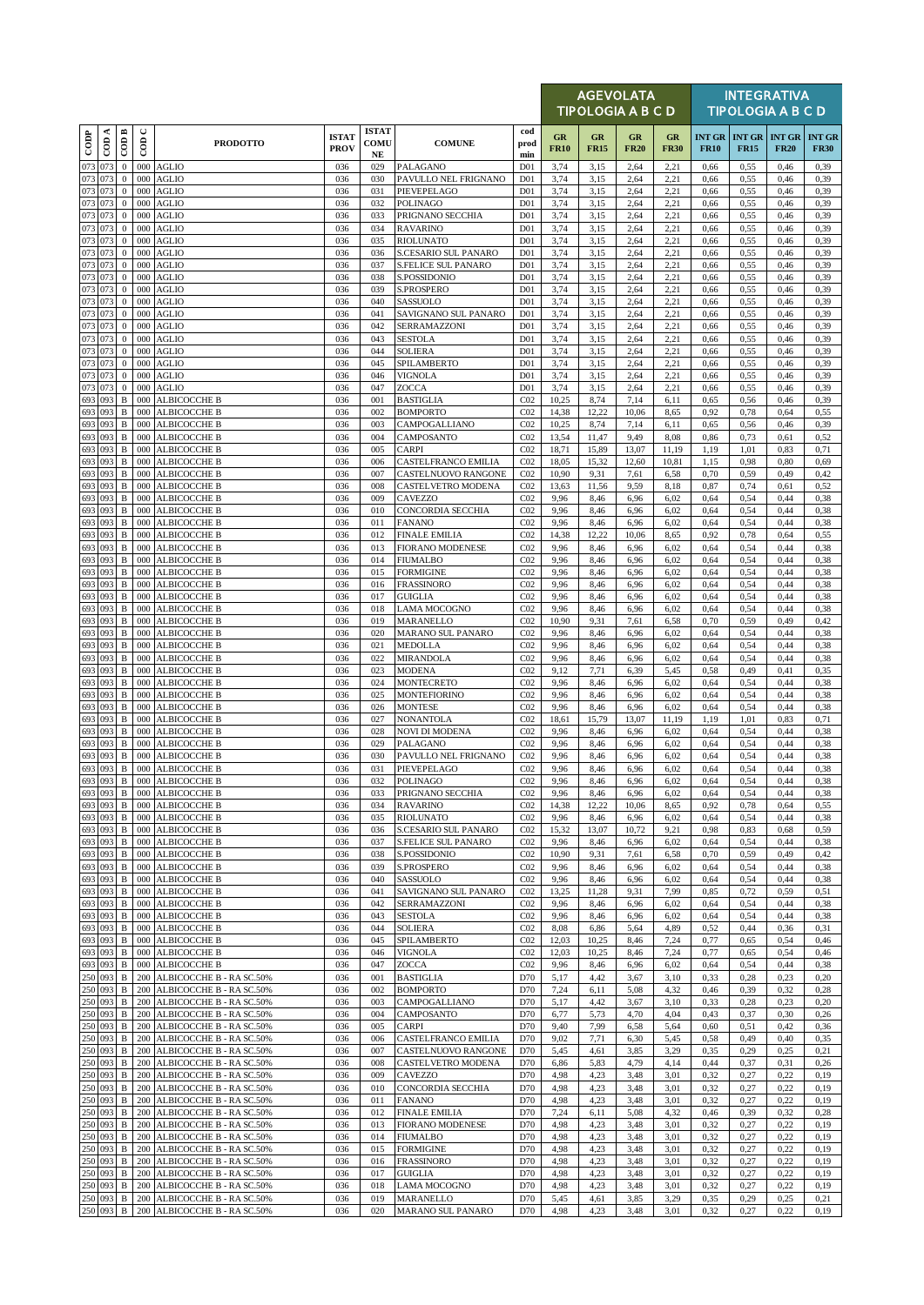|                    |            |                                  |               |                                                      |                             |                            |                                                   |                                    |                   | <b>AGEVOLATA</b><br><b>TIPOLOGIA A B C D</b> |                   |                   |                              |                              | <b>INTEGRATIVA</b><br><b>TIPOLOGIA A B C D</b> |                              |
|--------------------|------------|----------------------------------|---------------|------------------------------------------------------|-----------------------------|----------------------------|---------------------------------------------------|------------------------------------|-------------------|----------------------------------------------|-------------------|-------------------|------------------------------|------------------------------|------------------------------------------------|------------------------------|
| $_{\rm{cop}}$      | CDA        | CODB                             | $\cup$<br>600 | <b>PRODOTTO</b>                                      | <b>ISTAT</b><br><b>PROV</b> | <b>ISTAT</b><br>COMU<br>NE | <b>COMUNE</b>                                     | cod<br>prod<br>min                 | GR<br><b>FR10</b> | GR<br><b>FR15</b>                            | GR<br><b>FR20</b> | GR<br><b>FR30</b> | <b>INT GR</b><br><b>FR10</b> | <b>INT GR</b><br><b>FR15</b> | <b>INT GR</b><br><b>FR20</b>                   | <b>INT GR</b><br><b>FR30</b> |
| 073                | 073        | $\mathbf{0}$                     | 000           | <b>AGLIO</b>                                         | 036                         | 029                        | PALAGANO                                          | D <sub>01</sub>                    | 3,74              | 3,15                                         | 2,64              | 2,21              | 0,66                         | 0,55                         | 0,46                                           | 0,39                         |
| 073 073<br>073     | 073        | $\mathbf{0}$<br>$\boldsymbol{0}$ | 000<br>000    | <b>AGLIO</b><br><b>AGLIO</b>                         | 036<br>036                  | 030<br>031                 | PAVULLO NEL FRIGNANO<br>PIEVEPELAGO               | D <sub>01</sub><br>D <sub>01</sub> | 3,74<br>3,74      | 3,15<br>3,15                                 | 2,64<br>2,64      | 2,21<br>2,21      | 0,66<br>0,66                 | 0,55<br>0,55                 | 0,46<br>0,46                                   | 0,39<br>0,39                 |
| 073 073            |            | $\mathbf{0}$                     | 000           | AGLIO                                                | 036                         | 032                        | <b>POLINAGO</b>                                   | D <sub>01</sub>                    | 3,74              | 3,15                                         | 2,64              | 2,21              | 0,66                         | 0.55                         | 0,46                                           | 0,39                         |
| 073 073            |            | $\mathbf{0}$                     | 000           | <b>AGLIO</b>                                         | 036                         | 033                        | PRIGNANO SECCHIA                                  | D <sub>01</sub>                    | 3,74              | 3,15                                         | 2,64              | 2,21              | 0,66                         | 0,55                         | 0,46                                           | 0,39                         |
| 073 073<br>073     | 073        | $\mathbf{0}$<br>$\bf{0}$         | 000<br>000    | <b>AGLIO</b><br><b>AGLIO</b>                         | 036<br>036                  | 034<br>035                 | <b>RAVARINO</b><br><b>RIOLUNATO</b>               | D <sub>01</sub><br>D <sub>01</sub> | 3,74<br>3,74      | 3,15<br>3,15                                 | 2,64<br>2,64      | 2,21<br>2,21      | 0,66<br>0,66                 | 0,55<br>0,55                 | 0,46<br>0,46                                   | 0,39<br>0,39                 |
| 073                | 073        | $\mathbf{0}$                     | 000           | AGLIO                                                | 036                         | 036                        | <b>S.CESARIO SUL PANARO</b>                       | D <sub>01</sub>                    | 3,74              | 3,15                                         | 2,64              | 2,21              | 0,66                         | 0,55                         | 0,46                                           | 0,39                         |
| 073 073            |            | $\mathbf{0}$                     | 000           | <b>AGLIO</b>                                         | 036                         | 037                        | <b>S.FELICE SUL PANARO</b>                        | D <sub>01</sub>                    | 3,74              | 3,15                                         | 2,64              | 2,21              | 0,66                         | 0,55                         | 0,46                                           | 0,39                         |
| 073<br>073         | 073<br>073 | $\mathbf{0}$<br>$\bf{0}$         | 000<br>000    | <b>AGLIO</b><br><b>AGLIO</b>                         | 036<br>036                  | 038<br>039                 | S.POSSIDONIO<br><b>S.PROSPERO</b>                 | D <sub>01</sub><br>D <sub>01</sub> | 3,74<br>3,74      | 3,15<br>3,15                                 | 2,64<br>2,64      | 2,21<br>2,21      | 0,66<br>0,66                 | 0,55<br>0,55                 | 0,46<br>0,46                                   | 0,39<br>0,39                 |
| 073 073            |            | $\mathbf{0}$                     | 000           | <b>AGLIO</b>                                         | 036                         | 040                        | <b>SASSUOLO</b>                                   | D <sub>01</sub>                    | 3,74              | 3,15                                         | 2,64              | 2,21              | 0,66                         | 0,55                         | 0,46                                           | 0,39                         |
| 073 073            |            | $\mathbf{0}$                     | 000           | <b>AGLIO</b>                                         | 036                         | 041                        | SAVIGNANO SUL PANARO                              | D <sub>01</sub>                    | 3,74              | 3,15                                         | 2,64              | 2,21              | 0,66                         | 0,55                         | 0,46                                           | 0,39                         |
| 073<br>073 073     | 073        | $\bf{0}$<br>$\mathbf{0}$         | 000<br>000    | <b>AGLIO</b><br><b>AGLIO</b>                         | 036<br>036                  | 042<br>043                 | SERRAMAZZONI<br><b>SESTOLA</b>                    | D <sub>01</sub><br>D <sub>01</sub> | 3,74<br>3,74      | 3,15<br>3,15                                 | 2,64<br>2,64      | 2,21<br>2,21      | 0,66<br>0,66                 | 0,55<br>0,55                 | 0,46<br>0,46                                   | 0,39<br>0,39                 |
| 073 073            |            | $\mathbf{0}$                     | 000           | AGLIO                                                | 036                         | 044                        | <b>SOLIERA</b>                                    | D <sub>01</sub>                    | 3,74              | 3,15                                         | 2,64              | 2,21              | 0,66                         | 0,55                         | 0,46                                           | 0,39                         |
| 073<br>073 073     | 073        | $\mathbf{0}$<br>$\mathbf{0}$     | 000<br>000    | <b>AGLIO</b><br><b>AGLIO</b>                         | 036<br>036                  | 045<br>046                 | SPILAMBERTO<br>VIGNOLA                            | D <sub>01</sub><br>D <sub>01</sub> | 3,74              | 3,15                                         | 2,64<br>2,64      | 2,21<br>2,21      | 0,66<br>0,66                 | 0,55                         | 0,46<br>0,46                                   | 0,39<br>0,39                 |
| 073 073            |            | $\mathbf{0}$                     | 000           | <b>AGLIO</b>                                         | 036                         | 047                        | ZOCCA                                             | D <sub>01</sub>                    | 3,74<br>3,74      | 3,15<br>3,15                                 | 2,64              | 2,21              | 0,66                         | 0,55<br>0,55                 | 0,46                                           | 0,39                         |
| 693                | 093        | $\, {\bf B}$                     | 000           | ALBICOCCHE B                                         | 036                         | 001                        | <b>BASTIGLIA</b>                                  | CO <sub>2</sub>                    | 10,25             | 8,74                                         | 7,14              | 6,11              | 0,65                         | 0,56                         | 0,46                                           | 0,39                         |
| 693<br>693 093     | 093        | B<br>B                           | 000<br>000    | ALBICOCCHE B<br>ALBICOCCHE B                         | 036<br>036                  | 002<br>003                 | <b>BOMPORTO</b><br>CAMPOGALLIANO                  | CO <sub>2</sub><br>CO <sub>2</sub> | 14,38<br>10,25    | 12,22<br>8,74                                | 10,06<br>7,14     | 8,65<br>6,11      | 0,92<br>0.65                 | 0,78<br>0,56                 | 0,64<br>0,46                                   | 0,55<br>0,39                 |
| 693                | 093        | B                                | 000           | ALBICOCCHE B                                         | 036                         | 004                        | <b>CAMPOSANTO</b>                                 | CO <sub>2</sub>                    | 13,54             | 11,47                                        | 9,49              | 8,08              | 0,86                         | 0,73                         | 0,61                                           | 0,52                         |
| 693 093            |            | $\, {\bf B}$                     | 000           | ALBICOCCHE B                                         | 036                         | 005                        | <b>CARPI</b>                                      | CO <sub>2</sub>                    | 18,71             | 15,89                                        | 13,07             | 11,19             | 1,19                         | 1,01                         | 0,83                                           | 0,71                         |
| 693<br>693 093     | 093        | $\, {\bf B}$<br>$\, {\bf B}$     | 000<br>000    | ALBICOCCHE B<br><b>ALBICOCCHE B</b>                  | 036<br>036                  | 006<br>007                 | <b>CASTELFRANCO EMILIA</b><br>CASTELNUOVO RANGONE | CO <sub>2</sub><br>CO <sub>2</sub> | 18,05<br>10,90    | 15,32<br>9,31                                | 12,60<br>7,61     | 10,81<br>6,58     | 1,15<br>0,70                 | 0,98<br>0,59                 | 0,80<br>0,49                                   | 0,69<br>0,42                 |
| 693 093            |            | $\, {\bf B}$                     | 000           | ALBICOCCHE B                                         | 036                         | 008                        | <b>CASTELVETRO MODENA</b>                         | CO <sub>2</sub>                    | 13,63             | 11,56                                        | 9,59              | 8,18              | 0,87                         | 0,74                         | 0,61                                           | 0,52                         |
| 693                | 093        | $\, {\bf B}$                     | 000           | ALBICOCCHE B                                         | 036                         | 009                        | <b>CAVEZZO</b>                                    | CO <sub>2</sub>                    | 9,96              | 8,46                                         | 6,96              | 6,02              | 0,64                         | 0,54                         | 0,44                                           | 0,38                         |
| 693 093<br>693 093 |            | $\, {\bf B}$<br>$\, {\bf B}$     | 000<br>000    | ALBICOCCHE B<br>ALBICOCCHE B                         | 036<br>036                  | 010<br>011                 | CONCORDIA SECCHIA<br><b>FANANO</b>                | CO <sub>2</sub><br>CO <sub>2</sub> | 9,96<br>9,96      | 8,46<br>8,46                                 | 6,96<br>6,96      | 6,02<br>6,02      | 0,64<br>0.64                 | 0,54<br>0,54                 | 0,44<br>0,44                                   | 0,38<br>0,38                 |
| 693                | 093        | $\, {\bf B}$                     | 000           | ALBICOCCHE B                                         | 036                         | 012                        | <b>FINALE EMILIA</b>                              | CO <sub>2</sub>                    | 14,38             | 12,22                                        | 10,06             | 8,65              | 0,92                         | 0,78                         | 0,64                                           | 0,55                         |
| 693                | 093        | B                                | 000           | ALBICOCCHE B                                         | 036                         | 013                        | <b>FIORANO MODENESE</b>                           | CO <sub>2</sub>                    | 9,96              | 8,46                                         | 6,96              | 6,02              | 0,64                         | 0,54                         | 0,44                                           | 0,38                         |
| 693<br>693 093     | 093        | B<br>$\, {\bf B}$                | 000<br>000    | ALBICOCCHE B<br>ALBICOCCHE B                         | 036<br>036                  | 014<br>015                 | <b>FIUMALBO</b><br><b>FORMIGINE</b>               | CO <sub>2</sub><br>CO <sub>2</sub> | 9,96<br>9,96      | 8,46<br>8,46                                 | 6,96<br>6,96      | 6,02<br>6,02      | 0.64<br>0,64                 | 0,54<br>0,54                 | 0,44<br>0,44                                   | 0,38<br>0,38                 |
| 693                | 093        | $\, {\bf B}$                     | 000           | ALBICOCCHE B                                         | 036                         | 016                        | <b>FRASSINORO</b>                                 | CO <sub>2</sub>                    | 9,96              | 8,46                                         | 6,96              | 6,02              | 0,64                         | 0,54                         | 0,44                                           | 0,38                         |
| 693                | 093        | B                                | 000           | ALBICOCCHE B                                         | 036                         | 017                        | <b>GUIGLIA</b>                                    | CO <sub>2</sub>                    | 9,96              | 8,46                                         | 6,96              | 6,02              | 0.64                         | 0,54                         | 0,44                                           | 0,38                         |
| 693<br>693         | 093<br>093 | $\, {\bf B}$<br>B                | 000<br>000    | ALBICOCCHE B<br>ALBICOCCHE B                         | 036<br>036                  | 018<br>019                 | <b>LAMA MOCOGNO</b><br>MARANELLO                  | CO <sub>2</sub><br>CO <sub>2</sub> | 9,96<br>10,90     | 8,46<br>9,31                                 | 6,96<br>7,61      | 6,02<br>6,58      | 0.64<br>0,70                 | 0,54<br>0,59                 | 0,44<br>0,49                                   | 0,38<br>0,42                 |
| 693                | 093        | $\, {\bf B}$                     | 000           | ALBICOCCHE B                                         | 036                         | 020                        | <b>MARANO SUL PANARO</b>                          | CO <sub>2</sub>                    | 9,96              | 8,46                                         | 6,96              | 6,02              | 0.64                         | 0,54                         | 0,44                                           | 0,38                         |
| 693 093<br>693 093 |            | $\, {\bf B}$                     | 000           | ALBICOCCHE B                                         | 036                         | 021                        | <b>MEDOLLA</b>                                    | CO <sub>2</sub>                    | 9,96              | 8,46                                         | 6,96              | 6,02              | 0.64                         | 0,54                         | 0,44                                           | 0,38                         |
| 693                | 093        | $\, {\bf B}$<br>$\, {\bf B}$     | 000<br>000    | ALBICOCCHE B<br>ALBICOCCHE B                         | 036<br>036                  | 022<br>023                 | <b>MIRANDOLA</b><br><b>MODENA</b>                 | CO <sub>2</sub><br>CO <sub>2</sub> | 9,96<br>9,12      | 8,46<br>7,71                                 | 6,96<br>6,39      | 6,02<br>5,45      | 0.64<br>0,58                 | 0,54<br>0,49                 | 0,44<br>0,41                                   | 0,38<br>0.35                 |
| 693 093            |            | $\, {\bf B}$                     | 000           | ALBICOCCHE B                                         | 036                         | 024                        | MONTECRETO                                        | CO <sub>2</sub>                    | 9,96              | 8,46                                         | 6,96              | 6,02              | 0,64                         | 0,54                         | 0,44                                           | 0,38                         |
| 693 093<br>693     | 093        | $\, {\bf B}$<br>$\, {\bf B}$     | 000<br>000    | ALBICOCCHE B                                         | 036<br>036                  | 025<br>026                 | <b>MONTEFIORINO</b><br><b>MONTESE</b>             | CO <sub>2</sub><br>CO <sub>2</sub> | 9,96<br>9,96      | 8,46<br>8,46                                 | 6,96<br>6,96      | 6,02<br>6,02      | 0.64<br>0.64                 | 0,54<br>0,54                 | 0,44<br>0,44                                   | 0,38<br>0,38                 |
| 693 093            |            | $\, {\bf B}$                     | 000           | ALBICOCCHE B<br>ALBICOCCHE B                         | 036                         | 027                        | <b>NONANTOLA</b>                                  | CO <sub>2</sub>                    | 18,61             | 15,79                                        | 13,07             | 11,19             | 1,19                         | 1,01                         | 0,83                                           | 0,71                         |
| 693 093            |            | B                                | 000           | ALBICOCCHE B                                         | 036                         | 028                        | <b>NOVI DI MODENA</b>                             | CO <sub>2</sub>                    | 9,96              | 8,46                                         | 6,96              | 6,02              | 0.64                         | 0,54                         | 0,44                                           | 0,38                         |
| 693<br>693         | 093<br>093 | $\, {\bf B}$<br>B                | 000<br>000    | ALBICOCCHE B<br>ALBICOCCHE B                         | 036<br>036                  | 029<br>030                 | PALAGANO<br>PAVULLO NEL FRIGNANO                  | CO <sub>2</sub><br>CO <sub>2</sub> | 9,96<br>9,96      | 8,46<br>8,46                                 | 6,96<br>6,96      | 6,02<br>6,02      | 0.64<br>0,64                 | 0,54<br>0,54                 | 0,44<br>0,44                                   | 0,38<br>0,38                 |
| 693 093            |            | $\, {\bf B}$                     | 000           | ALBICOCCHE B                                         | 036                         | 031                        | PIEVEPELAGO                                       | CO <sub>2</sub>                    | 9,96              | 8,46                                         | 6,96              | 6,02              | 0,64                         | 0,54                         | 0,44                                           | 0,38                         |
|                    |            | $\mathbf{B}$                     |               | 000 ALBICOCCHE B                                     | 036                         | 032                        | POLINAGO                                          | C <sub>02</sub>                    | 9,96              | 8.46                                         | 6,96              | 6,02              | 0.64                         | 0,54                         | 0.44                                           | 0.38                         |
| 693 093<br>693 093 |            | $\, {\bf B}$<br>B                | 000           | 000 ALBICOCCHE B<br><b>ALBICOCCHE B</b>              | 036<br>036                  | 033<br>034                 | PRIGNANO SECCHIA<br><b>RAVARINO</b>               | CO <sub>2</sub><br>CO <sub>2</sub> | 9,96<br>14,38     | 8,46<br>12,22                                | 6,96<br>10,06     | 6,02<br>8,65      | 0,64<br>0,92                 | 0,54<br>0,78                 | 0,44<br>0,64                                   | 0,38<br>0,55                 |
| 693 093            |            | $\, {\bf B}$                     | 000           | ALBICOCCHE B                                         | 036                         | 035                        | <b>RIOLUNATO</b>                                  | CO <sub>2</sub>                    | 9,96              | 8,46                                         | 6,96              | 6,02              | 0.64                         | 0,54                         | 0,44                                           | 0,38                         |
| 693 093            |            | B                                | 000           | ALBICOCCHE B                                         | 036                         | 036                        | <b>S.CESARIO SUL PANARO</b>                       | CO <sub>2</sub>                    | 15,32             | 13,07                                        | 10,72             | 9,21              | 0,98                         | 0,83                         | 0,68                                           | 0,59                         |
| 693 093<br>693 093 |            | $\, {\bf B}$<br>$\, {\bf B}$     | 000<br>000    | ALBICOCCHE B<br><b>ALBICOCCHE B</b>                  | 036<br>036                  | 037<br>038                 | S.FELICE SUL PANARO<br>S.POSSIDONIO               | CO <sub>2</sub><br>CO <sub>2</sub> | 9,96<br>10,90     | 8,46<br>9,31                                 | 6,96<br>7,61      | 6,02<br>6,58      | 0,64<br>0,70                 | 0,54<br>0,59                 | 0,44<br>0,49                                   | 0,38<br>0,42                 |
| 693 093            |            | $\, {\bf B}$                     | 000           | ALBICOCCHE B                                         | 036                         | 039                        | S.PROSPERO                                        | CO <sub>2</sub>                    | 9,96              | 8,46                                         | 6,96              | 6,02              | 0.64                         | 0,54                         | 0,44                                           | 0,38                         |
| 693 093<br>693 093 |            | $\, {\bf B}$<br>$\, {\bf B}$     | 000<br>000    | <b>ALBICOCCHE B</b><br><b>ALBICOCCHE B</b>           | 036                         | 040                        | <b>SASSUOLO</b><br>SAVIGNANO SUL PANARO           | CO <sub>2</sub>                    | 9,96              | 8,46                                         | 6,96              | 6,02<br>7,99      | 0,64<br>0.85                 | 0,54                         | 0,44                                           | 0,38                         |
| 693 093            |            | В                                | 000           | ALBICOCCHE B                                         | 036<br>036                  | 041<br>042                 | SERRAMAZZONI                                      | CO <sub>2</sub><br>CO <sub>2</sub> | 13,25<br>9,96     | 11,28<br>8,46                                | 9,31<br>6,96      | 6,02              | 0.64                         | 0,72<br>0,54                 | 0,59<br>0,44                                   | 0.51<br>0,38                 |
| 693 093            |            | $\, {\bf B}$                     | 000           | ALBICOCCHE B                                         | 036                         | 043                        | <b>SESTOLA</b>                                    | CO <sub>2</sub>                    | 9,96              | 8,46                                         | 6,96              | 6,02              | 0.64                         | 0,54                         | 0,44                                           | 0,38                         |
| 693 093<br>693 093 |            | $\, {\bf B}$<br>B                | 000<br>000    | ALBICOCCHE B<br>ALBICOCCHE B                         | 036<br>036                  | 044<br>045                 | SOLIERA<br>SPILAMBERTO                            | CO <sub>2</sub><br>CO <sub>2</sub> | 8,08<br>12,03     | 6,86<br>10,25                                | 5,64<br>8,46      | 4,89<br>7,24      | 0,52<br>0,77                 | 0,44<br>0.65                 | 0,36<br>0,54                                   | 0,31<br>0,46                 |
| 693 093            |            | $\, {\bf B}$                     | 000           | ALBICOCCHE B                                         | 036                         | 046                        | VIGNOLA                                           | CO <sub>2</sub>                    | 12,03             | 10,25                                        | 8,46              | 7,24              | 0,77                         | 0,65                         | 0,54                                           | 0,46                         |
| 693 093            |            | B                                | 000           | ALBICOCCHE B                                         | 036                         | 047                        | ZOCCA                                             | CO <sub>2</sub>                    | 9,96              | 8,46                                         | 6,96              | 6,02              | 0,64                         | 0,54                         | 0,44                                           | 0,38                         |
| 250 093<br>250 093 |            | B<br>$\, {\bf B}$                | 200<br>200    | ALBICOCCHE B - RA SC.50%<br>ALBICOCCHE B - RA SC.50% | 036<br>036                  | 001<br>002                 | <b>BASTIGLIA</b><br><b>BOMPORTO</b>               | D70<br>D70                         | 5,17<br>7,24      | 4,42<br>6,11                                 | 3,67<br>5,08      | 3,10<br>4,32      | 0.33<br>0,46                 | 0,28<br>0,39                 | 0,23<br>0,32                                   | 0,20<br>0,28                 |
| 250 093            |            | $\, {\bf B}$                     | 200           | ALBICOCCHE B - RA SC.50%                             | 036                         | 003                        | CAMPOGALLIANO                                     | D70                                | 5,17              | 4,42                                         | 3,67              | 3,10              | 0,33                         | 0,28                         | 0,23                                           | 0,20                         |
| 250 093            |            | $\, {\bf B}$                     | 200           | ALBICOCCHE B - RA SC.50%                             | 036                         | 004                        | CAMPOSANTO                                        | D70                                | 6,77              | 5,73                                         | 4,70              | 4,04              | 0,43                         | 0,37                         | 0,30                                           | 0,26                         |
| 250 093<br>250 093 |            | B<br>B                           | 200<br>200    | ALBICOCCHE B - RA SC.50%<br>ALBICOCCHE B - RA SC.50% | 036<br>036                  | 005<br>006                 | <b>CARPI</b><br>CASTELFRANCO EMILIA               | D70<br>D70                         | 9,40<br>9,02      | 7,99<br>7,71                                 | 6,58<br>6,30      | 5,64<br>5,45      | 0,60<br>0,58                 | 0,51<br>0,49                 | 0,42<br>0,40                                   | 0,36<br>0,35                 |
| 250 093            |            | B                                | 200           | ALBICOCCHE B - RA SC.50%                             | 036                         | 007                        | CASTELNUOVO RANGONE                               | D70                                | 5,45              | 4,61                                         | 3,85              | 3,29              | 0,35                         | 0,29                         | 0,25                                           | 0,21                         |
| 250 093            |            | B                                | 200           | ALBICOCCHE B - RA SC.50%                             | 036                         | 008                        | CASTELVETRO MODENA                                | D70                                | 6,86              | 5,83                                         | 4,79              | 4,14              | 0,44                         | 0,37                         | 0,31                                           | 0,26                         |
| 250 093<br>250 093 |            | B<br>B                           | 200<br>200    | ALBICOCCHE B - RA SC.50%<br>ALBICOCCHE B - RA SC.50% | 036<br>036                  | 009<br>010                 | CAVEZZO<br>CONCORDIA SECCHIA                      | D70<br>D70                         | 4,98<br>4,98      | 4,23<br>4,23                                 | 3,48<br>3,48      | 3,01<br>3,01      | 0,32<br>0,32                 | 0,27<br>0,27                 | 0,22<br>0,22                                   | 0,19<br>0,19                 |
| 250 093            |            | B                                | 200           | ALBICOCCHE B - RA SC.50%                             | 036                         | 011                        | <b>FANANO</b>                                     | D70                                | 4,98              | 4,23                                         | 3,48              | 3,01              | 0,32                         | 0,27                         | 0,22                                           | 0,19                         |
| 250 093            |            | B                                | 200           | ALBICOCCHE B - RA SC.50%                             | 036                         | 012                        | <b>FINALE EMILIA</b>                              | D70                                | 7,24              | 6,11                                         | 5,08              | 4,32              | 0,46                         | 0.39                         | 0,32                                           | 0,28                         |
| 250 093<br>250 093 |            | $\, {\bf B}$<br>B                | 200<br>200    | ALBICOCCHE B - RA SC.50%<br>ALBICOCCHE B - RA SC.50% | 036<br>036                  | 013<br>014                 | <b>FIORANO MODENESE</b><br><b>FIUMALBO</b>        | D70<br>D70                         | 4,98<br>4,98      | 4,23<br>4,23                                 | 3,48<br>3,48      | 3,01<br>3,01      | 0,32<br>0,32                 | 0,27<br>0,27                 | 0,22<br>0,22                                   | 0,19<br>0,19                 |
| 250 093            |            | $\, {\bf B}$                     | 200           | ALBICOCCHE B - RA SC.50%                             | 036                         | 015                        | <b>FORMIGINE</b>                                  | D70                                | 4,98              | 4,23                                         | 3,48              | 3,01              | 0,32                         | 0,27                         | 0,22                                           | 0,19                         |
| 250 093            |            | $\, {\bf B}$                     | 200           | ALBICOCCHE B - RA SC.50%                             | 036                         | 016                        | <b>FRASSINORO</b>                                 | D70                                | 4,98              | 4,23                                         | 3,48              | 3,01              | 0,32                         | 0,27                         | 0,22                                           | 0,19                         |
| 250 093<br>250 093 |            | B<br>B                           | 200<br>200    | ALBICOCCHE B - RA SC.50%<br>ALBICOCCHE B - RA SC.50% | 036<br>036                  | 017<br>018                 | <b>GUIGLIA</b><br>LAMA MOCOGNO                    | D70<br>D70                         | 4,98<br>4,98      | 4,23<br>4,23                                 | 3,48<br>3,48      | 3,01<br>3,01      | 0,32<br>0,32                 | 0,27<br>0,27                 | 0,22<br>0,22                                   | 0,19<br>0,19                 |
| 250 093            |            | В                                | 200           | ALBICOCCHE B - RA SC.50%                             | 036                         | 019                        | MARANELLO                                         | D70                                | 5,45              | 4,61                                         | 3,85              | 3,29              | 0,35                         | 0,29                         | 0,25                                           | 0,21                         |
| 250 093            |            | $\, {\bf B}$                     |               | 200 ALBICOCCHE B - RA SC.50%                         | 036                         | 020                        | MARANO SUL PANARO                                 | D70                                | 4,98              | 4,23                                         | 3,48              | 3,01              | 0,32                         | 0,27                         | 0,22                                           | 0,19                         |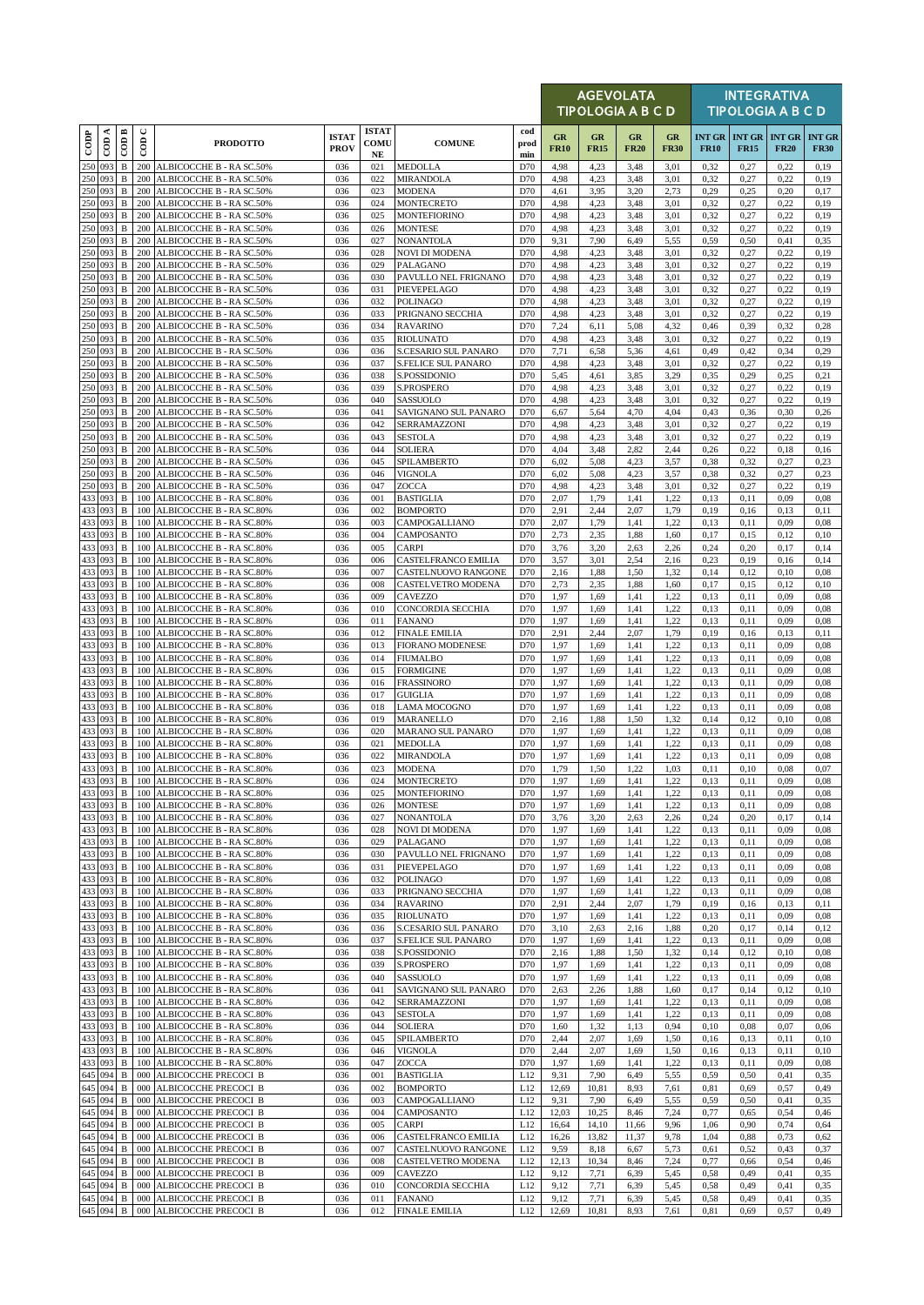|                    |          |                              |                      |                                                      |                             |                            |                                            |                    |                   | AGEVOLATA<br><b>TIPOLOGIA A B C D</b> |                   |                   |              |                                                | <b>INTEGRATIVA</b><br><b>TIPOLOGIA A B C D</b> |                              |
|--------------------|----------|------------------------------|----------------------|------------------------------------------------------|-----------------------------|----------------------------|--------------------------------------------|--------------------|-------------------|---------------------------------------|-------------------|-------------------|--------------|------------------------------------------------|------------------------------------------------|------------------------------|
| $_{\rm{cop}}$      | $\cos A$ | $\overline{CDB}$             | $\cup$<br>$\epsilon$ | <b>PRODOTTO</b>                                      | <b>ISTAT</b><br><b>PROV</b> | <b>ISTAT</b><br>COMU<br>NE | <b>COMUNE</b>                              | cod<br>prod<br>min | GR<br><b>FR10</b> | GR<br><b>FR15</b>                     | GR<br><b>FR20</b> | GR<br><b>FR30</b> | <b>FR10</b>  | <b>INT GR   INT GR   INT GR</b><br><b>FR15</b> | <b>FR20</b>                                    | <b>INT GR</b><br><b>FR30</b> |
| 250 093            |          | $\, {\bf B}$                 | 200                  | ALBICOCCHE B - RA SC.50%                             | 036                         | 021                        | <b>MEDOLLA</b>                             | D70                | 4,98              | 4,23                                  | 3,48              | 3,01              | 0,32         | 0,27                                           | 0,22                                           | 0,19                         |
| 250 093<br>250 093 |          | $\, {\bf B}$<br>$\, {\bf B}$ | 200<br>200           | ALBICOCCHE B - RA SC.50%<br>ALBICOCCHE B - RA SC.50% | 036<br>036                  | 022<br>023                 | <b>MIRANDOLA</b><br><b>MODENA</b>          | D70<br>D70         | 4,98<br>4,61      | 4,23<br>3,95                          | 3,48<br>3,20      | 3,01<br>2,73      | 0,32<br>0,29 | 0,27<br>0,25                                   | 0,22<br>0,20                                   | 0,19<br>0,17                 |
| 250 093            |          | $\, {\bf B}$                 | 200                  | ALBICOCCHE B - RA SC.50%                             | 036                         | 024                        | <b>MONTECRETO</b>                          | D70                | 4,98              | 4,23                                  | 3,48              | 3,01              | 0,32         | 0,27                                           | 0,22                                           | 0,19                         |
| 250 093            |          | $\, {\bf B}$                 | 200                  | ALBICOCCHE B - RA SC.50%                             | 036                         | 025                        | <b>MONTEFIORINO</b>                        | D70                | 4,98              | 4,23                                  | 3,48              | 3,01              | 0,32         | 0,27                                           | 0,22                                           | 0,19                         |
| 250 093            |          | B                            | 200                  | ALBICOCCHE B - RA SC.50%                             | 036                         | 026                        | <b>MONTESE</b>                             | D70                | 4,98              | 4,23                                  | 3,48              | 3,01              | 0,32         | 0,27                                           | 0,22                                           | 0,19                         |
| 250 093<br>250 093 |          | B<br>$\, {\bf B}$            | 200<br>200           | ALBICOCCHE B - RA SC.50%<br>ALBICOCCHE B - RA SC.50% | 036<br>036                  | 027<br>028                 | <b>NONANTOLA</b><br><b>NOVI DI MODENA</b>  | D70<br>D70         | 9,31<br>4,98      | 7,90<br>4,23                          | 6,49<br>3,48      | 5,55<br>3,01      | 0,59<br>0,32 | 0,50<br>0,27                                   | 0,41<br>0,22                                   | 0,35<br>0,19                 |
| 250 093            |          | $\, {\bf B}$                 | 200                  | ALBICOCCHE B - RA SC.50%                             | 036                         | 029                        | PALAGANO                                   | D70                | 4,98              | 4,23                                  | 3,48              | 3,01              | 0,32         | 0,27                                           | 0,22                                           | 0,19                         |
| 250 093            |          | $\, {\bf B}$                 | 200                  | ALBICOCCHE B - RA SC.50%                             | 036                         | 030                        | PAVULLO NEL FRIGNANO                       | D70                | 4,98              | 4,23                                  | 3,48              | 3,01              | 0,32         | 0,27                                           | 0,22                                           | 0,19                         |
| 250 093            |          | $\, {\bf B}$                 | 200                  | ALBICOCCHE B - RA SC.50%                             | 036                         | 031                        | PIEVEPELAGO                                | D70                | 4,98              | 4,23                                  | 3,48              | 3,01              | 0,32         | 0,27                                           | 0,22                                           | 0,19                         |
| 250 093<br>250 093 |          | B<br>$\, {\bf B}$            | 200<br>200           | ALBICOCCHE B - RA SC.50%<br>ALBICOCCHE B - RA SC.50% | 036<br>036                  | 032<br>033                 | <b>POLINAGO</b><br>PRIGNANO SECCHIA        | D70<br>D70         | 4,98<br>4,98      | 4,23<br>4,23                          | 3,48<br>3,48      | 3,01<br>3,01      | 0,32<br>0,32 | 0,27<br>0,27                                   | 0,22<br>0,22                                   | 0,19<br>0,19                 |
| 250 093            |          | $\, {\bf B}$                 | 200                  | ALBICOCCHE B - RA SC.50%                             | 036                         | 034                        | <b>RAVARINO</b>                            | D70                | 7,24              | 6,11                                  | 5,08              | 4,32              | 0,46         | 0,39                                           | 0,32                                           | 0,28                         |
| 250 093            |          | B                            | 200                  | ALBICOCCHE B - RA SC.50%                             | 036                         | 035                        | <b>RIOLUNATO</b>                           | D70                | 4,98              | 4,23                                  | 3,48              | 3,01              | 0,32         | 0,27                                           | 0,22                                           | 0,19                         |
| 250 093            |          | $\, {\bf B}$                 | 200                  | ALBICOCCHE B - RA SC.50%                             | 036                         | 036                        | S.CESARIO SUL PANARO                       | D70                | 7,71              | 6,58                                  | 5,36              | 4,61              | 0,49         | 0,42                                           | 0,34                                           | 0,29                         |
| 250 093<br>250 093 |          | В<br>B                       | 200<br>200           | ALBICOCCHE B - RA SC.50%<br>ALBICOCCHE B - RA SC.50% | 036<br>036                  | 037<br>038                 | <b>S.FELICE SUL PANARO</b><br>S.POSSIDONIO | D70<br>D70         | 4,98<br>5,45      | 4,23<br>4,61                          | 3,48<br>3,85      | 3,01<br>3,29      | 0,32<br>0,35 | 0,27<br>0,29                                   | 0,22<br>0,25                                   | 0,19<br>0,21                 |
| 250 093            |          | $\, {\bf B}$                 | 200                  | ALBICOCCHE B - RA SC.50%                             | 036                         | 039                        | S.PROSPERO                                 | D70                | 4,98              | 4,23                                  | 3,48              | 3,01              | 0,32         | 0,27                                           | 0,22                                           | 0,19                         |
| 250 093            |          | B                            | 200                  | ALBICOCCHE B - RA SC.50%                             | 036                         | 040                        | SASSUOLO                                   | D70                | 4,98              | 4,23                                  | 3,48              | 3,01              | 0,32         | 0,27                                           | 0,22                                           | 0,19                         |
| 250 093            |          | $\, {\bf B}$                 | 200                  | ALBICOCCHE B - RA SC.50%                             | 036                         | 041                        | SAVIGNANO SUL PANARO                       | D70                | 6,67              | 5,64                                  | 4,70              | 4,04              | 0,43         | 0,36                                           | 0,30                                           | 0,26                         |
| 250 093<br>250 093 |          | $\, {\bf B}$<br>$\, {\bf B}$ | 200<br>200           | ALBICOCCHE B - RA SC.50%<br>ALBICOCCHE B - RA SC.50% | 036<br>036                  | 042<br>043                 | SERRAMAZZONI<br><b>SESTOLA</b>             | D70<br>D70         | 4,98<br>4,98      | 4,23<br>4,23                          | 3,48<br>3,48      | 3,01<br>3,01      | 0,32<br>0,32 | 0,27<br>0,27                                   | 0,22<br>0,22                                   | 0,19<br>0,19                 |
| 250 093            |          | B                            | 200                  | ALBICOCCHE B - RA SC.50%                             | 036                         | 044                        | <b>SOLIERA</b>                             | D70                | 4,04              | 3,48                                  | 2,82              | 2,44              | 0,26         | 0,22                                           | 0,18                                           | 0,16                         |
| 250 093            |          | $\, {\bf B}$                 | 200                  | ALBICOCCHE B - RA SC.50%                             | 036                         | 045                        | SPILAMBERTO                                | D70                | 6,02              | 5,08                                  | 4,23              | 3,57              | 0,38         | 0,32                                           | 0,27                                           | 0,23                         |
| 250 093            |          | $\, {\bf B}$                 | 200                  | ALBICOCCHE B - RA SC.50%                             | 036                         | 046                        | <b>VIGNOLA</b>                             | D70                | 6,02              | 5,08                                  | 4,23              | 3,57              | 0,38         | 0,32                                           | 0,27                                           | 0,23                         |
| 250 093<br>433 093 |          | $\, {\bf B}$<br>$\, {\bf B}$ | 200<br>100           | ALBICOCCHE B - RA SC.50%<br>ALBICOCCHE B - RA SC.80% | 036<br>036                  | 047<br>001                 | <b>ZOCCA</b><br><b>BASTIGLIA</b>           | D70<br>D70         | 4,98<br>2,07      | 4,23<br>1,79                          | 3,48<br>1,41      | 3,01<br>1,22      | 0,32<br>0,13 | 0,27<br>0,11                                   | 0,22<br>0,09                                   | 0,19<br>0.08                 |
| 433 093            |          | $\mathbf B$                  | 100                  | ALBICOCCHE B - RA SC.80%                             | 036                         | 002                        | <b>BOMPORTO</b>                            | D70                | 2,91              | 2,44                                  | 2,07              | 1,79              | 0,19         | 0,16                                           | 0,13                                           | 0,11                         |
| 433                | 093      | $\, {\bf B}$                 | 100                  | ALBICOCCHE B - RA SC.80%                             | 036                         | 003                        | CAMPOGALLIANO                              | D70                | 2,07              | 1,79                                  | 1,41              | 1,22              | 0,13         | 0,11                                           | 0,09                                           | 0.08                         |
| 433 093            |          | $\, {\bf B}$                 | 100                  | ALBICOCCHE B - RA SC.80%                             | 036                         | 004                        | CAMPOSANTO                                 | D70                | 2,73              | 2,35                                  | 1,88              | 1,60              | 0,17         | 0,15                                           | 0,12                                           | 0,10                         |
| 433 093<br>433 093 |          | B<br>$\, {\bf B}$            | 100<br>100           | ALBICOCCHE B - RA SC.80%<br>ALBICOCCHE B - RA SC.80% | 036<br>036                  | 005<br>006                 | <b>CARPI</b><br>CASTELFRANCO EMILIA        | D70<br>D70         | 3,76<br>3,57      | 3,20<br>3,01                          | 2,63<br>2.54      | 2,26<br>2,16      | 0,24<br>0,23 | 0,20<br>0,19                                   | 0,17<br>0,16                                   | 0,14<br>0,14                 |
| 433 093            |          | $\, {\bf B}$                 | 100                  | ALBICOCCHE B - RA SC.80%                             | 036                         | 007                        | CASTELNUOVO RANGONE                        | D70                | 2,16              | 1,88                                  | 1,50              | 1,32              | 0,14         | 0,12                                           | 0,10                                           | 0.08                         |
| 433 093            |          | $\, {\bf B}$                 | 100                  | ALBICOCCHE B - RA SC.80%                             | 036                         | 008                        | <b>CASTELVETRO MODENA</b>                  | D70                | 2,73              | 2,35                                  | 1,88              | 1,60              | 0,17         | 0,15                                           | 0,12                                           | 0,10                         |
| 433 093            |          | $\, {\bf B}$                 | 100                  | ALBICOCCHE B - RA SC.80%                             | 036                         | 009                        | <b>CAVEZZO</b>                             | D70                | 1,97              | 1,69                                  | 1,41              | 1,22              | 0,13         | 0,11                                           | 0,09                                           | 0.08                         |
| 433 093<br>433 093 |          | $\, {\bf B}$<br>$\, {\bf B}$ | 100<br>100           | ALBICOCCHE B - RA SC.80%<br>ALBICOCCHE B - RA SC.80% | 036<br>036                  | 010<br>011                 | CONCORDIA SECCHIA<br><b>FANANO</b>         | D70<br>D70         | 1,97<br>1,97      | 1,69<br>1,69                          | 1,41<br>1,41      | 1,22<br>1,22      | 0,13<br>0,13 | 0,11<br>0,11                                   | 0,09<br>0,09                                   | 0.08<br>0,08                 |
| 433 093            |          | $\, {\bf B}$                 | 100                  | ALBICOCCHE B - RA SC.80%                             | 036                         | 012                        | <b>FINALE EMILIA</b>                       | D70                | 2,91              | 2,44                                  | 2,07              | 1,79              | 0,19         | 0,16                                           | 0,13                                           | 0,11                         |
| 433 093            |          | B                            | 100                  | ALBICOCCHE B - RA SC.80%                             | 036                         | 013                        | <b>FIORANO MODENESE</b>                    | D70                | 1,97              | 1,69                                  | 1,41              | 1,22              | 0,13         | 0,11                                           | 0,09                                           | 0.08                         |
| 433 093            |          | $\, {\bf B}$                 | 100                  | ALBICOCCHE B - RA SC.80%                             | 036                         | 014                        | <b>FIUMALBO</b>                            | D70                | 1,97              | 1,69                                  | 1,41              | 1,22              | 0,13         | 0,11                                           | 0,09                                           | 0.08                         |
| 433 093<br>433 093 |          | B<br>$\, {\bf B}$            | 100<br>100           | ALBICOCCHE B - RA SC.80%<br>ALBICOCCHE B - RA SC.80% | 036<br>036                  | 015<br>016                 | <b>FORMIGINE</b><br><b>FRASSINORO</b>      | D70<br>D70         | 1,97<br>1,97      | 1,69<br>1,69                          | 1,41<br>1,41      | 1,22<br>1,22      | 0,13<br>0,13 | 0,11<br>0,11                                   | 0,09<br>0,09                                   | 0.08<br>0.08                 |
| 433 093            |          | $\, {\bf B}$                 | 100                  | ALBICOCCHE B - RA SC.80%                             | 036                         | 017                        | <b>GUIGLIA</b>                             | D70                | 1,97              | 1,69                                  | 1,41              | 1,22              | 0,13         | 0,11                                           | 0,09                                           | 0.08                         |
| 433 093            |          | $\, {\bf B}$                 | 100                  | ALBICOCCHE B - RA SC.80%                             | 036                         | 018                        | <b>LAMA MOCOGNO</b>                        | D70                | 1,97              | 1,69                                  | 1,41              | 1,22              | 0.13         | 0,11                                           | 0,09                                           | 0,08                         |
| 433 093            |          | $\, {\bf B}$                 | 100                  | ALBICOCCHE B - RA SC.80%                             | 036                         | 019                        | <b>MARANELLO</b>                           | D70                | 2,16              | 1,88                                  | 1,50              | 1,32              | 0,14         | 0,12                                           | 0,10                                           | 0.08                         |
| 433 093<br>433 093 |          | $\, {\bf B}$<br>$\, {\bf B}$ | 100<br>100           | ALBICOCCHE B - RA SC.80%<br>ALBICOCCHE B - RA SC.80% | 036<br>036                  | 020<br>021                 | MARANO SUL PANARO<br><b>MEDOLLA</b>        | D70<br>D70         | 1,97<br>1,97      | 1,69<br>1,69                          | 1,41<br>1,41      | 1,22<br>1,22      | 0,13<br>0,13 | 0,11<br>0,11                                   | 0,09<br>0,09                                   | 0.08<br>0,08                 |
| 433 093            |          | $\, {\bf B}$                 | 100                  | ALBICOCCHE B - RA SC.80%                             | 036                         | 022                        | <b>MIRANDOLA</b>                           | D70                | 1,97              | 1,69                                  | 1,41              | 1,22              | 0,13         | 0,11                                           | 0,09                                           | 0.08                         |
| 433 093<br>433 093 |          | $\, {\bf B}$                 | 100                  | ALBICOCCHE B - RA SC.80%                             | 036                         | 023                        | <b>MODENA</b>                              | D70                | 1,79              | 1,50                                  | 1,22              | 1,03              | 0,11         | 0,10                                           | 0,08                                           | 0,07                         |
|                    |          | $\, {\bf B}$                 |                      | 100 ALBICOCCHE B - RA SC.80%                         | 036                         | 024                        | <b>MONTECRETO</b>                          | D70                | 1,97              | 1,69                                  | 1,41              | 1,22              | 0,13         | 0,11                                           | 0,09                                           | 0,08                         |
| 433 093<br>433 093 |          | B<br>$\, {\bf B}$            | 100<br>100           | ALBICOCCHE B - RA SC.80%<br>ALBICOCCHE B - RA SC.80% | 036<br>036                  | 025<br>026                 | <b>MONTEFIORINO</b><br><b>MONTESE</b>      | D70<br>D70         | 1,97<br>1,97      | 1,69<br>1,69                          | 1,41<br>1,41      | 1,22<br>1,22      | 0,13<br>0,13 | 0,11<br>0,11                                   | 0,09<br>0,09                                   | 0,08<br>0,08                 |
| 433 093            |          | B                            | 100                  | ALBICOCCHE B - RA SC.80%                             | 036                         | 027                        | <b>NONANTOLA</b>                           | D70                | 3,76              | 3,20                                  | 2,63              | 2,26              | 0,24         | 0,20                                           | 0,17                                           | 0,14                         |
| 433 093            |          | B                            | 100                  | ALBICOCCHE B - RA SC.80%                             | 036                         | 028                        | <b>NOVI DI MODENA</b>                      | D70                | 1,97              | 1,69                                  | 1,41              | 1,22              | 0,13         | 0,11                                           | 0,09                                           | 0,08                         |
| 433 093            |          | B                            | 100                  | ALBICOCCHE B - RA SC.80%                             | 036                         | 029                        | PALAGANO                                   | D70                | 1,97              | 1,69                                  | 1,41              | 1,22              | 0,13         | 0,11                                           | 0,09                                           | 0,08                         |
| 433 093<br>433 093 |          | В<br>$\, {\bf B}$            | 100<br>100           | ALBICOCCHE B - RA SC.80%<br>ALBICOCCHE B - RA SC.80% | 036<br>036                  | 030<br>031                 | PAVULLO NEL FRIGNANO<br>PIEVEPELAGO        | D70<br>D70         | 1,97<br>1,97      | 1,69<br>1,69                          | 1,41<br>1,41      | 1,22<br>1,22      | 0,13<br>0,13 | 0,11<br>0,11                                   | 0,09<br>0,09                                   | 0,08<br>0,08                 |
| 433 093            |          | B                            | 100                  | ALBICOCCHE B - RA SC.80%                             | 036                         | 032                        | <b>POLINAGO</b>                            | D70                | 1,97              | 1,69                                  | 1,41              | 1,22              | 0,13         | 0,11                                           | 0,09                                           | 0,08                         |
| 433 093            |          | $\, {\bf B}$                 | 100                  | ALBICOCCHE B - RA SC.80%                             | 036                         | 033                        | PRIGNANO SECCHIA                           | D70                | 1,97              | 1,69                                  | 1,41              | 1,22              | 0,13         | 0,11                                           | 0,09                                           | 0,08                         |
| 433 093            |          | $\, {\bf B}$                 | 100                  | ALBICOCCHE B - RA SC.80%                             | 036                         | 034                        | <b>RAVARINO</b>                            | D70                | 2,91              | 2,44                                  | 2,07              | 1,79              | 0,19         | 0,16                                           | 0,13                                           | 0,11                         |
| 433 093<br>433 093 |          | B<br>B                       | 100<br>100           | ALBICOCCHE B - RA SC.80%<br>ALBICOCCHE B - RA SC.80% | 036<br>036                  | 035<br>036                 | <b>RIOLUNATO</b><br>S.CESARIO SUL PANARO   | D70<br>D70         | 1,97<br>3,10      | 1,69<br>2,63                          | 1,41<br>2,16      | 1,22<br>1,88      | 0,13<br>0,20 | 0,11<br>0,17                                   | 0,09<br>0,14                                   | 0,08<br>0,12                 |
| 433 093            |          | $\, {\bf B}$                 | 100                  | ALBICOCCHE B - RA SC.80%                             | 036                         | 037                        | S.FELICE SUL PANARO                        | D70                | 1,97              | 1,69                                  | 1,41              | 1,22              | 0,13         | 0,11                                           | 0,09                                           | 0,08                         |
| 433 093            |          | B                            | 100                  | ALBICOCCHE B - RA SC.80%                             | 036                         | 038                        | S.POSSIDONIO                               | D70                | 2,16              | 1,88                                  | 1,50              | 1,32              | 0,14         | 0,12                                           | 0,10                                           | 0,08                         |
| 433 093            |          | B                            | 100                  | ALBICOCCHE B - RA SC.80%                             | 036                         | 039                        | S.PROSPERO                                 | D70                | 1,97              | 1,69                                  | 1,41              | 1,22              | 0,13         | 0,11                                           | 0,09                                           | 0,08                         |
| 433 093<br>433 093 |          | $\, {\bf B}$<br>B            | 100<br>100           | ALBICOCCHE B - RA SC.80%<br>ALBICOCCHE B - RA SC.80% | 036<br>036                  | 040<br>041                 | SASSUOLO<br>SAVIGNANO SUL PANARO           | D70<br>D70         | 1,97<br>2,63      | 1,69<br>2,26                          | 1,41<br>1,88      | 1,22<br>1,60      | 0,13<br>0,17 | 0,11<br>0,14                                   | 0,09<br>0,12                                   | 0.08<br>0,10                 |
| 433 093            |          | $\, {\bf B}$                 | 100                  | ALBICOCCHE B - RA SC.80%                             | 036                         | 042                        | SERRAMAZZONI                               | D70                | 1,97              | 1,69                                  | 1,41              | 1,22              | 0,13         | 0,11                                           | 0,09                                           | 0,08                         |
| 433 093            |          | B                            | 100                  | ALBICOCCHE B - RA SC.80%                             | 036                         | 043                        | <b>SESTOLA</b>                             | D70                | 1,97              | 1,69                                  | 1,41              | 1,22              | 0,13         | 0,11                                           | 0,09                                           | 0,08                         |
| 433 093            |          | B                            | 100                  | ALBICOCCHE B - RA SC.80%                             | 036                         | 044                        | <b>SOLIERA</b>                             | D70                | 1,60              | 1,32                                  | 1,13              | 0,94              | 0,10         | 0.08                                           | 0,07                                           | 0,06                         |
| 433 093<br>433 093 |          | B<br>В                       | 100<br>100           | ALBICOCCHE B - RA SC.80%<br>ALBICOCCHE B - RA SC.80% | 036<br>036                  | 045<br>046                 | SPILAMBERTO<br><b>VIGNOLA</b>              | D70<br>D70         | 2,44<br>2,44      | 2,07<br>2,07                          | 1,69<br>1,69      | 1,50<br>1,50      | 0,16<br>0,16 | 0,13<br>0,13                                   | 0,11<br>0,11                                   | 0,10<br>0,10                 |
| 433 093            |          | B                            | 100                  | ALBICOCCHE B - RA SC.80%                             | 036                         | 047                        | <b>ZOCCA</b>                               | D70                | 1,97              | 1,69                                  | 1,41              | 1,22              | 0,13         | 0,11                                           | 0,09                                           | 0.08                         |
| 645 094            |          | B                            | 000                  | ALBICOCCHE PRECOCI B                                 | 036                         | 001                        | <b>BASTIGLIA</b>                           | L12                | 9,31              | 7,90                                  | 6,49              | 5,55              | 0,59         | 0,50                                           | 0,41                                           | 0,35                         |
| 645 094            |          | $\, {\bf B}$                 | 000                  | ALBICOCCHE PRECOCI B                                 | 036                         | 002                        | <b>BOMPORTO</b>                            | L12                | 12,69             | 10,81                                 | 8.93              | 7,61              | 0,81         | 0.69                                           | 0,57                                           | 0,49                         |
| 645 094<br>645 094 |          | B<br>$\, {\bf B}$            | 000<br>000           | ALBICOCCHE PRECOCI B<br>ALBICOCCHE PRECOCI B         | 036<br>036                  | 003<br>004                 | CAMPOGALLIANO<br>CAMPOSANTO                | L12<br>L12         | 9,31<br>12,03     | 7,90<br>10,25                         | 6,49<br>8,46      | 5,55<br>7,24      | 0.59<br>0,77 | 0,50<br>0,65                                   | 0,41<br>0,54                                   | 0,35<br>0,46                 |
| 645 094            |          | B                            | 000                  | ALBICOCCHE PRECOCI B                                 | 036                         | 005                        | <b>CARPI</b>                               | L12                | 16,64             | 14,10                                 | 11,66             | 9,96              | 1,06         | 0,90                                           | 0,74                                           | 0,64                         |
| 645 094            |          | B                            | 000                  | ALBICOCCHE PRECOCI B                                 | 036                         | 006                        | CASTELFRANCO EMILIA                        | L12                | 16,26             | 13,82                                 | 11,37             | 9,78              | 1,04         | 0,88                                           | 0,73                                           | 0,62                         |
| 645 094            |          | B                            | 000                  | ALBICOCCHE PRECOCI B                                 | 036                         | 007                        | CASTELNUOVO RANGONE                        | L12                | 9,59              | 8,18                                  | 6,67              | 5,73              | 0,61         | 0,52                                           | 0,43                                           | 0,37                         |
| 645 094<br>645 094 |          | $\, {\bf B}$                 | 000<br>000           | ALBICOCCHE PRECOCI B                                 | 036<br>036                  | 008<br>009                 | CASTELVETRO MODENA<br><b>CAVEZZO</b>       | L12<br>L12         | 12,13<br>9,12     | 10,34<br>7,71                         | 8,46<br>6,39      | 7,24<br>5,45      | 0,77<br>0,58 | 0,66                                           | 0,54                                           | 0,46<br>0,35                 |
| 645 094            |          | B<br>B                       | 000                  | ALBICOCCHE PRECOCI B<br>ALBICOCCHE PRECOCI B         | 036                         | 010                        | CONCORDIA SECCHIA                          | L12                | 9,12              | 7,71                                  | 6,39              | 5,45              | 0,58         | 0,49<br>0,49                                   | 0,41<br>0,41                                   | 0,35                         |
| 645 094            |          | В                            | 000                  | ALBICOCCHE PRECOCI B                                 | 036                         | 011                        | <b>FANANO</b>                              | L12                | 9,12              | 7,71                                  | 6,39              | 5,45              | 0,58         | 0,49                                           | 0,41                                           | 0,35                         |
| 645 094            |          | $\, {\bf B}$                 |                      | 000 ALBICOCCHE PRECOCI B                             | 036                         | 012                        | <b>FINALE EMILIA</b>                       | L12                | 12,69             | 10,81                                 | 8,93              | 7,61              | 0,81         | 0,69                                           | 0,57                                           | 0,49                         |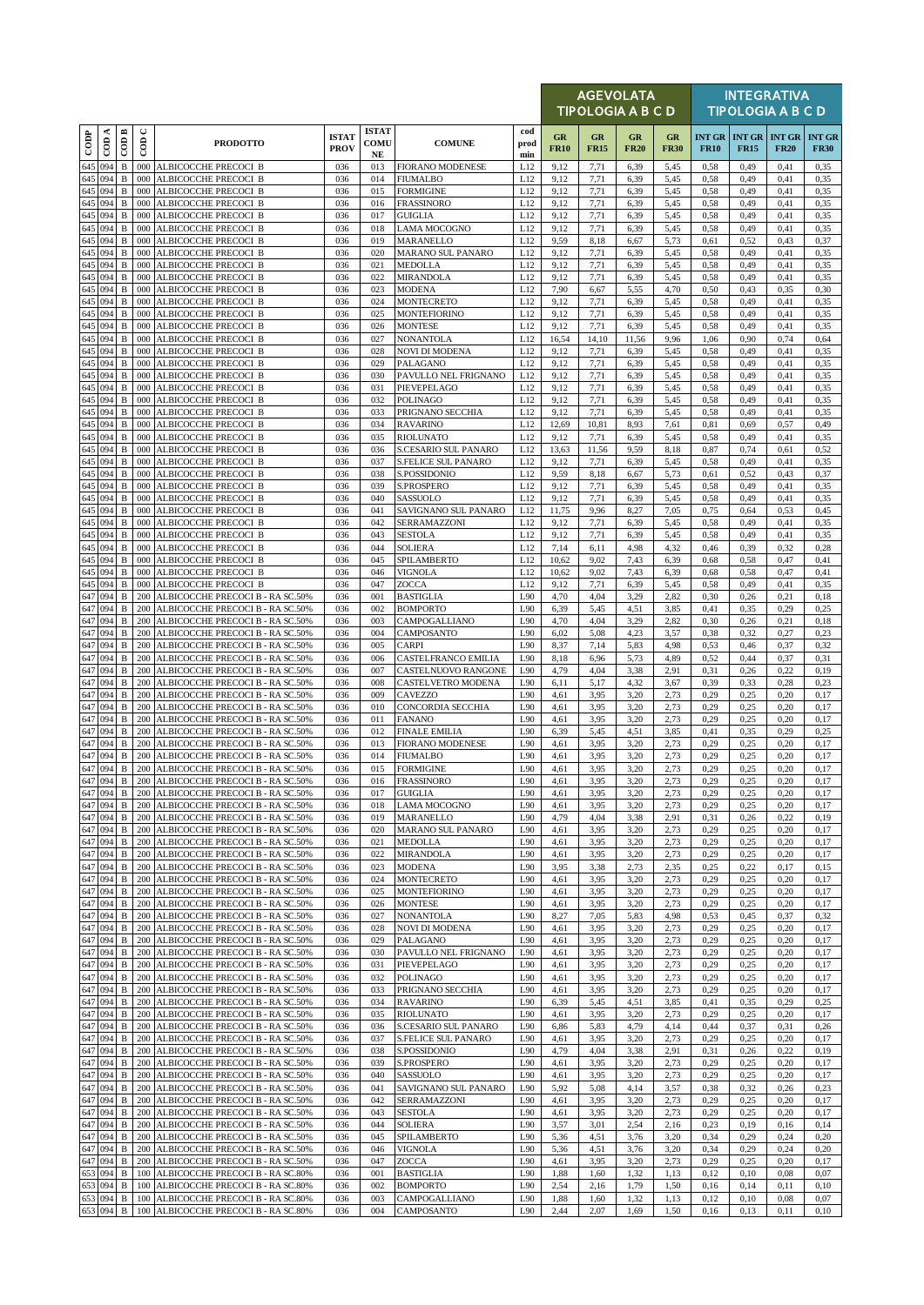|               |                    |                              |                    |                                                                      |                             |                                  |                                            |                    |                   |                   | <b>AGEVOLATA</b><br>TIPOLOGIA A B C D |                   |                              |                                     | <b>INTEGRATIVA</b><br><b>TIPOLOGIA A B C D</b> |                              |
|---------------|--------------------|------------------------------|--------------------|----------------------------------------------------------------------|-----------------------------|----------------------------------|--------------------------------------------|--------------------|-------------------|-------------------|---------------------------------------|-------------------|------------------------------|-------------------------------------|------------------------------------------------|------------------------------|
| $_{\rm{cop}}$ | ≺<br>60            | COD B                        | $\mathbf C$<br>60D | <b>PRODOTTO</b>                                                      | <b>ISTAT</b><br><b>PROV</b> | <b>ISTAT</b><br>COMU<br>$\bf NE$ | <b>COMUNE</b>                              | cod<br>prod<br>min | GR<br><b>FR10</b> | GR<br><b>FR15</b> | GR<br><b>FR20</b>                     | GR<br><b>FR30</b> | <b>INT GR</b><br><b>FR10</b> | <b>INT GR INT GR</b><br><b>FR15</b> | <b>FR20</b>                                    | <b>INT GR</b><br><b>FR30</b> |
|               | 645 094            | $\, {\bf B}$                 | 000                | ALBICOCCHE PRECOCI B                                                 | 036                         | 013                              | <b>FIORANO MODENESE</b>                    | L12                | 9,12              | 7,71              | 6,39                                  | 5,45              | 0,58                         | 0,49                                | 0,41                                           | 0,35                         |
| 645           | 094<br>645 094     | $\, {\bf B}$<br>B            | 000<br>000         | ALBICOCCHE PRECOCI B<br>ALBICOCCHE PRECOCI B                         | 036<br>036                  | 014<br>015                       | <b>FIUMALBO</b><br><b>FORMIGINE</b>        | L12<br>L12         | 9,12<br>9,12      | 7,71<br>7,71      | 6,39<br>6,39                          | 5,45<br>5,45      | 0,58<br>0,58                 | 0,49<br>0,49                        | 0,41<br>0,41                                   | 0,35<br>0,35                 |
| 645           | 094                | $\, {\bf B}$                 | 000                | ALBICOCCHE PRECOCI B                                                 | 036                         | 016                              | <b>FRASSINORO</b>                          | L12                | 9,12              | 7,71              | 6,39                                  | 5,45              | 0,58                         | 0,49                                | 0,41                                           | 0,35                         |
| 645           | 094                | $\, {\bf B}$                 | 000                | ALBICOCCHE PRECOCI B                                                 | 036                         | 017                              | <b>GUIGLIA</b>                             | L12                | 9,12              | 7,71              | 6,39                                  | 5,45              | 0,58                         | 0,49                                | 0,41                                           | 0,35                         |
| 645           | 645 094<br>094     | $\, {\bf B}$<br>$\mathbf B$  | 000<br>000         | ALBICOCCHE PRECOCI B<br>ALBICOCCHE PRECOCI B                         | 036<br>036                  | 018<br>019                       | LAMA MOCOGNO<br>MARANELLO                  | L12<br>L12         | 9,12<br>9,59      | 7,71<br>8,18      | 6,39<br>6,67                          | 5,45<br>5,73      | 0,58<br>0.61                 | 0,49<br>0,52                        | 0,41<br>0,43                                   | 0,35<br>0,37                 |
| 645           | 094                | $\, {\bf B}$                 | 000                | ALBICOCCHE PRECOCI B                                                 | 036                         | 020                              | MARANO SUL PANARO                          | L12                | 9,12              | 7,71              | 6,39                                  | 5,45              | 0,58                         | 0,49                                | 0,41                                           | 0,35                         |
| 645           | 094                | B                            | 000                | ALBICOCCHE PRECOCI B                                                 | 036                         | 021                              | MEDOLLA                                    | L12                | 9,12              | 7,71              | 6,39                                  | 5,45              | 0,58                         | 0,49                                | 0,41                                           | 0,35                         |
| 645<br>645    | 094<br>094         | $\, {\bf B}$<br>$\, {\bf B}$ | 000<br>000         | ALBICOCCHE PRECOCI B<br>ALBICOCCHE PRECOCI B                         | 036<br>036                  | 022<br>023                       | MIRANDOLA<br><b>MODENA</b>                 | L12<br>L12         | 9,12<br>7,90      | 7,71<br>6,67      | 6,39<br>5,55                          | 5,45<br>4,70      | 0,58<br>0,50                 | 0,49<br>0,43                        | 0,41<br>0,35                                   | 0,35<br>0,30                 |
| 645           | 094                | $\, {\bf B}$                 | 000                | ALBICOCCHE PRECOCI B                                                 | 036                         | 024                              | MONTECRETO                                 | L12                | 9,12              | 7,71              | 6,39                                  | 5,45              | 0,58                         | 0,49                                | 0,41                                           | 0,35                         |
| 645           | 094                | B                            | 000                | ALBICOCCHE PRECOCI B                                                 | 036                         | 025                              | <b>MONTEFIORINO</b>                        | L12                | 9,12              | 7,71              | 6,39                                  | 5,45              | 0,58                         | 0,49                                | 0,41                                           | 0,35                         |
| 645<br>645    | 094<br>094         | B<br>$\, {\bf B}$            | 000<br>000         | ALBICOCCHE PRECOCI B<br>ALBICOCCHE PRECOCI B                         | 036<br>036                  | 026<br>027                       | <b>MONTESE</b><br><b>NONANTOLA</b>         | L12<br>L12         | 9,12<br>16,54     | 7,71<br>14,10     | 6,39<br>11,56                         | 5,45<br>9,96      | 0,58<br>1,06                 | 0,49<br>0,90                        | 0,41<br>0,74                                   | 0,35<br>0,64                 |
| 645           | 094                | $\, {\bf B}$                 | 000                | ALBICOCCHE PRECOCI B                                                 | 036                         | 028                              | <b>NOVI DI MODENA</b>                      | L12                | 9,12              | 7,71              | 6,39                                  | 5,45              | 0,58                         | 0,49                                | 0,41                                           | 0,35                         |
| 645 094       | 645 094            | B                            | 000                | ALBICOCCHE PRECOCI B                                                 | 036                         | 029                              | PALAGANO                                   | L12                | 9,12              | 7,71              | 6,39                                  | 5,45              | 0,58                         | 0,49                                | 0,41                                           | 0,35                         |
|               | 645 094            | $\, {\bf B}$<br>$\, {\bf B}$ | 000<br>000         | ALBICOCCHE PRECOCI B<br>ALBICOCCHE PRECOCI B                         | 036<br>036                  | 030<br>031                       | PAVULLO NEL FRIGNANO<br>PIEVEPELAGO        | L12<br>L12         | 9,12<br>9,12      | 7,71<br>7,71      | 6,39<br>6,39                          | 5,45<br>5,45      | 0,58<br>0,58                 | 0,49<br>0,49                        | 0,41<br>0,41                                   | 0,35<br>0,35                 |
| 645           | 094                | $\, {\bf B}$                 | 000                | ALBICOCCHE PRECOCI B                                                 | 036                         | 032                              | <b>POLINAGO</b>                            | L12                | 9,12              | 7,71              | 6,39                                  | 5,45              | 0,58                         | 0,49                                | 0,41                                           | 0,35                         |
| 645           | 094                | B                            | 000                | ALBICOCCHE PRECOCI B                                                 | 036                         | 033                              | PRIGNANO SECCHIA                           | L12                | 9,12              | 7,71              | 6,39                                  | 5,45              | 0,58                         | 0,49                                | 0,41                                           | 0,35                         |
| 645<br>645    | 094<br>094         | B<br>$\, {\bf B}$            | 000<br>000         | ALBICOCCHE PRECOCI B<br>ALBICOCCHE PRECOCI B                         | 036<br>036                  | 034<br>035                       | <b>RAVARINO</b><br><b>RIOLUNATO</b>        | L12<br>L12         | 12,69<br>9,12     | 10,81<br>7,71     | 8,93<br>6,39                          | 7,61<br>5,45      | 0,81<br>0,58                 | 0,69<br>0,49                        | 0,57<br>0,41                                   | 0,49<br>0.35                 |
| 645           | 094                | $\, {\bf B}$                 | 000                | ALBICOCCHE PRECOCI B                                                 | 036                         | 036                              | S.CESARIO SUL PANARO                       | L12                | 13,63             | 11,56             | 9,59                                  | 8,18              | 0,87                         | 0,74                                | 0,61                                           | 0,52                         |
| 645           | 094                | $\, {\bf B}$                 | 000                | ALBICOCCHE PRECOCI B                                                 | 036                         | 037                              | <b>S.FELICE SUL PANARO</b>                 | L12                | 9,12              | 7,71              | 6,39                                  | 5,45              | 0,58                         | 0,49                                | 0,41                                           | 0,35                         |
| 645<br>645    | 094<br>094         | $\, {\bf B}$<br>B            | 000<br>000         | ALBICOCCHE PRECOCI B<br>ALBICOCCHE PRECOCI B                         | 036<br>036                  | 038<br>039                       | S.POSSIDONIO<br>S.PROSPERO                 | L12<br>L12         | 9,59<br>9,12      | 8,18<br>7,71      | 6,67<br>6,39                          | 5,73<br>5,45      | 0,61<br>0,58                 | 0,52<br>0,49                        | 0,43<br>0,41                                   | 0,37<br>0,35                 |
| 645           | 094                | B                            | 000                | ALBICOCCHE PRECOCI B                                                 | 036                         | 040                              | SASSUOLO                                   | L12                | 9,12              | 7,71              | 6,39                                  | 5,45              | 0,58                         | 0,49                                | 0,41                                           | 0,35                         |
| 645           | 094                | B                            | 000                | ALBICOCCHE PRECOCI B                                                 | 036                         | 041                              | SAVIGNANO SUL PANARO                       | L12                | 11,75             | 9,96              | 8,27                                  | 7,05              | 0,75                         | 0,64                                | 0,53                                           | 0,45                         |
| 645           | 094                | $\, {\bf B}$                 | 000                | ALBICOCCHE PRECOCI B                                                 | 036                         | 042                              | SERRAMAZZONI                               | L12                | 9,12              | 7,71              | 6,39                                  | 5,45              | 0,58                         | 0,49                                | 0,41                                           | 0,35                         |
| 645           | 645 094<br>094     | $\, {\bf B}$<br>$\, {\bf B}$ | 000<br>000         | ALBICOCCHE PRECOCI B<br>ALBICOCCHE PRECOCI B                         | 036<br>036                  | 043<br>044                       | <b>SESTOLA</b><br><b>SOLIERA</b>           | L12<br>L12         | 9,12<br>7,14      | 7,71<br>6,11      | 6,39<br>4,98                          | 5,45<br>4,32      | 0,58<br>0,46                 | 0,49<br>0,39                        | 0,41<br>0,32                                   | 0,35<br>0,28                 |
| 645           | 094                | $\, {\bf B}$                 | 000                | ALBICOCCHE PRECOCI B                                                 | 036                         | 045                              | SPILAMBERTO                                | L12                | 10,62             | 9,02              | 7,43                                  | 6,39              | 0.68                         | 0.58                                | 0,47                                           | 0,41                         |
| 645           | 094                | $\, {\bf B}$                 | 000                | ALBICOCCHE PRECOCI B                                                 | 036                         | 046                              | <b>VIGNOLA</b>                             | L12                | 10,62             | 9,02              | 7,43                                  | 6,39              | 0,68                         | 0,58                                | 0,47                                           | 0,41                         |
| 645<br>647    | 094<br>094         | $\mathbf B$<br>$\, {\bf B}$  | 000<br>200         | ALBICOCCHE PRECOCI B<br>ALBICOCCHE PRECOCI B - RA SC.50%             | 036<br>036                  | 047<br>001                       | ZOCCA<br><b>BASTIGLIA</b>                  | L12<br>L90         | 9,12<br>4,70      | 7,71<br>4,04      | 6,39<br>3,29                          | 5,45<br>2,82      | 0,58<br>0,30                 | 0,49<br>0,26                        | 0,41<br>0,21                                   | 0,35<br>0,18                 |
| 647           | 094                | B                            | 200                | ALBICOCCHE PRECOCI B - RA SC.50%                                     | 036                         | 002                              | <b>BOMPORTO</b>                            | L90                | 6,39              | 5,45              | 4,51                                  | 3,85              | 0,41                         | 0,35                                | 0,29                                           | 0,25                         |
| 647           | 094                | B                            | 200                | ALBICOCCHE PRECOCI B - RA SC.50%                                     | 036                         | 003                              | CAMPOGALLIANO                              | L90                | 4,70              | 4.04              | 3,29                                  | 2,82              | 0,30                         | 0,26                                | 0,21                                           | 0,18                         |
| 647<br>647    | 094<br>094         | B<br>B                       | 200<br>200         | ALBICOCCHE PRECOCI B - RA SC.50%<br>ALBICOCCHE PRECOCI B - RA SC.50% | 036<br>036                  | 004<br>005                       | CAMPOSANTO<br><b>CARPI</b>                 | L90<br>L90         | 6,02<br>8,37      | 5,08<br>7,14      | 4,23<br>5,83                          | 3,57<br>4,98      | 0,38<br>0.53                 | 0,32<br>0,46                        | 0,27<br>0,37                                   | 0,23<br>0,32                 |
| 647           | 094                | B                            | 200                | ALBICOCCHE PRECOCI B - RA SC.50%                                     | 036                         | 006                              | CASTELFRANCO EMILIA                        | L90                | 8,18              | 6,96              | 5,73                                  | 4,89              | 0,52                         | 0,44                                | 0,37                                           | 0,31                         |
| 647           | 094                | $\, {\bf B}$                 | 200                | ALBICOCCHE PRECOCI B - RA SC.50%                                     | 036                         | 007                              | CASTELNUOVO RANGONE                        | L90                | 4,79              | 4.04              | 3,38                                  | 2,91              | 0,31                         | 0,26                                | 0,22                                           | 0,19                         |
| 647<br>647    | 094<br>094         | $\, {\bf B}$<br>$\, {\bf B}$ | 200<br>200         | ALBICOCCHE PRECOCI B - RA SC.50%<br>ALBICOCCHE PRECOCI B - RA SC.50% | 036<br>036                  | 008<br>009                       | CASTELVETRO MODENA<br>CAVEZZO              | L90<br>L90         | 6,11<br>4,61      | 5,17<br>3,95      | 4,32<br>3,20                          | 3,67<br>2,73      | 0,39<br>0,29                 | 0,33<br>0,25                        | 0,28<br>0,20                                   | 0,23<br>0,17                 |
| 647           | 094                | B                            | 200                | ALBICOCCHE PRECOCI B - RA SC.50%                                     | 036                         | 010                              | CONCORDIA SECCHIA                          | L90                | 4,61              | 3,95              | 3,20                                  | 2,73              | 0,29                         | 0,25                                | 0,20                                           | 0,17                         |
| 647           | 094                | B                            | 200                | ALBICOCCHE PRECOCI B - RA SC.50%                                     | 036                         | 011                              | <b>FANANO</b>                              | L90                | 4,61              | 3,95              | 3,20                                  | 2,73              | 0,29                         | 0,25                                | 0,20                                           | 0,17                         |
| 647           | 094                | $\, {\bf B}$                 | 200                | ALBICOCCHE PRECOCI B - RA SC.50%                                     | 036                         | 012                              | <b>FINALE EMILIA</b>                       | L90                | 6,39              | 5,45              | 4,51                                  | 3,85              | 0,41                         | 0,35                                | 0,29                                           | 0,25                         |
| 647<br>647    | 094<br>094         | В<br>$\, {\bf B}$            | 200<br>200         | ALBICOCCHE PRECOCI B - RA SC.50%<br>ALBICOCCHE PRECOCI B - RA SC.50% | 036<br>036                  | 013<br>014                       | <b>FIORANO MODENESE</b><br><b>FIUMALBO</b> | L90<br>L90         | 4,61<br>4,61      | 3,95<br>3,95      | 3,20<br>3,20                          | 2,73<br>2,73      | 0,29<br>0.29                 | 0,25<br>0.25                        | 0,20<br>0.20                                   | 0,17<br>0.17                 |
| 647           | 094                | $\, {\bf B}$                 |                    | 200 ALBICOCCHE PRECOCI B - RA SC.50%                                 | 036                         | 015                              | <b>FORMIGINE</b>                           | L90                | 4,61              | 3,95              | 3,20                                  | 2,73              | 0,29                         | 0,25                                | 0,20                                           | 0,17                         |
|               | 647 094            | $\, {\bf B}$                 |                    | 200 ALBICOCCHE PRECOCI B - RA SC.50%                                 | 036                         | 016                              | <b>FRASSINORO</b>                          | L90                | 4,61              | 3,95              | 3,20                                  | 2,73              | 0,29                         | 0,25                                | 0,20                                           | 0,17                         |
| 647<br>647    | 094<br>094         | $\mathbf B$<br>B             | 200<br>200         | ALBICOCCHE PRECOCI B - RA SC.50%<br>ALBICOCCHE PRECOCI B - RA SC.50% | 036<br>036                  | 017<br>018                       | <b>GUIGLIA</b><br>LAMA MOCOGNO             | L90<br>L90         | 4,61<br>4,61      | 3,95<br>3,95      | 3,20<br>3,20                          | 2,73<br>2,73      | 0,29<br>0,29                 | 0,25<br>0,25                        | 0,20<br>0,20                                   | 0,17<br>0,17                 |
|               | 647 094            | $\mathbf B$                  | 200                | ALBICOCCHE PRECOCI B - RA SC.50%                                     | 036                         | 019                              | <b>MARANELLO</b>                           | L90                | 4,79              | 4,04              | 3,38                                  | 2,91              | 0,31                         | 0,26                                | 0,22                                           | 0,19                         |
| 647           | 094                | В                            | 200                | ALBICOCCHE PRECOCI B - RA SC.50%                                     | 036                         | 020                              | MARANO SUL PANARO                          | L90                | 4,61              | 3,95              | 3.20                                  | 2,73              | 0,29                         | 0,25                                | 0,20                                           | 0,17                         |
|               | 647 094<br>647 094 | $\mathbf B$<br>$\, {\bf B}$  | 200<br>200         | ALBICOCCHE PRECOCI B - RA SC.50%<br>ALBICOCCHE PRECOCI B - RA SC.50% | 036<br>036                  | 021<br>022                       | <b>MEDOLLA</b><br><b>MIRANDOLA</b>         | L90<br>L90         | 4,61<br>4,61      | 3,95<br>3,95      | 3,20<br>3,20                          | 2,73<br>2,73      | 0,29<br>0,29                 | 0,25<br>0,25                        | 0,20<br>0,20                                   | 0,17<br>0,17                 |
| 647           | 094                | $\, {\bf B}$                 | 200                | ALBICOCCHE PRECOCI B - RA SC.50%                                     | 036                         | 023                              | <b>MODENA</b>                              | L90                | 3,95              | 3,38              | 2,73                                  | 2,35              | 0,25                         | 0,22                                | 0,17                                           | 0,15                         |
|               | 647 094            | $\, {\bf B}$                 | 200                | ALBICOCCHE PRECOCI B - RA SC.50%                                     | 036                         | 024                              | <b>MONTECRETO</b>                          | L90                | 4,61              | 3,95              | 3,20                                  | 2,73              | 0,29                         | 0,25                                | 0,20                                           | 0,17                         |
|               | 647 094            | B                            | 200                | ALBICOCCHE PRECOCI B - RA SC.50%                                     | 036                         | 025                              | <b>MONTEFIORINO</b>                        | L90                | 4,61              | 3,95              | 3,20                                  | 2,73              | 0,29                         | 0,25                                | 0,20                                           | 0,17                         |
| 647           | 094<br>647 094     | B<br>$\, {\bf B}$            | 200<br>200         | ALBICOCCHE PRECOCI B - RA SC.50%<br>ALBICOCCHE PRECOCI B - RA SC.50% | 036<br>036                  | 026<br>027                       | <b>MONTESE</b><br>NONANTOLA                | L90<br>L90         | 4,61<br>8,27      | 3,95<br>7,05      | 3.20<br>5,83                          | 2,73<br>4,98      | 0,29<br>0,53                 | 0,25<br>0,45                        | 0,20<br>0,37                                   | 0,17<br>0,32                 |
|               | 647 094            | $\, {\bf B}$                 | 200                | ALBICOCCHE PRECOCI B - RA SC.50%                                     | 036                         | 028                              | NOVI DI MODENA                             | L90                | 4,61              | 3,95              | 3,20                                  | 2,73              | 0,29                         | 0,25                                | 0,20                                           | 0,17                         |
| 647           | 094                | B                            | 200                | ALBICOCCHE PRECOCI B - RA SC.50%                                     | 036                         | 029                              | PALAGANO                                   | L90                | 4,61              | 3,95              | 3,20                                  | 2,73              | 0,29                         | 0,25                                | 0,20                                           | 0,17                         |
| 647<br>647    | 094<br>094         | B<br>B                       | 200<br>200         | ALBICOCCHE PRECOCI B - RA SC.50%<br>ALBICOCCHE PRECOCI B - RA SC.50% | 036<br>036                  | 030<br>031                       | PAVULLO NEL FRIGNANO<br>PIEVEPELAGO        | L90<br>L90         | 4,61<br>4,61      | 3,95<br>3,95      | 3,20<br>3,20                          | 2,73<br>2,73      | 0,29<br>0,29                 | 0,25<br>0,25                        | 0,20<br>0,20                                   | 0,17<br>0,17                 |
| 647           | 094                | B                            | 200                | ALBICOCCHE PRECOCI B - RA SC.50%                                     | 036                         | 032                              | POLINAGO                                   | L90                | 4,61              | 3,95              | 3,20                                  | 2,73              | 0,29                         | 0,25                                | 0,20                                           | 0,17                         |
|               | 647 094            | В                            | 200                | ALBICOCCHE PRECOCI B - RA SC.50%                                     | 036                         | 033                              | PRIGNANO SECCHIA                           | L90                | 4,61              | 3,95              | 3,20                                  | 2,73              | 0,29                         | 0,25                                | 0,20                                           | 0,17                         |
| 647           | 094                | $\, {\bf B}$<br>$\, {\bf B}$ | 200<br>200         | ALBICOCCHE PRECOCI B - RA SC.50%                                     | 036<br>036                  | 034<br>035                       | <b>RAVARINO</b>                            | L90<br>L90         | 6,39              | 5,45              | 4,51<br>3,20                          | 3,85              | 0,41<br>0,29                 | 0,35                                | 0,29                                           | 0,25                         |
| 647 094       | 647 094            | B                            | 200                | ALBICOCCHE PRECOCI B - RA SC.50%<br>ALBICOCCHE PRECOCI B - RA SC.50% | 036                         | 036                              | <b>RIOLUNATO</b><br>S.CESARIO SUL PANARO   | L90                | 4,61<br>6,86      | 3,95<br>5,83      | 4,79                                  | 2,73<br>4,14      | 0,44                         | 0,25<br>0,37                        | 0,20<br>0,31                                   | 0,17<br>0,26                 |
| 647           | 094                | $\, {\bf B}$                 | 200                | ALBICOCCHE PRECOCI B - RA SC.50%                                     | 036                         | 037                              | S.FELICE SUL PANARO                        | L90                | 4,61              | 3,95              | 3,20                                  | 2,73              | 0,29                         | 0,25                                | 0,20                                           | 0,17                         |
|               | 647 094            | B                            | 200                | ALBICOCCHE PRECOCI B - RA SC.50%                                     | 036                         | 038                              | S.POSSIDONIO                               | L90                | 4,79              | 4,04              | 3,38                                  | 2,91              | 0,31                         | 0,26                                | 0,22                                           | 0,19                         |
| 647<br>647    | 094<br>094         | $\mathbf B$<br>B             | 200<br>200         | ALBICOCCHE PRECOCI B - RA SC.50%<br>ALBICOCCHE PRECOCI B - RA SC.50% | 036<br>036                  | 039<br>040                       | S.PROSPERO<br>SASSUOLO                     | L90<br>L90         | 4,61<br>4,61      | 3,95<br>3,95      | 3,20<br>3.20                          | 2,73<br>2,73      | 0,29<br>0,29                 | 0,25<br>0,25                        | 0,20<br>0,20                                   | 0,17<br>0,17                 |
| 647           | 094                | $\, {\bf B}$                 | 200                | ALBICOCCHE PRECOCI B - RA SC.50%                                     | 036                         | 041                              | SAVIGNANO SUL PANARO                       | L90                | 5,92              | 5,08              | 4,14                                  | 3,57              | 0,38                         | 0,32                                | 0,26                                           | 0,23                         |
| 647           | 094                | B                            | 200                | ALBICOCCHE PRECOCI B - RA SC.50%                                     | 036                         | 042                              | SERRAMAZZONI                               | L90                | 4,61              | 3,95              | 3,20                                  | 2,73              | 0,29                         | 0,25                                | 0,20                                           | 0,17                         |
| 647<br>647    | 094<br>094         | $\, {\bf B}$<br>В            | 200<br>200         | ALBICOCCHE PRECOCI B - RA SC.50%<br>ALBICOCCHE PRECOCI B - RA SC.50% | 036<br>036                  | 043<br>044                       | <b>SESTOLA</b><br><b>SOLIERA</b>           | L90<br>L90         | 4,61<br>3,57      | 3,95<br>3,01      | 3,20<br>2,54                          | 2,73<br>2,16      | 0,29<br>0,23                 | 0,25<br>0,19                        | 0,20<br>0,16                                   | 0,17<br>0,14                 |
| 647           | 094                | B                            | 200                | ALBICOCCHE PRECOCI B - RA SC.50%                                     | 036                         | 045                              | SPILAMBERTO                                | L90                | 5,36              | 4,51              | 3,76                                  | 3,20              | 0,34                         | 0,29                                | 0,24                                           | 0,20                         |
|               | 647 094            | $\mathbf B$                  | 200                | ALBICOCCHE PRECOCI B - RA SC.50%                                     | 036                         | 046                              | <b>VIGNOLA</b>                             | L90                | 5,36              | 4,51              | 3,76                                  | 3,20              | 0,34                         | 0,29                                | 0,24                                           | 0,20                         |
|               | 647 094<br>094     | В                            | 200                | ALBICOCCHE PRECOCI B - RA SC.50%                                     | 036                         | 047                              | ZOCCA<br><b>BASTIGLIA</b>                  | L90<br>L90         | 4,61              | 3,95              | 3.20<br>1.32                          | 2,73              | 0,29                         | 0,25                                | 0,20                                           | 0,17                         |
| 653           | 653 094            | B<br>B                       | 100<br>100         | ALBICOCCHE PRECOCI B - RA SC.80%<br>ALBICOCCHE PRECOCI B - RA SC.80% | 036<br>036                  | 001<br>002                       | <b>BOMPORTO</b>                            | L90                | 1,88<br>2,54      | 1,60<br>2,16      | 1,79                                  | 1,13<br>1,50      | 0,12<br>0,16                 | 0,10<br>0,14                        | 0,08<br>0,11                                   | 0,07<br>0,10                 |
|               | 653 094            | B                            |                    | 100 ALBICOCCHE PRECOCI B - RA SC.80%                                 | 036                         | 003                              | CAMPOGALLIANO                              | L90                | 1,88              | 1,60              | 1,32                                  | 1,13              | 0,12                         | 0,10                                | 0,08                                           | 0,07                         |
|               | 653 094            | $\, {\bf B}$                 |                    | 100 ALBICOCCHE PRECOCI B - RA SC.80%                                 | 036                         | 004                              | CAMPOSANTO                                 | L90                | 2,44              | 2,07              | 1,69                                  | 1,50              | 0,16                         | 0,13                                | 0,11                                           | 0,10                         |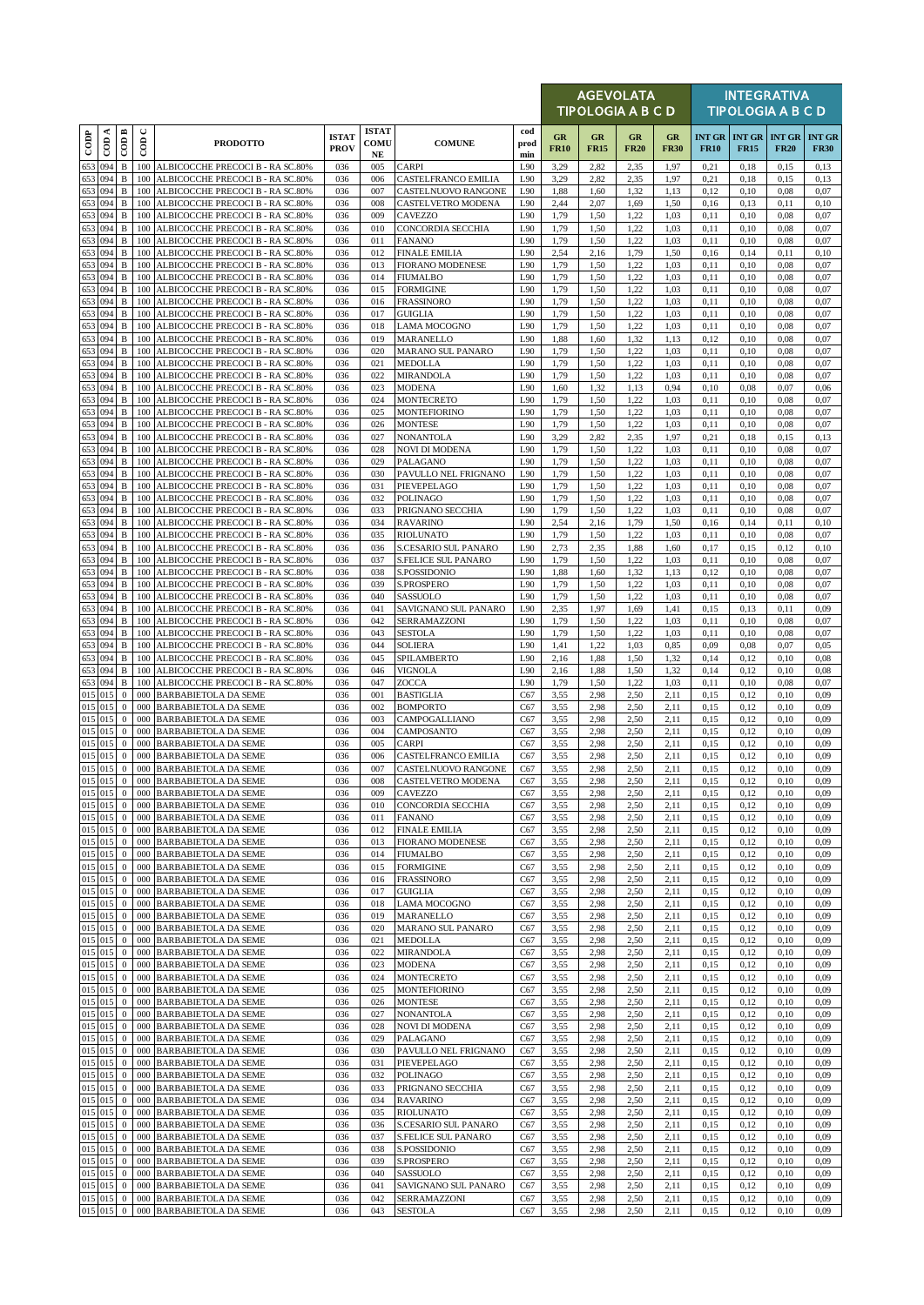|                          |                 |                              |                      |                                                                      |                             |                                  |                                                   |                    |                   | <b>AGEVOLATA</b><br><b>TIPOLOGIA A B C D</b> |                   |                   |              |                                     | <b>INTEGRATIVA</b><br><b>TIPOLOGIA A B C D</b> |                              |
|--------------------------|-----------------|------------------------------|----------------------|----------------------------------------------------------------------|-----------------------------|----------------------------------|---------------------------------------------------|--------------------|-------------------|----------------------------------------------|-------------------|-------------------|--------------|-------------------------------------|------------------------------------------------|------------------------------|
| $\overline{\text{cone}}$ | ≺<br>$\epsilon$ | $\overline{CDB}$             | $\cup$<br>$\epsilon$ | <b>PRODOTTO</b>                                                      | <b>ISTAT</b><br><b>PROV</b> | <b>ISTAT</b><br>COMU<br>$\bf NE$ | <b>COMUNE</b>                                     | cod<br>prod<br>min | GR<br><b>FR10</b> | GR<br><b>FR15</b>                            | GR<br><b>FR20</b> | GR<br><b>FR30</b> | <b>FR10</b>  | <b>INT GR INT GR</b><br><b>FR15</b> | <b>INT GR</b><br><b>FR20</b>                   | <b>INT GR</b><br><b>FR30</b> |
| 653 094                  |                 | $\, {\bf B}$                 | 100                  | ALBICOCCHE PRECOCI B - RA SC.80%                                     | 036                         | 005                              | <b>CARPI</b>                                      | L90                | 3,29              | 2,82                                         | 2,35              | 1,97              | 0,21         | 0,18                                | 0,15                                           | 0,13                         |
| 653<br>653 094           | 094             | $\, {\bf B}$<br>$\, {\bf B}$ | 100<br>100           | ALBICOCCHE PRECOCI B - RA SC.80%<br>ALBICOCCHE PRECOCI B - RA SC.80% | 036<br>036                  | 006<br>007                       | <b>CASTELFRANCO EMILIA</b><br>CASTELNUOVO RANGONE | L90<br>L90         | 3,29<br>1,88      | 2,82<br>1,60                                 | 2.35<br>1,32      | 1,97<br>1,13      | 0,21<br>0,12 | 0,18<br>0,10                        | 0,15<br>0,08                                   | 0.13<br>0,07                 |
| 653 094                  |                 | $\, {\bf B}$                 | 100                  | ALBICOCCHE PRECOCI B - RA SC.80%                                     | 036                         | 008                              | CASTELVETRO MODENA                                | L90                | 2,44              | 2,07                                         | 1,69              | 1,50              | 0,16         | 0,13                                | 0,11                                           | 0,10                         |
| 653 094<br>653 094       |                 | $\, {\bf B}$<br>$\, {\bf B}$ | 100<br>100           | ALBICOCCHE PRECOCI B - RA SC.80%<br>ALBICOCCHE PRECOCI B - RA SC.80% | 036<br>036                  | 009<br>010                       | <b>CAVEZZO</b><br>CONCORDIA SECCHIA               | L90<br>L90         | 1,79<br>1,79      | 1,50<br>1,50                                 | 1,22<br>1,22      | 1,03<br>1,03      | 0,11<br>0,11 | 0,10<br>0,10                        | 0,08<br>0,08                                   | 0,07<br>0,07                 |
| 653 094                  |                 | $\, {\bf B}$                 | 100                  | ALBICOCCHE PRECOCI B - RA SC.80%                                     | 036                         | 011                              | <b>FANANO</b>                                     | L90                | 1,79              | 1,50                                         | 1,22              | 1,03              | 0,11         | 0,10                                | 0,08                                           | 0,07                         |
| 653<br>653 094           | 094             | $\, {\bf B}$<br>$\, {\bf B}$ | 100<br>100           | ALBICOCCHE PRECOCI B - RA SC.80%<br>ALBICOCCHE PRECOCI B - RA SC.80% | 036<br>036                  | 012<br>013                       | <b>FINALE EMILIA</b><br><b>FIORANO MODENESE</b>   | L90<br>L90         | 2,54<br>1,79      | 2,16<br>1,50                                 | 1,79<br>1,22      | 1,50<br>1,03      | 0,16<br>0,11 | 0,14<br>0,10                        | 0,11<br>0,08                                   | 0,10<br>0,07                 |
| 653 094                  |                 | B                            | 100                  | ALBICOCCHE PRECOCI B - RA SC.80%                                     | 036                         | 014                              | <b>FIUMALBO</b>                                   | L90                | 1,79              | 1,50                                         | 1,22              | 1,03              | 0,11         | 0,10                                | 0,08                                           | 0,07                         |
| 653 094                  |                 | $\, {\bf B}$                 | 100                  | ALBICOCCHE PRECOCI B - RA SC.80%                                     | 036                         | 015                              | <b>FORMIGINE</b>                                  | L90                | 1,79              | 1,50                                         | 1,22              | 1,03              | 0,11         | 0,10                                | 0,08                                           | 0,07                         |
| 653 094<br>653 094       |                 | $\, {\bf B}$<br>$\, {\bf B}$ | 100<br>100           | ALBICOCCHE PRECOCI B - RA SC.80%<br>ALBICOCCHE PRECOCI B - RA SC.80% | 036<br>036                  | 016<br>017                       | <b>FRASSINORO</b><br><b>GUIGLIA</b>               | L90<br>L90         | 1,79<br>1,79      | 1,50<br>1,50                                 | 1,22<br>1,22      | 1,03<br>1,03      | 0,11<br>0,11 | 0,10<br>0,10                        | 0,08<br>0,08                                   | 0,07<br>0,07                 |
| 653 094                  |                 | $\, {\bf B}$                 | 100                  | ALBICOCCHE PRECOCI B - RA SC.80%                                     | 036                         | 018                              | <b>LAMA MOCOGNO</b>                               | L90                | 1,79              | 1,50                                         | 1,22              | 1,03              | 0,11         | 0,10                                | 0,08                                           | 0,07                         |
| 653 094<br>653 094       |                 | $\, {\bf B}$<br>$\, {\bf B}$ | 100<br>100           | ALBICOCCHE PRECOCI B - RA SC.80%<br>ALBICOCCHE PRECOCI B - RA SC.80% | 036<br>036                  | 019<br>020                       | MARANELLO<br><b>MARANO SUL PANARO</b>             | L90<br>L90         | 1,88<br>1,79      | 1,60<br>1,50                                 | 1,32<br>1,22      | 1,13<br>1,03      | 0,12<br>0,11 | 0,10<br>0,10                        | 0,08<br>0,08                                   | 0,07<br>0,07                 |
| 653 094                  |                 | $\, {\bf B}$                 | 100                  | ALBICOCCHE PRECOCI B - RA SC.80%                                     | 036                         | 021                              | <b>MEDOLLA</b>                                    | L90                | 1,79              | 1,50                                         | 1,22              | 1,03              | 0,11         | 0,10                                | 0,08                                           | 0,07                         |
| 653 094<br>653 094       |                 | $\, {\bf B}$<br>$\, {\bf B}$ | 100<br>100           | ALBICOCCHE PRECOCI B - RA SC.80%<br>ALBICOCCHE PRECOCI B - RA SC.80% | 036<br>036                  | 022<br>023                       | <b>MIRANDOLA</b><br><b>MODENA</b>                 | L90<br>L90         | 1,79<br>1,60      | 1,50<br>1,32                                 | 1,22<br>1,13      | 1,03<br>0,94      | 0,11<br>0,10 | 0,10<br>0,08                        | 0,08<br>0,07                                   | 0,07<br>0,06                 |
| 653 094                  |                 | B                            | 100                  | ALBICOCCHE PRECOCI B - RA SC.80%                                     | 036                         | 024                              | <b>MONTECRETO</b>                                 | L90                | 1,79              | 1,50                                         | 1,22              | 1,03              | 0,11         | 0,10                                | 0,08                                           | 0,07                         |
| 653 094<br>653 094       |                 | $\, {\bf B}$<br>B            | 100<br>100           | ALBICOCCHE PRECOCI B - RA SC.80%<br>ALBICOCCHE PRECOCI B - RA SC.80% | 036<br>036                  | 025<br>026                       | <b>MONTEFIORINO</b><br><b>MONTESE</b>             | L90<br>L90         | 1,79<br>1,79      | 1,50<br>1,50                                 | 1,22<br>1,22      | 1,03<br>1,03      | 0,11<br>0,11 | 0,10<br>0,10                        | 0,08<br>0,08                                   | 0,07<br>0,07                 |
| 653 094                  |                 | $\, {\bf B}$                 | 100                  | ALBICOCCHE PRECOCI B - RA SC.80%                                     | 036                         | 027                              | <b>NONANTOLA</b>                                  | L90                | 3,29              | 2,82                                         | 2,35              | 1,97              | 0.21         | 0,18                                | 0,15                                           | 0.13                         |
| 653 094                  |                 | B                            | 100<br>100           | ALBICOCCHE PRECOCI B - RA SC.80%<br>ALBICOCCHE PRECOCI B - RA SC.80% | 036                         | 028                              | <b>NOVI DI MODENA</b><br><b>PALAGANO</b>          | L90<br>L90         | 1,79<br>1,79      | 1,50<br>1,50                                 | 1,22<br>1,22      | 1,03              | 0,11         | 0,10<br>0,10                        | 0,08<br>0,08                                   | 0,07<br>0,07                 |
| 653 094<br>653 094       |                 | $\, {\bf B}$<br>$\, {\bf B}$ | 100                  | ALBICOCCHE PRECOCI B - RA SC.80%                                     | 036<br>036                  | 029<br>030                       | PAVULLO NEL FRIGNANO                              | L90                | 1,79              | 1,50                                         | 1,22              | 1,03<br>1,03      | 0,11<br>0,11 | 0,10                                | 0,08                                           | 0,07                         |
| 653 094                  |                 | $\, {\bf B}$                 | 100                  | ALBICOCCHE PRECOCI B - RA SC.80%                                     | 036                         | 031                              | PIEVEPELAGO                                       | L90                | 1,79              | 1,50                                         | 1.22              | 1,03              | 0,11         | 0,10                                | 0,08                                           | 0,07                         |
| 653 094<br>653 094       |                 | $\, {\bf B}$<br>$\, {\bf B}$ | 100<br>100           | ALBICOCCHE PRECOCI B - RA SC.80%<br>ALBICOCCHE PRECOCI B - RA SC.80% | 036<br>036                  | 032<br>033                       | <b>POLINAGO</b><br>PRIGNANO SECCHIA               | L90<br>L90         | 1,79<br>1,79      | 1,50<br>1,50                                 | 1,22<br>1,22      | 1,03<br>1,03      | 0,11<br>0,11 | 0,10<br>0,10                        | 0,08<br>0,08                                   | 0.07<br>0,07                 |
| 653                      | 094             | $\, {\bf B}$                 | 100                  | ALBICOCCHE PRECOCI B - RA SC.80%                                     | 036                         | 034                              | <b>RAVARINO</b>                                   | L90                | 2,54              | 2,16                                         | 1,79              | 1,50              | 0,16         | 0,14                                | 0,11                                           | 0,10                         |
| 653 094<br>653 094       |                 | $\, {\bf B}$<br>$\, {\bf B}$ | 100<br>100           | ALBICOCCHE PRECOCI B - RA SC.80%<br>ALBICOCCHE PRECOCI B - RA SC.80% | 036<br>036                  | 035<br>036                       | <b>RIOLUNATO</b><br>S.CESARIO SUL PANARO          | L90<br>L90         | 1,79<br>2,73      | 1,50<br>2,35                                 | 1,22<br>1,88      | 1,03<br>1,60      | 0,11<br>0,17 | 0,10<br>0,15                        | 0,08<br>0,12                                   | 0,07<br>0,10                 |
| 653 094                  |                 | $\, {\bf B}$                 | 100                  | ALBICOCCHE PRECOCI B - RA SC.80%                                     | 036                         | 037                              | <b>S.FELICE SUL PANARO</b>                        | L90                | 1,79              | 1,50                                         | 1,22              | 1,03              | 0,11         | 0,10                                | 0,08                                           | 0,07                         |
| 653 094<br>653 094       |                 | $\, {\bf B}$<br>$\mathbf B$  | 100<br>100           | ALBICOCCHE PRECOCI B - RA SC.80%<br>ALBICOCCHE PRECOCI B - RA SC.80% | 036<br>036                  | 038<br>039                       | S.POSSIDONIO<br>S.PROSPERO                        | L90<br>L90         | 1,88<br>1,79      | 1,60<br>1,50                                 | 1,32<br>1,22      | 1,13<br>1,03      | 0,12<br>0,11 | 0,10<br>0,10                        | 0,08<br>0,08                                   | 0,07<br>0,07                 |
| 653 094                  |                 | $\, {\bf B}$                 | 100                  | ALBICOCCHE PRECOCI B - RA SC.80%                                     | 036                         | 040                              | SASSUOLO                                          | L90                | 1,79              | 1,50                                         | 1,22              | 1,03              | 0,11         | 0,10                                | 0,08                                           | 0,07                         |
| 653 094                  |                 | B                            | 100                  | ALBICOCCHE PRECOCI B - RA SC.80%                                     | 036                         | 041                              | SAVIGNANO SUL PANARO                              | L90                | 2,35              | 1,97                                         | 1,69              | 1,41              | 0,15         | 0,13                                | 0,11                                           | 0,09                         |
| 653 094<br>653 094       |                 | B<br>$\, {\bf B}$            | 100<br>100           | ALBICOCCHE PRECOCI B - RA SC.80%<br>ALBICOCCHE PRECOCI B - RA SC.80% | 036<br>036                  | 042<br>043                       | SERRAMAZZONI<br><b>SESTOLA</b>                    | L90<br>L90         | 1,79<br>1,79      | 1,50<br>1,50                                 | 1,22<br>1,22      | 1,03<br>1,03      | 0,11<br>0,11 | 0,10<br>0,10                        | 0,08<br>0,08                                   | 0,07<br>0,07                 |
| 653 094                  |                 | B                            | 100                  | ALBICOCCHE PRECOCI B - RA SC.80%                                     | 036                         | 044                              | <b>SOLIERA</b>                                    | L90                | 1,41              | 1,22                                         | 1.03              | 0,85              | 0,09         | 0.08                                | 0,07                                           | 0.05                         |
| 653 094<br>653 094       |                 | $\, {\bf B}$<br>$\, {\bf B}$ | 100<br>100           | ALBICOCCHE PRECOCI B - RA SC.80%<br>ALBICOCCHE PRECOCI B - RA SC.80% | 036<br>036                  | 045<br>046                       | SPILAMBERTO<br><b>VIGNOLA</b>                     | L90<br>L90         | 2,16<br>2,16      | 1,88<br>1,88                                 | 1,50<br>1,50      | 1,32<br>1,32      | 0,14<br>0,14 | 0,12<br>0,12                        | 0,10<br>0,10                                   | 0,08<br>0.08                 |
| 653 094                  |                 | $\, {\bf B}$                 | 100                  | ALBICOCCHE PRECOCI B - RA SC.80%                                     | 036                         | 047                              | ZOCCA                                             | L90                | 1,79              | 1,50                                         | 1,22              | 1,03              | 0,11         | 0,10                                | 0,08                                           | 0,07                         |
| 015 015<br>015 015       |                 | $\mathbf{0}$<br>$\mathbf{0}$ | 000<br>000           | <b>BARBABIETOLA DA SEME</b><br><b>BARBABIETOLA DA SEME</b>           | 036<br>036                  | 001<br>002                       | <b>BASTIGLIA</b><br><b>BOMPORTO</b>               | C67<br>C67         | 3,55<br>3,55      | 2,98<br>2,98                                 | 2,50<br>2,50      | 2,11<br>2,11      | 0,15<br>0,15 | 0,12<br>0,12                        | 0,10<br>0,10                                   | 0,09<br>0,09                 |
| 015 015                  |                 | $\mathbf{0}$                 |                      | 000 BARBABIETOLA DA SEME                                             | 036                         | 003                              | CAMPOGALLIANO                                     | C67                | 3,55              | 2,98                                         | 2,50              | 2,11              | 0,15         | 0,12                                | 0,10                                           | 0,09                         |
| 015 015<br>015 015       |                 | $\mathbf{0}$<br>$\mathbf{0}$ | 000<br>000           | <b>BARBABIETOLA DA SEME</b><br><b>BARBABIETOLA DA SEME</b>           | 036<br>036                  | 004                              | CAMPOSANTO                                        | C67                | 3,55              | 2,98                                         | 2,50              | 2,11              | 0,15<br>0,15 | 0,12<br>0,12                        | 0,10<br>0,10                                   | 0,09                         |
| 015 015                  |                 | $\mathbf{0}$                 | 000                  | <b>BARBABIETOLA DA SEME</b>                                          | 036                         | 005<br>006                       | <b>CARPI</b><br><b>CASTELFRANCO EMILIA</b>        | C67<br>C67         | 3,55<br>3,55      | 2,98<br>2,98                                 | 2,50<br>2,50      | 2,11<br>2,11      | 0.15         | 0,12                                | 0,10                                           | 0,09<br>0.09                 |
| 015 015<br>015 015       |                 | $\mathbf{0}$                 |                      | 000 BARBABIETOLA DA SEME                                             | 036                         | 007                              | CASTELNUOVO RANGONE                               | C67                | 3,55              | 2,98                                         | 2,50              | 2,11              | 0,15         | 0,12                                | 0,10                                           | 0,09                         |
| 015 015                  |                 | $\bf{0}$                     |                      | 0 000 BARBABIETOLA DA SEME<br>000 BARBABIETOLA DA SEME               | 036<br>036                  | 008<br>009                       | CASTELVETRO MODENA<br><b>CAVEZZO</b>              | C67<br>C67         | 3,55<br>3,55      | 2,98<br>2,98                                 | 2,50<br>2,50      | 2,11<br>2,11      | 0,15<br>0.15 | 0,12<br>0,12                        | 0,10<br>0,10                                   | 0,09<br>0,09                 |
| 015 015                  |                 | $\mathbf{0}$                 | 000                  | <b>BARBABIETOLA DA SEME</b>                                          | 036                         | 010                              | CONCORDIA SECCHIA                                 | C67                | 3,55              | 2,98                                         | 2,50              | 2,11              | 0,15         | 0,12                                | 0,10                                           | 0,09                         |
| 015 015<br>015 015       |                 | $\mathbf{0}$<br>$\bf{0}$     | 000<br>000           | <b>BARBABIETOLA DA SEME</b><br><b>BARBABIETOLA DA SEME</b>           | 036<br>036                  | 011<br>012                       | <b>FANANO</b><br><b>FINALE EMILIA</b>             | C67<br>C67         | 3,55<br>3,55      | 2,98<br>2,98                                 | 2,50<br>2,50      | 2,11<br>2,11      | 0,15<br>0.15 | 0,12<br>0,12                        | 0,10<br>0,10                                   | 0,09<br>0,09                 |
| 015 015                  |                 | $\mathbf{0}$                 | 000                  | <b>BARBABIETOLA DA SEME</b>                                          | 036                         | 013                              | <b>FIORANO MODENESE</b>                           | C67                | 3,55              | 2,98                                         | 2,50              | 2,11              | 0,15         | 0,12                                | 0,10                                           | 0,09                         |
| 015 015<br>015 015       |                 | $\mathbf{0}$<br>$\bf{0}$     | 000<br>000           | <b>BARBABIETOLA DA SEME</b><br><b>BARBABIETOLA DA SEME</b>           | 036<br>036                  | 014<br>015                       | <b>FIUMALBO</b><br><b>FORMIGINE</b>               | C67<br>C67         | 3,55<br>3,55      | 2,98<br>2,98                                 | 2,50<br>2,50      | 2,11<br>2,11      | 0,15<br>0.15 | 0,12<br>0,12                        | 0,10<br>0,10                                   | 0,09<br>0,09                 |
| 015 015                  |                 | $\bf{0}$                     | 000                  | <b>BARBABIETOLA DA SEME</b>                                          | 036                         | 016                              | <b>FRASSINORO</b>                                 | C67                | 3,55              | 2,98                                         | 2,50              | 2,11              | 0,15         | 0,12                                | 0,10                                           | 0,09                         |
| 015 015<br>015 015       |                 | $\mathbf{0}$<br>$\mathbf{0}$ | 000<br>000           | <b>BARBABIETOLA DA SEME</b><br><b>BARBABIETOLA DA SEME</b>           | 036<br>036                  | 017<br>018                       | <b>GUIGLIA</b><br><b>LAMA MOCOGNO</b>             | C67<br>C67         | 3,55<br>3,55      | 2,98<br>2,98                                 | 2,50<br>2,50      | 2,11<br>2,11      | 0,15<br>0,15 | 0,12<br>0,12                        | 0,10<br>0,10                                   | 0,09<br>0,09                 |
| 015 015                  |                 | $\bf{0}$                     | 000                  | <b>BARBABIETOLA DA SEME</b>                                          | 036                         | 019                              | <b>MARANELLO</b>                                  | C67                | 3,55              | 2,98                                         | 2,50              | 2,11              | 0,15         | 0,12                                | 0,10                                           | 0,09                         |
| 015 015<br>015 015       |                 | $\mathbf{0}$<br>$\mathbf{0}$ | 000<br>000           | <b>BARBABIETOLA DA SEME</b>                                          | 036                         | 020                              | MARANO SUL PANARO                                 | C67                | 3,55              | 2,98                                         | 2,50              | 2,11              | 0,15         | 0,12                                | 0,10                                           | 0,09                         |
| 015 015                  |                 | $\bf{0}$                     | 000                  | <b>BARBABIETOLA DA SEME</b><br><b>BARBABIETOLA DA SEME</b>           | 036<br>036                  | 021<br>022                       | <b>MEDOLLA</b><br><b>MIRANDOLA</b>                | C67<br>C67         | 3,55<br>3,55      | 2,98<br>2,98                                 | 2,50<br>2,50      | 2,11<br>2,11      | 0,15<br>0,15 | 0,12<br>0,12                        | 0,10<br>0,10                                   | 0,09<br>0,09                 |
| 015 015                  |                 | $\bf{0}$                     | 000                  | <b>BARBABIETOLA DA SEME</b>                                          | 036                         | 023                              | <b>MODENA</b>                                     | C67                | 3,55              | 2,98                                         | 2,50              | 2,11              | 0,15         | 0,12                                | 0,10                                           | 0,09                         |
| 015 015<br>015 015       |                 | $\mathbf{0}$<br>$\bf{0}$     | 000<br>000           | <b>BARBABIETOLA DA SEME</b><br><b>BARBABIETOLA DA SEME</b>           | 036<br>036                  | 024<br>025                       | <b>MONTECRETO</b><br><b>MONTEFIORINO</b>          | C67<br>C67         | 3,55<br>3,55      | 2,98<br>2,98                                 | 2,50<br>2,50      | 2,11<br>2,11      | 0,15<br>0,15 | 0,12<br>0,12                        | 0,10<br>0,10                                   | 0,09<br>0,09                 |
| 015 015                  |                 | $\mathbf{0}$                 | 000                  | <b>BARBABIETOLA DA SEME</b>                                          | 036                         | 026                              | <b>MONTESE</b>                                    | C67                | 3,55              | 2,98                                         | 2,50              | 2,11              | 0,15         | 0,12                                | 0,10                                           | 0,09                         |
| 015 015<br>015 015       |                 | $\mathbf{0}$<br>$\bf{0}$     | 000<br>000           | <b>BARBABIETOLA DA SEME</b><br><b>BARBABIETOLA DA SEME</b>           | 036<br>036                  | 027<br>028                       | <b>NONANTOLA</b><br><b>NOVI DI MODENA</b>         | C67<br>C67         | 3,55<br>3,55      | 2,98<br>2,98                                 | 2,50<br>2,50      | 2,11<br>2,11      | 0,15<br>0,15 | 0,12<br>0,12                        | 0,10<br>0,10                                   | 0,09<br>0,09                 |
| 015 015                  |                 | $\bf{0}$                     | 000                  | <b>BARBABIETOLA DA SEME</b>                                          | 036                         | 029                              | PALAGANO                                          | C67                | 3,55              | 2,98                                         | 2,50              | 2,11              | 0,15         | 0,12                                | 0,10                                           | 0,09                         |
| 015 015                  |                 | $\mathbf{0}$                 | 000                  | BARBABIETOLA DA SEME<br>000 BARBABIETOLA DA SEME                     | 036<br>036                  | 030<br>031                       | PAVULLO NEL FRIGNANO<br>PIEVEPELAGO               | C67<br>C67         | 3,55<br>3,55      | 2,98<br>2,98                                 | 2,50<br>2,50      | 2,11<br>2,11      | 0,15<br>0,15 | 0,12<br>0,12                        | 0,10<br>0,10                                   | 0,09<br>0,09                 |
| 015 015<br>015 015       |                 | $\bf{0}$<br>$\mathbf{0}$     | 000                  | <b>BARBABIETOLA DA SEME</b>                                          | 036                         | 032                              | <b>POLINAGO</b>                                   | C67                | 3,55              | 2,98                                         | 2,50              | 2,11              | 0,15         | 0,12                                | 0,10                                           | 0,09                         |
| 015 015                  |                 | $\mathbf{0}$                 | 000                  | <b>BARBABIETOLA DA SEME</b>                                          | 036                         | 033                              | PRIGNANO SECCHIA                                  | C67                | 3,55              | 2,98                                         | 2,50              | 2,11              | 0.15         | 0,12                                | 0,10                                           | 0,09                         |
| 015 015<br>015 015       |                 | $\bf{0}$<br>$\mathbf{0}$     | 000<br>000           | <b>BARBABIETOLA DA SEME</b><br><b>BARBABIETOLA DA SEME</b>           | 036<br>036                  | 034<br>035                       | <b>RAVARINO</b><br><b>RIOLUNATO</b>               | C67<br>C67         | 3,55<br>3,55      | 2,98<br>2,98                                 | 2,50<br>2,50      | 2,11<br>2,11      | 0,15<br>0,15 | 0,12<br>0,12                        | 0,10<br>0,10                                   | 0,09<br>0,09                 |
| 015 015                  |                 | $\mathbf{0}$                 | 000                  | <b>BARBABIETOLA DA SEME</b>                                          | 036                         | 036                              | S.CESARIO SUL PANARO                              | C67                | 3,55              | 2,98                                         | 2,50              | 2,11              | 0,15         | 0,12                                | 0,10                                           | 0,09                         |
| 015 015<br>015 015       |                 | $\bf{0}$<br>$\mathbf{0}$     | 000<br>000           | <b>BARBABIETOLA DA SEME</b><br><b>BARBABIETOLA DA SEME</b>           | 036<br>036                  | 037<br>038                       | S.FELICE SUL PANARO<br>S.POSSIDONIO               | C67<br>C67         | 3,55<br>3,55      | 2,98<br>2,98                                 | 2,50<br>2,50      | 2,11<br>2,11      | 0.15<br>0,15 | 0,12<br>0,12                        | 0,10<br>0,10                                   | 0,09<br>0,09                 |
| 015 015                  |                 | $\mathbf{0}$                 | 000                  | <b>BARBABIETOLA DA SEME</b>                                          | 036                         | 039                              | S.PROSPERO                                        | C67                | 3,55              | 2,98                                         | 2,50              | 2,11              | 0,15         | 0,12                                | 0,10                                           | 0,09                         |
| 015 015<br>015 015       |                 | $\bf{0}$<br>$\bf{0}$         | 000<br>000           | <b>BARBABIETOLA DA SEME</b><br><b>BARBABIETOLA DA SEME</b>           | 036<br>036                  | 040<br>041                       | SASSUOLO<br>SAVIGNANO SUL PANARO                  | C67<br>C67         | 3,55<br>3,55      | 2,98<br>2,98                                 | 2,50<br>2,50      | 2,11<br>2,11      | 0,15<br>0,15 | 0,12<br>0,12                        | 0,10<br>0,10                                   | 0,09<br>0,09                 |
|                          | 015 015         | $\overline{0}$               |                      | 000 BARBABIETOLA DA SEME                                             | 036                         | 042                              | SERRAMAZZONI                                      | C67                | 3,55              | 2,98                                         | 2,50              | 2,11              | 0,15         | 0,12                                | 0,10                                           | 0,09                         |
|                          | 015 015         | $\overline{0}$               |                      | 000 BARBABIETOLA DA SEME                                             | 036                         | 043                              | <b>SESTOLA</b>                                    | C67                | 3,55              | 2,98                                         | 2,50              | 2,11              | 0,15         | 0,12                                | 0,10                                           | 0,09                         |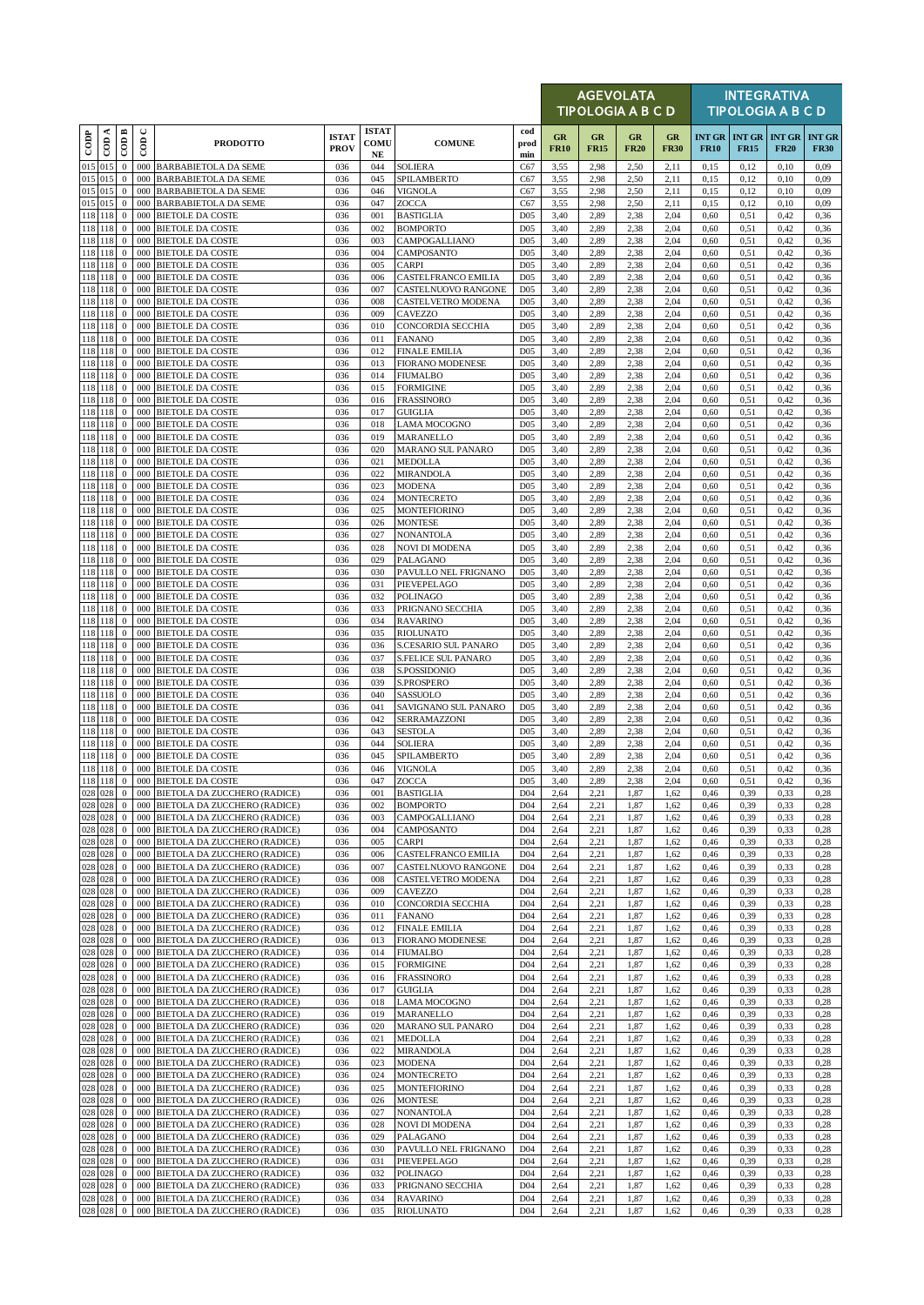|                    |                    |                              |                      |                                                                      |                             |                                     |                                                   |                                    |                   |                   | <b>AGEVOLATA</b><br><b>TIPOLOGIA A B C D</b> |                   |              |              | <b>INTEGRATIVA</b><br><b>TIPOLOGIA A B C D</b> |                              |
|--------------------|--------------------|------------------------------|----------------------|----------------------------------------------------------------------|-----------------------------|-------------------------------------|---------------------------------------------------|------------------------------------|-------------------|-------------------|----------------------------------------------|-------------------|--------------|--------------|------------------------------------------------|------------------------------|
| $_{\rm{cop}}$      | $\cos A$           | $\overline{\mathrm{COD}}$ B  | $\cup$<br>$\epsilon$ | <b>PRODOTTO</b>                                                      | <b>ISTAT</b><br><b>PROV</b> | <b>ISTAT</b><br>COMU<br>$_{\rm NE}$ | <b>COMUNE</b>                                     | cod<br>prod<br>min                 | GR<br><b>FR10</b> | GR<br><b>FR15</b> | <b>GR</b><br><b>FR20</b>                     | GR<br><b>FR30</b> | <b>FR10</b>  | <b>FR15</b>  | <b>INT GR   INT GR   INT GR</b><br><b>FR20</b> | <b>INT GR</b><br><b>FR30</b> |
| 015 015            |                    | $\mathbf{0}$                 |                      | 000 BARBABIETOLA DA SEME                                             | 036                         | 044                                 | <b>SOLIERA</b>                                    | C67                                | 3,55              | 2,98              | 2,50                                         | 2,11              | 0,15         | 0,12         | 0,10                                           | 0,09                         |
| 015 015            | 015 015            | $\mathbf{0}$<br>$\bf{0}$     | 000<br>000           | <b>BARBABIETOLA DA SEME</b><br><b>BARBABIETOLA DA SEME</b>           | 036<br>036                  | 045<br>046                          | SPILAMBERTO<br><b>VIGNOLA</b>                     | C67<br>C67                         | 3,55<br>3,55      | 2,98<br>2,98      | 2,50<br>2,50                                 | 2,11<br>2,11      | 0,15<br>0,15 | 0,12<br>0,12 | 0,10<br>0,10                                   | 0,09<br>0,09                 |
| 015 015            |                    | $\mathbf{0}$                 | 000                  | <b>BARBABIETOLA DA SEME</b>                                          | 036                         | 047                                 | ZOCCA                                             | C67                                | 3,55              | 2,98              | 2,50                                         | 2,11              | 0,15         | 0,12         | 0,10                                           | 0,09                         |
| 118 118            |                    | $\mathbf{0}$                 | 000                  | <b>BIETOLE DA COSTE</b>                                              | 036                         | 001                                 | <b>BASTIGLIA</b>                                  | D <sub>05</sub>                    | 3,40              | 2,89              | 2,38                                         | 2,04              | 0,60         | 0,51         | 0,42                                           | 0,36                         |
| 118 118            | 118 118            | $\bf{0}$<br>$\mathbf{0}$     | 000<br>000           | <b>BIETOLE DA COSTE</b><br><b>BIETOLE DA COSTE</b>                   | 036<br>036                  | 002<br>003                          | <b>BOMPORTO</b><br>CAMPOGALLIANO                  | D <sub>05</sub><br>D <sub>05</sub> | 3,40<br>3,40      | 2,89<br>2,89      | 2,38<br>2,38                                 | 2,04<br>2,04      | 0,60<br>0,60 | 0,51<br>0,51 | 0,42<br>0,42                                   | 0,36<br>0,36                 |
|                    | 118 118            | $\mathbf{0}$                 | 000                  | <b>BIETOLE DA COSTE</b>                                              | 036                         | 004                                 | CAMPOSANTO                                        | D <sub>05</sub>                    | 3,40              | 2,89              | 2,38                                         | 2,04              | 0,60         | 0,51         | 0,42                                           | 0,36                         |
|                    | 118 118            | $\bf{0}$                     | 000                  | <b>BIETOLE DA COSTE</b>                                              | 036                         | 005                                 | CARPI                                             | D <sub>05</sub>                    | 3,40              | 2,89              | 2,38                                         | 2,04              | 0,60         | 0,51         | 0,42                                           | 0,36                         |
|                    | 118 118<br>118 118 | $\mathbf{0}$<br>$\mathbf{0}$ | 000<br>000           | <b>BIETOLE DA COSTE</b><br><b>BIETOLE DA COSTE</b>                   | 036<br>036                  | 006<br>007                          | <b>CASTELFRANCO EMILIA</b><br>CASTELNUOVO RANGONE | D <sub>05</sub><br>D <sub>05</sub> | 3,40<br>3,40      | 2,89<br>2,89      | 2,38<br>2,38                                 | 2,04<br>2,04      | 0,60<br>0,60 | 0,51<br>0,51 | 0,42<br>0,42                                   | 0,36<br>0,36                 |
|                    | 118 118            | $\mathbf{0}$                 | 000                  | <b>BIETOLE DA COSTE</b>                                              | 036                         | 008                                 | CASTELVETRO MODENA                                | D <sub>05</sub>                    | 3,40              | 2,89              | 2,38                                         | 2,04              | 0,60         | 0,51         | 0,42                                           | 0,36                         |
|                    | 118 118            | $\mathbf{0}$                 | 000                  | <b>BIETOLE DA COSTE</b>                                              | 036                         | 009                                 | <b>CAVEZZO</b>                                    | D <sub>05</sub>                    | 3,40              | 2,89              | 2,38                                         | 2,04              | 0,60         | 0,51         | 0,42                                           | 0,36                         |
| 118 118            | 118 118            | $\mathbf{0}$<br>$\mathbf{0}$ | 000                  | <b>BIETOLE DA COSTE</b><br>000 BIETOLE DA COSTE                      | 036<br>036                  | 010<br>011                          | CONCORDIA SECCHIA<br><b>FANANO</b>                | D <sub>05</sub><br>D <sub>05</sub> | 3,40<br>3,40      | 2,89<br>2,89      | 2,38<br>2,38                                 | 2,04<br>2,04      | 0,60<br>0,60 | 0,51<br>0,51 | 0,42<br>0,42                                   | 0,36<br>0,36                 |
| 118 118            |                    | $\mathbf{0}$                 | 000                  | <b>BIETOLE DA COSTE</b>                                              | 036                         | 012                                 | <b>FINALE EMILIA</b>                              | D <sub>05</sub>                    | 3,40              | 2,89              | 2,38                                         | 2,04              | 0,60         | 0,51         | 0,42                                           | 0,36                         |
|                    | 118 118            | $\mathbf{0}$                 | 000                  | <b>BIETOLE DA COSTE</b>                                              | 036                         | 013                                 | <b>FIORANO MODENESE</b>                           | D <sub>05</sub>                    | 3,40              | 2,89              | 2,38                                         | 2,04              | 0,60         | 0.51         | 0,42                                           | 0,36                         |
| 118 118            | 118 118            | $\mathbf{0}$<br>$\mathbf{0}$ | 000<br>000           | <b>BIETOLE DA COSTE</b><br><b>BIETOLE DA COSTE</b>                   | 036<br>036                  | 014<br>015                          | <b>FIUMALBO</b><br><b>FORMIGINE</b>               | D <sub>05</sub><br>D <sub>05</sub> | 3,40<br>3,40      | 2,89<br>2,89      | 2,38<br>2,38                                 | 2.04<br>2,04      | 0,60<br>0,60 | 0,51<br>0,51 | 0,42<br>0,42                                   | 0,36<br>0,36                 |
| 118 118            |                    | $\bf{0}$                     | 000                  | <b>BIETOLE DA COSTE</b>                                              | 036                         | 016                                 | <b>FRASSINORO</b>                                 | D <sub>05</sub>                    | 3,40              | 2,89              | 2,38                                         | 2,04              | 0,60         | 0,51         | 0,42                                           | 0,36                         |
| 118 118            |                    | $\bf{0}$                     | 000                  | <b>BIETOLE DA COSTE</b>                                              | 036                         | 017                                 | GUIGLIA                                           | D <sub>05</sub>                    | 3,40              | 2,89              | 2,38                                         | 2,04              | 0,60         | 0,51         | 0,42                                           | 0,36                         |
|                    | 118 118<br>118 118 | $\mathbf{0}$<br>$\mathbf{0}$ | 000<br>000           | <b>BIETOLE DA COSTE</b><br><b>BIETOLE DA COSTE</b>                   | 036<br>036                  | 018<br>019                          | <b>LAMA MOCOGNO</b><br>MARANELLO                  | D <sub>05</sub><br>D <sub>05</sub> | 3,40<br>3,40      | 2,89<br>2,89      | 2,38<br>2,38                                 | 2,04<br>2,04      | 0,60<br>0,60 | 0.51<br>0,51 | 0,42<br>0,42                                   | 0,36<br>0,36                 |
| 118 118            |                    | $\bf{0}$                     | 000                  | <b>BIETOLE DA COSTE</b>                                              | 036                         | 020                                 | <b>MARANO SUL PANARO</b>                          | D <sub>05</sub>                    | 3,40              | 2,89              | 2.38                                         | 2,04              | 0,60         | 0,51         | 0,42                                           | 0,36                         |
|                    | 118 118            | $\mathbf{0}$                 | 000                  | <b>BIETOLE DA COSTE</b>                                              | 036                         | 021                                 | MEDOLLA                                           | D <sub>05</sub>                    | 3,40              | 2,89              | 2,38                                         | 2,04              | 0,60         | 0,51         | 0,42                                           | 0,36                         |
| 118 118            | 118 118            | $\mathbf{0}$<br>$\bf{0}$     | 000<br>000           | <b>BIETOLE DA COSTE</b><br><b>BIETOLE DA COSTE</b>                   | 036<br>036                  | 022<br>023                          | <b>MIRANDOLA</b><br><b>MODENA</b>                 | D <sub>05</sub><br>D <sub>05</sub> | 3,40<br>3,40      | 2,89<br>2,89      | 2,38<br>2,38                                 | 2,04<br>2,04      | 0,60<br>0,60 | 0,51<br>0,51 | 0,42<br>0,42                                   | 0,36<br>0,36                 |
|                    | 118 118            | $\mathbf{0}$                 | 000                  | <b>BIETOLE DA COSTE</b>                                              | 036                         | 024                                 | <b>MONTECRETO</b>                                 | D <sub>05</sub>                    | 3,40              | 2,89              | 2,38                                         | 2,04              | 0,60         | 0,51         | 0,42                                           | 0,36                         |
|                    | 118 118            | $\mathbf{0}$                 | 000                  | <b>BIETOLE DA COSTE</b>                                              | 036                         | 025                                 | <b>MONTEFIORINO</b>                               | D <sub>05</sub>                    | 3,40              | 2,89              | 2,38                                         | 2,04              | 0,60         | 0,51         | 0,42                                           | 0,36                         |
| 118 118            |                    | $\mathbf{0}$                 | 000                  | <b>BIETOLE DA COSTE</b>                                              | 036                         | 026                                 | <b>MONTESE</b>                                    | D <sub>05</sub>                    | 3,40              | 2,89              | 2,38                                         | 2,04              | 0,60         | 0,51         | 0,42                                           | 0,36                         |
| 118 118            | 118 118            | $\bf{0}$<br>$\mathbf{0}$     | 000<br>000           | <b>BIETOLE DA COSTE</b><br><b>BIETOLE DA COSTE</b>                   | 036<br>036                  | 027<br>028                          | NONANTOLA<br><b>NOVI DI MODENA</b>                | D <sub>05</sub><br>D <sub>05</sub> | 3,40<br>3,40      | 2,89<br>2,89      | 2,38<br>2,38                                 | 2,04<br>2.04      | 0,60<br>0,60 | 0,51<br>0,51 | 0,42<br>0,42                                   | 0,36<br>0,36                 |
|                    | 118 118            | $\mathbf{0}$                 | 000                  | <b>BIETOLE DA COSTE</b>                                              | 036                         | 029                                 | PALAGANO                                          | D <sub>05</sub>                    | 3,40              | 2,89              | 2,38                                         | 2,04              | 0,60         | 0.51         | 0,42                                           | 0,36                         |
|                    | 118 118            | $\bf{0}$                     | 000                  | <b>BIETOLE DA COSTE</b>                                              | 036                         | 030                                 | PAVULLO NEL FRIGNANO                              | D <sub>05</sub>                    | 3,40              | 2,89              | 2,38                                         | 2,04              | 0,60         | 0,51         | 0,42                                           | 0,36                         |
| 118 118<br>118 118 |                    | $\mathbf{0}$<br>$\mathbf{0}$ | 000<br>000           | <b>BIETOLE DA COSTE</b><br><b>BIETOLE DA COSTE</b>                   | 036<br>036                  | 031<br>032                          | PIEVEPELAGO<br><b>POLINAGO</b>                    | D <sub>05</sub><br>D <sub>05</sub> | 3,40<br>3,40      | 2,89<br>2,89      | 2,38<br>2,38                                 | 2,04<br>2,04      | 0,60<br>0,60 | 0,51<br>0.51 | 0,42<br>0,42                                   | 0,36<br>0,36                 |
|                    | 118 118            | $\mathbf{0}$                 | 000                  | <b>BIETOLE DA COSTE</b>                                              | 036                         | 033                                 | PRIGNANO SECCHIA                                  | D <sub>05</sub>                    | 3,40              | 2,89              | 2,38                                         | 2,04              | 0,60         | 0,51         | 0,42                                           | 0,36                         |
|                    | 118 118            | $\mathbf{0}$                 | 000                  | <b>BIETOLE DA COSTE</b>                                              | 036                         | 034                                 | <b>RAVARINO</b>                                   | D <sub>05</sub>                    | 3,40              | 2,89              | 2,38                                         | 2,04              | 0,60         | 0,51         | 0,42                                           | 0,36                         |
|                    | 118 118<br>118 118 | $\mathbf{0}$<br>$\mathbf{0}$ | 000                  | <b>BIETOLE DA COSTE</b><br>000 BIETOLE DA COSTE                      | 036<br>036                  | 035<br>036                          | <b>RIOLUNATO</b><br>S.CESARIO SUL PANARO          | D <sub>05</sub><br>D <sub>05</sub> | 3,40<br>3,40      | 2,89<br>2,89      | 2,38<br>2,38                                 | 2,04<br>2,04      | 0,60<br>0,60 | 0,51<br>0,51 | 0,42<br>0,42                                   | 0,36<br>0,36                 |
| 118 118            |                    | $\mathbf{0}$                 | 000                  | <b>BIETOLE DA COSTE</b>                                              | 036                         | 037                                 | <b>S.FELICE SUL PANARO</b>                        | D <sub>05</sub>                    | 3,40              | 2,89              | 2,38                                         | 2,04              | 0,60         | 0,51         | 0,42                                           | 0,36                         |
| 118 118            |                    | $\mathbf{0}$                 | 000                  | <b>BIETOLE DA COSTE</b>                                              | 036                         | 038                                 | S.POSSIDONIO                                      | D <sub>05</sub>                    | 3,40              | 2,89              | 2,38                                         | 2,04              | 0,60         | 0,51         | 0,42                                           | 0,36                         |
| 118 118            | 118 118            | $\mathbf{0}$<br>$\mathbf{0}$ | 000<br>000           | <b>BIETOLE DA COSTE</b><br><b>BIETOLE DA COSTE</b>                   | 036<br>036                  | 039<br>040                          | S.PROSPERO<br>SASSUOLO                            | D <sub>05</sub><br>D <sub>05</sub> | 3,40<br>3,40      | 2,89<br>2,89      | 2,38<br>2,38                                 | 2.04<br>2,04      | 0,60<br>0,60 | 0.51<br>0,51 | 0,42<br>0,42                                   | 0,36<br>0,36                 |
| 118 118            |                    | $\mathbf{0}$                 | 000                  | <b>BIETOLE DA COSTE</b>                                              | 036                         | 041                                 | SAVIGNANO SUL PANARO                              | D <sub>05</sub>                    | 3,40              | 2,89              | 2,38                                         | 2,04              | 0,60         | 0,51         | 0,42                                           | 0,36                         |
| 118 118            |                    | $\mathbf{0}$                 | 000                  | <b>BIETOLE DA COSTE</b>                                              | 036                         | 042                                 | SERRAMAZZONI                                      | D <sub>05</sub>                    | 3,40              | 2,89              | 2,38                                         | 2,04              | 0,60         | 0,51         | 0,42                                           | 0,36                         |
|                    | 118 118<br>118 118 | $\mathbf{0}$<br>$\mathbf{0}$ | 000<br>000           | <b>BIETOLE DA COSTE</b><br><b>BIETOLE DA COSTE</b>                   | 036<br>036                  | 043<br>044                          | <b>SESTOLA</b>                                    | D <sub>05</sub><br>D <sub>05</sub> | 3,40              | 2,89<br>2,89      | 2,38<br>2,38                                 | 2,04<br>2,04      | 0,60         | 0.51<br>0,51 | 0,42<br>0,42                                   | 0,36<br>0,36                 |
| 118 118            |                    | $\bf{0}$                     | 000                  | <b>BIETOLE DA COSTE</b>                                              | 036                         | 045                                 | <b>SOLIERA</b><br>SPILAMBERTO                     | D <sub>05</sub>                    | 3,40<br>3,40      | 2,89              | 2,38                                         | 2,04              | 0,60<br>0,60 | 0,51         | 0,42                                           | 0,36                         |
|                    | 118 118            | $\mathbf{0}$                 |                      | 000 BIETOLE DA COSTE                                                 | 036                         | 046                                 | <b>VIGNOLA</b>                                    | D <sub>05</sub>                    | 3,40              | 2,89              | 2,38                                         | 2,04              | 0,60         | 0, 51        | 0,42                                           | 0,36                         |
|                    | 118 118            |                              |                      | 0 000 BIETOLE DA COSTE                                               | 036                         | 047                                 | ZOCCA                                             | D05                                | 3,40              | 2,89              | 2,38                                         | 2,04              | 0,60         | 0,51         | 0,42                                           | 0,36                         |
|                    | 028 028<br>028 028 | $\mathbf{0}$<br>$\mathbf{0}$ | 000                  | 000 BIETOLA DA ZUCCHERO (RADICE)<br>BIETOLA DA ZUCCHERO (RADICE)     | 036<br>036                  | 001<br>002                          | <b>BASTIGLIA</b><br><b>BOMPORTO</b>               | D <sub>04</sub><br>D <sub>04</sub> | 2,64<br>2,64      | 2,21<br>2,21      | 1,87<br>1,87                                 | 1,62<br>1,62      | 0,46<br>0,46 | 0,39<br>0,39 | 0,33<br>0,33                                   | 0,28<br>0,28                 |
|                    | 028 028            | $\overline{0}$               |                      | 000 BIETOLA DA ZUCCHERO (RADICE)                                     | 036                         | 003                                 | CAMPOGALLIANO                                     | D <sub>04</sub>                    | 2,64              | 2,21              | 1,87                                         | 1,62              | 0,46         | 0,39         | 0,33                                           | 0,28                         |
|                    | 028 028            | $\mathbf{0}$                 | 000                  | BIETOLA DA ZUCCHERO (RADICE)                                         | 036                         | 004                                 | CAMPOSANTO                                        | D <sub>04</sub>                    | 2,64              | 2,21              | 1,87                                         | 1,62              | 0,46         | 0,39         | 0,33                                           | 0,28                         |
|                    | 028 028<br>028 028 | $\bf{0}$<br>$\mathbf{0}$     | 000<br>000           | BIETOLA DA ZUCCHERO (RADICE)<br><b>BIETOLA DA ZUCCHERO (RADICE)</b>  | 036<br>036                  | 005<br>006                          | <b>CARPI</b><br>CASTELFRANCO EMILIA               | D <sub>04</sub><br>D <sub>04</sub> | 2,64<br>2,64      | 2,21<br>2,21      | 1,87<br>1,87                                 | 1,62<br>1,62      | 0,46<br>0,46 | 0,39<br>0,39 | 0,33<br>0,33                                   | 0,28<br>0,28                 |
| 028 028            |                    | $\mathbf{0}$                 | 000                  | BIETOLA DA ZUCCHERO (RADICE)                                         | 036                         | 007                                 | CASTELNUOVO RANGONE                               | D <sub>04</sub>                    | 2,64              | 2,21              | 1,87                                         | 1,62              | 0,46         | 0,39         | 0,33                                           | 0,28                         |
|                    | 028 028            | $\bf{0}$                     | 000                  | BIETOLA DA ZUCCHERO (RADICE)                                         | 036                         | 008                                 | CASTELVETRO MODENA                                | D <sub>04</sub>                    | 2,64              | 2,21              | 1,87                                         | 1,62              | 0,46         | 0,39         | 0,33                                           | 0,28                         |
| 028 028            | 028 028            | $\mathbf{0}$<br>$\mathbf{0}$ | 000<br>000           | BIETOLA DA ZUCCHERO (RADICE)<br>BIETOLA DA ZUCCHERO (RADICE)         | 036<br>036                  | 009<br>010                          | <b>CAVEZZO</b><br>CONCORDIA SECCHIA               | D <sub>04</sub><br>D <sub>04</sub> | 2,64<br>2,64      | 2,21<br>2,21      | 1,87<br>1,87                                 | 1,62<br>1,62      | 0,46<br>0,46 | 0,39<br>0,39 | 0,33<br>0,33                                   | 0,28<br>0,28                 |
|                    | 028 028            | $\bf{0}$                     |                      | 000 BIETOLA DA ZUCCHERO (RADICE)                                     | 036                         | 011                                 | <b>FANANO</b>                                     | D <sub>04</sub>                    | 2,64              | 2,21              | 1,87                                         | 1,62              | 0,46         | 0,39         | 0,33                                           | 0,28                         |
|                    | 028 028            | $\mathbf{0}$                 | 000                  | BIETOLA DA ZUCCHERO (RADICE)                                         | 036                         | 012                                 | <b>FINALE EMILIA</b>                              | D <sub>04</sub>                    | 2,64              | 2,21              | 1,87                                         | 1,62              | 0,46         | 0.39         | 0,33                                           | 0,28                         |
|                    | 028 028<br>028 028 | $\mathbf{0}$<br>$\bf{0}$     | 000                  | BIETOLA DA ZUCCHERO (RADICE)<br>000 BIETOLA DA ZUCCHERO (RADICE)     | 036<br>036                  | 013<br>014                          | <b>FIORANO MODENESE</b><br><b>FIUMALBO</b>        | D <sub>04</sub><br>D <sub>04</sub> | 2,64<br>2,64      | 2,21<br>2,21      | 1,87<br>1,87                                 | 1,62<br>1,62      | 0,46<br>0,46 | 0,39<br>0,39 | 0,33<br>0,33                                   | 0,28<br>0,28                 |
| 028 028            |                    | $\mathbf{0}$                 | 000                  | BIETOLA DA ZUCCHERO (RADICE)                                         | 036                         | 015                                 | <b>FORMIGINE</b>                                  | D <sub>04</sub>                    | 2,64              | 2,21              | 1,87                                         | 1,62              | 0,46         | 0,39         | 0,33                                           | 0,28                         |
| 028 028            |                    | $\mathbf{0}$                 | 000                  | BIETOLA DA ZUCCHERO (RADICE)                                         | 036                         | 016                                 | <b>FRASSINORO</b>                                 | D <sub>04</sub>                    | 2,64              | 2,21              | 1,87                                         | 1,62              | 0,46         | 0,39         | 0,33                                           | 0,28                         |
|                    | 028 028<br>028 028 | $\mathbf{0}$<br>$\mathbf{0}$ | 000                  | 000 BIETOLA DA ZUCCHERO (RADICE)<br>BIETOLA DA ZUCCHERO (RADICE)     | 036<br>036                  | 017<br>018                          | GUIGLIA<br>LAMA MOCOGNO                           | D <sub>04</sub><br>D <sub>04</sub> | 2,64<br>2,64      | 2,21<br>2,21      | 1,87<br>1,87                                 | 1,62<br>1,62      | 0,46<br>0,46 | 0,39<br>0,39 | 0,33<br>0,33                                   | 0,28<br>0,28                 |
|                    | 028 028            | $\mathbf{0}$                 | 000                  | BIETOLA DA ZUCCHERO (RADICE)                                         | 036                         | 019                                 | MARANELLO                                         | D <sub>04</sub>                    | 2,64              | 2,21              | 1,87                                         | 1,62              | 0,46         | 0.39         | 0,33                                           | 0,28                         |
|                    | 028 028            | $\mathbf{0}$                 | 000                  | BIETOLA DA ZUCCHERO (RADICE)                                         | 036                         | 020                                 | MARANO SUL PANARO                                 | D <sub>04</sub>                    | 2,64              | 2,21              | 1,87                                         | 1,62              | 0,46         | 0,39         | 0,33                                           | 0,28                         |
|                    | 028 028<br>028 028 | $\mathbf{0}$<br>$\mathbf{0}$ | 000<br>000           | BIETOLA DA ZUCCHERO (RADICE)<br>BIETOLA DA ZUCCHERO (RADICE)         | 036<br>036                  | 021<br>022                          | <b>MEDOLLA</b><br><b>MIRANDOLA</b>                | D <sub>04</sub><br>D <sub>04</sub> | 2,64<br>2,64      | 2,21<br>2,21      | 1,87<br>1,87                                 | 1,62<br>1,62      | 0,46<br>0,46 | 0,39<br>0,39 | 0,33<br>0,33                                   | 0,28<br>0,28                 |
| 028 028            |                    | $\bf{0}$                     | 000                  | BIETOLA DA ZUCCHERO (RADICE)                                         | 036                         | 023                                 | MODENA                                            | D <sub>04</sub>                    | 2,64              | 2,21              | 1,87                                         | 1,62              | 0,46         | 0,39         | 0,33                                           | 0,28                         |
|                    | 028 028            | $\mathbf{0}$                 | 000                  | BIETOLA DA ZUCCHERO (RADICE)                                         | 036                         | 024                                 | MONTECRETO                                        | D <sub>04</sub>                    | 2,64              | 2,21              | 1,87                                         | 1,62              | 0,46         | 0,39         | 0,33                                           | 0,28                         |
|                    | 028 028            | $\mathbf{0}$                 | 000                  | BIETOLA DA ZUCCHERO (RADICE)                                         | 036                         | 025                                 | <b>MONTEFIORINO</b>                               | D <sub>04</sub>                    | 2,64              | 2,21              | 1,87                                         | 1,62              | 0,46         | 0,39         | 0,33                                           | 0,28                         |
|                    | 028 028<br>028 028 | $\bf{0}$<br>$\bf{0}$         | 000<br>000           | BIETOLA DA ZUCCHERO (RADICE)<br>BIETOLA DA ZUCCHERO (RADICE)         | 036<br>036                  | 026<br>027                          | <b>MONTESE</b><br><b>NONANTOLA</b>                | D <sub>04</sub><br>D <sub>04</sub> | 2,64<br>2,64      | 2,21<br>2,21      | 1,87<br>1,87                                 | 1,62<br>1,62      | 0,46<br>0,46 | 0,39<br>0,39 | 0,33<br>0,33                                   | 0,28<br>0,28                 |
|                    | 028 028            | $\mathbf{0}$                 | 000                  | BIETOLA DA ZUCCHERO (RADICE)                                         | 036                         | 028                                 | <b>NOVI DI MODENA</b>                             | D <sub>04</sub>                    | 2,64              | 2,21              | 1,87                                         | 1,62              | 0,46         | 0,39         | 0,33                                           | 0,28                         |
|                    | 028 028            | $\bf{0}$                     | 000                  | BIETOLA DA ZUCCHERO (RADICE)                                         | 036                         | 029                                 | PALAGANO                                          | D <sub>04</sub>                    | 2,64              | 2,21              | 1,87                                         | 1,62              | 0,46         | 0,39         | 0,33                                           | 0,28                         |
|                    | 028 028<br>028 028 | $\mathbf{0}$<br>$\mathbf{0}$ | 000                  | BIETOLA DA ZUCCHERO (RADICE)<br>000 BIETOLA DA ZUCCHERO (RADICE)     | 036<br>036                  | 030<br>031                          | PAVULLO NEL FRIGNANO<br>PIEVEPELAGO               | D <sub>04</sub><br>D <sub>04</sub> | 2,64<br>2,64      | 2,21<br>2,21      | 1,87<br>1,87                                 | 1,62<br>1,62      | 0,46<br>0,46 | 0,39<br>0,39 | 0,33<br>0,33                                   | 0,28<br>0,28                 |
|                    | 028 028            | $\mathbf{0}$                 | 000                  | BIETOLA DA ZUCCHERO (RADICE)                                         | 036                         | 032                                 | POLINAGO                                          | D <sub>04</sub>                    | 2,64              | 2,21              | 1,87                                         | 1,62              | 0,46         | 0,39         | 0,33                                           | 0,28                         |
|                    | 028 028            | $\mathbf{0}$                 | 000                  | BIETOLA DA ZUCCHERO (RADICE)                                         | 036                         | 033                                 | PRIGNANO SECCHIA                                  | D <sub>04</sub>                    | 2,64              | 2,21              | 1,87                                         | 1,62              | 0,46         | 0,39         | 0,33                                           | 0,28                         |
|                    | 028 028<br>028 028 | $\bf{0}$<br>$\mathbf{0}$     |                      | 000 BIETOLA DA ZUCCHERO (RADICE)<br>000 BIETOLA DA ZUCCHERO (RADICE) | 036<br>036                  | 034<br>035                          | <b>RAVARINO</b><br>RIOLUNATO                      | D <sub>04</sub><br>D <sub>04</sub> | 2,64<br>2,64      | 2,21<br>2,21      | 1,87<br>1,87                                 | 1,62<br>1,62      | 0,46<br>0,46 | 0,39<br>0,39 | 0,33<br>0,33                                   | 0,28<br>0,28                 |
|                    |                    |                              |                      |                                                                      |                             |                                     |                                                   |                                    |                   |                   |                                              |                   |              |              |                                                |                              |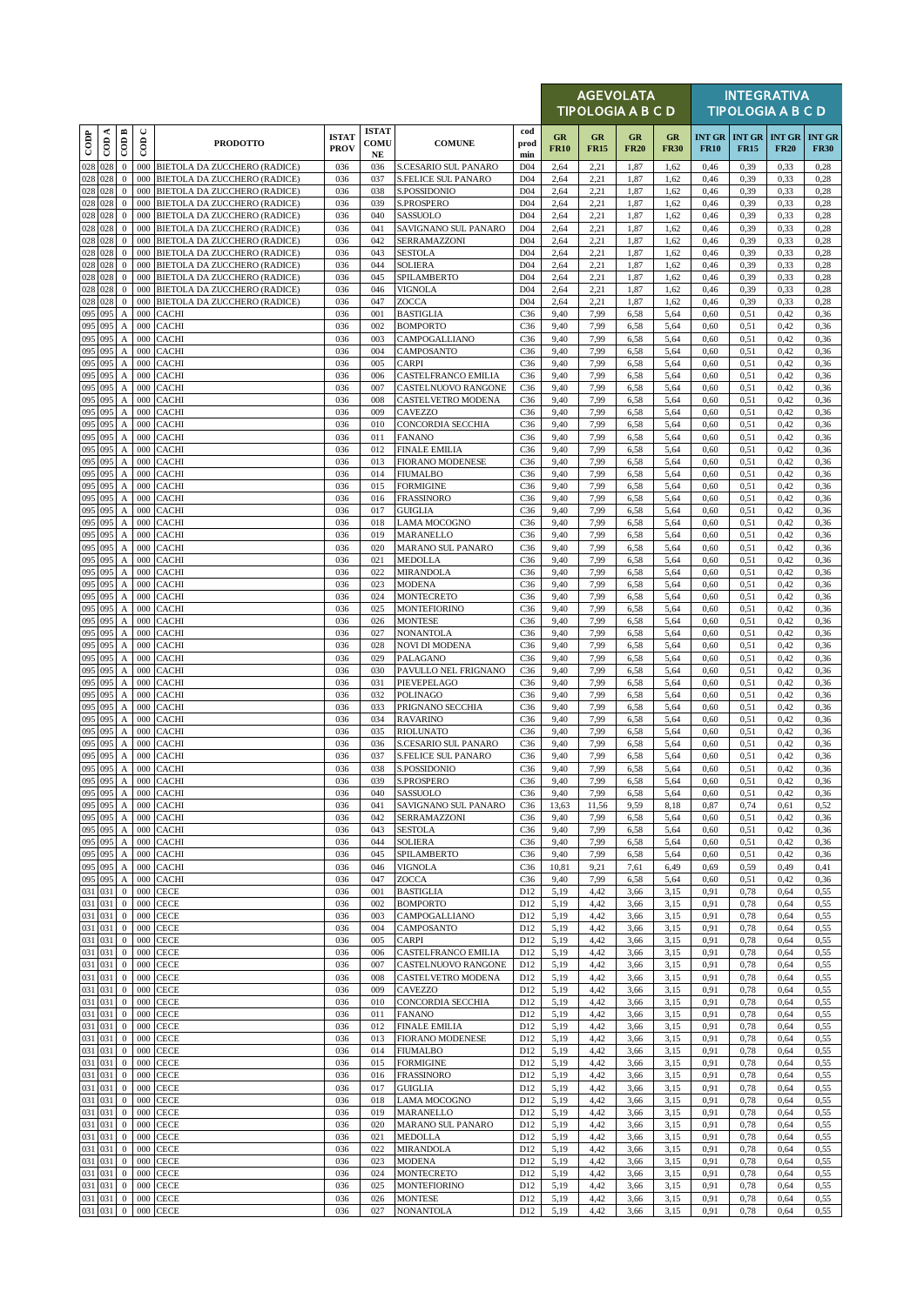|                    |            |                                               |                      |                                                                     |                             |                                   |                                            |                                    |                   | <b>AGEVOLATA</b><br>TIPOLOGIA A B C D |                   |                   |              |                                         | <b>INTEGRATIVA</b><br><b>TIPOLOGIA A B C D</b> |                              |
|--------------------|------------|-----------------------------------------------|----------------------|---------------------------------------------------------------------|-----------------------------|-----------------------------------|--------------------------------------------|------------------------------------|-------------------|---------------------------------------|-------------------|-------------------|--------------|-----------------------------------------|------------------------------------------------|------------------------------|
| $_{\rm{cop}}$      | $\cos A$   | $\overline{\mathrm{COD}}$ B                   | $\cup$<br>$\epsilon$ | <b>PRODOTTO</b>                                                     | <b>ISTAT</b><br><b>PROV</b> | <b>ISTAT</b><br>COMU<br><b>NE</b> | <b>COMUNE</b>                              | cod<br>prod<br>min                 | GR<br><b>FR10</b> | GR<br><b>FR15</b>                     | GR<br><b>FR20</b> | GR<br><b>FR30</b> | <b>FR10</b>  | INT GR   INT GR   INT GR<br><b>FR15</b> | <b>FR20</b>                                    | <b>INT GR</b><br><b>FR30</b> |
| 028 028            |            | $\mathbf{0}$                                  |                      | 000 BIETOLA DA ZUCCHERO (RADICE)                                    | 036                         | 036                               | S.CESARIO SUL PANARO                       | D <sub>04</sub>                    | 2,64              | 2,21                                  | 1,87              | 1,62              | 0,46         | 0,39                                    | 0,33                                           | 0,28                         |
| 028 028            |            | $\mathbf{0}$                                  | 000                  | BIETOLA DA ZUCCHERO (RADICE)                                        | 036                         | 037                               | <b>S.FELICE SUL PANARO</b>                 | D <sub>04</sub>                    | 2,64              | 2,21                                  | 1,87              | 1,62              | 0,46         | 0,39                                    | 0,33                                           | 0,28                         |
| 028 028<br>028 028 |            | $\mathbf{0}$<br>$\mathbf{0}$                  | 000<br>000           | BIETOLA DA ZUCCHERO (RADICE)<br>BIETOLA DA ZUCCHERO (RADICE)        | 036<br>036                  | 038<br>039                        | <b>S.POSSIDONIO</b><br>S.PROSPERO          | D <sub>04</sub><br>D <sub>04</sub> | 2,64<br>2,64      | 2,21<br>2,21                          | 1,87<br>1,87      | 1,62<br>1,62      | 0,46<br>0,46 | 0,39<br>0,39                            | 0,33<br>0,33                                   | 0,28<br>0,28                 |
| 028 028            |            | $\mathbf{0}$                                  | 000                  | BIETOLA DA ZUCCHERO (RADICE)                                        | 036                         | 040                               | SASSUOLO                                   | D <sub>04</sub>                    | 2,64              | 2,21                                  | 1,87              | 1,62              | 0,46         | 0,39                                    | 0,33                                           | 0,28                         |
| 028 028            |            | $\bf{0}$                                      | 000                  | BIETOLA DA ZUCCHERO (RADICE)                                        | 036                         | 041                               | SAVIGNANO SUL PANARO                       | D <sub>04</sub>                    | 2,64              | 2,21                                  | 1,87              | 1,62              | 0,46         | 0,39                                    | 0,33                                           | 0,28                         |
| 028 028<br>028 028 |            | $\mathbf{0}$<br>$\mathbf{0}$                  | 000<br>000           | BIETOLA DA ZUCCHERO (RADICE)<br>BIETOLA DA ZUCCHERO (RADICE)        | 036<br>036                  | 042<br>043                        | SERRAMAZZONI<br><b>SESTOLA</b>             | D <sub>04</sub><br>D <sub>04</sub> | 2,64<br>2,64      | 2,21<br>2,21                          | 1,87<br>1,87      | 1,62<br>1,62      | 0,46<br>0,46 | 0,39<br>0,39                            | 0,33<br>0,33                                   | 0,28<br>0,28                 |
| 028 028            |            | $\mathbf{0}$                                  | 000                  | BIETOLA DA ZUCCHERO (RADICE)                                        | 036                         | 044                               | <b>SOLIERA</b>                             | D <sub>04</sub>                    | 2,64              | 2,21                                  | 1,87              | 1,62              | 0,46         | 0,39                                    | 0,33                                           | 0,28                         |
| 028 028            |            | $\mathbf{0}$                                  | 000                  | BIETOLA DA ZUCCHERO (RADICE)                                        | 036                         | 045                               | SPILAMBERTO                                | D <sub>04</sub>                    | 2,64              | 2,21                                  | 1,87              | 1,62              | 0,46         | 0,39                                    | 0,33                                           | 0,28                         |
| 028 028<br>028 028 |            | $\mathbf{0}$<br>$\mathbf{0}$                  | 000<br>000           | BIETOLA DA ZUCCHERO (RADICE)<br><b>BIETOLA DA ZUCCHERO (RADICE)</b> | 036<br>036                  | 046<br>047                        | <b>VIGNOLA</b><br>ZOCCA                    | D <sub>04</sub><br>D <sub>04</sub> | 2,64<br>2,64      | 2,21<br>2,21                          | 1,87<br>1,87      | 1,62<br>1,62      | 0,46<br>0,46 | 0,39<br>0,39                            | 0,33<br>0,33                                   | 0,28<br>0,28                 |
| 095 095            |            | Α                                             | 000                  | <b>CACHI</b>                                                        | 036                         | 001                               | <b>BASTIGLIA</b>                           | C <sub>36</sub>                    | 9,40              | 7,99                                  | 6,58              | 5,64              | 0,60         | 0,51                                    | 0,42                                           | 0,36                         |
| 095 095            |            | $\boldsymbol{A}$                              | 000                  | <b>CACHI</b>                                                        | 036                         | 002                               | <b>BOMPORTO</b>                            | C <sub>36</sub>                    | 9,40              | 7,99                                  | 6,58              | 5,64              | 0,60         | 0,51                                    | 0,42                                           | 0,36                         |
| 095 095<br>095     | 095        | $\boldsymbol{A}$<br>$\boldsymbol{\mathsf{A}}$ | 000<br>000           | <b>CACHI</b><br>CACHI                                               | 036<br>036                  | 003<br>004                        | CAMPOGALLIANO<br>CAMPOSANTO                | C <sub>36</sub><br>C <sub>36</sub> | 9,40<br>9,40      | 7,99<br>7,99                          | 6,58<br>6,58      | 5,64<br>5,64      | 0,60<br>0,60 | 0,51<br>0,51                            | 0,42<br>0,42                                   | 0,36<br>0,36                 |
| 095                | 095        | A                                             | 000                  | CACHI                                                               | 036                         | 005                               | <b>CARPI</b>                               | C <sub>36</sub>                    | 9,40              | 7,99                                  | 6,58              | 5,64              | 0,60         | 0.51                                    | 0,42                                           | 0,36                         |
| 095<br>095 095     | 095        | A<br>$\boldsymbol{\mathsf{A}}$                | 000<br>000           | CACHI<br><b>CACHI</b>                                               | 036<br>036                  | 006<br>007                        | CASTELFRANCO EMILIA<br>CASTELNUOVO RANGONE | C <sub>36</sub><br>C <sub>36</sub> | 9,40<br>9,40      | 7,99<br>7,99                          | 6,58<br>6,58      | 5,64<br>5,64      | 0,60<br>0,60 | 0,51<br>0,51                            | 0,42<br>0,42                                   | 0,36<br>0,36                 |
| 095                | 095        | $\boldsymbol{A}$                              | 000                  | <b>CACHI</b>                                                        | 036                         | 008                               | CASTELVETRO MODENA                         | C <sub>36</sub>                    | 9,40              | 7,99                                  | 6,58              | 5,64              | 0,60         | 0,51                                    | 0,42                                           | 0,36                         |
| 095                | 095        | А                                             | 000                  | <b>CACHI</b>                                                        | 036                         | 009                               | CAVEZZO                                    | C <sub>36</sub>                    | 9,40              | 7,99                                  | 6,58              | 5,64              | 0,60         | 0,51                                    | 0,42                                           | 0,36                         |
| 095<br>095 095     | 095        | $\boldsymbol{A}$<br>A                         | 000<br>000           | <b>CACHI</b><br><b>CACHI</b>                                        | 036<br>036                  | 010<br>011                        | CONCORDIA SECCHIA<br><b>FANANO</b>         | C <sub>36</sub><br>C <sub>36</sub> | 9,40<br>9,40      | 7,99<br>7,99                          | 6,58<br>6,58      | 5,64<br>5,64      | 0,60<br>0,60 | 0,51<br>0,51                            | 0,42<br>0,42                                   | 0,36<br>0,36                 |
| 095                | 095        | A                                             | 000                  | CACHI                                                               | 036                         | 012                               | <b>FINALE EMILIA</b>                       | C <sub>36</sub>                    | 9,40              | 7,99                                  | 6,58              | 5,64              | 0,60         | 0.51                                    | 0,42                                           | 0,36                         |
| 095                | 095        | $\boldsymbol{\mathsf{A}}$                     | 000                  | CACHI                                                               | 036                         | 013                               | <b>FIORANO MODENESE</b>                    | C <sub>36</sub>                    | 9,40              | 7,99                                  | 6,58              | 5,64              | 0,60         | 0,51                                    | 0,42                                           | 0,36                         |
| 095<br>095         | 095<br>095 | $\boldsymbol{A}$<br>$\mathbf{A}$              | 000<br>000           | <b>CACHI</b><br>CACHI                                               | 036<br>036                  | 014<br>015                        | <b>FIUMALBO</b><br><b>FORMIGINE</b>        | C <sub>36</sub><br>C <sub>36</sub> | 9,40<br>9,40      | 7,99<br>7,99                          | 6,58<br>6,58      | 5,64<br>5,64      | 0,60<br>0,60 | 0,51<br>0.51                            | 0,42<br>0,42                                   | 0,36<br>0,36                 |
| 095 095            |            | $\mathbf{A}$                                  | 000                  | <b>CACHI</b>                                                        | 036                         | 016                               | <b>FRASSINORO</b>                          | C <sub>36</sub>                    | 9,40              | 7,99                                  | 6,58              | 5,64              | 0,60         | 0,51                                    | 0,42                                           | 0,36                         |
| 095                | 095        | $\mathbf{A}$                                  | 000                  | <b>CACHI</b>                                                        | 036                         | 017                               | <b>GUIGLIA</b>                             | C <sub>36</sub>                    | 9,40              | 7,99                                  | 6,58              | 5,64              | 0,60         | 0,51                                    | 0,42                                           | 0,36                         |
| 095<br>095         | 095<br>095 | A<br>A                                        | 000<br>000           | CACHI<br>CACHI                                                      | 036<br>036                  | 018<br>019                        | <b>LAMA MOCOGNO</b><br>MARANELLO           | C <sub>36</sub><br>C <sub>36</sub> | 9,40<br>9,40      | 7,99<br>7,99                          | 6,58<br>6,58      | 5,64<br>5,64      | 0,60<br>0,60 | 0,51<br>0,51                            | 0,42<br>0,42                                   | 0,36<br>0,36                 |
| 095                | 095        | $\boldsymbol{\mathsf{A}}$                     | 000                  | CACHI                                                               | 036                         | 020                               | MARANO SUL PANARO                          | C <sub>36</sub>                    | 9,40              | 7,99                                  | 6,58              | 5,64              | 0,60         | 0,51                                    | 0,42                                           | 0,36                         |
| 095 095            |            | $\boldsymbol{A}$                              | 000                  | <b>CACHI</b>                                                        | 036                         | 021                               | <b>MEDOLLA</b>                             | C <sub>36</sub>                    | 9,40              | 7,99                                  | 6,58              | 5,64              | 0,60         | 0,51                                    | 0,42                                           | 0,36                         |
| 095 095<br>095 095 |            | $\boldsymbol{A}$<br>$\boldsymbol{\mathsf{A}}$ | 000                  | 000 CACHI<br>CACHI                                                  | 036<br>036                  | 022<br>023                        | <b>MIRANDOLA</b><br><b>MODENA</b>          | C <sub>36</sub><br>C36             | 9,40<br>9,40      | 7,99<br>7,99                          | 6,58<br>6,58      | 5,64<br>5,64      | 0,60<br>0,60 | 0,51<br>0,51                            | 0,42<br>0,42                                   | 0,36<br>0,36                 |
| 095                | 095        | A                                             | 000                  | <b>CACHI</b>                                                        | 036                         | 024                               | <b>MONTECRETO</b>                          | C <sub>36</sub>                    | 9,40              | 7,99                                  | 6,58              | 5,64              | 0,60         | 0.51                                    | 0,42                                           | 0,36                         |
| 095                | 095        | $\boldsymbol{A}$                              | 000                  | <b>CACHI</b>                                                        | 036                         | 025                               | <b>MONTEFIORINO</b>                        | C <sub>36</sub>                    | 9,40              | 7,99                                  | 6,58              | 5,64              | 0,60         | 0,51                                    | 0,42                                           | 0,36                         |
| 095<br>095 095     | 095        | A<br>$\boldsymbol{A}$                         | 000<br>000           | <b>CACHI</b><br><b>CACHI</b>                                        | 036<br>036                  | 026<br>027                        | <b>MONTESE</b><br><b>NONANTOLA</b>         | C <sub>36</sub><br>C <sub>36</sub> | 9,40<br>9,40      | 7,99<br>7,99                          | 6,58<br>6,58      | 5,64<br>5,64      | 0,60<br>0,60 | 0,51<br>0.51                            | 0,42<br>0,42                                   | 0,36<br>0,36                 |
| 095 095            |            | $\boldsymbol{A}$                              |                      | 000 CACHI                                                           | 036                         | 028                               | <b>NOVI DI MODENA</b>                      | C <sub>36</sub>                    | 9,40              | 7,99                                  | 6,58              | 5,64              | 0,60         | 0,51                                    | 0,42                                           | 0,36                         |
| 095 095<br>095     |            | $\boldsymbol{\mathsf{A}}$                     | 000                  | CACHI                                                               | 036<br>036                  | 029                               | PALAGANO                                   | C <sub>36</sub>                    | 9,40              | 7,99                                  | 6,58              | 5,64              | 0,60<br>0,60 | 0.51                                    | 0,42                                           | 0,36                         |
| 095                | 095<br>095 | $\boldsymbol{A}$<br>$\boldsymbol{A}$          | 000<br>000           | CACHI<br><b>CACHI</b>                                               | 036                         | 030<br>031                        | PAVULLO NEL FRIGNANO<br>PIEVEPELAGO        | C <sub>36</sub><br>C <sub>36</sub> | 9,40<br>9,40      | 7,99<br>7,99                          | 6,58<br>6,58      | 5,64<br>5,64      | 0,60         | 0,51<br>0.51                            | 0,42<br>0,42                                   | 0,36<br>0,36                 |
| 095                | 095        | $\boldsymbol{A}$                              | 000                  | <b>CACHI</b>                                                        | 036                         | 032                               | <b>POLINAGO</b>                            | C <sub>36</sub>                    | 9,40              | 7,99                                  | 6,58              | 5,64              | 0,60         | 0,51                                    | 0,42                                           | 0,36                         |
| 095<br>095         | 095<br>095 | $\mathbf{A}$                                  | 000<br>000           | <b>CACHI</b>                                                        | 036<br>036                  | 033<br>034                        | PRIGNANO SECCHIA<br><b>RAVARINO</b>        | C <sub>36</sub><br>C <sub>36</sub> | 9,40<br>9,40      | 7,99<br>7,99                          | 6,58              | 5,64<br>5,64      | 0,60<br>0,60 | 0,51                                    | 0,42<br>0,42                                   | 0,36                         |
| 095                | 095        | $\boldsymbol{A}$<br>$\boldsymbol{\mathsf{A}}$ | 000                  | CACHI<br>CACHI                                                      | 036                         | 035                               | <b>RIOLUNATO</b>                           | C <sub>36</sub>                    | 9,40              | 7,99                                  | 6,58<br>6,58      | 5,64              | 0,60         | 0,51<br>0,51                            | 0,42                                           | 0,36<br>0,36                 |
| 095 095            |            | $\boldsymbol{\mathsf{A}}$                     | 000                  | <b>CACHI</b>                                                        | 036                         | 036                               | S.CESARIO SUL PANARO                       | C <sub>36</sub>                    | 9,40              | 7,99                                  | 6,58              | 5,64              | 0,60         | 0,51                                    | 0,42                                           | 0,36                         |
| 095<br>095 095     | 095        | A<br>$\mathbf{A}$                             | 000                  | CACHI<br>000 CACHI                                                  | 036<br>036                  | 037<br>038                        | <b>S.FELICE SUL PANARO</b><br>S.POSSIDONIO | C <sub>36</sub><br>C <sub>36</sub> | 9,40<br>9,40      | 7,99<br>7,99                          | 6,58<br>6,58      | 5,64<br>5,64      | 0,60<br>0,60 | 0.51<br>0,51                            | 0,42<br>0,42                                   | 0,36<br>0,36                 |
| 095 095            |            |                                               |                      | A 000 CACHI                                                         | 036                         | 039                               | S.PROSPERO                                 | C36                                | 9,40              | 7,99                                  | 6,58              | 5,64              | 0,60         | 0,51                                    | 0,42                                           | 0,36                         |
| 095 095            |            | A                                             |                      | 000 CACHI                                                           | 036                         | 040                               | <b>SASSUOLO</b>                            | C <sub>36</sub>                    | 9,40              | 7,99                                  | 6,58              | 5,64              | 0,60         | 0.51                                    | 0,42                                           | 0,36                         |
| 095 095<br>095 095 |            | A<br>$\mathbf{A}$                             | 000                  | <b>CACHI</b><br>000 CACHI                                           | 036<br>036                  | 041<br>042                        | SAVIGNANO SUL PANARO<br>SERRAMAZZONI       | C36<br>C36                         | 13,63<br>9,40     | 11,56<br>7,99                         | 9,59<br>6,58      | 8,18<br>5,64      | 0,87<br>0,60 | 0,74<br>0,51                            | 0,61<br>0,42                                   | 0,52<br>0,36                 |
| 095 095            |            | $\boldsymbol{A}$                              |                      | 000 CACHI                                                           | 036                         | 043                               | <b>SESTOLA</b>                             | C36                                | 9,40              | 7,99                                  | 6,58              | 5,64              | 0,60         | 0,51                                    | 0,42                                           | 0,36                         |
| 095 095            |            | $\mathbf{A}$                                  | 000                  | <b>CACHI</b>                                                        | 036                         | 044                               | <b>SOLIERA</b>                             | C <sub>36</sub>                    | 9,40              | 7,99                                  | 6,58              | 5,64              | 0,60         | 0,51                                    | 0,42                                           | 0,36                         |
| 095 095<br>095 095 |            | $\boldsymbol{\mathrm{A}}$<br>$\boldsymbol{A}$ | 000                  | 000 CACHI<br><b>CACHI</b>                                           | 036<br>036                  | 045<br>046                        | SPILAMBERTO<br><b>VIGNOLA</b>              | C <sub>36</sub><br>C <sub>36</sub> | 9,40<br>10,81     | 7,99<br>9,21                          | 6,58<br>7,61      | 5,64<br>6,49      | 0,60<br>0,69 | 0,51<br>0,59                            | 0,42<br>0,49                                   | 0,36<br>0,41                 |
| 095 095            |            | A                                             | 000                  | <b>CACHI</b>                                                        | 036                         | 047                               | ZOCCA                                      | C36                                | 9,40              | 7,99                                  | 6,58              | 5,64              | 0,60         | 0,51                                    | 0,42                                           | 0,36                         |
| 031 031<br>031 031 |            | $\mathbf{0}$<br>$\mathbf{0}$                  | 000<br>000           | <b>CECE</b><br><b>CECE</b>                                          | 036<br>036                  | 001<br>002                        | <b>BASTIGLIA</b><br><b>BOMPORTO</b>        | D12<br>D12                         | 5,19<br>5,19      | 4,42<br>4,42                          | 3,66<br>3,66      | 3,15<br>3,15      | 0,91<br>0,91 | 0,78<br>0,78                            | 0,64<br>0,64                                   | 0,55<br>0,55                 |
| 031 031            |            | $\bf{0}$                                      | 000                  | <b>CECE</b>                                                         | 036                         | 003                               | CAMPOGALLIANO                              | D <sub>12</sub>                    | 5,19              | 4,42                                  | 3,66              | 3,15              | 0,91         | 0,78                                    | 0,64                                           | 0,55                         |
| 031 031            |            | $\bf{0}$                                      | 000                  | <b>CECE</b>                                                         | 036                         | 004                               | CAMPOSANTO                                 | D <sub>12</sub>                    | 5,19              | 4,42                                  | 3,66              | 3,15              | 0,91         | 0,78                                    | 0,64                                           | 0,55                         |
| 031 031<br>031 031 |            | $\mathbf{0}$<br>$\bf{0}$                      | 000<br>000           | <b>CECE</b><br><b>CECE</b>                                          | 036<br>036                  | 005<br>006                        | <b>CARPI</b><br>CASTELFRANCO EMILIA        | D <sub>12</sub><br>D <sub>12</sub> | 5,19<br>5,19      | 4,42<br>4,42                          | 3,66<br>3,66      | 3,15<br>3,15      | 0,91<br>0,91 | 0,78<br>0,78                            | 0,64<br>0,64                                   | 0,55<br>0,55                 |
| 031 031            |            | $\bf{0}$                                      | 000                  | <b>CECE</b>                                                         | 036                         | 007                               | CASTELNUOVO RANGONE                        | D12                                | 5,19              | 4,42                                  | 3,66              | 3,15              | 0,91         | 0,78                                    | 0,64                                           | 0,55                         |
| 031 031            |            | $\mathbf{0}$                                  | 000                  | <b>CECE</b>                                                         | 036                         | 008                               | CASTELVETRO MODENA                         | D12                                | 5,19              | 4,42                                  | 3,66              | 3,15              | 0,91         | 0,78                                    | 0,64                                           | 0,55                         |
| 031 031<br>031 031 |            | $\bf{0}$<br>$\bf{0}$                          | 000                  | 000 CECE<br><b>CECE</b>                                             | 036<br>036                  | 009<br>010                        | CAVEZZO<br>CONCORDIA SECCHIA               | D12<br>D <sub>12</sub>             | 5,19<br>5,19      | 4,42<br>4,42                          | 3,66<br>3,66      | 3,15<br>3,15      | 0,91<br>0,91 | 0,78<br>0,78                            | 0,64<br>0,64                                   | 0,55<br>0,55                 |
| 031 031            |            | $\bf{0}$                                      | 000                  | <b>CECE</b>                                                         | 036                         | 011                               | <b>FANANO</b>                              | D <sub>12</sub>                    | 5,19              | 4,42                                  | 3,66              | 3,15              | 0,91         | 0,78                                    | 0,64                                           | 0,55                         |
| 031 031            |            | $\bf{0}$                                      | 000                  | <b>CECE</b>                                                         | 036                         | 012                               | <b>FINALE EMILIA</b>                       | D <sub>12</sub>                    | 5,19              | 4,42                                  | 3,66              | 3,15              | 0,91         | 0,78                                    | 0,64                                           | 0,55                         |
| 031 031<br>031 031 |            | $\bf{0}$<br>$\bf{0}$                          | 000<br>000           | <b>CECE</b><br><b>CECE</b>                                          | 036<br>036                  | 013<br>014                        | <b>FIORANO MODENESE</b><br><b>FIUMALBO</b> | D12<br>D <sub>12</sub>             | 5,19<br>5,19      | 4,42<br>4,42                          | 3,66<br>3,66      | 3,15<br>3,15      | 0,91<br>0,91 | 0,78<br>0,78                            | 0,64<br>0,64                                   | 0,55<br>0,55                 |
| 031 031            |            | $\bf{0}$                                      | 000                  | <b>CECE</b>                                                         | 036                         | 015                               | <b>FORMIGINE</b>                           | D <sub>12</sub>                    | 5,19              | 4,42                                  | 3,66              | 3,15              | 0,91         | 0,78                                    | 0,64                                           | 0,55                         |
| 031 031            |            | $\mathbf{0}$                                  | 000                  | CECE                                                                | 036                         | 016                               | <b>FRASSINORO</b>                          | D12                                | 5,19              | 4,42                                  | 3,66              | 3,15              | 0,91         | 0,78                                    | 0,64                                           | 0,55                         |
| 031 031<br>031 031 |            | $\mathbf{0}$<br>$\bf{0}$                      | 000<br>000           | <b>CECE</b><br><b>CECE</b>                                          | 036<br>036                  | 017<br>018                        | <b>GUIGLIA</b><br><b>LAMA MOCOGNO</b>      | D12<br>D <sub>12</sub>             | 5,19<br>5,19      | 4,42<br>4,42                          | 3,66<br>3,66      | 3,15<br>3,15      | 0,91<br>0,91 | 0,78<br>0,78                            | 0,64<br>0,64                                   | 0,55<br>0,55                 |
| 031 031            |            | $\bf{0}$                                      | 000                  | <b>CECE</b>                                                         | 036                         | 019                               | MARANELLO                                  | D <sub>12</sub>                    | 5,19              | 4,42                                  | 3,66              | 3,15              | 0,91         | 0,78                                    | 0,64                                           | 0,55                         |
| 031 031            |            | $\mathbf{0}$                                  | 000                  | <b>CECE</b>                                                         | 036                         | 020                               | MARANO SUL PANARO                          | D <sub>12</sub>                    | 5,19              | 4,42                                  | 3,66              | 3,15              | 0,91         | 0,78                                    | 0,64                                           | 0,55                         |
| 031 031<br>031 031 |            | $\bf{0}$<br>$\bf{0}$                          | 000<br>000           | <b>CECE</b><br><b>CECE</b>                                          | 036<br>036                  | 021<br>022                        | <b>MEDOLLA</b><br><b>MIRANDOLA</b>         | D <sub>12</sub><br>D <sub>12</sub> | 5,19<br>5,19      | 4,42<br>4,42                          | 3,66<br>3,66      | 3,15<br>3,15      | 0,91<br>0,91 | 0,78<br>0,78                            | 0,64<br>0,64                                   | 0,55<br>0,55                 |
| 031 031            |            | $\mathbf{0}$                                  | 000                  | <b>CECE</b>                                                         | 036                         | 023                               | <b>MODENA</b>                              | D12                                | 5,19              | 4,42                                  | 3,66              | 3,15              | 0,91         | 0,78                                    | 0,64                                           | 0,55                         |
| 031 031            |            | $\bf{0}$                                      | 000                  | <b>CECE</b>                                                         | 036                         | 024                               | <b>MONTECRETO</b>                          | D <sub>12</sub>                    | 5,19              | 4,42                                  | 3,66              | 3,15              | 0,91         | 0,78                                    | 0,64                                           | 0,55                         |
| 031 031<br>031 031 |            | $\bf{0}$<br>$\bf{0}$                          | 000<br>000           | CECE<br><b>CECE</b>                                                 | 036<br>036                  | 025<br>026                        | <b>MONTEFIORINO</b><br><b>MONTESE</b>      | D <sub>12</sub><br>D <sub>12</sub> | 5,19<br>5,19      | 4,42<br>4,42                          | 3,66<br>3,66      | 3,15<br>3,15      | 0,91<br>0,91 | 0,78<br>0,78                            | 0,64<br>0,64                                   | 0,55<br>0,55                 |
| 031 031            |            | $\mathbf{0}$                                  | 000                  | <b>CECE</b>                                                         | 036                         | 027                               | <b>NONANTOLA</b>                           | D12                                | 5,19              | 4,42                                  | 3,66              | 3,15              | 0,91         | 0,78                                    | 0,64                                           | 0,55                         |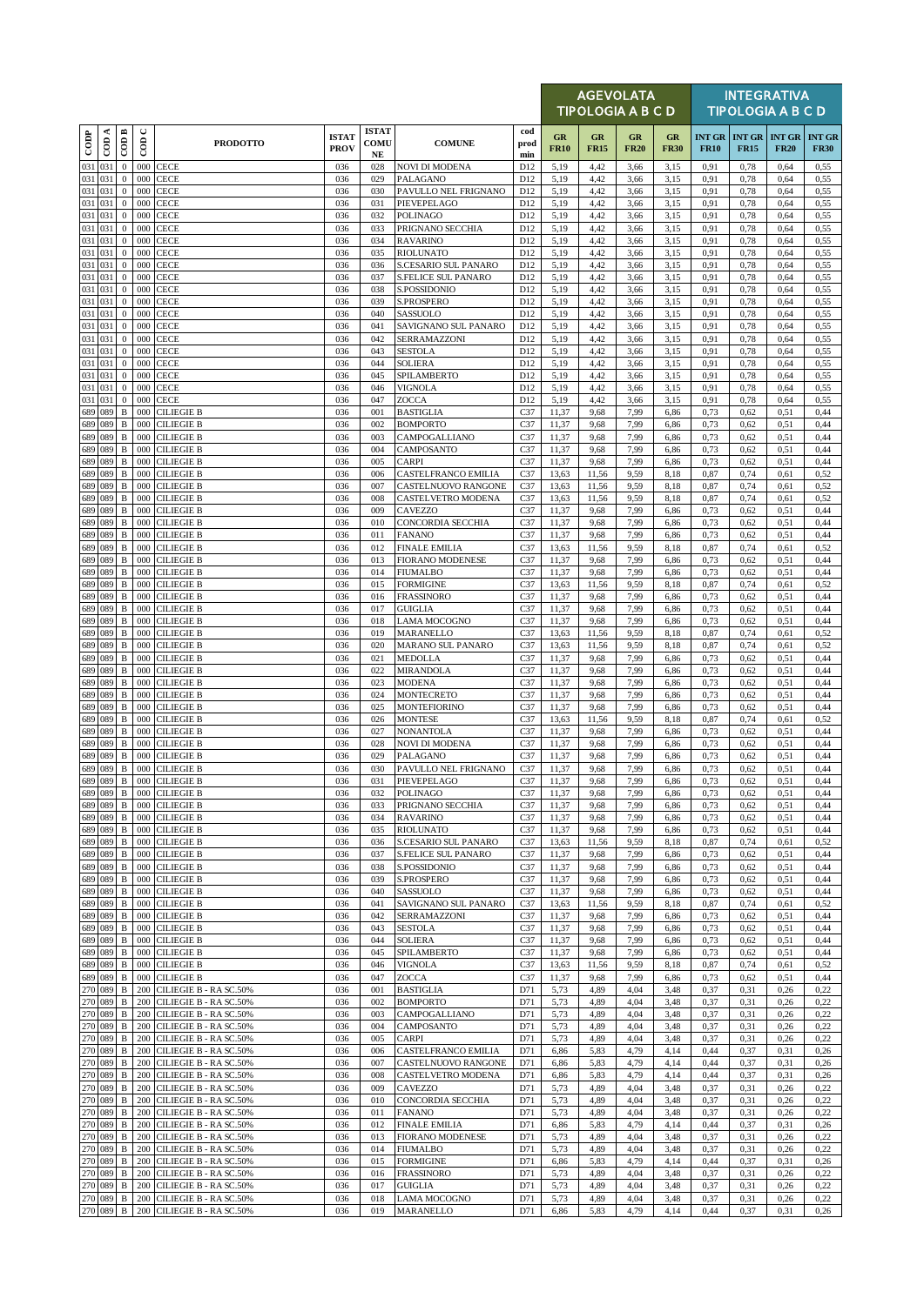|                    |         |                              |             |                                                      |                             |                            |                                                   |                                    |                   |                   | <b>AGEVOLATA</b><br><b>TIPOLOGIA A B C D</b> |                   |                              |                              | <b>INTEGRATIVA</b><br><b>TIPOLOGIA A B C D</b> |                              |
|--------------------|---------|------------------------------|-------------|------------------------------------------------------|-----------------------------|----------------------------|---------------------------------------------------|------------------------------------|-------------------|-------------------|----------------------------------------------|-------------------|------------------------------|------------------------------|------------------------------------------------|------------------------------|
| $_{\rm{cop}}$      | CDA     | CODB                         | $\cup$<br>6 | <b>PRODOTTO</b>                                      | <b>ISTAT</b><br><b>PROV</b> | <b>ISTAT</b><br>COMU<br>NE | <b>COMUNE</b>                                     | cod<br>prod<br>min                 | GR<br><b>FR10</b> | GR<br><b>FR15</b> | <b>GR</b><br><b>FR20</b>                     | GR<br><b>FR30</b> | <b>INT GR</b><br><b>FR10</b> | <b>INT GR</b><br><b>FR15</b> | <b>INT GR</b><br><b>FR20</b>                   | <b>INT GR</b><br><b>FR30</b> |
| 031 031            |         | $\mathbf{0}$                 | 000         | <b>CECE</b>                                          | 036                         | 028                        | <b>NOVI DI MODENA</b>                             | D12                                | 5,19              | 4,42              | 3,66                                         | 3,15              | 0,91                         | 0,78                         | 0,64                                           | 0,55                         |
| 031 031<br>031 031 |         | $\mathbf{0}$<br>$\mathbf{0}$ | 000<br>000  | <b>CECE</b><br><b>CECE</b>                           | 036<br>036                  | 029<br>030                 | PALAGANO<br>PAVULLO NEL FRIGNANO                  | D12<br>D12                         | 5,19<br>5,19      | 4,42<br>4,42      | 3,66<br>3,66                                 | 3,15<br>3,15      | 0.91<br>0,91                 | 0,78<br>0,78                 | 0,64<br>0,64                                   | 0,55<br>0,55                 |
| 031 031            |         | $\mathbf{0}$                 | 000         | <b>CECE</b>                                          | 036                         | 031                        | PIEVEPELAGO                                       | D <sub>12</sub>                    | 5,19              | 4,42              | 3,66                                         | 3,15              | 0.91                         | 0,78                         | 0,64                                           | 0,55                         |
| 031 031            |         | $\mathbf{0}$                 | 000         | <b>CECE</b>                                          | 036                         | 032                        | <b>POLINAGO</b>                                   | D12                                | 5,19              | 4,42              | 3,66                                         | 3,15              | 0.91                         | 0,78                         | 0,64                                           | 0,55                         |
| 031 031<br>031 031 |         | $\mathbf{0}$<br>$\bf{0}$     | 000<br>000  | <b>CECE</b><br><b>CECE</b>                           | 036<br>036                  | 033<br>034                 | PRIGNANO SECCHIA<br><b>RAVARINO</b>               | D12<br>D12                         | 5,19<br>5,19      | 4,42<br>4,42      | 3,66<br>3,66                                 | 3,15<br>3,15      | 0,91<br>0,91                 | 0,78<br>0,78                 | 0,64<br>0,64                                   | 0,55<br>0,55                 |
| 031 031            |         | $\bf{0}$                     | 000         | <b>CECE</b>                                          | 036                         | 035                        | <b>RIOLUNATO</b>                                  | D <sub>12</sub>                    | 5,19              | 4,42              | 3,66                                         | 3,15              | 0,91                         | 0,78                         | 0,64                                           | 0,55                         |
| 031 031<br>031 031 |         | $\mathbf{0}$                 | 000         | CECE                                                 | 036                         | 036                        | S.CESARIO SUL PANARO                              | D12                                | 5,19              | 4,42              | 3,66                                         | 3,15              | 0.91                         | 0,78                         | 0,64                                           | 0,55                         |
| 031 031            |         | $\mathbf{0}$<br>$\bf{0}$     | 000<br>000  | <b>CECE</b><br>CECE                                  | 036<br>036                  | 037<br>038                 | S.FELICE SUL PANARO<br>S.POSSIDONIO               | D <sub>12</sub><br>D <sub>12</sub> | 5,19<br>5,19      | 4,42<br>4,42      | 3,66<br>3,66                                 | 3,15<br>3,15      | 0.91<br>0,91                 | 0,78<br>0,78                 | 0,64<br>0,64                                   | 0,55<br>0,55                 |
| 031 031            |         | $\mathbf{0}$                 | 000         | <b>CECE</b>                                          | 036                         | 039                        | S.PROSPERO                                        | D12                                | 5,19              | 4,42              | 3,66                                         | 3,15              | 0,91                         | 0,78                         | 0,64                                           | 0,55                         |
| 031 031<br>031 031 |         | $\mathbf{0}$<br>$\bf{0}$     | 000<br>000  | <b>CECE</b><br><b>CECE</b>                           | 036<br>036                  | 040<br>041                 | SASSUOLO<br>SAVIGNANO SUL PANARO                  | D12<br>D12                         | 5,19              | 4,42<br>4,42      | 3,66<br>3,66                                 | 3,15<br>3,15      | 0,91<br>0,91                 | 0,78<br>0,78                 | 0,64<br>0,64                                   | 0,55<br>0,55                 |
| 031 031            |         | $\mathbf{0}$                 | 000         | <b>CECE</b>                                          | 036                         | 042                        | SERRAMAZZONI                                      | D12                                | 5,19<br>5,19      | 4,42              | 3,66                                         | 3,15              | 0,91                         | 0,78                         | 0,64                                           | 0,55                         |
| 031 031            |         | $\mathbf{0}$                 | 000         | <b>CECE</b>                                          | 036                         | 043                        | <b>SESTOLA</b>                                    | D12                                | 5,19              | 4,42              | 3,66                                         | 3,15              | 0.91                         | 0,78                         | 0,64                                           | 0,55                         |
| 031 031<br>031 031 |         | $\mathbf{0}$                 | 000<br>000  | <b>CECE</b><br><b>CECE</b>                           | 036                         | 044                        | <b>SOLIERA</b>                                    | D12                                | 5,19              | 4,42              | 3,66                                         | 3,15              | 0,91                         | 0,78                         | 0,64                                           | 0,55                         |
| 031 031            |         | $\bf{0}$<br>$\mathbf{0}$     | 000         | <b>CECE</b>                                          | 036<br>036                  | 045<br>046                 | SPILAMBERTO<br>VIGNOLA                            | D <sub>12</sub><br>D12             | 5,19<br>5,19      | 4,42<br>4,42      | 3,66<br>3,66                                 | 3,15<br>3,15      | 0,91<br>0.91                 | 0,78<br>0,78                 | 0,64<br>0,64                                   | 0,55<br>0,55                 |
| 031 031            |         | $\mathbf{0}$                 | 000         | <b>CECE</b>                                          | 036                         | 047                        | ZOCCA                                             | D12                                | 5,19              | 4,42              | 3,66                                         | 3,15              | 0,91                         | 0,78                         | 0,64                                           | 0,55                         |
| 689 089<br>689 089 |         | B<br>B                       | 000<br>000  | <b>CILIEGIE B</b><br><b>CILIEGIE B</b>               | 036<br>036                  | 001<br>002                 | <b>BASTIGLIA</b><br><b>BOMPORTO</b>               | C <sub>37</sub><br>C37             | 11,37<br>11,37    | 9,68<br>9,68      | 7,99<br>7,99                                 | 6,86<br>6,86      | 0,73<br>0,73                 | 0,62<br>0,62                 | 0,51<br>0,51                                   | 0,44<br>0,44                 |
| 689 089            |         | $\, {\bf B}$                 | 000         | <b>CILIEGIE B</b>                                    | 036                         | 003                        | CAMPOGALLIANO                                     | C37                                | 11,37             | 9,68              | 7,99                                         | 6,86              | 0,73                         | 0,62                         | 0,51                                           | 0,44                         |
| 689 089            |         | B                            | 000         | <b>CILIEGIE B</b>                                    | 036                         | 004                        | CAMPOSANTO                                        | C <sub>37</sub>                    | 11,37             | 9,68              | 7,99                                         | 6,86              | 0,73                         | 0,62                         | 0,51                                           | 0,44                         |
| 689 089            |         | $\, {\bf B}$                 | 000         | <b>CILIEGIE B</b>                                    | 036                         | 005                        | <b>CARPI</b>                                      | C <sub>37</sub>                    | 11,37             | 9,68              | 7,99                                         | 6,86              | 0,73                         | 0,62                         | 0,51                                           | 0,44                         |
| 689 089<br>689 089 |         | B<br>$\, {\bf B}$            | 000<br>000  | <b>CILIEGIE B</b><br><b>CILIEGIE B</b>               | 036<br>036                  | 006<br>007                 | <b>CASTELFRANCO EMILIA</b><br>CASTELNUOVO RANGONE | C37<br>C37                         | 13,63<br>13,63    | 11,56<br>11,56    | 9,59<br>9,59                                 | 8,18<br>8,18      | 0,87<br>0,87                 | 0,74<br>0,74                 | 0,61<br>0,61                                   | 0,52<br>0,52                 |
| 689 089            |         | $\, {\bf B}$                 | 000         | <b>CILIEGIE B</b>                                    | 036                         | 008                        | CASTELVETRO MODENA                                | C37                                | 13,63             | 11,56             | 9,59                                         | 8,18              | 0,87                         | 0,74                         | 0,61                                           | 0,52                         |
| 689 089            |         | $\, {\bf B}$                 | 000         | <b>CILIEGIE B</b>                                    | 036                         | 009                        | CAVEZZO                                           | C <sub>37</sub>                    | 11,37             | 9,68              | 7,99                                         | 6,86              | 0,73                         | 0,62                         | 0,51                                           | 0,44                         |
| 689 089<br>689 089 |         | $\, {\bf B}$<br>$\, {\bf B}$ | 000         | 000 CILIEGIE B<br><b>CILIEGIE B</b>                  | 036<br>036                  | 010<br>011                 | CONCORDIA SECCHIA<br><b>FANANO</b>                | C37<br>C <sub>37</sub>             | 11,37<br>11,37    | 9,68<br>9,68      | 7,99<br>7,99                                 | 6,86<br>6,86      | 0,73<br>0,73                 | 0,62<br>0,62                 | 0,51<br>0,51                                   | 0,44<br>0,44                 |
| 689 089            |         | $\, {\bf B}$                 | 000         | <b>CILIEGIE B</b>                                    | 036                         | 012                        | <b>FINALE EMILIA</b>                              | C <sub>37</sub>                    | 13,63             | 11,56             | 9,59                                         | 8,18              | 0,87                         | 0,74                         | 0,61                                           | 0,52                         |
| 689 089            |         | $\, {\bf B}$                 | 000         | <b>CILIEGIE B</b>                                    | 036                         | 013                        | <b>FIORANO MODENESE</b>                           | C37                                | 11,37             | 9,68              | 7,99                                         | 6,86              | 0,73                         | 0,62                         | 0,51                                           | 0,44                         |
| 689 089<br>689 089 |         | $\, {\bf B}$<br>В            | 000<br>000  | <b>CILIEGIE B</b><br><b>CILIEGIE B</b>               | 036<br>036                  | 014<br>015                 | <b>FIUMALBO</b><br><b>FORMIGINE</b>               | C37<br>C <sub>37</sub>             | 11,37<br>13,63    | 9,68<br>11,56     | 7,99<br>9,59                                 | 6,86<br>8,18      | 0,73<br>0,87                 | 0,62<br>0,74                 | 0,51<br>0,61                                   | 0,44<br>0,52                 |
| 689 089            |         | $\, {\bf B}$                 | 000         | <b>CILIEGIE B</b>                                    | 036                         | 016                        | <b>FRASSINORO</b>                                 | C37                                | 11,37             | 9,68              | 7,99                                         | 6,86              | 0,73                         | 0.62                         | 0,51                                           | 0,44                         |
| 689 089            |         | $\, {\bf B}$                 | 000         | <b>CILIEGIE B</b>                                    | 036                         | 017                        | GUIGLIA                                           | C37                                | 11,37             | 9,68              | 7,99                                         | 6,86              | 0,73                         | 0,62                         | 0,51                                           | 0,44                         |
| 689 089<br>689 089 |         | $\, {\bf B}$<br>$\, {\bf B}$ | 000<br>000  | <b>CILIEGIE B</b><br><b>CILIEGIE B</b>               | 036<br>036                  | 018<br>019                 | LAMA MOCOGNO<br>MARANELLO                         | C <sub>37</sub><br>C <sub>37</sub> | 11,37<br>13,63    | 9,68<br>11,56     | 7,99<br>9,59                                 | 6,86<br>8,18      | 0,73<br>0,87                 | 0,62<br>0,74                 | 0,51<br>0,61                                   | 0,44<br>0,52                 |
| 689 089            |         | $\, {\bf B}$                 | 000         | <b>CILIEGIE B</b>                                    | 036                         | 020                        | <b>MARANO SUL PANARO</b>                          | C37                                | 13,63             | 11,56             | 9,59                                         | 8,18              | 0,87                         | 0,74                         | 0,61                                           | 0,52                         |
| 689 089            |         | $\, {\bf B}$                 | 000         | <b>CILIEGIE B</b>                                    | 036                         | 021                        | <b>MEDOLLA</b>                                    | C37                                | 11,37             | 9,68              | 7,99                                         | 6,86              | 0,73                         | 0,62                         | 0,51                                           | 0,44                         |
| 689<br>689 089     | 089     | $\, {\bf B}$<br>$\, {\bf B}$ | 000<br>000  | <b>CILIEGIE B</b><br><b>CILIEGIE B</b>               | 036<br>036                  | 022<br>023                 | MIRANDOLA<br><b>MODENA</b>                        | C37<br>C37                         | 11,37<br>11,37    | 9,68<br>9,68      | 7,99<br>7,99                                 | 6,86<br>6,86      | 0,73<br>0,73                 | 0.62<br>0,62                 | 0,51<br>0,51                                   | 0,44<br>0,44                 |
| 689 089            |         | $\mathbf B$                  | 000         | <b>CILIEGIE B</b>                                    | 036                         | 024                        | <b>MONTECRETO</b>                                 | C <sub>37</sub>                    | 11,37             | 9,68              | 7,99                                         | 6,86              | 0,73                         | 0,62                         | 0,51                                           | 0,44                         |
| 689 089            |         | $\, {\bf B}$                 | 000         | <b>CILIEGIE B</b>                                    | 036                         | 025                        | <b>MONTEFIORINO</b>                               | C37                                | 11,37             | 9,68              | 7,99                                         | 6,86              | 0,73                         | 0,62                         | 0,51                                           | 0,44                         |
| 689 089<br>689 089 |         | $\, {\bf B}$<br>$\, {\bf B}$ | 000<br>000  | <b>CILIEGIE B</b><br><b>CILIEGIE B</b>               | 036<br>036                  | 026<br>027                 | <b>MONTESE</b><br>NONANTOLA                       | C37<br>C37                         | 13,63<br>11,37    | 11,56<br>9,68     | 9.59<br>7,99                                 | 8,18<br>6,86      | 0,87<br>0,73                 | 0,74<br>0,62                 | 0,61<br>0,51                                   | 0,52<br>0,44                 |
| 689 089            |         | $\, {\bf B}$                 | 000         | <b>CILIEGIE B</b>                                    | 036                         | 028                        | <b>NOVI DI MODENA</b>                             | C <sub>37</sub>                    | 11,37             | 9,68              | 7,99                                         | 6,86              | 0,73                         | 0,62                         | 0,51                                           | 0,44                         |
| 689 089            |         | B                            | 000         | <b>CILIEGIE B</b>                                    | 036                         | 029                        | PALAGANO                                          | C <sub>37</sub>                    | 11,37             | 9,68              | 7,99                                         | 6,86              | 0,73                         | 0,62                         | 0,51                                           | 0,44                         |
| 689 089<br>689 089 |         | $\, {\bf B}$                 |             | 000 CILIEGIE B<br><b>B</b> 000 CILIEGIE B            | 036<br>036                  | 030<br>031                 | PAVULLO NEL FRIGNANO<br>PIEVEPELAGO               | C37<br>C37                         | 11,37<br>11,37    | 9,68<br>9.68      | 7,99<br>7.99                                 | 6,86<br>6.86      | 0,73<br>0,73                 | 0,62<br>0.62                 | 0,51<br>0,51                                   | 0,44<br>0.44                 |
|                    | 689 089 | $\, {\bf B}$                 |             | 000 CILIEGIE B                                       | 036                         | 032                        | POLINAGO                                          | C <sub>37</sub>                    | 11,37             | 9,68              | 7,99                                         | 6,86              | 0,73                         | 0,62                         | 0,51                                           | 0,44                         |
| 689 089            |         | B                            | 000         | <b>CILIEGIE B</b>                                    | 036                         | 033                        | PRIGNANO SECCHIA                                  | C37                                | 11,37             | 9,68              | 7,99                                         | 6,86              | 0,73                         | 0,62                         | 0,51                                           | 0,44                         |
| 689 089            | 689 089 | $\, {\bf B}$<br>B            | 000         | <b>CILIEGIE B</b><br>000 CILIEGIE B                  | 036<br>036                  | 034<br>035                 | <b>RAVARINO</b><br><b>RIOLUNATO</b>               | C <sub>37</sub><br>C37             | 11,37<br>11,37    | 9,68<br>9,68      | 7,99<br>7,99                                 | 6,86<br>6,86      | 0,73<br>0,73                 | 0,62<br>0,62                 | 0,51<br>0,51                                   | 0,44<br>0,44                 |
| 689 089            |         | $\, {\bf B}$                 | 000         | <b>CILIEGIE B</b>                                    | 036                         | 036                        | <b>S.CESARIO SUL PANARO</b>                       | C <sub>37</sub>                    | 13,63             | 11,56             | 9,59                                         | 8,18              | 0,87                         | 0,74                         | 0,61                                           | 0,52                         |
| 689 089            |         | $\, {\bf B}$                 | 000         | <b>CILIEGIE B</b>                                    | 036                         | 037                        | S.FELICE SUL PANARO                               | C37                                | 11,37             | 9,68              | 7,99                                         | 6,86              | 0,73                         | 0,62                         | 0,51                                           | 0,44                         |
| 689 089<br>689 089 |         | B<br>$\, {\bf B}$            | 000         | 000 CILIEGIE B<br><b>CILIEGIE B</b>                  | 036<br>036                  | 038<br>039                 | S.POSSIDONIO<br>S.PROSPERO                        | C <sub>37</sub><br>C37             | 11,37<br>11,37    | 9,68<br>9,68      | 7,99<br>7,99                                 | 6,86<br>6,86      | 0,73<br>0,73                 | 0,62<br>0,62                 | 0,51<br>0,51                                   | 0,44<br>0,44                 |
| 689 089            |         | B                            | 000         | <b>CILIEGIE B</b>                                    | 036                         | 040                        | SASSUOLO                                          | C <sub>37</sub>                    | 11,37             | 9,68              | 7,99                                         | 6,86              | 0,73                         | 0,62                         | 0,51                                           | 0,44                         |
| 689 089            |         | B                            |             | 000 CILIEGIE B                                       | 036                         | 041                        | SAVIGNANO SUL PANARO                              | C37                                | 13,63             | 11,56             | 9,59                                         | 8,18              | 0,87                         | 0,74                         | 0,61                                           | 0,52                         |
| 689 089<br>689 089 |         | $\, {\bf B}$<br>B            | 000         | <b>CILIEGIE B</b><br>000 CILIEGIE B                  | 036<br>036                  | 042<br>043                 | SERRAMAZZONI<br>SESTOLA                           | C37<br>C37                         | 11,37<br>11,37    | 9,68<br>9,68      | 7,99<br>7,99                                 | 6,86<br>6,86      | 0,73<br>0,73                 | 0,62<br>0,62                 | 0,51<br>0,51                                   | 0,44<br>0,44                 |
| 689 089            |         | B                            | 000         | <b>CILIEGIE B</b>                                    | 036                         | 044                        | <b>SOLIERA</b>                                    | C <sub>37</sub>                    | 11,37             | 9,68              | 7,99                                         | 6,86              | 0,73                         | 0,62                         | 0,51                                           | 0,44                         |
| 689 089            |         | B                            | 000         | <b>CILIEGIE B</b>                                    | 036                         | 045                        | SPILAMBERTO                                       | C <sub>37</sub>                    | 11,37             | 9,68              | 7,99                                         | 6,86              | 0,73                         | 0,62                         | 0,51                                           | 0,44                         |
| 689 089<br>689 089 |         | B<br>$\, {\bf B}$            | 000<br>000  | <b>CILIEGIE B</b><br><b>CILIEGIE B</b>               | 036<br>036                  | 046<br>047                 | <b>VIGNOLA</b><br><b>ZOCCA</b>                    | C37<br>C <sub>37</sub>             | 13,63<br>11,37    | 11,56<br>9,68     | 9,59<br>7,99                                 | 8,18<br>6,86      | 0,87<br>0,73                 | 0,74<br>0.62                 | 0,61<br>0,51                                   | 0,52<br>0,44                 |
| 270 089            |         | $\, {\bf B}$                 | 200         | CILIEGIE B - RA SC.50%                               | 036                         | 001                        | <b>BASTIGLIA</b>                                  | D71                                | 5,73              | 4,89              | 4,04                                         | 3,48              | 0,37                         | 0,31                         | 0,26                                           | 0,22                         |
| 270 089            |         | $\, {\bf B}$                 |             | 200 CILIEGIE B - RA SC.50%                           | 036                         | 002                        | <b>BOMPORTO</b>                                   | D71                                | 5,73              | 4,89              | 4,04                                         | 3,48              | 0,37                         | 0,31                         | 0,26                                           | 0,22                         |
| 270 089<br>270 089 |         | $\, {\bf B}$<br>B            | 200<br>200  | CILIEGIE B - RA SC.50%<br>CILIEGIE B - RA SC.50%     | 036<br>036                  | 003<br>004                 | CAMPOGALLIANO<br>CAMPOSANTO                       | D71<br>D71                         | 5,73<br>5,73      | 4,89<br>4,89      | 4,04<br>4,04                                 | 3,48<br>3,48      | 0,37<br>0,37                 | 0,31<br>0,31                 | 0,26<br>0,26                                   | 0,22<br>0,22                 |
| 270 089            |         | В                            | 200         | CILIEGIE B - RA SC.50%                               | 036                         | 005                        | CARPI                                             | D71                                | 5,73              | 4,89              | 4,04                                         | 3,48              | 0,37                         | 0,31                         | 0,26                                           | 0,22                         |
| 270 089            |         | $\, {\bf B}$                 | 200         | CILIEGIE B - RA SC.50%                               | 036                         | 006                        | CASTELFRANCO EMILIA                               | D71                                | 6,86              | 5,83              | 4,79                                         | 4,14              | 0,44                         | 0,37                         | 0,31                                           | 0,26                         |
| 270 089<br>270 089 |         | B<br>B                       | 200<br>200  | CILIEGIE B - RA SC.50%<br>CILIEGIE B - RA SC.50%     | 036<br>036                  | 007<br>008                 | CASTELNUOVO RANGONE<br>CASTELVETRO MODENA         | D71<br>D71                         | 6,86<br>6,86      | 5,83<br>5,83      | 4,79<br>4,79                                 | 4,14<br>4,14      | 0,44<br>0,44                 | 0,37<br>0,37                 | 0,31<br>0,31                                   | 0,26<br>0,26                 |
| 270 089            |         | B                            | 200         | CILIEGIE B - RA SC.50%                               | 036                         | 009                        | CAVEZZO                                           | D71                                | 5,73              | 4,89              | 4,04                                         | 3,48              | 0,37                         | 0,31                         | 0,26                                           | 0,22                         |
| 270 089            |         | B                            | 200         | CILIEGIE B - RA SC.50%                               | 036                         | 010                        | CONCORDIA SECCHIA                                 | D71                                | 5,73              | 4,89              | 4,04                                         | 3,48              | 0,37                         | 0,31                         | 0,26                                           | 0,22                         |
| 270 089<br>270 089 |         | B<br>B                       | 200<br>200  | CILIEGIE B - RA SC.50%<br>CILIEGIE B - RA SC.50%     | 036<br>036                  | 011<br>012                 | <b>FANANO</b><br><b>FINALE EMILIA</b>             | D71<br>D71                         | 5,73<br>6,86      | 4,89<br>5,83      | 4,04<br>4,79                                 | 3,48<br>4,14      | 0,37<br>0,44                 | 0,31<br>0,37                 | 0,26<br>0,31                                   | 0,22<br>0,26                 |
| 270 089            |         | B                            | 200         | CILIEGIE B - RA SC.50%                               | 036                         | 013                        | <b>FIORANO MODENESE</b>                           | D71                                | 5,73              | 4,89              | 4,04                                         | 3,48              | 0,37                         | 0,31                         | 0,26                                           | 0,22                         |
| 270 089            |         | B                            | 200         | CILIEGIE B - RA SC.50%                               | 036                         | 014                        | <b>FIUMALBO</b>                                   | D71                                | 5,73              | 4,89              | 4,04                                         | 3,48              | 0,37                         | 0,31                         | 0,26                                           | 0,22                         |
| 270 089<br>270 089 |         | $\, {\bf B}$                 | 200         | CILIEGIE B - RA SC.50%<br>200 CILIEGIE B - RA SC.50% | 036<br>036                  | 015                        | <b>FORMIGINE</b><br><b>FRASSINORO</b>             | D71<br>D71                         | 6,86<br>5,73      | 5,83<br>4,89      | 4,79<br>4,04                                 | 4,14<br>3,48      | 0,44<br>0,37                 | 0,37<br>0,31                 | 0,31<br>0,26                                   | 0,26<br>0,22                 |
| 270 089            |         | B<br>B                       | 200         | CILIEGIE B - RA SC.50%                               | 036                         | 016<br>017                 | GUIGLIA                                           | D71                                | 5,73              | 4,89              | 4,04                                         | 3,48              | 0,37                         | 0,31                         | 0,26                                           | 0,22                         |
| 270 089            |         | B                            |             | 200 CILIEGIE B - RA SC.50%                           | 036                         | 018                        | LAMA MOCOGNO                                      | D71                                | 5,73              | 4,89              | 4,04                                         | 3,48              | 0,37                         | 0,31                         | 0,26                                           | 0,22                         |
| 270 089            |         | $\, {\bf B}$                 |             | 200 CILIEGIE B - RA SC.50%                           | 036                         | 019                        | MARANELLO                                         | D71                                | 6,86              | 5,83              | 4,79                                         | 4,14              | 0,44                         | 0,37                         | 0,31                                           | 0,26                         |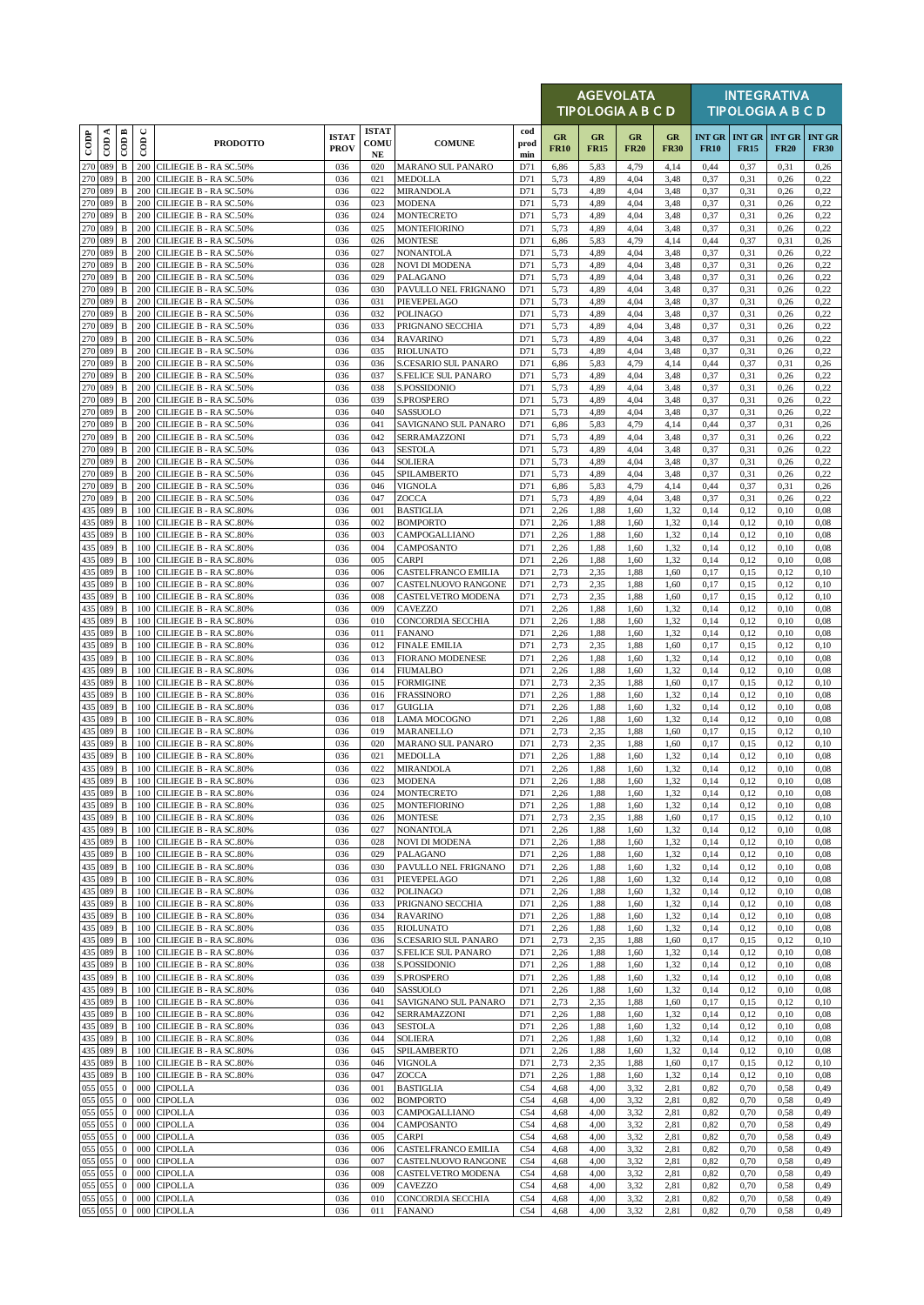|                    |                    |                              |               |                                                      |                             |                                  |                                             |                    |                          | <b>AGEVOLATA</b><br>TIPOLOGIA A B C D |                   |                   |              |                                                | <b>INTEGRATIVA</b><br><b>TIPOLOGIA A B C D</b> |                              |
|--------------------|--------------------|------------------------------|---------------|------------------------------------------------------|-----------------------------|----------------------------------|---------------------------------------------|--------------------|--------------------------|---------------------------------------|-------------------|-------------------|--------------|------------------------------------------------|------------------------------------------------|------------------------------|
| $\overline{1000}$  | CDA                | COD B                        | $\cup$<br>600 | <b>PRODOTTO</b>                                      | <b>ISTAT</b><br><b>PROV</b> | <b>ISTAT</b><br>COMU<br>$\bf NE$ | <b>COMUNE</b>                               | cod<br>prod<br>min | <b>GR</b><br><b>FR10</b> | GR<br><b>FR15</b>                     | GR<br><b>FR20</b> | GR<br><b>FR30</b> | <b>FR10</b>  | <b>INT GR   INT GR   INT GR</b><br><b>FR15</b> | <b>FR20</b>                                    | <b>INT GR</b><br><b>FR30</b> |
| 270                | 089                | $\, {\bf B}$                 | 200           | CILIEGIE B - RA SC.50%                               | 036                         | 020                              | <b>MARANO SUL PANARO</b>                    | D71                | 6,86                     | 5,83                                  | 4,79              | 4,14              | 0,44         | 0,37                                           | 0,31                                           | 0,26                         |
| 270<br>270 089     | 089                | $\, {\bf B}$<br>$\, {\bf B}$ | 200<br>200    | CILIEGIE B - RA SC.50%<br>CILIEGIE B - RA SC.50%     | 036<br>036                  | 021<br>022                       | MEDOLLA<br>MIRANDOLA                        | D71<br>D71         | 5,73<br>5,73             | 4,89<br>4,89                          | 4,04<br>4.04      | 3,48<br>3,48      | 0,37<br>0,37 | 0,31<br>0,31                                   | 0,26<br>0,26                                   | 0,22<br>0,22                 |
| 270                | 089                | $\, {\bf B}$                 | 200           | CILIEGIE B - RA SC.50%                               | 036                         | 023                              | <b>MODENA</b>                               | D71                | 5,73                     | 4,89                                  | 4,04              | 3,48              | 0,37         | 0,31                                           | 0,26                                           | 0,22                         |
| 270<br>270         | 089<br>089         | $\, {\bf B}$<br>$\, {\bf B}$ | 200<br>200    | CILIEGIE B - RA SC.50%<br>CILIEGIE B - RA SC.50%     | 036<br>036                  | 024<br>025                       | <b>MONTECRETO</b><br><b>MONTEFIORINO</b>    | D71<br>D71         | 5,73<br>5,73             | 4,89<br>4,89                          | 4,04<br>4,04      | 3,48<br>3,48      | 0,37<br>0,37 | 0,31<br>0,31                                   | 0,26<br>0,26                                   | 0,22<br>0,22                 |
| 270                | 089                | $\, {\bf B}$                 | 200           | CILIEGIE B - RA SC.50%                               | 036                         | 026                              | <b>MONTESE</b>                              | D71                | 6,86                     | 5,83                                  | 4,79              | 4,14              | 0,44         | 0,37                                           | 0,31                                           | 0,26                         |
| 270                | 089<br>270 089     | $\, {\bf B}$<br>$\, {\bf B}$ | 200<br>200    | CILIEGIE B - RA SC.50%<br>CILIEGIE B - RA SC.50%     | 036<br>036                  | 027<br>028                       | NONANTOLA<br>NOVI DI MODENA                 | D71<br>D71         | 5,73<br>5,73             | 4,89<br>4,89                          | 4,04<br>4,04      | 3,48<br>3,48      | 0,37<br>0,37 | 0,31<br>0,31                                   | 0,26<br>0,26                                   | 0,22<br>0,22                 |
| 270                | 089                | $\, {\bf B}$                 | 200           | CILIEGIE B - RA SC.50%                               | 036                         | 029                              | PALAGANO                                    | D71                | 5,73                     | 4,89                                  | 4.04              | 3,48              | 0,37         | 0,31                                           | 0,26                                           | 0,22                         |
| 270<br>270 089     | 089                | B<br>B                       | 200<br>200    | CILIEGIE B - RA SC.50%<br>CILIEGIE B - RA SC.50%     | 036<br>036                  | 030<br>031                       | PAVULLO NEL FRIGNANO<br>PIEVEPELAGO         | D71<br>D71         | 5,73<br>5,73             | 4,89<br>4,89                          | 4,04<br>4,04      | 3,48<br>3,48      | 0,37<br>0,37 | 0,31<br>0,31                                   | 0,26<br>0,26                                   | 0,22<br>0,22                 |
| 270 089            |                    | $\, {\bf B}$                 | 200           | CILIEGIE B - RA SC.50%                               | 036                         | 032                              | POLINAGO                                    | D71                | 5,73                     | 4,89                                  | 4,04              | 3,48              | 0,37         | 0,31                                           | 0,26                                           | 0,22                         |
| 270<br>270         | 089<br>089         | $\, {\bf B}$<br>B            | 200<br>200    | CILIEGIE B - RA SC.50%<br>CILIEGIE B - RA SC.50%     | 036<br>036                  | 033<br>034                       | PRIGNANO SECCHIA<br><b>RAVARINO</b>         | D71<br>D71         | 5,73<br>5,73             | 4,89<br>4,89                          | 4.04<br>4,04      | 3,48<br>3,48      | 0,37<br>0,37 | 0,31<br>0,31                                   | 0,26<br>0,26                                   | 0,22<br>0,22                 |
| 270                | 089                | $\, {\bf B}$                 | 200           | CILIEGIE B - RA SC.50%                               | 036                         | 035                              | <b>RIOLUNATO</b>                            | D71                | 5,73                     | 4,89                                  | 4,04              | 3,48              | 0,37         | 0,31                                           | 0,26                                           | 0,22                         |
| 270 089            |                    | B                            | 200           | CILIEGIE B - RA SC.50%                               | 036                         | 036                              | S.CESARIO SUL PANARO                        | D71                | 6,86                     | 5,83                                  | 4,79              | 4,14              | 0,44         | 0,37                                           | 0,31                                           | 0,26                         |
| 270 089<br>270 089 |                    | B<br>B                       | 200<br>200    | CILIEGIE B - RA SC.50%<br>CILIEGIE B - RA SC.50%     | 036<br>036                  | 037<br>038                       | S.FELICE SUL PANARO<br>S.POSSIDONIO         | D71<br>D71         | 5,73<br>5,73             | 4,89<br>4,89                          | 4,04<br>4,04      | 3,48<br>3,48      | 0,37<br>0,37 | 0,31<br>0,31                                   | 0,26<br>0,26                                   | 0,22<br>0,22                 |
| 270                | 089                | $\, {\bf B}$                 | 200           | CILIEGIE B - RA SC.50%                               | 036                         | 039                              | S.PROSPERO                                  | D71                | 5,73                     | 4,89                                  | 4,04              | 3,48              | 0,37         | 0,31                                           | 0,26                                           | 0,22                         |
| 270<br>270 089     | 089                | $\, {\bf B}$<br>B            | 200<br>200    | CILIEGIE B - RA SC.50%<br>CILIEGIE B - RA SC.50%     | 036<br>036                  | 040<br>041                       | SASSUOLO<br>SAVIGNANO SUL PANARO            | D71<br>D71         | 5,73<br>6,86             | 4,89<br>5,83                          | 4,04<br>4,79      | 3,48<br>4,14      | 0,37<br>0,44 | 0,31<br>0,37                                   | 0,26<br>0,31                                   | 0,22<br>0,26                 |
| 270                | 089                | $\, {\bf B}$                 | 200           | CILIEGIE B - RA SC.50%                               | 036                         | 042                              | SERRAMAZZONI                                | D71                | 5,73                     | 4,89                                  | 4,04              | 3,48              | 0,37         | 0,31                                           | 0,26                                           | 0,22                         |
| 270                | 089                | $\, {\bf B}$                 | 200           | CILIEGIE B - RA SC.50%                               | 036                         | 043                              | <b>SESTOLA</b>                              | D71                | 5,73                     | 4,89                                  | 4.04              | 3,48              | 0,37         | 0,31                                           | 0,26                                           | 0,22                         |
| 270<br>270         | 089<br>089         | B<br>B                       | 200<br>200    | CILIEGIE B - RA SC.50%<br>CILIEGIE B - RA SC.50%     | 036<br>036                  | 044<br>045                       | SOLIERA<br>SPILAMBERTO                      | D71<br>D71         | 5,73<br>5,73             | 4,89<br>4,89                          | 4,04<br>4,04      | 3,48<br>3,48      | 0,37<br>0,37 | 0,31<br>0,31                                   | 0,26<br>0,26                                   | 0,22<br>0,22                 |
| 270                | 089                | $\, {\bf B}$                 | 200           | CILIEGIE B - RA SC.50%                               | 036                         | 046                              | VIGNOLA                                     | D71                | 6,86                     | 5,83                                  | 4,79              | 4,14              | 0,44         | 0,37                                           | 0,31                                           | 0,26                         |
| 270<br>435         | 089<br>089         | $\, {\bf B}$<br>$\, {\bf B}$ | 200<br>100    | CILIEGIE B - RA SC.50%<br>CILIEGIE B - RA SC.80%     | 036<br>036                  | 047<br>001                       | ZOCCA<br><b>BASTIGLIA</b>                   | D71<br>D71         | 5,73<br>2,26             | 4,89<br>1,88                          | 4.04<br>1,60      | 3,48<br>1,32      | 0,37<br>0,14 | 0,31<br>0,12                                   | 0,26<br>0,10                                   | 0,22<br>0.08                 |
| 435                | 089                | $\, {\bf B}$                 | 100           | CILIEGIE B - RA SC.80%                               | 036                         | 002                              | <b>BOMPORTO</b>                             | D71                | 2,26                     | 1,88                                  | 1,60              | 1,32              | 0,14         | 0,12                                           | 0,10                                           | 0.08                         |
| 435<br>435         | 089<br>089         | B<br>$\, {\bf B}$            | 100<br>100    | CILIEGIE B - RA SC.80%<br>CILIEGIE B - RA SC.80%     | 036<br>036                  | 003<br>004                       | CAMPOGALLIANO<br>CAMPOSANTO                 | D71<br>D71         | 2,26<br>2,26             | 1,88<br>1,88                          | 1,60<br>1,60      | 1,32<br>1,32      | 0,14<br>0,14 | 0,12<br>0,12                                   | 0,10<br>0,10                                   | 0.08<br>0.08                 |
| 435                | 089                | $\, {\bf B}$                 | 100           | CILIEGIE B - RA SC.80%                               | 036                         | 005                              | <b>CARPI</b>                                | D71                | 2,26                     | 1,88                                  | 1,60              | 1,32              | 0,14         | 0,12                                           | 0,10                                           | 0.08                         |
| 435                | 089                | $\, {\bf B}$                 | 100           | CILIEGIE B - RA SC.80%                               | 036                         | 006                              | CASTELFRANCO EMILIA                         | D71                | 2,73                     | 2,35                                  | 1,88              | 1,60              | 0,17         | 0,15                                           | 0,12                                           | 0,10                         |
| 435<br>435         | 089<br>089         | $\mathbf B$<br>B             | 100<br>100    | CILIEGIE B - RA SC.80%<br>CILIEGIE B - RA SC.80%     | 036<br>036                  | 007<br>008                       | CASTELNUOVO RANGONE<br>CASTELVETRO MODENA   | D71<br>D71         | 2,73<br>2,73             | 2,35<br>2,35                          | 1,88<br>1,88      | 1,60<br>1,60      | 0,17<br>0,17 | 0,15<br>0,15                                   | 0,12<br>0,12                                   | 0,10<br>0,10                 |
| 435                | 089                | B                            | 100           | CILIEGIE B - RA SC.80%                               | 036                         | 009                              | CAVEZZO                                     | D71                | 2,26                     | 1,88                                  | 1,60              | 1,32              | 0,14         | 0,12                                           | 0,10                                           | 0,08                         |
| 435<br>435         | 089<br>089         | $\, {\bf B}$<br>B            | 100<br>100    | CILIEGIE B - RA SC.80%<br>CILIEGIE B - RA SC.80%     | 036<br>036                  | 010<br>011                       | CONCORDIA SECCHIA<br><b>FANANO</b>          | D71<br>D71         | 2,26<br>2,26             | 1,88<br>1,88                          | 1,60<br>1,60      | 1,32<br>1,32      | 0,14<br>0,14 | 0,12<br>0,12                                   | 0,10<br>0,10                                   | 0.08<br>0.08                 |
| 435                | 089                | B                            | 100           | CILIEGIE B - RA SC.80%                               | 036                         | 012                              | <b>FINALE EMILIA</b>                        | D71                | 2,73                     | 2,35                                  | 1,88              | 1,60              | 0,17         | 0,15                                           | 0,12                                           | 0,10                         |
| 435<br>435         | 089<br>089         | $\, {\bf B}$<br>$\, {\bf B}$ | 100<br>100    | CILIEGIE B - RA SC.80%<br>CILIEGIE B - RA SC.80%     | 036<br>036                  | 013<br>014                       | <b>FIORANO MODENESE</b><br><b>FIUMALBO</b>  | D71<br>D71         | 2,26<br>2,26             | 1,88<br>1,88                          | 1,60<br>1,60      | 1,32<br>1,32      | 0,14<br>0,14 | 0,12<br>0,12                                   | 0,10<br>0,10                                   | 0.08<br>0.08                 |
| 435                | 089                | $\, {\bf B}$                 | 100           | CILIEGIE B - RA SC.80%                               | 036                         | 015                              | <b>FORMIGINE</b>                            | D71                | 2,73                     | 2,35                                  | 1,88              | 1,60              | 0,17         | 0,15                                           | 0,12                                           | 0,10                         |
| 435                | 089                | $\, {\bf B}$                 | 100           | CILIEGIE B - RA SC.80%                               | 036                         | 016                              | <b>FRASSINORO</b>                           | D71                | 2,26                     | 1,88                                  | 1,60              | 1,32              | 0,14         | 0,12                                           | 0,10                                           | 0.08                         |
| 435<br>435         | 089<br>089         | B<br>B                       | 100<br>100    | CILIEGIE B - RA SC.80%<br>CILIEGIE B - RA SC.80%     | 036<br>036                  | 017<br>018                       | <b>GUIGLIA</b><br>LAMA MOCOGNO              | D71<br>D71         | 2,26<br>2,26             | 1,88<br>1,88                          | 1,60<br>1,60      | 1,32<br>1,32      | 0,14<br>0,14 | 0,12<br>0,12                                   | 0,10<br>0,10                                   | 0.08<br>0.08                 |
| 435 089            |                    | $\, {\bf B}$                 | 100           | CILIEGIE B - RA SC.80%                               | 036                         | 019                              | MARANELLO                                   | D71                | 2,73                     | 2,35                                  | 1,88              | 1,60              | 0,17         | 0,15                                           | 0,12                                           | 0,10                         |
| 435<br>435         | 089<br>089         | $\, {\bf B}$<br>$\, {\bf B}$ | 100<br>100    | CILIEGIE B - RA SC.80%<br>CILIEGIE B - RA SC.80%     | 036<br>036                  | 020<br>021                       | MARANO SUL PANARO<br>MEDOLLA                | D71<br>D71         | 2,73<br>2,26             | 2,35<br>1,88                          | 1,88<br>1,60      | 1,60<br>1,32      | 0,17<br>0,14 | 0,15<br>0,12                                   | 0,12<br>0,10                                   | 0,10<br>0.08                 |
| 435 089            |                    | $\, {\bf B}$                 |               | 100 CILIEGIE B - RA SC.80%                           | 036                         | 022                              | <b>MIRANDOLA</b>                            | D71                | 2,26                     | 1,88                                  | 1,60              | 1,32              | 0,14         | 0,12                                           | 0,10                                           | 0.08                         |
| 435 089<br>435 089 |                    | $\, {\bf B}$<br>B            | 100           | 100 CILIEGIE B - RA SC.80%<br>CILIEGIE B - RA SC.80% | 036<br>036                  | 023<br>024                       | <b>MODENA</b><br>MONTECRETO                 | D71<br>D71         | 2,26<br>2,26             | 1,88<br>1,88                          | 1,60<br>1,60      | 1,32<br>1,32      | 0,14<br>0,14 | 0,12<br>0,12                                   | 0,10<br>0,10                                   | 0,08<br>0,08                 |
| 435                | 089                | B                            | 100           | CILIEGIE B - RA SC.80%                               | 036                         | 025                              | MONTEFIORINO                                | D71                | 2,26                     | 1,88                                  | 1,60              | 1,32              | 0,14         | 0,12                                           | 0,10                                           | 0,08                         |
|                    | 435 089            | B                            | 100           | CILIEGIE B - RA SC.80%                               | 036                         | 026                              | <b>MONTESE</b>                              | D71                | 2,73                     | 2,35                                  | 1,88              | 1,60              | 0,17         | 0,15                                           | 0,12                                           | 0,10                         |
| 435                | 089<br>435 089     | $\, {\bf B}$<br>$\, {\bf B}$ | 100<br>100    | CILIEGIE B - RA SC.80%<br>CILIEGIE B - RA SC.80%     | 036<br>036                  | 027<br>028                       | NONANTOLA<br>NOVI DI MODENA                 | D71<br>D71         | 2,26<br>2,26             | 1,88<br>1,88                          | 1,60<br>1,60      | 1,32<br>1,32      | 0,14<br>0,14 | 0,12<br>0,12                                   | 0,10<br>0,10                                   | 0.08<br>0,08                 |
|                    | 435 089            | B                            | 100           | CILIEGIE B - RA SC.80%                               | 036                         | 029                              | PALAGANO                                    | D71                | 2,26                     | 1,88                                  | 1,60              | 1,32              | 0,14         | 0,12                                           | 0,10                                           | 0.08                         |
| 435                | 089<br>435 089     | B<br>B                       | 100<br>100    | CILIEGIE B - RA SC.80%<br>CILIEGIE B - RA SC.80%     | 036<br>036                  | 030<br>031                       | PAVULLO NEL FRIGNANO<br>PIEVEPELAGO         | D71<br>D71         | 2,26<br>2,26             | 1,88<br>1,88                          | 1,60<br>1,60      | 1,32<br>1,32      | 0,14<br>0,14 | 0,12<br>0,12                                   | 0,10<br>0,10                                   | 0.08<br>0,08                 |
| 435                | 089                | $\, {\bf B}$                 | 100           | CILIEGIE B - RA SC.80%                               | 036                         | 032                              | <b>POLINAGO</b>                             | D71                | 2,26                     | 1,88                                  | 1,60              | 1,32              | 0,14         | 0,12                                           | 0,10                                           | 0.08                         |
| 435                | 089<br>435 089     | $\, {\bf B}$<br>B            | 100<br>100    | CILIEGIE B - RA SC.80%<br>CILIEGIE B - RA SC.80%     | 036<br>036                  | 033<br>034                       | PRIGNANO SECCHIA<br><b>RAVARINO</b>         | D71<br>D71         | 2,26<br>2,26             | 1,88<br>1,88                          | 1,60<br>1,60      | 1,32<br>1,32      | 0,14<br>0,14 | 0,12<br>0,12                                   | 0,10<br>0,10                                   | 0.08<br>0,08                 |
|                    | 435 089            | $\, {\bf B}$                 | 100           | CILIEGIE B - RA SC.80%                               | 036                         | 035                              | RIOLUNATO                                   | D71                | 2,26                     | 1,88                                  | 1,60              | 1,32              | 0,14         | 0,12                                           | 0,10                                           | 0.08                         |
| 435                | 089<br>435 089     | $\, {\bf B}$<br>B            | 100<br>100    | CILIEGIE B - RA SC.80%<br>CILIEGIE B - RA SC.80%     | 036<br>036                  | 036<br>037                       | S.CESARIO SUL PANARO<br>S.FELICE SUL PANARO | D71<br>D71         | 2,73<br>2,26             | 2,35<br>1,88                          | 1,88<br>1,60      | 1,60<br>1,32      | 0,17<br>0,14 | 0,15<br>0,12                                   | 0,12<br>0,10                                   | 0,10<br>0,08                 |
| 435 089            |                    | $\, {\bf B}$                 | 100           | CILIEGIE B - RA SC.80%                               | 036                         | 038                              | S.POSSIDONIO                                | D71                | 2,26                     | 1,88                                  | 1,60              | 1,32              | 0,14         | 0,12                                           | 0,10                                           | 0.08                         |
| 435                | 089                | B                            | 100           | CILIEGIE B - RA SC.80%                               | 036                         | 039                              | S.PROSPERO                                  | D71                | 2,26                     | 1,88                                  | 1,60              | 1,32              | 0,14         | 0,12                                           | 0,10                                           | 0.08                         |
| 435                | 435 089<br>089     | B<br>$\, {\bf B}$            | 100<br>100    | CILIEGIE B - RA SC.80%<br>CILIEGIE B - RA SC.80%     | 036<br>036                  | 040<br>041                       | SASSUOLO<br>SAVIGNANO SUL PANARO            | D71<br>D71         | 2,26<br>2,73             | 1,88<br>2,35                          | 1,60<br>1,88      | 1,32<br>1,60      | 0,14<br>0,17 | 0,12<br>0,15                                   | 0,10<br>0,12                                   | 0.08<br>0,10                 |
|                    | 435 089            | $\, {\bf B}$                 | 100           | CILIEGIE B - RA SC.80%                               | 036                         | 042                              | SERRAMAZZONI                                | D71                | 2,26                     | 1,88                                  | 1,60              | 1,32              | 0,14         | 0,12                                           | 0,10                                           | 0.08                         |
|                    | 435 089<br>435 089 | B<br>B                       | 100<br>100    | CILIEGIE B - RA SC.80%<br>CILIEGIE B - RA SC.80%     | 036<br>036                  | 043<br>044                       | <b>SESTOLA</b><br>SOLIERA                   | D71<br>D71         | 2,26<br>2,26             | 1,88<br>1,88                          | 1,60<br>1,60      | 1,32<br>1,32      | 0,14<br>0,14 | 0,12<br>0,12                                   | 0,10<br>0,10                                   | 0,08<br>0.08                 |
| 435                | 089                | $\, {\bf B}$                 | 100           | CILIEGIE B - RA SC.80%                               | 036                         | 045                              | SPILAMBERTO                                 | D71                | 2,26                     | 1,88                                  | 1,60              | 1,32              | 0,14         | 0,12                                           | 0,10                                           | 0,08                         |
| 435                | 089                | $\, {\bf B}$                 |               | 100 CILIEGIE B - RA SC.80%                           | 036                         | 046                              | VIGNOLA                                     | D71                | 2,73                     | 2,35                                  | 1,88              | 1,60              | 0,17         | 0,15                                           | 0,12                                           | 0,10                         |
| 435<br>055         | 089<br>055         | $\, {\bf B}$<br>$\mathbf{0}$ | 100<br>000    | CILIEGIE B - RA SC.80%<br><b>CIPOLLA</b>             | 036<br>036                  | 047<br>001                       | ZOCCA<br><b>BASTIGLIA</b>                   | D71<br>C54         | 2,26<br>4,68             | 1,88<br>4,00                          | 1,60<br>3,32      | 1,32<br>2,81      | 0,14<br>0,82 | 0,12<br>0,70                                   | 0,10<br>0,58                                   | 0.08<br>0,49                 |
| 055                | 055                | $\bf{0}$                     | 000           | <b>CIPOLLA</b>                                       | 036                         | 002                              | <b>BOMPORTO</b>                             | C54                | 4,68                     | 4,00                                  | 3,32              | 2,81              | 0.82         | 0,70                                           | 0,58                                           | 0,49                         |
| 055<br>055         | 055<br>055         | $\mathbf{0}$<br>$\mathbf{0}$ | 000<br>000    | <b>CIPOLLA</b><br><b>CIPOLLA</b>                     | 036<br>036                  | 003<br>004                       | CAMPOGALLIANO<br>CAMPOSANTO                 | C54<br>C54         | 4,68<br>4,68             | 4,00<br>4,00                          | 3,32<br>3,32      | 2,81<br>2,81      | 0,82<br>0,82 | 0,70<br>0,70                                   | 0,58<br>0,58                                   | 0,49<br>0,49                 |
| 055                | 055                | $\mathbf{0}$                 | 000           | <b>CIPOLLA</b>                                       | 036                         | 005                              | CARPI                                       | C54                | 4,68                     | 4,00                                  | 3,32              | 2,81              | 0.82         | 0,70                                           | 0,58                                           | 0,49                         |
| 055<br>055         | 055<br>055         | $\bf{0}$<br>$\mathbf{0}$     | 000<br>000    | <b>CIPOLLA</b><br><b>CIPOLLA</b>                     | 036<br>036                  | 006<br>007                       | CASTELFRANCO EMILIA                         | C54                | 4,68                     | 4,00<br>4,00                          | 3,32              | 2,81<br>2,81      | 0,82<br>0,82 | 0,70                                           | 0,58                                           | 0,49<br>0,49                 |
| 055                | 055                | $\bf{0}$                     | 000           | <b>CIPOLLA</b>                                       | 036                         | 008                              | CASTELNUOVO RANGONE<br>CASTELVETRO MODENA   | C54<br>C54         | 4,68<br>4,68             | 4,00                                  | 3,32<br>3,32      | 2,81              | 0,82         | 0,70<br>0,70                                   | 0,58<br>0,58                                   | 0,49                         |
|                    | 055 055            | $\bf{0}$                     | 000           | <b>CIPOLLA</b>                                       | 036                         | 009                              | CAVEZZO                                     | C54                | 4,68                     | 4,00                                  | 3,32              | 2,81              | 0,82         | 0,70                                           | 0,58                                           | 0,49                         |
|                    | 055 055<br>055 055 | $\mathbf{0}$<br>$\mathbf{0}$ |               | 000 CIPOLLA<br>000 CIPOLLA                           | 036<br>036                  | 010<br>011                       | CONCORDIA SECCHIA<br><b>FANANO</b>          | C54<br>C54         | 4,68<br>4,68             | 4,00<br>4,00                          | 3,32<br>3,32      | 2,81<br>2,81      | 0,82<br>0,82 | 0,70<br>0,70                                   | 0,58<br>0,58                                   | 0,49<br>0,49                 |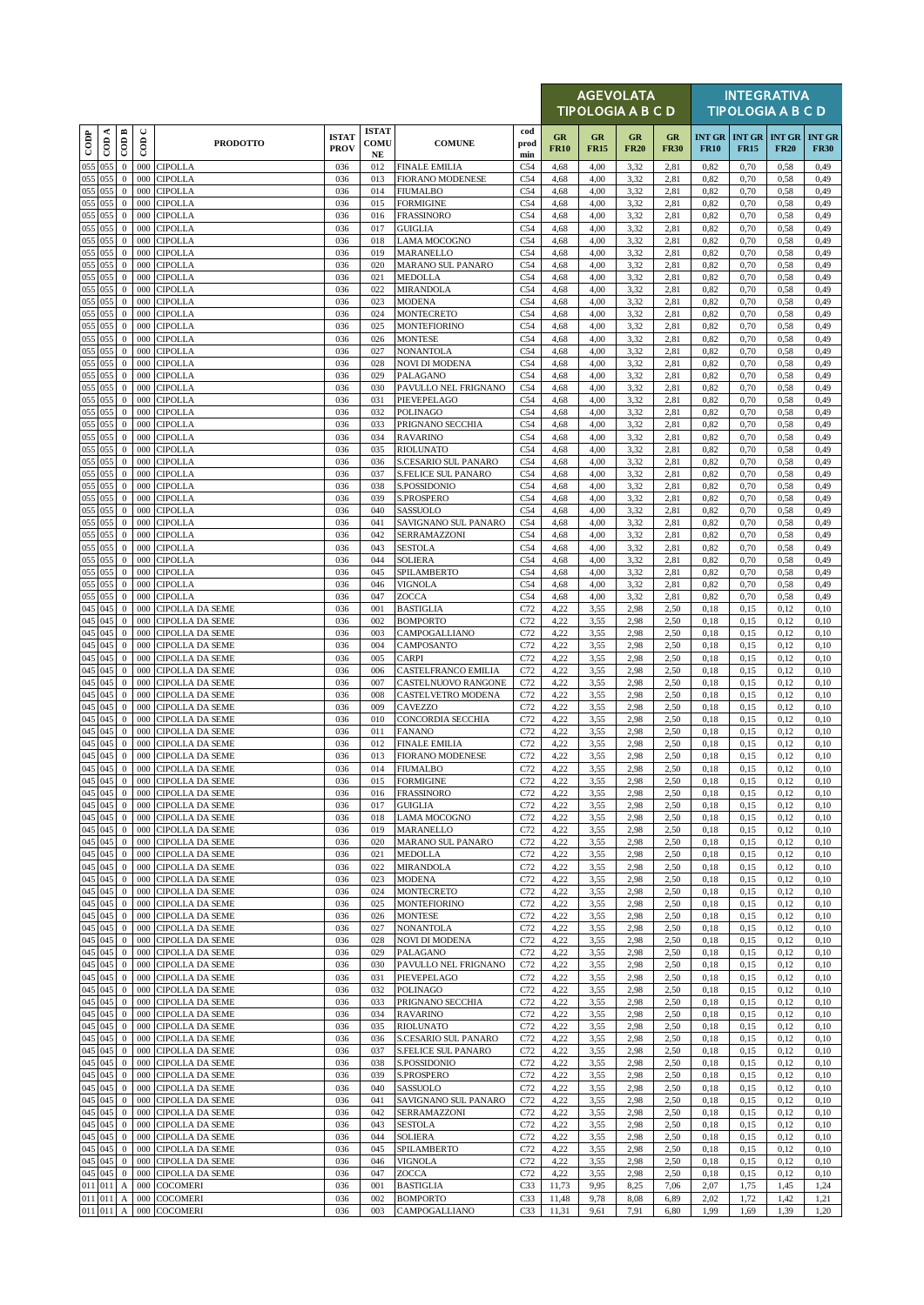|                    |           |                                  |             |                                                  |                             |                                  |                                            |                        |                   | <b>AGEVOLATA</b><br><b>TIPOLOGIA A B C D</b> |                   |                   |                              |                              | <b>INTEGRATIVA</b><br><b>TIPOLOGIA A B C D</b> |                              |
|--------------------|-----------|----------------------------------|-------------|--------------------------------------------------|-----------------------------|----------------------------------|--------------------------------------------|------------------------|-------------------|----------------------------------------------|-------------------|-------------------|------------------------------|------------------------------|------------------------------------------------|------------------------------|
| $_{\rm{cop}}$      | $\cos A$  | CODB                             | $\cup$<br>6 | <b>PRODOTTO</b>                                  | <b>ISTAT</b><br><b>PROV</b> | <b>ISTAT</b><br>COMU<br>$\bf NE$ | <b>COMUNE</b>                              | cod<br>prod<br>min     | GR<br><b>FR10</b> | $_{GR}$<br><b>FR15</b>                       | GR<br><b>FR20</b> | GR<br><b>FR30</b> | <b>INT GR</b><br><b>FR10</b> | <b>INT GR</b><br><b>FR15</b> | <b>INT GR</b><br><b>FR20</b>                   | <b>INT GR</b><br><b>FR30</b> |
| 055                | 055       | $\mathbf{0}$                     | 000         | <b>CIPOLLA</b>                                   | 036                         | 012                              | <b>FINALE EMILIA</b>                       | C54                    | 4,68              | 4,00                                         | 3,32              | 2,81              | 0,82                         | 0,70                         | 0,58                                           | 0,49                         |
| 055 055<br>055 055 |           | $\boldsymbol{0}$<br>$\mathbf{0}$ | 000<br>000  | <b>CIPOLLA</b><br><b>CIPOLLA</b>                 | 036<br>036                  | 013<br>014                       | <b>FIORANO MODENESE</b><br><b>FIUMALBO</b> | C54<br>C54             | 4,68<br>4,68      | 4,00<br>4,00                                 | 3,32<br>3,32      | 2,81<br>2,81      | 0.82<br>0,82                 | 0,70<br>0,70                 | 0,58<br>0,58                                   | 0,49<br>0,49                 |
| 055 055            |           | $\mathbf{0}$                     | 000         | <b>CIPOLLA</b>                                   | 036                         | 015                              | <b>FORMIGINE</b>                           | C54                    | 4,68              | 4,00                                         | 3,32              | 2,81              | 0,82                         | 0,70                         | 0,58                                           | 0,49                         |
| 055 055            |           | $\mathbf{0}$                     | 000         | <b>CIPOLLA</b>                                   | 036                         | 016                              | <b>FRASSINORO</b>                          | C54                    | 4,68              | 4,00                                         | 3,32              | 2,81              | 0.82                         | 0,70                         | 0,58                                           | 0,49                         |
| 055 055            |           | $\mathbf{0}$                     | 000         | <b>CIPOLLA</b>                                   | 036                         | 017                              | <b>GUIGLIA</b>                             | C54                    | 4,68              | 4,00                                         | 3,32              | 2,81              | 0.82                         | 0,70                         | 0,58                                           | 0,49                         |
| 055 055<br>055     | 055       | $\mathbf{0}$<br>$\mathbf{0}$     | 000<br>000  | <b>CIPOLLA</b><br><b>CIPOLLA</b>                 | 036<br>036                  | 018<br>019                       | <b>LAMA MOCOGNO</b><br>MARANELLO           | C54<br>C54             | 4,68<br>4,68      | 4,00<br>4,00                                 | 3,32<br>3,32      | 2,81<br>2,81      | 0,82<br>0,82                 | 0,70<br>0,70                 | 0,58<br>0,58                                   | 0,49<br>0,49                 |
| 055 055            |           | $\mathbf{0}$                     | 000         | <b>CIPOLLA</b>                                   | 036                         | 020                              | MARANO SUL PANARO                          | C54                    | 4,68              | 4,00                                         | 3,32              | 2,81              | 0.82                         | 0,70                         | 0,58                                           | 0,49                         |
| 055 055            |           | $\mathbf{0}$                     | 000         | <b>CIPOLLA</b>                                   | 036                         | 021                              | <b>MEDOLLA</b>                             | C54                    | 4,68              | 4,00                                         | 3,32              | 2,81              | 0,82                         | 0,70                         | 0,58                                           | 0,49                         |
| 055 055            |           | $\mathbf{0}$                     | 000         | <b>CIPOLLA</b>                                   | 036                         | 022                              | <b>MIRANDOLA</b>                           | C54                    | 4,68              | 4,00                                         | 3,32              | 2,81              | 0,82                         | 0,70                         | 0,58                                           | 0,49                         |
| 055 055<br>055 055 |           | $\mathbf{0}$<br>$\mathbf{0}$     | 000<br>000  | <b>CIPOLLA</b><br><b>CIPOLLA</b>                 | 036<br>036                  | 023<br>024                       | <b>MODENA</b><br><b>MONTECRETO</b>         | C54<br>C54             | 4,68<br>4,68      | 4,00<br>4,00                                 | 3,32<br>3,32      | 2,81<br>2,81      | 0,82<br>0,82                 | 0,70<br>0,70                 | 0,58<br>0,58                                   | 0,49<br>0,49                 |
| 055 055            |           | $\mathbf{0}$                     | 000         | <b>CIPOLLA</b>                                   | 036                         | 025                              | <b>MONTEFIORINO</b>                        | C54                    | 4,68              | 4,00                                         | 3,32              | 2,81              | 0,82                         | 0,70                         | 0,58                                           | 0,49                         |
| 055 055            |           | $\bf{0}$                         | 000         | <b>CIPOLLA</b>                                   | 036                         | 026                              | <b>MONTESE</b>                             | C54                    | 4,68              | 4,00                                         | 3,32              | 2,81              | 0,82                         | 0,70                         | 0,58                                           | 0,49                         |
| 055 055<br>055 055 |           | $\mathbf{0}$<br>$\mathbf{0}$     | 000<br>000  | <b>CIPOLLA</b><br><b>CIPOLLA</b>                 | 036<br>036                  | 027<br>028                       | <b>NONANTOLA</b><br><b>NOVI DI MODENA</b>  | C54<br>C54             | 4,68<br>4,68      | 4,00<br>4,00                                 | 3,32<br>3,32      | 2,81<br>2,81      | 0.82<br>0,82                 | 0,70<br>0,70                 | 0,58<br>0,58                                   | 0,49<br>0,49                 |
| 055 055            |           | $\mathbf{0}$                     | 000         | <b>CIPOLLA</b>                                   | 036                         | 029                              | PALAGANO                                   | C54                    | 4,68              | 4,00                                         | 3,32              | 2,81              | 0,82                         | 0,70                         | 0,58                                           | 0,49                         |
| 055 055            |           | $\bf{0}$                         | 000         | <b>CIPOLLA</b>                                   | 036                         | 030                              | PAVULLO NEL FRIGNANO                       | C54                    | 4,68              | 4,00                                         | 3,32              | 2,81              | 0,82                         | 0,70                         | 0,58                                           | 0,49                         |
| 055 055            |           | $\mathbf{0}$                     | 000         | <b>CIPOLLA</b>                                   | 036                         | 031                              | PIEVEPELAGO                                | C54                    | 4,68              | 4,00                                         | 3,32              | 2,81              | 0.82                         | 0,70                         | 0,58                                           | 0,49                         |
| 055 055<br>055 055 |           | $\mathbf{0}$<br>$\mathbf{0}$     | 000<br>000  | <b>CIPOLLA</b><br><b>CIPOLLA</b>                 | 036<br>036                  | 032<br>033                       | <b>POLINAGO</b><br>PRIGNANO SECCHIA        | C54<br>C54             | 4,68<br>4,68      | 4,00<br>4,00                                 | 3,32<br>3,32      | 2,81<br>2,81      | 0,82<br>0,82                 | 0,70<br>0,70                 | 0,58<br>0,58                                   | 0,49<br>0,49                 |
| 055 055            |           | $\mathbf{0}$                     | 000         | <b>CIPOLLA</b>                                   | 036                         | 034                              | <b>RAVARINO</b>                            | C54                    | 4,68              | 4,00                                         | 3,32              | 2,81              | 0.82                         | 0,70                         | 0,58                                           | 0,49                         |
| 055 055            |           | $\mathbf{0}$                     | 000         | <b>CIPOLLA</b>                                   | 036                         | 035                              | <b>RIOLUNATO</b>                           | C54                    | 4,68              | 4,00                                         | 3,32              | 2,81              | 0,82                         | 0,70                         | 0,58                                           | 0,49                         |
| 055 055            |           | $\mathbf{0}$                     | 000         | <b>CIPOLLA</b>                                   | 036                         | 036                              | S.CESARIO SUL PANARO                       | C54                    | 4,68              | 4,00                                         | 3,32              | 2,81              | 0.82                         | 0,70                         | 0,58                                           | 0,49                         |
| 055 055<br>055 055 |           | $\mathbf{0}$<br>$\mathbf{0}$     | 000<br>000  | <b>CIPOLLA</b><br><b>CIPOLLA</b>                 | 036<br>036                  | 037<br>038                       | S.FELICE SUL PANARO<br>S.POSSIDONIO        | C <sub>54</sub><br>C54 | 4,68<br>4,68      | 4,00<br>4,00                                 | 3,32<br>3,32      | 2,81<br>2,81      | 0,82<br>0.82                 | 0,70<br>0,70                 | 0,58<br>0,58                                   | 0,49<br>0,49                 |
| 055 055            |           | $\mathbf{0}$                     | 000         | <b>CIPOLLA</b>                                   | 036                         | 039                              | S.PROSPERO                                 | C54                    | 4,68              | 4,00                                         | 3,32              | 2,81              | 0,82                         | 0,70                         | 0,58                                           | 0,49                         |
| 055 055            |           | $\mathbf{0}$                     | 000         | <b>CIPOLLA</b>                                   | 036                         | 040                              | SASSUOLO                                   | C54                    | 4,68              | 4,00                                         | 3,32              | 2,81              | 0,82                         | 0,70                         | 0,58                                           | 0,49                         |
| 055 055<br>055 055 |           | $\mathbf{0}$<br>$\mathbf{0}$     | 000<br>000  | <b>CIPOLLA</b><br><b>CIPOLLA</b>                 | 036<br>036                  | 041<br>042                       | SAVIGNANO SUL PANARO<br>SERRAMAZZONI       | C54<br>C54             | 4,68<br>4,68      | 4,00<br>4,00                                 | 3,32<br>3,32      | 2,81<br>2,81      | 0.82<br>0,82                 | 0,70<br>0,70                 | 0,58<br>0,58                                   | 0,49<br>0,49                 |
| 055 055            |           | $\mathbf{0}$                     | 000         | <b>CIPOLLA</b>                                   | 036                         | 043                              | <b>SESTOLA</b>                             | C54                    | 4,68              | 4,00                                         | 3,32              | 2,81              | 0,82                         | 0,70                         | 0,58                                           | 0,49                         |
| 055                | 055       | $\mathbf{0}$                     | 000         | <b>CIPOLLA</b>                                   | 036                         | 044                              | <b>SOLIERA</b>                             | C54                    | 4,68              | 4,00                                         | 3,32              | 2,81              | 0.82                         | 0,70                         | 0,58                                           | 0,49                         |
| 055 055            |           | $\mathbf{0}$                     | 000         | <b>CIPOLLA</b>                                   | 036                         | 045                              | SPILAMBERTO                                | C54                    | 4,68              | 4,00                                         | 3,32              | 2,81              | 0,82                         | 0,70                         | 0,58                                           | 0,49                         |
| 055 055<br>055 055 |           | $\mathbf{0}$<br>$\mathbf{0}$     | 000<br>000  | <b>CIPOLLA</b><br><b>CIPOLLA</b>                 | 036<br>036                  | 046<br>047                       | <b>VIGNOLA</b><br>ZOCCA                    | C54<br>C <sub>54</sub> | 4,68<br>4,68      | 4,00<br>4,00                                 | 3,32<br>3,32      | 2,81<br>2,81      | 0,82<br>0,82                 | 0,70<br>0,70                 | 0,58<br>0,58                                   | 0,49<br>0,49                 |
| 045 045            |           | $\mathbf{0}$                     | 000         | <b>CIPOLLA DA SEME</b>                           | 036                         | 001                              | <b>BASTIGLIA</b>                           | C72                    | 4,22              | 3,55                                         | 2.98              | 2,50              | 0,18                         | 0,15                         | 0,12                                           | 0,10                         |
| 045 045            |           | $\mathbf{0}$                     | 000         | <b>CIPOLLA DA SEME</b>                           | 036                         | 002                              | <b>BOMPORTO</b>                            | C72                    | 4,22              | 3,55                                         | 2,98              | 2,50              | 0,18                         | 0,15                         | 0,12                                           | 0,10                         |
| 045 045<br>045 045 |           | $\mathbf{0}$<br>$\bf{0}$         | 000<br>000  | <b>CIPOLLA DA SEME</b><br><b>CIPOLLA DA SEME</b> | 036<br>036                  | 003<br>004                       | CAMPOGALLIANO<br>CAMPOSANTO                | C72<br>C72             | 4,22<br>4,22      | 3,55<br>3,55                                 | 2,98<br>2,98      | 2,50<br>2,50      | 0,18<br>0,18                 | 0,15<br>0,15                 | 0,12<br>0,12                                   | 0,10<br>0,10                 |
| 045 045            |           | $\mathbf{0}$                     | 000         | <b>CIPOLLA DA SEME</b>                           | 036                         | 005                              | <b>CARPI</b>                               | C72                    | 4,22              | 3,55                                         | 2,98              | 2,50              | 0,18                         | 0,15                         | 0,12                                           | 0,10                         |
| 045 045            |           | $\mathbf{0}$                     | 000         | <b>CIPOLLA DA SEME</b>                           | 036                         | 006                              | CASTELFRANCO EMILIA                        | C72                    | 4,22              | 3,55                                         | 2,98              | 2,50              | 0,18                         | 0,15                         | 0,12                                           | 0,10                         |
| 045 045            |           | $\bf{0}$                         | 000         | <b>CIPOLLA DA SEME</b>                           | 036                         | 007                              | CASTELNUOVO RANGONE                        | C72                    | 4,22              | 3,55                                         | 2,98              | 2,50              | 0,18                         | 0,15                         | 0,12                                           | 0,10                         |
| 045 045<br>045 045 |           | $\mathbf{0}$<br>$\mathbf{0}$     | 000<br>000  | CIPOLLA DA SEME<br><b>CIPOLLA DA SEME</b>        | 036<br>036                  | 008<br>009                       | CASTELVETRO MODENA<br>CAVEZZO              | C72<br>C72             | 4,22<br>4,22      | 3,55<br>3,55                                 | 2,98<br>2.98      | 2,50<br>2,50      | 0,18<br>0,18                 | 0,15<br>0,15                 | 0,12<br>0,12                                   | 0,10<br>0,10                 |
| 045 045            |           | $\mathbf{0}$                     | 000         | <b>CIPOLLA DA SEME</b>                           | 036                         | 010                              | CONCORDIA SECCHIA                          | C72                    | 4,22              | 3,55                                         | 2,98              | 2,50              | 0,18                         | 0,15                         | 0,12                                           | 0,10                         |
| 045 045            |           | $\mathbf{0}$                     | 000         | <b>CIPOLLA DA SEME</b>                           | 036                         | 011                              | <b>FANANO</b>                              | C72                    | 4,22              | 3,55                                         | 2,98              | 2,50              | 0,18                         | 0,15                         | 0,12                                           | 0,10                         |
| 045 045<br>045 045 |           | $\mathbf{0}$<br>$\mathbf{0}$     | 000<br>000  | <b>CIPOLLA DA SEME</b>                           | 036<br>036                  | 012                              | <b>FINALE EMILIA</b>                       | C72                    | 4,22              | 3,55                                         | 2.98              | 2,50              | 0,18                         | 0,15                         | 0,12                                           | 0,10                         |
| 045 045            |           | $\mathbf{0}$                     |             | <b>CIPOLLA DA SEME</b><br>000 CIPOLLA DA SEME    | 036                         | 013<br>014                       | <b>FIORANO MODENESE</b><br><b>FIUMALBO</b> | C72<br>C72             | 4,22<br>4,22      | 3,55<br>3,55                                 | 2,98<br>2,98      | 2,50<br>2,50      | 0,18<br>0,18                 | 0,15<br>0,15                 | 0,12<br>0,12                                   | 0,10<br>0,10                 |
| 045 045            |           |                                  |             | 0 000 CIPOLLA DA SEME                            | 036                         | 015                              | <b>FORMIGINE</b>                           | C72                    | 4.22              | 3.55                                         | 2.98              | 2.50              | 0.18                         | 0.15                         | 0.12                                           | 0.10                         |
| 045 045            |           | $\mathbf{0}$                     |             | 000 CIPOLLA DA SEME                              | 036                         | 016                              | <b>FRASSINORO</b>                          | C72                    | 4,22              | 3,55                                         | 2,98              | 2,50              | 0,18                         | 0,15                         | 0,12                                           | 0,10                         |
| 045 045<br>045 045 |           | $\mathbf{0}$<br>$\mathbf{0}$     | 000<br>000  | <b>CIPOLLA DA SEME</b><br>CIPOLLA DA SEME        | 036<br>036                  | 017<br>018                       | GUIGLIA<br><b>LAMA MOCOGNO</b>             | C72<br>C72             | 4,22<br>4,22      | 3,55<br>3,55                                 | 2,98<br>2,98      | 2,50<br>2,50      | 0,18<br>0,18                 | 0,15<br>0,15                 | 0,12<br>0,12                                   | 0,10<br>0,10                 |
| 045 045            |           | $\bf{0}$                         | 000         | CIPOLLA DA SEME                                  | 036                         | 019                              | MARANELLO                                  | C72                    | 4,22              | 3,55                                         | 2,98              | 2,50              | 0,18                         | 0,15                         | 0,12                                           | 0,10                         |
| 045 045            |           | $\bf{0}$                         | 000         | <b>CIPOLLA DA SEME</b>                           | 036                         | 020                              | MARANO SUL PANARO                          | C72                    | 4,22              | 3,55                                         | 2,98              | 2,50              | 0,18                         | 0,15                         | 0,12                                           | 0,10                         |
| 045 045<br>045 045 |           | $\bf{0}$<br>$\bf{0}$             | 000<br>000  | <b>CIPOLLA DA SEME</b><br>CIPOLLA DA SEME        | 036<br>036                  | 021<br>022                       | <b>MEDOLLA</b><br><b>MIRANDOLA</b>         | C72<br>C72             | 4,22<br>4,22      | 3,55                                         | 2,98<br>2,98      | 2,50<br>2,50      | 0,18<br>0,18                 | 0,15<br>0,15                 | 0,12<br>0,12                                   | 0,10<br>0,10                 |
| 045 045            |           | $\mathbf{0}$                     | 000         | CIPOLLA DA SEME                                  | 036                         | 023                              | <b>MODENA</b>                              | C72                    | 4,22              | 3,55<br>3,55                                 | 2.98              | 2,50              | 0,18                         | 0,15                         | 0,12                                           | 0,10                         |
| 045 045            |           | $\mathbf{0}$                     | 000         | <b>CIPOLLA DA SEME</b>                           | 036                         | 024                              | <b>MONTECRETO</b>                          | C72                    | 4,22              | 3,55                                         | 2,98              | 2,50              | 0,18                         | 0,15                         | 0,12                                           | 0,10                         |
| 045 045            |           | $\bf{0}$                         | 000         | CIPOLLA DA SEME                                  | 036                         | 025                              | MONTEFIORINO                               | C72                    | 4,22              | 3,55                                         | 2,98              | 2,50              | 0,18                         | 0,15                         | 0,12                                           | 0,10                         |
| 045 045<br>045 045 |           | $\mathbf{0}$<br>$\mathbf{0}$     | 000<br>000  | <b>CIPOLLA DA SEME</b><br><b>CIPOLLA DA SEME</b> | 036<br>036                  | 026<br>027                       | <b>MONTESE</b><br><b>NONANTOLA</b>         | C72<br>C72             | 4,22<br>4,22      | 3,55<br>3,55                                 | 2,98<br>2,98      | 2,50<br>2,50      | 0,18<br>0,18                 | 0,15<br>0,15                 | 0,12<br>0,12                                   | 0,10<br>0,10                 |
| 045 045            |           | $\mathbf{0}$                     | 000         | <b>CIPOLLA DA SEME</b>                           | 036                         | 028                              | <b>NOVI DI MODENA</b>                      | C72                    | 4,22              | 3,55                                         | 2,98              | 2,50              | 0,18                         | 0,15                         | 0,12                                           | 0,10                         |
| 045 045            |           | $\mathbf{0}$                     | 000         | CIPOLLA DA SEME                                  | 036                         | 029                              | PALAGANO                                   | C72                    | 4,22              | 3,55                                         | 2,98              | 2,50              | 0,18                         | 0,15                         | 0,12                                           | 0,10                         |
| 045 045            |           | $\mathbf{0}$                     | 000         | <b>CIPOLLA DA SEME</b>                           | 036                         | 030                              | PAVULLO NEL FRIGNANO                       | C72                    | 4,22              | 3,55                                         | 2,98              | 2,50              | 0,18                         | 0,15                         | 0,12                                           | 0,10                         |
| 045 045<br>045 045 |           | $\mathbf{0}$<br>$\mathbf{0}$     | 000<br>000  | <b>CIPOLLA DA SEME</b><br>CIPOLLA DA SEME        | 036<br>036                  | 031<br>032                       | PIEVEPELAGO<br><b>POLINAGO</b>             | C72<br>C72             | 4,22<br>4,22      | 3,55<br>3,55                                 | 2,98<br>2,98      | 2,50<br>2,50      | 0,18<br>0,18                 | 0,15<br>0,15                 | 0,12<br>0,12                                   | 0,10<br>0,10                 |
| 045 045            |           | $\mathbf{0}$                     | 000         | <b>CIPOLLA DA SEME</b>                           | 036                         | 033                              | PRIGNANO SECCHIA                           | C72                    | 4,22              | 3,55                                         | 2,98              | 2,50              | 0,18                         | 0,15                         | 0,12                                           | 0,10                         |
| 045 045            |           | $\mathbf{0}$                     | 000         | <b>CIPOLLA DA SEME</b>                           | 036                         | 034                              | <b>RAVARINO</b>                            | C72                    | 4,22              | 3,55                                         | 2,98              | 2,50              | 0,18                         | 0,15                         | 0,12                                           | 0,10                         |
| 045 045<br>045 045 |           | $\mathbf{0}$                     | 000<br>000  | <b>CIPOLLA DA SEME</b><br>CIPOLLA DA SEME        | 036<br>036                  | 035<br>036                       | <b>RIOLUNATO</b><br>S.CESARIO SUL PANARO   | C72<br>C72             | 4,22<br>4,22      | 3,55                                         | 2,98<br>2,98      | 2,50<br>2,50      | 0,18<br>0,18                 | 0,15<br>0,15                 | 0,12<br>0,12                                   | 0,10<br>0,10                 |
| 045 045            |           | $\bf{0}$<br>$\mathbf{0}$         | 000         | CIPOLLA DA SEME                                  | 036                         | 037                              | S.FELICE SUL PANARO                        | C72                    | 4,22              | 3,55<br>3,55                                 | 2.98              | 2,50              | 0,18                         | 0,15                         | 0,12                                           | 0,10                         |
| 045 045            |           | $\bf{0}$                         | 000         | <b>CIPOLLA DA SEME</b>                           | 036                         | 038                              | S.POSSIDONIO                               | C72                    | 4,22              | 3,55                                         | 2,98              | 2,50              | 0,18                         | 0,15                         | 0,12                                           | 0,10                         |
| 045 045            |           | $\bf{0}$                         | 000         | <b>CIPOLLA DA SEME</b>                           | 036                         | 039                              | <b>S.PROSPERO</b>                          | C72                    | 4,22              | 3,55                                         | 2,98              | 2,50              | 0,18                         | 0,15                         | 0,12                                           | 0,10                         |
| 045 045<br>045 045 |           | $\mathbf{0}$<br>$\mathbf{0}$     | 000<br>000  | <b>CIPOLLA DA SEME</b><br><b>CIPOLLA DA SEME</b> | 036<br>036                  | 040<br>041                       | SASSUOLO<br>SAVIGNANO SUL PANARO           | C72<br>C72             | 4,22<br>4,22      | 3,55<br>3,55                                 | 2.98<br>2,98      | 2,50<br>2,50      | 0,18<br>0,18                 | 0,15<br>0,15                 | 0,12<br>0,12                                   | 0,10<br>0,10                 |
| 045 045            |           | $\bf{0}$                         | 000         | <b>CIPOLLA DA SEME</b>                           | 036                         | 042                              | SERRAMAZZONI                               | C72                    | 4,22              | 3,55                                         | 2,98              | 2,50              | 0,18                         | 0,15                         | 0,12                                           | 0,10                         |
| 045 045            |           | $\mathbf{0}$                     | 000         | CIPOLLA DA SEME                                  | 036                         | 043                              | <b>SESTOLA</b>                             | C72                    | 4,22              | 3,55                                         | 2,98              | 2,50              | 0,18                         | 0,15                         | 0,12                                           | 0,10                         |
| 045 045            |           | $\bf{0}$                         | 000         | <b>CIPOLLA DA SEME</b>                           | 036                         | 044                              | <b>SOLIERA</b>                             | C72                    | 4,22              | 3,55                                         | 2,98              | 2,50              | 0,18                         | 0,15                         | 0,12                                           | 0,10                         |
| 045 045<br>045 045 |           | $\bf{0}$<br>$\bf{0}$             | 000<br>000  | <b>CIPOLLA DA SEME</b><br>CIPOLLA DA SEME        | 036<br>036                  | 045<br>046                       | SPILAMBERTO<br>VIGNOLA                     | C72<br>C72             | 4,22<br>4,22      | 3,55<br>3,55                                 | 2,98<br>2,98      | 2,50<br>2,50      | 0,18<br>0,18                 | 0,15<br>0,15                 | 0,12<br>0,12                                   | 0,10<br>0,10                 |
| 045 045            |           | $\bf{0}$                         | 000         | <b>CIPOLLA DA SEME</b>                           | 036                         | 047                              | ZOCCA                                      | C72                    | 4,22              | 3,55                                         | 2,98              | 2,50              | 0,18                         | 0,15                         | 0,12                                           | 0,10                         |
| 011 011            |           | A                                | 000         | <b>COCOMERI</b>                                  | 036                         | 001                              | <b>BASTIGLIA</b>                           | C <sub>33</sub>        | 11,73             | 9,95                                         | 8.25              | 7,06              | 2,07                         | 1,75                         | 1,45                                           | 1,24                         |
| 011 011            | 011 011 A | A                                |             | 000 COCOMERI<br>000 COCOMERI                     | 036<br>036                  | 002<br>003                       | <b>BOMPORTO</b><br>CAMPOGALLIANO           | C33<br>C <sub>33</sub> | 11,48<br>11,31    | 9,78                                         | 8,08              | 6,89<br>6,80      | 2,02                         | 1,72                         | 1,42<br>1,39                                   | 1,21<br>1,20                 |
|                    |           |                                  |             |                                                  |                             |                                  |                                            |                        |                   | 9,61                                         | 7,91              |                   | 1,99                         | 1,69                         |                                                |                              |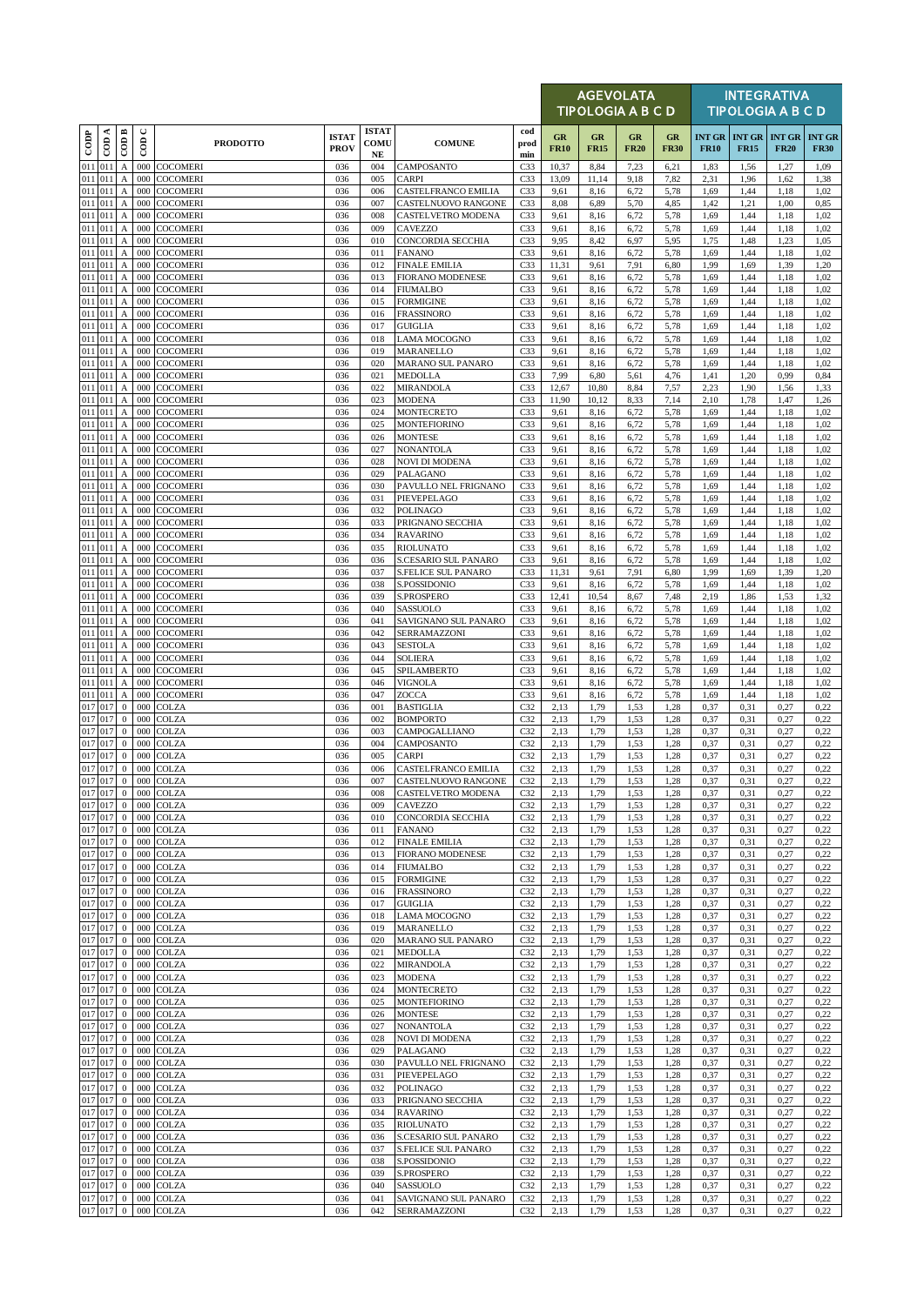|                        |                  |                                               |                          |                                    |                             |                            |                                                 |                                    |                   | <b>AGEVOLATA</b><br>TIPOLOGIA A B C D |                   |                   |                              |                              | <b>INTEGRATIVA</b><br><b>TIPOLOGIA A B C D</b> |                              |
|------------------------|------------------|-----------------------------------------------|--------------------------|------------------------------------|-----------------------------|----------------------------|-------------------------------------------------|------------------------------------|-------------------|---------------------------------------|-------------------|-------------------|------------------------------|------------------------------|------------------------------------------------|------------------------------|
| $_{\rm{cop}}$          | $\overline{CDA}$ | $\overline{\mathrm{COD}}$ B                   | $\cup$<br>$\overline{5}$ | <b>PRODOTTO</b>                    | <b>ISTAT</b><br><b>PROV</b> | <b>ISTAT</b><br>COMU<br>NE | <b>COMUNE</b>                                   | cod<br>prod<br>min                 | GR<br><b>FR10</b> | GR<br><b>FR15</b>                     | GR<br><b>FR20</b> | GR<br><b>FR30</b> | <b>INT GR</b><br><b>FR10</b> | <b>INT GR</b><br><b>FR15</b> | <b>INT GR</b><br><b>FR20</b>                   | <b>INT GR</b><br><b>FR30</b> |
| 011                    | 011              | A                                             | 000                      | <b>COCOMERI</b>                    | 036                         | 004                        | CAMPOSANTO                                      | C <sub>33</sub>                    | 10,37             | 8,84                                  | 7,23              | 6,21              | 1,83                         | 1,56                         | 1,27                                           | 1,09                         |
| 011 011<br>011 011     |                  | A<br>$\boldsymbol{\mathsf{A}}$                | 000<br>000               | <b>COCOMERI</b><br><b>COCOMERI</b> | 036<br>036                  | 005<br>006                 | CARPI<br>CASTELFRANCO EMILIA                    | C <sub>33</sub><br>C <sub>33</sub> | 13,09<br>9,61     | 11,14<br>8,16                         | 9,18<br>6,72      | 7,82<br>5,78      | 2,31<br>1,69                 | 1,96<br>1,44                 | 1,62<br>1,18                                   | 1,38<br>1,02                 |
| 011 011                |                  | $\boldsymbol{A}$                              | 000                      | <b>COCOMERI</b>                    | 036                         | 007                        | CASTELNUOVO RANGONE                             | C <sub>33</sub>                    | 8,08              | 6,89                                  | 5,70              | 4,85              | 1,42                         | 1,21                         | 1,00                                           | 0,85                         |
| 011 011<br>011 011     |                  | A                                             | 000                      | <b>COCOMERI</b>                    | 036                         | 008                        | <b>CASTELVETRO MODENA</b>                       | C <sub>33</sub>                    | 9,61              | 8,16                                  | 6,72              | 5,78              | 1,69                         | 1,44                         | 1,18                                           | 1,02                         |
| 011 011                |                  | $\boldsymbol{A}$<br>$\boldsymbol{A}$          | 000<br>000               | <b>COCOMERI</b><br>COCOMERI        | 036<br>036                  | 009<br>010                 | <b>CAVEZZO</b><br><b>CONCORDIA SECCHIA</b>      | C <sub>33</sub><br>C33             | 9,61<br>9,95      | 8,16<br>8,42                          | 6,72<br>6,97      | 5,78<br>5,95      | 1,69<br>1,75                 | 1,44<br>1,48                 | 1,18<br>1,23                                   | 1,02<br>1,05                 |
| 011                    | 011              | A                                             | 000                      | COCOMERI                           | 036                         | 011                        | <b>FANANO</b>                                   | C <sub>33</sub>                    | 9,61              | 8,16                                  | 6,72              | 5,78              | 1,69                         | 1,44                         | 1,18                                           | 1,02                         |
| 011 011<br>011 011     |                  | $\mathbf A$<br>$\boldsymbol{\rm{A}}$          | 000<br>000               | <b>COCOMERI</b><br>COCOMERI        | 036<br>036                  | 012<br>013                 | <b>FINALE EMILIA</b><br><b>FIORANO MODENESE</b> | C <sub>33</sub><br>C <sub>33</sub> | 11,31<br>9,61     | 9,61<br>8,16                          | 7,91<br>6,72      | 6,80<br>5,78      | 1,99<br>1,69                 | 1,69<br>1,44                 | 1,39<br>1,18                                   | 1,20<br>1,02                 |
| 011 011                |                  | $\boldsymbol{\mathsf{A}}$                     | 000                      | <b>COCOMERI</b>                    | 036                         | 014                        | <b>FIUMALBO</b>                                 | C <sub>33</sub>                    | 9,61              | 8,16                                  | 6,72              | 5,78              | 1,69                         | 1,44                         | 1,18                                           | 1,02                         |
| 011 011                |                  | $\mathbf A$                                   | 000                      | <b>COCOMERI</b>                    | 036                         | 015                        | <b>FORMIGINE</b>                                | C <sub>33</sub>                    | 9,61              | 8,16                                  | 6,72              | 5,78              | 1,69                         | 1,44                         | 1,18                                           | 1,02                         |
| 011 011<br>011 011     |                  | $\mathbf{A}$<br>$\boldsymbol{\mathsf{A}}$     | 000<br>000               | <b>COCOMERI</b><br><b>COCOMERI</b> | 036<br>036                  | 016<br>017                 | <b>FRASSINORO</b><br><b>GUIGLIA</b>             | C <sub>33</sub><br>C33             | 9,61<br>9,61      | 8,16<br>8,16                          | 6,72<br>6,72      | 5,78<br>5,78      | 1,69<br>1,69                 | 1,44<br>1,44                 | 1,18<br>1,18                                   | 1,02<br>1,02                 |
| 011 011                |                  | $\boldsymbol{A}$                              | 000                      | <b>COCOMERI</b>                    | 036                         | 018                        | <b>LAMA MOCOGNO</b>                             | C <sub>33</sub>                    | 9,61              | 8,16                                  | 6,72              | 5,78              | 1,69                         | 1,44                         | 1,18                                           | 1,02                         |
| 011 011                |                  | $\boldsymbol{\mathsf{A}}$                     | 000                      | COCOMERI                           | 036                         | 019                        | MARANELLO                                       | C <sub>33</sub>                    | 9,61              | 8,16                                  | 6,72              | 5,78              | 1,69                         | 1,44                         | 1,18                                           | 1,02                         |
| 011 011<br>011 011     |                  | $\boldsymbol{\mathsf{A}}$<br>$\boldsymbol{A}$ | 000<br>000               | <b>COCOMERI</b><br><b>COCOMERI</b> | 036<br>036                  | 020<br>021                 | MARANO SUL PANARO<br><b>MEDOLLA</b>             | C <sub>33</sub><br>C <sub>33</sub> | 9,61<br>7,99      | 8,16<br>6,80                          | 6,72<br>5,61      | 5,78<br>4,76      | 1,69<br>1,41                 | 1,44<br>1,20                 | 1,18<br>0,99                                   | 1,02<br>0,84                 |
| 011 011                |                  | $\mathbf A$                                   | 000                      | COCOMERI                           | 036                         | 022                        | MIRANDOLA                                       | C <sub>33</sub>                    | 12,67             | 10,80                                 | 8,84              | 7,57              | 2,23                         | 1,90                         | 1,56                                           | 1,33                         |
| 011 011                |                  | $\boldsymbol{A}$                              | 000                      | <b>COCOMERI</b>                    | 036                         | 023                        | <b>MODENA</b>                                   | C <sub>33</sub>                    | 11,90             | 10,12                                 | 8.33              | 7,14              | 2,10                         | 1,78                         | 1,47                                           | 1,26                         |
| 011 011<br>011 011     |                  | $\boldsymbol{A}$<br>$\boldsymbol{A}$          | 000<br>000               | <b>COCOMERI</b><br><b>COCOMERI</b> | 036<br>036                  | 024<br>025                 | <b>MONTECRETO</b><br><b>MONTEFIORINO</b>        | C <sub>33</sub><br>C <sub>33</sub> | 9,61<br>9,61      | 8,16<br>8,16                          | 6,72<br>6,72      | 5,78<br>5,78      | 1,69<br>1,69                 | 1,44<br>1,44                 | 1,18<br>1,18                                   | 1,02<br>1,02                 |
| $011$ 011              |                  | $\boldsymbol{A}$                              | 000                      | <b>COCOMERI</b>                    | 036                         | 026                        | <b>MONTESE</b>                                  | C <sub>33</sub>                    | 9,61              | 8,16                                  | 6,72              | 5,78              | 1,69                         | 1,44                         | 1,18                                           | 1,02                         |
| 011 011                |                  | $\boldsymbol{A}$                              | 000                      | <b>COCOMERI</b>                    | 036                         | 027                        | <b>NONANTOLA</b>                                | C <sub>33</sub>                    | 9,61              | 8,16                                  | 6,72              | 5,78              | 1,69                         | 1,44                         | 1,18                                           | 1,02                         |
| 011 011<br>011 011     |                  | $\boldsymbol{\mathsf{A}}$<br>$\mathbf A$      | 000<br>000               | <b>COCOMERI</b><br><b>COCOMERI</b> | 036<br>036                  | 028<br>029                 | <b>NOVI DI MODENA</b><br>PALAGANO               | C33<br>C <sub>33</sub>             | 9,61<br>9,61      | 8,16<br>8,16                          | 6,72<br>6,72      | 5,78<br>5,78      | 1,69<br>1,69                 | 1,44<br>1,44                 | 1,18<br>1,18                                   | 1,02<br>1,02                 |
| 011 011                |                  | $\boldsymbol{A}$                              | 000                      | <b>COCOMERI</b>                    | 036                         | 030                        | PAVULLO NEL FRIGNANO                            | C <sub>33</sub>                    | 9,61              | 8,16                                  | 6,72              | 5,78              | 1,69                         | 1,44                         | 1,18                                           | 1,02                         |
| 011 011<br>011 011     |                  | $\boldsymbol{\mathsf{A}}$                     | 000<br>000               | <b>COCOMERI</b>                    | 036<br>036                  | 031                        | PIEVEPELAGO                                     | C33<br>C <sub>33</sub>             | 9,61              | 8,16                                  | 6,72              | 5,78              | 1,69                         | 1,44<br>1,44                 | 1,18                                           | 1,02                         |
| 011 011                |                  | $\boldsymbol{A}$<br>A                         | 000                      | <b>COCOMERI</b><br>COCOMERI        | 036                         | 032<br>033                 | <b>POLINAGO</b><br>PRIGNANO SECCHIA             | C <sub>33</sub>                    | 9,61<br>9,61      | 8,16<br>8,16                          | 6,72<br>6,72      | 5,78<br>5,78      | 1,69<br>1,69                 | 1,44                         | 1,18<br>1,18                                   | 1,02<br>1,02                 |
| 011 011                |                  | $\boldsymbol{\mathsf{A}}$                     | 000                      | <b>COCOMERI</b>                    | 036                         | 034                        | <b>RAVARINO</b>                                 | C33                                | 9,61              | 8,16                                  | 6,72              | 5,78              | 1,69                         | 1,44                         | 1,18                                           | 1,02                         |
| 011 011<br>011 011     |                  | $\boldsymbol{\mathsf{A}}$                     | 000<br>000               | <b>COCOMERI</b><br>COCOMERI        | 036<br>036                  | 035                        | <b>RIOLUNATO</b>                                | C <sub>33</sub><br>C <sub>33</sub> | 9,61              | 8,16<br>8,16                          | 6,72<br>6,72      | 5,78<br>5,78      | 1,69<br>1,69                 | 1,44<br>1,44                 | 1,18<br>1,18                                   | 1,02                         |
| 011 011                |                  | A<br>$\boldsymbol{A}$                         | 000                      | <b>COCOMERI</b>                    | 036                         | 036<br>037                 | S.CESARIO SUL PANARO<br>S.FELICE SUL PANARO     | C <sub>33</sub>                    | 9,61<br>11,31     | 9,61                                  | 7,91              | 6,80              | 1,99                         | 1,69                         | 1,39                                           | 1,02<br>1,20                 |
| $\overline{011}$ $011$ |                  | $\boldsymbol{\mathsf{A}}$                     | 000                      | COCOMERI                           | 036                         | 038                        | S.POSSIDONIO                                    | C33                                | 9,61              | 8,16                                  | 6,72              | 5,78              | 1,69                         | 1,44                         | 1,18                                           | 1,02                         |
| 011 011<br>011 011     |                  | A<br>A                                        | 000<br>000               | COCOMERI<br><b>COCOMERI</b>        | 036<br>036                  | 039<br>040                 | S.PROSPERO<br>SASSUOLO                          | C <sub>33</sub><br>C <sub>33</sub> | 12,41<br>9,61     | 10,54<br>8,16                         | 8,67<br>6,72      | 7,48<br>5,78      | 2,19<br>1,69                 | 1,86<br>1,44                 | 1,53<br>1,18                                   | 1,32<br>1,02                 |
| 011 011                |                  | $\boldsymbol{\rm{A}}$                         | 000                      | <b>COCOMERI</b>                    | 036                         | 041                        | SAVIGNANO SUL PANARO                            | C <sub>33</sub>                    | 9,61              | 8,16                                  | 6,72              | 5,78              | 1,69                         | 1,44                         | 1,18                                           | 1,02                         |
| 011 011                |                  | $\boldsymbol{\rm{A}}$                         | 000                      | <b>COCOMERI</b>                    | 036                         | 042                        | SERRAMAZZONI                                    | C <sub>33</sub>                    | 9,61              | 8,16                                  | 6,72              | 5,78              | 1,69                         | 1,44                         | 1,18                                           | 1,02                         |
| 011 011<br>011 011     |                  | $\boldsymbol{A}$<br>$\boldsymbol{\mathsf{A}}$ | 000<br>000               | <b>COCOMERI</b><br><b>COCOMERI</b> | 036<br>036                  | 043<br>044                 | <b>SESTOLA</b><br><b>SOLIERA</b>                | C <sub>33</sub><br>C <sub>33</sub> | 9,61<br>9,61      | 8,16<br>8,16                          | 6,72<br>6,72      | 5,78<br>5,78      | 1,69<br>1,69                 | 1,44<br>1,44                 | 1,18<br>1,18                                   | 1,02<br>1,02                 |
| 011 011                |                  | $\boldsymbol{\mathsf{A}}$                     | 000                      | <b>COCOMERI</b>                    | 036                         | 045                        | SPILAMBERTO                                     | C33                                | 9,61              | 8,16                                  | 6,72              | 5,78              | 1,69                         | 1,44                         | 1,18                                           | 1,02                         |
| 011 011                |                  | $\boldsymbol{\mathsf{A}}$                     | 000                      | <b>COCOMERI</b>                    | 036                         | 046                        | VIGNOLA                                         | C <sub>33</sub>                    | 9,61              | 8,16                                  | 6,72              | 5,78              | 1,69                         | 1,44                         | 1,18                                           | 1,02                         |
| 011 011<br>017 017     |                  | $\boldsymbol{\mathsf{A}}$<br>$\mathbf{0}$     | 000<br>000               | COCOMERI<br><b>COLZA</b>           | 036<br>036                  | 047<br>001                 | ZOCCA<br><b>BASTIGLIA</b>                       | C <sub>33</sub><br>C32             | 9,61<br>2,13      | 8,16<br>1,79                          | 6,72<br>1,53      | 5,78<br>1,28      | 1,69<br>0,37                 | 1,44<br>0,31                 | 1,18<br>0,27                                   | 1,02<br>0,22                 |
| 017 017                |                  | $\mathbf{0}$                                  | 000                      | COLZA                              | 036                         | 002                        | <b>BOMPORTO</b>                                 | C32                                | 2,13              | 1,79                                  | 1,53              | 1,28              | 0,37                         | 0,31                         | 0,27                                           | 0,22                         |
| 017 017                |                  | $\mathbf{0}$                                  | 000                      | COLZA                              | 036                         | 003                        | CAMPOGALLIANO                                   | C32                                | 2,13              | 1,79                                  | 1.53              | 1,28              | 0,37                         | 0,31                         | 0,27                                           | 0,22                         |
| 017 017<br>017 017     |                  | $\mathbf{0}$<br>$\mathbf{0}$                  | 000<br>000               | <b>COLZA</b><br><b>COLZA</b>       | 036<br>036                  | 004<br>005                 | CAMPOSANTO<br>CARPI                             | C <sub>32</sub><br>C32             | 2,13<br>2,13      | 1,79<br>1,79                          | 1,53<br>1,53      | 1,28<br>1,28      | 0,37<br>0,37                 | 0,31<br>0,31                 | 0,27<br>0,27                                   | 0,22<br>0,22                 |
| 017 017                |                  | $\mathbf{0}$                                  |                          | 000 COLZA                          | 036                         | 006                        | CASTELFRANCO EMILIA                             | C32                                | 2,13              | 1,79                                  | 1,53              | 1,28              | 0,37                         | 0,31                         | 0,27                                           | 0,22                         |
| 017 017<br>017 017     |                  |                                               |                          | $0$ 000 COLZA                      | 036                         | 007                        | CASTELNUOVO RANGONE                             | C32                                | 2.13              | 1.79                                  | 1.53              | 1.28              | 0.37                         | 0.31                         | 0.27                                           | 0.22                         |
| 017 017                |                  | $\mathbf{0}$<br>$\mathbf{0}$                  | 000                      | 000 COLZA<br><b>COLZA</b>          | 036<br>036                  | 008<br>009                 | CASTELVETRO MODENA<br><b>CAVEZZO</b>            | C32<br>C32                         | 2,13<br>2,13      | 1,79<br>1,79                          | 1,53<br>1,53      | 1,28<br>1,28      | 0,37<br>0,37                 | 0,31<br>0,31                 | 0,27<br>0,27                                   | 0,22<br>0,22                 |
| 017 017                |                  | $\mathbf{0}$                                  | 000                      | <b>COLZA</b>                       | 036                         | 010                        | CONCORDIA SECCHIA                               | C32                                | 2,13              | 1,79                                  | 1,53              | 1,28              | 0,37                         | 0,31                         | 0,27                                           | 0,22                         |
| 017 017<br>017 017     |                  | $\bf{0}$<br>$\bf{0}$                          | 000<br>000               | <b>COLZA</b><br><b>COLZA</b>       | 036<br>036                  | 011<br>012                 | <b>FANANO</b><br><b>FINALE EMILIA</b>           | C32<br>C32                         | 2,13<br>2,13      | 1,79<br>1,79                          | 1,53<br>1,53      | 1,28<br>1,28      | 0,37<br>0,37                 | 0,31<br>0,31                 | 0,27<br>0,27                                   | 0,22<br>0,22                 |
| 017 017                |                  | $\mathbf{0}$                                  | 000                      | <b>COLZA</b>                       | 036                         | 013                        | <b>FIORANO MODENESE</b>                         | C32                                | 2,13              | 1,79                                  | 1,53              | 1,28              | 0,37                         | 0,31                         | 0,27                                           | 0,22                         |
| 017 017                |                  | $\bf{0}$                                      | 000                      | <b>COLZA</b>                       | 036                         | 014                        | <b>FIUMALBO</b>                                 | C32                                | 2,13              | 1,79                                  | 1,53              | 1,28              | 0,37                         | 0,31                         | 0,27                                           | 0,22                         |
| 017 017<br>017 017     |                  | $\mathbf{0}$<br>$\mathbf{0}$                  | 000<br>000               | <b>COLZA</b><br><b>COLZA</b>       | 036<br>036                  | 015<br>016                 | <b>FORMIGINE</b><br><b>FRASSINORO</b>           | C32<br>C32                         | 2,13<br>2,13      | 1,79<br>1,79                          | 1,53<br>1,53      | 1,28<br>1,28      | 0,37<br>0,37                 | 0,31<br>0,31                 | 0,27<br>0,27                                   | 0,22<br>0,22                 |
| 017 017                |                  | $\bf{0}$                                      | 000                      | <b>COLZA</b>                       | 036                         | 017                        | <b>GUIGLIA</b>                                  | C32                                | 2,13              | 1,79                                  | 1.53              | 1,28              | 0,37                         | 0,31                         | 0,27                                           | 0,22                         |
| 017 017                |                  | $\bf{0}$                                      | 000                      | <b>COLZA</b>                       | 036                         | 018                        | LAMA MOCOGNO                                    | C32                                | 2,13              | 1,79                                  | 1,53              | 1,28              | 0,37                         | 0,31                         | 0,27                                           | 0,22                         |
| 017 017<br>017 017     |                  | $\mathbf{0}$<br>$\mathbf{0}$                  | 000                      | 000 COLZA<br><b>COLZA</b>          | 036<br>036                  | 019<br>020                 | MARANELLO<br><b>MARANO SUL PANARO</b>           | C32<br>C32                         | 2,13<br>2,13      | 1,79<br>1,79                          | 1,53<br>1,53      | 1,28<br>1,28      | 0,37<br>0,37                 | 0,31<br>0,31                 | 0,27<br>0,27                                   | 0,22<br>0,22                 |
| 017 017                |                  | $\bf{0}$                                      | 000                      | <b>COLZA</b>                       | 036                         | 021                        | <b>MEDOLLA</b>                                  | C32                                | 2,13              | 1,79                                  | 1,53              | 1,28              | 0,37                         | 0,31                         | 0,27                                           | 0,22                         |
| 017 017                |                  | $\mathbf{0}$                                  | 000                      | <b>COLZA</b>                       | 036                         | 022                        | <b>MIRANDOLA</b>                                | C32                                | 2,13              | 1,79                                  | 1,53              | 1,28              | 0,37                         | 0,31                         | 0,27                                           | 0,22                         |
| 017 017<br>017 017     |                  | $\mathbf{0}$<br>$\bf{0}$                      | 000<br>000               | <b>COLZA</b><br><b>COLZA</b>       | 036<br>036                  | 023<br>024                 | <b>MODENA</b><br>MONTECRETO                     | C32<br>C <sub>32</sub>             | 2,13<br>2,13      | 1,79<br>1,79                          | 1,53<br>1,53      | 1,28<br>1,28      | 0,37<br>0,37                 | 0,31<br>0,31                 | 0,27<br>0,27                                   | 0,22<br>0,22                 |
| 017 017                |                  | $\mathbf{0}$                                  | 000                      | <b>COLZA</b>                       | 036                         | 025                        | <b>MONTEFIORINO</b>                             | C32                                | 2,13              | 1,79                                  | 1,53              | 1,28              | 0,37                         | 0,31                         | 0,27                                           | 0,22                         |
| 017 017                |                  | $\mathbf{0}$                                  | 000                      | <b>COLZA</b>                       | 036                         | 026                        | <b>MONTESE</b>                                  | C32                                | 2,13              | 1,79                                  | 1,53              | 1,28              | 0,37                         | 0,31                         | 0,27                                           | 0,22                         |
| 017 017<br>017 017     |                  | $\bf{0}$<br>$\bf{0}$                          | 000                      | 000 COLZA<br><b>COLZA</b>          | 036<br>036                  | 027<br>028                 | <b>NONANTOLA</b><br><b>NOVI DI MODENA</b>       | C <sub>32</sub><br>C32             | 2,13<br>2,13      | 1,79<br>1,79                          | 1,53<br>1,53      | 1,28<br>1,28      | 0,37<br>0,37                 | 0,31<br>0,31                 | 0,27<br>0,27                                   | 0,22<br>0,22                 |
| 017 017                |                  | $\mathbf{0}$                                  | 000                      | <b>COLZA</b>                       | 036                         | 029                        | PALAGANO                                        | C32                                | 2,13              | 1,79                                  | 1,53              | 1,28              | 0,37                         | 0,31                         | 0,27                                           | 0,22                         |
| 017 017                |                  | $\bf{0}$                                      |                          | 000 COLZA                          | 036                         | 030                        | PAVULLO NEL FRIGNANO                            | C32                                | 2,13              | 1,79                                  | 1,53              | 1,28              | 0,37                         | 0,31                         | 0,27                                           | 0,22                         |
| 017 017<br>017 017     |                  | $\mathbf{0}$<br>$\mathbf{0}$                  | 000<br>000               | <b>COLZA</b><br><b>COLZA</b>       | 036<br>036                  | 031<br>032                 | PIEVEPELAGO<br><b>POLINAGO</b>                  | C32<br>C32                         | 2,13<br>2,13      | 1,79<br>1,79                          | 1.53<br>1,53      | 1,28<br>1,28      | 0,37<br>0,37                 | 0,31<br>0,31                 | 0,27<br>0,27                                   | 0,22<br>0,22                 |
| 017 017                |                  | $\mathbf{0}$                                  |                          | 000 COLZA                          | 036                         | 033                        | PRIGNANO SECCHIA                                | C32                                | 2,13              | 1,79                                  | 1,53              | 1,28              | 0,37                         | 0,31                         | 0,27                                           | 0,22                         |
| 017 017                |                  | $\bf{0}$                                      | 000                      | <b>COLZA</b>                       | 036                         | 034                        | <b>RAVARINO</b>                                 | C32                                | 2,13              | 1,79                                  | 1,53              | 1,28              | 0,37                         | 0,31                         | 0,27                                           | 0,22                         |
| 017 017<br>017 017     |                  | $\mathbf{0}$<br>$\bf{0}$                      | 000<br>000               | <b>COLZA</b><br><b>COLZA</b>       | 036<br>036                  | 035<br>036                 | <b>RIOLUNATO</b><br>S.CESARIO SUL PANARO        | C32<br>C32                         | 2,13<br>2,13      | 1,79<br>1,79                          | 1,53<br>1,53      | 1,28<br>1,28      | 0,37<br>0,37                 | 0,31<br>0,31                 | 0,27<br>0,27                                   | 0,22<br>0,22                 |
| 017 017                |                  | $\mathbf{0}$                                  | 000                      | <b>COLZA</b>                       | 036                         | 037                        | <b>S.FELICE SUL PANARO</b>                      | C32                                | 2,13              | 1,79                                  | 1,53              | 1,28              | 0,37                         | 0,31                         | 0,27                                           | 0,22                         |
| 017 017                |                  | $\bf{0}$                                      | 000                      | <b>COLZA</b>                       | 036                         | 038                        | S.POSSIDONIO                                    | C32                                | 2,13              | 1,79                                  | 1,53              | 1,28              | 0,37                         | 0,31                         | 0,27                                           | 0,22                         |
| 017 017<br>017 017     |                  | $\bf{0}$<br>$\mathbf{0}$                      | 000<br>000               | <b>COLZA</b><br><b>COLZA</b>       | 036<br>036                  | 039<br>040                 | S.PROSPERO<br>SASSUOLO                          | C32<br>C32                         | 2,13<br>2,13      | 1,79<br>1,79                          | 1,53<br>1,53      | 1,28<br>1,28      | 0,37<br>0,37                 | 0,31<br>0,31                 | 0,27<br>0,27                                   | 0,22<br>0,22                 |
| 017 017                |                  | $\mathbf{0}$                                  |                          | 000 COLZA                          | 036                         | 041                        | SAVIGNANO SUL PANARO                            | C <sub>32</sub>                    | 2,13              | 1,79                                  | 1,53              | 1,28              | 0,37                         | 0,31                         | 0,27                                           | 0,22                         |
|                        | 017 017          | $\overline{0}$                                |                          | 000 COLZA                          | 036                         | 042                        | SERRAMAZZONI                                    | C <sub>32</sub>                    | 2,13              | 1,79                                  | 1,53              | 1,28              | 0,37                         | 0,31                         | 0,27                                           | 0,22                         |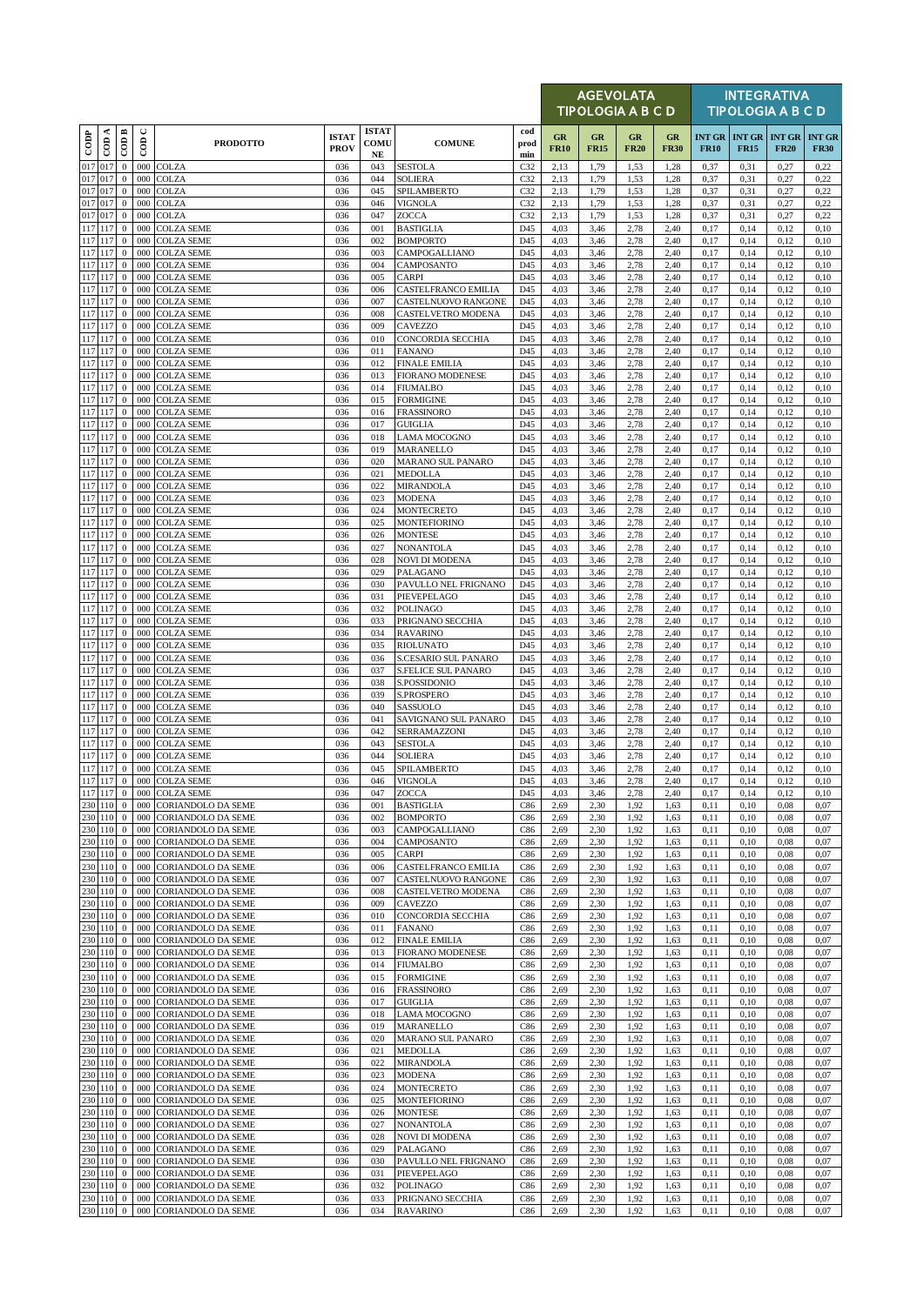|               |                    |                                  |                          |                                                        |                             |                            |                                                 |                    |                   | <b>AGEVOLATA</b><br><b>TIPOLOGIA A B C D</b> |                   |                   |                              |                              | <b>INTEGRATIVA</b><br><b>TIPOLOGIA A B C D</b> |                              |
|---------------|--------------------|----------------------------------|--------------------------|--------------------------------------------------------|-----------------------------|----------------------------|-------------------------------------------------|--------------------|-------------------|----------------------------------------------|-------------------|-------------------|------------------------------|------------------------------|------------------------------------------------|------------------------------|
| $_{\rm{cop}}$ | CDA                | CODB                             | $\cup$<br>$\overline{5}$ | <b>PRODOTTO</b>                                        | <b>ISTAT</b><br><b>PROV</b> | <b>ISTAT</b><br>COMU<br>NE | <b>COMUNE</b>                                   | cod<br>prod<br>min | GR<br><b>FR10</b> | GR<br><b>FR15</b>                            | GR<br><b>FR20</b> | GR<br><b>FR30</b> | <b>INT GR</b><br><b>FR10</b> | <b>INT GR</b><br><b>FR15</b> | <b>INT GR</b><br><b>FR20</b>                   | <b>INT GR</b><br><b>FR30</b> |
|               | 017 017            | $\mathbf{0}$                     | 000                      | <b>COLZA</b>                                           | 036                         | 043                        | <b>SESTOLA</b>                                  | C <sub>32</sub>    | 2,13              | 1,79                                         | 1,53              | 1,28              | 0,37                         | 0,31                         | 0,27                                           | 0,22                         |
| 017 017       | 017 017            | $\boldsymbol{0}$<br>$\mathbf{0}$ | 000<br>000               | <b>COLZA</b><br><b>COLZA</b>                           | 036<br>036                  | 044<br>045                 | <b>SOLIERA</b><br>SPILAMBERTO                   | C32<br>C32         | 2,13<br>2,13      | 1,79<br>1,79                                 | 1,53<br>1,53      | 1,28<br>1,28      | 0,37<br>0,37                 | 0,31<br>0,31                 | 0,27<br>0,27                                   | 0,22<br>0,22                 |
|               | 017 017            | $\mathbf{0}$                     | 000                      | <b>COLZA</b>                                           | 036                         | 046                        | <b>VIGNOLA</b>                                  | C32                | 2,13              | 1,79                                         | 1,53              | 1,28              | 0,37                         | 0,31                         | 0,27                                           | 0,22                         |
|               | 017 017            | $\mathbf{0}$                     | 000                      | <b>COLZA</b>                                           | 036                         | 047                        | ZOCCA                                           | C32                | 2,13              | 1,79                                         | 1,53              | 1,28              | 0,37                         | 0,31                         | 0,27                                           | 0,22                         |
| 117 117       | 117 117            | $\mathbf{0}$<br>$\mathbf{0}$     | 000<br>000               | <b>COLZA SEME</b><br><b>COLZA SEME</b>                 | 036<br>036                  | 001<br>002                 | <b>BASTIGLIA</b><br><b>BOMPORTO</b>             | D45<br>D45         | 4,03<br>4,03      | 3,46<br>3,46                                 | 2,78<br>2,78      | 2,40<br>2,40      | 0,17<br>0,17                 | 0,14<br>0,14                 | 0,12<br>0,12                                   | 0,10<br>0,10                 |
| 117 117       |                    | $\mathbf{0}$                     | 000                      | <b>COLZA SEME</b>                                      | 036                         | 003                        | CAMPOGALLIANO                                   | D45                | 4,03              | 3,46                                         | 2,78              | 2,40              | 0,17                         | 0,14                         | 0,12                                           | 0,10                         |
|               | 117 117<br>117 117 | $\mathbf 0$<br>$\mathbf{0}$      | 000                      | <b>COLZA SEME</b><br>000 COLZA SEME                    | 036<br>036                  | 004<br>005                 | CAMPOSANTO                                      | D45<br>D45         | 4,03              | 3,46                                         | 2,78<br>2,78      | 2,40<br>2,40      | 0,17<br>0,17                 | 0,14                         | 0,12<br>0,12                                   | 0,10<br>0,10                 |
| 117 117       |                    | $\mathbf{0}$                     | 000                      | <b>COLZA SEME</b>                                      | 036                         | 006                        | <b>CARPI</b><br>CASTELFRANCO EMILIA             | D45                | 4,03<br>4,03      | 3,46<br>3,46                                 | 2,78              | 2,40              | 0,17                         | 0,14<br>0,14                 | 0,12                                           | 0,10                         |
|               | 117 117            | $\mathbf{0}$                     | 000                      | <b>COLZA SEME</b>                                      | 036                         | 007                        | CASTELNUOVO RANGONE                             | D45                | 4,03              | 3,46                                         | 2,78              | 2,40              | 0,17                         | 0,14                         | 0,12                                           | 0,10                         |
|               | 117 117<br>117 117 | $\mathbf{0}$<br>$\bf{0}$         | 000<br>000               | <b>COLZA SEME</b><br><b>COLZA SEME</b>                 | 036<br>036                  | 008<br>009                 | CASTELVETRO MODENA<br>CAVEZZO                   | D45<br>D45         | 4,03<br>4,03      | 3,46<br>3,46                                 | 2,78<br>2,78      | 2,40<br>2,40      | 0,17<br>0,17                 | 0,14<br>0,14                 | 0,12<br>0,12                                   | 0,10<br>0,10                 |
|               | 117 117            | $\mathbf{0}$                     | 000                      | <b>COLZA SEME</b>                                      | 036                         | 010                        | CONCORDIA SECCHIA                               | D45                | 4,03              | 3,46                                         | 2,78              | 2,40              | 0,17                         | 0,14                         | 0,12                                           | 0,10                         |
|               | 117 117            | $\boldsymbol{0}$                 | 000                      | <b>COLZA SEME</b>                                      | 036                         | 011                        | <b>FANANO</b>                                   | D45                | 4,03              | 3,46                                         | 2,78              | 2,40              | 0,17                         | 0,14                         | 0,12                                           | 0,10                         |
|               | 117 117<br>117 117 | $\mathbf{0}$<br>$\mathbf{0}$     | 000                      | <b>COLZA SEME</b><br>000 COLZA SEME                    | 036<br>036                  | 012<br>013                 | <b>FINALE EMILIA</b><br><b>FIORANO MODENESE</b> | D45<br>D45         | 4,03<br>4,03      | 3,46<br>3,46                                 | 2,78<br>2,78      | 2,40<br>2,40      | 0,17<br>0,17                 | 0,14<br>0,14                 | 0,12<br>0,12                                   | 0,10<br>0,10                 |
| 117 117       |                    | $\mathbf{0}$                     | 000                      | <b>COLZA SEME</b>                                      | 036                         | 014                        | <b>FIUMALBO</b>                                 | D45                | 4,03              | 3,46                                         | 2,78              | 2,40              | 0,17                         | 0,14                         | 0,12                                           | 0,10                         |
| 117 117       | 117 117            | $\mathbf{0}$                     | 000                      | <b>COLZA SEME</b>                                      | 036                         | 015                        | <b>FORMIGINE</b>                                | D45                | 4,03              | 3,46                                         | 2,78              | 2,40              | 0,17                         | 0,14                         | 0,12                                           | 0,10                         |
|               | 117 117            | $\mathbf{0}$<br>$\mathbf{0}$     | 000<br>000               | <b>COLZA SEME</b><br><b>COLZA SEME</b>                 | 036<br>036                  | 016<br>017                 | <b>FRASSINORO</b><br><b>GUIGLIA</b>             | D45<br>D45         | 4,03<br>4,03      | 3,46<br>3,46                                 | 2,78<br>2,78      | 2,40<br>2,40      | 0,17<br>0,17                 | 0,14<br>0,14                 | 0,12<br>0,12                                   | 0,10<br>0,10                 |
| 117 117       |                    | $\mathbf{0}$                     | 000                      | <b>COLZA SEME</b>                                      | 036                         | 018                        | <b>LAMA MOCOGNO</b>                             | D45                | 4,03              | 3,46                                         | 2,78              | 2,40              | 0,17                         | 0,14                         | 0,12                                           | 0,10                         |
| 117 117       | 117 117            | $\mathbf{0}$                     | 000                      | 000 COLZA SEME                                         | 036                         | 019                        | MARANELLO                                       | D45                | 4,03<br>4,03      | 3,46                                         | 2,78              | 2,40<br>2,40      | 0,17                         | 0,14                         | 0,12                                           | 0,10                         |
|               | 117 117            | $\,0\,$<br>$\mathbf{0}$          | 000                      | <b>COLZA SEME</b><br><b>COLZA SEME</b>                 | 036<br>036                  | 020<br>021                 | MARANO SUL PANARO<br><b>MEDOLLA</b>             | D45<br>D45         | 4,03              | 3,46<br>3,46                                 | 2,78<br>2,78      | 2,40              | 0,17<br>0,17                 | 0,14<br>0,14                 | 0,12<br>0,12                                   | 0,10<br>0,10                 |
|               | 117 117            | $\mathbf{0}$                     | 000                      | <b>COLZA SEME</b>                                      | 036                         | 022                        | <b>MIRANDOLA</b>                                | D45                | 4,03              | 3,46                                         | 2,78              | 2,40              | 0,17                         | 0,14                         | 0,12                                           | 0,10                         |
| 117 117       | 117 117            | $\bf{0}$<br>$\mathbf{0}$         | 000<br>000               | <b>COLZA SEME</b><br><b>COLZA SEME</b>                 | 036<br>036                  | 023<br>024                 | <b>MODENA</b><br><b>MONTECRETO</b>              | D45<br>D45         | 4,03<br>4,03      | 3,46<br>3,46                                 | 2,78<br>2,78      | 2,40<br>2,40      | 0,17<br>0,17                 | 0,14<br>0,14                 | 0,12<br>0,12                                   | 0,10<br>0,10                 |
| 117 117       |                    | $\mathbf{0}$                     | 000                      | <b>COLZA SEME</b>                                      | 036                         | 025                        | <b>MONTEFIORINO</b>                             | D45                | 4,03              | 3,46                                         | 2,78              | 2,40              | 0,17                         | 0,14                         | 0,12                                           | 0,10                         |
|               | 117 117            | $\mathbf{0}$                     | 000                      | <b>COLZA SEME</b>                                      | 036                         | 026                        | <b>MONTESE</b>                                  | D45                | 4,03              | 3,46                                         | 2,78              | 2,40              | 0,17                         | 0,14                         | 0,12                                           | 0,10                         |
|               | 117 117<br>117 117 | $\mathbf{0}$<br>$\mathbf{0}$     | 000<br>000               | <b>COLZA SEME</b><br><b>COLZA SEME</b>                 | 036<br>036                  | 027<br>028                 | <b>NONANTOLA</b><br><b>NOVI DI MODENA</b>       | D45<br>D45         | 4,03<br>4,03      | 3,46<br>3,46                                 | 2,78<br>2,78      | 2,40<br>2,40      | 0,17<br>0,17                 | 0,14<br>0,14                 | 0,12<br>0,12                                   | 0,10<br>0,10                 |
|               | 117 117            | $\mathbf{0}$                     | 000                      | <b>COLZA SEME</b>                                      | 036                         | 029                        | PALAGANO                                        | D45                | 4,03              | 3,46                                         | 2,78              | 2,40              | 0,17                         | 0,14                         | 0,12                                           | 0,10                         |
|               | 117 117            | $\mathbf{0}$                     | 000                      | <b>COLZA SEME</b>                                      | 036                         | 030                        | PAVULLO NEL FRIGNANO                            | D45                | 4,03              | 3,46                                         | 2,78              | 2,40              | 0,17                         | 0,14                         | 0,12                                           | 0,10                         |
| 117 117       | 117 117            | $\bf{0}$<br>$\mathbf{0}$         | 000<br>000               | <b>COLZA SEME</b><br><b>COLZA SEME</b>                 | 036<br>036                  | 031<br>032                 | PIEVEPELAGO<br><b>POLINAGO</b>                  | D45<br>D45         | 4,03<br>4,03      | 3,46<br>3,46                                 | 2,78<br>2,78      | 2,40<br>2,40      | 0,17<br>0,17                 | 0,14<br>0,14                 | 0,12<br>0,12                                   | 0,10<br>0,10                 |
|               | 117 117            | $\mathbf{0}$                     |                          | 000 COLZA SEME                                         | 036                         | 033                        | PRIGNANO SECCHIA                                | D45                | 4,03              | 3,46                                         | 2,78              | 2,40              | 0,17                         | 0,14                         | 0,12                                           | 0,10                         |
|               | 117 117            | $\mathbf 0$                      | 000                      | <b>COLZA SEME</b>                                      | 036                         | 034                        | <b>RAVARINO</b>                                 | D45                | 4,03              | 3,46                                         | 2,78              | 2,40              | 0,17                         | 0,14                         | 0,12                                           | 0,10                         |
| 117 117       | 117 117            | $\mathbf{0}$<br>$\mathbf{0}$     | 000<br>000               | <b>COLZA SEME</b><br><b>COLZA SEME</b>                 | 036<br>036                  | 035<br>036                 | <b>RIOLUNATO</b><br>S.CESARIO SUL PANARO        | D45<br>D45         | 4,03<br>4,03      | 3,46<br>3,46                                 | 2,78<br>2,78      | 2,40<br>2,40      | 0,17<br>0,17                 | 0,14<br>0,14                 | 0,12<br>0,12                                   | 0,10<br>0,10                 |
|               | 117 117            | $\bf{0}$                         | 000                      | <b>COLZA SEME</b>                                      | 036                         | 037                        | <b>S.FELICE SUL PANARO</b>                      | D45                | 4,03              | 3,46                                         | 2,78              | 2,40              | 0,17                         | 0,14                         | 0,12                                           | 0,10                         |
|               | 117 117            | $\mathbf{0}$                     | 000                      | <b>COLZA SEME</b>                                      | 036                         | 038                        | S.POSSIDONIO                                    | D45                | 4,03              | 3,46                                         | 2,78              | 2,40              | 0,17                         | 0,14                         | 0,12                                           | 0,10                         |
| 117 117       | 117 117            | $\mathbf{0}$<br>$\mathbf{0}$     | 000<br>000               | <b>COLZA SEME</b><br><b>COLZA SEME</b>                 | 036<br>036                  | 039<br>040                 | S.PROSPERO<br><b>SASSUOLO</b>                   | D45<br>D45         | 4,03<br>4,03      | 3,46<br>3,46                                 | 2,78<br>2,78      | 2,40<br>2,40      | 0,17<br>0,17                 | 0,14<br>0,14                 | 0,12<br>0,12                                   | 0,10<br>0,10                 |
|               | 117 117            | $\mathbf{0}$                     |                          | 000 COLZA SEME                                         | 036                         | 041                        | SAVIGNANO SUL PANARO                            | D45                | 4,03              | 3,46                                         | 2,78              | 2,40              | 0,17                         | 0,14                         | 0,12                                           | 0,10                         |
|               | 117 117            | $\mathbf{0}$                     | 000                      | <b>COLZA SEME</b>                                      | 036                         | 042                        | SERRAMAZZONI                                    | D45                | 4,03              | 3,46                                         | 2,78              | 2,40              | 0,17                         | 0,14                         | 0,12                                           | 0,10                         |
| 117 117       | 117 117            | $\mathbf{0}$<br>$\mathbf{0}$     | 000                      | <b>COLZA SEME</b><br>000 COLZA SEME                    | 036<br>036                  | 043<br>044                 | <b>SESTOLA</b><br><b>SOLIERA</b>                | D45<br>D45         | 4,03<br>4,03      | 3,46<br>3,46                                 | 2,78<br>2,78      | 2,40<br>2,40      | 0,17<br>0,17                 | 0,14<br>0,14                 | 0,12<br>0,12                                   | 0,10<br>0,10                 |
|               | 117 117            | $\mathbf{0}$                     |                          | 000 COLZA SEME                                         | 036                         | 045                        | SPILAMBERTO                                     | D45                | 4,03              | 3,46                                         | 2,78              | 2,40              | 0,17                         | 0,14                         | 0,12                                           | 0,10                         |
| 117 117       | 117 117            |                                  |                          | 0 000 COLZA SEME                                       | 036                         | 046                        | <b>VIGNOLA</b>                                  | D45                | 4.03              | 3.46                                         | 2.78              | 2.40              | 0.17                         | 0.14                         | 0.12                                           | 0.10                         |
|               | 230 110            | $\overline{0}$<br>$\mathbf{0}$   | 000                      | 000 COLZA SEME<br><b>CORIANDOLO DA SEME</b>            | 036<br>036                  | 047<br>001                 | ZOCCA<br><b>BASTIGLIA</b>                       | D45<br>C86         | 4,03<br>2,69      | 3,46<br>2,30                                 | 2,78<br>1,92      | 2,40<br>1,63      | 0,17<br>0,11                 | 0,14<br>0,10                 | 0,12<br>0,08                                   | 0,10<br>0,07                 |
|               | 230 110            | $\mathbf{0}$                     | 000                      | <b>CORIANDOLO DA SEME</b>                              | 036                         | 002                        | <b>BOMPORTO</b>                                 | C86                | 2,69              | 2,30                                         | 1,92              | 1,63              | 0,11                         | 0,10                         | 0,08                                           | 0,07                         |
|               | 230 110            | $\mathbf{0}$                     | 000                      | CORIANDOLO DA SEME<br><b>CORIANDOLO DA SEME</b>        | 036                         | 003                        | CAMPOGALLIANO                                   | C86                | 2,69              | 2,30                                         | 1,92              | 1,63              | 0,11                         | 0,10                         | 0,08                                           | 0,07                         |
|               | 230 110<br>230 110 | $\overline{0}$<br>$\mathbf{0}$   | 000<br>000               | <b>CORIANDOLO DA SEME</b>                              | 036<br>036                  | 004<br>005                 | CAMPOSANTO<br><b>CARPI</b>                      | C86<br>C86         | 2,69<br>2,69      | 2,30<br>2,30                                 | 1,92<br>1,92      | 1,63<br>1,63      | 0,11<br>0,11                 | 0,10<br>0,10                 | 0,08<br>0,08                                   | 0,07<br>0,07                 |
|               | 230 110            | $\mathbf{0}$                     | 000                      | CORIANDOLO DA SEME                                     | 036                         | 006                        | CASTELFRANCO EMILIA                             | C86                | 2,69              | 2,30                                         | 1.92              | 1,63              | 0,11                         | 0,10                         | 0,08                                           | 0,07                         |
|               | 230 110<br>230 110 | $\mathbf{0}$<br>$\mathbf{0}$     | 000<br>000               | <b>CORIANDOLO DA SEME</b><br><b>CORIANDOLO DA SEME</b> | 036<br>036                  | 007<br>008                 | CASTELNUOVO RANGONE<br>CASTELVETRO MODENA       | C86<br>C86         | 2,69<br>2,69      | 2,30<br>2,30                                 | 1,92<br>1,92      | 1,63<br>1,63      | 0,11<br>0,11                 | 0,10<br>0,10                 | 0,08<br>0,08                                   | 0,07<br>0,07                 |
|               | 230 110            | $\bf{0}$                         | 000                      | <b>CORIANDOLO DA SEME</b>                              | 036                         | 009                        | CAVEZZO                                         | C86                | 2,69              | 2,30                                         | 1.92              | 1,63              | 0,11                         | 0,10                         | 0,08                                           | 0,07                         |
|               | 230 110            | $\mathbf{0}$                     | 000                      | <b>CORIANDOLO DA SEME</b>                              | 036                         | 010                        | CONCORDIA SECCHIA                               | C86                | 2,69              | 2,30                                         | 1,92              | 1,63              | 0,11                         | 0,10                         | 0,08                                           | 0,07                         |
|               | 230 110<br>230 110 | $\mathbf{0}$<br>$\mathbf{0}$     | 000<br>000               | <b>CORIANDOLO DA SEME</b><br><b>CORIANDOLO DA SEME</b> | 036<br>036                  | 011<br>012                 | <b>FANANO</b><br><b>FINALE EMILIA</b>           | C86<br>C86         | 2,69<br>2,69      | 2,30<br>2,30                                 | 1,92<br>1,92      | 1,63<br>1,63      | 0,11<br>0,11                 | 0,10<br>0,10                 | 0,08<br>0,08                                   | 0,07<br>0,07                 |
|               | 230 110            | $\mathbf{0}$                     | 000                      | <b>CORIANDOLO DA SEME</b>                              | 036                         | 013                        | <b>FIORANO MODENESE</b>                         | C86                | 2,69              | 2,30                                         | 1,92              | 1,63              | 0,11                         | 0,10                         | 0,08                                           | 0,07                         |
|               | 230 110            | $\mathbf{0}$                     | 000                      | CORIANDOLO DA SEME                                     | 036                         | 014                        | <b>FIUMALBO</b>                                 | C86                | 2,69              | 2,30                                         | 1,92              | 1,63              | 0,11                         | 0,10                         | 0,08                                           | 0,07                         |
|               | 230 110<br>230 110 | $\mathbf{0}$<br>$\overline{0}$   | 000<br>000               | <b>CORIANDOLO DA SEME</b><br><b>CORIANDOLO DA SEME</b> | 036<br>036                  | 015<br>016                 | <b>FORMIGINE</b><br><b>FRASSINORO</b>           | C86<br>C86         | 2,69<br>2,69      | 2,30<br>2,30                                 | 1,92<br>1,92      | 1,63<br>1,63      | 0,11<br>0,11                 | 0,10<br>0,10                 | 0,08<br>0,08                                   | 0,07<br>0,07                 |
|               | 230 110            | $\mathbf{0}$                     | 000                      | CORIANDOLO DA SEME                                     | 036                         | 017                        | <b>GUIGLIA</b>                                  | C86                | 2,69              | 2,30                                         | 1,92              | 1,63              | 0,11                         | 0,10                         | 0,08                                           | 0,07                         |
|               | 230 110            | $\mathbf{0}$                     | 000                      | <b>CORIANDOLO DA SEME</b>                              | 036                         | 018                        | LAMA MOCOGNO                                    | C86                | 2,69              | 2,30                                         | 1,92              | 1,63              | 0,11                         | 0,10                         | 0,08                                           | 0,07                         |
|               | 230 110<br>230 110 | $\overline{0}$<br>$\mathbf{0}$   | 000<br>000               | <b>CORIANDOLO DA SEME</b><br><b>CORIANDOLO DA SEME</b> | 036<br>036                  | 019<br>020                 | MARANELLO<br>MARANO SUL PANARO                  | C86<br>C86         | 2,69<br>2,69      | 2,30<br>2,30                                 | 1,92<br>1,92      | 1,63<br>1,63      | 0,11<br>0,11                 | 0,10<br>0,10                 | 0,08<br>0,08                                   | 0,07<br>0,07                 |
|               | 230 110            | $\mathbf{0}$                     | 000                      | CORIANDOLO DA SEME                                     | 036                         | 021                        | <b>MEDOLLA</b>                                  | C86                | 2,69              | 2,30                                         | 1,92              | 1,63              | 0,11                         | 0,10                         | 0,08                                           | 0,07                         |
|               | 230 110            | $\bf{0}$                         | 000                      | <b>CORIANDOLO DA SEME</b>                              | 036                         | 022                        | <b>MIRANDOLA</b>                                | C86                | 2,69              | 2,30                                         | 1,92              | 1,63              | 0,11                         | 0,10                         | 0,08                                           | 0,07                         |
|               | 230 110<br>230 110 | $\mathbf{0}$<br>$\mathbf{0}$     | 000<br>000               | <b>CORIANDOLO DA SEME</b><br><b>CORIANDOLO DA SEME</b> | 036<br>036                  | 023<br>024                 | <b>MODENA</b><br><b>MONTECRETO</b>              | C86<br>C86         | 2,69<br>2,69      | 2,30<br>2,30                                 | 1.92<br>1,92      | 1,63<br>1,63      | 0,11<br>0,11                 | 0,10<br>0,10                 | 0,08<br>0,08                                   | 0,07<br>0,07                 |
|               | 230 110            | $\mathbf{0}$                     |                          | 000 CORIANDOLO DA SEME                                 | 036                         | 025                        | <b>MONTEFIORINO</b>                             | C86                | 2,69              | 2,30                                         | 1,92              | 1,63              | 0,11                         | 0,10                         | 0,08                                           | 0,07                         |
|               | 230 110            | $\mathbf{0}$                     | 000                      | <b>CORIANDOLO DA SEME</b>                              | 036                         | 026                        | <b>MONTESE</b>                                  | C86                | 2,69              | 2,30                                         | 1,92              | 1,63              | 0,11                         | 0,10                         | 0,08                                           | 0,07                         |
|               | 230 110<br>230 110 | $\mathbf{0}$<br>$\overline{0}$   | 000<br>000               | CORIANDOLO DA SEME<br><b>CORIANDOLO DA SEME</b>        | 036<br>036                  | 027<br>028                 | <b>NONANTOLA</b><br><b>NOVI DI MODENA</b>       | C86<br>C86         | 2,69<br>2,69      | 2,30<br>2,30                                 | 1,92<br>1,92      | 1,63<br>1,63      | 0,11<br>0,11                 | 0,10<br>0,10                 | 0,08<br>0,08                                   | 0,07<br>0,07                 |
|               | 230 110            | $\overline{0}$                   | 000                      | <b>CORIANDOLO DA SEME</b>                              | 036                         | 029                        | PALAGANO                                        | C86                | 2,69              | 2,30                                         | 1,92              | 1,63              | 0,11                         | 0,10                         | 0,08                                           | 0,07                         |
|               | 230 110            | $\mathbf{0}$                     | 000                      | CORIANDOLO DA SEME                                     | 036                         | 030                        | PAVULLO NEL FRIGNANO                            | C86                | 2,69              | 2,30                                         | 1.92              | 1,63              | 0,11                         | 0,10                         | 0,08                                           | 0,07                         |
|               | 230 110<br>230 110 | $\bf{0}$<br>$\overline{0}$       | 000<br>000               | <b>CORIANDOLO DA SEME</b><br><b>CORIANDOLO DA SEME</b> | 036<br>036                  | 031<br>032                 | PIEVEPELAGO<br><b>POLINAGO</b>                  | C86<br>C86         | 2,69<br>2,69      | 2,30<br>2,30                                 | 1,92<br>1,92      | 1,63<br>1,63      | 0,11<br>0,11                 | 0,10<br>0,10                 | 0,08<br>0,08                                   | 0,07<br>0,07                 |
|               | 230 110 0          |                                  |                          | 000 CORIANDOLO DA SEME                                 | 036                         | 033                        | PRIGNANO SECCHIA                                | C86                | 2,69              | 2,30                                         | 1,92              | 1,63              | 0,11                         | 0,10                         | 0,08                                           | 0,07                         |
|               | 230 110 0          |                                  |                          | 000 CORIANDOLO DA SEME                                 | 036                         | 034                        | <b>RAVARINO</b>                                 | C86                | 2,69              | 2,30                                         | 1,92              | 1,63              | 0,11                         | 0,10                         | 0,08                                           | 0,07                         |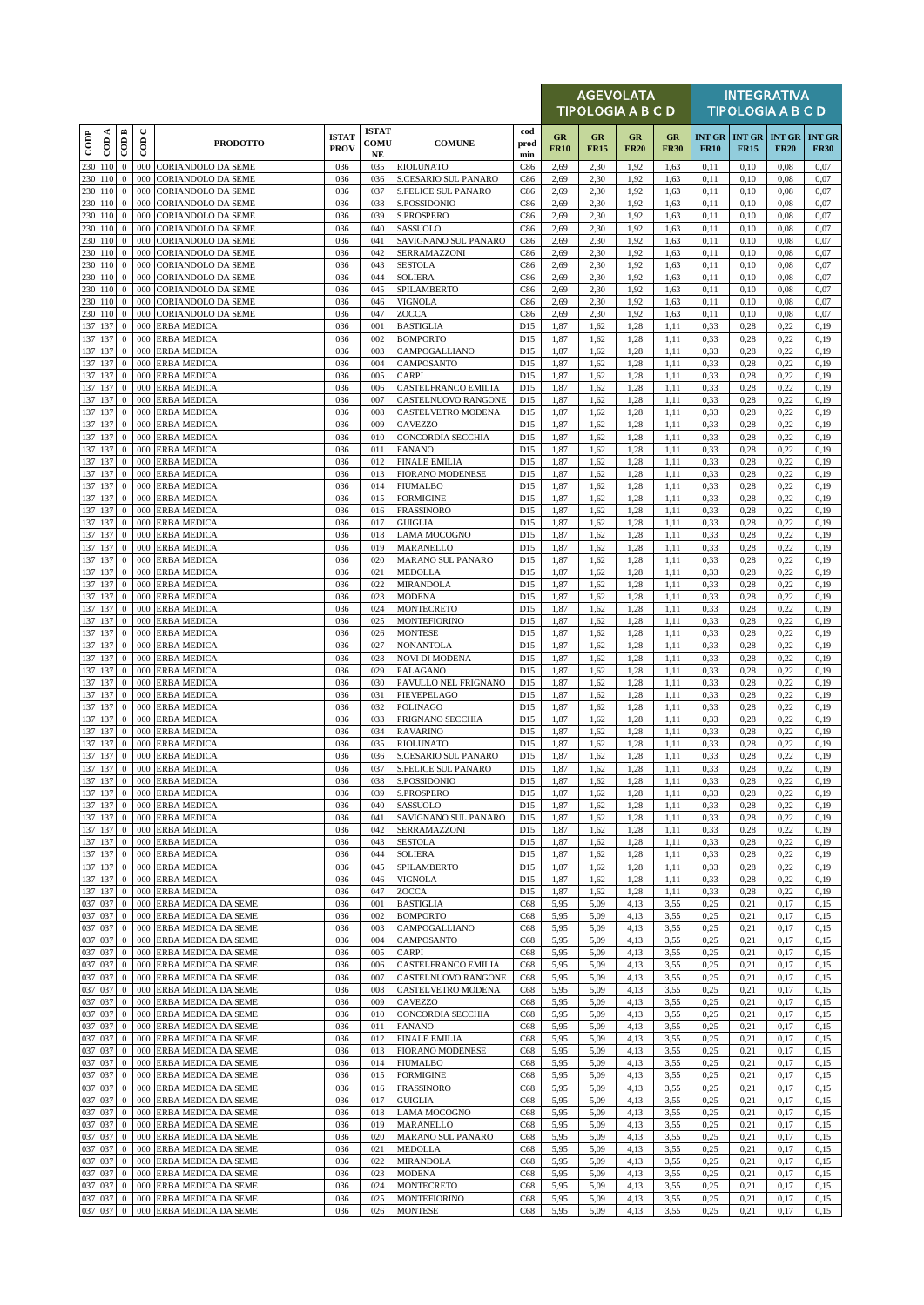|            |                    |                                      |               |                                                        |                             |                                   |                                          |                    |                   | <b>AGEVOLATA</b><br><b>TIPOLOGIA A B C D</b> |                   |                   |              |                                            | <b>INTEGRATIVA</b><br><b>TIPOLOGIA A B C D</b> |                              |
|------------|--------------------|--------------------------------------|---------------|--------------------------------------------------------|-----------------------------|-----------------------------------|------------------------------------------|--------------------|-------------------|----------------------------------------------|-------------------|-------------------|--------------|--------------------------------------------|------------------------------------------------|------------------------------|
| $\cos$     | CDA                | COD B                                | $\cup$<br>600 | <b>PRODOTTO</b>                                        | <b>ISTAT</b><br><b>PROV</b> | <b>ISTAT</b><br><b>COMU</b><br>NE | <b>COMUNE</b>                            | cod<br>prod<br>min | GR<br><b>FR10</b> | GR<br><b>FR15</b>                            | GR<br><b>FR20</b> | GR<br><b>FR30</b> | <b>FR10</b>  | <b>INT GR INT GR INT GR</b><br><b>FR15</b> | <b>FR20</b>                                    | <b>INT GR</b><br><b>FR30</b> |
|            | 230 110            | $\mathbf{0}$                         | 000           | <b>CORIANDOLO DA SEME</b>                              | 036                         | 035                               | <b>RIOLUNATO</b>                         | C86                | 2,69              | 2,30                                         | 1,92              | 1,63              | 0,11         | 0,10                                       | 0,08                                           | 0,07                         |
|            | 230 110            | $\mathbf{0}$                         | 000           | <b>CORIANDOLO DA SEME</b>                              | 036                         | 036                               | <b>S.CESARIO SUL PANARO</b>              | C86                | 2,69              | 2,30                                         | 1,92              | 1,63              | 0,11         | 0,10                                       | 0,08                                           | 0,07                         |
|            | 230 110<br>230 110 | $\mathbf{0}$                         | 000<br>000    | CORIANDOLO DA SEME                                     | 036                         | 037<br>038                        | <b>S.FELICE SUL PANARO</b>               | C86                | 2,69              | 2,30                                         | 1,92              | 1,63              | 0,11         | 0,10                                       | 0,08                                           | 0,07                         |
|            | 230 110            | $\mathbf{0}$<br>$\mathbf{0}$         | 000           | <b>CORIANDOLO DA SEME</b><br><b>CORIANDOLO DA SEME</b> | 036<br>036                  | 039                               | S.POSSIDONIO<br>S.PROSPERO               | C86<br>C86         | 2,69<br>2,69      | 2,30<br>2,30                                 | 1,92<br>1,92      | 1,63<br>1,63      | 0,11<br>0,11 | 0,10<br>0,10                               | 0,08<br>0,08                                   | 0,07<br>0,07                 |
|            | 230 110            | $\mathbf{0}$                         | 000           | CORIANDOLO DA SEME                                     | 036                         | 040                               | SASSUOLO                                 | C86                | 2,69              | 2,30                                         | 1,92              | 1,63              | 0,11         | 0,10                                       | 0,08                                           | 0,07                         |
|            | 230 110            | $\mathbf{0}$                         | 000           | <b>CORIANDOLO DA SEME</b>                              | 036                         | 041                               | SAVIGNANO SUL PANARO                     | C86                | 2,69              | 2,30                                         | 1,92              | 1,63              | 0,11         | 0,10                                       | 0,08                                           | 0,07                         |
|            | 230 110            | $\mathbf{0}$                         | 000           | <b>CORIANDOLO DA SEME</b>                              | 036                         | 042                               | SERRAMAZZONI                             | C86                | 2,69              | 2,30                                         | 1,92              | 1,63              | 0,11         | 0,10                                       | 0,08                                           | 0,07                         |
|            | 230 110            | $\mathbf{0}$                         | 000           | <b>CORIANDOLO DA SEME</b>                              | 036                         | 043                               | <b>SESTOLA</b>                           | C86                | 2,69              | 2,30                                         | 1,92              | 1,63              | 0,11         | 0,10                                       | 0,08                                           | 0,07                         |
|            | 230 110<br>230 110 | $\mathbf{0}$<br>$\mathbf{0}$         | 000<br>000    | <b>CORIANDOLO DA SEME</b><br><b>CORIANDOLO DA SEME</b> | 036<br>036                  | 044<br>045                        | <b>SOLIERA</b><br>SPILAMBERTO            | C86<br>C86         | 2,69<br>2,69      | 2,30<br>2,30                                 | 1.92<br>1,92      | 1,63<br>1,63      | 0,11<br>0,11 | 0,10<br>0,10                               | 0,08<br>0,08                                   | 0,07<br>0,07                 |
|            | 230 110            | $\bf{0}$                             | 000           | <b>CORIANDOLO DA SEME</b>                              | 036                         | 046                               | VIGNOLA                                  | C86                | 2,69              | 2,30                                         | 1,92              | 1,63              | 0,11         | 0,10                                       | 0,08                                           | 0,07                         |
|            | 230 110            | $\mathbf{0}$                         | 000           | <b>CORIANDOLO DA SEME</b>                              | 036                         | 047                               | ZOCCA                                    | C86                | 2,69              | 2,30                                         | 1,92              | 1,63              | 0,11         | 0,10                                       | 0,08                                           | 0,07                         |
|            | 137 137            | $\mathbf{0}$                         | 000           | <b>ERBA MEDICA</b>                                     | 036                         | 001                               | <b>BASTIGLIA</b>                         | D15                | 1,87              | 1,62                                         | 1,28              | 1,11              | 0,33         | 0,28                                       | 0,22                                           | 0,19                         |
|            | 137 137            | $\mathbf{0}$                         | 000           | <b>ERBA MEDICA</b>                                     | 036                         | 002                               | <b>BOMPORTO</b>                          | D15                | 1,87              | 1,62                                         | 1,28              | 1,11              | 0,33         | 0,28                                       | 0,22                                           | 0,19                         |
|            | 137 137            | $\mathbf{0}$                         | 000           | <b>ERBA MEDICA</b>                                     | 036                         | 003                               | CAMPOGALLIANO                            | D15                | 1,87              | 1,62                                         | 1,28              | 1,11              | 0,33         | 0,28                                       | 0,22                                           | 0,19                         |
|            | 137 137<br>137 137 | $\mathbf{0}$<br>$\boldsymbol{0}$     | 000<br>000    | <b>ERBA MEDICA</b><br><b>ERBA MEDICA</b>               | 036<br>036                  | 004<br>005                        | CAMPOSANTO<br>CARPI                      | D15<br>D15         | 1,87<br>1,87      | 1,62<br>1,62                                 | 1,28<br>1,28      | 1,11<br>1,11      | 0.33<br>0.33 | 0,28<br>0,28                               | 0,22<br>0,22                                   | 0,19<br>0,19                 |
|            | 137 137            | $\boldsymbol{0}$                     | 000           | <b>ERBA MEDICA</b>                                     | 036                         | 006                               | CASTELFRANCO EMILIA                      | D15                | 1,87              | 1,62                                         | 1,28              | 1,11              | 0,33         | 0,28                                       | 0,22                                           | 0,19                         |
|            | 137 137            | $\mathbf{0}$                         | 000           | <b>ERBA MEDICA</b>                                     | 036                         | 007                               | CASTELNUOVO RANGONE                      | D15                | 1,87              | 1,62                                         | 1,28              | 1,11              | 0,33         | 0,28                                       | 0,22                                           | 0,19                         |
|            | 137 137            | $\mathbf{0}$                         | 000           | <b>ERBA MEDICA</b>                                     | 036                         | 008                               | CASTELVETRO MODENA                       | D15                | 1,87              | 1,62                                         | 1,28              | 1,11              | 0.33         | 0,28                                       | 0,22                                           | 0,19                         |
|            | 137 137            | $\bf{0}$                             | 000           | <b>ERBA MEDICA</b>                                     | 036                         | 009                               | CAVEZZO                                  | D15                | 1,87              | 1,62                                         | 1,28              | 1,11              | 0,33         | 0,28                                       | 0,22                                           | 0,19                         |
|            | 137 137<br>137 137 | $\mathbf 0$<br>$\mathbf{0}$          | 000<br>000    | <b>ERBA MEDICA</b><br><b>ERBA MEDICA</b>               | 036<br>036                  | 010<br>011                        | CONCORDIA SECCHIA<br><b>FANANO</b>       | D15<br>D15         | 1,87              | 1,62<br>1,62                                 | 1,28<br>1.28      | 1,11<br>1,11      | 0,33<br>0,33 | 0,28<br>0,28                               | 0,22                                           | 0,19<br>0,19                 |
|            | 137 137            | $\boldsymbol{0}$                     | 000           | <b>ERBA MEDICA</b>                                     | 036                         | 012                               | <b>FINALE EMILIA</b>                     | D15                | 1,87<br>1,87      | 1,62                                         | 1,28              | 1,11              | 0,33         | 0,28                                       | 0,22<br>0,22                                   | 0,19                         |
|            | 137 137            | $\mathbf{0}$                         | 000           | <b>ERBA MEDICA</b>                                     | 036                         | 013                               | <b>FIORANO MODENESE</b>                  | D15                | 1,87              | 1,62                                         | 1,28              | 1,11              | 0,33         | 0,28                                       | 0,22                                           | 0,19                         |
|            | 137 137            | $\mathbf{0}$                         | 000           | <b>ERBA MEDICA</b>                                     | 036                         | 014                               | <b>FIUMALBO</b>                          | D15                | 1,87              | 1,62                                         | 1,28              | 1,11              | 0,33         | 0,28                                       | 0,22                                           | 0,19                         |
|            | 137 137            | $\bf{0}$                             | 000           | <b>ERBA MEDICA</b>                                     | 036                         | 015                               | <b>FORMIGINE</b>                         | D15                | 1,87              | 1,62                                         | 1.28              | 1,11              | 0,33         | 0,28                                       | 0,22                                           | 0,19                         |
|            | 137 137            | $\mathbf{0}$                         | 000           | <b>ERBA MEDICA</b>                                     | 036                         | 016                               | <b>FRASSINORO</b>                        | D15                | 1,87              | 1,62                                         | 1,28              | 1,11              | 0,33         | 0,28                                       | 0,22                                           | 0,19                         |
|            | 137 137<br>137 137 | $\mathbf{0}$<br>$\mathbf{0}$         | 000<br>000    | <b>ERBA MEDICA</b><br><b>ERBA MEDICA</b>               | 036<br>036                  | 017<br>018                        | <b>GUIGLIA</b><br>LAMA MOCOGNO           | D15<br>D15         | 1,87<br>1,87      | 1,62<br>1,62                                 | 1,28<br>1,28      | 1,11<br>1,11      | 0,33<br>0,33 | 0,28<br>0,28                               | 0,22<br>0,22                                   | 0,19<br>0,19                 |
|            | 137 137            | $\mathbf{0}$                         | 000           | <b>ERBA MEDICA</b>                                     | 036                         | 019                               | MARANELLO                                | D15                | 1,87              | 1,62                                         | 1,28              | 1,11              | 0,33         | 0,28                                       | 0,22                                           | 0,19                         |
|            | 137 137            | $\mathbf{0}$                         | 000           | <b>ERBA MEDICA</b>                                     | 036                         | 020                               | <b>MARANO SUL PANARO</b>                 | D15                | 1,87              | 1,62                                         | 1,28              | 1,11              | 0,33         | 0,28                                       | 0,22                                           | 0,19                         |
|            | 137 137            | $\bf{0}$                             | 000           | <b>ERBA MEDICA</b>                                     | 036                         | 021                               | <b>MEDOLLA</b>                           | D15                | 1,87              | 1,62                                         | 1,28              | 1,11              | 0,33         | 0,28                                       | 0,22                                           | 0,19                         |
|            | 137 137            | $\boldsymbol{0}$                     | 000           | <b>ERBA MEDICA</b>                                     | 036                         | 022                               | MIRANDOLA                                | D15                | 1,87              | 1,62                                         | 1,28              | 1,11              | 0,33         | 0,28                                       | 0,22                                           | 0,19                         |
|            | 137 137            | $\mathbf{0}$                         | 000           | <b>ERBA MEDICA</b>                                     | 036                         | 023                               | MODENA                                   | D15                | 1,87              | 1,62                                         | 1,28              | 1,11              | 0,33         | 0,28                                       | 0,22                                           | 0,19                         |
|            | 137 137<br>137 137 | $\mathbf{0}$<br>$\mathbf{0}$         | 000<br>000    | <b>ERBA MEDICA</b><br><b>ERBA MEDICA</b>               | 036<br>036                  | 024<br>025                        | <b>MONTECRETO</b><br><b>MONTEFIORINO</b> | D15<br>D15         | 1,87<br>1,87      | 1,62<br>1,62                                 | 1,28<br>1.28      | 1,11<br>1,11      | 0,33<br>0,33 | 0,28<br>0,28                               | 0,22<br>0,22                                   | 0,19<br>0,19                 |
|            | 137 137            | $\mathbf{0}$                         | 000           | <b>ERBA MEDICA</b>                                     | 036                         | 026                               | <b>MONTESE</b>                           | D15                | 1,87              | 1,62                                         | 1,28              | 1,11              | 0,33         | 0,28                                       | 0,22                                           | 0,19                         |
|            | 137 137            | $\mathbf{0}$                         | 000           | <b>ERBA MEDICA</b>                                     | 036                         | 027                               | NONANTOLA                                | D15                | 1,87              | 1,62                                         | 1,28              | 1,11              | 0,33         | 0,28                                       | 0,22                                           | 0,19                         |
|            | 137 137            | $\mathbf{0}$                         | 000           | <b>ERBA MEDICA</b>                                     | 036                         | 028                               | NOVI DI MODENA                           | D15                | 1,87              | 1,62                                         | 1,28              | 1,11              | 0,33         | 0,28                                       | 0,22                                           | 0,19                         |
|            | 137 137            | $\mathbf{0}$                         | 000           | <b>ERBA MEDICA</b>                                     | 036                         | 029                               | PALAGANO                                 | D15                | 1,87              | 1,62                                         | 1,28              | 1,11              | 0,33         | 0,28                                       | 0,22                                           | 0,19                         |
|            | 137 137<br>137 137 | $\mathbf{0}$<br>$\bf{0}$             | 000<br>000    | <b>ERBA MEDICA</b><br><b>ERBA MEDICA</b>               | 036<br>036                  | 030<br>031                        | PAVULLO NEL FRIGNANO<br>PIEVEPELAGO      | D15<br>D15         | 1,87<br>1,87      | 1,62<br>1,62                                 | 1,28<br>1,28      | 1,11<br>1,11      | 0,33<br>0,33 | 0,28<br>0,28                               | 0,22<br>0,22                                   | 0,19<br>0,19                 |
|            | 137 137            | $\mathbf{0}$                         | 000           | <b>ERBA MEDICA</b>                                     | 036                         | 032                               | <b>POLINAGO</b>                          | D15                | 1,87              | 1,62                                         | 1.28              | 1,11              | 0,33         | 0,28                                       | 0,22                                           | 0,19                         |
|            | 137 137            | $\boldsymbol{0}$                     | 000           | <b>ERBA MEDICA</b>                                     | 036                         | 033                               | PRIGNANO SECCHIA                         | D15                | 1,87              | 1,62                                         | 1,28              | 1,11              | 0,33         | 0,28                                       | 0,22                                           | 0,19                         |
|            | 137 137            | $\mathbf{0}$                         | 000           | <b>ERBA MEDICA</b>                                     | 036                         | 034                               | <b>RAVARINO</b>                          | D15                | 1,87              | 1,62                                         | 1,28              | 1,11              | 0,33         | 0,28                                       | 0,22                                           | 0,19                         |
|            | 137 137            | $\mathbf 0$                          | 000           | <b>ERBA MEDICA</b>                                     | 036                         | 035                               | <b>RIOLUNATO</b>                         | D15                | 1,87              | 1,62                                         | 1,28              | 1,11              | 0,33         | 0,28                                       | 0,22                                           | 0,19                         |
|            | 137 137            | $\mathbf{0}$                         | 000           | <b>ERBA MEDICA</b>                                     | 036                         | 036                               | S.CESARIO SUL PANARO                     | D15                | 1,87              | 1,62                                         | 1,28              | 1,11              | 0,33         | 0,28                                       | 0,22                                           | 0,19                         |
|            | 137 137<br>137 137 | $\mathbf{0}$                         | 000           | <b>ERBA MEDICA</b><br>0 000 ERBA MEDICA                | 036<br>036                  | 037<br>038                        | S.FELICE SUL PANARO<br>S.POSSIDONIO      | D15<br>D15         | 1,87<br>1,87      | 1,62<br>1,62                                 | 1,28<br>1,28      | 1,11<br>1,11      | 0,33<br>0,33 | 0,28<br>0,28                               | 0,22<br>0,22                                   | 0,19<br>0,19                 |
|            | 137 137            | $\mathbf{0}$                         | 000           | <b>ERBA MEDICA</b>                                     | 036                         | 039                               | S.PROSPERO                               | D15                | 1,87              | 1,62                                         | 1,28              | 1,11              | 0.33         | 0,28                                       | 0,22                                           | 0,19                         |
|            | 137 137            | $\bf{0}$                             | 000           | <b>ERBA MEDICA</b>                                     | 036                         | 040                               | SASSUOLO                                 | D15                | 1,87              | 1,62                                         | 1,28              | 1,11              | 0,33         | 0,28                                       | 0,22                                           | 0,19                         |
|            | 137 137            | $\overline{0}$                       | 000           | <b>ERBA MEDICA</b>                                     | 036                         | 041                               | SAVIGNANO SUL PANARO                     | D15                | 1,87              | 1,62                                         | 1,28              | 1,11              | 0,33         | 0,28                                       | 0,22                                           | 0,19                         |
|            | 137 137            | $\mathbf{0}$                         | 000           | <b>ERBA MEDICA</b>                                     | 036                         | 042                               | SERRAMAZZONI                             | D15                | 1,87              | 1,62                                         | 1,28              | 1,11              | 0,33         | 0,28                                       | 0,22                                           | 0,19                         |
|            | 137 137            | $\mathbf{0}$                         | 000           | <b>ERBA MEDICA</b>                                     | 036                         | 043                               | <b>SESTOLA</b>                           | D15                | 1,87              | 1,62                                         | 1,28              | 1,11              | 0,33         | 0,28                                       | 0,22                                           | 0,19                         |
|            | 137 137<br>137 137 | $\mathbf{0}$<br>$\boldsymbol{0}$     | 000<br>000    | <b>ERBA MEDICA</b><br><b>ERBA MEDICA</b>               | 036<br>036                  | 044<br>045                        | SOLIERA<br>SPILAMBERTO                   | D15<br>D15         | 1,87<br>1,87      | 1,62<br>1,62                                 | 1,28<br>1,28      | 1,11<br>1,11      | 0,33<br>0,33 | 0,28<br>0,28                               | 0,22<br>0,22                                   | 0,19<br>0,19                 |
|            | 137 137            | $\bf{0}$                             | 000           | <b>ERBA MEDICA</b>                                     | 036                         | 046                               | VIGNOLA                                  | D15                | 1,87              | 1,62                                         | 1,28              | 1,11              | 0,33         | 0,28                                       | 0,22                                           | 0,19                         |
|            | 137 137            | $\mathbf{0}$                         | 000           | <b>ERBA MEDICA</b>                                     | 036                         | 047                               | ZOCCA                                    | D15                | 1,87              | 1,62                                         | 1,28              | 1,11              | 0,33         | 0,28                                       | 0,22                                           | 0,19                         |
| 037        | 037                | $\mathbf{0}$                         | 000           | ERBA MEDICA DA SEME                                    | 036                         | 001                               | <b>BASTIGLIA</b>                         | C68                | 5,95              | 5,09                                         | 4,13              | 3,55              | 0,25         | 0,21                                       | 0,17                                           | 0,15                         |
|            | 037 037            | $\mathbf{0}$                         | 000           | ERBA MEDICA DA SEME                                    | 036                         | 002                               | <b>BOMPORTO</b>                          | C68                | 5,95              | 5,09                                         | 4,13              | 3,55              | 0,25         | 0,21                                       | 0,17                                           | 0,15                         |
|            | 037 037            | $\mathbf{0}$                         | 000           | ERBA MEDICA DA SEME                                    | 036                         | 003                               | CAMPOGALLIANO                            | C68                | 5,95              | 5,09                                         | 4,13              | 3,55              | 0,25         | 0.21                                       | 0,17                                           | 0,15                         |
|            | 037 037<br>037 037 | $\boldsymbol{0}$<br>$\mathbf{0}$     | 000<br>000    | ERBA MEDICA DA SEME<br>ERBA MEDICA DA SEME             | 036<br>036                  | 004<br>005                        | CAMPOSANTO<br>CARPI                      | C68<br>C68         | 5,95<br>5,95      | 5,09<br>5,09                                 | 4,13<br>4,13      | 3,55<br>3,55      | 0,25<br>0,25 | 0,21<br>0,21                               | 0,17<br>0,17                                   | 0,15<br>0,15                 |
|            | 037 037            | $\boldsymbol{0}$                     | 000           | ERBA MEDICA DA SEME                                    | 036                         | 006                               | CASTELFRANCO EMILIA                      | C68                | 5,95              | 5,09                                         | 4,13              | 3,55              | 0,25         | 0,21                                       | 0,17                                           | 0,15                         |
| 037        | 037                | $\mathbf{0}$                         | 000           | ERBA MEDICA DA SEME                                    | 036                         | 007                               | CASTELNUOVO RANGONE                      | C68                | 5,95              | 5,09                                         | 4,13              | 3,55              | 0,25         | 0,21                                       | 0,17                                           | 0,15                         |
|            | 037 037            | $\bf{0}$                             | 000           | ERBA MEDICA DA SEME                                    | 036                         | 008                               | CASTELVETRO MODENA                       | C68                | 5,95              | 5,09                                         | 4,13              | 3,55              | 0,25         | 0,21                                       | 0,17                                           | 0,15                         |
|            | 037 037            | $\mathbf{0}$                         | 000           | ERBA MEDICA DA SEME                                    | 036                         | 009                               | CAVEZZO                                  | C68                | 5,95              | 5,09                                         | 4,13              | 3,55              | 0,25         | 0,21                                       | 0,17                                           | 0,15                         |
|            | 037 037            | $\mathbf{0}$                         | 000           | ERBA MEDICA DA SEME                                    | 036                         | 010                               | CONCORDIA SECCHIA                        | C68                | 5,95              | 5,09                                         | 4,13              | 3,55              | 0,25         | 0,21                                       | 0,17                                           | 0,15                         |
|            | 037 037<br>037 037 | $\boldsymbol{0}$<br>$\boldsymbol{0}$ | 000<br>000    | ERBA MEDICA DA SEME<br>ERBA MEDICA DA SEME             | 036<br>036                  | 011<br>012                        | <b>FANANO</b><br><b>FINALE EMILIA</b>    | C68<br>C68         | 5,95<br>5,95      | 5,09<br>5,09                                 | 4,13<br>4,13      | 3,55<br>3,55      | 0,25<br>0,25 | 0.21<br>0,21                               | 0,17<br>0,17                                   | 0,15<br>0,15                 |
| 037        | 037                | $\mathbf{0}$                         | 000           | ERBA MEDICA DA SEME                                    | 036                         | 013                               | <b>FIORANO MODENESE</b>                  | C68                | 5,95              | 5,09                                         | 4,13              | 3,55              | 0,25         | 0,21                                       | 0,17                                           | 0,15                         |
|            | 037 037            | $\bf{0}$                             | 000           | ERBA MEDICA DA SEME                                    | 036                         | 014                               | FIUMALBO                                 | C68                | 5,95              | 5,09                                         | 4,13              | 3,55              | 0,25         | 0,21                                       | 0,17                                           | 0,15                         |
| 037        | 037                | $\mathbf{0}$                         | 000           | ERBA MEDICA DA SEME                                    | 036                         | 015                               | <b>FORMIGINE</b>                         | C68                | 5,95              | 5,09                                         | 4,13              | 3,55              | 0,25         | 0,21                                       | 0,17                                           | 0,15                         |
|            | 037 037            | $\mathbf 0$                          | 000           | ERBA MEDICA DA SEME                                    | 036                         | 016                               | <b>FRASSINORO</b>                        | C68                | 5,95              | 5,09                                         | 4,13              | 3,55              | 0,25         | 0,21                                       | 0,17                                           | 0,15                         |
|            | 037 037            | $\mathbf{0}$                         | 000           | ERBA MEDICA DA SEME                                    | 036                         | 017                               | <b>GUIGLIA</b>                           | C68                | 5,95              | 5,09                                         | 4,13              | 3,55              | 0,25         | 0,21                                       | 0,17                                           | 0,15                         |
|            | 037 037            | $\boldsymbol{0}$                     | 000           | ERBA MEDICA DA SEME                                    | 036                         | 018                               | LAMA MOCOGNO                             | C68                | 5,95              | 5,09                                         | 4,13              | 3,55              | 0,25         | 0,21                                       | 0,17                                           | 0,15                         |
| 037<br>037 | 037<br>037         | $\mathbf{0}$<br>$\mathbf{0}$         | 000<br>000    | ERBA MEDICA DA SEME<br>ERBA MEDICA DA SEME             | 036<br>036                  | 019<br>020                        | MARANELLO<br><b>MARANO SUL PANARO</b>    | C68<br>C68         | 5,95<br>5,95      | 5,09<br>5,09                                 | 4,13<br>4,13      | 3,55<br>3,55      | 0,25<br>0.25 | 0,21<br>0,21                               | 0,17<br>0,17                                   | 0,15<br>0,15                 |
|            | 037 037            | $\bf{0}$                             | 000           | ERBA MEDICA DA SEME                                    | 036                         | 021                               | MEDOLLA                                  | C68                | 5,95              | 5,09                                         | 4,13              | 3,55              | 0,25         | 0,21                                       | 0,17                                           | 0,15                         |
|            | 037 037            | $\mathbf{0}$                         | 000           | ERBA MEDICA DA SEME                                    | 036                         | 022                               | MIRANDOLA                                | C68                | 5,95              | 5,09                                         | 4,13              | 3,55              | 0,25         | 0,21                                       | 0,17                                           | 0,15                         |
|            | 037 037            | $\mathbf{0}$                         | 000           | ERBA MEDICA DA SEME                                    | 036                         | 023                               | MODENA                                   | C68                | 5,95              | 5,09                                         | 4,13              | 3,55              | 0,25         | 0,21                                       | 0,17                                           | 0,15                         |
|            | 037 037            | $\mathbf{0}$                         | 000           | ERBA MEDICA DA SEME                                    | 036                         | 024                               | MONTECRETO                               | C68                | 5,95              | 5,09                                         | 4,13              | 3,55              | 0,25         | 0,21                                       | 0,17                                           | 0,15                         |
|            | 037 037<br>037 037 | $\mathbf{0}$<br>$\mathbf{0}$         | 000<br>000    | ERBA MEDICA DA SEME<br>ERBA MEDICA DA SEME             | 036<br>036                  | 025<br>026                        | <b>MONTEFIORINO</b><br><b>MONTESE</b>    | C68<br>C68         | 5,95<br>5,95      | 5,09<br>5,09                                 | 4,13<br>4,13      | 3,55<br>3,55      | 0,25<br>0,25 | 0,21<br>0,21                               | 0,17<br>0,17                                   | 0,15<br>0,15                 |
|            |                    |                                      |               |                                                        |                             |                                   |                                          |                    |                   |                                              |                   |                   |              |                                            |                                                |                              |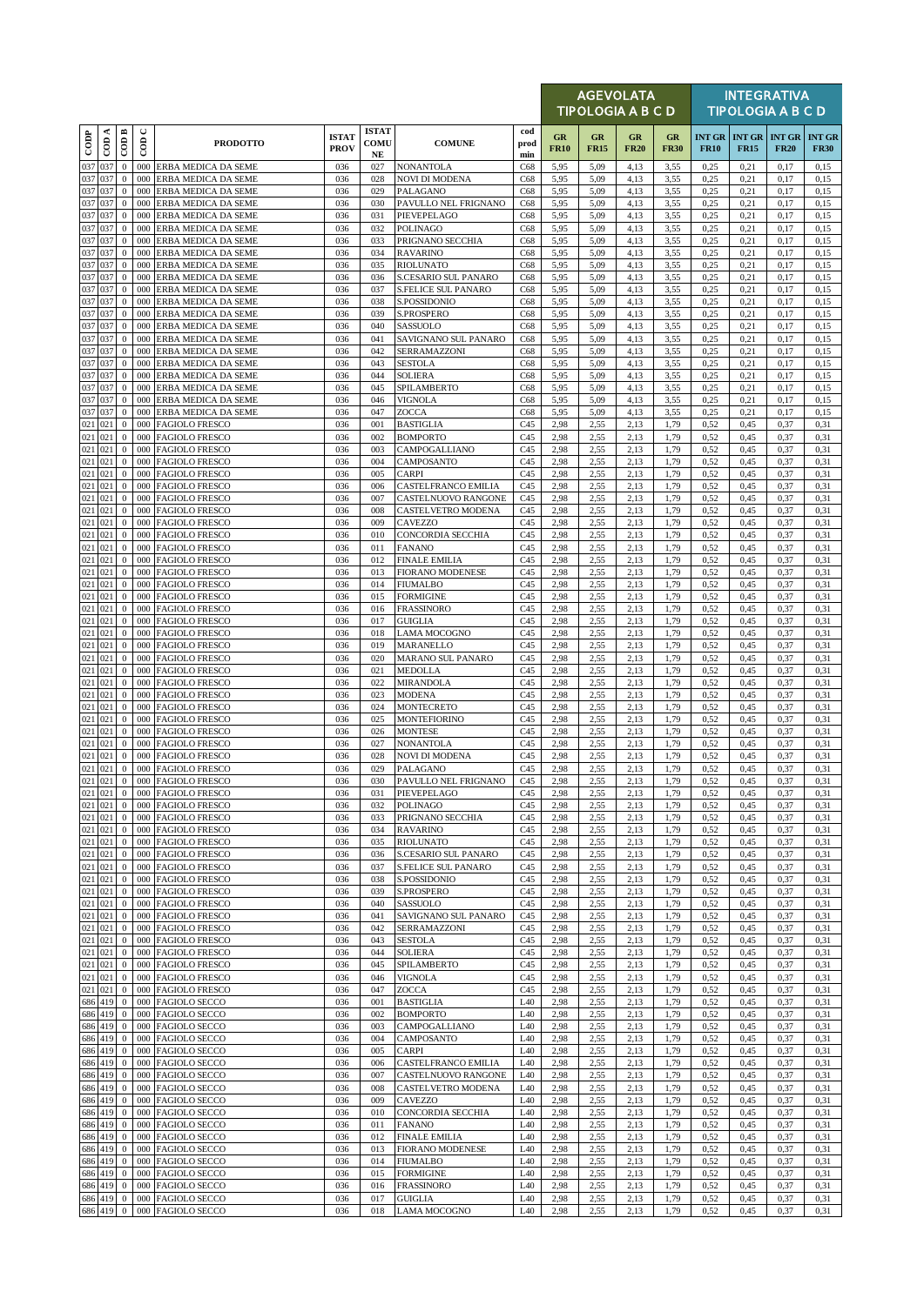|                      |          |                              |               |                                                |                             |                                     |                                                 |                        |                   | <b>AGEVOLATA</b><br><b>TIPOLOGIA A B C D</b> |                          |                   |                              |              | <b>INTEGRATIVA</b><br><b>TIPOLOGIA A B C D</b> |                              |
|----------------------|----------|------------------------------|---------------|------------------------------------------------|-----------------------------|-------------------------------------|-------------------------------------------------|------------------------|-------------------|----------------------------------------------|--------------------------|-------------------|------------------------------|--------------|------------------------------------------------|------------------------------|
| $_{\rm{cop}}$        | $\cos A$ | $\overline{\mathrm{COD}}$ B  | $\cup$<br>600 | <b>PRODOTTO</b>                                | <b>ISTAT</b><br><b>PROV</b> | <b>ISTAT</b><br>COMU<br>$_{\rm NE}$ | <b>COMUNE</b>                                   | cod<br>prod<br>min     | GR<br><b>FR10</b> | GR<br><b>FR15</b>                            | <b>GR</b><br><b>FR20</b> | GR<br><b>FR30</b> | <b>INT GR</b><br><b>FR10</b> | <b>FR15</b>  | <b>INT GR INT GR</b><br><b>FR20</b>            | <b>INT GR</b><br><b>FR30</b> |
| 037 037              |          | $\boldsymbol{0}$             |               | 000 ERBA MEDICA DA SEME                        | 036                         | 027                                 | <b>NONANTOLA</b>                                | C68                    | 5,95              | 5,09                                         | 4,13                     | 3,55              | 0,25                         | 0,21         | 0,17                                           | 0,15                         |
| 037 037<br>037 037   |          | $\mathbf{0}$                 | 000           | ERBA MEDICA DA SEME                            | 036                         | 028                                 | <b>NOVI DI MODENA</b>                           | C68                    | 5,95              | 5,09                                         | 4,13                     | 3,55              | 0,25                         | 0,21         | 0,17                                           | 0,15                         |
| 037 037              |          | $\mathbf{0}$<br>$\mathbf{0}$ | 000<br>000    | ERBA MEDICA DA SEME<br>ERBA MEDICA DA SEME     | 036<br>036                  | 029<br>030                          | <b>PALAGANO</b><br>PAVULLO NEL FRIGNANO         | C68<br>C68             | 5,95<br>5,95      | 5,09<br>5,09                                 | 4,13<br>4,13             | 3,55<br>3,55      | 0,25<br>0,25                 | 0,21<br>0,21 | 0,17<br>0,17                                   | 0,15<br>0,15                 |
| 037 037              |          | $\mathbf{0}$                 | 000           | ERBA MEDICA DA SEME                            | 036                         | 031                                 | PIEVEPELAGO                                     | C68                    | 5,95              | 5,09                                         | 4,13                     | 3,55              | 0,25                         | 0,21         | 0,17                                           | 0,15                         |
| 037 037              |          | $\bf{0}$                     | 000           | ERBA MEDICA DA SEME                            | 036                         | 032                                 | <b>POLINAGO</b>                                 | C68                    | 5,95              | 5,09                                         | 4,13                     | 3,55              | 0,25                         | 0,21         | 0,17                                           | 0,15                         |
| 037 037<br>037 037   |          | $\mathbf{0}$<br>$\mathbf{0}$ | 000<br>000    | ERBA MEDICA DA SEME<br>ERBA MEDICA DA SEME     | 036<br>036                  | 033<br>034                          | PRIGNANO SECCHIA<br><b>RAVARINO</b>             | C68<br>C68             | 5,95<br>5,95      | 5,09<br>5,09                                 | 4,13<br>4,13             | 3,55<br>3,55      | 0,25<br>0,25                 | 0,21<br>0,21 | 0,17<br>0,17                                   | 0,15<br>0,15                 |
| 037 037              |          | $\mathbf{0}$                 | 000           | ERBA MEDICA DA SEME                            | 036                         | 035                                 | <b>RIOLUNATO</b>                                | C68                    | 5,95              | 5,09                                         | 4,13                     | 3,55              | 0.25                         | 0,21         | 0,17                                           | 0,15                         |
| 037 037              |          | $\mathbf{0}$                 | 000           | ERBA MEDICA DA SEME                            | 036                         | 036                                 | S.CESARIO SUL PANARO                            | C68                    | 5,95              | 5,09                                         | 4,13                     | 3,55              | 0,25                         | 0,21         | 0,17                                           | 0,15                         |
| 037 037              |          | $\mathbf{0}$                 | 000           | ERBA MEDICA DA SEME                            | 036                         | 037                                 | <b>S.FELICE SUL PANARO</b>                      | C68                    | 5,95              | 5,09                                         | 4,13                     | 3,55              | 0.25                         | 0.21         | 0,17                                           | 0,15                         |
| 037 037<br>037 037   |          | $\mathbf{0}$<br>$\mathbf{0}$ | 000<br>000    | ERBA MEDICA DA SEME<br>ERBA MEDICA DA SEME     | 036<br>036                  | 038<br>039                          | S.POSSIDONIO<br>S.PROSPERO                      | C68<br>C68             | 5,95<br>5,95      | 5,09<br>5,09                                 | 4,13<br>4,13             | 3,55<br>3,55      | 0,25<br>0.25                 | 0,21<br>0,21 | 0,17<br>0,17                                   | 0,15<br>0,15                 |
| 037 037              |          | $\mathbf{0}$                 | 000           | ERBA MEDICA DA SEME                            | 036                         | 040                                 | SASSUOLO                                        | C68                    | 5,95              | 5,09                                         | 4,13                     | 3,55              | 0.25                         | 0,21         | 0,17                                           | 0,15                         |
| 037 037              |          | $\mathbf{0}$                 | 000           | ERBA MEDICA DA SEME                            | 036                         | 041                                 | SAVIGNANO SUL PANARO                            | C68                    | 5,95              | 5,09                                         | 4,13                     | 3,55              | 0,25                         | 0,21         | 0,17                                           | 0,15                         |
| 037 037              |          | $\mathbf{0}$                 | 000           | ERBA MEDICA DA SEME                            | 036                         | 042                                 | SERRAMAZZONI                                    | C68                    | 5,95              | 5,09                                         | 4,13                     | 3,55              | 0,25                         | 0,21         | 0,17                                           | 0,15                         |
| 037 037<br>037 037   |          | $\mathbf{0}$<br>$\mathbf{0}$ | 000<br>000    | ERBA MEDICA DA SEME<br>ERBA MEDICA DA SEME     | 036<br>036                  | 043<br>044                          | <b>SESTOLA</b><br>SOLIERA                       | C68<br>C68             | 5,95<br>5,95      | 5,09<br>5,09                                 | 4,13<br>4,13             | 3,55<br>3,55      | 0,25<br>0.25                 | 0,21<br>0,21 | 0,17<br>0,17                                   | 0,15<br>0,15                 |
| 037 037              |          | $\mathbf{0}$                 | 000           | ERBA MEDICA DA SEME                            | 036                         | 045                                 | SPILAMBERTO                                     | C68                    | 5,95              | 5,09                                         | 4,13                     | 3,55              | 0,25                         | 0,21         | 0,17                                           | 0,15                         |
| 037 037              |          | $\mathbf{0}$                 | 000           | ERBA MEDICA DA SEME                            | 036                         | 046                                 | VIGNOLA                                         | C68                    | 5,95              | 5,09                                         | 4,13                     | 3,55              | 0,25                         | 0,21         | 0,17                                           | 0,15                         |
| 037 037              |          | $\bf{0}$                     | 000           | ERBA MEDICA DA SEME                            | 036                         | 047                                 | ZOCCA                                           | C68                    | 5,95              | 5,09                                         | 4,13                     | 3,55              | 0.25                         | 0,21         | 0,17                                           | 0.15                         |
| 021 021<br>021 021   |          | $\mathbf{0}$<br>$\mathbf{0}$ | 000<br>000    | <b>FAGIOLO FRESCO</b><br><b>FAGIOLO FRESCO</b> | 036<br>036                  | 001<br>002                          | <b>BASTIGLIA</b><br><b>BOMPORTO</b>             | C45<br>C45             | 2,98<br>2,98      | 2,55<br>2,55                                 | 2,13<br>2,13             | 1,79<br>1,79      | 0,52<br>0,52                 | 0,45<br>0,45 | 0,37<br>0,37                                   | 0,31<br>0,31                 |
| 021 021              |          | $\bf{0}$                     | 000           | <b>FAGIOLO FRESCO</b>                          | 036                         | 003                                 | CAMPOGALLIANO                                   | C45                    | 2,98              | 2,55                                         | 2,13                     | 1,79              | 0,52                         | 0,45         | 0,37                                           | 0.31                         |
| 021 021              |          | $\mathbf{0}$                 | 000           | <b>FAGIOLO FRESCO</b>                          | 036                         | 004                                 | CAMPOSANTO                                      | C45                    | 2,98              | 2,55                                         | 2,13                     | 1,79              | 0,52                         | 0,45         | 0,37                                           | 0,31                         |
| 021 021              |          | $\mathbf{0}$                 | 000           | <b>FAGIOLO FRESCO</b>                          | 036                         | 005                                 | <b>CARPI</b>                                    | C45                    | 2,98              | 2,55                                         | 2,13                     | 1,79              | 0,52                         | 0,45         | 0,37                                           | 0,31                         |
| 021 021              |          | $\bf{0}$                     | 000           | <b>FAGIOLO FRESCO</b><br><b>FAGIOLO FRESCO</b> | 036                         | 006                                 | CASTELFRANCO EMILIA<br>CASTELNUOVO RANGONE      | C45                    | 2,98              | 2,55                                         | 2,13                     | 1,79              | 0,52                         | 0,45         | 0,37                                           | 0,31                         |
| $021$ 021<br>021 021 |          | $\mathbf{0}$<br>$\mathbf{0}$ | 000           | 000 FAGIOLO FRESCO                             | 036<br>036                  | 007<br>008                          | CASTELVETRO MODENA                              | C45<br>C45             | 2,98<br>2,98      | 2,55<br>2,55                                 | 2,13<br>2,13             | 1,79<br>1,79      | 0,52<br>0,52                 | 0,45<br>0,45 | 0,37<br>0,37                                   | 0,31<br>0,31                 |
| 021 021              |          | $\mathbf{0}$                 | 000           | <b>FAGIOLO FRESCO</b>                          | 036                         | 009                                 | CAVEZZO                                         | C45                    | 2,98              | 2,55                                         | 2,13                     | 1,79              | 0,52                         | 0,45         | 0,37                                           | 0,31                         |
| 021 021              |          | $\mathbf{0}$                 | 000           | <b>FAGIOLO FRESCO</b>                          | 036                         | 010                                 | CONCORDIA SECCHIA                               | C <sub>45</sub>        | 2,98              | 2,55                                         | 2,13                     | 1,79              | 0,52                         | 0,45         | 0,37                                           | 0,31                         |
| 021 021<br>021 021   |          | $\mathbf{0}$                 | 000           | 000 FAGIOLO FRESCO                             | 036                         | 011                                 | <b>FANANO</b>                                   | C45                    | 2,98              | 2,55                                         | 2,13                     | 1,79              | 0,52                         | 0,45         | 0,37                                           | 0,31                         |
| 021 021              |          | $\mathbf{0}$<br>$\mathbf{0}$ | 000           | <b>FAGIOLO FRESCO</b><br><b>FAGIOLO FRESCO</b> | 036<br>036                  | 012<br>013                          | <b>FINALE EMILIA</b><br><b>FIORANO MODENESE</b> | C45<br>C45             | 2,98<br>2,98      | 2,55<br>2,55                                 | 2,13<br>2,13             | 1,79<br>1,79      | 0,52<br>0,52                 | 0,45<br>0,45 | 0,37<br>0,37                                   | 0,31<br>0,31                 |
| 021 021              |          | $\mathbf{0}$                 | 000           | <b>FAGIOLO FRESCO</b>                          | 036                         | 014                                 | <b>FIUMALBO</b>                                 | C45                    | 2,98              | 2,55                                         | 2,13                     | 1,79              | 0,52                         | 0,45         | 0,37                                           | 0,31                         |
| 021 021              |          | $\mathbf{0}$                 | 000           | <b>FAGIOLO FRESCO</b>                          | 036                         | 015                                 | <b>FORMIGINE</b>                                | C45                    | 2,98              | 2,55                                         | 2,13                     | 1,79              | 0,52                         | 0,45         | 0,37                                           | 0,31                         |
| 021 021<br>021 021   |          | $\mathbf{0}$<br>$\mathbf{0}$ | 000<br>000    | <b>FAGIOLO FRESCO</b><br><b>FAGIOLO FRESCO</b> | 036<br>036                  | 016<br>017                          | <b>FRASSINORO</b>                               | C45<br>C45             | 2,98<br>2,98      | 2,55<br>2,55                                 | 2,13<br>2,13             | 1,79<br>1,79      | 0,52<br>0,52                 | 0,45<br>0,45 | 0,37<br>0,37                                   | 0,31<br>0,31                 |
| 021 021              |          | $\mathbf{0}$                 | 000           | <b>FAGIOLO FRESCO</b>                          | 036                         | 018                                 | GUIGLIA<br>LAMA MOCOGNO                         | C45                    | 2,98              | 2,55                                         | 2,13                     | 1,79              | 0,52                         | 0,45         | 0,37                                           | 0,31                         |
| 021 021              |          | $\mathbf{0}$                 |               | 000 FAGIOLO FRESCO                             | 036                         | 019                                 | MARANELLO                                       | C45                    | 2,98              | 2,55                                         | 2,13                     | 1,79              | 0,52                         | 0,45         | 0,37                                           | 0,31                         |
| 021 021              |          | $\mathbf{0}$                 | 000           | <b>FAGIOLO FRESCO</b>                          | 036                         | 020                                 | <b>MARANO SUL PANARO</b>                        | C45                    | 2,98              | 2,55                                         | 2,13                     | 1,79              | 0,52                         | 0,45         | 0,37                                           | 0,31                         |
| 021 021<br>021 021   |          | $\mathbf{0}$<br>$\mathbf{0}$ | 000<br>000    | <b>FAGIOLO FRESCO</b><br><b>FAGIOLO FRESCO</b> | 036<br>036                  | 021<br>022                          | MEDOLLA<br>MIRANDOLA                            | C45<br>C45             | 2,98<br>2,98      | 2,55<br>2,55                                 | 2,13<br>2,13             | 1,79<br>1,79      | 0,52<br>0,52                 | 0,45<br>0,45 | 0,37<br>0,37                                   | 0,31<br>0,31                 |
| 021 021              |          | $\mathbf{0}$                 | 000           | <b>FAGIOLO FRESCO</b>                          | 036                         | 023                                 | <b>MODENA</b>                                   | C45                    | 2,98              | 2,55                                         | 2,13                     | 1,79              | 0,52                         | 0,45         | 0,37                                           | 0,31                         |
| 021 021              |          | $\mathbf{0}$                 | 000           | <b>FAGIOLO FRESCO</b>                          | 036                         | 024                                 | MONTECRETO                                      | C45                    | 2,98              | 2,55                                         | 2,13                     | 1,79              | 0,52                         | 0,45         | 0,37                                           | 0,31                         |
| 021 021              |          | $\mathbf{0}$                 |               | 000 FAGIOLO FRESCO                             | 036                         | 025                                 | MONTEFIORINO                                    | C45                    | 2,98              | 2,55                                         | 2,13                     | 1,79              | 0,52                         | 0,45         | 0,37                                           | 0,31                         |
| 021 021<br>021 021   |          | $\mathbf{0}$<br>$\mathbf{0}$ | 000           | <b>FAGIOLO FRESCO</b><br>000 FAGIOLO FRESCO    | 036<br>036                  | 026<br>027                          | <b>MONTESE</b><br><b>NONANTOLA</b>              | C45<br>C45             | 2,98<br>2,98      | 2,55<br>2,55                                 | 2,13<br>2,13             | 1,79<br>1,79      | 0,52<br>0,52                 | 0,45<br>0,45 | 0,37<br>0,37                                   | 0,31<br>0,31                 |
| 021 021              |          | $\bf{0}$                     | 000           | <b>FAGIOLO FRESCO</b>                          | 036                         | 028                                 | NOVI DI MODENA                                  | C45                    | 2,98              | 2,55                                         | 2,13                     | 1,79              | 0,52                         | 0,45         | 0,37                                           | 0,31                         |
| 021 021              |          | $\mathbf{0}$                 |               | 000 FAGIOLO FRESCO                             | 036                         | 029                                 | PALAGANO                                        | C45                    | 2,98              | 2,55                                         | 2,13                     | 1,79              | 0,52                         | 0,45         | 0,37                                           | 0,31                         |
| 021 021<br>021 021   |          |                              |               | 0 000 FAGIOLO FRESCO                           | 036                         | 030                                 | PAVULLO NEL FRIGNANO                            | C45                    | 2,98              | 2,55                                         | 2,13                     | 1,79              | 0,52                         | 0,45         | 0,37                                           | 0,31                         |
| 021 021              |          | $\bf{0}$<br>$\bf{0}$         | 000           | 000 FAGIOLO FRESCO<br><b>FAGIOLO FRESCO</b>    | 036<br>036                  | 031<br>032                          | PIEVEPELAGO<br><b>POLINAGO</b>                  | C45<br>C45             | 2,98<br>2,98      | 2,55<br>2,55                                 | 2,13<br>2,13             | 1,79<br>1,79      | 0,52<br>0,52                 | 0,45<br>0,45 | 0,37<br>0,37                                   | 0.31<br>0,31                 |
| 021 021              |          | $\overline{0}$               |               | 000 FAGIOLO FRESCO                             | 036                         | 033                                 | PRIGNANO SECCHIA                                | C45                    | 2,98              | 2,55                                         | 2,13                     | 1,79              | 0,52                         | 0,45         | 0,37                                           | 0,31                         |
| 021 021              |          | $\mathbf{0}$                 |               | 000 FAGIOLO FRESCO                             | 036                         | 034                                 | <b>RAVARINO</b>                                 | C45                    | 2,98              | 2,55                                         | 2,13                     | 1,79              | 0,52                         | 0,45         | 0,37                                           | 0,31                         |
| 021 021<br>021 021   |          | $\bf{0}$<br>$\mathbf{0}$     | 000<br>000    | <b>FAGIOLO FRESCO</b><br><b>FAGIOLO FRESCO</b> | 036<br>036                  | 035<br>036                          | <b>RIOLUNATO</b><br>S.CESARIO SUL PANARO        | C <sub>45</sub><br>C45 | 2,98<br>2,98      | 2,55<br>2,55                                 | 2,13<br>2,13             | 1,79<br>1,79      | 0,52<br>0,52                 | 0,45<br>0,45 | 0,37<br>0,37                                   | 0,31<br>0,31                 |
| 021 021              |          | $\mathbf{0}$                 | 000           | <b>FAGIOLO FRESCO</b>                          | 036                         | 037                                 | <b>S.FELICE SUL PANARO</b>                      | C45                    | 2,98              | 2,55                                         | 2,13                     | 1,79              | 0,52                         | 0,45         | 0,37                                           | 0,31                         |
| 021 021              |          | $\bf{0}$                     | 000           | <b>FAGIOLO FRESCO</b>                          | 036                         | 038                                 | S.POSSIDONIO                                    | C45                    | 2,98              | 2,55                                         | 2,13                     | 1,79              | 0,52                         | 0,45         | 0,37                                           | 0,31                         |
| 021 021              |          | $\mathbf{0}$                 | 000           | <b>FAGIOLO FRESCO</b>                          | 036                         | 039                                 | S.PROSPERO                                      | C45                    | 2,98              | 2,55                                         | 2,13                     | 1,79              | 0,52                         | 0,45         | 0,37                                           | 0,31                         |
| 021 021<br>021 021   |          | $\mathbf{0}$<br>$\bf{0}$     | 000           | <b>FAGIOLO FRESCO</b><br>000 FAGIOLO FRESCO    | 036<br>036                  | 040<br>041                          | SASSUOLO<br>SAVIGNANO SUL PANARO                | C45<br>C <sub>45</sub> | 2,98<br>2,98      | 2,55<br>2,55                                 | 2,13<br>2,13             | 1,79<br>1,79      | 0,52<br>0,52                 | 0,45         | 0,37                                           | 0,31                         |
| 021 021              |          | $\bf{0}$                     | 000           | <b>FAGIOLO FRESCO</b>                          | 036                         | 042                                 | SERRAMAZZONI                                    | C45                    | 2,98              | 2,55                                         | 2,13                     | 1,79              | 0,52                         | 0,45<br>0,45 | 0,37<br>0,37                                   | 0,31<br>0,31                 |
| 021 021              |          | $\mathbf{0}$                 | 000           | <b>FAGIOLO FRESCO</b>                          | 036                         | 043                                 | <b>SESTOLA</b>                                  | C45                    | 2,98              | 2,55                                         | 2,13                     | 1,79              | 0,52                         | 0,45         | 0,37                                           | 0,31                         |
| 021 021              |          | $\bf{0}$                     |               | 000 FAGIOLO FRESCO                             | 036                         | 044                                 | <b>SOLIERA</b>                                  | C45                    | 2,98              | 2,55                                         | 2,13                     | 1,79              | 0,52                         | 0,45         | 0,37                                           | 0,31                         |
| 021 021<br>021 021   |          | $\bf{0}$                     | 000           | <b>FAGIOLO FRESCO</b><br><b>FAGIOLO FRESCO</b> | 036                         | 045                                 | SPILAMBERTO                                     | C45                    | 2,98              | 2,55                                         | 2,13                     | 1,79              | 0,52                         | 0,45         | 0,37                                           | 0,31                         |
| 021 021              |          | $\mathbf{0}$<br>$\mathbf{0}$ | 000           | 000 FAGIOLO FRESCO                             | 036<br>036                  | 046<br>047                          | VIGNOLA<br>ZOCCA                                | C45<br>C45             | 2,98<br>2,98      | 2,55<br>2,55                                 | 2,13<br>2,13             | 1,79<br>1,79      | 0,52<br>0,52                 | 0,45<br>0,45 | 0,37<br>0,37                                   | 0,31<br>0,31                 |
|                      | 686 419  | $\mathbf{0}$                 | 000           | <b>FAGIOLO SECCO</b>                           | 036                         | 001                                 | <b>BASTIGLIA</b>                                | L40                    | 2,98              | 2,55                                         | 2,13                     | 1,79              | 0,52                         | 0,45         | 0,37                                           | 0,31                         |
|                      | 686 419  | $\bf{0}$                     | 000           | <b>FAGIOLO SECCO</b>                           | 036                         | 002                                 | <b>BOMPORTO</b>                                 | L40                    | 2,98              | 2,55                                         | 2,13                     | 1,79              | 0,52                         | 0,45         | 0,37                                           | 0,31                         |
| 686 419              | 686 419  | $\bf{0}$                     |               | 000 FAGIOLO SECCO                              | 036                         | 003<br>004                          | CAMPOGALLIANO                                   | L40                    | 2,98              | 2,55                                         | 2,13                     | 1,79              | 0,52                         | 0,45         | 0,37                                           | 0,31                         |
| 686 419              |          | $\bf{0}$<br>$\bf{0}$         | 000           | 000 FAGIOLO SECCO<br><b>FAGIOLO SECCO</b>      | 036<br>036                  | 005                                 | CAMPOSANTO<br><b>CARPI</b>                      | L40<br>L40             | 2,98<br>2,98      | 2,55<br>2,55                                 | 2,13<br>2,13             | 1,79<br>1,79      | 0,52<br>0,52                 | 0,45<br>0,45 | 0,37<br>0,37                                   | 0,31<br>0,31                 |
| 686 419              |          | $\bf{0}$                     |               | 000 FAGIOLO SECCO                              | 036                         | 006                                 | CASTELFRANCO EMILIA                             | L40                    | 2,98              | 2,55                                         | 2,13                     | 1,79              | 0,52                         | 0,45         | 0,37                                           | 0,31                         |
|                      | 686 419  | $\mathbf{0}$                 | 000           | <b>FAGIOLO SECCO</b>                           | 036                         | 007                                 | CASTELNUOVO RANGONE                             | L40                    | 2,98              | 2,55                                         | 2,13                     | 1,79              | 0,52                         | 0,45         | 0,37                                           | 0,31                         |
|                      | 686 419  | $\mathbf{0}$                 |               | 000 FAGIOLO SECCO                              | 036                         | 008                                 | CASTELVETRO MODENA                              | L40                    | 2,98              | 2,55                                         | 2,13                     | 1,79              | 0,52                         | 0,45         | 0,37                                           | 0,31                         |
| 686 419              | 686 419  | $\bf{0}$<br>$\bf{0}$         | 000<br>000    | <b>FAGIOLO SECCO</b><br><b>FAGIOLO SECCO</b>   | 036<br>036                  | 009<br>010                          | CAVEZZO<br>CONCORDIA SECCHIA                    | L40<br>L40             | 2,98<br>2,98      | 2,55<br>2,55                                 | 2,13<br>2,13             | 1,79<br>1,79      | 0,52<br>0,52                 | 0,45<br>0,45 | 0,37<br>0,37                                   | 0,31<br>0,31                 |
|                      | 686 419  | $\mathbf{0}$                 |               | 000 FAGIOLO SECCO                              | 036                         | 011                                 | <b>FANANO</b>                                   | L40                    | 2,98              | 2,55                                         | 2,13                     | 1,79              | 0,52                         | 0,45         | 0,37                                           | 0,31                         |
| 686 419              |          | $\mathbf{0}$                 | 000           | <b>FAGIOLO SECCO</b>                           | 036                         | 012                                 | <b>FINALE EMILIA</b>                            | L40                    | 2,98              | 2,55                                         | 2,13                     | 1,79              | 0,52                         | 0,45         | 0,37                                           | 0,31                         |
|                      | 686 419  | $\mathbf{0}$                 | 000           | FAGIOLO SECCO                                  | 036                         | 013                                 | <b>FIORANO MODENESE</b>                         | L40                    | 2,98              | 2,55                                         | 2,13                     | 1,79              | 0,52                         | 0,45         | 0,37                                           | 0,31                         |
| 686 419              | 686 419  | $\mathbf{0}$<br>$\mathbf{0}$ |               | 000 FAGIOLO SECCO<br>000 FAGIOLO SECCO         | 036<br>036                  | 014<br>015                          | <b>FIUMALBO</b><br><b>FORMIGINE</b>             | L40<br>L40             | 2,98<br>2,98      | 2,55<br>2,55                                 | 2,13<br>2,13             | 1,79<br>1,79      | 0,52<br>0,52                 | 0,45<br>0,45 | 0,37<br>0,37                                   | 0,31<br>0,31                 |
|                      | 686 419  | $\mathbf{0}$                 | 000           | <b>FAGIOLO SECCO</b>                           | 036                         | 016                                 | <b>FRASSINORO</b>                               | L40                    | 2,98              | 2,55                                         | 2,13                     | 1,79              | 0,52                         | 0,45         | 0,37                                           | 0,31                         |
|                      | 686 419  | $\mathbf{0}$                 |               | 000 FAGIOLO SECCO                              | 036                         | 017                                 | <b>GUIGLIA</b>                                  | L40                    | 2,98              | 2,55                                         | 2,13                     | 1,79              | 0,52                         | 0,45         | 0,37                                           | 0,31                         |
|                      | 686 419  | $\mathbf{0}$                 |               | 000 FAGIOLO SECCO                              | 036                         | 018                                 | <b>LAMA MOCOGNO</b>                             | L40                    | 2,98              | 2,55                                         | 2,13                     | 1,79              | 0,52                         | 0,45         | 0,37                                           | 0,31                         |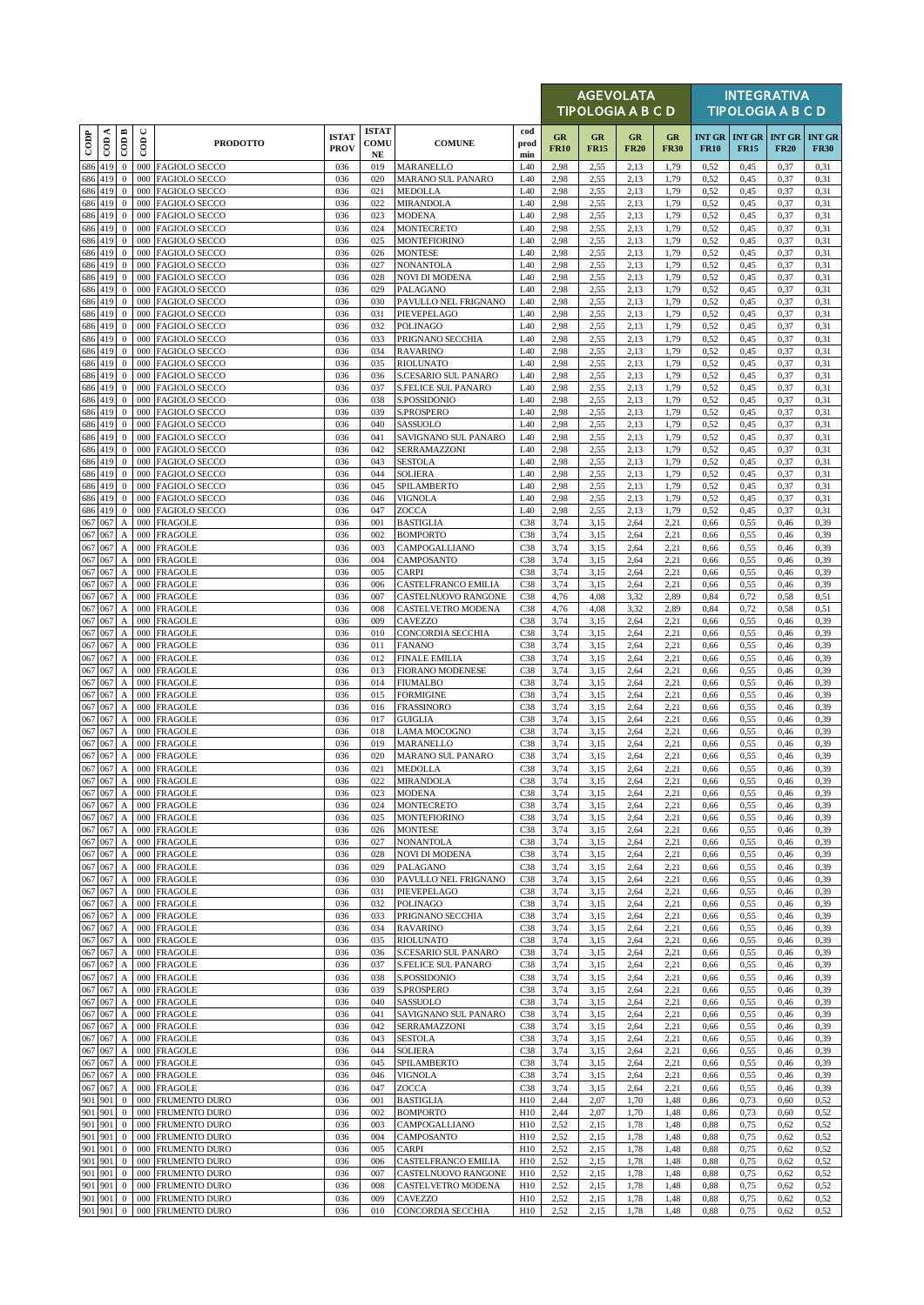|                          |                     |                                               |                      |                                              |                             |                                  |                                            |                        |                   |                   | <b>AGEVOLATA</b><br>TIPOLOGIA A B C D |                   |                              |              | <b>INTEGRATIVA</b><br><b>TIPOLOGIA A B C D</b> |                              |
|--------------------------|---------------------|-----------------------------------------------|----------------------|----------------------------------------------|-----------------------------|----------------------------------|--------------------------------------------|------------------------|-------------------|-------------------|---------------------------------------|-------------------|------------------------------|--------------|------------------------------------------------|------------------------------|
| $\overline{\text{cone}}$ | ≺<br>$\overline{c}$ | $\overline{CDB}$                              | $\cup$<br>$\epsilon$ | <b>PRODOTTO</b>                              | <b>ISTAT</b><br><b>PROV</b> | <b>ISTAT</b><br>COMU<br>$\bf NE$ | <b>COMUNE</b>                              | cod<br>prod<br>min     | GR<br><b>FR10</b> | GR<br><b>FR15</b> | GR<br><b>FR20</b>                     | GR<br><b>FR30</b> | <b>INT GR</b><br><b>FR10</b> | <b>FR15</b>  | <b>INT GR INT GR</b><br><b>FR20</b>            | <b>INT GR</b><br><b>FR30</b> |
| 686 419                  |                     | $\mathbf{0}$                                  |                      | 000 FAGIOLO SECCO                            | 036                         | 019                              | MARANELLO                                  | L40                    | 2,98              | 2,55              | 2,13                                  | 1,79              | 0,52                         | 0,45         | 0,37                                           | 0,31                         |
| 686<br>686 419           | 419                 | $\bf{0}$<br>$\mathbf{0}$                      | 000<br>000           | <b>FAGIOLO SECCO</b><br><b>FAGIOLO SECCO</b> | 036<br>036                  | 020<br>021                       | <b>MARANO SUL PANARO</b><br>MEDOLLA        | L40<br>L40             | 2,98<br>2,98      | 2,55<br>2,55      | 2,13<br>2,13                          | 1,79<br>1,79      | 0,52<br>0,52                 | 0,45<br>0,45 | 0,37<br>0,37                                   | 0,31<br>0,31                 |
| 686 419                  |                     | $\mathbf{0}$                                  |                      | 000 FAGIOLO SECCO                            | 036                         | 022                              | <b>MIRANDOLA</b>                           | L40                    | 2,98              | 2,55              | 2,13                                  | 1,79              | 0,52                         | 0,45         | 0,37                                           | 0,31                         |
| 686 419<br>686 419       |                     | $\mathbf{0}$<br>$\mathbf{0}$                  | 000<br>000           | <b>FAGIOLO SECCO</b><br><b>FAGIOLO SECCO</b> | 036<br>036                  | 023<br>024                       | <b>MODENA</b><br><b>MONTECRETO</b>         | L40<br>L40             | 2,98<br>2,98      | 2,55<br>2,55      | 2,13<br>2,13                          | 1,79<br>1,79      | 0,52<br>0,52                 | 0,45<br>0,45 | 0,37<br>0,37                                   | 0,31<br>0,31                 |
| 686 419                  |                     | $\mathbf{0}$                                  |                      | 000 FAGIOLO SECCO                            | 036                         | 025                              | <b>MONTEFIORINO</b>                        | L40                    | 2,98              | 2,55              | 2,13                                  | 1,79              | 0,52                         | 0,45         | 0,37                                           | 0,31                         |
| 686<br>686 419           | 419                 | $\mathbf{0}$<br>$\mathbf{0}$                  | 000<br>000           | <b>FAGIOLO SECCO</b>                         | 036                         | 026                              | <b>MONTESE</b>                             | L40<br>L40             | 2,98              | 2,55              | 2,13<br>2,13                          | 1,79<br>1,79      | 0,52                         | 0,45         | 0,37                                           | 0,31                         |
| 686 419                  |                     | $\mathbf{0}$                                  |                      | <b>FAGIOLO SECCO</b><br>000 FAGIOLO SECCO    | 036<br>036                  | 027<br>028                       | NONANTOLA<br>NOVI DI MODENA                | L40                    | 2,98<br>2,98      | 2,55<br>2,55      | 2,13                                  | 1,79              | 0,52<br>0,52                 | 0,45<br>0,45 | 0,37<br>0,37                                   | 0,31<br>0,31                 |
| 686 419                  |                     | $\mathbf{0}$                                  | 000                  | <b>FAGIOLO SECCO</b>                         | 036                         | 029                              | PALAGANO                                   | L40                    | 2,98              | 2,55              | 2,13                                  | 1,79              | 0,52                         | 0,45         | 0,37                                           | 0,31                         |
| 686 419<br>686 419       |                     | $\mathbf{0}$<br>$\mathbf{0}$                  | 000<br>000           | <b>FAGIOLO SECCO</b><br><b>FAGIOLO SECCO</b> | 036<br>036                  | 030<br>031                       | PAVULLO NEL FRIGNANO<br>PIEVEPELAGO        | L40<br>L40             | 2,98<br>2,98      | 2,55<br>2,55      | 2,13<br>2,13                          | 1,79<br>1,79      | 0,52<br>0,52                 | 0,45<br>0,45 | 0,37<br>0,37                                   | 0,31<br>0,31                 |
| 686 419                  |                     | $\mathbf{0}$                                  | 000                  | <b>FAGIOLO SECCO</b>                         | 036                         | 032                              | <b>POLINAGO</b>                            | L40                    | 2,98              | 2,55              | 2,13                                  | 1,79              | 0,52                         | 0,45         | 0,37                                           | 0,31                         |
| 686 419<br>686 419       |                     | $\mathbf{0}$<br>$\mathbf{0}$                  | 000                  | 000 FAGIOLO SECCO<br><b>FAGIOLO SECCO</b>    | 036<br>036                  | 033<br>034                       | PRIGNANO SECCHIA<br><b>RAVARINO</b>        | L40<br>L40             | 2,98<br>2,98      | 2,55<br>2,55      | 2,13<br>2,13                          | 1,79<br>1,79      | 0,52<br>0,52                 | 0,45<br>0,45 | 0,37<br>0,37                                   | 0,31<br>0,31                 |
| 686 419                  |                     | $\mathbf{0}$                                  | 000                  | <b>FAGIOLO SECCO</b>                         | 036                         | 035                              | <b>RIOLUNATO</b>                           | L40                    | 2,98              | 2,55              | 2,13                                  | 1,79              | 0,52                         | 0,45         | 0,37                                           | 0,31                         |
| 686 419                  |                     | $\mathbf{0}$                                  |                      | 000 FAGIOLO SECCO                            | 036                         | 036                              | S.CESARIO SUL PANARO                       | L40                    | 2,98              | 2,55              | 2,13                                  | 1,79              | 0,52                         | 0,45         | 0,37                                           | 0,31                         |
| 686 419<br>686 419       |                     | $\mathbf{0}$<br>$\mathbf{0}$                  | 000<br>000           | <b>FAGIOLO SECCO</b><br><b>FAGIOLO SECCO</b> | 036<br>036                  | 037<br>038                       | <b>S.FELICE SUL PANARO</b><br>S.POSSIDONIO | L40<br>L40             | 2,98<br>2,98      | 2,55<br>2,55      | 2,13<br>2,13                          | 1,79<br>1,79      | 0,52<br>0,52                 | 0,45<br>0,45 | 0,37<br>0,37                                   | 0,31<br>0,31                 |
| 686 419                  |                     | $\mathbf{0}$                                  |                      | 000 FAGIOLO SECCO                            | 036                         | 039                              | S.PROSPERO                                 | L40                    | 2,98              | 2,55              | 2,13                                  | 1,79              | 0,52                         | 0,45         | 0,37                                           | 0,31                         |
| 686 419                  |                     | $\mathbf{0}$                                  | 000                  | <b>FAGIOLO SECCO</b>                         | 036                         | 040                              | SASSUOLO                                   | L40                    | 2,98              | 2,55              | 2,13                                  | 1,79              | 0,52                         | 0,45         | 0,37                                           | 0,31                         |
| 686 419<br>686 419       |                     | $\mathbf{0}$<br>$\mathbf{0}$                  | 000                  | <b>FAGIOLO SECCO</b><br>000 FAGIOLO SECCO    | 036<br>036                  | 041<br>042                       | SAVIGNANO SUL PANARO<br>SERRAMAZZONI       | L40<br>L40             | 2,98<br>2,98      | 2,55<br>2,55      | 2,13<br>2,13                          | 1,79<br>1,79      | 0,52<br>0,52                 | 0,45<br>0,45 | 0,37<br>0,37                                   | 0,31<br>0,31                 |
| 686 419                  |                     | $\mathbf{0}$                                  | 000                  | <b>FAGIOLO SECCO</b>                         | 036                         | 043                              | <b>SESTOLA</b>                             | L40                    | 2,98              | 2,55              | 2,13                                  | 1,79              | 0,52                         | 0,45         | 0,37                                           | 0,31                         |
| 686 419<br>686 419       |                     | $\mathbf{0}$<br>$\mathbf{0}$                  | 000<br>000           | FAGIOLO SECCO<br><b>FAGIOLO SECCO</b>        | 036<br>036                  | 044<br>045                       | <b>SOLIERA</b><br>SPILAMBERTO              | L40<br>L40             | 2,98<br>2,98      | 2,55<br>2,55      | 2,13<br>2,13                          | 1,79<br>1,79      | 0,52<br>0,52                 | 0,45<br>0,45 | 0,37<br>0,37                                   | 0,31<br>0,31                 |
| 686 419                  |                     | $\mathbf{0}$                                  | 000                  | <b>FAGIOLO SECCO</b>                         | 036                         | 046                              | VIGNOLA                                    | L40                    | 2,98              | 2,55              | 2,13                                  | 1,79              | 0,52                         | 0,45         | 0,37                                           | 0,31                         |
| 686 419<br>067           |                     | $\mathbf{0}$                                  |                      | 000 FAGIOLO SECCO<br><b>FRAGOLE</b>          | 036                         | 047                              | ZOCCA                                      | L40                    | 2,98              | 2,55              | 2,13                                  | 1,79<br>2,21      | 0,52                         | 0,45         | 0,37                                           | 0,31                         |
| 067 067                  | 067                 | A<br>$\boldsymbol{A}$                         | 000<br>000           | <b>FRAGOLE</b>                               | 036<br>036                  | 001<br>002                       | <b>BASTIGLIA</b><br><b>BOMPORTO</b>        | C <sub>38</sub><br>C38 | 3,74<br>3,74      | 3,15<br>3,15      | 2,64<br>2,64                          | 2,21              | 0,66<br>0,66                 | 0,55<br>0,55 | 0,46<br>0,46                                   | 0,39<br>0,39                 |
| 067 067                  |                     | $\boldsymbol{\mathsf{A}}$                     |                      | 000 FRAGOLE                                  | 036                         | 003                              | CAMPOGALLIANO                              | C38                    | 3,74              | 3,15              | 2,64                                  | 2,21              | 0,66                         | 0,55         | 0,46                                           | 0,39                         |
| 067 067<br>067 067       |                     | $\boldsymbol{\mathsf{A}}$<br>A                | 000<br>000           | <b>FRAGOLE</b><br><b>FRAGOLE</b>             | 036<br>036                  | 004<br>005                       | CAMPOSANTO<br><b>CARPI</b>                 | C38<br>C <sub>38</sub> | 3,74<br>3,74      | 3,15<br>3,15      | 2,64<br>2,64                          | 2,21<br>2,21      | 0,66<br>0,66                 | 0,55<br>0,55 | 0,46<br>0,46                                   | 0,39<br>0,39                 |
| 067 067                  |                     | $\mathbf{A}$                                  |                      | 000 FRAGOLE                                  | 036                         | 006                              | CASTELFRANCO EMILIA                        | C38                    | 3,74              | 3,15              | 2,64                                  | 2,21              | 0,66                         | 0,55         | 0,46                                           | 0,39                         |
| 067 067                  |                     | $\boldsymbol{A}$                              | 000                  | <b>FRAGOLE</b>                               | 036                         | 007                              | CASTELNUOVO RANGONE                        | C38                    | 4,76              | 4,08              | 3,32                                  | 2,89              | 0,84                         | 0,72         | 0,58                                           | 0,51                         |
| 067 067<br>067 067       |                     | $\boldsymbol{A}$<br>$\boldsymbol{\mathsf{A}}$ | 000<br>000           | <b>FRAGOLE</b><br><b>FRAGOLE</b>             | 036<br>036                  | 008<br>009                       | CASTELVETRO MODENA<br><b>CAVEZZO</b>       | C38<br>C38             | 4,76<br>3,74      | 4,08<br>3,15      | 3,32<br>2,64                          | 2,89<br>2,21      | 0.84<br>0,66                 | 0,72<br>0,55 | 0,58<br>0,46                                   | 0.51<br>0,39                 |
| 067 067                  |                     | $\boldsymbol{A}$                              | 000                  | <b>FRAGOLE</b>                               | 036                         | 010                              | CONCORDIA SECCHIA                          | C38                    | 3,74              | 3,15              | 2,64                                  | 2,21              | 0,66                         | 0,55         | 0,46                                           | 0,39                         |
| 067 067<br>067 067       |                     | $\boldsymbol{A}$<br>$\boldsymbol{\mathsf{A}}$ | 000                  | 000 FRAGOLE<br><b>FRAGOLE</b>                | 036<br>036                  | 011<br>012                       | <b>FANANO</b><br><b>FINALE EMILIA</b>      | C38<br>C38             | 3,74<br>3,74      | 3,15<br>3,15      | 2,64<br>2,64                          | 2,21<br>2,21      | 0,66<br>0,66                 | 0,55<br>0,55 | 0,46<br>0,46                                   | 0,39<br>0,39                 |
| 067                      | 067                 | $\boldsymbol{A}$                              | 000                  | <b>FRAGOLE</b>                               | 036                         | 013                              | <b>FIORANO MODENESE</b>                    | C38                    | 3,74              | 3,15              | 2,64                                  | 2,21              | 0,66                         | 0,55         | 0,46                                           | 0,39                         |
| 067 067<br>067           | 067                 | $\boldsymbol{A}$                              | 000                  | 000 FRAGOLE<br><b>FRAGOLE</b>                | 036<br>036                  | 014<br>015                       | <b>FIUMALBO</b>                            | C38<br>C38             | 3,74<br>3,74      | 3,15              | 2,64                                  | 2,21<br>2,21      | 0,66                         | 0,55         | 0,46<br>0,46                                   | 0,39<br>0,39                 |
| 067 067                  |                     | $\boldsymbol{A}$<br>$\boldsymbol{A}$          | 000                  | <b>FRAGOLE</b>                               | 036                         | 016                              | <b>FORMIGINE</b><br><b>FRASSINORO</b>      | C38                    | 3,74              | 3,15<br>3,15      | 2,64<br>2,64                          | 2,21              | 0,66<br>0,66                 | 0,55<br>0,55 | 0,46                                           | 0,39                         |
| 067 067                  |                     | $\boldsymbol{A}$                              |                      | 000 FRAGOLE                                  | 036                         | 017                              | <b>GUIGLIA</b>                             | C38                    | 3,74              | 3,15              | 2,64                                  | 2,21              | 0,66                         | 0,55         | 0,46                                           | 0,39                         |
| 067 067<br>067 067       |                     | $\boldsymbol{\mathsf{A}}$<br>А                | 000<br>000           | <b>FRAGOLE</b><br><b>FRAGOLE</b>             | 036<br>036                  | 018<br>019                       | LAMA MOCOGNO<br>MARANELLO                  | C38<br>C38             | 3,74<br>3,74      | 3,15<br>3,15      | 2,64<br>2,64                          | 2,21<br>2,21      | 0,66<br>0,66                 | 0,55<br>0.55 | 0,46<br>0,46                                   | 0,39<br>0,39                 |
| 067 067                  |                     | A                                             | 000                  | <b>FRAGOLE</b>                               | 036                         | 020                              | <b>MARANO SUL PANARO</b>                   | C38                    | 3,74              | 3,15              | 2,64                                  | 2,21              | 0,66                         | 0,55         | 0,46                                           | 0.39                         |
| 067 067<br>067 067       |                     | $\boldsymbol{\rm{A}}$                         |                      | 000 FRAGOLE<br>A 000 FRAGOLE                 | 036<br>036                  | 021<br>022                       | <b>MEDOLLA</b><br><b>MIRANDOLA</b>         | C38<br>C38             | 3,74<br>3,74      | 3,15<br>3,15      | 2,64<br>2,64                          | 2,21<br>2,21      | 0,66<br>0,66                 | 0,55<br>0,55 | 0,46<br>0,46                                   | 0,39<br>0,39                 |
| 067 067                  |                     | $\boldsymbol{A}$                              |                      | 000 FRAGOLE                                  | 036                         | 023                              | <b>MODENA</b>                              | C38                    | 3,74              | 3,15              | 2,64                                  | 2,21              | 0,66                         | 0,55         | 0,46                                           | 0,39                         |
| 067 067                  |                     | $\boldsymbol{A}$                              | 000                  | <b>FRAGOLE</b>                               | 036                         | 024                              | MONTECRETO                                 | C38                    | 3,74              | 3,15              | 2,64                                  | 2,21              | 0,66                         | 0,55         | 0,46                                           | 0,39                         |
| 067 067<br>067 067       |                     | $\boldsymbol{A}$<br>A                         | 000                  | 000 FRAGOLE<br><b>FRAGOLE</b>                | 036<br>036                  | 025<br>026                       | <b>MONTEFIORINO</b><br>MONTESE             | C38<br>C <sub>38</sub> | 3,74<br>3,74      | 3,15<br>3,15      | 2,64<br>2,64                          | 2,21<br>2,21      | 0,66<br>0,66                 | 0,55<br>0,55 | 0,46<br>0,46                                   | 0,39<br>0,39                 |
| 067 067                  |                     | $\mathbf{A}$                                  | 000                  | <b>FRAGOLE</b>                               | 036                         | 027                              | <b>NONANTOLA</b>                           | C38                    | 3,74              | 3,15              | 2,64                                  | 2,21              | 0,66                         | 0,55         | 0,46                                           | 0,39                         |
| 067 067<br>067           | 067                 | $\boldsymbol{A}$<br>$\boldsymbol{A}$          | 000                  | 000 FRAGOLE<br><b>FRAGOLE</b>                | 036<br>036                  | 028<br>029                       | <b>NOVI DI MODENA</b><br>PALAGANO          | C38<br>C <sub>38</sub> | 3,74<br>3,74      | 3,15<br>3,15      | 2,64<br>2,64                          | 2,21<br>2,21      | 0,66<br>0,66                 | 0,55<br>0,55 | 0,46<br>0,46                                   | 0,39<br>0,39                 |
| 067 067                  |                     | $\mathbf{A}$                                  | 000                  | <b>FRAGOLE</b>                               | 036                         | 030                              | PAVULLO NEL FRIGNANO                       | C38                    | 3,74              | 3,15              | 2,64                                  | 2,21              | 0,66                         | 0,55         | 0,46                                           | 0,39                         |
| 067 067                  |                     | $\boldsymbol{\mathsf{A}}$                     |                      | 000 FRAGOLE                                  | 036                         | 031                              | PIEVEPELAGO                                | C38                    | 3,74              | 3,15              | 2,64                                  | 2,21              | 0,66                         | 0,55         | 0,46                                           | 0,39                         |
| 067 067<br>067 067       |                     | $\boldsymbol{\mathsf{A}}$<br>A                | 000<br>000           | <b>FRAGOLE</b><br><b>FRAGOLE</b>             | 036<br>036                  | 032<br>033                       | <b>POLINAGO</b><br>PRIGNANO SECCHIA        | C38<br>C38             | 3,74<br>3,74      | 3,15<br>3,15      | 2,64<br>2,64                          | 2,21<br>2,21      | 0,66<br>0,66                 | 0,55<br>0,55 | 0,46<br>0,46                                   | 0,39<br>0,39                 |
| 067 067                  |                     | $\boldsymbol{\mathsf{A}}$                     |                      | 000 FRAGOLE                                  | 036                         | 034                              | <b>RAVARINO</b>                            | C38                    | 3,74              | 3,15              | 2,64                                  | 2,21              | 0,66                         | 0,55         | 0,46                                           | 0,39                         |
| 067 067<br>067 067       |                     | $\boldsymbol{A}$<br>$\boldsymbol{A}$          | 000                  | <b>FRAGOLE</b><br>000 FRAGOLE                | 036<br>036                  | 035<br>036                       | <b>RIOLUNATO</b><br>S.CESARIO SUL PANARO   | C38<br>C38             | 3,74<br>3,74      | 3,15<br>3,15      | 2,64<br>2,64                          | 2,21<br>2,21      | 0,66<br>0,66                 | 0,55<br>0,55 | 0,46<br>0,46                                   | 0,39<br>0,39                 |
| 067 067                  |                     | $\mathbf A$                                   |                      | 000 FRAGOLE                                  | 036                         | 037                              | S.FELICE SUL PANARO                        | C38                    | 3,74              | 3,15              | 2,64                                  | 2,21              | 0,66                         | 0,55         | 0,46                                           | 0,39                         |
| 067 067                  |                     | $\boldsymbol{\mathsf{A}}$                     | 000                  | <b>FRAGOLE</b>                               | 036                         | 038                              | S.POSSIDONIO                               | C38                    | 3,74              | 3,15              | 2,64                                  | 2,21              | 0,66                         | 0,55         | 0,46                                           | 0,39                         |
| 067 067<br>067 067       |                     | A<br>А                                        | 000                  | 000 FRAGOLE<br><b>FRAGOLE</b>                | 036<br>036                  | 039<br>040                       | S.PROSPERO<br>SASSUOLO                     | C38<br>C38             | 3,74<br>3,74      | 3,15<br>3,15      | 2,64<br>2,64                          | 2,21<br>2,21      | 0,66<br>0,66                 | 0,55<br>0,55 | 0,46<br>0,46                                   | 0,39<br>0,39                 |
| 067 067                  |                     | $\mathbf{A}$                                  | 000                  | <b>FRAGOLE</b>                               | 036                         | 041                              | SAVIGNANO SUL PANARO                       | C38                    | 3,74              | 3,15              | 2,64                                  | 2,21              | 0,66                         | 0,55         | 0,46                                           | 0,39                         |
| 067 067<br>067 067       |                     | $\boldsymbol{A}$<br>$\boldsymbol{A}$          | 000                  | 000 FRAGOLE<br><b>FRAGOLE</b>                | 036<br>036                  | 042<br>043                       | SERRAMAZZONI<br><b>SESTOLA</b>             | C38<br>C38             | 3,74<br>3,74      | 3,15<br>3,15      | 2,64<br>2,64                          | 2,21<br>2,21      | 0,66<br>0,66                 | 0,55<br>0,55 | 0,46<br>0,46                                   | 0,39<br>0,39                 |
| 067 067                  |                     | $\mathbf A$                                   | 000                  | <b>FRAGOLE</b>                               | 036                         | 044                              | SOLIERA                                    | C38                    | 3,74              | 3,15              | 2,64                                  | 2,21              | 0,66                         | 0,55         | 0,46                                           | 0,39                         |
| 067 067                  |                     | $\boldsymbol{A}$                              |                      | 000 FRAGOLE                                  | 036                         | 045                              | SPILAMBERTO                                | C38                    | 3,74              | 3,15              | 2,64                                  | 2,21              | 0,66                         | 0,55         | 0,46                                           | 0,39                         |
| 067 067<br>067 067       |                     | $\boldsymbol{\mathsf{A}}$<br>$\boldsymbol{A}$ | 000<br>000           | <b>FRAGOLE</b><br><b>FRAGOLE</b>             | 036<br>036                  | 046<br>047                       | VIGNOLA<br>ZOCCA                           | C38<br>C <sub>38</sub> | 3,74<br>3,74      | 3,15<br>3,15      | 2,64<br>2,64                          | 2,21<br>2,21      | 0,66<br>0,66                 | 0,55<br>0.55 | 0,46<br>0,46                                   | 0,39<br>0,39                 |
| 901 901                  |                     | $\boldsymbol{0}$                              | 000                  | FRUMENTO DURO                                | 036                         | 001                              | <b>BASTIGLIA</b>                           | H10                    | 2,44              | 2,07              | 1,70                                  | 1,48              | 0,86                         | 0,73         | 0,60                                           | 0,52                         |
| 901 901<br>901 901       |                     | $\mathbf{0}$<br>$\mathbf{0}$                  | 000<br>000           | FRUMENTO DURO<br>FRUMENTO DURO               | 036<br>036                  | 002<br>003                       | <b>BOMPORTO</b><br>CAMPOGALLIANO           | H10<br>H10             | 2,44<br>2,52      | 2,07<br>2,15      | 1,70<br>1,78                          | 1,48<br>1,48      | 0,86<br>0,88                 | 0,73<br>0,75 | 0,60<br>0,62                                   | 0,52<br>0,52                 |
| 901 901                  |                     | $\boldsymbol{0}$                              | 000                  | FRUMENTO DURO                                | 036                         | 004                              | CAMPOSANTO                                 | H10                    | 2,52              | 2,15              | 1,78                                  | 1,48              | 0.88                         | 0,75         | 0,62                                           | 0,52                         |
| 901 901                  |                     | $\bf{0}$                                      | 000                  | FRUMENTO DURO                                | 036                         | 005                              | CARPI                                      | H10                    | 2,52              | 2,15              | 1,78                                  | 1,48              | 0,88                         | 0,75         | 0,62                                           | 0,52                         |
| 901 901<br>901 901       |                     | $\mathbf{0}$<br>$\bf{0}$                      | 000<br>000           | FRUMENTO DURO<br><b>FRUMENTO DURO</b>        | 036<br>036                  | 006<br>007                       | CASTELFRANCO EMILIA<br>CASTELNUOVO RANGONE | H10<br>H10             | 2,52<br>2,52      | 2,15<br>2,15      | 1,78<br>1,78                          | 1,48<br>1,48      | 0,88<br>0.88                 | 0,75<br>0,75 | 0,62<br>0,62                                   | 0,52<br>0,52                 |
| 901 901                  |                     | $\bf{0}$                                      | 000                  | FRUMENTO DURO                                | 036                         | 008                              | CASTELVETRO MODENA                         | H10                    | 2,52              | 2,15              | 1,78                                  | 1,48              | 0,88                         | 0,75         | 0,62                                           | 0,52                         |
| 901 901<br>901 901       |                     | $\mathbf{0}$<br>$\mathbf{0}$                  |                      | 000 FRUMENTO DURO<br>000 FRUMENTO DURO       | 036<br>036                  | 009<br>010                       | CAVEZZO<br>CONCORDIA SECCHIA               | H10<br>H10             | 2,52<br>2,52      | 2,15<br>2,15      | 1,78<br>1,78                          | 1,48<br>1,48      | 0,88<br>0,88                 | 0,75<br>0,75 | 0,62<br>0,62                                   | 0,52<br>0,52                 |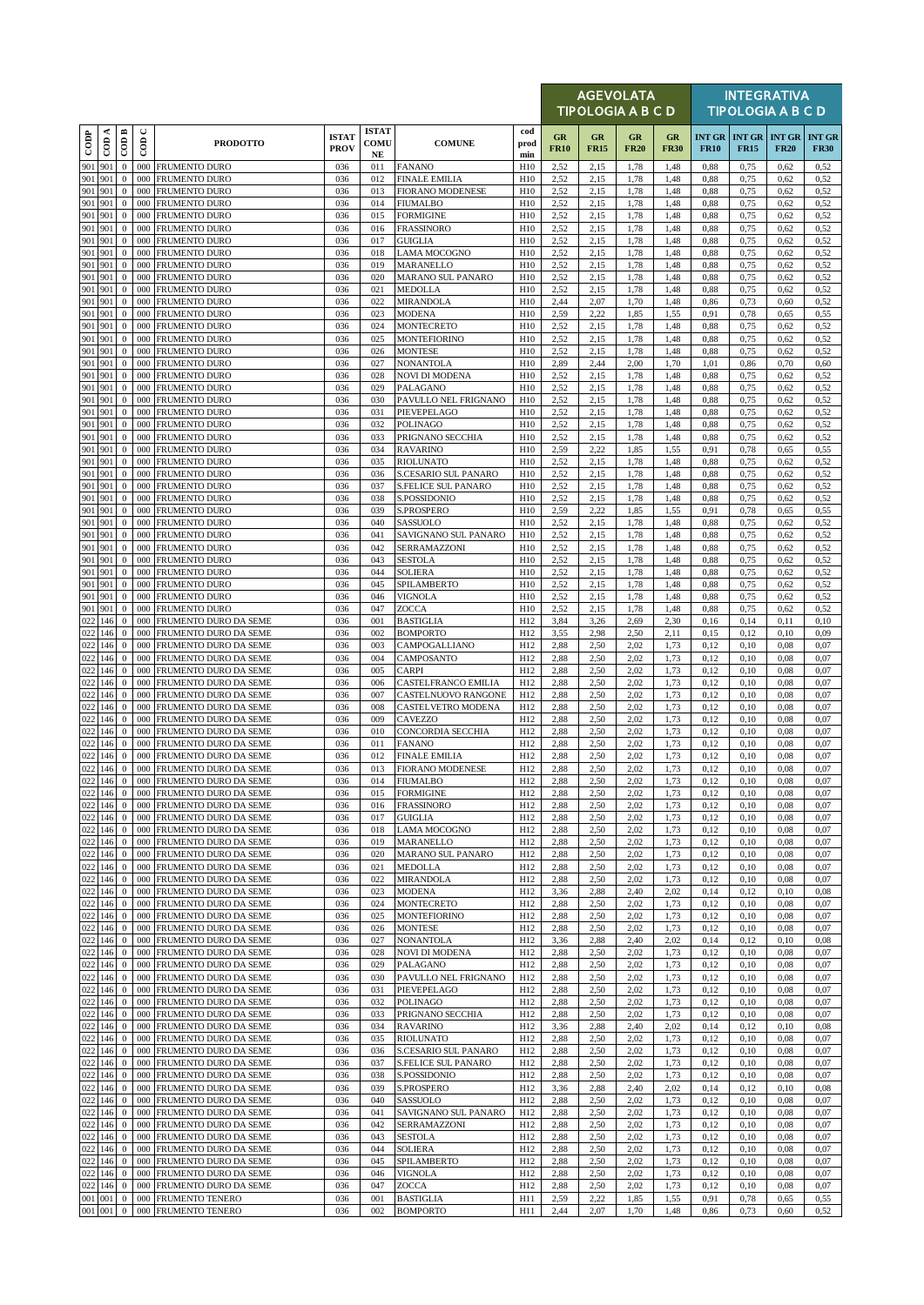|                    |                                |                              |                          |                                                          |                             |                            |                                                 |                    |                   | <b>AGEVOLATA</b><br><b>TIPOLOGIA A B C D</b> |                   |                   |                              |                              | <b>INTEGRATIVA</b><br><b>TIPOLOGIA A B C D</b> |                              |
|--------------------|--------------------------------|------------------------------|--------------------------|----------------------------------------------------------|-----------------------------|----------------------------|-------------------------------------------------|--------------------|-------------------|----------------------------------------------|-------------------|-------------------|------------------------------|------------------------------|------------------------------------------------|------------------------------|
| $_{\rm{cop}}$      | CDA                            | CODB                         | $\cup$<br>$\overline{5}$ | <b>PRODOTTO</b>                                          | <b>ISTAT</b><br><b>PROV</b> | <b>ISTAT</b><br>COMU<br>NE | <b>COMUNE</b>                                   | cod<br>prod<br>min | GR<br><b>FR10</b> | GR<br><b>FR15</b>                            | GR<br><b>FR20</b> | GR<br><b>FR30</b> | <b>INT GR</b><br><b>FR10</b> | <b>INT GR</b><br><b>FR15</b> | <b>INT GR</b><br><b>FR20</b>                   | <b>INT GR</b><br><b>FR30</b> |
| 901                | 901                            | $\mathbf{0}$                 | 000                      | <b>FRUMENTO DURO</b>                                     | 036                         | 011                        | <b>FANANO</b>                                   | H10                | 2,52              | 2,15                                         | 1,78              | 1,48              | 0,88                         | 0,75                         | 0,62                                           | 0,52                         |
| 901 901            | 901 901                        | $\bf{0}$<br>$\mathbf{0}$     | 000<br>000               | <b>FRUMENTO DURO</b><br><b>FRUMENTO DURO</b>             | 036<br>036                  | 012<br>013                 | <b>FINALE EMILIA</b><br><b>FIORANO MODENESE</b> | H10<br>H10         | 2,52              | 2,15                                         | 1,78<br>1,78      | 1,48              | 0.88                         | 0,75                         | 0,62<br>0,62                                   | 0,52                         |
| 901 901            |                                | $\mathbf{0}$                 | 000                      | <b>FRUMENTO DURO</b>                                     | 036                         | 014                        | <b>FIUMALBO</b>                                 | H10                | 2,52<br>2,52      | 2,15<br>2,15                                 | 1,78              | 1,48<br>1,48      | 0,88<br>0,88                 | 0,75<br>0,75                 | 0,62                                           | 0,52<br>0,52                 |
| 901 901            |                                | $\bf{0}$                     | 000                      | <b>FRUMENTO DURO</b>                                     | 036                         | 015                        | <b>FORMIGINE</b>                                | H10                | 2,52              | 2,15                                         | 1,78              | 1,48              | 0.88                         | 0,75                         | 0,62                                           | 0,52                         |
| 901 901            |                                | $\mathbf{0}$                 | 000                      | <b>FRUMENTO DURO</b>                                     | 036                         | 016                        | <b>FRASSINORO</b>                               | H10                | 2,52              | 2,15                                         | 1,78              | 1,48              | 0.88                         | 0,75                         | 0,62                                           | 0,52                         |
| 901 901<br>901     | 901                            | $\mathbf{0}$<br>$\bf{0}$     | 000<br>000               | <b>FRUMENTO DURO</b><br><b>FRUMENTO DURO</b>             | 036<br>036                  | 017<br>018                 | <b>GUIGLIA</b><br><b>LAMA MOCOGNO</b>           | H10<br>H10         | 2,52<br>2,52      | 2,15<br>2,15                                 | 1,78<br>1,78      | 1,48<br>1,48      | 0,88<br>0,88                 | 0,75<br>0.75                 | 0,62<br>0,62                                   | 0,52<br>0,52                 |
|                    | 901 901                        | $\mathbf{0}$                 | 000                      | <b>FRUMENTO DURO</b>                                     | 036                         | 019                        | MARANELLO                                       | H10                | 2,52              | 2,15                                         | 1,78              | 1,48              | 0,88                         | 0,75                         | 0,62                                           | 0,52                         |
|                    | 901 901                        | $\mathbf{0}$                 |                          | 000 FRUMENTO DURO                                        | 036                         | 020                        | <b>MARANO SUL PANARO</b>                        | H10                | 2,52              | 2,15                                         | 1,78              | 1,48              | 0,88                         | 0,75                         | 0,62                                           | 0,52                         |
| 901 901            |                                | $\mathbf{0}$                 | 000                      | <b>FRUMENTO DURO</b>                                     | 036                         | 021                        | <b>MEDOLLA</b>                                  | H10                | 2,52              | 2,15                                         | 1,78              | 1,48              | 0.88                         | 0,75                         | 0,62                                           | 0,52                         |
| 901 901            | 901 901                        | $\mathbf{0}$<br>$\mathbf{0}$ | 000<br>000               | <b>FRUMENTO DURO</b><br><b>FRUMENTO DURO</b>             | 036<br>036                  | 022<br>023                 | <b>MIRANDOLA</b><br><b>MODENA</b>               | H10<br>H10         | 2,44<br>2,59      | 2,07<br>2,22                                 | 1,70<br>1,85      | 1,48<br>1,55      | 0,86<br>0,91                 | 0,73<br>0,78                 | 0,60<br>0,65                                   | 0,52<br>0,55                 |
| 901 901            |                                | $\mathbf{0}$                 | 000                      | FRUMENTO DURO                                            | 036                         | 024                        | <b>MONTECRETO</b>                               | H10                | 2,52              | 2,15                                         | 1,78              | 1,48              | 0,88                         | 0,75                         | 0,62                                           | 0,52                         |
|                    | 901 901                        | $\mathbf{0}$                 | 000                      | FRUMENTO DURO                                            | 036                         | 025                        | <b>MONTEFIORINO</b>                             | H10                | 2,52              | 2,15                                         | 1,78              | 1,48              | 0,88                         | 0,75                         | 0,62                                           | 0,52                         |
| 901 901            |                                | $\mathbf{0}$                 | 000                      | <b>FRUMENTO DURO</b>                                     | 036                         | 026                        | <b>MONTESE</b>                                  | H10                | 2,52              | 2,15                                         | 1,78              | 1,48              | 0.88                         | 0,75                         | 0,62                                           | 0,52                         |
| 901 901<br>901 901 |                                | $\mathbf{0}$<br>$\mathbf{0}$ | 000<br>000               | FRUMENTO DURO<br>FRUMENTO DURO                           | 036<br>036                  | 027<br>028                 | <b>NONANTOLA</b><br><b>NOVI DI MODENA</b>       | H10<br>H10         | 2,89<br>2,52      | 2,44<br>2,15                                 | 2,00<br>1,78      | 1,70<br>1,48      | 1,01<br>0,88                 | 0,86<br>0,75                 | 0,70<br>0,62                                   | 0,60<br>0,52                 |
| 901 901            |                                | $\bf{0}$                     | 000                      | <b>FRUMENTO DURO</b>                                     | 036                         | 029                        | PALAGANO                                        | H10                | 2,52              | 2,15                                         | 1,78              | 1,48              | 0,88                         | 0,75                         | 0,62                                           | 0,52                         |
|                    | 901 901                        | $\mathbf{0}$                 | 000                      | FRUMENTO DURO                                            | 036                         | 030                        | PAVULLO NEL FRIGNANO                            | H10                | 2,52              | 2,15                                         | 1,78              | 1,48              | 0.88                         | 0,75                         | 0,62                                           | 0,52                         |
|                    | 901 901                        | $\mathbf{0}$                 | 000                      | FRUMENTO DURO                                            | 036                         | 031                        | PIEVEPELAGO                                     | H10                | 2,52              | 2,15                                         | 1,78              | 1,48              | 0,88                         | 0,75                         | 0,62                                           | 0,52                         |
| 901 901<br>901 901 |                                | $\mathbf{0}$<br>$\mathbf{0}$ | 000<br>000               | FRUMENTO DURO<br>FRUMENTO DURO                           | 036<br>036                  | 032<br>033                 | POLINAGO<br>PRIGNANO SECCHIA                    | H10<br>H10         | 2,52<br>2,52      | 2,15<br>2,15                                 | 1,78<br>1,78      | 1,48<br>1,48      | 0.88<br>0.88                 | 0,75<br>0,75                 | 0,62<br>0,62                                   | 0,52<br>0,52                 |
|                    | 901 901                        | $\mathbf{0}$                 |                          | 000 FRUMENTO DURO                                        | 036                         | 034                        | <b>RAVARINO</b>                                 | H10                | 2,59              | 2,22                                         | 1,85              | 1,55              | 0,91                         | 0,78                         | 0,65                                           | 0,55                         |
| 901 901            |                                | $\mathbf{0}$                 | 000                      | FRUMENTO DURO                                            | 036                         | 035                        | <b>RIOLUNATO</b>                                | H10                | 2,52              | 2,15                                         | 1,78              | 1,48              | 0.88                         | 0,75                         | 0,62                                           | 0,52                         |
|                    | 901 901                        | $\mathbf{0}$                 | 000                      | FRUMENTO DURO                                            | 036                         | 036                        | S.CESARIO SUL PANARO                            | H10                | 2,52              | 2,15                                         | 1,78              | 1,48              | 0.88                         | 0,75                         | 0,62                                           | 0,52                         |
| 901 901            | 901 901                        | $\mathbf{0}$<br>$\mathbf{0}$ | 000<br>000               | <b>FRUMENTO DURO</b><br>FRUMENTO DURO                    | 036<br>036                  | 037<br>038                 | <b>S.FELICE SUL PANARO</b><br>S.POSSIDONIO      | H10<br>H10         | 2,52<br>2,52      | 2,15<br>2,15                                 | 1,78<br>1,78      | 1,48<br>1,48      | 0.88<br>0,88                 | 0,75<br>0,75                 | 0,62<br>0,62                                   | 0,52<br>0,52                 |
| 901 901            |                                | $\mathbf{0}$                 | 000                      | <b>FRUMENTO DURO</b>                                     | 036                         | 039                        | S.PROSPERO                                      | H10                | 2,59              | 2,22                                         | 1,85              | 1,55              | 0,91                         | 0,78                         | 0,65                                           | 0,55                         |
| 901 901            |                                | $\mathbf{0}$                 | 000                      | <b>FRUMENTO DURO</b>                                     | 036                         | 040                        | SASSUOLO                                        | H10                | 2,52              | 2,15                                         | 1,78              | 1,48              | 0.88                         | 0,75                         | 0,62                                           | 0,52                         |
| 901 901            |                                | $\mathbf{0}$                 | 000                      | FRUMENTO DURO                                            | 036                         | 041                        | SAVIGNANO SUL PANARO                            | H10                | 2,52              | 2,15                                         | 1,78              | 1,48              | 0.88                         | 0,75                         | 0,62                                           | 0,52                         |
| 901 901<br>901 901 |                                | $\mathbf{0}$<br>$\bf{0}$     | 000<br>000               | FRUMENTO DURO<br><b>FRUMENTO DURO</b>                    | 036<br>036                  | 042<br>043                 | SERRAMAZZONI<br><b>SESTOLA</b>                  | H10<br>H10         | 2,52<br>2,52      | 2,15<br>2,15                                 | 1,78<br>1,78      | 1,48<br>1,48      | 0,88<br>0.88                 | 0,75<br>0.75                 | 0,62<br>0,62                                   | 0,52<br>0,52                 |
| 901 901            |                                | $\mathbf{0}$                 | 000                      | <b>FRUMENTO DURO</b>                                     | 036                         | 044                        | <b>SOLIERA</b>                                  | H10                | 2,52              | 2,15                                         | 1,78              | 1,48              | 0.88                         | 0,75                         | 0,62                                           | 0,52                         |
|                    | 901 901                        | $\mathbf{0}$                 | 000                      | <b>FRUMENTO DURO</b>                                     | 036                         | 045                        | SPILAMBERTO                                     | H10                | 2,52              | 2,15                                         | 1,78              | 1,48              | 0,88                         | 0,75                         | 0,62                                           | 0,52                         |
| 901<br>901 901     | 901                            | $\mathbf{0}$<br>$\mathbf{0}$ | 000<br>000               | FRUMENTO DURO<br><b>FRUMENTO DURO</b>                    | 036<br>036                  | 046<br>047                 | <b>VIGNOLA</b><br>ZOCCA                         | H10<br>H10         | 2,52              | 2,15<br>2,15                                 | 1,78<br>1,78      | 1,48<br>1,48      | 0.88<br>0.88                 | 0.75                         | 0,62<br>0,62                                   | 0,52<br>0,52                 |
|                    | 022 146                        | $\mathbf{0}$                 |                          | 000 FRUMENTO DURO DA SEME                                | 036                         | 001                        | <b>BASTIGLIA</b>                                | H12                | 2,52<br>3,84      | 3,26                                         | 2,69              | 2,30              | 0,16                         | 0,75<br>0,14                 | 0,11                                           | 0,10                         |
|                    | 022 146                        | $\mathbf{0}$                 | 000                      | FRUMENTO DURO DA SEME                                    | 036                         | 002                        | <b>BOMPORTO</b>                                 | H12                | 3,55              | 2,98                                         | 2,50              | 2,11              | 0,15                         | 0,12                         | 0,10                                           | 0,09                         |
|                    | 022 146                        | $\bf{0}$                     | 000                      | FRUMENTO DURO DA SEME                                    | 036                         | 003                        | CAMPOGALLIANO                                   | H12                | 2,88              | 2,50                                         | 2,02              | 1,73              | 0,12                         | 0,10                         | 0,08                                           | 0,07                         |
|                    | 022 146<br>022 146             | $\mathbf{0}$<br>$\mathbf{0}$ | 000<br>000               | FRUMENTO DURO DA SEME<br>FRUMENTO DURO DA SEME           | 036<br>036                  | 004<br>005                 | CAMPOSANTO<br><b>CARPI</b>                      | H12<br>H12         | 2,88<br>2,88      | 2,50<br>2,50                                 | 2,02<br>2,02      | 1,73<br>1,73      | 0,12<br>0,12                 | 0,10<br>0,10                 | 0,08<br>0,08                                   | 0,07<br>0,07                 |
|                    | 022 146                        | $\bf{0}$                     | 000                      | FRUMENTO DURO DA SEME                                    | 036                         | 006                        | CASTELFRANCO EMILIA                             | H12                | 2,88              | 2,50                                         | 2,02              | 1,73              | 0,12                         | 0,10                         | 0,08                                           | 0,07                         |
| 022 146            |                                | $\mathbf{0}$                 | 000                      | FRUMENTO DURO DA SEME                                    | 036                         | 007                        | CASTELNUOVO RANGONE                             | H12                | 2,88              | 2,50                                         | 2,02              | 1,73              | 0,12                         | 0,10                         | 0,08                                           | 0,07                         |
|                    | 022 146                        | $\mathbf{0}$                 | 000                      | FRUMENTO DURO DA SEME                                    | 036                         | 008                        | CASTELVETRO MODENA                              | H12                | 2,88              | 2,50                                         | 2,02              | 1,73              | 0,12                         | 0,10                         | 0,08                                           | 0,07                         |
|                    | 022 146<br>022 146             | $\mathbf{0}$<br>$\mathbf{0}$ | 000<br>000               | FRUMENTO DURO DA SEME<br>FRUMENTO DURO DA SEME           | 036<br>036                  | 009<br>010                 | <b>CAVEZZO</b><br>CONCORDIA SECCHIA             | H12<br>H12         | 2,88<br>2,88      | 2,50<br>2,50                                 | 2,02<br>2,02      | 1,73<br>1,73      | 0,12<br>0,12                 | 0,10<br>0,10                 | 0,08<br>0,08                                   | 0,07<br>0,07                 |
|                    | 022 146                        | $\mathbf{0}$                 | 000                      | FRUMENTO DURO DA SEME                                    | 036                         | 011                        | <b>FANANO</b>                                   | H12                | 2,88              | 2,50                                         | 2.02              | 1,73              | 0,12                         | 0,10                         | 0,08                                           | 0,07                         |
|                    | 022 146                        | $\mathbf{0}$                 |                          | 000 FRUMENTO DURO DA SEME                                | 036                         | 012                        | <b>FINALE EMILIA</b>                            | H12                | 2,88              | 2,50                                         | 2,02              | 1,73              | 0,12                         | 0,10                         | 0,08                                           | 0,07                         |
|                    | 022 146<br>$\frac{1}{022}$ 146 | $\mathbf{0}$                 |                          | 000 FRUMENTO DURO DA SEME<br>0 000 FRUMENTO DURO DA SEME | 036                         | 013                        | <b>FIORANO MODENESE</b>                         | H12                | 2,88              | 2,50                                         | 2,02              | 1,73              | 0,12                         | 0,10                         | 0,08                                           | 0,07                         |
|                    | 022 146                        | $\mathbf{0}$                 |                          | 000 FRUMENTO DURO DA SEME                                | 036<br>036                  | 014<br>015                 | <b>FIUMALBO</b><br><b>FORMIGINE</b>             | H12<br>H12         | 2.88<br>2,88      | 2.50<br>2,50                                 | 2.02<br>2,02      | 1.73<br>1,73      | 0.12<br>0,12                 | 0.10<br>0,10                 | 0.08<br>0,08                                   | 0.07<br>0,07                 |
|                    | 022 146                        | $\mathbf{0}$                 | 000                      | FRUMENTO DURO DA SEME                                    | 036                         | 016                        | <b>FRASSINORO</b>                               | H12                | 2,88              | 2,50                                         | 2,02              | 1,73              | 0,12                         | 0,10                         | 0,08                                           | 0,07                         |
|                    | 022 146                        | $\mathbf{0}$                 | 000                      | FRUMENTO DURO DA SEME                                    | 036                         | 017                        | <b>GUIGLIA</b>                                  | H12                | 2,88              | 2,50                                         | 2,02              | 1,73              | 0,12                         | 0,10                         | 0,08                                           | 0,07                         |
|                    | 022 146                        | $\bf{0}$                     | 000                      | FRUMENTO DURO DA SEME                                    | 036                         | 018                        | LAMA MOCOGNO<br><b>MARANELLO</b>                | H12                | 2,88              | 2,50                                         | 2,02              | 1,73              | 0,12                         | 0,10                         | 0,08                                           | 0,07                         |
|                    | 022 146<br>022 146             | $\mathbf{0}$<br>$\bf{0}$     | 000<br>000               | FRUMENTO DURO DA SEME<br>FRUMENTO DURO DA SEME           | 036<br>036                  | 019<br>020                 | <b>MARANO SUL PANARO</b>                        | H12<br>H12         | 2,88<br>2,88      | 2,50<br>2,50                                 | 2,02<br>2,02      | 1,73<br>1,73      | 0,12<br>0,12                 | 0,10<br>0,10                 | 0,08<br>0,08                                   | 0,07<br>0,07                 |
|                    | 022 146                        | $\bf{0}$                     | 000                      | FRUMENTO DURO DA SEME                                    | 036                         | 021                        | <b>MEDOLLA</b>                                  | H12                | 2,88              | 2,50                                         | 2,02              | 1,73              | 0,12                         | 0,10                         | 0,08                                           | 0,07                         |
|                    | 022 146                        | $\mathbf{0}$                 | 000                      | FRUMENTO DURO DA SEME                                    | 036                         | 022                        | <b>MIRANDOLA</b>                                | H12                | 2,88              | 2,50                                         | 2,02              | 1,73              | 0,12                         | 0,10                         | 0,08                                           | 0,07                         |
| 022                | 022 146<br>146                 | $\mathbf{0}$<br>$\bf{0}$     | 000<br>000               | FRUMENTO DURO DA SEME<br>FRUMENTO DURO DA SEME           | 036<br>036                  | 023<br>024                 | <b>MODENA</b><br><b>MONTECRETO</b>              | H12<br>H12         | 3,36<br>2,88      | 2,88<br>2,50                                 | 2,40<br>2,02      | 2,02<br>1,73      | 0,14<br>0,12                 | 0,12<br>0,10                 | 0,10<br>0,08                                   | 0,08<br>0,07                 |
|                    | 022 146                        | $\mathbf{0}$                 | 000                      | FRUMENTO DURO DA SEME                                    | 036                         | 025                        | <b>MONTEFIORINO</b>                             | H12                | 2,88              | 2,50                                         | 2,02              | 1,73              | 0,12                         | 0,10                         | 0,08                                           | 0,07                         |
|                    | 022 146                        | $\mathbf{0}$                 |                          | 000 FRUMENTO DURO DA SEME                                | 036                         | 026                        | <b>MONTESE</b>                                  | H12                | 2,88              | 2,50                                         | 2,02              | 1,73              | 0,12                         | 0,10                         | 0,08                                           | 0,07                         |
|                    | 022 146                        | $\mathbf{0}$                 | 000                      | FRUMENTO DURO DA SEME                                    | 036                         | 027                        | <b>NONANTOLA</b>                                | H12                | 3,36              | 2,88                                         | 2,40              | 2,02              | 0,14                         | 0,12                         | 0,10                                           | 0,08                         |
|                    | 022 146<br>022 146             | $\bf{0}$<br>$\mathbf{0}$     | 000<br>000               | FRUMENTO DURO DA SEME<br>FRUMENTO DURO DA SEME           | 036<br>036                  | 028<br>029                 | <b>NOVI DI MODENA</b><br><b>PALAGANO</b>        | H12<br>H12         | 2,88<br>2,88      | 2,50<br>2,50                                 | 2,02<br>2,02      | 1,73<br>1,73      | 0,12<br>0,12                 | 0,10<br>0,10                 | 0,08<br>0,08                                   | 0,07<br>0,07                 |
| 022                | 146                            | $\mathbf{0}$                 | 000                      | FRUMENTO DURO DA SEME                                    | 036                         | 030                        | PAVULLO NEL FRIGNANO                            | H12                | 2,88              | 2,50                                         | 2,02              | 1,73              | 0,12                         | 0,10                         | 0,08                                           | 0,07                         |
|                    | 022 146                        | $\bf{0}$                     | 000                      | FRUMENTO DURO DA SEME                                    | 036                         | 031                        | PIEVEPELAGO                                     | H12                | 2,88              | 2,50                                         | 2,02              | 1,73              | 0,12                         | 0,10                         | 0,08                                           | 0,07                         |
|                    | 022 146                        | $\mathbf{0}$                 | 000                      | FRUMENTO DURO DA SEME                                    | 036                         | 032                        | <b>POLINAGO</b>                                 | H12                | 2,88              | 2,50                                         | 2,02              | 1,73              | 0,12                         | 0,10                         | 0,08                                           | 0,07                         |
|                    | 022 146<br>022 146             | $\mathbf{0}$<br>$\bf{0}$     | 000<br>000               | FRUMENTO DURO DA SEME<br>FRUMENTO DURO DA SEME           | 036<br>036                  | 033<br>034                 | PRIGNANO SECCHIA<br><b>RAVARINO</b>             | H12<br>H12         | 2,88<br>3,36      | 2,50<br>2,88                                 | 2,02<br>2,40      | 1,73<br>2,02      | 0,12<br>0,14                 | 0,10<br>0,12                 | 0,08<br>0,10                                   | 0,07<br>0,08                 |
|                    | 022 146                        | $\mathbf{0}$                 | 000                      | FRUMENTO DURO DA SEME                                    | 036                         | 035                        | <b>RIOLUNATO</b>                                | H12                | 2,88              | 2,50                                         | 2,02              | 1,73              | 0,12                         | 0,10                         | 0,08                                           | 0,07                         |
|                    | 022 146                        | $\mathbf{0}$                 | 000                      | FRUMENTO DURO DA SEME                                    | 036                         | 036                        | S.CESARIO SUL PANARO                            | H12                | 2,88              | 2,50                                         | 2,02              | 1,73              | 0,12                         | 0,10                         | 0,08                                           | 0,07                         |
|                    | 022 146                        | $\bf{0}$                     |                          | 000 FRUMENTO DURO DA SEME                                | 036                         | 037                        | <b>S.FELICE SUL PANARO</b>                      | H12                | 2,88              | 2,50                                         | 2,02              | 1,73              | 0,12                         | 0,10                         | 0,08                                           | 0,07                         |
|                    | 022 146<br>022 146             | $\mathbf{0}$<br>$\mathbf{0}$ | 000<br>000               | FRUMENTO DURO DA SEME<br>FRUMENTO DURO DA SEME           | 036<br>036                  | 038<br>039                 | S.POSSIDONIO<br>S.PROSPERO                      | H12<br>H12         | 2,88<br>3,36      | 2,50<br>2,88                                 | 2,02<br>2,40      | 1,73<br>2,02      | 0,12<br>0,14                 | 0,10<br>0,12                 | 0,08<br>0,10                                   | 0,07<br>0.08                 |
|                    | 022 146                        | $\mathbf{0}$                 |                          | 000 FRUMENTO DURO DA SEME                                | 036                         | 040                        | SASSUOLO                                        | H12                | 2,88              | 2,50                                         | 2,02              | 1,73              | 0,12                         | 0,10                         | 0,08                                           | 0,07                         |
|                    | 022 146                        | $\mathbf{0}$                 | 000                      | FRUMENTO DURO DA SEME                                    | 036                         | 041                        | SAVIGNANO SUL PANARO                            | H12                | 2,88              | 2,50                                         | 2,02              | 1,73              | 0,12                         | 0,10                         | 0,08                                           | 0,07                         |
|                    | 022 146                        | $\mathbf{0}$                 | 000                      | FRUMENTO DURO DA SEME                                    | 036                         | 042                        | SERRAMAZZONI                                    | H12                | 2,88              | 2,50                                         | 2,02              | 1,73              | 0,12                         | 0,10                         | 0,08                                           | 0,07                         |
|                    | 022 146<br>022 146             | $\bf{0}$<br>$\mathbf{0}$     | 000                      | 000 FRUMENTO DURO DA SEME<br>FRUMENTO DURO DA SEME       | 036<br>036                  | 043<br>044                 | <b>SESTOLA</b><br><b>SOLIERA</b>                | H12<br>H12         | 2,88<br>2,88      | 2,50<br>2,50                                 | 2,02<br>2,02      | 1,73<br>1,73      | 0,12<br>0,12                 | 0,10<br>0,10                 | 0,08<br>0,08                                   | 0,07<br>0,07                 |
|                    | 022 146                        | $\bf{0}$                     | 000                      | FRUMENTO DURO DA SEME                                    | 036                         | 045                        | SPILAMBERTO                                     | H12                | 2,88              | 2,50                                         | 2,02              | 1,73              | 0,12                         | 0,10                         | 0,08                                           | 0,07                         |
|                    | 022 146                        | $\bf{0}$                     | 000                      | FRUMENTO DURO DA SEME                                    | 036                         | 046                        | VIGNOLA                                         | H12                | 2,88              | 2,50                                         | 2,02              | 1,73              | 0,12                         | 0,10                         | 0,08                                           | 0,07                         |
|                    | 022 146                        | $\mathbf{0}$                 | 000                      | FRUMENTO DURO DA SEME                                    | 036                         | 047                        | ZOCCA                                           | H12                | 2,88              | 2,50                                         | 2,02              | 1,73              | 0,12                         | 0,10                         | 0,08                                           | 0,07                         |
|                    | 001 001<br>001 001             | $\bf{0}$<br>$\bf{0}$         |                          | 000 FRUMENTO TENERO<br>000 FRUMENTO TENERO               | 036<br>036                  | 001<br>002                 | <b>BASTIGLIA</b><br><b>BOMPORTO</b>             | H11<br>H11         | 2,59<br>2,44      | 2,22<br>2,07                                 | 1,85<br>1,70      | 1,55<br>1,48      | 0,91<br>0,86                 | 0,78<br>0,73                 | 0,65<br>0,60                                   | 0,55<br>0,52                 |
|                    |                                |                              |                          |                                                          |                             |                            |                                                 |                    |                   |                                              |                   |                   |                              |                              |                                                |                              |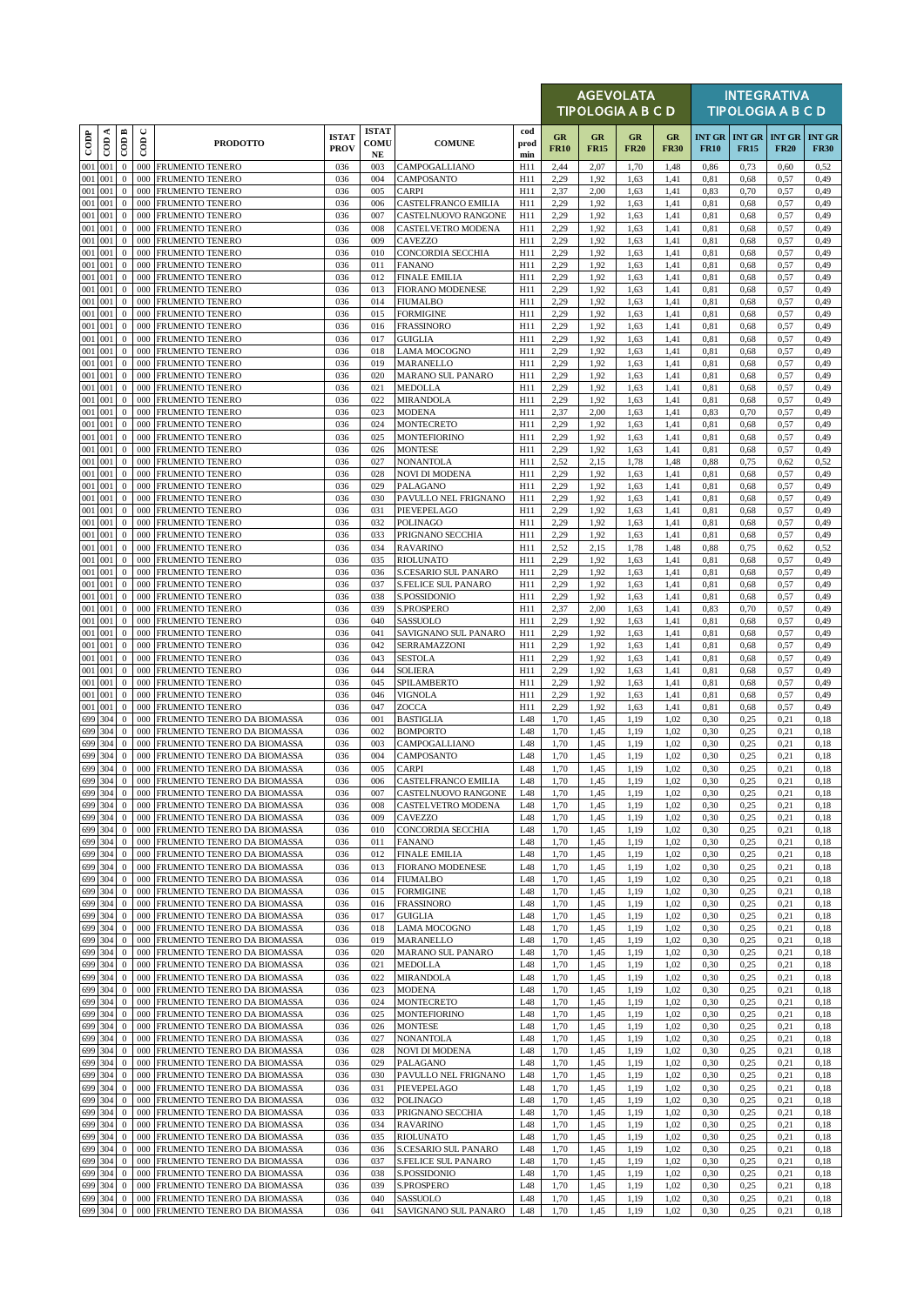|                    |          |                              |             |                                                                |                             |                                  |                                                  |                    |                   | <b>AGEVOLATA</b><br><b>TIPOLOGIA A B C D</b> |                   |                   |                              |              | <b>INTEGRATIVA</b><br><b>TIPOLOGIA A B C D</b> |                              |
|--------------------|----------|------------------------------|-------------|----------------------------------------------------------------|-----------------------------|----------------------------------|--------------------------------------------------|--------------------|-------------------|----------------------------------------------|-------------------|-------------------|------------------------------|--------------|------------------------------------------------|------------------------------|
| $_{\rm{cop}}$      | ≺<br>600 | $\overline{CDB}$             | $\cup$<br>6 | <b>PRODOTTO</b>                                                | <b>ISTAT</b><br><b>PROV</b> | <b>ISTAT</b><br>COMU<br>$\bf NE$ | <b>COMUNE</b>                                    | cod<br>prod<br>min | GR<br><b>FR10</b> | GR<br><b>FR15</b>                            | GR<br><b>FR20</b> | GR<br><b>FR30</b> | <b>INT GR</b><br><b>FR10</b> | <b>FR15</b>  | <b>INT GR INT GR</b><br><b>FR20</b>            | <b>INT GR</b><br><b>FR30</b> |
| 001 001            |          | $\boldsymbol{0}$             | 000         | FRUMENTO TENERO                                                | 036                         | 003                              | CAMPOGALLIANO                                    | H11                | 2,44              | 2,07                                         | 1,70              | 1,48              | 0,86                         | 0,73         | 0,60                                           | 0,52                         |
| 001<br>001 001     | 001      | $\bf{0}$<br>$\boldsymbol{0}$ | 000<br>000  | <b>FRUMENTO TENERO</b><br><b>FRUMENTO TENERO</b>               | 036<br>036                  | 004<br>005                       | CAMPOSANTO<br>CARPI                              | H11<br>H11         | 2,29<br>2,37      | 1,92<br>2,00                                 | 1.63<br>1,63      | 1,41<br>1,41      | 0,81<br>0,83                 | 0.68<br>0,70 | 0,57<br>0,57                                   | 0,49<br>0,49                 |
| 001 001            |          | $\mathbf{0}$                 | 000         | FRUMENTO TENERO                                                | 036                         | 006                              | CASTELFRANCO EMILIA                              | H11                | 2,29              | 1,92                                         | 1,63              | 1,41              | 0,81                         | 0,68         | 0,57                                           | 0,49                         |
| 001 001<br>001 001 |          | $\mathbf{0}$<br>$\mathbf{0}$ | 000<br>000  | FRUMENTO TENERO                                                | 036                         | 007<br>008                       | CASTELNUOVO RANGONE<br><b>CASTELVETRO MODENA</b> | H11                | 2,29              | 1,92                                         | 1.63              | 1,41              | 0,81                         | 0.68         | 0,57                                           | 0,49                         |
| 001 001            |          | $\mathbf{0}$                 | 000         | FRUMENTO TENERO<br>FRUMENTO TENERO                             | 036<br>036                  | 009                              | <b>CAVEZZO</b>                                   | H11<br>H11         | 2,29<br>2,29      | 1,92<br>1,92                                 | 1,63<br>1,63      | 1,41<br>1,41      | 0,81<br>0.81                 | 0,68<br>0.68 | 0,57<br>0,57                                   | 0,49<br>0,49                 |
| 001 001            |          | $\mathbf{0}$                 | 000         | <b>FRUMENTO TENERO</b>                                         | 036                         | 010                              | CONCORDIA SECCHIA                                | H11                | 2,29              | 1,92                                         | 1,63              | 1,41              | 0,81                         | 0.68         | 0,57                                           | 0,49                         |
| 001 001<br>001 001 |          | $\mathbf{0}$<br>$\mathbf{0}$ | 000<br>000  | FRUMENTO TENERO<br>FRUMENTO TENERO                             | 036<br>036                  | 011<br>012                       | <b>FANANO</b><br><b>FINALE EMILIA</b>            | H11<br>H11         | 2,29<br>2,29      | 1,92<br>1,92                                 | 1,63<br>1,63      | 1,41<br>1,41      | 0,81<br>0.81                 | 0.68<br>0,68 | 0,57<br>0,57                                   | 0,49<br>0,49                 |
| 001 001            |          | $\mathbf{0}$                 | 000         | FRUMENTO TENERO                                                | 036                         | 013                              | <b>FIORANO MODENESE</b>                          | H11                | 2,29              | 1,92                                         | 1,63              | 1,41              | 0,81                         | 0,68         | 0,57                                           | 0,49                         |
| 001 001            |          | $\mathbf{0}$                 | 000         | FRUMENTO TENERO                                                | 036                         | 014                              | <b>FIUMALBO</b>                                  | H11                | 2,29              | 1,92                                         | 1,63              | 1,41              | 0,81                         | 0,68         | 0,57                                           | 0,49                         |
| 001 001<br>001 001 |          | $\mathbf{0}$<br>$\mathbf{0}$ | 000<br>000  | <b>FRUMENTO TENERO</b><br>FRUMENTO TENERO                      | 036<br>036                  | 015<br>016                       | <b>FORMIGINE</b><br><b>FRASSINORO</b>            | H11<br>H11         | 2,29<br>2,29      | 1,92<br>1,92                                 | 1.63<br>1,63      | 1,41<br>1,41      | 0,81<br>0.81                 | 0.68<br>0.68 | 0,57<br>0,57                                   | 0,49<br>0,49                 |
| 001 001            |          | $\mathbf{0}$                 | 000         | FRUMENTO TENERO                                                | 036                         | 017                              | <b>GUIGLIA</b>                                   | H11                | 2,29              | 1,92                                         | 1,63              | 1,41              | 0,81                         | 0,68         | 0,57                                           | 0,49                         |
| 001 001            |          | $\mathbf{0}$                 | 000         | <b>FRUMENTO TENERO</b>                                         | 036                         | 018                              | <b>LAMA MOCOGNO</b>                              | H11                | 2,29              | 1,92                                         | 1.63              | 1,41              | 0.81                         | 0.68         | 0,57                                           | 0,49                         |
| 001 001<br>001 001 |          | $\mathbf{0}$<br>$\mathbf{0}$ | 000<br>000  | FRUMENTO TENERO<br>FRUMENTO TENERO                             | 036<br>036                  | 019<br>020                       | MARANELLO<br>MARANO SUL PANARO                   | H11<br>H11         | 2,29<br>2,29      | 1,92<br>1,92                                 | 1,63<br>1,63      | 1,41<br>1,41      | 0.81<br>0,81                 | 0.68<br>0,68 | 0,57<br>0,57                                   | 0,49<br>0,49                 |
| 001 001            |          | $\mathbf{0}$                 | 000         | FRUMENTO TENERO                                                | 036                         | 021                              | <b>MEDOLLA</b>                                   | H11                | 2,29              | 1,92                                         | 1,63              | 1,41              | 0.81                         | 0.68         | 0,57                                           | 0,49                         |
| 001 001            |          | $\mathbf{0}$                 | 000         | <b>FRUMENTO TENERO</b>                                         | 036                         | 022                              | <b>MIRANDOLA</b>                                 | H11                | 2,29              | 1,92                                         | 1,63              | 1,41              | 0,81                         | 0.68         | 0,57                                           | 0,49                         |
| 001 001<br>001 001 |          | $\mathbf{0}$<br>$\mathbf{0}$ | 000<br>000  | <b>FRUMENTO TENERO</b><br><b>FRUMENTO TENERO</b>               | 036<br>036                  | 023<br>024                       | MODENA<br><b>MONTECRETO</b>                      | H11<br>H11         | 2,37<br>2,29      | 2,00<br>1,92                                 | 1,63<br>1,63      | 1,41<br>1,41      | 0.83<br>0,81                 | 0,70<br>0,68 | 0,57<br>0,57                                   | 0.49<br>0,49                 |
| 001 001            |          | $\mathbf{0}$                 | 000         | <b>FRUMENTO TENERO</b>                                         | 036                         | 025                              | <b>MONTEFIORINO</b>                              | H11                | 2,29              | 1,92                                         | 1.63              | 1,41              | 0.81                         | 0.68         | 0,57                                           | 0,49                         |
| 001 001            |          | $\mathbf{0}$                 | 000         | <b>FRUMENTO TENERO</b>                                         | 036                         | 026                              | <b>MONTESE</b>                                   | H11                | 2,29              | 1,92                                         | 1,63              | 1,41              | 0.81                         | 0.68         | 0,57                                           | 0,49                         |
| 001 001<br>001 001 |          | $\mathbf{0}$<br>$\mathbf{0}$ | 000<br>000  | <b>FRUMENTO TENERO</b><br><b>FRUMENTO TENERO</b>               | 036<br>036                  | 027<br>028                       | <b>NONANTOLA</b><br><b>NOVI DI MODENA</b>        | H11<br>H11         | 2,52<br>2,29      | 2,15<br>1,92                                 | 1,78<br>1,63      | 1,48<br>1,41      | 0,88<br>0,81                 | 0,75<br>0,68 | 0,62<br>0,57                                   | 0,52<br>0,49                 |
| 001 001            |          | $\mathbf{0}$                 | 000         | <b>FRUMENTO TENERO</b>                                         | 036                         | 029                              | PALAGANO                                         | H11                | 2,29              | 1,92                                         | 1.63              | 1,41              | 0,81                         | 0.68         | 0,57                                           | 0,49                         |
| 001 001<br>001 001 |          | $\mathbf{0}$                 | 000         | <b>FRUMENTO TENERO</b>                                         | 036<br>036                  | 030                              | PAVULLO NEL FRIGNANO                             | H11                | 2,29              | 1,92                                         | 1,63              | 1,41              | 0,81                         | 0.68         | 0,57                                           | 0,49                         |
| 001                | 001      | $\mathbf{0}$<br>$\mathbf{0}$ | 000<br>000  | FRUMENTO TENERO<br><b>FRUMENTO TENERO</b>                      | 036                         | 031<br>032                       | PIEVEPELAGO<br><b>POLINAGO</b>                   | H11<br>H11         | 2,29<br>2,29      | 1,92<br>1,92                                 | 1,63<br>1.63      | 1,41<br>1,41      | 0,81<br>0.81                 | 0,68<br>0.68 | 0,57<br>0,57                                   | 0,49<br>0.49                 |
| 001 001            |          | $\mathbf{0}$                 | 000         | FRUMENTO TENERO                                                | 036                         | 033                              | PRIGNANO SECCHIA                                 | H11                | 2,29              | 1,92                                         | 1,63              | 1,41              | 0,81                         | 0.68         | 0,57                                           | 0,49                         |
| 001 001<br>001 001 |          | $\mathbf{0}$<br>$\mathbf{0}$ | 000<br>000  | FRUMENTO TENERO                                                | 036<br>036                  | 034<br>035                       | <b>RAVARINO</b><br><b>RIOLUNATO</b>              | H11<br>H11         | 2,52<br>2,29      | 2,15<br>1,92                                 | 1,78              | 1,48<br>1,41      | 0,88                         | 0,75<br>0.68 | 0,62<br>0,57                                   | 0,52<br>0,49                 |
| 001 001            |          | $\mathbf{0}$                 | 000         | FRUMENTO TENERO<br>FRUMENTO TENERO                             | 036                         | 036                              | S.CESARIO SUL PANARO                             | H11                | 2,29              | 1,92                                         | 1,63<br>1,63      | 1,41              | 0,81<br>0,81                 | 0,68         | 0,57                                           | 0,49                         |
| 001 001            |          | $\mathbf{0}$                 | 000         | FRUMENTO TENERO                                                | 036                         | 037                              | S.FELICE SUL PANARO                              | H11                | 2,29              | 1,92                                         | 1,63              | 1,41              | 0.81                         | 0,68         | 0,57                                           | 0,49                         |
| 001 001<br>001 001 |          | $\mathbf{0}$<br>$\mathbf{0}$ | 000<br>000  | FRUMENTO TENERO<br>FRUMENTO TENERO                             | 036<br>036                  | 038<br>039                       | S.POSSIDONIO<br><b>S.PROSPERO</b>                | H11<br>H11         | 2,29<br>2,37      | 1,92<br>2,00                                 | 1,63<br>1,63      | 1,41<br>1,41      | 0,81<br>0,83                 | 0,68<br>0,70 | 0,57<br>0,57                                   | 0,49<br>0,49                 |
| 001 001            |          | $\mathbf{0}$                 | 000         | <b>FRUMENTO TENERO</b>                                         | 036                         | 040                              | SASSUOLO                                         | H11                | 2,29              | 1,92                                         | 1,63              | 1,41              | 0.81                         | 0.68         | 0,57                                           | 0,49                         |
| 001 001            |          | $\mathbf{0}$                 | 000         | FRUMENTO TENERO                                                | 036                         | 041                              | SAVIGNANO SUL PANARO                             | H11                | 2,29              | 1,92                                         | 1,63              | 1,41              | 0,81                         | 0.68         | 0,57                                           | 0,49                         |
| 001 001<br>001 001 |          | $\mathbf{0}$<br>$\mathbf{0}$ | 000<br>000  | FRUMENTO TENERO<br><b>FRUMENTO TENERO</b>                      | 036<br>036                  | 042<br>043                       | SERRAMAZZONI<br>SESTOLA                          | H11<br>H11         | 2,29<br>2,29      | 1,92<br>1,92                                 | 1,63<br>1.63      | 1,41<br>1,41      | 0,81<br>0.81                 | 0,68<br>0.68 | 0,57<br>0,57                                   | 0,49<br>0,49                 |
| 001 001            |          | $\mathbf{0}$                 | 000         | FRUMENTO TENERO                                                | 036                         | 044                              | <b>SOLIERA</b>                                   | H11                | 2,29              | 1,92                                         | 1,63              | 1,41              | 0.81                         | 0.68         | 0,57                                           | 0,49                         |
| 001 001            |          | $\mathbf{0}$                 | 000         | FRUMENTO TENERO                                                | 036                         | 045                              | SPILAMBERTO                                      | H11                | 2,29              | 1,92                                         | 1,63              | 1,41              | 0,81                         | 0,68         | 0,57                                           | 0,49                         |
| 001 001<br>001 001 |          | $\mathbf{0}$<br>$\mathbf{0}$ | 000<br>000  | <b>FRUMENTO TENERO</b><br><b>FRUMENTO TENERO</b>               | 036<br>036                  | 046<br>047                       | <b>VIGNOLA</b><br>ZOCCA                          | H11<br>H11         | 2,29<br>2,29      | 1,92<br>1,92                                 | 1,63<br>1,63      | 1,41<br>1,41      | 0,81<br>0.81                 | 0.68<br>0.68 | 0,57<br>0,57                                   | 0,49<br>0,49                 |
| 699 304            |          | $\mathbf{0}$                 |             | 000 FRUMENTO TENERO DA BIOMASSA                                | 036                         | 001                              | <b>BASTIGLIA</b>                                 | L48                | 1,70              | 1,45                                         | 1,19              | 1,02              | 0,30                         | 0,25         | 0,21                                           | 0,18                         |
| 699 304            |          | $\mathbf{0}$                 | 000         | FRUMENTO TENERO DA BIOMASSA                                    | 036                         | 002                              | <b>BOMPORTO</b>                                  | L48                | 1,70              | 1,45                                         | 1,19              | 1,02              | 0,30                         | 0,25         | 0,21                                           | 0,18                         |
| 699 304<br>699 304 |          | $\mathbf{0}$<br>$\mathbf{0}$ | 000<br>000  | FRUMENTO TENERO DA BIOMASSA<br>FRUMENTO TENERO DA BIOMASSA     | 036<br>036                  | 003<br>004                       | CAMPOGALLIANO<br>CAMPOSANTO                      | L48<br>L48         | 1,70<br>1,70      | 1,45<br>1,45                                 | 1,19<br>1,19      | 1,02<br>1.02      | 0,30<br>0,30                 | 0,25<br>0.25 | 0,21<br>0,21                                   | 0,18<br>0.18                 |
| 699 304            |          | $\mathbf 0$                  |             | 000 FRUMENTO TENERO DA BIOMASSA                                | 036                         | 005                              | <b>CARPI</b>                                     | L48                | 1,70              | 1,45                                         | 1,19              | 1,02              | 0,30                         | 0,25         | 0,21                                           | 0,18                         |
| 699 304            |          | $\mathbf{0}$                 |             | 000 FRUMENTO TENERO DA BIOMASSA                                | 036                         | 006                              | CASTELFRANCO EMILIA                              | L48                | 1,70              | 1,45                                         | 1,19              | 1,02              | 0,30                         | 0.25         | 0,21                                           | 0,18                         |
| 699 304<br>699 304 |          | $\mathbf{0}$<br>$\mathbf{0}$ | 000         | 000 FRUMENTO TENERO DA BIOMASSA<br>FRUMENTO TENERO DA BIOMASSA | 036<br>036                  | 007<br>008                       | CASTELNUOVO RANGONE<br>CASTELVETRO MODENA        | L48<br>L48         | 1,70<br>1,70      | 1,45<br>1,45                                 | 1,19<br>1,19      | 1,02<br>1,02      | 0,30<br>0,30                 | 0,25<br>0,25 | 0,21<br>0,21                                   | 0,18<br>0,18                 |
| 699 304            |          | $\mathbf{0}$                 |             | 000 FRUMENTO TENERO DA BIOMASSA                                | 036                         | 009                              | CAVEZZO                                          | L48                | 1,70              | 1,45                                         | 1,19              | 1,02              | 0,30                         | 0,25         | 0,21                                           | 0,18                         |
| 699 304            |          | $\bf{0}$                     | 000         | FRUMENTO TENERO DA BIOMASSA                                    | 036                         | 010                              | CONCORDIA SECCHIA                                | L48                | 1,70              | 1,45                                         | 1,19              | 1,02              | 0,30                         | 0,25         | 0,21                                           | 0,18                         |
| 699 304<br>699 304 |          | $\mathbf{0}$<br>$\mathbf{0}$ | 000<br>000  | FRUMENTO TENERO DA BIOMASSA<br>FRUMENTO TENERO DA BIOMASSA     | 036<br>036                  | 011<br>012                       | <b>FANANO</b><br><b>FINALE EMILIA</b>            | L48<br>L48         | 1,70<br>1,70      | 1,45<br>1,45                                 | 1,19<br>1,19      | 1,02<br>1,02      | 0,30<br>0,30                 | 0,25<br>0,25 | 0,21<br>0,21                                   | 0,18<br>0,18                 |
| 699 304            |          | $\mathbf{0}$                 | 000         | FRUMENTO TENERO DA BIOMASSA                                    | 036                         | 013                              | <b>FIORANO MODENESE</b>                          | L48                | 1,70              | 1,45                                         | 1,19              | 1,02              | 0,30                         | 0,25         | 0,21                                           | 0,18                         |
| 699 304<br>699 304 |          | $\mathbf{0}$<br>$\mathbf{0}$ | 000         | FRUMENTO TENERO DA BIOMASSA<br>000 FRUMENTO TENERO DA BIOMASSA | 036<br>036                  | 014<br>015                       | <b>FIUMALBO</b><br><b>FORMIGINE</b>              | L48<br>L48         | 1,70<br>1,70      | 1,45<br>1,45                                 | 1,19<br>1,19      | 1,02<br>1,02      | 0,30<br>0,30                 | 0,25<br>0,25 | 0,21<br>0,21                                   | 0,18<br>0,18                 |
| 699 304            |          | $\mathbf{0}$                 | 000         | FRUMENTO TENERO DA BIOMASSA                                    | 036                         | 016                              | <b>FRASSINORO</b>                                | L48                | 1,70              | 1,45                                         | 1,19              | 1,02              | 0,30                         | 0,25         | 0,21                                           | 0,18                         |
| 699 304            |          | $\mathbf{0}$                 | 000         | FRUMENTO TENERO DA BIOMASSA                                    | 036                         | 017                              | GUIGLIA                                          | L48                | 1,70              | 1,45                                         | 1,19              | 1,02              | 0,30                         | 0,25         | 0,21                                           | 0,18                         |
| 699 304<br>699 304 |          | $\mathbf{0}$<br>$\mathbf{0}$ | 000<br>000  | FRUMENTO TENERO DA BIOMASSA                                    | 036                         | 018<br>019                       | LAMA MOCOGNO                                     | L48                | 1,70              | 1,45                                         | 1,19              | 1,02              | 0,30                         | 0,25         | 0,21                                           | 0,18                         |
| 699 304            |          | $\mathbf{0}$                 | 000         | FRUMENTO TENERO DA BIOMASSA<br>FRUMENTO TENERO DA BIOMASSA     | 036<br>036                  | 020                              | MARANELLO<br><b>MARANO SUL PANARO</b>            | L48<br>L48         | 1,70<br>1,70      | 1,45<br>1,45                                 | 1,19<br>1,19      | 1,02<br>1,02      | 0,30<br>0,30                 | 0,25<br>0,25 | 0,21<br>0,21                                   | 0,18<br>0,18                 |
| 699 304            |          | $\mathbf{0}$                 | 000         | FRUMENTO TENERO DA BIOMASSA                                    | 036                         | 021                              | MEDOLLA                                          | L48                | 1,70              | 1,45                                         | 1,19              | 1,02              | 0,30                         | 0,25         | 0,21                                           | 0,18                         |
| 699 304            |          | $\mathbf{0}$                 | 000         | FRUMENTO TENERO DA BIOMASSA                                    | 036                         | 022                              | MIRANDOLA                                        | L48                | 1,70              | 1,45                                         | 1,19              | 1,02              | 0,30                         | 0,25         | 0,21                                           | 0,18                         |
| 699 304<br>699 304 |          | $\mathbf{0}$<br>$\mathbf{0}$ | 000         | 000 FRUMENTO TENERO DA BIOMASSA<br>FRUMENTO TENERO DA BIOMASSA | 036<br>036                  | 023<br>024                       | <b>MODENA</b><br>MONTECRETO                      | L48<br>L48         | 1,70<br>1,70      | 1,45<br>1,45                                 | 1,19<br>1,19      | 1,02<br>1,02      | 0,30<br>0,30                 | 0,25<br>0,25 | 0,21<br>0,21                                   | 0,18<br>0,18                 |
| 699 304            |          | $\mathbf{0}$                 | 000         | FRUMENTO TENERO DA BIOMASSA                                    | 036                         | 025                              | <b>MONTEFIORINO</b>                              | L48                | 1,70              | 1,45                                         | 1,19              | 1,02              | 0,30                         | 0,25         | 0,21                                           | 0,18                         |
| 699 304            |          | $\mathbf{0}$                 |             | 000 FRUMENTO TENERO DA BIOMASSA                                | 036                         | 026                              | <b>MONTESE</b>                                   | L48                | 1,70              | 1,45                                         | 1,19              | 1,02              | 0,30                         | 0,25         | 0,21                                           | 0,18                         |
| 699 304<br>699 304 |          | $\mathbf{0}$<br>$\mathbf{0}$ | 000<br>000  | FRUMENTO TENERO DA BIOMASSA<br>FRUMENTO TENERO DA BIOMASSA     | 036<br>036                  | 027<br>028                       | <b>NONANTOLA</b><br><b>NOVI DI MODENA</b>        | L48<br>L48         | 1,70<br>1,70      | 1,45<br>1,45                                 | 1,19<br>1,19      | 1,02<br>1,02      | 0,30<br>0,30                 | 0,25<br>0,25 | 0,21<br>0,21                                   | 0,18<br>0,18                 |
| 699 304            |          | $\bf{0}$                     |             | 000 FRUMENTO TENERO DA BIOMASSA                                | 036                         | 029                              | PALAGANO                                         | L48                | 1,70              | 1,45                                         | 1,19              | 1,02              | 0,30                         | 0,25         | 0,21                                           | 0,18                         |
| 699 304            |          | $\mathbf{0}$                 | 000         | FRUMENTO TENERO DA BIOMASSA                                    | 036                         | 030                              | PAVULLO NEL FRIGNANO                             | L48                | 1,70              | 1,45                                         | 1,19              | 1,02              | 0,30                         | 0,25         | 0,21                                           | 0,18                         |
| 699 304<br>699 304 |          | $\mathbf{0}$<br>$\mathbf{0}$ | 000         | FRUMENTO TENERO DA BIOMASSA<br>000 FRUMENTO TENERO DA BIOMASSA | 036<br>036                  | 031<br>032                       | PIEVEPELAGO<br>POLINAGO                          | L48<br>L48         | 1,70<br>1,70      | 1,45<br>1,45                                 | 1,19<br>1,19      | 1,02<br>1,02      | 0,30<br>0,30                 | 0,25<br>0,25 | 0,21<br>0,21                                   | 0,18<br>0,18                 |
| 699 304            |          | $\mathbf{0}$                 | 000         | FRUMENTO TENERO DA BIOMASSA                                    | 036                         | 033                              | PRIGNANO SECCHIA                                 | L48                | 1,70              | 1,45                                         | 1,19              | 1,02              | 0,30                         | 0,25         | 0,21                                           | 0,18                         |
| 699 304            |          | $\mathbf{0}$                 | 000         | FRUMENTO TENERO DA BIOMASSA                                    | 036                         | 034                              | <b>RAVARINO</b>                                  | L48                | 1,70              | 1,45                                         | 1,19              | 1,02              | 0,30                         | 0,25         | 0,21                                           | 0,18                         |
| 699 304<br>699 304 |          | $\bf{0}$<br>$\mathbf{0}$     | 000<br>000  | FRUMENTO TENERO DA BIOMASSA<br>FRUMENTO TENERO DA BIOMASSA     | 036<br>036                  | 035<br>036                       | <b>RIOLUNATO</b><br>S.CESARIO SUL PANARO         | L48<br>L48         | 1,70<br>1,70      | 1,45<br>1,45                                 | 1,19<br>1,19      | 1,02<br>1,02      | 0,30<br>0,30                 | 0,25<br>0,25 | 0,21<br>0,21                                   | 0,18<br>0,18                 |
| 699 304            |          | $\mathbf{0}$                 | 000         | FRUMENTO TENERO DA BIOMASSA                                    | 036                         | 037                              | S.FELICE SUL PANARO                              | L48                | 1,70              | 1,45                                         | 1,19              | 1,02              | 0,30                         | 0,25         | 0,21                                           | 0,18                         |
| 699 304            |          | $\bf{0}$                     | 000         | FRUMENTO TENERO DA BIOMASSA                                    | 036                         | 038                              | S.POSSIDONIO                                     | L48                | 1,70              | 1,45                                         | 1,19              | 1,02              | 0,30                         | 0,25         | 0,21                                           | 0,18                         |
| 699 304<br>699 304 |          | $\mathbf{0}$<br>$\mathbf{0}$ | 000         | FRUMENTO TENERO DA BIOMASSA<br>000 FRUMENTO TENERO DA BIOMASSA | 036<br>036                  | 039<br>040                       | S.PROSPERO<br>SASSUOLO                           | L48<br>L48         | 1,70<br>1,70      | 1,45<br>1,45                                 | 1,19<br>1,19      | 1,02<br>1,02      | 0,30<br>0,30                 | 0,25<br>0,25 | 0,21<br>0,21                                   | 0,18<br>0,18                 |
| 699 304            |          | $\bf{0}$                     |             | 000 FRUMENTO TENERO DA BIOMASSA                                | 036                         | 041                              | SAVIGNANO SUL PANARO                             | L48                | 1,70              | 1,45                                         | 1,19              | 1,02              | 0,30                         | 0,25         | 0,21                                           | 0,18                         |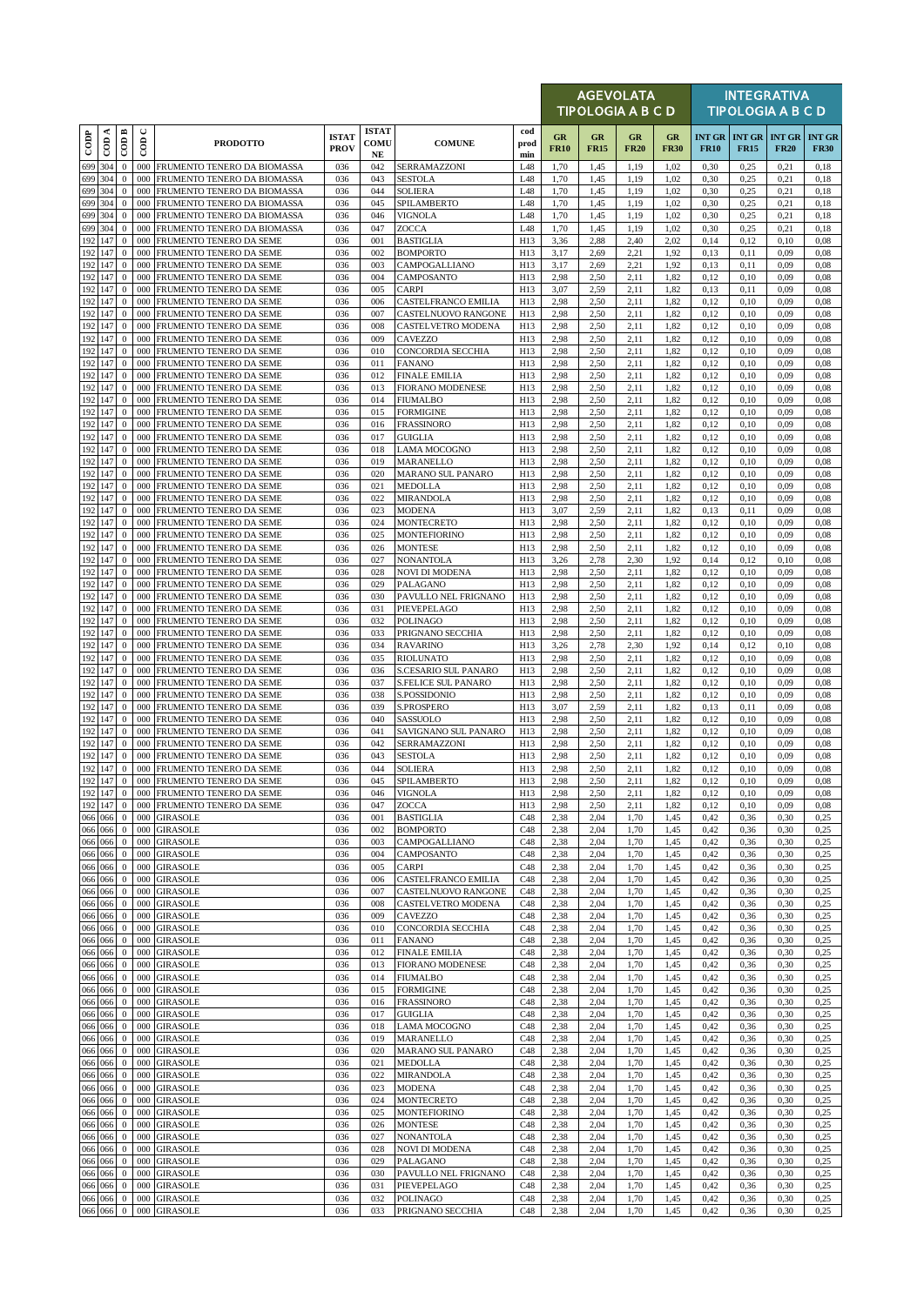|                |                    |                                  |             |                                                            |                             |                                  |                                                    |                    |                   | <b>AGEVOLATA</b><br>TIPOLOGIA A B C D |                   |                   |              |                                     | <b>INTEGRATIVA</b><br><b>TIPOLOGIA A B C D</b> |                              |
|----------------|--------------------|----------------------------------|-------------|------------------------------------------------------------|-----------------------------|----------------------------------|----------------------------------------------------|--------------------|-------------------|---------------------------------------|-------------------|-------------------|--------------|-------------------------------------|------------------------------------------------|------------------------------|
| $_{\rm{cop}}$  | ≺<br>දි            | $\overline{CDB}$                 | $\cup$<br>6 | <b>PRODOTTO</b>                                            | <b>ISTAT</b><br><b>PROV</b> | <b>ISTAT</b><br>COMU<br>$\bf NE$ | <b>COMUNE</b>                                      | cod<br>prod<br>min | GR<br><b>FR10</b> | GR<br><b>FR15</b>                     | GR<br><b>FR20</b> | GR<br><b>FR30</b> | <b>FR10</b>  | <b>INT GR INT GR</b><br><b>FR15</b> | <b>INT GR</b><br><b>FR20</b>                   | <b>INT GR</b><br><b>FR30</b> |
|                | 699 304            | $\boldsymbol{0}$                 | 000         | FRUMENTO TENERO DA BIOMASSA                                | 036                         | 042                              | SERRAMAZZONI                                       | L48                | 1,70              | 1,45                                  | 1,19              | 1,02              | 0,30         | 0,25                                | 0,21                                           | 0,18                         |
| 699            | 304<br>699 304     | $\bf{0}$<br>$\mathbf{0}$         | 000<br>000  | FRUMENTO TENERO DA BIOMASSA<br>FRUMENTO TENERO DA BIOMASSA | 036<br>036                  | 043<br>044                       | <b>SESTOLA</b><br><b>SOLIERA</b>                   | L48<br>L48         | 1,70<br>1,70      | 1,45<br>1,45                          | 1,19<br>1,19      | 1,02<br>1,02      | 0,30<br>0,30 | 0,25<br>0,25                        | 0,21<br>0,21                                   | 0.18<br>0,18                 |
|                | 699 304            | $\mathbf{0}$                     | 000         | FRUMENTO TENERO DA BIOMASSA                                | 036                         | 045                              | SPILAMBERTO                                        | L48                | 1,70              | 1,45                                  | 1,19              | 1,02              | 0,30         | 0,25                                | 0,21                                           | 0,18                         |
| 699<br>699 304 | 304                | $\mathbf{0}$<br>$\mathbf{0}$     | 000<br>000  | FRUMENTO TENERO DA BIOMASSA<br>FRUMENTO TENERO DA BIOMASSA | 036<br>036                  | 046<br>047                       | <b>VIGNOLA</b><br>ZOCCA                            | L48<br>L48         | 1,70<br>1,70      | 1,45<br>1,45                          | 1,19<br>1,19      | 1,02<br>1,02      | 0,30<br>0,30 | 0.25<br>0,25                        | 0,21<br>0,21                                   | 0.18<br>0,18                 |
|                | 192 147            | $\mathbf{0}$                     | 000         | FRUMENTO TENERO DA SEME                                    | 036                         | 001                              | <b>BASTIGLIA</b>                                   | H13                | 3,36              | 2,88                                  | 2,40              | 2,02              | 0,14         | 0,12                                | 0,10                                           | 0.08                         |
| 192            | 147<br>192 147     | $\mathbf{0}$<br>$\bf{0}$         | 000<br>000  | FRUMENTO TENERO DA SEME<br>FRUMENTO TENERO DA SEME         | 036<br>036                  | 002<br>003                       | <b>BOMPORTO</b><br>CAMPOGALLIANO                   | H13<br>H13         | 3,17<br>3,17      | 2,69<br>2,69                          | 2,21<br>2,21      | 1,92<br>1,92      | 0,13<br>0,13 | 0,11<br>0,11                        | 0,09<br>0,09                                   | 0.08<br>0,08                 |
|                | 192 147            | $\mathbf{0}$                     | 000         | FRUMENTO TENERO DA SEME                                    | 036                         | 004                              | CAMPOSANTO                                         | H13                | 2,98              | 2,50                                  | 2,11              | 1,82              | 0,12         | 0,10                                | 0,09                                           | 0.08                         |
|                | 192 147<br>192 147 | $\mathbf{0}$<br>$\bf{0}$         | 000<br>000  | FRUMENTO TENERO DA SEME<br>FRUMENTO TENERO DA SEME         | 036<br>036                  | 005<br>006                       | <b>CARPI</b><br>CASTELFRANCO EMILIA                | H13<br>H13         | 3,07<br>2,98      | 2,59<br>2,50                          | 2,11<br>2,11      | 1,82<br>1,82      | 0,13<br>0,12 | 0,11<br>0,10                        | 0,09<br>0,09                                   | 0.08<br>0.08                 |
| 192 147        |                    | $\mathbf{0}$                     | 000         | FRUMENTO TENERO DA SEME                                    | 036                         | 007                              | CASTELNUOVO RANGONE                                | H13                | 2,98              | 2,50                                  | 2,11              | 1,82              | 0,12         | 0,10                                | 0,09                                           | 0,08                         |
| 192 147        | 192 147            | $\mathbf{0}$<br>$\mathbf{0}$     | 000<br>000  | FRUMENTO TENERO DA SEME<br>FRUMENTO TENERO DA SEME         | 036<br>036                  | 008<br>009                       | CASTELVETRO MODENA<br><b>CAVEZZO</b>               | H13<br>H13         | 2,98<br>2,98      | 2,50<br>2,50                          | 2,11<br>2,11      | 1,82<br>1,82      | 0,12<br>0,12 | 0,10<br>0,10                        | 0,09<br>0,09                                   | 0.08<br>0.08                 |
|                | 192 147            | $\mathbf{0}$                     | 000         | FRUMENTO TENERO DA SEME                                    | 036                         | 010                              | <b>CONCORDIA SECCHIA</b>                           | H13                | 2,98              | 2,50                                  | 2,11              | 1,82              | 0,12         | 0,10                                | 0,09                                           | 0,08                         |
|                | 192 147<br>192 147 | $\mathbf{0}$<br>$\mathbf{0}$     | 000         | FRUMENTO TENERO DA SEME<br>000 FRUMENTO TENERO DA SEME     | 036<br>036                  | 011<br>012                       | <b>FANANO</b><br><b>FINALE EMILIA</b>              | H13<br>H13         | 2,98<br>2,98      | 2,50<br>2,50                          | 2,11<br>2,11      | 1,82<br>1,82      | 0,12<br>0,12 | 0,10<br>0,10                        | 0,09<br>0,09                                   | 0.08<br>0.08                 |
|                | 192 147            | $\mathbf{0}$                     | 000         | FRUMENTO TENERO DA SEME                                    | 036                         | 013                              | <b>FIORANO MODENESE</b>                            | H13                | 2,98              | 2,50                                  | 2,11              | 1,82              | 0,12         | 0,10                                | 0,09                                           | 0.08                         |
| 192 147        | 192 147            | $\mathbf{0}$<br>$\mathbf{0}$     | 000<br>000  | FRUMENTO TENERO DA SEME<br>FRUMENTO TENERO DA SEME         | 036<br>036                  | 014<br>015                       | <b>FIUMALBO</b><br><b>FORMIGINE</b>                | H13<br>H13         | 2,98<br>2,98      | 2,50<br>2,50                          | 2,11<br>2,11      | 1,82<br>1,82      | 0,12<br>0,12 | 0,10<br>0,10                        | 0,09<br>0,09                                   | 0.08<br>0.08                 |
|                | 192 147            | $\mathbf{0}$                     | 000         | FRUMENTO TENERO DA SEME                                    | 036                         | 016                              | <b>FRASSINORO</b>                                  | H13                | 2,98              | 2,50                                  | 2,11              | 1,82              | 0,12         | 0,10                                | 0,09                                           | 0.08                         |
|                | 192 147<br>192 147 | $\mathbf{0}$<br>$\mathbf{0}$     | 000<br>000  | FRUMENTO TENERO DA SEME<br>FRUMENTO TENERO DA SEME         | 036<br>036                  | 017<br>018                       | <b>GUIGLIA</b><br>LAMA MOCOGNO                     | H13<br>H13         | 2,98<br>2,98      | 2,50<br>2,50                          | 2,11<br>2,11      | 1,82<br>1,82      | 0,12<br>0,12 | 0,10<br>0,10                        | 0,09<br>0,09                                   | 0,08<br>0,08                 |
|                | 192 147            | $\mathbf{0}$                     | 000         | FRUMENTO TENERO DA SEME                                    | 036                         | 019                              | MARANELLO                                          | H13                | 2,98              | 2,50                                  | 2,11              | 1,82              | 0,12         | 0,10                                | 0,09                                           | 0.08                         |
| 192 147        | 192 147            | $\mathbf{0}$<br>$\mathbf{0}$     | 000<br>000  | FRUMENTO TENERO DA SEME<br>FRUMENTO TENERO DA SEME         | 036<br>036                  | 020<br>021                       | MARANO SUL PANARO<br><b>MEDOLLA</b>                | H13<br>H13         | 2,98<br>2,98      | 2,50<br>2,50                          | 2,11<br>2,11      | 1,82<br>1,82      | 0,12<br>0,12 | 0,10<br>0,10                        | 0,09<br>0,09                                   | 0.08<br>0,08                 |
| 192 147        |                    | $\mathbf{0}$                     | 000         | FRUMENTO TENERO DA SEME                                    | 036                         | 022                              | <b>MIRANDOLA</b>                                   | H13                | 2,98              | 2,50                                  | 2,11              | 1,82              | 0,12         | 0,10                                | 0,09                                           | 0.08                         |
| 192 147        |                    | $\mathbf{0}$                     | 000         | FRUMENTO TENERO DA SEME                                    | 036                         | 023                              | <b>MODENA</b>                                      | H13                | 3,07              | 2,59                                  | 2,11              | 1,82              | 0,13         | 0,11                                | 0,09                                           | 0,08                         |
| 192            | 147<br>192 147     | $\mathbf{0}$<br>$\mathbf{0}$     | 000<br>000  | FRUMENTO TENERO DA SEME<br>FRUMENTO TENERO DA SEME         | 036<br>036                  | 024<br>025                       | <b>MONTECRETO</b><br><b>MONTEFIORINO</b>           | H13<br>H13         | 2,98<br>2,98      | 2,50<br>2,50                          | 2,11<br>2,11      | 1,82<br>1,82      | 0,12<br>0,12 | 0,10<br>0,10                        | 0,09<br>0,09                                   | 0,08<br>0,08                 |
|                | 192 147            | $\mathbf{0}$                     |             | 000 FRUMENTO TENERO DA SEME                                | 036                         | 026                              | <b>MONTESE</b>                                     | H13                | 2,98              | 2,50                                  | 2,11              | 1,82              | 0,12         | 0,10                                | 0,09                                           | 0.08                         |
|                | 192 147<br>192 147 | $\mathbf{0}$<br>$\mathbf{0}$     | 000<br>000  | FRUMENTO TENERO DA SEME<br>FRUMENTO TENERO DA SEME         | 036<br>036                  | 027<br>028                       | <b>NONANTOLA</b><br><b>NOVI DI MODENA</b>          | H13<br>H13         | 3,26<br>2,98      | 2,78<br>2,50                          | 2,30<br>2,11      | 1,92<br>1,82      | 0,14<br>0,12 | 0,12<br>0,10                        | 0,10<br>0,09                                   | 0.08<br>0,08                 |
|                | 192 147            | $\mathbf{0}$                     | 000         | FRUMENTO TENERO DA SEME                                    | 036                         | 029                              | PALAGANO                                           | H13                | 2,98              | 2,50                                  | 2,11              | 1,82              | 0,12         | 0,10                                | 0,09                                           | 0.08                         |
|                | 192 147<br>192 147 | $\mathbf{0}$<br>$\mathbf{0}$     | 000<br>000  | FRUMENTO TENERO DA SEME<br>FRUMENTO TENERO DA SEME         | 036<br>036                  | 030<br>031                       | PAVULLO NEL FRIGNANO<br>PIEVEPELAGO                | H13<br>H13         | 2,98<br>2,98      | 2,50<br>2,50                          | 2,11<br>2,11      | 1,82<br>1,82      | 0,12<br>0,12 | 0,10<br>0,10                        | 0,09<br>0,09                                   | 0.08<br>0,08                 |
|                | 192 147            | $\mathbf{0}$                     | 000         | FRUMENTO TENERO DA SEME                                    | 036                         | 032                              | <b>POLINAGO</b>                                    | H13                | 2,98              | 2,50                                  | 2,11              | 1,82              | 0,12         | 0,10                                | 0,09                                           | 0,08                         |
|                | 192 147<br>192 147 | $\mathbf{0}$<br>$\mathbf{0}$     | 000<br>000  | FRUMENTO TENERO DA SEME<br>FRUMENTO TENERO DA SEME         | 036<br>036                  | 033<br>034                       | PRIGNANO SECCHIA<br><b>RAVARINO</b>                | H13<br>H13         | 2,98<br>3,26      | 2,50<br>2,78                          | 2,11<br>2,30      | 1,82<br>1,92      | 0,12<br>0,14 | 0,10<br>0,12                        | 0,09<br>0,10                                   | 0.08<br>0.08                 |
| 192 147        |                    | $\mathbf{0}$                     | 000         | FRUMENTO TENERO DA SEME                                    | 036                         | 035                              | <b>RIOLUNATO</b>                                   | H13                | 2,98              | 2,50                                  | 2,11              | 1,82              | 0,12         | 0,10                                | 0,09                                           | 0,08                         |
| 192 147        | 192 147            | $\mathbf{0}$<br>$\mathbf{0}$     | 000         | FRUMENTO TENERO DA SEME<br>000 FRUMENTO TENERO DA SEME     | 036<br>036                  | 036<br>037                       | S.CESARIO SUL PANARO<br><b>S.FELICE SUL PANARO</b> | H13<br>H13         | 2,98<br>2,98      | 2,50<br>2,50                          | 2,11<br>2,11      | 1,82<br>1,82      | 0,12<br>0,12 | 0,10<br>0,10                        | 0,09<br>0,09                                   | 0.08<br>0,08                 |
| 192 147        |                    | $\mathbf{0}$                     | 000         | FRUMENTO TENERO DA SEME                                    | 036                         | 038                              | S.POSSIDONIO                                       | H13                | 2,98              | 2,50                                  | 2,11              | 1,82              | 0,12         | 0,10                                | 0,09                                           | 0,08                         |
| 192 147        | 192 147            | $\mathbf{0}$<br>$\mathbf{0}$     | 000         | FRUMENTO TENERO DA SEME                                    | 036<br>036                  | 039<br>040                       | S.PROSPERO<br><b>SASSUOLO</b>                      | H13<br>H13         | 3,07<br>2,98      | 2,59                                  | 2,11<br>2,11      | 1,82<br>1,82      | 0.13<br>0,12 | 0,11                                | 0,09<br>0,09                                   | 0.08<br>0.08                 |
|                | 192 147            | $\mathbf{0}$                     | 000         | 000 FRUMENTO TENERO DA SEME<br>FRUMENTO TENERO DA SEME     | 036                         | 041                              | SAVIGNANO SUL PANARO                               | H13                | 2,98              | 2,50<br>2,50                          | 2,11              | 1,82              | 0,12         | 0,10<br>0,10                        | 0,09                                           | 0.08                         |
| 192 147        | 192 147            | $\mathbf{0}$                     | 000         | FRUMENTO TENERO DA SEME                                    | 036                         | 042                              | SERRAMAZZONI                                       | H13                | 2,98              | 2,50                                  | 2,11              | 1,82              | 0,12         | 0,10                                | 0,09                                           | 0,08                         |
|                | 192 147            | $\boldsymbol{0}$<br>$\mathbf{0}$ | 000         | FRUMENTO TENERO DA SEME<br>000 FRUMENTO TENERO DA SEME     | 036<br>036                  | 043<br>044                       | <b>SESTOLA</b><br><b>SOLIERA</b>                   | H13<br>H13         | 2,98<br>2,98      | 2,50<br>2,50                          | 2,11<br>2,11      | 1,82<br>1,82      | 0,12<br>0,12 | 0,10<br>0,10                        | 0.09<br>0,09                                   | 0.08<br>0.08                 |
|                | 192 147            | $\mathbf{0}$                     |             | 000 FRUMENTO TENERO DA SEME                                | 036                         | 045                              | SPILAMBERTO                                        | H13                | 2,98              | 2,50                                  | 2,11              | 1,82              | 0,12         | 0,10                                | 0,09                                           | 0.08                         |
| 192 147        | 192 147            | $\bf{0}$<br>$\mathbf{0}$         | 000         | 000 FRUMENTO TENERO DA SEME<br>FRUMENTO TENERO DA SEME     | 036<br>036                  | 046<br>047                       | <b>VIGNOLA</b><br>ZOCCA                            | H13<br>H13         | 2,98<br>2,98      | 2,50<br>2,50                          | 2,11<br>2,11      | 1,82<br>1,82      | 0,12<br>0,12 | 0,10<br>0,10                        | 0,09<br>0,09                                   | 0,08<br>0,08                 |
|                | 066 066            | $\mathbf{0}$                     |             | 000 GIRASOLE                                               | 036                         | 001                              | <b>BASTIGLIA</b>                                   | C48                | 2,38              | 2,04                                  | 1,70              | 1,45              | 0,42         | 0,36                                | 0,30                                           | 0,25                         |
|                | 066 066<br>066 066 | $\bf{0}$<br>$\bf{0}$             | 000<br>000  | <b>GIRASOLE</b><br><b>GIRASOLE</b>                         | 036<br>036                  | 002<br>003                       | <b>BOMPORTO</b><br>CAMPOGALLIANO                   | C48<br>C48         | 2,38<br>2,38      | 2,04<br>2,04                          | 1,70<br>1,70      | 1,45<br>1,45      | 0,42<br>0,42 | 0,36<br>0,36                        | 0,30<br>0,30                                   | 0.25<br>0,25                 |
|                | 066 066            | $\mathbf{0}$                     | 000         | <b>GIRASOLE</b>                                            | 036                         | 004                              | CAMPOSANTO                                         | C48                | 2,38              | 2,04                                  | 1,70              | 1,45              | 0,42         | 0,36                                | 0,30                                           | 0,25                         |
| 066 066        | 066 066            | $\bf{0}$<br>$\bf{0}$             | 000<br>000  | <b>GIRASOLE</b><br><b>GIRASOLE</b>                         | 036<br>036                  | 005<br>006                       | <b>CARPI</b><br>CASTELFRANCO EMILIA                | C48<br>C48         | 2,38<br>2,38      | 2,04<br>2,04                          | 1,70<br>1,70      | 1,45<br>1,45      | 0,42<br>0,42 | 0,36<br>0,36                        | 0,30<br>0,30                                   | 0,25<br>0,25                 |
|                | 066 066            | $\mathbf{0}$                     |             | 000 GIRASOLE                                               | 036                         | 007                              | CASTELNUOVO RANGONE                                | C48                | 2,38              | 2,04                                  | 1,70              | 1,45              | 0,42         | 0,36                                | 0,30                                           | 0,25                         |
|                | 066 066<br>066 066 | $\mathbf{0}$<br>$\bf{0}$         | 000<br>000  | <b>GIRASOLE</b><br><b>GIRASOLE</b>                         | 036<br>036                  | 008<br>009                       | CASTELVETRO MODENA<br><b>CAVEZZO</b>               | C48<br>C48         | 2,38<br>2,38      | 2,04<br>2,04                          | 1,70<br>1,70      | 1,45<br>1,45      | 0,42<br>0,42 | 0,36<br>0,36                        | 0,30<br>0,30                                   | 0,25<br>0,25                 |
|                | 066 066            | $\mathbf{0}$                     | 000         | <b>GIRASOLE</b>                                            | 036                         | 010                              | CONCORDIA SECCHIA                                  | C48                | 2,38              | 2,04                                  | 1,70              | 1,45              | 0,42         | 0,36                                | 0,30                                           | 0,25                         |
|                | 066 066<br>066 066 | $\mathbf{0}$<br>$\bf{0}$         | 000<br>000  | <b>GIRASOLE</b><br><b>GIRASOLE</b>                         | 036<br>036                  | 011<br>012                       | <b>FANANO</b><br><b>FINALE EMILIA</b>              | C48<br>C48         | 2,38<br>2,38      | 2,04<br>2,04                          | 1,70<br>1,70      | 1,45<br>1,45      | 0,42<br>0,42 | 0,36<br>0,36                        | 0,30<br>0,30                                   | 0,25<br>0,25                 |
|                | 06606              | $\mathbf{0}$                     | 000         | <b>GIRASOLE</b>                                            | 036                         | 013                              | <b>FIORANO MODENESE</b>                            | C48                | 2,38              | 2,04                                  | 1,70              | 1,45              | 0,42         | 0,36                                | 0,30                                           | 0,25                         |
|                | 066 066<br>066 066 | $\mathbf{0}$<br>$\bf{0}$         | 000<br>000  | <b>GIRASOLE</b><br><b>GIRASOLE</b>                         | 036<br>036                  | 014<br>015                       | <b>FIUMALBO</b><br><b>FORMIGINE</b>                | C48<br>C48         | 2,38<br>2,38      | 2,04<br>2,04                          | 1,70<br>1,70      | 1,45<br>1,45      | 0,42<br>0,42 | 0,36<br>0,36                        | 0,30<br>0,30                                   | 0,25<br>0,25                 |
|                | 066 066            | $\mathbf{0}$                     | 000         | <b>GIRASOLE</b>                                            | 036                         | 016                              | <b>FRASSINORO</b>                                  | C48                | 2,38              | 2,04                                  | 1,70              | 1,45              | 0,42         | 0,36                                | 0,30                                           | 0.25                         |
|                | 066 066<br>066 066 | $\mathbf{0}$<br>$\mathbf{0}$     | 000<br>000  | <b>GIRASOLE</b><br><b>GIRASOLE</b>                         | 036<br>036                  | 017<br>018                       | <b>GUIGLIA</b><br><b>LAMA MOCOGNO</b>              | C48<br>C48         | 2,38<br>2,38      | 2,04<br>2,04                          | 1,70<br>1,70      | 1,45<br>1,45      | 0,42<br>0,42 | 0,36<br>0,36                        | 0,30<br>0,30                                   | 0,25<br>0,25                 |
|                | 066 066            | $\bf{0}$                         | 000         | <b>GIRASOLE</b>                                            | 036                         | 019                              | MARANELLO                                          | C48                | 2,38              | 2,04                                  | 1,70              | 1,45              | 0,42         | 0,36                                | 0,30                                           | 0,25                         |
|                | 066 066<br>066 066 | $\mathbf{0}$                     | 000<br>000  | <b>GIRASOLE</b><br><b>GIRASOLE</b>                         | 036<br>036                  | 020<br>021                       | MARANO SUL PANARO<br><b>MEDOLLA</b>                | C48<br>C48         | 2,38<br>2,38      | 2,04<br>2,04                          | 1,70<br>1,70      | 1,45<br>1,45      | 0,42<br>0,42 | 0,36<br>0,36                        | 0,30<br>0,30                                   | 0,25<br>0,25                 |
|                | 066 066            | $\bf{0}$<br>$\mathbf{0}$         | 000         | <b>GIRASOLE</b>                                            | 036                         | 022                              | <b>MIRANDOLA</b>                                   | C48                | 2,38              | 2,04                                  | 1,70              | 1,45              | 0,42         | 0,36                                | 0,30                                           | 0,25                         |
|                | 066 066            | $\mathbf{0}$                     | 000         | <b>GIRASOLE</b>                                            | 036                         | 023                              | <b>MODENA</b>                                      | C48                | 2,38              | 2,04                                  | 1,70              | 1,45              | 0,42         | 0,36                                | 0,30                                           | 0,25                         |
|                | 066 066<br>066 066 | $\bf{0}$<br>$\bf{0}$             | 000<br>000  | <b>GIRASOLE</b><br><b>GIRASOLE</b>                         | 036<br>036                  | 024<br>025                       | <b>MONTECRETO</b><br><b>MONTEFIORINO</b>           | C48<br>C48         | 2,38<br>2,38      | 2,04<br>2,04                          | 1,70<br>1,70      | 1,45<br>1,45      | 0,42<br>0,42 | 0,36<br>0,36                        | 0,30<br>0,30                                   | 0,25<br>0,25                 |
|                | 066 066            | $\mathbf{0}$                     | 000         | <b>GIRASOLE</b>                                            | 036                         | 026                              | <b>MONTESE</b>                                     | C48                | 2,38              | 2,04                                  | 1,70              | 1,45              | 0,42         | 0,36                                | 0,30                                           | 0,25                         |
|                | 066 066<br>066 066 | $\bf{0}$<br>$\mathbf{0}$         | 000<br>000  | <b>GIRASOLE</b><br><b>GIRASOLE</b>                         | 036<br>036                  | 027<br>028                       | <b>NONANTOLA</b><br><b>NOVI DI MODENA</b>          | C48<br>C48         | 2,38<br>2,38      | 2,04<br>2,04                          | 1,70<br>1,70      | 1,45<br>1,45      | 0,42<br>0,42 | 0,36<br>0,36                        | 0,30<br>0,30                                   | 0,25<br>0,25                 |
|                | 066 066            | $\mathbf{0}$                     | 000         | <b>GIRASOLE</b>                                            | 036                         | 029                              | PALAGANO                                           | C48                | 2,38              | 2,04                                  | 1,70              | 1,45              | 0,42         | 0,36                                | 0,30                                           | 0,25                         |
|                | 066 066<br>066 066 | $\bf{0}$<br>$\bf{0}$             | 000<br>000  | <b>GIRASOLE</b><br><b>GIRASOLE</b>                         | 036<br>036                  | 030<br>031                       | PAVULLO NEL FRIGNANO<br>PIEVEPELAGO                | C48<br>C48         | 2,38<br>2,38      | 2,04<br>2,04                          | 1,70<br>1,70      | 1,45<br>1,45      | 0,42<br>0,42 | 0,36<br>0,36                        | 0,30<br>0,30                                   | 0,25<br>0,25                 |
|                | 066 066            | $\mathbf{0}$                     |             | 000 GIRASOLE                                               | 036                         | 032                              | <b>POLINAGO</b>                                    | C48                | 2,38              | 2,04                                  | 1,70              | 1,45              | 0,42         | 0,36                                | 0,30                                           | 0,25                         |
|                | 066 066            | $\mathbf{0}$                     |             | 000 GIRASOLE                                               | 036                         | 033                              | PRIGNANO SECCHIA                                   | C48                | 2,38              | 2,04                                  | 1,70              | 1,45              | 0,42         | 0,36                                | 0,30                                           | 0,25                         |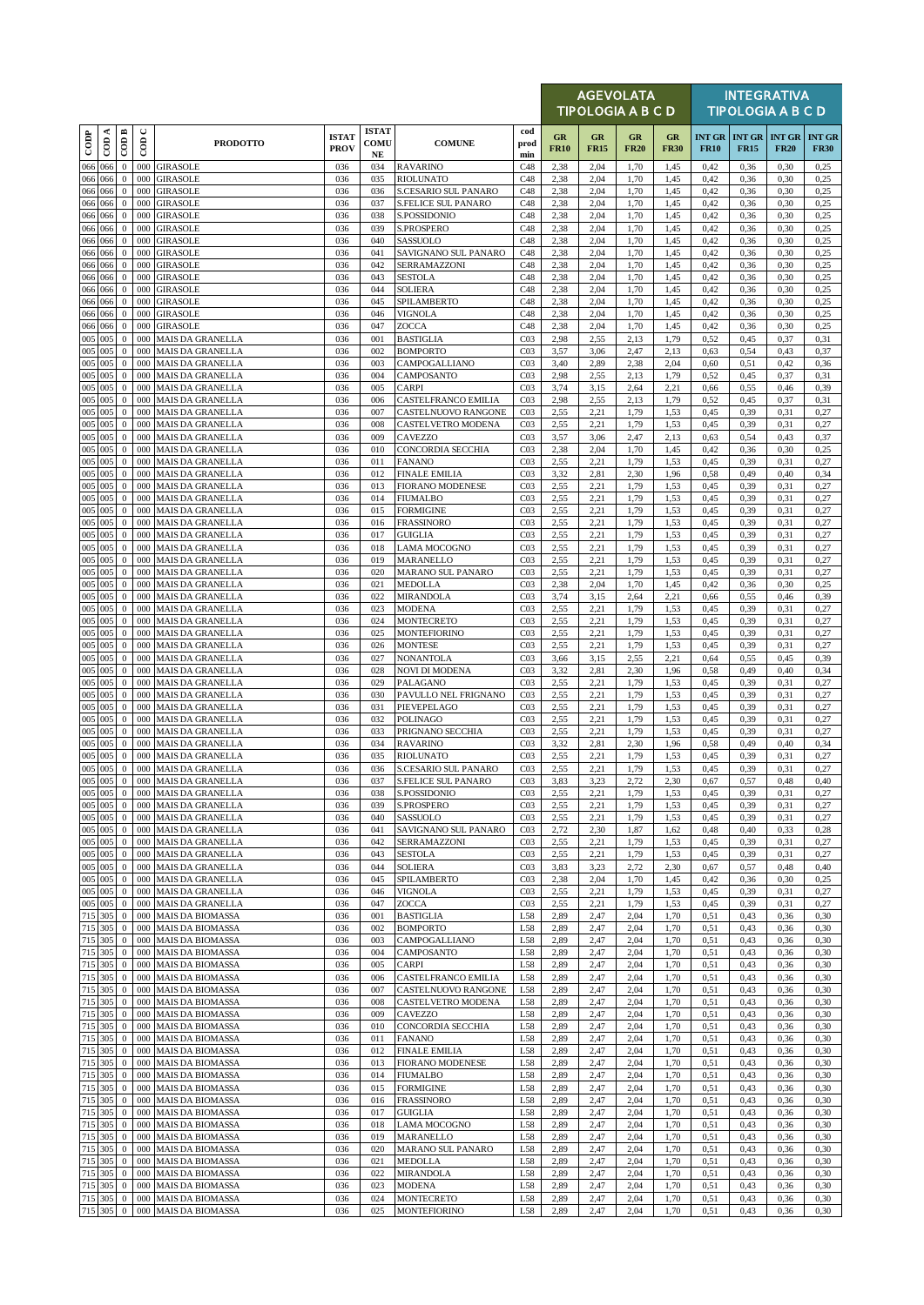|                    |     |                              |                          |                                                    |                             |                            |                                                    |                                    |                   | <b>AGEVOLATA</b><br><b>TIPOLOGIA A B C D</b> |                   |                   |                              |                              | <b>INTEGRATIVA</b><br><b>TIPOLOGIA A B C D</b> |                              |
|--------------------|-----|------------------------------|--------------------------|----------------------------------------------------|-----------------------------|----------------------------|----------------------------------------------------|------------------------------------|-------------------|----------------------------------------------|-------------------|-------------------|------------------------------|------------------------------|------------------------------------------------|------------------------------|
| $_{\rm{cop}}$      | CDA | CODB                         | $\cup$<br>$\overline{5}$ | <b>PRODOTTO</b>                                    | <b>ISTAT</b><br><b>PROV</b> | <b>ISTAT</b><br>COMU<br>NE | <b>COMUNE</b>                                      | cod<br>prod<br>min                 | GR<br><b>FR10</b> | GR<br><b>FR15</b>                            | GR<br><b>FR20</b> | GR<br><b>FR30</b> | <b>INT GR</b><br><b>FR10</b> | <b>INT GR</b><br><b>FR15</b> | <b>INT GR</b><br><b>FR20</b>                   | <b>INT GR</b><br><b>FR30</b> |
| 066 066            |     | $\mathbf{0}$                 | 000                      | <b>GIRASOLE</b>                                    | 036                         | 034                        | <b>RAVARINO</b>                                    | C48                                | 2,38              | 2,04                                         | 1,70              | 1,45              | 0,42                         | 0,36                         | 0,30                                           | 0,25                         |
| 066 066<br>066 066 |     | $\mathbf{0}$<br>$\mathbf{0}$ | 000<br>000               | <b>GIRASOLE</b><br><b>GIRASOLE</b>                 | 036<br>036                  | 035<br>036                 | <b>RIOLUNATO</b><br><b>S.CESARIO SUL PANARO</b>    | C48<br>C48                         | 2,38<br>2,38      | 2,04<br>2,04                                 | 1,70<br>1,70      | 1,45<br>1,45      | 0,42<br>0,42                 | 0,36<br>0,36                 | 0,30<br>0,30                                   | 0,25<br>0,25                 |
| 066 066            |     | $\mathbf{0}$                 | 000                      | <b>GIRASOLE</b>                                    | 036                         | 037                        | <b>S.FELICE SUL PANARO</b>                         | C48                                | 2,38              | 2,04                                         | 1,70              | 1,45              | 0,42                         | 0,36                         | 0,30                                           | 0,25                         |
| 066 066            |     | $\mathbf{0}$                 | 000                      | <b>GIRASOLE</b>                                    | 036                         | 038                        | S.POSSIDONIO                                       | C48                                | 2,38              | 2,04                                         | 1,70              | 1,45              | 0,42                         | 0,36                         | 0,30                                           | 0,25                         |
| 066 066            |     | $\mathbf{0}$                 | 000                      | <b>GIRASOLE</b>                                    | 036                         | 039                        | S.PROSPERO                                         | C48                                | 2,38              | 2,04                                         | 1,70              | 1,45              | 0,42                         | 0,36                         | 0,30                                           | 0,25                         |
| 066 066<br>066     | 066 | $\mathbf{0}$<br>$\bf{0}$     | 000<br>000               | <b>GIRASOLE</b><br><b>GIRASOLE</b>                 | 036<br>036                  | 040<br>041                 | SASSUOLO<br>SAVIGNANO SUL PANARO                   | C48<br>C48                         | 2,38<br>2,38      | 2,04<br>2,04                                 | 1,70<br>1,70      | 1,45<br>1,45      | 0,42<br>0,42                 | 0,36<br>0,36                 | 0,30<br>0,30                                   | 0,25<br>0,25                 |
| 066 066            |     | $\mathbf{0}$                 | 000                      | <b>GIRASOLE</b>                                    | 036                         | 042                        | SERRAMAZZONI                                       | C48                                | 2,38              | 2,04                                         | 1,70              | 1,45              | 0,42                         | 0,36                         | 0,30                                           | 0,25                         |
| 066 066            |     | $\mathbf{0}$                 | 000                      | <b>GIRASOLE</b>                                    | 036                         | 043                        | <b>SESTOLA</b>                                     | C48                                | 2,38              | 2,04                                         | 1,70              | 1,45              | 0,42                         | 0,36                         | 0,30                                           | 0,25                         |
| 066 066            |     | $\mathbf{0}$                 | 000                      | <b>GIRASOLE</b>                                    | 036                         | 044                        | <b>SOLIERA</b>                                     | C48                                | 2,38              | 2,04                                         | 1,70              | 1,45              | 0,42                         | 0,36                         | 0,30                                           | 0,25                         |
| 066 066<br>066 066 |     | $\mathbf{0}$<br>$\mathbf{0}$ | 000<br>000               | <b>GIRASOLE</b><br><b>GIRASOLE</b>                 | 036<br>036                  | 045<br>046                 | SPILAMBERTO<br>VIGNOLA                             | C48<br>C48                         | 2,38<br>2,38      | 2,04<br>2,04                                 | 1,70<br>1,70      | 1,45<br>1,45      | 0,42<br>0,42                 | 0,36<br>0,36                 | 0,30<br>0,30                                   | 0,25<br>0,25                 |
| 066 066            |     | $\mathbf{0}$                 | 000                      | <b>GIRASOLE</b>                                    | 036                         | 047                        | ZOCCA                                              | C48                                | 2,38              | 2,04                                         | 1,70              | 1,45              | 0,42                         | 0,36                         | 0,30                                           | 0,25                         |
| 005 005            |     | $\bf{0}$                     | 000                      | <b>MAIS DA GRANELLA</b>                            | 036                         | 001                        | <b>BASTIGLIA</b>                                   | CO <sub>3</sub>                    | 2,98              | 2,55                                         | 2.13              | 1,79              | 0,52                         | 0,45                         | 0,37                                           | 0.31                         |
| 005 005            |     | $\mathbf{0}$                 | 000                      | <b>MAIS DA GRANELLA</b>                            | 036                         | 002                        | <b>BOMPORTO</b>                                    | CO <sub>3</sub>                    | 3,57              | 3,06                                         | 2,47              | 2,13              | 0.63                         | 0,54                         | 0,43                                           | 0,37                         |
| 005 005<br>005 005 |     | $\mathbf{0}$<br>$\mathbf{0}$ | 000<br>000               | <b>MAIS DA GRANELLA</b><br><b>MAIS DA GRANELLA</b> | 036<br>036                  | 003<br>004                 | CAMPOGALLIANO<br>CAMPOSANTO                        | CO <sub>3</sub><br>CO <sub>3</sub> | 3,40<br>2,98      | 2,89<br>2,55                                 | 2,38<br>2,13      | 2,04<br>1,79      | 0,60<br>0,52                 | 0,51<br>0,45                 | 0,42<br>0,37                                   | 0,36<br>0,31                 |
| 005 005            |     | $\bf{0}$                     | 000                      | <b>MAIS DA GRANELLA</b>                            | 036                         | 005                        | <b>CARPI</b>                                       | CO <sub>3</sub>                    | 3,74              | 3,15                                         | 2,64              | 2,21              | 0,66                         | 0,55                         | 0,46                                           | 0,39                         |
| 005 005            |     | $\mathbf{0}$                 | 000                      | <b>MAIS DA GRANELLA</b>                            | 036                         | 006                        | CASTELFRANCO EMILIA                                | CO <sub>3</sub>                    | 2,98              | 2,55                                         | 2.13              | 1,79              | 0,52                         | 0,45                         | 0,37                                           | 0,31                         |
| 005 005<br>005 005 |     | $\mathbf{0}$<br>$\mathbf{0}$ | 000<br>000               | <b>MAIS DA GRANELLA</b><br><b>MAIS DA GRANELLA</b> | 036<br>036                  | 007<br>008                 | CASTELNUOVO RANGONE<br>CASTELVETRO MODENA          | CO <sub>3</sub><br>CO <sub>3</sub> | 2,55<br>2,55      | 2,21<br>2,21                                 | 1,79<br>1,79      | 1,53<br>1,53      | 0,45<br>0,45                 | 0,39<br>0,39                 | 0,31<br>0,31                                   | 0,27<br>0,27                 |
| 005 005            |     | $\mathbf{0}$                 | 000                      | <b>MAIS DA GRANELLA</b>                            | 036                         | 009                        | <b>CAVEZZO</b>                                     | CO <sub>3</sub>                    | 3,57              | 3,06                                         | 2,47              | 2,13              | 0.63                         | 0,54                         | 0,43                                           | 0,37                         |
| 005 005            |     | $\mathbf{0}$                 | 000                      | <b>MAIS DA GRANELLA</b>                            | 036                         | 010                        | CONCORDIA SECCHIA                                  | CO <sub>3</sub>                    | 2,38              | 2,04                                         | 1,70              | 1,45              | 0,42                         | 0,36                         | 0,30                                           | 0,25                         |
| 005 005            |     | $\mathbf{0}$                 | 000                      | <b>MAIS DA GRANELLA</b>                            | 036                         | 011                        | <b>FANANO</b>                                      | CO <sub>3</sub>                    | 2,55              | 2,21                                         | 1,79              | 1,53              | 0,45                         | 0,39                         | 0,31                                           | 0,27                         |
| 005 005<br>005 005 |     | $\mathbf{0}$<br>$\mathbf{0}$ | 000<br>000               | <b>MAIS DA GRANELLA</b><br><b>MAIS DA GRANELLA</b> | 036<br>036                  | 012<br>013                 | <b>FINALE EMILIA</b><br><b>FIORANO MODENESE</b>    | CO <sub>3</sub><br>CO <sub>3</sub> | 3,32<br>2,55      | 2,81<br>2,21                                 | 2,30<br>1,79      | 1,96<br>1,53      | 0,58<br>0,45                 | 0,49<br>0,39                 | 0,40<br>0,31                                   | 0,34<br>0,27                 |
| 005 005            |     | $\mathbf{0}$                 | 000                      | <b>MAIS DA GRANELLA</b>                            | 036                         | 014                        | <b>FIUMALBO</b>                                    | CO <sub>3</sub>                    | 2,55              | 2,21                                         | 1,79              | 1,53              | 0,45                         | 0,39                         | 0,31                                           | 0,27                         |
| 005 005            |     | $\mathbf{0}$                 | 000                      | <b>MAIS DA GRANELLA</b>                            | 036                         | 015                        | <b>FORMIGINE</b>                                   | CO <sub>3</sub>                    | 2,55              | 2,21                                         | 1,79              | 1,53              | 0,45                         | 0,39                         | 0,31                                           | 0,27                         |
| 005 005            |     | $\mathbf{0}$                 | 000                      | MAIS DA GRANELLA                                   | 036                         | 016                        | <b>FRASSINORO</b>                                  | CO <sub>3</sub>                    | 2,55              | 2,21                                         | 1,79              | 1,53              | 0,45                         | 0,39                         | 0,31                                           | 0,27                         |
| 005 005<br>005 005 |     | $\mathbf{0}$<br>$\mathbf{0}$ | 000<br>000               | <b>MAIS DA GRANELLA</b><br><b>MAIS DA GRANELLA</b> | 036<br>036                  | 017<br>018                 | <b>GUIGLIA</b><br><b>LAMA MOCOGNO</b>              | CO <sub>3</sub><br>CO <sub>3</sub> | 2,55<br>2,55      | 2,21<br>2,21                                 | 1,79<br>1,79      | 1,53<br>1,53      | 0,45<br>0,45                 | 0,39<br>0,39                 | 0,31<br>0,31                                   | 0,27<br>0,27                 |
| 005 005            |     | $\mathbf{0}$                 | 000                      | <b>MAIS DA GRANELLA</b>                            | 036                         | 019                        | <b>MARANELLO</b>                                   | CO <sub>3</sub>                    | 2,55              | 2,21                                         | 1,79              | 1,53              | 0,45                         | 0,39                         | 0,31                                           | 0,27                         |
| 005 005            |     | $\mathbf{0}$                 | 000                      | <b>MAIS DA GRANELLA</b>                            | 036                         | 020                        | MARANO SUL PANARO                                  | CO <sub>3</sub>                    | 2,55              | 2,21                                         | 1,79              | 1,53              | 0,45                         | 0,39                         | 0,31                                           | 0,27                         |
| 005 005            |     | $\mathbf{0}$                 | 000                      | <b>MAIS DA GRANELLA</b>                            | 036                         | 021                        | <b>MEDOLLA</b>                                     | CO <sub>3</sub>                    | 2,38              | 2,04                                         | 1,70              | 1,45              | 0,42                         | 0,36                         | 0,30                                           | 0,25                         |
| 005 005<br>005 005 |     | $\mathbf{0}$<br>$\mathbf{0}$ | 000<br>000               | <b>MAIS DA GRANELLA</b><br>MAIS DA GRANELLA        | 036<br>036                  | 022<br>023                 | <b>MIRANDOLA</b><br><b>MODENA</b>                  | CO <sub>3</sub><br>CO <sub>3</sub> | 3,74<br>2,55      | 3,15<br>2,21                                 | 2,64<br>1,79      | 2,21<br>1,53      | 0,66<br>0,45                 | 0,55<br>0,39                 | 0,46<br>0,31                                   | 0,39<br>0,27                 |
| 005 005            |     | $\mathbf{0}$                 | 000                      | <b>MAIS DA GRANELLA</b>                            | 036                         | 024                        | <b>MONTECRETO</b>                                  | CO <sub>3</sub>                    | 2,55              | 2,21                                         | 1,79              | 1,53              | 0,45                         | 0,39                         | 0,31                                           | 0,27                         |
| 005 005            |     | $\mathbf{0}$                 | 000                      | <b>MAIS DA GRANELLA</b>                            | 036                         | 025                        | <b>MONTEFIORINO</b>                                | CO <sub>3</sub>                    | 2,55              | 2,21                                         | 1,79              | 1,53              | 0,45                         | 0,39                         | 0,31                                           | 0,27                         |
| 005 005            |     | $\mathbf{0}$                 | 000                      | <b>MAIS DA GRANELLA</b>                            | 036                         | 026                        | <b>MONTESE</b>                                     | CO <sub>3</sub>                    | 2,55              | 2,21                                         | 1,79              | 1,53              | 0,45                         | 0,39                         | 0,31                                           | 0,27                         |
| 005 005<br>005 005 |     | $\mathbf{0}$<br>$\mathbf{0}$ | 000<br>000               | <b>MAIS DA GRANELLA</b><br><b>MAIS DA GRANELLA</b> | 036<br>036                  | 027<br>028                 | <b>NONANTOLA</b><br><b>NOVI DI MODENA</b>          | CO <sub>3</sub><br>CO <sub>3</sub> | 3,66<br>3,32      | 3,15<br>2,81                                 | 2,55<br>2,30      | 2,21<br>1,96      | 0.64<br>0,58                 | 0,55<br>0,49                 | 0,45<br>0,40                                   | 0,39<br>0,34                 |
| 005 005            |     | $\bf{0}$                     | 000                      | <b>MAIS DA GRANELLA</b>                            | 036                         | 029                        | PALAGANO                                           | CO <sub>3</sub>                    | 2,55              | 2,21                                         | 1,79              | 1,53              | 0,45                         | 0,39                         | 0,31                                           | 0,27                         |
| 005 005            |     | $\mathbf{0}$                 | 000                      | <b>MAIS DA GRANELLA</b>                            | 036                         | 030                        | PAVULLO NEL FRIGNANO                               | CO <sub>3</sub>                    | 2,55              | 2,21                                         | 1,79              | 1,53              | 0,45                         | 0,39                         | 0,31                                           | 0,27                         |
| 005 005            |     | $\mathbf{0}$                 | 000                      | <b>MAIS DA GRANELLA</b>                            | 036                         | 031                        | PIEVEPELAGO                                        | CO <sub>3</sub>                    | 2,55              | 2,21                                         | 1,79              | 1,53              | 0,45                         | 0,39                         | 0,31                                           | 0,27                         |
| 005 005<br>005 005 |     | $\mathbf{0}$<br>$\mathbf{0}$ | 000<br>000               | <b>MAIS DA GRANELLA</b><br><b>MAIS DA GRANELLA</b> | 036<br>036                  | 032<br>033                 | POLINAGO<br>PRIGNANO SECCHIA                       | CO <sub>3</sub><br>CO <sub>3</sub> | 2,55<br>2,55      | 2,21<br>2,21                                 | 1,79<br>1,79      | 1,53<br>1,53      | 0,45<br>0,45                 | 0,39<br>0,39                 | 0,31<br>0,31                                   | 0,27<br>0,27                 |
| 005 005            |     | $\mathbf{0}$                 | 000                      | <b>MAIS DA GRANELLA</b>                            | 036                         | 034                        | <b>RAVARINO</b>                                    | CO <sub>3</sub>                    | 3,32              | 2,81                                         | 2,30              | 1,96              | 0,58                         | 0,49                         | 0,40                                           | 0,34                         |
| 005 005            |     | $\mathbf{0}$                 | 000                      | <b>MAIS DA GRANELLA</b>                            | 036                         | 035                        | <b>RIOLUNATO</b>                                   | CO <sub>3</sub>                    | 2,55              | 2,21                                         | 1,79              | 1,53              | 0,45                         | 0,39                         | 0,31                                           | 0,27                         |
| 005 005<br>005 005 |     | $\mathbf{0}$                 |                          | 000 MAIS DA GRANELLA<br>0 000 MAIS DA GRANELLA     | 036<br>036                  | 036<br>037                 | S.CESARIO SUL PANARO<br><b>S.FELICE SUL PANARO</b> | CO <sub>3</sub><br>CO <sub>3</sub> | 2,55<br>3.83      | 2,21<br>3.23                                 | 1,79<br>2.72      | 1,53<br>2.30      | 0,45<br>0.67                 | 0,39<br>0.57                 | 0,31<br>0.48                                   | 0,27<br>0.40                 |
| 005 005            |     | $\mathbf{0}$                 |                          | 000 MAIS DA GRANELLA                               | 036                         | 038                        | S.POSSIDONIO                                       | CO <sub>3</sub>                    | 2,55              | 2,21                                         | 1,79              | 1,53              | 0,45                         | 0,39                         | 0,31                                           | 0,27                         |
| 005 005            |     | $\mathbf{0}$                 | 000                      | <b>MAIS DA GRANELLA</b>                            | 036                         | 039                        | S.PROSPERO                                         | CO <sub>3</sub>                    | 2,55              | 2,21                                         | 1,79              | 1,53              | 0,45                         | 0,39                         | 0,31                                           | 0,27                         |
| 005 005            |     | $\mathbf{0}$                 | 000                      | <b>MAIS DA GRANELLA</b>                            | 036                         | 040                        | SASSUOLO                                           | CO <sub>3</sub>                    | 2,55              | 2,21                                         | 1,79              | 1,53              | 0,45                         | 0,39                         | 0,31                                           | 0,27                         |
| 005 005<br>005 005 |     | $\bf{0}$                     | 000<br>000               | MAIS DA GRANELLA<br><b>MAIS DA GRANELLA</b>        | 036                         | 041<br>042                 | SAVIGNANO SUL PANARO                               | CO <sub>3</sub><br>CO <sub>3</sub> | 2,72              | 2,30                                         | 1,87              | 1,62              | 0,48                         | 0,40                         | 0,33                                           | 0,28                         |
| 005 005            |     | $\bf{0}$<br>$\bf{0}$         | 000                      | <b>MAIS DA GRANELLA</b>                            | 036<br>036                  | 043                        | SERRAMAZZONI<br><b>SESTOLA</b>                     | CO <sub>3</sub>                    | 2,55<br>2,55      | 2,21<br>2,21                                 | 1,79<br>1,79      | 1,53<br>1,53      | 0,45<br>0,45                 | 0,39<br>0,39                 | 0,31<br>0,31                                   | 0,27<br>0,27                 |
| 005 005            |     | $\bf{0}$                     | 000                      | <b>MAIS DA GRANELLA</b>                            | 036                         | 044                        | <b>SOLIERA</b>                                     | CO <sub>3</sub>                    | 3,83              | 3,23                                         | 2,72              | 2,30              | 0,67                         | 0,57                         | 0,48                                           | 0,40                         |
| 005 005            |     | $\mathbf{0}$                 | 000                      | MAIS DA GRANELLA                                   | 036                         | 045                        | SPILAMBERTO                                        | CO <sub>3</sub>                    | 2,38              | 2,04                                         | 1,70              | 1,45              | 0,42                         | 0,36                         | 0,30                                           | 0,25                         |
| 005 005<br>005 005 |     | $\mathbf{0}$<br>$\bf{0}$     | 000<br>000               | <b>MAIS DA GRANELLA</b><br><b>MAIS DA GRANELLA</b> | 036<br>036                  | 046<br>047                 | <b>VIGNOLA</b><br>ZOCCA                            | CO <sub>3</sub><br>CO <sub>3</sub> | 2,55<br>2,55      | 2,21<br>2,21                                 | 1,79<br>1,79      | 1,53<br>1,53      | 0,45<br>0,45                 | 0,39<br>0,39                 | 0,31<br>0,31                                   | 0,27<br>0,27                 |
| 715 305            |     | $\mathbf{0}$                 | 000                      | <b>MAIS DA BIOMASSA</b>                            | 036                         | 001                        | <b>BASTIGLIA</b>                                   | L58                                | 2,89              | 2,47                                         | 2,04              | 1,70              | 0,51                         | 0,43                         | 0,36                                           | 0,30                         |
| 715 305            |     | $\mathbf{0}$                 |                          | 000 MAIS DA BIOMASSA                               | 036                         | 002                        | <b>BOMPORTO</b>                                    | L58                                | 2,89              | 2,47                                         | 2,04              | 1,70              | 0,51                         | 0,43                         | 0,36                                           | 0,30                         |
| 715 305            |     | $\mathbf{0}$                 | 000                      | <b>MAIS DA BIOMASSA</b>                            | 036                         | 003                        | CAMPOGALLIANO                                      | L58                                | 2,89              | 2,47                                         | 2,04              | 1,70              | 0.51                         | 0,43                         | 0,36                                           | 0,30                         |
| 715 305<br>715 305 |     | $\mathbf{0}$<br>$\mathbf{0}$ | 000<br>000               | <b>MAIS DA BIOMASSA</b><br>MAIS DA BIOMASSA        | 036<br>036                  | 004<br>005                 | CAMPOSANTO<br><b>CARPI</b>                         | L58<br>L58                         | 2,89<br>2,89      | 2,47<br>2,47                                 | 2,04<br>2,04      | 1,70<br>1,70      | 0,51<br>0,51                 | 0,43<br>0,43                 | 0,36<br>0,36                                   | 0,30<br>0,30                 |
| 715 305            |     | $\mathbf{0}$                 | 000                      | MAIS DA BIOMASSA                                   | 036                         | 006                        | <b>CASTELFRANCO EMILIA</b>                         | L58                                | 2,89              | 2,47                                         | 2,04              | 1,70              | 0,51                         | 0,43                         | 0,36                                           | 0,30                         |
| 715 305            |     | $\mathbf{0}$                 | 000                      | MAIS DA BIOMASSA                                   | 036                         | 007                        | CASTELNUOVO RANGONE                                | L58                                | 2,89              | 2,47                                         | 2,04              | 1,70              | 0,51                         | 0,43                         | 0,36                                           | 0,30                         |
| 715 305            |     | $\mathbf{0}$                 | 000                      | <b>MAIS DA BIOMASSA</b>                            | 036                         | 008                        | CASTELVETRO MODENA                                 | L58                                | 2,89              | 2,47                                         | 2,04              | 1,70              | 0,51                         | 0,43                         | 0,36                                           | 0,30                         |
| 715 305<br>715 305 |     | $\mathbf{0}$<br>$\mathbf{0}$ | 000<br>000               | <b>MAIS DA BIOMASSA</b><br><b>MAIS DA BIOMASSA</b> | 036<br>036                  | 009<br>010                 | CAVEZZO<br>CONCORDIA SECCHIA                       | L58<br>L58                         | 2,89<br>2,89      | 2,47<br>2,47                                 | 2,04<br>2,04      | 1,70<br>1,70      | 0,51<br>0,51                 | 0,43<br>0,43                 | 0,36<br>0,36                                   | 0,30<br>0,30                 |
| 715 305            |     | $\bf{0}$                     | 000                      | MAIS DA BIOMASSA                                   | 036                         | 011                        | <b>FANANO</b>                                      | L58                                | 2,89              | 2,47                                         | 2,04              | 1,70              | 0,51                         | 0,43                         | 0,36                                           | 0,30                         |
| 715 305            |     | $\mathbf{0}$                 | 000                      | <b>MAIS DA BIOMASSA</b>                            | 036                         | 012                        | <b>FINALE EMILIA</b>                               | L58                                | 2,89              | 2,47                                         | 2,04              | 1,70              | 0.51                         | 0,43                         | 0,36                                           | 0,30                         |
| 715 305            |     | $\bf{0}$                     | 000                      | <b>MAIS DA BIOMASSA</b>                            | 036                         | 013                        | <b>FIORANO MODENESE</b>                            | L58                                | 2,89              | 2,47                                         | 2,04              | 1,70              | 0,51                         | 0,43                         | 0,36                                           | 0,30                         |
| 715 305<br>715 305 |     | $\bf{0}$<br>$\mathbf{0}$     | 000<br>000               | <b>MAIS DA BIOMASSA</b><br><b>MAIS DA BIOMASSA</b> | 036<br>036                  | 014<br>015                 | <b>FIUMALBO</b><br><b>FORMIGINE</b>                | L58<br>L58                         | 2,89<br>2,89      | 2,47<br>2,47                                 | 2,04<br>2,04      | 1,70<br>1,70      | 0.51<br>0,51                 | 0,43<br>0,43                 | 0,36<br>0,36                                   | 0,30<br>0,30                 |
| 715 305            |     | $\mathbf{0}$                 |                          | 000 MAIS DA BIOMASSA                               | 036                         | 016                        | <b>FRASSINORO</b>                                  | L58                                | 2,89              | 2,47                                         | 2,04              | 1,70              | 0,51                         | 0,43                         | 0,36                                           | 0,30                         |
| 715 305            |     | $\mathbf{0}$                 | 000                      | MAIS DA BIOMASSA                                   | 036                         | 017                        | GUIGLIA                                            | L58                                | 2,89              | 2,47                                         | 2,04              | 1,70              | 0,51                         | 0,43                         | 0,36                                           | 0,30                         |
| 715 305            |     | $\mathbf{0}$                 | 000                      | <b>MAIS DA BIOMASSA</b>                            | 036                         | 018                        | <b>LAMA MOCOGNO</b>                                | L58                                | 2,89              | 2,47                                         | 2,04              | 1,70              | 0,51                         | 0,43                         | 0,36                                           | 0,30                         |
| 715 305<br>715 305 |     | $\bf{0}$<br>$\bf{0}$         | 000<br>000               | <b>MAIS DA BIOMASSA</b><br><b>MAIS DA BIOMASSA</b> | 036<br>036                  | 019<br>020                 | MARANELLO<br>MARANO SUL PANARO                     | L58<br>L58                         | 2,89<br>2,89      | 2,47<br>2,47                                 | 2,04<br>2,04      | 1,70<br>1,70      | 0.51<br>0,51                 | 0,43<br>0,43                 | 0,36<br>0,36                                   | 0,30<br>0,30                 |
| 715 305            |     | $\bf{0}$                     | 000                      | <b>MAIS DA BIOMASSA</b>                            | 036                         | 021                        | <b>MEDOLLA</b>                                     | L58                                | 2,89              | 2,47                                         | 2,04              | 1,70              | 0,51                         | 0,43                         | 0,36                                           | 0,30                         |
| 715 305            |     | $\bf{0}$                     | 000                      | MAIS DA BIOMASSA                                   | 036                         | 022                        | <b>MIRANDOLA</b>                                   | L58                                | 2,89              | 2,47                                         | 2,04              | 1,70              | 0,51                         | 0,43                         | 0,36                                           | 0,30                         |
| 715 305<br>715 305 |     | $\mathbf{0}$                 | 000                      | <b>MAIS DA BIOMASSA</b><br>000 MAIS DA BIOMASSA    | 036                         | 023                        | MODENA                                             | L58                                | 2,89<br>2,89      | 2,47                                         | 2,04              | 1,70              | 0,51                         | 0,43                         | 0,36                                           | 0,30                         |
| 715 305            |     | $\bf{0}$<br>$\mathbf{0}$     |                          | 000 MAIS DA BIOMASSA                               | 036<br>036                  | 024<br>025                 | <b>MONTECRETO</b><br><b>MONTEFIORINO</b>           | L58<br>L58                         | 2,89              | 2,47<br>2,47                                 | 2,04<br>2,04      | 1,70<br>1,70      | 0,51<br>0,51                 | 0,43<br>0,43                 | 0,36<br>0,36                                   | 0,30<br>0,30                 |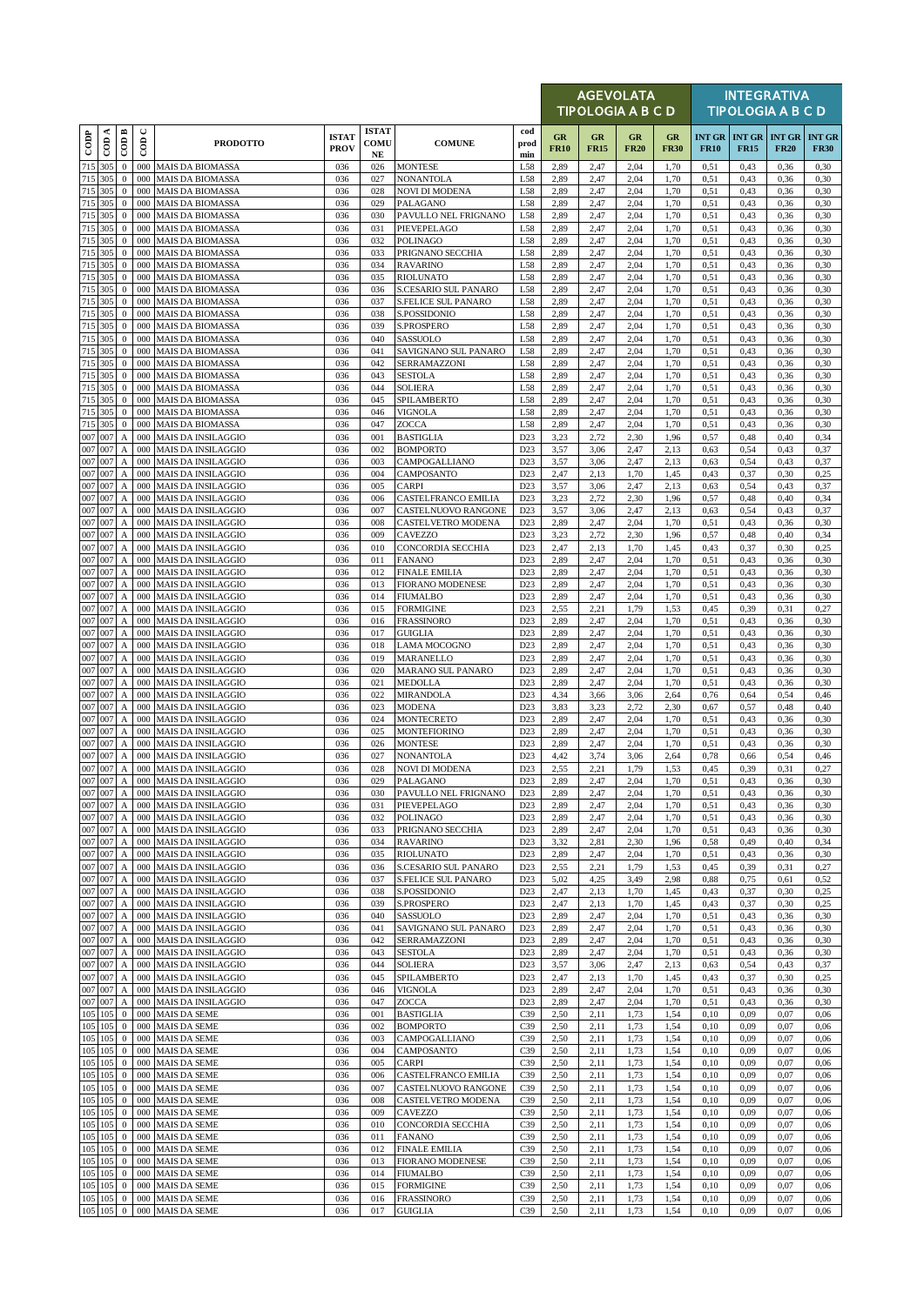|               |                     |                                           |                      |                                                        |                             |                                  |                                                    |                                    |                   |                   | <b>AGEVOLATA</b><br>TIPOLOGIA A B C D |                   |                              |              | <b>INTEGRATIVA</b><br><b>TIPOLOGIA A B C D</b> |                              |
|---------------|---------------------|-------------------------------------------|----------------------|--------------------------------------------------------|-----------------------------|----------------------------------|----------------------------------------------------|------------------------------------|-------------------|-------------------|---------------------------------------|-------------------|------------------------------|--------------|------------------------------------------------|------------------------------|
| $_{\rm{cop}}$ | ≺<br>$\overline{c}$ | $\overline{CDB}$                          | $\cup$<br>$\epsilon$ | <b>PRODOTTO</b>                                        | <b>ISTAT</b><br><b>PROV</b> | <b>ISTAT</b><br>COMU<br>$\bf NE$ | <b>COMUNE</b>                                      | cod<br>prod<br>min                 | GR<br><b>FR10</b> | GR<br><b>FR15</b> | GR<br><b>FR20</b>                     | GR<br><b>FR30</b> | <b>INT GR</b><br><b>FR10</b> | <b>FR15</b>  | <b>INT GR INT GR</b><br><b>FR20</b>            | <b>INT GR</b><br><b>FR30</b> |
|               | 715 305             | $\mathbf{0}$                              | 000                  | <b>MAIS DA BIOMASSA</b>                                | 036                         | 026                              | <b>MONTESE</b>                                     | L58                                | 2,89              | 2,47              | 2,04                                  | 1,70              | 0,51                         | 0,43         | 0,36                                           | 0,30                         |
|               | 715 305<br>715 305  | $\bf{0}$<br>$\mathbf{0}$                  | 000<br>000           | <b>MAIS DA BIOMASSA</b><br><b>MAIS DA BIOMASSA</b>     | 036<br>036                  | 027<br>028                       | <b>NONANTOLA</b><br><b>NOVI DI MODENA</b>          | L58<br>L58                         | 2,89<br>2,89      | 2,47<br>2,47      | 2,04<br>2,04                          | 1,70<br>1,70      | 0,51<br>0,51                 | 0,43<br>0,43 | 0,36<br>0,36                                   | 0,30<br>0,30                 |
| 715 305       | 715 305             | $\mathbf{0}$                              | 000                  | <b>MAIS DA BIOMASSA</b>                                | 036<br>036                  | 029                              | PALAGANO                                           | L58                                | 2,89              | 2,47              | 2,04                                  | 1,70              | 0,51                         | 0,43         | 0,36                                           | 0,30                         |
|               | 715 305             | $\mathbf{0}$<br>$\mathbf{0}$              | 000<br>000           | <b>MAIS DA BIOMASSA</b><br><b>MAIS DA BIOMASSA</b>     | 036                         | 030<br>031                       | PAVULLO NEL FRIGNANO<br>PIEVEPELAGO                | L58<br>L58                         | 2,89<br>2,89      | 2,47<br>2,47      | 2,04<br>2,04                          | 1,70<br>1,70      | 0.51<br>0,51                 | 0,43<br>0,43 | 0,36<br>0,36                                   | 0,30<br>0,30                 |
|               | 715 305             | $\mathbf{0}$                              | 000                  | MAIS DA BIOMASSA                                       | 036                         | 032                              | <b>POLINAGO</b>                                    | L58                                | 2,89              | 2,47              | 2,04                                  | 1,70              | 0,51                         | 0,43         | 0,36                                           | 0,30                         |
|               | 715 305<br>715 305  | $\mathbf{0}$<br>$\bf{0}$                  | 000<br>000           | <b>MAIS DA BIOMASSA</b><br>MAIS DA BIOMASSA            | 036<br>036                  | 033<br>034                       | PRIGNANO SECCHIA<br><b>RAVARINO</b>                | L58<br>L58                         | 2,89<br>2,89      | 2,47<br>2,47      | 2,04<br>2,04                          | 1,70<br>1,70      | 0,51<br>0,51                 | 0,43<br>0,43 | 0,36<br>0,36                                   | 0,30<br>0,30                 |
|               | 715 305             | $\mathbf{0}$                              | 000                  | <b>MAIS DA BIOMASSA</b>                                | 036                         | 035                              | <b>RIOLUNATO</b>                                   | L58                                | 2,89              | 2,47              | 2,04                                  | 1,70              | 0,51                         | 0,43         | 0,36                                           | 0,30                         |
|               | 715 305<br>715 305  | $\mathbf{0}$<br>$\bf{0}$                  | 000<br>000           | <b>MAIS DA BIOMASSA</b><br><b>MAIS DA BIOMASSA</b>     | 036<br>036                  | 036<br>037                       | S.CESARIO SUL PANARO<br><b>S.FELICE SUL PANARO</b> | L58<br>L58                         | 2,89<br>2,89      | 2,47<br>2,47      | 2,04<br>2,04                          | 1,70<br>1,70      | 0,51<br>0,51                 | 0,43<br>0,43 | 0,36<br>0,36                                   | 0,30<br>0,30                 |
|               | 715 305             | $\mathbf{0}$                              | 000                  | <b>MAIS DA BIOMASSA</b>                                | 036                         | 038                              | S.POSSIDONIO                                       | L58                                | 2,89              | 2,47              | 2,04                                  | 1,70              | 0,51                         | 0,43         | 0,36                                           | 0,30                         |
|               | 715 305<br>715 305  | $\mathbf{0}$<br>$\mathbf{0}$              | 000<br>000           | MAIS DA BIOMASSA<br><b>MAIS DA BIOMASSA</b>            | 036<br>036                  | 039<br>040                       | S.PROSPERO<br>SASSUOLO                             | L58<br>L58                         | 2,89<br>2,89      | 2,47<br>2,47      | 2,04<br>2,04                          | 1,70<br>1,70      | 0.51<br>0,51                 | 0,43<br>0,43 | 0,36<br>0,36                                   | 0,30<br>0,30                 |
|               | 715 305             | $\mathbf{0}$                              | 000                  | <b>MAIS DA BIOMASSA</b>                                | 036                         | 041                              | SAVIGNANO SUL PANARO                               | L58                                | 2,89              | 2,47              | 2,04                                  | 1,70              | 0.51                         | 0,43         | 0,36                                           | 0,30                         |
|               | 715 305<br>715 305  | $\mathbf{0}$                              | 000                  | <b>MAIS DA BIOMASSA</b>                                | 036                         | 042                              | SERRAMAZZONI                                       | L58                                | 2,89              | 2,47              | 2,04                                  | 1,70              | 0.51                         | 0,43         | 0,36                                           | 0,30                         |
|               | 715 305             | $\mathbf{0}$<br>$\mathbf{0}$              | 000                  | 000 MAIS DA BIOMASSA<br><b>MAIS DA BIOMASSA</b>        | 036<br>036                  | 043<br>044                       | <b>SESTOLA</b><br><b>SOLIERA</b>                   | L58<br>L58                         | 2,89<br>2,89      | 2,47<br>2,47      | 2,04<br>2,04                          | 1,70<br>1,70      | 0,51<br>0.51                 | 0,43<br>0,43 | 0,36<br>0,36                                   | 0,30<br>0,30                 |
|               | 715 305             | $\mathbf{0}$                              | 000                  | <b>MAIS DA BIOMASSA</b>                                | 036                         | 045                              | SPILAMBERTO                                        | L58                                | 2,89              | 2,47              | 2,04                                  | 1,70              | 0,51                         | 0.43         | 0,36                                           | 0,30                         |
|               | 715 305<br>715 305  | $\mathbf{0}$<br>$\bf{0}$                  | 000<br>000           | <b>MAIS DA BIOMASSA</b><br><b>MAIS DA BIOMASSA</b>     | 036<br>036                  | 046<br>047                       | VIGNOLA<br>ZOCCA                                   | L58<br>L58                         | 2,89<br>2,89      | 2,47<br>2,47      | 2,04<br>2,04                          | 1.70<br>1,70      | 0.51<br>0,51                 | 0,43<br>0,43 | 0,36<br>0,36                                   | 0,30<br>0,30                 |
|               | 007 007             | A                                         | 000                  | MAIS DA INSILAGGIO                                     | 036                         | 001                              | <b>BASTIGLIA</b>                                   | D23                                | 3,23              | 2,72              | 2,30                                  | 1,96              | 0,57                         | 0,48         | 0,40                                           | 0,34                         |
|               | 007 007<br>007 007  | A<br>$\boldsymbol{A}$                     | 000<br>000           | <b>MAIS DA INSILAGGIO</b><br><b>MAIS DA INSILAGGIO</b> | 036<br>036                  | 002<br>003                       | <b>BOMPORTO</b><br>CAMPOGALLIANO                   | D23<br>D23                         | 3,57<br>3,57      | 3,06<br>3,06      | 2,47<br>2,47                          | 2,13<br>2,13      | 0.63<br>0,63                 | 0,54<br>0,54 | 0,43<br>0,43                                   | 0,37<br>0,37                 |
|               | 007 007             | $\mathbf{A}$                              | 000                  | <b>MAIS DA INSILAGGIO</b>                              | 036                         | 004                              | CAMPOSANTO                                         | D23                                | 2,47              | 2,13              | 1,70                                  | 1,45              | 0,43                         | 0,37         | 0,30                                           | 0,25                         |
| 007 007       | 007 007             | A<br>A                                    | 000<br>000           | <b>MAIS DA INSILAGGIO</b><br><b>MAIS DA INSILAGGIO</b> | 036<br>036                  | 005<br>006                       | CARPI<br>CASTELFRANCO EMILIA                       | D23<br>D23                         | 3,57<br>3,23      | 3,06<br>2,72      | 2,47<br>2,30                          | 2,13<br>1,96      | 0.63<br>0,57                 | 0,54<br>0,48 | 0,43<br>0,40                                   | 0,37<br>0,34                 |
|               | 007 007             | $\boldsymbol{\mathsf{A}}$                 | 000                  | <b>MAIS DA INSILAGGIO</b>                              | 036                         | 007                              | CASTELNUOVO RANGONE                                | D23                                | 3,57              | 3,06              | 2,47                                  | 2,13              | 0,63                         | 0,54         | 0,43                                           | 0,37                         |
| 007           | 007                 | $\mathbf{A}$                              | 000                  | <b>MAIS DA INSILAGGIO</b>                              | 036                         | 008                              | CASTELVETRO MODENA                                 | D23                                | 2,89              | 2,47              | 2,04                                  | 1,70              | 0.51                         | 0,43         | 0,36                                           | 0,30                         |
|               | 007 007<br>007 007  | $\boldsymbol{A}$<br>$\mathbf{A}$          | 000<br>000           | <b>MAIS DA INSILAGGIO</b><br><b>MAIS DA INSILAGGIO</b> | 036<br>036                  | 009<br>010                       | CAVEZZO<br>CONCORDIA SECCHIA                       | D23<br>D23                         | 3,23<br>2,47      | 2,72<br>2,13      | 2,30<br>1,70                          | 1,96<br>1,45      | 0,57<br>0,43                 | 0,48<br>0,37 | 0,40<br>0,30                                   | 0,34<br>0,25                 |
|               | 007 007             | A                                         | 000                  | <b>MAIS DA INSILAGGIO</b>                              | 036                         | 011                              | <b>FANANO</b>                                      | D <sub>2</sub> 3                   | 2,89              | 2,47              | 2,04                                  | 1,70              | 0,51                         | 0,43         | 0,36                                           | 0,30                         |
|               | 007 007<br>007 007  | A<br>A                                    | 000<br>000           | <b>MAIS DA INSILAGGIO</b><br><b>MAIS DA INSILAGGIO</b> | 036<br>036                  | 012<br>013                       | <b>FINALE EMILIA</b><br><b>FIORANO MODENESE</b>    | D <sub>23</sub><br>D23             | 2,89<br>2,89      | 2,47<br>2,47      | 2,04<br>2,04                          | 1,70<br>1,70      | 0,51<br>0,51                 | 0,43<br>0,43 | 0,36<br>0,36                                   | 0,30<br>0,30                 |
|               | 007 007             | A                                         | 000                  | <b>MAIS DA INSILAGGIO</b>                              | 036                         | 014                              | <b>FIUMALBO</b>                                    | D23                                | 2,89              | 2,47              | 2,04                                  | 1,70              | 0,51                         | 0,43         | 0,36                                           | 0,30                         |
|               | 007 007<br>007 007  | $\boldsymbol{A}$<br>$\boldsymbol{A}$      | 000<br>000           | <b>MAIS DA INSILAGGIO</b><br><b>MAIS DA INSILAGGIO</b> | 036<br>036                  | 015<br>016                       | <b>FORMIGINE</b><br><b>FRASSINORO</b>              | D23<br>D23                         | 2,55<br>2,89      | 2,21<br>2,47      | 1,79<br>2,04                          | 1,53<br>1,70      | 0,45<br>0,51                 | 0,39<br>0,43 | 0,31<br>0,36                                   | 0,27<br>0,30                 |
|               | 007 007             | A                                         | 000                  | <b>MAIS DA INSILAGGIO</b>                              | 036                         | 017                              | <b>GUIGLIA</b>                                     | D23                                | 2,89              | 2,47              | 2,04                                  | 1,70              | 0,51                         | 0,43         | 0,36                                           | 0,30                         |
|               | 007 007<br>007 007  | $\boldsymbol{A}$                          | 000                  | <b>MAIS DA INSILAGGIO</b>                              | 036                         | 018                              | <b>LAMA MOCOGNO</b>                                | D <sub>23</sub>                    | 2,89              | 2,47              | 2,04                                  | 1,70              | 0,51                         | 0,43         | 0,36                                           | 0,30                         |
|               | 007 007             | $\boldsymbol{\mathsf{A}}$<br>A            | 000<br>000           | <b>MAIS DA INSILAGGIO</b><br><b>MAIS DA INSILAGGIO</b> | 036<br>036                  | 019<br>020                       | MARANELLO<br>MARANO SUL PANARO                     | D23<br>D23                         | 2,89<br>2,89      | 2,47<br>2,47      | 2,04<br>2,04                          | 1,70<br>1,70      | 0.51<br>0.51                 | 0,43<br>0,43 | 0,36<br>0,36                                   | 0,30<br>0,30                 |
|               | 007 007             | $\boldsymbol{A}$                          | 000                  | <b>MAIS DA INSILAGGIO</b>                              | 036                         | 021                              | <b>MEDOLLA</b>                                     | D23                                | 2,89              | 2,47              | 2,04                                  | 1,70              | 0,51                         | 0,43         | 0,36                                           | 0,30                         |
|               | 007 007<br>007 007  | A<br>$\boldsymbol{A}$                     | 000<br>000           | <b>MAIS DA INSILAGGIO</b><br><b>MAIS DA INSILAGGIO</b> | 036<br>036                  | 022<br>023                       | MIRANDOLA<br><b>MODENA</b>                         | D23<br>D23                         | 4,34<br>3,83      | 3,66<br>3,23      | 3,06<br>2,72                          | 2,64<br>2,30      | 0,76<br>0,67                 | 0.64<br>0,57 | 0,54<br>0,48                                   | 0,46<br>0,40                 |
|               | 007 007             | $\boldsymbol{A}$                          | 000                  | <b>MAIS DA INSILAGGIO</b>                              | 036                         | 024                              | MONTECRETO                                         | D <sub>23</sub>                    | 2,89              | 2,47              | 2,04                                  | 1,70              | 0,51                         | 0,43         | 0,36                                           | 0,30                         |
|               | 007 007<br>007 007  | $\boldsymbol{\mathsf{A}}$<br>A            | 000<br>000           | <b>MAIS DA INSILAGGIO</b><br><b>MAIS DA INSILAGGIO</b> | 036<br>036                  | 025<br>026                       | <b>MONTEFIORINO</b><br><b>MONTESE</b>              | D <sub>23</sub><br>D23             | 2,89<br>2,89      | 2,47<br>2,47      | 2,04<br>2,04                          | 1,70<br>1,70      | 0,51<br>0.51                 | 0,43<br>0,43 | 0,36<br>0,36                                   | 0,30<br>0,30                 |
|               | 007 007             | A                                         | 000                  | <b>MAIS DA INSILAGGIO</b>                              | 036                         | 027                              | <b>NONANTOLA</b>                                   | D23                                | 4,42              | 3,74              | 3,06                                  | 2,64              | 0,78                         | 0,66         | 0,54                                           | 0.46                         |
|               | 007 007<br>007 007  | $\boldsymbol{\mathsf{A}}$                 |                      | 000 MAIS DA INSILAGGIO<br>A 000 MAIS DA INSILAGGIO     | 036<br>036                  | 028<br>029                       | <b>NOVI DI MODENA</b><br><b>PALAGANO</b>           | D23<br>D23                         | 2,55<br>2,89      | 2,21<br>2,47      | 1,79<br>2,04                          | 1,53<br>1,70      | 0,45<br>0,51                 | 0,39<br>0.43 | 0,31<br>0,36                                   | 0,27<br>0,30                 |
|               | 007 007             | $\boldsymbol{A}$                          |                      | 000 MAIS DA INSILAGGIO                                 | 036                         | 030                              | PAVULLO NEL FRIGNANO                               | D23                                | 2,89              | 2,47              | 2,04                                  | 1,70              | 0,51                         | 0,43         | 0,36                                           | 0,30                         |
|               | 007 007<br>007 007  | $\boldsymbol{A}$                          | 000                  | <b>MAIS DA INSILAGGIO</b>                              | 036                         | 031                              | PIEVEPELAGO                                        | D23<br>D23                         | 2,89              | 2,47              | 2,04                                  | 1,70              | 0,51                         | 0,43         | 0,36                                           | 0,30                         |
|               | 007 007             | $\boldsymbol{A}$<br>A                     | 000<br>000           | <b>MAIS DA INSILAGGIO</b><br><b>MAIS DA INSILAGGIO</b> | 036<br>036                  | 032<br>033                       | <b>POLINAGO</b><br>PRIGNANO SECCHIA                | D23                                | 2,89<br>2,89      | 2,47<br>2,47      | 2,04<br>2,04                          | 1,70<br>1,70      | 0,51<br>0.51                 | 0,43<br>0,43 | 0,36<br>0,36                                   | 0,30<br>0,30                 |
|               | 007 007             | $\boldsymbol{A}$                          | 000                  | <b>MAIS DA INSILAGGIO</b>                              | 036                         | 034                              | <b>RAVARINO</b>                                    | D <sub>23</sub>                    | 3,32              | 2,81              | 2,30                                  | 1,96              | 0,58                         | 0,49         | 0,40                                           | 0,34                         |
| 007 007       | 007 007             | $\boldsymbol{A}$<br>A                     | 000<br>000           | <b>MAIS DA INSILAGGIO</b><br><b>MAIS DA INSILAGGIO</b> | 036<br>036                  | 035<br>036                       | <b>RIOLUNATO</b><br><b>S.CESARIO SUL PANARO</b>    | D23<br>D23                         | 2,89<br>2,55      | 2,47<br>2,21      | 2,04<br>1,79                          | 1,70<br>1,53      | 0,51<br>0,45                 | 0,43<br>0,39 | 0,36<br>0,31                                   | 0,30<br>0,27                 |
|               | 007 007             | $\mathbf{A}$                              | 000                  | <b>MAIS DA INSILAGGIO</b>                              | 036                         | 037                              | <b>S.FELICE SUL PANARO</b>                         | D23                                | 5,02              | 4,25              | 3,49                                  | 2,98              | 0,88                         | 0,75         | 0,61                                           | 0,52                         |
|               | 007 007<br>007 007  | $\boldsymbol{\mathsf{A}}$<br>A            | 000<br>000           | <b>MAIS DA INSILAGGIO</b><br><b>MAIS DA INSILAGGIO</b> | 036<br>036                  | 038<br>039                       | S.POSSIDONIO<br>S.PROSPERO                         | D <sub>23</sub><br>D23             | 2,47<br>2,47      | 2,13<br>2,13      | 1,70<br>1,70                          | 1,45<br>1,45      | 0,43<br>0,43                 | 0,37<br>0,37 | 0,30<br>0,30                                   | 0,25<br>0,25                 |
|               | 007 007             | A                                         | 000                  | MAIS DA INSILAGGIO                                     | 036                         | 040                              | SASSUOLO                                           | D <sub>23</sub>                    | 2,89              | 2,47              | 2,04                                  | 1,70              | 0,51                         | 0,43         | 0,36                                           | 0,30                         |
|               | 007 007<br>007 007  | $\boldsymbol{\rm{A}}$<br>$\boldsymbol{A}$ | 000<br>000           | <b>MAIS DA INSILAGGIO</b><br><b>MAIS DA INSILAGGIO</b> | 036<br>036                  | 041<br>042                       | SAVIGNANO SUL PANARO<br>SERRAMAZZONI               | D <sub>23</sub><br>D23             | 2,89<br>2,89      | 2,47<br>2,47      | 2,04<br>2,04                          | 1,70<br>1,70      | 0,51<br>0,51                 | 0,43<br>0,43 | 0,36<br>0,36                                   | 0,30<br>0,30                 |
|               | 007 007             | $\boldsymbol{A}$                          | 000                  | <b>MAIS DA INSILAGGIO</b>                              | 036                         | 043                              | <b>SESTOLA</b>                                     | D <sub>23</sub>                    | 2,89              | 2,47              | 2,04                                  | 1,70              | 0,51                         | 0,43         | 0,36                                           | 0,30                         |
|               | 007 007<br>007 007  | $\mathbf A$<br>$\mathbf{A}$               | 000<br>000           | <b>MAIS DA INSILAGGIO</b><br><b>MAIS DA INSILAGGIO</b> | 036<br>036                  | 044<br>045                       | <b>SOLIERA</b><br>SPILAMBERTO                      | D23<br>D23                         | 3,57<br>2,47      | 3,06<br>2,13      | 2,47<br>1,70                          | 2,13<br>1,45      | 0.63<br>0,43                 | 0,54<br>0,37 | 0,43<br>0,30                                   | 0,37<br>0,25                 |
|               | 007 007             | $\boldsymbol{A}$                          |                      | 000 MAIS DA INSILAGGIO                                 | 036                         | 046                              | VIGNOLA                                            | D23                                | 2,89              | 2,47              | 2,04                                  | 1,70              | 0,51                         | 0,43         | 0,36                                           | 0,30                         |
|               | 007 007             | А                                         | 000                  | <b>MAIS DA INSILAGGIO</b>                              | 036                         | 047                              | ZOCCA                                              | D23                                | 2,89              | 2,47              | 2,04                                  | 1,70              | 0.51                         | 0,43         | 0,36                                           | 0,30                         |
|               | 105 105<br>105 105  | $\mathbf 0$<br>$\mathbf{0}$               | 000                  | <b>MAIS DA SEME</b><br>000 MAIS DA SEME                | 036<br>036                  | 001<br>002                       | <b>BASTIGLIA</b><br><b>BOMPORTO</b>                | C <sub>39</sub><br>C <sub>39</sub> | 2,50<br>2,50      | 2,11<br>2,11      | 1,73<br>1,73                          | 1,54<br>1,54      | 0,10<br>0,10                 | 0,09<br>0,09 | 0,07<br>0,07                                   | 0,06<br>0,06                 |
|               | 105 105             | $\mathbf{0}$                              | 000                  | <b>MAIS DA SEME</b>                                    | 036                         | 003                              | CAMPOGALLIANO                                      | C39                                | 2,50              | 2,11              | 1,73                                  | 1,54              | 0,10                         | 0,09         | 0,07                                           | 0,06                         |
|               | 105 105<br>105 105  | $\mathbf{0}$<br>$\bf{0}$                  | 000                  | <b>MAIS DA SEME</b><br>000 MAIS DA SEME                | 036<br>036                  | 004<br>005                       | CAMPOSANTO<br>CARPI                                | C <sub>39</sub><br>C <sub>39</sub> | 2,50<br>2,50      | 2,11<br>2,11      | 1,73<br>1,73                          | 1,54<br>1,54      | 0,10<br>0,10                 | 0,09<br>0,09 | 0,07<br>0,07                                   | 0,06<br>0,06                 |
|               | 105 105             | $\mathbf{0}$                              | 000                  | <b>MAIS DA SEME</b>                                    | 036                         | 006                              | CASTELFRANCO EMILIA                                | C39                                | 2,50              | 2,11              | 1,73                                  | 1,54              | 0,10                         | 0,09         | 0,07                                           | 0,06                         |
|               | 105 105<br>105 105  | $\mathbf{0}$<br>$\boldsymbol{0}$          | 000                  | <b>MAIS DA SEME</b><br>000 MAIS DA SEME                | 036<br>036                  | 007<br>008                       | CASTELNUOVO RANGONE<br>CASTELVETRO MODENA          | C <sub>39</sub><br>C39             | 2,50<br>2,50      | 2,11<br>2,11      | 1,73<br>1,73                          | 1,54<br>1,54      | 0,10<br>0,10                 | 0,09<br>0,09 | 0,07<br>0,07                                   | 0,06<br>0,06                 |
|               | 105 105             | $\mathbf{0}$                              | 000                  | <b>MAIS DA SEME</b>                                    | 036                         | 009                              | CAVEZZO                                            | C <sub>39</sub>                    | 2,50              | 2,11              | 1,73                                  | 1,54              | 0,10                         | 0,09         | 0,07                                           | 0,06                         |
|               | 105 105             | $\mathbf{0}$                              | 000                  | <b>MAIS DA SEME</b>                                    | 036                         | 010                              | CONCORDIA SECCHIA                                  | C <sub>39</sub>                    | 2,50              | 2,11              | 1,73                                  | 1,54              | 0,10                         | 0.09         | 0,07                                           | 0,06                         |
|               | 105 105<br>105 105  | $\bf{0}$<br>$\bf{0}$                      | 000<br>000           | <b>MAIS DA SEME</b><br><b>MAIS DA SEME</b>             | 036<br>036                  | 011<br>012                       | <b>FANANO</b><br><b>FINALE EMILIA</b>              | C <sub>39</sub><br>C <sub>39</sub> | 2,50<br>2,50      | 2,11<br>2,11      | 1,73<br>1,73                          | 1,54<br>1,54      | 0,10<br>0,10                 | 0,09<br>0,09 | 0,07<br>0,07                                   | 0,06<br>0,06                 |
|               | 105 105             | $\mathbf{0}$                              |                      | 000 MAIS DA SEME                                       | 036                         | 013                              | <b>FIORANO MODENESE</b>                            | C39                                | 2,50              | 2,11              | 1,73                                  | 1,54              | 0,10                         | 0,09         | 0,07                                           | 0,06                         |
|               | 105 105<br>105 105  | $\bf{0}$<br>$\mathbf{0}$                  | 000<br>000           | <b>MAIS DA SEME</b><br><b>MAIS DA SEME</b>             | 036<br>036                  | 014<br>015                       | <b>FIUMALBO</b><br><b>FORMIGINE</b>                | C <sub>39</sub><br>C <sub>39</sub> | 2,50<br>2,50      | 2,11<br>2,11      | 1,73<br>1,73                          | 1,54<br>1,54      | 0,10<br>0,10                 | 0,09<br>0,09 | 0,07<br>0,07                                   | 0,06<br>0,06                 |
|               | 105 105             | $\mathbf{0}$                              |                      | 000 MAIS DA SEME                                       | 036                         | 016                              | <b>FRASSINORO</b>                                  | C <sub>39</sub>                    | 2,50              | 2,11              | 1,73                                  | 1,54              | 0,10                         | 0,09         | 0,07                                           | 0,06                         |
|               | 105 105             | $\mathbf{0}$                              |                      | 000 MAIS DA SEME                                       | 036                         | 017                              | <b>GUIGLIA</b>                                     | C39                                | 2,50              | 2,11              | 1,73                                  | 1,54              | 0,10                         | 0,09         | 0,07                                           | 0,06                         |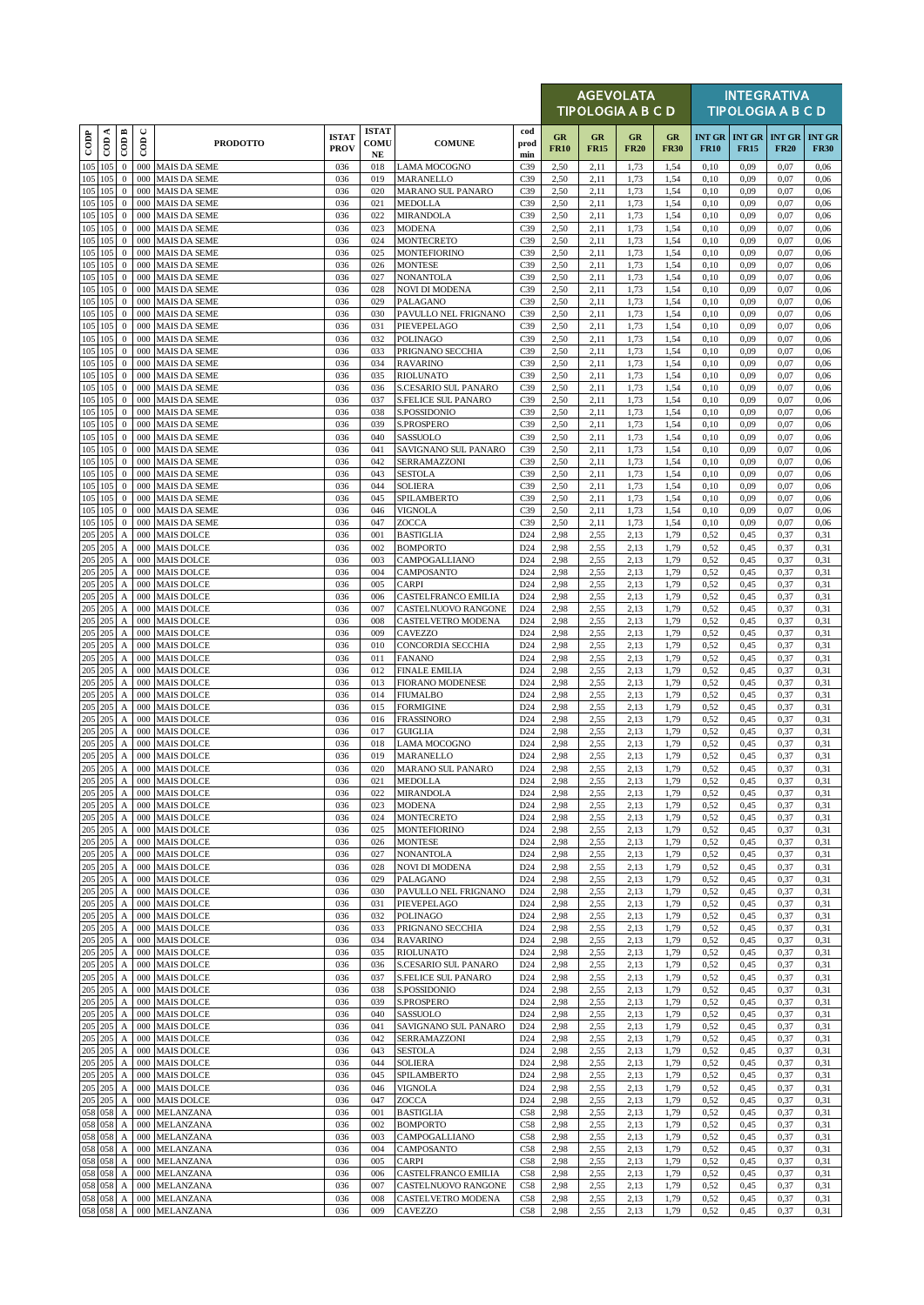|               |                      |                                                |                      |                                            |                             |                                  |                                                    |                                    |                   | <b>AGEVOLATA</b><br><b>TIPOLOGIA A B C D</b> |                   |                   |              |                                                | <b>INTEGRATIVA</b><br><b>TIPOLOGIA A B C D</b> |                              |
|---------------|----------------------|------------------------------------------------|----------------------|--------------------------------------------|-----------------------------|----------------------------------|----------------------------------------------------|------------------------------------|-------------------|----------------------------------------------|-------------------|-------------------|--------------|------------------------------------------------|------------------------------------------------|------------------------------|
| $_{\rm{cop}}$ | ≺<br>$\overline{c}$  | $\overline{CDB}$                               | $\cup$<br>$\epsilon$ | <b>PRODOTTO</b>                            | <b>ISTAT</b><br><b>PROV</b> | <b>ISTAT</b><br>COMU<br>$\bf NE$ | <b>COMUNE</b>                                      | cod<br>prod<br>min                 | GR<br><b>FR10</b> | GR<br><b>FR15</b>                            | GR<br><b>FR20</b> | GR<br><b>FR30</b> | <b>FR10</b>  | <b>INT GR   INT GR   INT GR</b><br><b>FR15</b> | <b>FR20</b>                                    | <b>INT GR</b><br><b>FR30</b> |
|               | 105 105              | $\mathbf{0}$                                   |                      | 000 MAIS DA SEME                           | 036                         | 018                              | LAMA MOCOGNO                                       | C <sub>39</sub>                    | 2,50              | 2,11                                         | 1,73              | 1,54              | 0,10         | 0,09                                           | 0,07                                           | 0,06                         |
|               | 105 105<br>105 105   | $\mathbf{0}$<br>$\mathbf{0}$                   | 000<br>000           | <b>MAIS DA SEME</b><br><b>MAIS DA SEME</b> | 036<br>036                  | 019<br>020                       | MARANELLO<br>MARANO SUL PANARO                     | C <sub>39</sub><br>C <sub>39</sub> | 2,50<br>2,50      | 2,11<br>2,11                                 | 1,73<br>1,73      | 1,54<br>1,54      | 0,10<br>0,10 | 0,09<br>0,09                                   | 0,07<br>0,07                                   | 0,06<br>0,06                 |
|               | 105 105              | $\mathbf{0}$                                   | 000                  | <b>MAIS DA SEME</b>                        | 036                         | 021                              | <b>MEDOLLA</b>                                     | C <sub>39</sub>                    | 2,50              | 2,11                                         | 1,73              | 1,54              | 0,10         | 0,09                                           | 0,07                                           | 0,06                         |
|               | 105 105<br>105 105   | $\mathbf{0}$<br>$\mathbf{0}$                   | 000<br>000           | <b>MAIS DA SEME</b><br><b>MAIS DA SEME</b> | 036<br>036                  | 022<br>023                       | <b>MIRANDOLA</b><br><b>MODENA</b>                  | C <sub>39</sub><br>C39             | 2,50<br>2,50      | 2,11<br>2,11                                 | 1,73<br>1,73      | 1,54<br>1,54      | 0,10<br>0,10 | 0.09<br>0,09                                   | 0,07<br>0,07                                   | 0,06<br>0,06                 |
|               | 105 105              | $\mathbf{0}$                                   |                      | 000 MAIS DA SEME                           | 036                         | 024                              | <b>MONTECRETO</b>                                  | C <sub>39</sub>                    | 2,50              | 2,11                                         | 1,73              | 1,54              | 0,10         | 0,09                                           | 0,07                                           | 0,06                         |
|               | 105 105              | $\mathbf{0}$                                   | 000                  | <b>MAIS DA SEME</b>                        | 036                         | 025                              | <b>MONTEFIORINO</b>                                | C <sub>39</sub>                    | 2,50              | 2,11                                         | 1,73              | 1,54              | 0,10         | 0,09                                           | 0,07                                           | 0,06                         |
|               | 105 105<br>105 105   | $\bf{0}$<br>$\mathbf{0}$                       | 000<br>000           | <b>MAIS DA SEME</b><br><b>MAIS DA SEME</b> | 036<br>036                  | 026<br>027                       | <b>MONTESE</b><br><b>NONANTOLA</b>                 | C <sub>39</sub><br>C <sub>39</sub> | 2,50<br>2,50      | 2,11<br>2,11                                 | 1,73<br>1,73      | 1,54<br>1,54      | 0,10<br>0,10 | 0,09<br>0,09                                   | 0,07<br>0,07                                   | 0,06<br>0,06                 |
|               | 105 105              | $\mathbf{0}$                                   | 000                  | <b>MAIS DA SEME</b>                        | 036                         | 028                              | <b>NOVI DI MODENA</b>                              | C <sub>39</sub>                    | 2,50              | 2,11                                         | 1,73              | 1,54              | 0,10         | 0,09                                           | 0,07                                           | 0,06                         |
|               | 105 105<br>$105$ 105 | $\bf{0}$<br>$\mathbf{0}$                       | 000<br>000           | <b>MAIS DA SEME</b><br><b>MAIS DA SEME</b> | 036<br>036                  | 029<br>030                       | PALAGANO<br>PAVULLO NEL FRIGNANO                   | C <sub>39</sub><br>C <sub>39</sub> | 2,50<br>2,50      | 2,11<br>2,11                                 | 1,73<br>1,73      | 1,54<br>1,54      | 0,10<br>0,10 | 0,09<br>0.09                                   | 0,07<br>0,07                                   | 0,06<br>0,06                 |
|               | 105 105              | $\mathbf{0}$                                   | 000                  | <b>MAIS DA SEME</b>                        | 036                         | 031                              | PIEVEPELAGO                                        | C <sub>39</sub>                    | 2,50              | 2,11                                         | 1,73              | 1,54              | 0,10         | 0,09                                           | 0,07                                           | 0,06                         |
|               | 105 105<br>105 105   | $\mathbf{0}$<br>$\mathbf{0}$                   | 000<br>000           | <b>MAIS DA SEME</b><br><b>MAIS DA SEME</b> | 036<br>036                  | 032<br>033                       | <b>POLINAGO</b><br>PRIGNANO SECCHIA                | C <sub>39</sub><br>C <sub>39</sub> | 2,50<br>2,50      | 2,11<br>2,11                                 | 1,73<br>1,73      | 1,54<br>1,54      | 0,10<br>0,10 | 0,09<br>0.09                                   | 0,07<br>0,07                                   | 0,06<br>0,06                 |
|               | 105 105              | $\mathbf{0}$                                   | 000                  | <b>MAIS DA SEME</b>                        | 036                         | 034                              | <b>RAVARINO</b>                                    | C <sub>39</sub>                    | 2,50              | 2,11                                         | 1,73              | 1,54              | 0,10         | 0,09                                           | 0,07                                           | 0,06                         |
|               | 105 105              | $\mathbf{0}$                                   |                      | 000 MAIS DA SEME                           | 036                         | 035                              | <b>RIOLUNATO</b>                                   | C39                                | 2,50              | 2,11                                         | 1,73              | 1,54              | 0,10         | 0,09                                           | 0,07                                           | 0,06                         |
|               | 105 105<br>105 105   | $\mathbf{0}$<br>$\mathbf{0}$                   | 000<br>000           | MAIS DA SEME<br><b>MAIS DA SEME</b>        | 036<br>036                  | 036<br>037                       | S.CESARIO SUL PANARO<br>S.FELICE SUL PANARO        | C <sub>39</sub><br>C <sub>39</sub> | 2,50<br>2,50      | 2,11<br>2,11                                 | 1,73<br>1,73      | 1,54<br>1,54      | 0,10<br>0,10 | 0,09<br>0.09                                   | 0,07<br>0,07                                   | 0,06<br>0,06                 |
|               | 105 105              | $\mathbf{0}$                                   | 000                  | <b>MAIS DA SEME</b>                        | 036                         | 038                              | S.POSSIDONIO                                       | C <sub>39</sub>                    | 2,50              | 2,11                                         | 1,73              | 1,54              | 0,10         | 0,09                                           | 0,07                                           | 0,06                         |
|               | 105 105<br>105 105   | $\mathbf{0}$<br>$\mathbf{0}$                   | 000<br>000           | <b>MAIS DA SEME</b><br><b>MAIS DA SEME</b> | 036<br>036                  | 039<br>040                       | S.PROSPERO<br>SASSUOLO                             | C39<br>C <sub>39</sub>             | 2,50<br>2,50      | 2,11<br>2,11                                 | 1,73<br>1,73      | 1,54<br>1,54      | 0,10<br>0,10 | 0,09<br>0,09                                   | 0,07<br>0,07                                   | 0,06<br>0,06                 |
|               | 105 105              | $\mathbf{0}$                                   | 000                  | <b>MAIS DA SEME</b>                        | 036                         | 041                              | SAVIGNANO SUL PANARO                               | C <sub>39</sub>                    | 2,50              | 2,11                                         | 1,73              | 1,54              | 0,10         | 0,09                                           | 0,07                                           | 0,06                         |
|               | 105 105<br>105 105   | $\mathbf{0}$                                   | 000                  | <b>MAIS DA SEME</b><br><b>MAIS DA SEME</b> | 036                         | 042                              | SERRAMAZZONI                                       | C <sub>39</sub>                    | 2,50              | 2,11                                         | 1,73              | 1,54              | 0,10         | 0,09                                           | 0,07                                           | 0,06                         |
|               | 105 105              | $\mathbf{0}$<br>$\mathbf{0}$                   | 000<br>000           | <b>MAIS DA SEME</b>                        | 036<br>036                  | 043<br>044                       | <b>SESTOLA</b><br><b>SOLIERA</b>                   | C <sub>39</sub><br>C <sub>39</sub> | 2,50<br>2,50      | 2,11<br>2,11                                 | 1,73<br>1,73      | 1,54<br>1,54      | 0,10<br>0,10 | 0,09<br>0.09                                   | 0,07<br>0,07                                   | 0,06<br>0,06                 |
|               | 105 105              | $\mathbf{0}$                                   | 000                  | <b>MAIS DA SEME</b>                        | 036                         | 045                              | <b>SPILAMBERTO</b>                                 | C <sub>39</sub>                    | 2,50              | 2,11                                         | 1,73              | 1,54              | 0,10         | 0,09                                           | 0,07                                           | 0,06                         |
|               | 105 105<br>105 105   | $\mathbf{0}$<br>$\bf{0}$                       | 000                  | 000 MAIS DA SEME<br><b>MAIS DA SEME</b>    | 036<br>036                  | 046<br>047                       | <b>VIGNOLA</b><br>ZOCCA                            | C39<br>C <sub>39</sub>             | 2,50<br>2,50      | 2,11<br>2,11                                 | 1,73<br>1,73      | 1,54<br>1,54      | 0,10<br>0,10 | 0,09<br>0.09                                   | 0,07<br>0,07                                   | 0,06<br>0,06                 |
|               | 205 205              | A                                              | 000                  | <b>MAIS DOLCE</b>                          | 036                         | 001                              | <b>BASTIGLIA</b>                                   | D <sub>24</sub>                    | 2,98              | 2,55                                         | 2.13              | 1,79              | 0,52         | 0,45                                           | 0,37                                           | 0,31                         |
|               | 205 205<br>205 205   | $\boldsymbol{\rm{A}}$<br>$\boldsymbol{\rm{A}}$ | 000                  | 000 MAIS DOLCE<br><b>MAIS DOLCE</b>        | 036<br>036                  | 002<br>003                       | <b>BOMPORTO</b>                                    | D <sub>24</sub><br>D <sub>24</sub> | 2,98<br>2,98      | 2,55<br>2,55                                 | 2,13              | 1,79              | 0,52<br>0,52 | 0,45<br>0,45                                   | 0,37<br>0,37                                   | 0,31<br>0,31                 |
|               | 205 205              | $\mathbf{A}$                                   | 000                  | <b>MAIS DOLCE</b>                          | 036                         | 004                              | CAMPOGALLIANO<br>CAMPOSANTO                        | D <sub>24</sub>                    | 2,98              | 2,55                                         | 2,13<br>2,13      | 1,79<br>1,79      | 0,52         | 0,45                                           | 0,37                                           | 0,31                         |
|               | 205 205              | $\mathbf{A}$                                   | 000                  | <b>MAIS DOLCE</b>                          | 036                         | 005                              | <b>CARPI</b>                                       | D <sub>24</sub>                    | 2,98              | 2,55                                         | 2,13              | 1,79              | 0,52         | 0,45                                           | 0,37                                           | 0,31                         |
|               | 205 205<br>205 205   | $\boldsymbol{A}$<br>$\boldsymbol{A}$           | 000<br>000           | <b>MAIS DOLCE</b><br><b>MAIS DOLCE</b>     | 036<br>036                  | 006<br>007                       | CASTELFRANCO EMILIA<br>CASTELNUOVO RANGONE         | D <sub>24</sub><br>D <sub>24</sub> | 2,98<br>2,98      | 2,55<br>2,55                                 | 2,13<br>2,13      | 1,79<br>1,79      | 0,52<br>0,52 | 0,45<br>0,45                                   | 0,37<br>0,37                                   | 0,31<br>0,31                 |
|               | $205$ 205            | $\boldsymbol{\mathsf{A}}$                      |                      | 000 MAIS DOLCE                             | 036                         | 008                              | CASTELVETRO MODENA                                 | D <sub>24</sub>                    | 2,98              | 2,55                                         | 2.13              | 1,79              | 0,52         | 0,45                                           | 0,37                                           | 0,31                         |
|               | 205 205<br>205 205   | $\boldsymbol{A}$<br>$\boldsymbol{A}$           |                      | 000 MAIS DOLCE<br>000 MAIS DOLCE           | 036<br>036                  | 009<br>010                       | CAVEZZO<br>CONCORDIA SECCHIA                       | D <sub>24</sub><br>D <sub>24</sub> | 2,98<br>2,98      | 2,55<br>2,55                                 | 2,13<br>2,13      | 1,79<br>1,79      | 0,52<br>0,52 | 0,45<br>0,45                                   | 0,37<br>0,37                                   | 0,31<br>0,31                 |
|               | 205 205              | $\boldsymbol{A}$                               | 000                  | <b>MAIS DOLCE</b>                          | 036                         | 011                              | <b>FANANO</b>                                      | D <sub>24</sub>                    | 2,98              | 2,55                                         | 2,13              | 1,79              | 0,52         | 0,45                                           | 0,37                                           | 0,31                         |
|               | 205 205              | $\boldsymbol{A}$                               | 000                  | <b>MAIS DOLCE</b>                          | 036                         | 012                              | <b>FINALE EMILIA</b>                               | D <sub>24</sub>                    | 2,98              | 2,55                                         | 2.13              | 1,79              | 0,52         | 0,45                                           | 0,37                                           | 0,31                         |
|               | 205 205<br>205 205   | $\boldsymbol{A}$<br>$\boldsymbol{A}$           | 000                  | 000 MAIS DOLCE<br><b>MAIS DOLCE</b>        | 036<br>036                  | 013<br>014                       | <b>FIORANO MODENESE</b><br><b>FIUMALBO</b>         | D <sub>24</sub><br>D <sub>24</sub> | 2,98<br>2,98      | 2,55<br>2,55                                 | 2,13<br>2,13      | 1,79<br>1,79      | 0,52<br>0,52 | 0,45<br>0,45                                   | 0,37<br>0,37                                   | 0,31<br>0,31                 |
|               | 205 205              | $\boldsymbol{A}$                               | 000                  | <b>MAIS DOLCE</b>                          | 036                         | 015                              | <b>FORMIGINE</b>                                   | D <sub>24</sub>                    | 2,98              | 2,55                                         | 2.13              | 1,79              | 0,52         | 0,45                                           | 0,37                                           | 0,31                         |
|               | 205 205<br>205 205   | $\boldsymbol{A}$<br>$\boldsymbol{\mathsf{A}}$  | 000                  | 000 MAIS DOLCE<br><b>MAIS DOLCE</b>        | 036<br>036                  | 016<br>017                       | <b>FRASSINORO</b><br><b>GUIGLIA</b>                | D <sub>24</sub><br>D <sub>24</sub> | 2,98<br>2,98      | 2,55<br>2,55                                 | 2,13<br>2,13      | 1,79<br>1,79      | 0,52<br>0,52 | 0,45<br>0,45                                   | 0,37<br>0,37                                   | 0,31<br>0,31                 |
|               | 205 205              | A                                              | 000                  | <b>MAIS DOLCE</b>                          | 036                         | 018                              | <b>LAMA MOCOGNO</b>                                | D <sub>24</sub>                    | 2,98              | 2,55                                         | 2,13              | 1,79              | 0,52         | 0,45                                           | 0,37                                           | 0,31                         |
|               | 205 205<br>205 205   | $\boldsymbol{A}$                               | 000                  | <b>MAIS DOLCE</b>                          | 036<br>036                  | 019                              | MARANELLO                                          | D24                                | 2,98              | 2,55                                         | 2,13              | 1,79              | 0,52         | 0,45                                           | 0,37                                           | 0,31                         |
|               | 205 205              | $\boldsymbol{A}$                               |                      | 000 MAIS DOLCE<br>A 000 MAIS DOLCE         | 036                         | 020<br>021                       | MARANO SUL PANARO<br><b>MEDOLLA</b>                | D <sub>24</sub><br>D <sub>24</sub> | 2,98<br>2,98      | 2,55<br>2,55                                 | 2,13<br>2,13      | 1,79<br>1,79      | 0,52<br>0,52 | 0,45<br>0,45                                   | 0,37<br>0,37                                   | 0,31<br>0,31                 |
|               | 205 205              | $\boldsymbol{A}$                               |                      | 000 MAIS DOLCE                             | 036                         | 022                              | <b>MIRANDOLA</b>                                   | D <sub>24</sub>                    | 2,98              | 2,55                                         | 2,13              | 1,79              | 0,52         | 0,45                                           | 0,37                                           | 0,31                         |
|               | 205 205<br>205 205   | $\boldsymbol{A}$<br>$\boldsymbol{A}$           |                      | 000 MAIS DOLCE<br>000 MAIS DOLCE           | 036<br>036                  | 023<br>024                       | <b>MODENA</b><br><b>MONTECRETO</b>                 | D <sub>24</sub><br>D <sub>24</sub> | 2,98<br>2,98      | 2,55<br>2,55                                 | 2,13<br>2,13      | 1,79<br>1,79      | 0,52<br>0,52 | 0,45<br>0,45                                   | 0,37<br>0,37                                   | 0,31<br>0,31                 |
|               | 205 205              | A                                              | 000                  | <b>MAIS DOLCE</b>                          | 036                         | 025                              | <b>MONTEFIORINO</b>                                | D <sub>24</sub>                    | 2,98              | 2,55                                         | 2,13              | 1,79              | 0,52         | 0,45                                           | 0,37                                           | 0,31                         |
|               | 205 205<br>205 205   | $\mathbf{A}$<br>$\boldsymbol{A}$               | 000                  | <b>MAIS DOLCE</b><br>000 MAIS DOLCE        | 036<br>036                  | 026<br>027                       | <b>MONTESE</b><br><b>NONANTOLA</b>                 | D <sub>24</sub><br>D <sub>24</sub> | 2,98<br>2,98      | 2,55<br>2,55                                 | 2,13<br>2,13      | 1,79<br>1,79      | 0,52<br>0,52 | 0,45<br>0,45                                   | 0,37<br>0,37                                   | 0,31<br>0,31                 |
|               | 205 205              | $\boldsymbol{A}$                               | 000                  | <b>MAIS DOLCE</b>                          | 036                         | 028                              | <b>NOVI DI MODENA</b>                              | D <sub>24</sub>                    | 2,98              | 2,55                                         | 2,13              | 1,79              | 0,52         | 0,45                                           | 0,37                                           | 0,31                         |
|               | 205 205<br>205 205   | A<br>$\boldsymbol{A}$                          | 000                  | <b>MAIS DOLCE</b><br>000 MAIS DOLCE        | 036<br>036                  | 029<br>030                       | PALAGANO<br>PAVULLO NEL FRIGNANO                   | D <sub>24</sub><br>D <sub>24</sub> | 2,98<br>2,98      | 2,55<br>2,55                                 | 2,13<br>2,13      | 1,79<br>1,79      | 0,52<br>0,52 | 0,45<br>0,45                                   | 0,37<br>0,37                                   | 0,31<br>0,31                 |
|               | 205 205              | $\boldsymbol{\mathsf{A}}$                      | 000                  | <b>MAIS DOLCE</b>                          | 036                         | 031                              | PIEVEPELAGO                                        | D <sub>24</sub>                    | 2,98              | 2,55                                         | 2,13              | 1,79              | 0,52         | 0,45                                           | 0,37                                           | 0,31                         |
|               | 205 205              | $\mathbf{A}$                                   | 000                  | <b>MAIS DOLCE</b>                          | 036                         | 032                              | <b>POLINAGO</b>                                    | D <sub>24</sub>                    | 2,98              | 2,55                                         | 2,13              | 1,79              | 0,52         | 0,45                                           | 0,37                                           | 0,31                         |
|               | 205 205<br>205 205   | $\boldsymbol{\mathsf{A}}$<br>$\boldsymbol{A}$  | 000                  | 000 MAIS DOLCE<br><b>MAIS DOLCE</b>        | 036<br>036                  | 033<br>034                       | PRIGNANO SECCHIA<br><b>RAVARINO</b>                | D <sub>24</sub><br>D <sub>24</sub> | 2,98<br>2,98      | 2,55<br>2,55                                 | 2,13<br>2,13      | 1,79<br>1,79      | 0,52<br>0,52 | 0,45<br>0,45                                   | 0,37<br>0,37                                   | 0,31<br>0,31                 |
|               | 205 205              | A                                              | 000                  | <b>MAIS DOLCE</b>                          | 036                         | 035                              | <b>RIOLUNATO</b>                                   | D <sub>24</sub>                    | 2,98              | 2,55                                         | 2,13              | 1,79              | 0,52         | 0,45                                           | 0,37                                           | 0,31                         |
|               | 205 205<br>205 205   | A<br>$\boldsymbol{\mathsf{A}}$                 | 000<br>000           | <b>MAIS DOLCE</b><br><b>MAIS DOLCE</b>     | 036<br>036                  | 036<br>037                       | S.CESARIO SUL PANARO<br><b>S.FELICE SUL PANARO</b> | D <sub>24</sub><br>D <sub>24</sub> | 2,98<br>2,98      | 2,55<br>2,55                                 | 2,13<br>2,13      | 1,79<br>1,79      | 0,52<br>0,52 | 0,45<br>0,45                                   | 0,37<br>0,37                                   | 0,31<br>0,31                 |
|               | 205 205              | $\boldsymbol{A}$                               |                      | 000 MAIS DOLCE                             | 036                         | 038                              | S.POSSIDONIO                                       | D <sub>24</sub>                    | 2,98              | 2,55                                         | 2,13              | 1,79              | 0,52         | 0,45                                           | 0,37                                           | 0,31                         |
|               | 205 205              | $\boldsymbol{A}$                               | 000                  | <b>MAIS DOLCE</b>                          | 036                         | 039                              | <b>S.PROSPERO</b>                                  | D <sub>24</sub>                    | 2,98              | 2,55                                         | 2,13              | 1,79              | 0,52         | 0,45                                           | 0,37                                           | 0,31                         |
|               | 205 205<br>205 205   | $\boldsymbol{A}$<br>$\boldsymbol{A}$           | 000                  | <b>MAIS DOLCE</b><br>000 MAIS DOLCE        | 036<br>036                  | 040<br>041                       | SASSUOLO<br>SAVIGNANO SUL PANARO                   | D <sub>24</sub><br>D <sub>24</sub> | 2,98<br>2,98      | 2,55<br>2,55                                 | 2,13<br>2,13      | 1,79<br>1,79      | 0,52<br>0,52 | 0,45<br>0,45                                   | 0,37<br>0,37                                   | 0,31<br>0,31                 |
|               | 205 205              | A                                              | 000                  | <b>MAIS DOLCE</b>                          | 036                         | 042                              | SERRAMAZZONI                                       | D <sub>24</sub>                    | 2,98              | 2,55                                         | 2,13              | 1,79              | 0,52         | 0,45                                           | 0,37                                           | 0,31                         |
|               | 205 205<br>205 205   | $\mathbf{A}$<br>$\boldsymbol{A}$               | 000                  | <b>MAIS DOLCE</b><br>000 MAIS DOLCE        | 036<br>036                  | 043<br>044                       | <b>SESTOLA</b><br><b>SOLIERA</b>                   | D <sub>24</sub><br>D <sub>24</sub> | 2,98<br>2,98      | 2,55<br>2,55                                 | 2,13<br>2,13      | 1,79<br>1,79      | 0,52<br>0,52 | 0,45<br>0,45                                   | 0,37<br>0,37                                   | 0,31<br>0,31                 |
|               | 205 205              | $\boldsymbol{A}$                               | 000                  | <b>MAIS DOLCE</b>                          | 036                         | 045                              | SPILAMBERTO                                        | D <sub>24</sub>                    | 2,98              | 2,55                                         | 2,13              | 1,79              | 0,52         | 0,45                                           | 0,37                                           | 0,31                         |
|               | 205 205<br>205 205   | $\boldsymbol{A}$                               | 000<br>000           | <b>MAIS DOLCE</b><br><b>MAIS DOLCE</b>     | 036<br>036                  | 046<br>047                       | VIGNOLA<br>ZOCCA                                   | D <sub>24</sub><br>D <sub>24</sub> | 2,98              | 2,55                                         | 2,13<br>2,13      | 1,79<br>1,79      | 0,52<br>0,52 | 0,45<br>0,45                                   | 0,37<br>0,37                                   | 0,31<br>0,31                 |
|               | 058 058              | A<br>$\boldsymbol{A}$                          | 000                  | MELANZANA                                  | 036                         | 001                              | <b>BASTIGLIA</b>                                   | C58                                | 2,98<br>2,98      | 2,55<br>2,55                                 | 2,13              | 1,79              | 0,52         | 0,45                                           | 0,37                                           | 0,31                         |
|               | 058 058              | $\boldsymbol{A}$                               | 000                  | MELANZANA                                  | 036                         | 002                              | <b>BOMPORTO</b>                                    | C58                                | 2,98              | 2,55                                         | 2,13              | 1,79              | 0,52         | 0,45                                           | 0,37                                           | 0,31                         |
|               | 058 058<br>058 058   | А<br>$\mathbf{A}$                              | 000<br>000           | MELANZANA<br>MELANZANA                     | 036<br>036                  | 003<br>004                       | CAMPOGALLIANO<br>CAMPOSANTO                        | C58<br>C58                         | 2,98<br>2,98      | 2,55<br>2,55                                 | 2.13<br>2,13      | 1,79<br>1,79      | 0,52<br>0,52 | 0,45<br>0,45                                   | 0,37<br>0,37                                   | 0,31<br>0,31                 |
|               | 058 058              | $\boldsymbol{A}$                               | 000                  | MELANZANA                                  | 036                         | 005                              | <b>CARPI</b>                                       | C58                                | 2,98              | 2,55                                         | 2,13              | 1,79              | 0,52         | 0,45                                           | 0,37                                           | 0,31                         |
|               | 058 058<br>058 058   | A<br>A                                         | 000<br>000           | MELANZANA<br>MELANZANA                     | 036<br>036                  | 006<br>007                       | CASTELFRANCO EMILIA<br>CASTELNUOVO RANGONE         | C58<br>C58                         | 2,98<br>2,98      | 2,55<br>2,55                                 | 2,13<br>2,13      | 1,79<br>1,79      | 0,52<br>0,52 | 0,45<br>0,45                                   | 0,37<br>0,37                                   | 0,31<br>0,31                 |
|               | 058 058              | $\boldsymbol{A}$                               |                      | 000 MELANZANA                              | 036                         | 008                              | CASTELVETRO MODENA                                 | C58                                | 2,98              | 2,55                                         | 2,13              | 1,79              | 0,52         | 0,45                                           | 0,37                                           | 0,31                         |
|               | 058 058              | $\boldsymbol{A}$                               |                      | 000 MELANZANA                              | 036                         | 009                              | CAVEZZO                                            | C58                                | 2,98              | 2,55                                         | 2,13              | 1,79              | 0,52         | 0,45                                           | 0,37                                           | 0,31                         |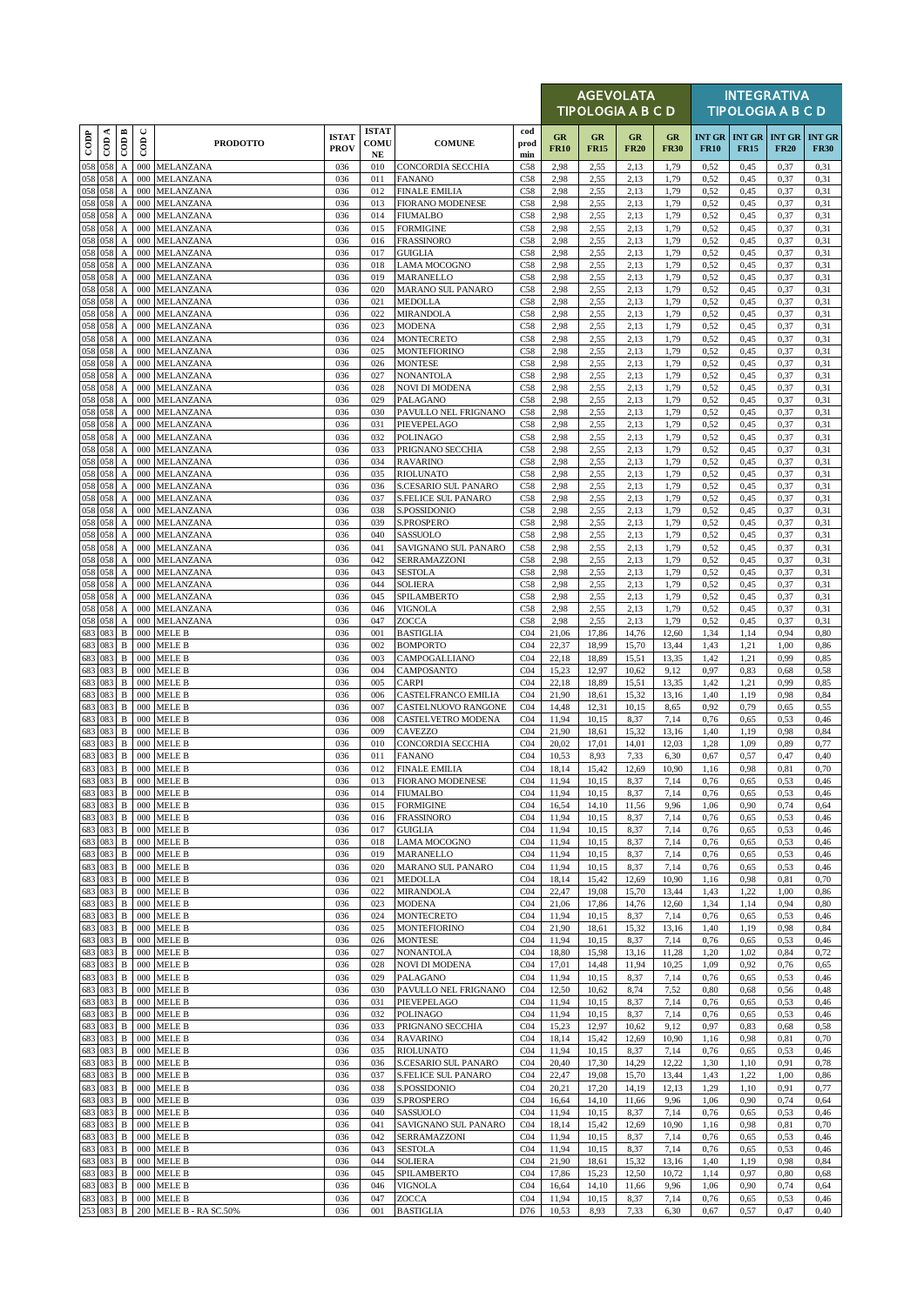|                          |          |                                               |                          |                                         |                             |                                            |                                           |                                    |                   | <b>AGEVOLATA</b><br><b>TIPOLOGIA A B C D</b> |                   |                   |                              |                              | <b>INTEGRATIVA</b><br><b>TIPOLOGIA A B C D</b> |                              |
|--------------------------|----------|-----------------------------------------------|--------------------------|-----------------------------------------|-----------------------------|--------------------------------------------|-------------------------------------------|------------------------------------|-------------------|----------------------------------------------|-------------------|-------------------|------------------------------|------------------------------|------------------------------------------------|------------------------------|
| $\overline{\text{cone}}$ | $\cos A$ | CODB                                          | $\cup$<br>$\overline{5}$ | <b>PRODOTTO</b>                         | <b>ISTAT</b><br><b>PROV</b> | <b>ISTAT</b><br><b>COMU</b><br>$_{\rm NE}$ | <b>COMUNE</b>                             | cod<br>prod<br>min                 | GR<br><b>FR10</b> | GR<br><b>FR15</b>                            | GR<br><b>FR20</b> | GR<br><b>FR30</b> | <b>INT GR</b><br><b>FR10</b> | <b>INT GR</b><br><b>FR15</b> | <b>INT GR</b><br><b>FR20</b>                   | <b>INT GR</b><br><b>FR30</b> |
| 058<br>058 058           | 058      | A                                             | 000<br>000               | MELANZANA<br>MELANZANA                  | 036<br>036                  | 010<br>011                                 | CONCORDIA SECCHIA<br><b>FANANO</b>        | C58<br>C58                         | 2,98<br>2,98      | 2,55<br>2,55                                 | 2,13<br>2,13      | 1,79<br>1,79      | 0,52<br>0,52                 | 0,45<br>0,45                 | 0,37<br>0,37                                   | 0,31<br>0,31                 |
| 058 058                  |          | А<br>$\boldsymbol{\mathsf{A}}$                | 000                      | <b>MELANZANA</b>                        | 036                         | 012                                        | <b>FINALE EMILIA</b>                      | C58                                | 2,98              | 2,55                                         | 2,13              | 1,79              | 0,52                         | 0,45                         | 0,37                                           | 0,31                         |
| 058 058                  |          | A                                             | 000                      | MELANZANA                               | 036                         | 013                                        | <b>FIORANO MODENESE</b>                   | C58                                | 2,98              | 2,55                                         | 2,13              | 1,79              | 0,52                         | 0,45                         | 0,37                                           | 0,31                         |
| 058 058<br>058 058       |          | А<br>$\mathbf{A}$                             | 000<br>000               | MELANZANA<br>MELANZANA                  | 036<br>036                  | 014<br>015                                 | <b>FIUMALBO</b><br><b>FORMIGINE</b>       | C58<br>C58                         | 2,98<br>2,98      | 2,55<br>2,55                                 | 2,13<br>2,13      | 1,79<br>1,79      | 0,52<br>0,52                 | 0,45<br>0,45                 | 0,37<br>0,37                                   | 0,31<br>0,31                 |
| 058 058                  |          | $\boldsymbol{A}$                              | 000                      | MELANZANA                               | 036                         | 016                                        | <b>FRASSINORO</b>                         | C58                                | 2,98              | 2,55                                         | 2,13              | 1,79              | 0,52                         | 0,45                         | 0,37                                           | 0,31                         |
| 058                      | 058      | A                                             | 000                      | MELANZANA                               | 036                         | 017                                        | <b>GUIGLIA</b>                            | C58                                | 2,98              | 2,55                                         | 2.13              | 1,79              | 0,52                         | 0,45                         | 0,37                                           | 0,31                         |
| 058 058<br>058 058       |          | A<br>$\boldsymbol{\mathsf{A}}$                | 000<br>000               | MELANZANA<br>MELANZANA                  | 036<br>036                  | 018<br>019                                 | LAMA MOCOGNO<br>MARANELLO                 | C58<br>C58                         | 2,98<br>2,98      | 2,55<br>2,55                                 | 2,13<br>2,13      | 1,79<br>1,79      | 0,52<br>0,52                 | 0,45<br>0,45                 | 0,37<br>0,37                                   | 0,31<br>0,31                 |
| 058 058                  |          | A                                             | 000                      | MELANZANA                               | 036                         | 020                                        | <b>MARANO SUL PANARO</b>                  | C58                                | 2,98              | 2,55                                         | 2,13              | 1,79              | 0,52                         | 0,45                         | 0,37                                           | 0,31                         |
| 058 058                  |          | $\boldsymbol{A}$                              | 000                      | <b>MELANZANA</b>                        | 036                         | 021                                        | <b>MEDOLLA</b>                            | C58                                | 2,98              | 2,55                                         | 2,13              | 1,79              | 0,52                         | 0,45                         | 0,37                                           | 0,31                         |
| 058 058<br>058 058       |          | $\mathbf{A}$<br>A                             | 000<br>000               | MELANZANA<br>MELANZANA                  | 036<br>036                  | 022<br>023                                 | MIRANDOLA<br><b>MODENA</b>                | C58<br>C58                         | 2,98<br>2,98      | 2,55<br>2,55                                 | 2,13<br>2,13      | 1,79<br>1,79      | 0,52<br>0,52                 | 0,45<br>0,45                 | 0,37<br>0,37                                   | 0,31<br>0,31                 |
| 058                      | 058      | A                                             | 000                      | MELANZANA                               | 036                         | 024                                        | MONTECRETO                                | C58                                | 2,98              | 2,55                                         | 2,13              | 1,79              | 0,52                         | 0,45                         | 0,37                                           | 0,31                         |
| 058 058                  |          | A                                             | 000                      | MELANZANA                               | 036                         | 025                                        | <b>MONTEFIORINO</b>                       | C58                                | 2,98              | 2,55                                         | 2,13              | 1,79              | 0,52                         | 0,45                         | 0,37                                           | 0,31                         |
| 058 058<br>058 058       |          | $\boldsymbol{\mathsf{A}}$<br>$\boldsymbol{A}$ | 000<br>000               | MELANZANA<br>MELANZANA                  | 036<br>036                  | 026<br>027                                 | <b>MONTESE</b><br><b>NONANTOLA</b>        | C58<br>C58                         | 2,98<br>2,98      | 2,55<br>2,55                                 | 2,13<br>2,13      | 1,79<br>1,79      | 0,52<br>0,52                 | 0,45<br>0,45                 | 0,37<br>0,37                                   | 0,31<br>0,31                 |
| 058 058                  |          | $\boldsymbol{\mathsf{A}}$                     | 000                      | <b>MELANZANA</b>                        | 036                         | 028                                        | <b>NOVI DI MODENA</b>                     | C58                                | 2,98              | 2,55                                         | 2,13              | 1,79              | 0,52                         | 0,45                         | 0,37                                           | 0,31                         |
| 058 058                  |          | $\mathbf{A}$                                  | 000                      | MELANZANA                               | 036                         | 029                                        | PALAGANO                                  | C58                                | 2,98              | 2,55                                         | 2,13              | 1,79              | 0,52                         | 0,45                         | 0,37                                           | 0,31                         |
| 058 058<br>058 058       |          | $\boldsymbol{A}$<br>A                         | 000<br>000               | MELANZANA<br>MELANZANA                  | 036<br>036                  | 030<br>031                                 | PAVULLO NEL FRIGNANO<br>PIEVEPELAGO       | C58<br>C58                         | 2,98<br>2,98      | 2,55<br>2,55                                 | 2,13<br>2,13      | 1,79<br>1,79      | 0,52<br>0,52                 | 0,45<br>0,45                 | 0,37<br>0,37                                   | 0,31<br>0,31                 |
| 058 058                  |          | A                                             | 000                      | MELANZANA                               | 036                         | 032                                        | <b>POLINAGO</b>                           | C58                                | 2,98              | 2,55                                         | 2,13              | 1,79              | 0,52                         | 0,45                         | 0,37                                           | 0,31                         |
| 058 058                  |          | $\boldsymbol{A}$                              | 000                      | MELANZANA                               | 036                         | 033                                        | PRIGNANO SECCHIA                          | C58                                | 2,98              | 2,55                                         | 2,13              | 1,79              | 0,52                         | 0,45                         | 0,37                                           | 0,31                         |
| 058 058<br>058 058       |          | $\boldsymbol{\mathsf{A}}$<br>$\boldsymbol{A}$ | 000<br>000               | MELANZANA<br><b>MELANZANA</b>           | 036<br>036                  | 034<br>035                                 | <b>RAVARINO</b><br><b>RIOLUNATO</b>       | C58<br>C58                         | 2,98<br>2,98      | 2,55<br>2,55                                 | 2,13<br>2,13      | 1,79<br>1,79      | 0,52<br>0,52                 | 0,45<br>0,45                 | 0,37<br>0,37                                   | 0,31<br>0,31                 |
| 058 058                  |          | $\boldsymbol{A}$                              | 000                      | MELANZANA                               | 036                         | 036                                        | S.CESARIO SUL PANARO                      | C58                                | 2,98              | 2,55                                         | 2,13              | 1,79              | 0,52                         | 0,45                         | 0,37                                           | 0,31                         |
| 058 058                  |          | $\boldsymbol{\mathsf{A}}$                     | 000                      | MELANZANA                               | 036                         | 037                                        | <b>S.FELICE SUL PANARO</b>                | C58                                | 2,98              | 2,55                                         | 2,13              | 1,79              | 0,52                         | 0,45                         | 0,37                                           | 0,31                         |
| 058 058<br>058 058       |          | A<br>A                                        | 000<br>000               | MELANZANA<br>MELANZANA                  | 036<br>036                  | 038<br>039                                 | S.POSSIDONIO<br>S.PROSPERO                | C58<br>C58                         | 2,98<br>2,98      | 2,55<br>2,55                                 | 2,13<br>2,13      | 1,79<br>1,79      | 0,52<br>0,52                 | 0,45<br>0,45                 | 0,37<br>0,37                                   | 0,31<br>0,31                 |
| 058 058                  |          | $\boldsymbol{\mathsf{A}}$                     | 000                      | MELANZANA                               | 036                         | 040                                        | SASSUOLO                                  | C58                                | 2,98              | 2,55                                         | 2,13              | 1,79              | 0,52                         | 0,45                         | 0,37                                           | 0,31                         |
| 058 058                  |          | $\boldsymbol{A}$                              | 000                      | MELANZANA                               | 036                         | 041                                        | SAVIGNANO SUL PANARO                      | C58                                | 2,98              | 2,55                                         | 2,13              | 1,79              | 0,52                         | 0,45                         | 0,37                                           | 0,31                         |
| 058<br>058 058           | 058      | A<br>$\boldsymbol{A}$                         | 000<br>000               | MELANZANA<br>MELANZANA                  | 036<br>036                  | 042<br>043                                 | SERRAMAZZONI<br><b>SESTOLA</b>            | C58<br>C58                         | 2,98<br>2,98      | 2,55<br>2,55                                 | 2,13<br>2,13      | 1,79<br>1,79      | 0,52<br>0,52                 | 0,45<br>0,45                 | 0,37<br>0,37                                   | 0,31<br>0,31                 |
| 058 058                  |          | $\boldsymbol{\mathsf{A}}$                     | 000                      | MELANZANA                               | 036                         | 044                                        | <b>SOLIERA</b>                            | C58                                | 2,98              | 2,55                                         | 2,13              | 1,79              | 0,52                         | 0,45                         | 0,37                                           | 0,31                         |
| 058                      | 058      | A                                             | 000                      | MELANZANA                               | 036                         | 045                                        | SPILAMBERTO                               | C58                                | 2,98              | 2,55                                         | 2,13              | 1,79              | 0,52                         | 0,45                         | 0,37                                           | 0,31                         |
| 058 058<br>058 058       |          | A<br>$\mathbf{A}$                             | 000<br>000               | MELANZANA<br>MELANZANA                  | 036<br>036                  | 046<br>047                                 | VIGNOLA<br>ZOCCA                          | C58<br>C58                         | 2,98<br>2,98      | 2,55<br>2,55                                 | 2,13<br>2,13      | 1,79<br>1,79      | 0,52<br>0,52                 | 0,45<br>0,45                 | 0,37<br>0,37                                   | 0,31<br>0,31                 |
| 683 083                  |          | $\, {\bf B}$                                  | 000                      | <b>MELE B</b>                           | 036                         | 001                                        | <b>BASTIGLIA</b>                          | CO <sub>4</sub>                    | 21,06             | 17,86                                        | 14,76             | 12,60             | 1,34                         | 1,14                         | 0,94                                           | 0,80                         |
| 683 083                  |          | $\, {\bf B}$                                  | 000                      | <b>MELE B</b>                           | 036                         | 002                                        | <b>BOMPORTO</b>                           | CO <sub>4</sub>                    | 22,37             | 18,99                                        | 15,70             | 13,44             | 1,43                         | 1,21                         | 1,00                                           | 0,86                         |
| 683 083<br>683 083       |          | B<br>$\, {\bf B}$                             | 000<br>000               | MELE B<br><b>MELE B</b>                 | 036<br>036                  | 003<br>004                                 | CAMPOGALLIANO<br>CAMPOSANTO               | CO <sub>4</sub><br>CO <sub>4</sub> | 22,18<br>15,23    | 18,89<br>12,97                               | 15,51<br>10,62    | 13,35<br>9,12     | 1,42<br>0,97                 | 1,21<br>0,83                 | 0,99<br>0,68                                   | 0.85<br>0,58                 |
| 683 083                  |          | $\, {\bf B}$                                  | 000                      | <b>MELE B</b>                           | 036                         | 005                                        | <b>CARPI</b>                              | CO <sub>4</sub>                    | 22,18             | 18,89                                        | 15,51             | 13,35             | 1,42                         | 1,21                         | 0,99                                           | 0,85                         |
| 683 083                  |          | B                                             | 000                      | <b>MELE B</b>                           | 036                         | 006                                        | CASTELFRANCO EMILIA                       | CO <sub>4</sub>                    | 21,90             | 18,61                                        | 15,32             | 13,16             | 1,40                         | 1,19                         | 0,98                                           | 0,84                         |
| 683 083<br>683 083       |          | $\, {\bf B}$<br>$\, {\bf B}$                  | 000<br>000               | MELE B<br><b>MELE B</b>                 | 036<br>036                  | 007<br>008                                 | CASTELNUOVO RANGONE<br>CASTELVETRO MODENA | CO <sub>4</sub><br>CO <sub>4</sub> | 14,48<br>11,94    | 12,31<br>10,15                               | 10,15<br>8,37     | 8,65<br>7,14      | 0,92<br>0,76                 | 0,79<br>0,65                 | 0,65<br>0,53                                   | 0,55<br>0,46                 |
| 683 083                  |          | $\, {\bf B}$                                  | 000                      | <b>MELE B</b>                           | 036                         | 009                                        | <b>CAVEZZO</b>                            | CO <sub>4</sub>                    | 21,90             | 18,61                                        | 15,32             | 13,16             | 1,40                         | 1,19                         | 0,98                                           | 0,84                         |
| 683 083                  |          | B                                             | 000                      | <b>MELE B</b>                           | 036                         | 010                                        | CONCORDIA SECCHIA                         | CO <sub>4</sub>                    | 20,02             | 17,01                                        | 14,01             | 12,03             | 1,28                         | 1,09                         | 0,89                                           | 0,77                         |
| 683 083<br>683 083       |          | $\, {\bf B}$<br>$\, {\bf B}$                  | 000<br>$000\,$           | <b>MELE B</b><br><b>MELE B</b>          | 036<br>036                  | 011<br>012                                 | <b>FANANO</b><br><b>FINALE EMILIA</b>     | CO <sub>4</sub><br>CO <sub>4</sub> | 10,53<br>18,14    | 8,93<br>15,42                                | 7,33<br>12,69     | 6,30<br>10,90     | 0,67<br>1,16                 | 0,57<br>0,98                 | 0,47<br>0,81                                   | 0,40<br>0,70                 |
| 683 083                  |          |                                               |                          | $B$ 000 MELE B                          | 036                         | 013                                        | <b>FIORANO MODENESE</b>                   | CO <sub>4</sub>                    | 11.94             | 10.15                                        | 8.37              | 7.14              | 0.76                         | 0.65                         | 0.53                                           | 0.46                         |
| 683 083                  |          | $\, {\bf B}$                                  |                          | 000 MELE B                              | 036                         | 014                                        | <b>FIUMALBO</b>                           | CO <sub>4</sub>                    | 11,94             | 10,15                                        | 8,37              | 7,14              | 0,76                         | 0,65                         | 0,53                                           | 0,46                         |
| 683 083<br>683 083       |          | B<br>B                                        | 000<br>000               | <b>MELE B</b><br><b>MELE B</b>          | 036<br>036                  | 015<br>016                                 | <b>FORMIGINE</b><br><b>FRASSINORO</b>     | CO <sub>4</sub><br>CO <sub>4</sub> | 16,54<br>11,94    | 14,10<br>10,15                               | 11,56<br>8,37     | 9,96<br>7,14      | 1,06<br>0,76                 | 0,90<br>0.65                 | 0,74<br>0,53                                   | 0,64<br>0,46                 |
| 683 083                  |          | В                                             | 000                      | <b>MELE B</b>                           | 036                         | 017                                        | GUIGLIA                                   | CO <sub>4</sub>                    | 11,94             | 10,15                                        | 8,37              | 7,14              | 0,76                         | 0,65                         | 0,53                                           | 0,46                         |
| 683 083                  |          | B                                             | 000                      | <b>MELE B</b>                           | 036                         | 018                                        | <b>LAMA MOCOGNO</b>                       | CO <sub>4</sub>                    | 11,94             | 10,15                                        | 8,37              | 7,14              | 0,76                         | 0,65                         | 0,53                                           | 0,46                         |
| 683 083<br>683 083       |          | B<br>В                                        | 000<br>000               | <b>MELE B</b><br><b>MELE B</b>          | 036<br>036                  | 019<br>020                                 | MARANELLO<br>MARANO SUL PANARO            | CO <sub>4</sub><br>CO <sub>4</sub> | 11,94<br>11,94    | 10,15<br>10,15                               | 8,37<br>8,37      | 7,14<br>7,14      | 0,76<br>0,76                 | 0,65<br>0,65                 | 0,53<br>0,53                                   | 0,46<br>0,46                 |
| 683 083                  |          | B                                             | 000                      | <b>MELE B</b>                           | 036                         | 021                                        | MEDOLLA                                   | CO <sub>4</sub>                    | 18,14             | 15,42                                        | 12,69             | 10,90             | 1,16                         | 0,98                         | 0,81                                           | 0,70                         |
| 683 083                  |          | B                                             | 000                      | <b>MELE B</b>                           | 036                         | 022                                        | <b>MIRANDOLA</b>                          | CO <sub>4</sub>                    | 22,47             | 19,08                                        | 15,70             | 13,44             | 1,43                         | 1,22                         | 1,00                                           | 0,86                         |
| 683 083<br>683 083       |          | В<br>$\, {\bf B}$                             | 000<br>000               | <b>MELE B</b><br><b>MELE B</b>          | 036<br>036                  | 023<br>024                                 | MODENA<br>MONTECRETO                      | CO <sub>4</sub><br>CO <sub>4</sub> | 21,06<br>11,94    | 17,86<br>10,15                               | 14,76<br>8,37     | 12,60<br>7,14     | 1,34<br>0,76                 | 1,14<br>0,65                 | 0,94<br>0,53                                   | 0,80<br>0,46                 |
| 683 083                  |          | B                                             |                          | 000 MELE B                              | 036                         | 025                                        | <b>MONTEFIORINO</b>                       | CO <sub>4</sub>                    | 21,90             | 18,61                                        | 15,32             | 13,16             | 1,40                         | 1,19                         | 0,98                                           | 0,84                         |
| 683 083                  |          | B                                             | 000                      | <b>MELE B</b>                           | 036                         | 026                                        | <b>MONTESE</b>                            | CO <sub>4</sub>                    | 11,94             | 10,15                                        | 8,37              | 7,14              | 0,76                         | 0,65                         | 0,53                                           | 0,46                         |
| 683 083<br>683 083       |          | $\, {\bf B}$<br>B                             | 000<br>000               | MELE B<br><b>MELE B</b>                 | 036<br>036                  | 027<br>028                                 | NONANTOLA<br><b>NOVI DI MODENA</b>        | CO <sub>4</sub><br>CO <sub>4</sub> | 18,80<br>17,01    | 15,98<br>14,48                               | 13,16<br>11,94    | 11,28<br>10,25    | 1,20<br>1,09                 | 1,02<br>0,92                 | 0,84<br>0,76                                   | 0,72<br>0,65                 |
| 683 083                  |          | $\, {\bf B}$                                  | 000                      | <b>MELE B</b>                           | 036                         | 029                                        | PALAGANO                                  | CO <sub>4</sub>                    | 11,94             | 10,15                                        | 8,37              | 7,14              | 0,76                         | 0,65                         | 0,53                                           | 0,46                         |
| 683 083                  |          | B                                             | 000                      | MELE B                                  | 036                         | 030                                        | PAVULLO NEL FRIGNANO                      | CO <sub>4</sub>                    | 12,50             | 10,62                                        | 8,74              | 7,52              | 0,80                         | 0,68                         | 0,56                                           | 0,48                         |
| 683 083<br>683 083       |          | В<br>$\, {\bf B}$                             | 000<br>000               | <b>MELE B</b><br><b>MELE B</b>          | 036<br>036                  | 031<br>032                                 | PIEVEPELAGO<br><b>POLINAGO</b>            | CO <sub>4</sub><br>CO <sub>4</sub> | 11,94<br>11,94    | 10,15<br>10,15                               | 8,37<br>8,37      | 7,14<br>7,14      | 0,76<br>0,76                 | 0,65<br>0,65                 | 0,53<br>0,53                                   | 0,46<br>0,46                 |
| 683 083                  |          | B                                             | 000                      | <b>MELE B</b>                           | 036                         | 033                                        | PRIGNANO SECCHIA                          | CO <sub>4</sub>                    | 15,23             | 12,97                                        | 10,62             | 9,12              | 0,97                         | 0,83                         | 0,68                                           | 0,58                         |
| 683 083                  |          | B                                             | 000                      | <b>MELE B</b>                           | 036                         | 034                                        | <b>RAVARINO</b>                           | CO <sub>4</sub>                    | 18,14             | 15,42                                        | 12,69             | 10,90             | 1,16                         | 0,98                         | 0,81                                           | 0,70                         |
| 683 083<br>683 083       |          | $\, {\bf B}$<br>B                             | 000                      | <b>MELE B</b><br>000 MELE B             | 036<br>036                  | 035<br>036                                 | <b>RIOLUNATO</b><br>S.CESARIO SUL PANARO  | CO <sub>4</sub><br>CO <sub>4</sub> | 11,94<br>20,40    | 10,15<br>17,30                               | 8,37<br>14,29     | 7,14<br>12,22     | 0,76<br>1,30                 | 0,65<br>1,10                 | 0,53<br>0,91                                   | 0,46<br>0,78                 |
| 683 083                  |          | B                                             | 000                      | <b>MELE B</b>                           | 036                         | 037                                        | S.FELICE SUL PANARO                       | CO <sub>4</sub>                    | 22,47             | 19,08                                        | 15,70             | 13,44             | 1,43                         | 1,22                         | 1,00                                           | 0,86                         |
| 683 083                  |          | $\, {\bf B}$                                  | 000                      | <b>MELE B</b>                           | 036                         | 038                                        | S.POSSIDONIO                              | CO <sub>4</sub>                    | 20,21             | 17,20                                        | 14,19             | 12,13             | 1,29                         | 1,10                         | 0,91                                           | 0,77                         |
| 683 083<br>683 083       |          | B<br>B                                        | 000                      | 000 MELE B<br><b>MELE B</b>             | 036<br>036                  | 039<br>040                                 | S.PROSPERO<br>SASSUOLO                    | CO <sub>4</sub><br>CO <sub>4</sub> | 16,64<br>11,94    | 14,10<br>10,15                               | 11,66<br>8,37     | 9,96<br>7,14      | 1,06<br>0,76                 | 0,90<br>0,65                 | 0,74<br>0,53                                   | 0,64<br>0,46                 |
| 683 083                  |          | B                                             | 000                      | MELE B                                  | 036                         | 041                                        | SAVIGNANO SUL PANARO                      | CO <sub>4</sub>                    | 18,14             | 15,42                                        | 12,69             | 10,90             | 1,16                         | 0,98                         | 0,81                                           | 0,70                         |
| 683 083                  |          | B                                             | 000                      | <b>MELE B</b>                           | 036                         | 042                                        | SERRAMAZZONI                              | CO <sub>4</sub>                    | 11,94             | 10,15                                        | 8,37              | 7,14              | 0,76                         | 0,65                         | 0,53                                           | 0,46                         |
| 683 083<br>683 083       |          | $\, {\bf B}$<br>В                             | 000<br>000               | <b>MELE B</b><br>MELE B                 | 036<br>036                  | 043<br>044                                 | <b>SESTOLA</b><br><b>SOLIERA</b>          | CO <sub>4</sub><br>CO <sub>4</sub> | 11,94<br>21,90    | 10,15<br>18,61                               | 8,37<br>15,32     | 7,14<br>13,16     | 0,76<br>1,40                 | 0,65<br>1,19                 | 0,53<br>0,98                                   | 0,46<br>0,84                 |
| 683 083                  |          | B                                             |                          | 000 MELE B                              | 036                         | 045                                        | SPILAMBERTO                               | CO <sub>4</sub>                    | 17,86             | 15,23                                        | 12,50             | 10,72             | 1,14                         | 0,97                         | 0,80                                           | 0,68                         |
| 683 083                  |          | B                                             | 000                      | <b>MELE B</b>                           | 036                         | 046                                        | VIGNOLA                                   | CO <sub>4</sub>                    | 16,64             | 14,10                                        | 11,66             | 9,96              | 1,06                         | 0,90                         | 0,74                                           | 0,64                         |
| 683 083<br>253 083       |          | B<br>B                                        | 000                      | <b>MELE B</b><br>200 MELE B - RA SC.50% | 036<br>036                  | 047<br>001                                 | ZOCCA<br><b>BASTIGLIA</b>                 | CO <sub>4</sub><br>D76             | 11,94<br>10,53    | 10,15<br>8,93                                | 8,37<br>7,33      | 7,14<br>6,30      | 0,76<br>0,67                 | 0,65<br>0,57                 | 0,53<br>0,47                                   | 0,46<br>0,40                 |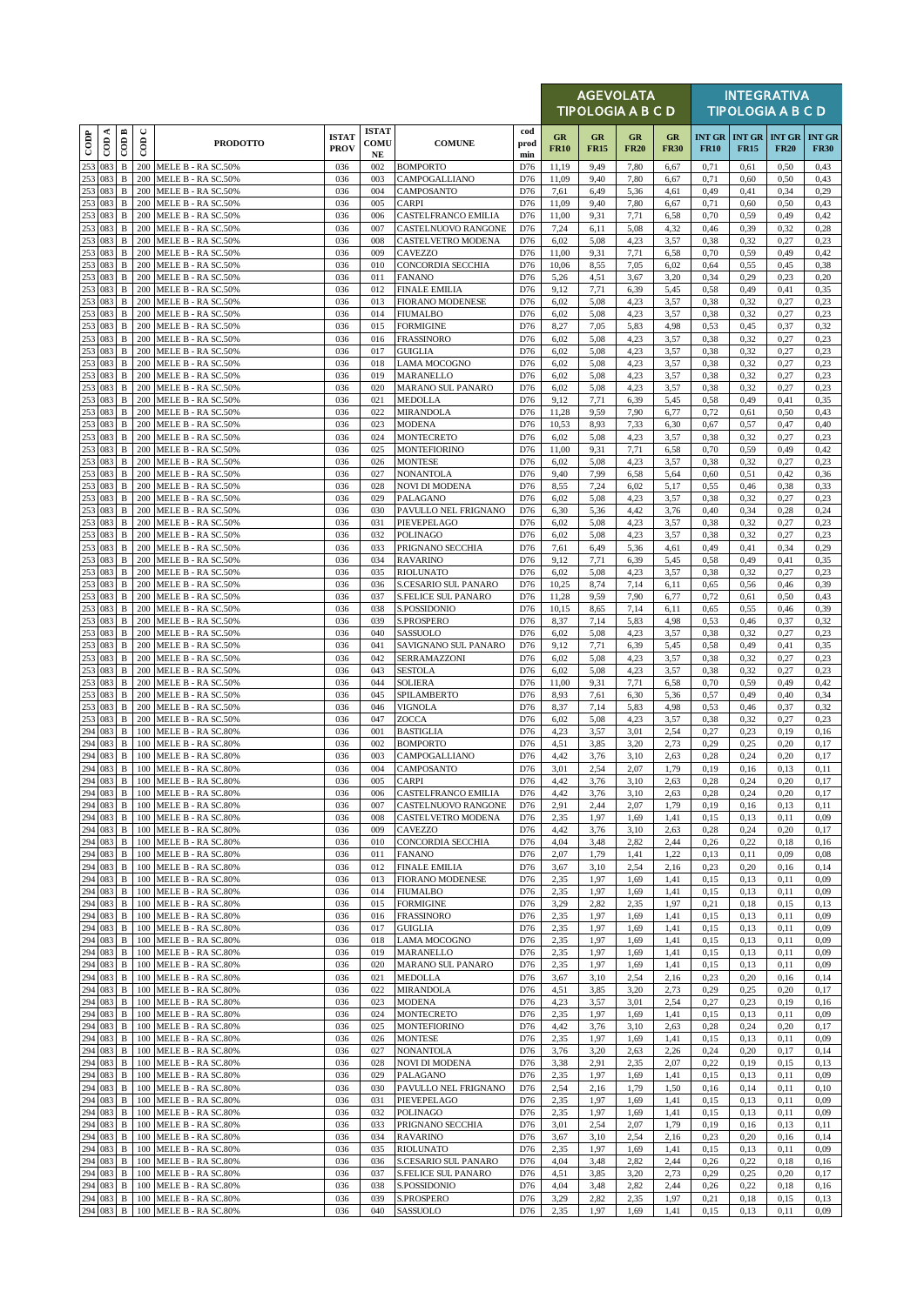|                   |                           |                              |             |                                              |                             |                                  |                                             |                    |                          | <b>AGEVOLATA</b><br>TIPOLOGIA A B C D |                   |                   |              |                                                | <b>INTEGRATIVA</b><br><b>TIPOLOGIA A B C D</b> |                              |
|-------------------|---------------------------|------------------------------|-------------|----------------------------------------------|-----------------------------|----------------------------------|---------------------------------------------|--------------------|--------------------------|---------------------------------------|-------------------|-------------------|--------------|------------------------------------------------|------------------------------------------------|------------------------------|
| $\overline{1000}$ | $\overline{\text{con A}}$ | COD B                        | $\cup$<br>6 | <b>PRODOTTO</b>                              | <b>ISTAT</b><br><b>PROV</b> | <b>ISTAT</b><br>COMU<br>$\bf NE$ | <b>COMUNE</b>                               | cod<br>prod<br>min | <b>GR</b><br><b>FR10</b> | GR<br><b>FR15</b>                     | GR<br><b>FR20</b> | GR<br><b>FR30</b> | <b>FR10</b>  | <b>INT GR   INT GR   INT GR</b><br><b>FR15</b> | <b>FR20</b>                                    | <b>INT GR</b><br><b>FR30</b> |
| 253               | 083                       | $\, {\bf B}$                 | 200         | MELE B - RA SC.50%                           | 036                         | 002                              | <b>BOMPORTO</b>                             | D76                | 11,19                    | 9,49                                  | 7,80              | 6,67              | 0,71         | 0,61                                           | 0,50                                           | 0,43                         |
| 253<br>253        | 083<br>083                | $\, {\bf B}$<br>$\, {\bf B}$ | 200<br>200  | MELE B - RA SC.50%<br>MELE B - RA SC.50%     | 036<br>036                  | 003<br>004                       | CAMPOGALLIANO<br>CAMPOSANTO                 | D76<br>D76         | 11,09<br>7,61            | 9,40<br>6,49                          | 7,80<br>5,36      | 6,67<br>4,61      | 0,71<br>0,49 | 0,60<br>0,41                                   | 0,50<br>0,34                                   | 0,43<br>0,29                 |
| 253               | 083                       | $\, {\bf B}$                 | 200         | MELE B - RA SC.50%                           | 036                         | 005                              | <b>CARPI</b>                                | D76                | 11,09                    | 9,40                                  | 7,80              | 6,67              | 0,71         | 0,60                                           | 0,50                                           | 0,43                         |
| 253<br>253        | 083<br>083                | $\, {\bf B}$<br>$\, {\bf B}$ | 200<br>200  | MELE B - RA SC.50%<br>MELE B - RA SC.50%     | 036<br>036                  | 006<br>007                       | CASTELFRANCO EMILIA<br>CASTELNUOVO RANGONE  | D76<br>D76         | 11,00<br>7,24            | 9,31<br>6,11                          | 7,71<br>5,08      | 6,58<br>4,32      | 0,70<br>0,46 | 0,59<br>0,39                                   | 0,49<br>0,32                                   | 0,42<br>0,28                 |
| 253               | 083                       | $\, {\bf B}$                 | 200         | MELE B - RA SC.50%                           | 036                         | 008                              | CASTELVETRO MODENA                          | D76                | 6,02                     | 5,08                                  | 4,23              | 3,57              | 0,38         | 0,32                                           | 0,27                                           | 0,23                         |
| 253               | 083                       | $\, {\bf B}$                 | 200         | MELE B - RA SC.50%                           | 036                         | 009                              | CAVEZZO                                     | D76                | 11,00                    | 9,31                                  | 7,71              | 6,58              | 0,70         | 0,59                                           | 0,49                                           | 0,42                         |
| 253<br>253        | 083<br>083                | $\, {\bf B}$<br>$\, {\bf B}$ | 200<br>200  | MELE B - RA SC.50%<br>MELE B - RA SC.50%     | 036<br>036                  | 010<br>011                       | CONCORDIA SECCHIA<br><b>FANANO</b>          | D76<br>D76         | 10,06<br>5,26            | 8,55<br>4,51                          | 7,05<br>3,67      | 6,02<br>3,20      | 0,64<br>0,34 | 0,55<br>0,29                                   | 0,45<br>0,23                                   | 0,38<br>0,20                 |
| 253               | 083                       | B                            | 200         | MELE B - RA SC.50%                           | 036                         | 012                              | <b>FINALE EMILIA</b>                        | D76                | 9,12                     | 7,71                                  | 6,39              | 5,45              | 0,58         | 0,49                                           | 0,41                                           | 0,35                         |
| 253<br>253        | 083<br>083                | B<br>$\, {\bf B}$            | 200<br>200  | MELE B - RA SC.50%<br>MELE B - RA SC.50%     | 036<br>036                  | 013<br>014                       | <b>FIORANO MODENESE</b><br>FIUMALBO         | D76<br>D76         | 6,02<br>6,02             | 5,08<br>5,08                          | 4,23<br>4,23      | 3,57<br>3,57      | 0,38<br>0,38 | 0,32<br>0,32                                   | 0,27<br>0,27                                   | 0,23<br>0,23                 |
| 253               | 083                       | $\, {\bf B}$                 | 200         | MELE B - RA SC.50%                           | 036                         | 015                              | <b>FORMIGINE</b>                            | D76                | 8,27                     | 7,05                                  | 5,83              | 4,98              | 0,53         | 0,45                                           | 0,37                                           | 0,32                         |
| 253               | 083                       | B                            | 200         | MELE B - RA SC.50%                           | 036                         | 016                              | <b>FRASSINORO</b>                           | D76                | 6,02                     | 5,08                                  | 4,23              | 3,57              | 0,38         | 0,32                                           | 0,27                                           | 0,23                         |
| 253<br>253        | 083<br>083                | $\, {\bf B}$<br>$\, {\bf B}$ | 200<br>200  | MELE B - RA SC.50%<br>MELE B - RA SC.50%     | 036<br>036                  | 017<br>018                       | GUIGLIA<br>LAMA MOCOGNO                     | D76<br>D76         | 6,02<br>6,02             | 5,08<br>5,08                          | 4.23<br>4,23      | 3,57<br>3,57      | 0,38<br>0,38 | 0,32<br>0,32                                   | 0,27<br>0,27                                   | 0,23<br>0,23                 |
| 253               | 083                       | B                            | 200         | MELE B - RA SC.50%                           | 036                         | 019                              | MARANELLO                                   | D76                | 6,02                     | 5,08                                  | 4,23              | 3,57              | 0,38         | 0,32                                           | 0,27                                           | 0,23                         |
| 253<br>253        | 083<br>083                | $\, {\bf B}$<br>$\, {\bf B}$ | 200<br>200  | MELE B - RA SC.50%<br>MELE B - RA SC.50%     | 036<br>036                  | 020<br>021                       | <b>MARANO SUL PANARO</b><br>MEDOLLA         | D76<br>D76         | 6,02<br>9,12             | 5,08<br>7,71                          | 4,23<br>6,39      | 3,57<br>5,45      | 0,38<br>0,58 | 0,32<br>0,49                                   | 0,27<br>0,41                                   | 0,23<br>0,35                 |
| 253               | 083                       | $\, {\bf B}$                 | 200         | MELE B - RA SC.50%                           | 036                         | 022                              | MIRANDOLA                                   | D76                | 11,28                    | 9,59                                  | 7,90              | 6,77              | 0,72         | 0,61                                           | 0,50                                           | 0,43                         |
| 253               | 083                       | $\, {\bf B}$                 | 200         | MELE B - RA SC.50%                           | 036                         | 023                              | MODENA                                      | D76                | 10,53                    | 8,93                                  | 7,33              | 6,30              | 0,67         | 0,57                                           | 0,47                                           | 0,40                         |
| 253<br>253        | 083<br>083                | $\, {\bf B}$<br>$\, {\bf B}$ | 200<br>200  | MELE B - RA SC.50%<br>MELE B - RA SC.50%     | 036<br>036                  | 024<br>025                       | MONTECRETO<br>MONTEFIORINO                  | D76<br>D76         | 6,02<br>11,00            | 5,08<br>9,31                          | 4,23<br>7,71      | 3,57<br>6,58      | 0,38<br>0,70 | 0,32<br>0,59                                   | 0,27<br>0,49                                   | 0,23<br>0,42                 |
| 253               | 083                       | B                            | 200         | MELE B - RA SC.50%                           | 036                         | 026                              | <b>MONTESE</b>                              | D76                | 6,02                     | 5,08                                  | 4,23              | 3,57              | 0,38         | 0,32                                           | 0,27                                           | 0,23                         |
| 253<br>253        | 083<br>083                | $\, {\bf B}$<br>$\, {\bf B}$ | 200<br>200  | MELE B - RA SC.50%<br>MELE B - RA SC.50%     | 036<br>036                  | 027<br>028                       | <b>NONANTOLA</b><br>NOVI DI MODENA          | D76<br>D76         | 9,40<br>8,55             | 7,99<br>7,24                          | 6,58<br>6,02      | 5,64<br>5,17      | 0,60<br>0,55 | 0,51<br>0,46                                   | 0,42<br>0,38                                   | 0,36<br>0,33                 |
| 253               | 083                       | $\, {\bf B}$                 | 200         | MELE B - RA SC.50%                           | 036                         | 029                              | PALAGANO                                    | D76                | 6,02                     | 5,08                                  | 4,23              | 3,57              | 0,38         | 0,32                                           | 0,27                                           | 0,23                         |
| 253               | 083                       | $\, {\bf B}$                 | 200         | MELE B - RA SC.50%                           | 036                         | 030                              | PAVULLO NEL FRIGNANO                        | D76                | 6,30                     | 5,36                                  | 4,42              | 3,76              | 0,40         | 0,34                                           | 0,28                                           | 0,24                         |
| 253<br>253        | 083<br>083                | $\, {\bf B}$<br>B            | 200<br>200  | MELE B - RA SC.50%<br>MELE B - RA SC.50%     | 036<br>036                  | 031<br>032                       | PIEVEPELAGO<br>POLINAGO                     | D76<br>D76         | 6,02<br>6,02             | 5,08<br>5,08                          | 4.23<br>4,23      | 3,57<br>3,57      | 0,38<br>0,38 | 0,32<br>0,32                                   | 0,27<br>0,27                                   | 0,23<br>0,23                 |
| 253               | 083                       | $\, {\bf B}$                 | 200         | MELE B - RA SC.50%                           | 036                         | 033                              | PRIGNANO SECCHIA                            | D76                | 7,61                     | 6,49                                  | 5,36              | 4,61              | 0,49         | 0,41                                           | 0,34                                           | 0,29                         |
| 253<br>253        | 083<br>083                | $\, {\bf B}$<br>$\, {\bf B}$ | 200<br>200  | MELE B - RA SC.50%<br>MELE B - RA SC.50%     | 036<br>036                  | 034<br>035                       | <b>RAVARINO</b><br><b>RIOLUNATO</b>         | D76<br>D76         | 9,12<br>6,02             | 7,71<br>5,08                          | 6,39<br>4,23      | 5,45<br>3,57      | 0,58<br>0,38 | 0,49<br>0,32                                   | 0,41<br>0,27                                   | 0,35<br>0,23                 |
| 253               | 083                       | $\, {\bf B}$                 | 200         | MELE B - RA SC.50%                           | 036                         | 036                              | S.CESARIO SUL PANARO                        | D76                | 10,25                    | 8,74                                  | 7,14              | 6,11              | 0,65         | 0,56                                           | 0,46                                           | 0,39                         |
| 253               | 083                       | B                            | 200         | MELE B - RA SC.50%                           | 036                         | 037                              | S.FELICE SUL PANARO                         | D76                | 11,28                    | 9,59                                  | 7,90              | 6,77              | 0,72         | 0,61                                           | 0,50                                           | 0,43                         |
| 253<br>253        | 083<br>083                | B<br>$\, {\bf B}$            | 200<br>200  | MELE B - RA SC.50%<br>MELE B - RA SC.50%     | 036<br>036                  | 038<br>039                       | S.POSSIDONIO<br>S.PROSPERO                  | D76<br>D76         | 10,15<br>8,37            | 8,65<br>7,14                          | 7,14<br>5,83      | 6,11<br>4,98      | 0,65<br>0,53 | 0,55<br>0,46                                   | 0,46<br>0,37                                   | 0,39<br>0,32                 |
| 253               | 083                       | B                            | 200         | MELE B - RA SC.50%                           | 036                         | 040                              | SASSUOLO                                    | D76                | 6,02                     | 5,08                                  | 4,23              | 3,57              | 0,38         | 0,32                                           | 0,27                                           | 0,23                         |
| 253<br>253        | 083<br>083                | B<br>$\, {\bf B}$            | 200<br>200  | MELE B - RA SC.50%<br>MELE B - RA SC.50%     | 036<br>036                  | 041<br>042                       | SAVIGNANO SUL PANARO<br>SERRAMAZZONI        | D76<br>D76         | 9,12<br>6,02             | 7,71<br>5,08                          | 6,39<br>4,23      | 5,45<br>3,57      | 0,58<br>0,38 | 0,49<br>0,32                                   | 0,41<br>0,27                                   | 0,35<br>0,23                 |
| 253               | 083                       | $\, {\bf B}$                 | 200         | MELE B - RA SC.50%                           | 036                         | 043                              | <b>SESTOLA</b>                              | D76                | 6,02                     | 5,08                                  | 4,23              | 3,57              | 0,38         | 0,32                                           | 0,27                                           | 0,23                         |
| 253               | 083                       | $\, {\bf B}$                 | 200         | MELE B - RA SC.50%                           | 036                         | 044                              | <b>SOLIERA</b>                              | D76                | 11,00                    | 9,31                                  | 7,71              | 6,58              | 0,70         | 0,59                                           | 0,49                                           | 0,42                         |
| 253<br>253        | 083<br>083                | B<br>B                       | 200<br>200  | MELE B - RA SC.50%<br>MELE B - RA SC.50%     | 036<br>036                  | 045<br>046                       | SPILAMBERTO<br>VIGNOLA                      | D76<br>D76         | 8,93<br>8,37             | 7,61<br>7,14                          | 6,30<br>5,83      | 5,36<br>4,98      | 0,57<br>0,53 | 0,49<br>0,46                                   | 0,40<br>0,37                                   | 0,34<br>0,32                 |
| 253               | 083                       | $\, {\bf B}$                 | 200         | MELE B - RA SC.50%                           | 036                         | 047                              | ZOCCA                                       | D76                | 6,02                     | 5,08                                  | 4,23              | 3,57              | 0,38         | 0,32                                           | 0,27                                           | 0,23                         |
| 294               | 294 083<br>083            | $\, {\bf B}$<br>$\, {\bf B}$ | 100<br>100  | MELE B - RA SC.80%<br>MELE B - RA SC.80%     | 036<br>036                  | 001<br>002                       | <b>BASTIGLIA</b><br><b>BOMPORTO</b>         | D76<br>D76         | 4,23<br>4,51             | 3,57<br>3,85                          | 3,01<br>3,20      | 2,54<br>2,73      | 0,27<br>0,29 | 0,23<br>0,25                                   | 0,19<br>0,20                                   | 0,16<br>0,17                 |
| 294               | 083                       | $\, {\bf B}$                 | 100         | MELE B - RA SC.80%                           | 036                         | 003                              | CAMPOGALLIANO                               | D76                | 4,42                     | 3,76                                  | 3,10              | 2,63              | 0,28         | 0,24                                           | 0,20                                           | 0,17                         |
|                   | 294 083<br>294 083        | $\, {\bf B}$                 | 100         | MELE B - RA SC.80%                           | 036                         | 004                              | CAMPOSANTO                                  | D76                | 3,01                     | 2,54                                  | 2,07              | 1,79              | 0,19         | 0,16                                           | 0,13                                           | 0,11                         |
|                   | 294 083                   | $\, {\bf B}$<br>B            | 100         | 100 MELE B - RA SC.80%<br>MELE B - RA SC.80% | 036<br>036                  | 005<br>006                       | <b>CARPI</b><br>CASTELFRANCO EMILIA         | D76<br>D76         | 4,42<br>4,42             | 3,76<br>3,76                          | 3,10<br>3,10      | 2,63<br>2,63      | 0,28<br>0,28 | 0,24<br>0,24                                   | 0,20<br>0,20                                   | 0,17<br>0,17                 |
| 294               | 083                       | $\, {\bf B}$                 | 100         | MELE B - RA SC.80%                           | 036                         | 007                              | CASTELNUOVO RANGONE                         | D76                | 2,91                     | 2,44                                  | 2,07              | 1,79              | 0,19         | 0,16                                           | 0,13                                           | 0,11                         |
| 294               | 294 083<br>083            | B<br>B                       | 100<br>100  | MELE B - RA SC.80%<br>MELE B - RA SC.80%     | 036<br>036                  | 008<br>009                       | CASTELVETRO MODENA<br>CAVEZZO               | D76<br>D76         | 2,35<br>4,42             | 1,97<br>3,76                          | 1,69<br>3,10      | 1,41<br>2,63      | 0,15<br>0,28 | 0,13<br>0,24                                   | 0,11<br>0,20                                   | 0,09<br>0,17                 |
|                   | 294 083                   | $\, {\bf B}$                 | 100         | MELE B - RA SC.80%                           | 036                         | 010                              | CONCORDIA SECCHIA                           | D76                | 4,04                     | 3,48                                  | 2,82              | 2,44              | 0,26         | 0,22                                           | 0,18                                           | 0,16                         |
|                   | 294 083                   | B                            | 100         | MELE B - RA SC.80%                           | 036                         | 011                              | <b>FANANO</b>                               | D76                | 2,07                     | 1,79                                  | 1,41              | 1,22              | 0,13         | 0,11                                           | 0,09                                           | 0,08                         |
| 294               | 083<br>294 083            | B<br>B                       | 100<br>100  | MELE B - RA SC.80%<br>MELE B - RA SC.80%     | 036<br>036                  | 012<br>013                       | <b>FINALE EMILIA</b><br>FIORANO MODENESE    | D76<br>D76         | 3,67<br>2,35             | 3,10<br>1,97                          | 2.54<br>1,69      | 2,16<br>1,41      | 0,23<br>0,15 | 0,20<br>0,13                                   | 0,16<br>0,11                                   | 0,14<br>0,09                 |
|                   | 294 083                   | $\, {\bf B}$                 | 100         | MELE B - RA SC.80%                           | 036                         | 014                              | <b>FIUMALBO</b>                             | D76                | 2,35                     | 1,97                                  | 1,69              | 1,41              | 0,15         | 0,13                                           | 0,11                                           | 0,09                         |
| 294               | 083<br>294 083            | $\, {\bf B}$<br>B            | 100<br>100  | MELE B - RA SC.80%<br>MELE B - RA SC.80%     | 036<br>036                  | 015<br>016                       | <b>FORMIGINE</b><br><b>FRASSINORO</b>       | D76<br>D76         | 3,29<br>2,35             | 2,82<br>1,97                          | 2.35<br>1,69      | 1,97<br>1,41      | 0,21<br>0,15 | 0,18<br>0,13                                   | 0,15<br>0,11                                   | 0,13<br>0,09                 |
|                   | 294 083                   | B                            | 100         | MELE B - RA SC.80%                           | 036                         | 017                              | <b>GUIGLIA</b>                              | D76                | 2,35                     | 1,97                                  | 1.69              | 1,41              | 0,15         | 0,13                                           | 0,11                                           | 0,09                         |
| 294               | 083                       | $\, {\bf B}$                 | 100         | MELE B - RA SC.80%                           | 036                         | 018                              | LAMA MOCOGNO                                | D76                | 2,35                     | 1,97                                  | 1,69              | 1,41              | 0,15         | 0,13                                           | 0,11                                           | 0,09                         |
|                   | 294 083<br>294 083        | B<br>B                       | 100<br>100  | MELE B - RA SC.80%<br>MELE B - RA SC.80%     | 036<br>036                  | 019<br>020                       | MARANELLO<br>MARANO SUL PANARO              | D76<br>D76         | 2,35<br>2,35             | 1,97<br>1,97                          | 1,69<br>1.69      | 1,41<br>1,41      | 0,15<br>0,15 | 0,13<br>0,13                                   | 0,11<br>0,11                                   | 0,09<br>0,09                 |
| 294               | 083                       | B                            | 100         | MELE B - RA SC.80%                           | 036                         | 021                              | MEDOLLA                                     | D76                | 3,67                     | 3,10                                  | 2.54              | 2,16              | 0,23         | 0,20                                           | 0,16                                           | 0,14                         |
| 294               | 294 083<br>083            | B<br>$\, {\bf B}$            | 100<br>100  | MELE B - RA SC.80%<br>MELE B - RA SC.80%     | 036<br>036                  | 022<br>023                       | MIRANDOLA<br>MODENA                         | D76<br>D76         | 4,51<br>4,23             | 3,85<br>3,57                          | 3,20<br>3.01      | 2,73<br>2,54      | 0,29<br>0,27 | 0,25<br>0,23                                   | 0,20<br>0,19                                   | 0,17<br>0,16                 |
|                   | 294 083                   | $\, {\bf B}$                 | 100         | MELE B - RA SC.80%                           | 036                         | 024                              | MONTECRETO                                  | D76                | 2,35                     | 1,97                                  | 1,69              | 1,41              | 0,15         | 0,13                                           | 0,11                                           | 0,09                         |
|                   | 294 083                   | B                            | 100         | MELE B - RA SC.80%                           | 036                         | 025                              | <b>MONTEFIORINO</b>                         | D76                | 4,42                     | 3,76                                  | 3,10              | 2,63              | 0,28         | 0,24                                           | 0,20                                           | 0,17                         |
| 294               | 294 083<br>083            | B<br>B                       | 100<br>100  | MELE B - RA SC.80%<br>MELE B - RA SC.80%     | 036<br>036                  | 026<br>027                       | MONTESE<br>NONANTOLA                        | D76<br>D76         | 2,35<br>3,76             | 1,97<br>3,20                          | 1,69<br>2,63      | 1,41<br>2,26      | 0,15<br>0,24 | 0,13<br>0,20                                   | 0,11<br>0,17                                   | 0,09<br>0,14                 |
| 294               | 083                       | $\, {\bf B}$                 | 100         | MELE B - RA SC.80%                           | 036                         | 028                              | NOVI DI MODENA                              | D76                | 3,38                     | 2,91                                  | 2,35              | 2,07              | 0,22         | 0,19                                           | 0,15                                           | 0,13                         |
| 294<br>294        | 083<br>083                | $\, {\bf B}$<br>$\, {\bf B}$ | 100<br>100  | MELE B - RA SC.80%<br>MELE B - RA SC.80%     | 036<br>036                  | 029<br>030                       | PALAGANO<br>PAVULLO NEL FRIGNANO            | D76<br>D76         | 2,35<br>2,54             | 1,97<br>2,16                          | 1,69<br>1,79      | 1,41<br>1,50      | 0,15<br>0,16 | 0,13<br>0,14                                   | 0,11<br>0,11                                   | 0,09<br>0,10                 |
| 294               | 083                       | $\, {\bf B}$                 | 100         | MELE B - RA SC.80%                           | 036                         | 031                              | PIEVEPELAGO                                 | D76                | 2,35                     | 1,97                                  | 1.69              | 1,41              | 0,15         | 0,13                                           | 0,11                                           | 0,09                         |
| 294               | 083                       | $\, {\bf B}$                 | 100         | MELE B - RA SC.80%                           | 036                         | 032                              | POLINAGO                                    | D76                | 2,35                     | 1,97                                  | 1,69              | 1,41              | 0,15         | 0,13                                           | 0,11                                           | 0,09                         |
| 294<br>294        | 083<br>083                | B<br>B                       | 100<br>100  | MELE B - RA SC.80%<br>MELE B - RA SC.80%     | 036<br>036                  | 033<br>034                       | PRIGNANO SECCHIA<br><b>RAVARINO</b>         | D76<br>D76         | 3,01<br>3,67             | 2,54<br>3,10                          | 2,07<br>2,54      | 1,79<br>2,16      | 0,19<br>0.23 | 0,16<br>0,20                                   | 0,13<br>0,16                                   | 0,11<br>0,14                 |
| 294               | 083                       | $\, {\bf B}$                 | 100         | MELE B - RA SC.80%                           | 036                         | 035                              | <b>RIOLUNATO</b>                            | D76                | 2,35                     | 1,97                                  | 1,69              | 1,41              | 0,15         | 0,13                                           | 0,11                                           | 0,09                         |
| 294<br>294        | 083<br>083                | $\, {\bf B}$<br>B            | 100<br>100  | MELE B - RA SC.80%<br>MELE B - RA SC.80%     | 036<br>036                  | 036<br>037                       | S.CESARIO SUL PANARO<br>S.FELICE SUL PANARO | D76<br>D76         | 4,04<br>4,51             | 3,48<br>3,85                          | 2,82<br>3,20      | 2,44<br>2,73      | 0,26<br>0,29 | 0,22<br>0,25                                   | 0,18<br>0,20                                   | 0,16<br>0,17                 |
|                   | 294 083                   | $\, {\bf B}$                 | 100         | MELE B - RA SC.80%                           | 036                         | 038                              | S.POSSIDONIO                                | D76                | 4,04                     | 3,48                                  | 2,82              | 2,44              | 0,26         | 0,22                                           | 0,18                                           | 0,16                         |
|                   | 294 083                   | В                            | 100         | MELE B - RA SC.80%                           | 036                         | 039                              | S.PROSPERO                                  | D76                | 3,29                     | 2,82                                  | 2,35              | 1,97              | 0,21         | 0,18                                           | 0,15                                           | 0,13                         |
|                   | 294 083                   | B                            |             | 100 MELE B - RA SC.80%                       | 036                         | 040                              | SASSUOLO                                    | D76                | 2,35                     | 1,97                                  | 1,69              | 1,41              | 0,15         | 0,13                                           | 0,11                                           | 0,09                         |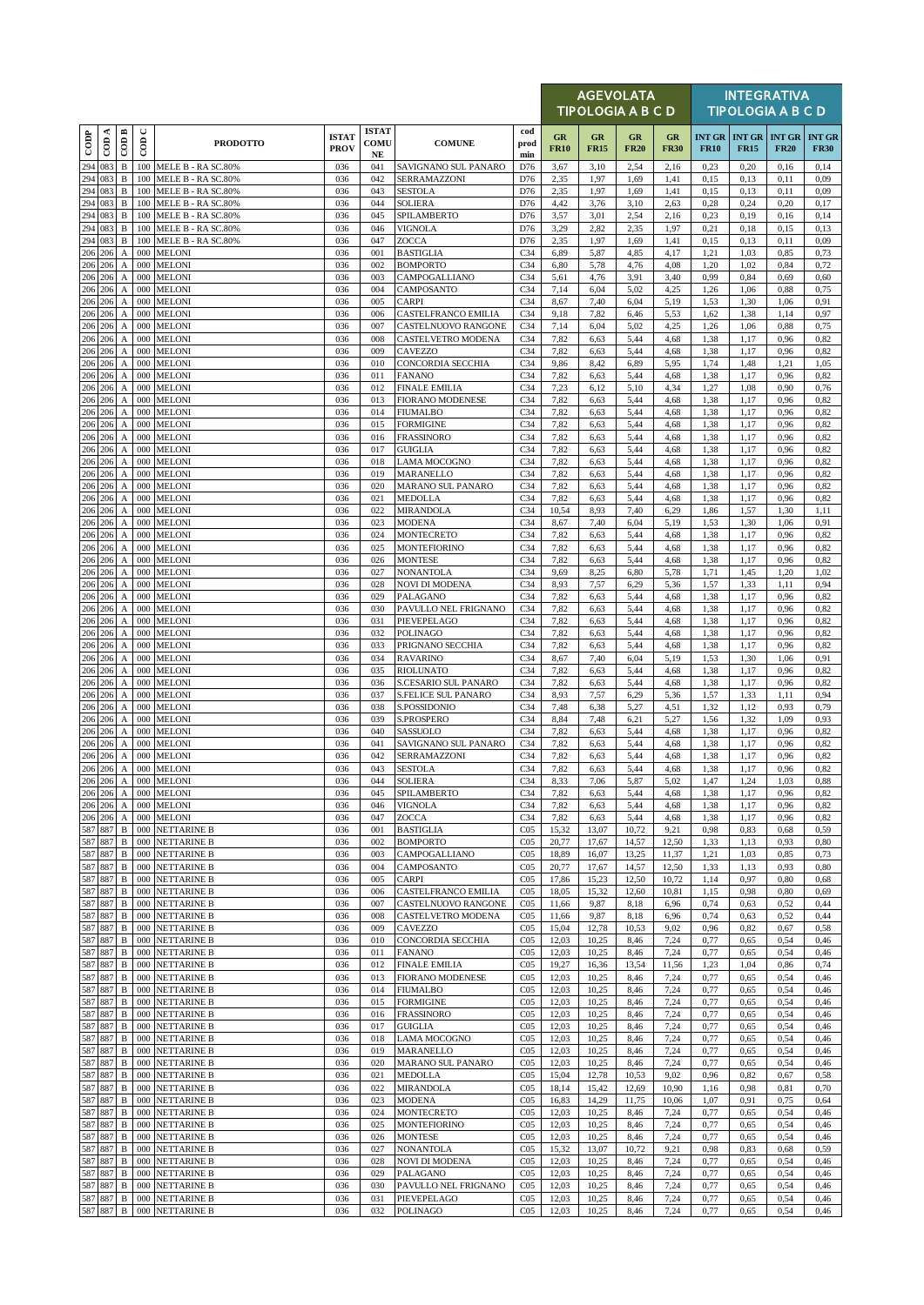|                          |         |                                               |                      |                                          |                             |                            |                                            |                                    |                   | <b>AGEVOLATA</b><br><b>TIPOLOGIA A B C D</b> |                   |                   |              |                                            | <b>INTEGRATIVA</b><br><b>TIPOLOGIA A B C D</b> |                              |
|--------------------------|---------|-----------------------------------------------|----------------------|------------------------------------------|-----------------------------|----------------------------|--------------------------------------------|------------------------------------|-------------------|----------------------------------------------|-------------------|-------------------|--------------|--------------------------------------------|------------------------------------------------|------------------------------|
| $\overline{\text{cone}}$ | ≺<br>දි | $\overline{CDB}$                              | $\cup$<br>$\epsilon$ | <b>PRODOTTO</b>                          | <b>ISTAT</b><br><b>PROV</b> | <b>ISTAT</b><br>COMU<br>NE | <b>COMUNE</b>                              | cod<br>prod<br>min                 | GR<br><b>FR10</b> | GR<br><b>FR15</b>                            | GR<br><b>FR20</b> | GR<br><b>FR30</b> | <b>FR10</b>  | <b>INT GR INT GR INT GR</b><br><b>FR15</b> | <b>FR20</b>                                    | <b>INT GR</b><br><b>FR30</b> |
| 294                      | 083     | $\, {\bf B}$                                  | 100                  | MELE B - RA SC.80%                       | 036                         | 041                        | SAVIGNANO SUL PANARO<br>SERRAMAZZONI       | D76                                | 3,67              | 3,10                                         | 2,54              | 2,16              | 0,23         | 0,20                                       | 0,16                                           | 0,14                         |
| 294<br>294 083           | 083     | $\, {\bf B}$<br>$\, {\bf B}$                  | 100<br>100           | MELE B - RA SC.80%<br>MELE B - RA SC.80% | 036<br>036                  | 042<br>043                 | <b>SESTOLA</b>                             | D76<br>D76                         | 2,35<br>2,35      | 1,97<br>1,97                                 | 1.69<br>1,69      | 1,41<br>1,41      | 0.15<br>0,15 | 0,13<br>0,13                               | 0,11<br>0,11                                   | 0,09<br>0,09                 |
| 294<br>294               | 083     | $\, {\bf B}$                                  | 100                  | MELE B - RA SC.80%                       | 036                         | 044                        | <b>SOLIERA</b>                             | D76                                | 4,42              | 3,76                                         | 3,10              | 2,63              | 0,28         | 0,24                                       | 0,20                                           | 0,17                         |
| 294 083                  | 083     | $\, {\bf B}$<br>$\, {\bf B}$                  | 100<br>100           | MELE B - RA SC.80%<br>MELE B - RA SC.80% | 036<br>036                  | 045<br>046                 | SPILAMBERTO<br><b>VIGNOLA</b>              | D76<br>D76                         | 3,57<br>3,29      | 3,01<br>2,82                                 | 2.54<br>2,35      | 2,16<br>1,97      | 0,23<br>0,21 | 0,19<br>0,18                               | 0,16<br>0,15                                   | 0,14<br>0,13                 |
| 294 083                  |         | $\, {\bf B}$                                  | 100                  | MELE B - RA SC.80%                       | 036                         | 047                        | ZOCCA                                      | D76                                | 2,35              | 1,97                                         | 1,69              | 1,41              | 0,15         | 0,13                                       | 0,11                                           | 0,09                         |
| 206<br>206 206           | 206     | A<br>A                                        | 000<br>000           | <b>MELONI</b><br><b>MELONI</b>           | 036<br>036                  | 001<br>002                 | <b>BASTIGLIA</b><br><b>BOMPORTO</b>        | C <sub>34</sub><br>C <sub>34</sub> | 6,89<br>6,80      | 5,87<br>5,78                                 | 4,85<br>4,76      | 4,17<br>4,08      | 1,21<br>1,20 | 1,03<br>1,02                               | 0,85<br>0,84                                   | 0,73<br>0,72                 |
| 206 206                  |         | $\boldsymbol{A}$                              | 000                  | MELONI                                   | 036                         | 003                        | CAMPOGALLIANO                              | C <sub>34</sub>                    | 5,61              | 4,76                                         | 3,91              | 3,40              | 0,99         | 0.84                                       | 0,69                                           | 0,60                         |
| 206 206<br>206 206       |         | A<br>A                                        | 000<br>000           | <b>MELONI</b><br><b>MELON</b>            | 036<br>036                  | 004<br>005                 | CAMPOSANTO<br><b>CARPI</b>                 | C <sub>34</sub><br>C <sub>34</sub> | 7,14<br>8,67      | 6,04<br>7,40                                 | 5,02<br>6,04      | 4,25<br>5,19      | 1,26<br>1,53 | 1,06<br>1,30                               | 0,88<br>1,06                                   | 0,75<br>0,91                 |
| 206 206                  |         | $\boldsymbol{\mathsf{A}}$                     | 000                  | <b>MELONI</b>                            | 036                         | 006                        | CASTELFRANCO EMILIA                        | C <sub>34</sub>                    | 9,18              | 7,82                                         | 6,46              | 5,53              | 1,62         | 1,38                                       | 1,14                                           | 0,97                         |
| 206 206<br>206 206       |         | $\boldsymbol{A}$<br>$\boldsymbol{A}$          | 000<br>000           | <b>MELONI</b><br><b>MELONI</b>           | 036<br>036                  | 007<br>008                 | CASTELNUOVO RANGONE<br>CASTELVETRO MODENA  | C <sub>34</sub><br>C <sub>34</sub> | 7,14<br>7,82      | 6,04<br>6,63                                 | 5,02<br>5,44      | 4,25<br>4,68      | 1,26<br>1,38 | 1,06<br>1,17                               | 0,88<br>0,96                                   | 0,75<br>0,82                 |
| 206 206                  |         | A                                             | 000                  | <b>MELONI</b>                            | 036                         | 009                        | <b>CAVEZZO</b>                             | C <sub>34</sub>                    | 7,82              | 6,63                                         | 5,44              | 4,68              | 1,38         | 1,17                                       | 0,96                                           | 0,82                         |
| 206 206                  | 206 206 | $\boldsymbol{A}$<br>$\boldsymbol{A}$          | 000<br>000           | <b>MELONI</b><br><b>MELONI</b>           | 036<br>036                  | 010<br>011                 | CONCORDIA SECCHIA<br><b>FANANO</b>         | C <sub>34</sub><br>C <sub>34</sub> | 9,86<br>7,82      | 8,42<br>6,63                                 | 6,89<br>5,44      | 5,95<br>4,68      | 1,74<br>1,38 | 1,48<br>1,17                               | 1,21<br>0,96                                   | 1,05<br>0,82                 |
| 206 206                  |         | $\boldsymbol{\mathsf{A}}$                     | 000                  | <b>MELONI</b>                            | 036                         | 012                        | <b>FINALE EMILIA</b>                       | C <sub>34</sub>                    | 7,23              | 6,12                                         | 5,10              | 4,34              | 1,27         | 1,08                                       | 0,90                                           | 0,76                         |
| 206 206<br>206 206       |         | $\boldsymbol{A}$<br>$\mathbf{A}$              | 000<br>000           | <b>MELONI</b><br><b>MELONI</b>           | 036<br>036                  | 013<br>014                 | <b>FIORANO MODENESE</b><br><b>FIUMALBO</b> | C <sub>34</sub><br>C <sub>34</sub> | 7,82<br>7,82      | 6,63<br>6,63                                 | 5,44<br>5,44      | 4,68<br>4,68      | 1,38<br>1,38 | 1,17<br>1,17                               | 0,96<br>0,96                                   | 0,82<br>0,82                 |
| 206 206                  |         | $\boldsymbol{A}$                              | 000                  | <b>MELONI</b>                            | 036                         | 015                        | <b>FORMIGINE</b>                           | C34                                | 7,82              | 6,63                                         | 5,44              | 4,68              | 1,38         | 1,17                                       | 0,96                                           | 0,82                         |
| 206 206<br>206 206       |         | A                                             | 000<br>000           | <b>MELONI</b><br>MELONI                  | 036<br>036                  | 016<br>017                 | <b>FRASSINORO</b><br><b>GUIGLIA</b>        | C <sub>34</sub><br>C <sub>34</sub> | 7,82<br>7,82      | 6,63<br>6,63                                 | 5,44<br>5,44      | 4,68<br>4,68      | 1,38<br>1,38 | 1,17<br>1,17                               | 0,96<br>0,96                                   | 0,82<br>0,82                 |
| 206 206                  |         | A<br>$\boldsymbol{\mathsf{A}}$                | 000                  | <b>MELONI</b>                            | 036                         | 018                        | <b>LAMA MOCOGNO</b>                        | C <sub>34</sub>                    | 7,82              | 6,63                                         | 5,44              | 4,68              | 1,38         | 1,17                                       | 0,96                                           | 0,82                         |
| 206 206<br>206 206       |         | $\boldsymbol{A}$                              | 000                  | <b>MELONI</b>                            | 036<br>036                  | 019                        | MARANELLO<br><b>MARANO SUL PANARO</b>      | C <sub>34</sub>                    | 7,82              | 6,63                                         | 5,44              | 4,68              | 1,38         | 1,17                                       | 0,96                                           | 0,82                         |
| 206 206                  |         | А<br>$\boldsymbol{A}$                         | 000<br>000           | <b>MELONI</b><br><b>MELONI</b>           | 036                         | 020<br>021                 | <b>MEDOLLA</b>                             | C <sub>34</sub><br>C <sub>34</sub> | 7,82<br>7,82      | 6,63<br>6,63                                 | 5,44<br>5,44      | 4,68<br>4,68      | 1,38<br>1,38 | 1,17<br>1,17                               | 0,96<br>0,96                                   | 0,82<br>0,82                 |
| 206 206                  |         | $\boldsymbol{A}$                              | 000                  | <b>MELONI</b>                            | 036                         | 022                        | <b>MIRANDOLA</b>                           | C <sub>34</sub>                    | 10,54             | 8,93                                         | 7,40              | 6,29              | 1,86         | 1,57                                       | 1,30                                           | 1,11                         |
| 206<br>206 206           | 206     | A<br>A                                        | 000<br>000           | MELONI<br><b>MELON</b>                   | 036<br>036                  | 023<br>024                 | <b>MODENA</b><br>MONTECRETO                | C <sub>34</sub><br>C <sub>34</sub> | 8,67<br>7,82      | 7,40<br>6,63                                 | 6,04<br>5,44      | 5,19<br>4,68      | 1,53<br>1,38 | 1,30<br>1,17                               | 1,06<br>0,96                                   | 0,91<br>0,82                 |
| 206 206                  |         | $\boldsymbol{\mathsf{A}}$                     | 000                  | <b>MELONI</b>                            | 036                         | 025                        | <b>MONTEFIORINO</b>                        | C <sub>34</sub>                    | 7,82              | 6,63                                         | 5,44              | 4,68              | 1,38         | 1,17                                       | 0,96                                           | 0,82                         |
| 206 206<br>206 206       |         | $\boldsymbol{\mathsf{A}}$<br>A                | 000<br>000           | <b>MELONI</b><br><b>MELONI</b>           | 036<br>036                  | 026<br>027                 | <b>MONTESE</b><br><b>NONANTOLA</b>         | C <sub>34</sub><br>C <sub>34</sub> | 7,82<br>9,69      | 6,63<br>8,25                                 | 5,44<br>6,80      | 4,68<br>5,78      | 1,38<br>1,71 | 1,17<br>1,45                               | 0,96<br>1,20                                   | 0,82<br>1,02                 |
| 206 206                  |         | $\mathbf{A}$                                  | 000                  | <b>MELONI</b>                            | 036                         | 028                        | <b>NOVI DI MODENA</b>                      | C <sub>34</sub>                    | 8,93              | 7,57                                         | 6,29              | 5,36              | 1,57         | 1,33                                       | 1,11                                           | 0,94                         |
| 206 206<br>206 206       |         | $\boldsymbol{\mathsf{A}}$<br>A                | 000<br>000           | <b>MELONI</b><br><b>MELON</b>            | 036<br>036                  | 029<br>030                 | PALAGANO<br>PAVULLO NEL FRIGNANO           | C <sub>34</sub><br>C <sub>34</sub> | 7,82<br>7,82      | 6,63<br>6,63                                 | 5,44<br>5,44      | 4,68<br>4,68      | 1,38<br>1,38 | 1,17<br>1,17                               | 0,96<br>0,96                                   | 0,82<br>0,82                 |
| 206 206                  |         | $\boldsymbol{\mathsf{A}}$                     | 000                  | MELONI                                   | 036                         | 031                        | PIEVEPELAGO                                | C <sub>34</sub>                    | 7,82              | 6,63                                         | 5,44              | 4,68              | 1,38         | 1,17                                       | 0,96                                           | 0,82                         |
| 206 206<br>206 206       |         | $\boldsymbol{A}$<br>$\boldsymbol{A}$          | 000<br>000           | <b>MELONI</b><br><b>MELONI</b>           | 036<br>036                  | 032<br>033                 | POLINAGO<br>PRIGNANO SECCHIA               | C <sub>34</sub><br>C <sub>34</sub> | 7,82<br>7,82      | 6,63<br>6,63                                 | 5,44<br>5,44      | 4,68<br>4,68      | 1,38<br>1,38 | 1,17<br>1,17                               | 0,96<br>0,96                                   | 0,82<br>0,82                 |
| 206 206                  |         | $\boldsymbol{A}$                              | 000                  | <b>MELONI</b>                            | 036                         | 034                        | <b>RAVARINO</b>                            | C <sub>34</sub>                    | 8,67              | 7,40                                         | 6,04              | 5,19              | 1,53         | 1,30                                       | 1,06                                           | 0,91                         |
| 206 206<br>206 206       |         | A<br>$\boldsymbol{A}$                         | 000<br>000           | <b>MELONI</b><br><b>MELONI</b>           | 036<br>036                  | 035<br>036                 | <b>RIOLUNATO</b><br>S.CESARIO SUL PANARO   | C <sub>34</sub><br>C <sub>34</sub> | 7,82<br>7,82      | 6,63<br>6,63                                 | 5,44<br>5,44      | 4,68<br>4,68      | 1,38<br>1,38 | 1,17<br>1,17                               | 0,96<br>0,96                                   | 0,82<br>0,82                 |
| 206 206                  |         | $\boldsymbol{\mathsf{A}}$                     | 000                  | <b>MELONI</b>                            | 036                         | 037                        | <b>S.FELICE SUL PANARO</b>                 | C <sub>34</sub>                    | 8,93              | 7,57                                         | 6,29              | 5,36              | 1,57         | 1,33                                       | 1,11                                           | 0,94                         |
| 206 206<br>206 206       |         | $\boldsymbol{A}$                              | 000<br>000           | <b>MELONI</b><br><b>MELONI</b>           | 036<br>036                  | 038<br>039                 | S.POSSIDONIO                               | C <sub>34</sub><br>C <sub>34</sub> | 7,48              | 6,38<br>7,48                                 | 5,27              | 4,51<br>5,27      | 1,32<br>1,56 | 1,12                                       | 0,93<br>1,09                                   | 0,79<br>0,93                 |
| 206 206                  |         | $\boldsymbol{A}$<br>$\boldsymbol{\mathsf{A}}$ | 000                  | <b>MELONI</b>                            | 036                         | 040                        | S.PROSPERO<br>SASSUOLO                     | C <sub>34</sub>                    | 8,84<br>7,82      | 6,63                                         | 6,21<br>5,44      | 4,68              | 1,38         | 1,32<br>1,17                               | 0,96                                           | 0,82                         |
| 206 206<br>206 206       |         | A                                             | 000                  | <b>MELONI</b>                            | 036                         | 041                        | SAVIGNANO SUL PANARO                       | C <sub>34</sub>                    | 7,82              | 6,63                                         | 5,44              | 4,68              | 1,38         | 1,17                                       | 0,96                                           | 0,82                         |
| 206 206                  |         | $\boldsymbol{A}$<br>$\boldsymbol{A}$          | 000                  | <b>MELONI</b><br>000 MELONI              | 036<br>036                  | 042<br>043                 | SERRAMAZZONI<br><b>SESTOLA</b>             | C <sub>34</sub><br>C <sub>34</sub> | 7,82<br>7,82      | 6,63<br>6,63                                 | 5,44<br>5,44      | 4,68<br>4,68      | 1,38<br>1,38 | 1,17<br>1,17                               | 0,96<br>0,96                                   | 0,82<br>0,82                 |
| 206 206                  |         |                                               |                      | A 000 MELONI                             | 036                         | 044                        | <b>SOLIERA</b>                             | C <sub>34</sub>                    | 8,33              | 7,06                                         | 5,87              | 5,02              | 1,47         | 1,24                                       | 1,03                                           | 0,88                         |
| 206 206<br>206 206       |         | A<br>A                                        | 000                  | 000 MELONI<br><b>MELONI</b>              | 036<br>036                  | 045<br>046                 | SPILAMBERTO<br>VIGNOLA                     | C <sub>34</sub><br>C <sub>34</sub> | 7,82<br>7,82      | 6,63<br>6,63                                 | 5,44<br>5,44      | 4,68<br>4,68      | 1,38<br>1,38 | 1,17<br>1,17                               | 0,96<br>0,96                                   | 0,82<br>0,82                 |
|                          | 206 206 | A                                             | 000                  | <b>MELONI</b>                            | 036                         | 047                        | ZOCCA                                      | C <sub>34</sub>                    | 7,82              | 6,63                                         | 5,44              | 4,68              | 1,38         | 1,17                                       | 0,96                                           | 0,82                         |
| 587 887<br>587 887       |         | B<br>$\, {\bf B}$                             | 000<br>000           | <b>NETTARINE B</b><br><b>NETTARINE B</b> | 036<br>036                  | 001<br>002                 | <b>BASTIGLIA</b><br><b>BOMPORTO</b>        | CO <sub>5</sub><br>CO <sub>5</sub> | 15,32<br>20,77    | 13,07<br>17,67                               | 10,72<br>14,57    | 9,21<br>12,50     | 0,98<br>1,33 | 0,83<br>1,13                               | 0,68<br>0,93                                   | 0,59<br>0,80                 |
| 587 887                  |         | $\, {\bf B}$                                  | 000                  | <b>NETTARINE B</b>                       | 036                         | 003                        | CAMPOGALLIANO                              | CO <sub>5</sub>                    | 18,89             | 16,07                                        | 13,25             | 11,37             | 1,21         | 1,03                                       | 0,85                                           | 0,73                         |
| 587<br>587 887           | 887     | B<br>$\, {\bf B}$                             | 000<br>000           | <b>NETTARINE B</b><br><b>NETTARINE B</b> | 036<br>036                  | 004<br>005                 | CAMPOSANTO<br><b>CARPI</b>                 | CO <sub>5</sub><br>CO <sub>5</sub> | 20,77<br>17,86    | 17,67<br>15,23                               | 14,57<br>12,50    | 12,50<br>10,72    | 1,33<br>1,14 | 1,13<br>0,97                               | 0,93<br>0,80                                   | 0,80<br>0,68                 |
| 587 887                  |         | B                                             |                      | 000 NETTARINE B                          | 036                         | 006                        | <b>CASTELFRANCO EMILIA</b>                 | CO <sub>5</sub>                    | 18,05             | 15,32                                        | 12,60             | 10,81             | 1,15         | 0,98                                       | 0,80                                           | 0,69                         |
| 587 887<br>587 887       |         | $\, {\bf B}$<br>B                             | 000<br>000           | <b>NETTARINE B</b><br><b>NETTARINE B</b> | 036<br>036                  | 007<br>008                 | CASTELNUOVO RANGONE<br>CASTELVETRO MODENA  | CO <sub>5</sub><br>CO <sub>5</sub> | 11,66<br>11,66    | 9,87<br>9,87                                 | 8,18<br>8,18      | 6,96<br>6,96      | 0,74<br>0,74 | 0,63<br>0,63                               | 0,52<br>0,52                                   | 0,44<br>0,44                 |
| 587 887                  |         | $\, {\bf B}$                                  | 000                  | <b>NETTARINE B</b>                       | 036                         | 009                        | CAVEZZO                                    | CO <sub>5</sub>                    | 15,04             | 12,78                                        | 10,53             | 9,02              | 0,96         | 0,82                                       | 0,67                                           | 0,58                         |
| 587 887<br>587 887       |         | $\, {\bf B}$<br>B                             | 000<br>000           | <b>NETTARINE B</b><br><b>NETTARINE B</b> | 036<br>036                  | 010<br>011                 | CONCORDIA SECCHIA<br><b>FANANO</b>         | CO <sub>5</sub><br>CO <sub>5</sub> | 12,03<br>12,03    | 10,25<br>10,25                               | 8,46<br>8,46      | 7,24<br>7,24      | 0,77<br>0,77 | 0,65<br>0,65                               | 0,54<br>0,54                                   | 0,46<br>0,46                 |
| 587 887                  |         | B                                             | 000                  | <b>NETTARINE B</b>                       | 036                         | 012                        | <b>FINALE EMILIA</b>                       | CO <sub>5</sub>                    | 19,27             | 16,36                                        | 13,54             | 11,56             | 1,23         | 1,04                                       | 0,86                                           | 0,74                         |
| 587 887<br>587 887       |         | $\, {\bf B}$<br>B                             | 000<br>000           | <b>NETTARINE B</b><br><b>NETTARINE B</b> | 036<br>036                  | 013<br>014                 | <b>FIORANO MODENESE</b><br><b>FIUMALBO</b> | CO <sub>5</sub><br>CO <sub>5</sub> | 12,03<br>12,03    | 10,25<br>10,25                               | 8,46<br>8,46      | 7,24<br>7,24      | 0,77<br>0,77 | 0,65<br>0,65                               | 0,54<br>0,54                                   | 0,46<br>0,46                 |
| 587 887                  |         | B                                             | 000                  | <b>NETTARINE B</b>                       | 036                         | 015                        | <b>FORMIGINE</b>                           | CO <sub>5</sub>                    | 12,03             | 10,25                                        | 8,46              | 7,24              | 0,77         | 0.65                                       | 0,54                                           | 0,46                         |
| 587 887<br>587 887       |         | $\, {\bf B}$<br>B                             | 000                  | <b>NETTARINE B</b><br>000 NETTARINE B    | 036<br>036                  | 016<br>017                 | <b>FRASSINORO</b><br><b>GUIGLIA</b>        | CO <sub>5</sub><br>CO <sub>5</sub> | 12,03<br>12,03    | 10,25<br>10,25                               | 8,46<br>8,46      | 7,24<br>7,24      | 0,77<br>0,77 | 0,65<br>0,65                               | 0,54<br>0,54                                   | 0,46<br>0,46                 |
| 587 887                  |         | B                                             | 000                  | <b>NETTARINE B</b>                       | 036                         | 018                        | <b>LAMA MOCOGNO</b>                        | CO <sub>5</sub>                    | 12,03             | 10,25                                        | 8,46              | 7,24              | 0,77         | 0,65                                       | 0,54                                           | 0,46                         |
| 587 887<br>587 887       |         | B<br>B                                        | 000                  | <b>NETTARINE B</b><br>000 NETTARINE B    | 036<br>036                  | 019<br>020                 | MARANELLO<br>MARANO SUL PANARO             | CO <sub>5</sub><br>CO <sub>5</sub> | 12,03<br>12,03    | 10,25<br>10,25                               | 8,46<br>8,46      | 7,24<br>7,24      | 0,77<br>0,77 | 0,65<br>0,65                               | 0,54<br>0,54                                   | 0,46<br>0,46                 |
| 587 887                  |         | $\, {\bf B}$                                  | 000                  | <b>NETTARINE B</b>                       | 036                         | 021                        | <b>MEDOLLA</b>                             | CO <sub>5</sub>                    | 15,04             | 12,78                                        | 10,53             | 9,02              | 0,96         | 0,82                                       | 0,67                                           | 0,58                         |
| 587 887                  |         | B                                             | 000                  | <b>NETTARINE B</b>                       | 036                         | 022                        | <b>MIRANDOLA</b>                           | CO <sub>5</sub>                    | 18,14             | 15,42                                        | 12,69             | 10,90             | 1,16         | 0,98                                       | 0,81                                           | 0,70                         |
| 587 887<br>587 887       |         | В<br>B                                        | 000<br>000           | <b>NETTARINE B</b><br><b>NETTARINE B</b> | 036<br>036                  | 023<br>024                 | <b>MODENA</b><br><b>MONTECRETO</b>         | CO <sub>5</sub><br>CO <sub>5</sub> | 16,83<br>12,03    | 14,29<br>10,25                               | 11,75<br>8,46     | 10,06<br>7,24     | 1,07<br>0,77 | 0,91<br>0,65                               | 0,75<br>0,54                                   | 0,64<br>0,46                 |
| 587 887                  |         | В                                             | 000                  | <b>NETTARINE B</b>                       | 036                         | 025                        | <b>MONTEFIORINO</b>                        | CO <sub>5</sub>                    | 12,03             | 10,25                                        | 8,46              | 7,24              | 0,77         | 0,65                                       | 0,54                                           | 0,46                         |
| 587 887<br>587 887       |         | В<br>$\, {\bf B}$                             | 000<br>000           | <b>NETTARINE B</b><br><b>NETTARINE B</b> | 036<br>036                  | 026<br>027                 | <b>MONTESE</b><br><b>NONANTOLA</b>         | CO <sub>5</sub><br>CO <sub>5</sub> | 12,03<br>15,32    | 10,25<br>13,07                               | 8,46<br>10,72     | 7,24<br>9,21      | 0,77<br>0,98 | 0,65<br>0,83                               | 0,54<br>0,68                                   | 0,46<br>0,59                 |
| 587 887                  |         | $\, {\bf B}$                                  | 000                  | <b>NETTARINE B</b>                       | 036                         | 028                        | <b>NOVI DI MODENA</b>                      | CO <sub>5</sub>                    | 12,03             | 10,25                                        | 8,46              | 7,24              | 0,77         | 0,65                                       | 0,54                                           | 0,46                         |
| 587 887<br>587 887       |         | B<br>$\, {\bf B}$                             | 000<br>000           | <b>NETTARINE B</b><br><b>NETTARINE B</b> | 036<br>036                  | 029<br>030                 | PALAGANO<br>PAVULLO NEL FRIGNANO           | CO <sub>5</sub><br>CO <sub>5</sub> | 12,03<br>12,03    | 10,25<br>10,25                               | 8,46<br>8,46      | 7,24<br>7,24      | 0,77<br>0,77 | 0.65<br>0,65                               | 0,54<br>0,54                                   | 0,46<br>0,46                 |
| 587 887                  |         | B                                             |                      | 000 NETTARINE B                          | 036                         | 031                        | PIEVEPELAGO                                | CO <sub>5</sub>                    | 12,03             | 10,25                                        | 8,46              | 7,24              | 0,77         | 0,65                                       | 0,54                                           | 0,46                         |
| 587 887                  |         | $\, {\bf B}$                                  |                      | 000 NETTARINE B                          | 036                         | 032                        | POLINAGO                                   | CO <sub>5</sub>                    | 12,03             | 10,25                                        | 8,46              | 7,24              | 0,77         | 0,65                                       | 0,54                                           | 0,46                         |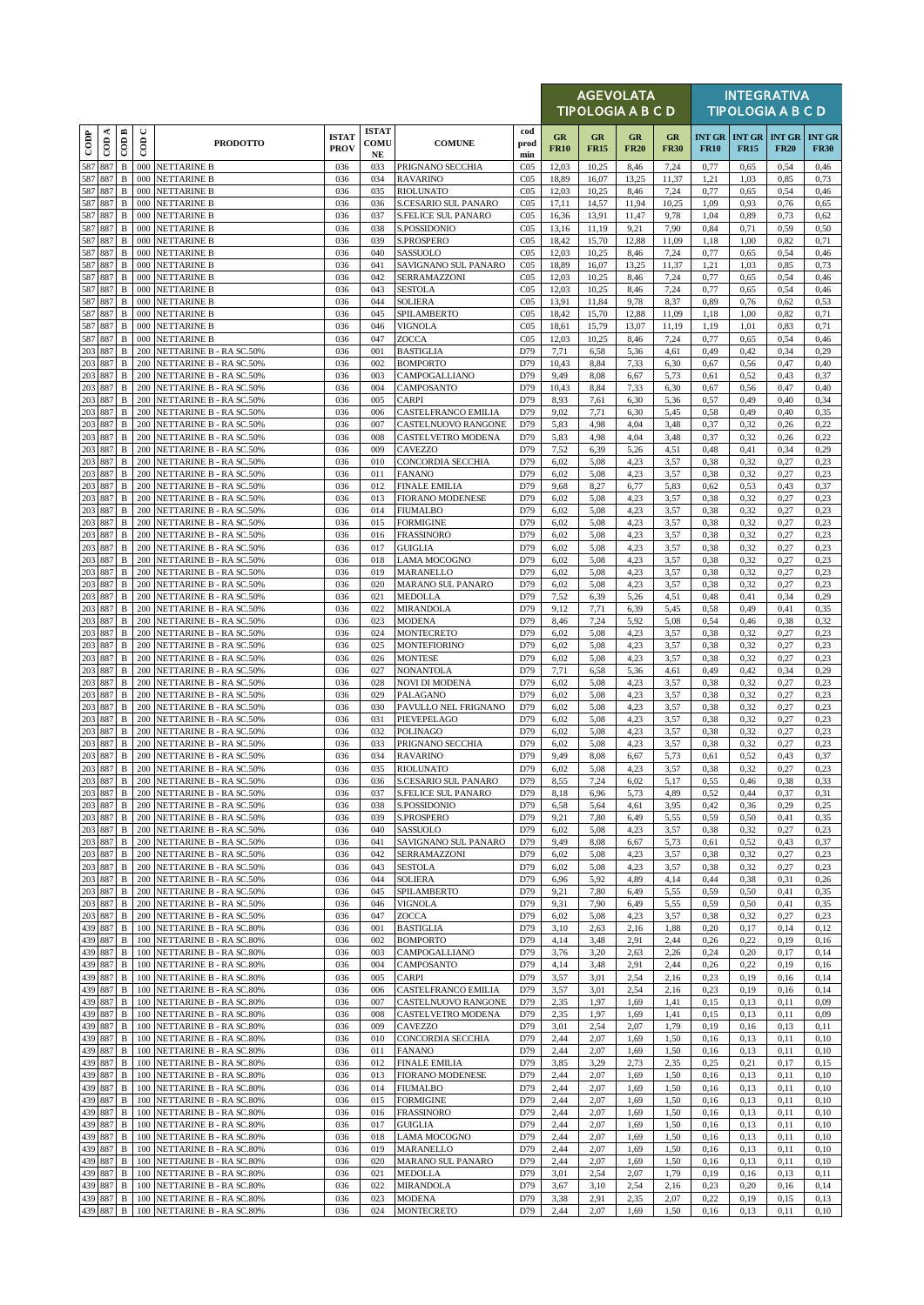|                    |                     |                              |                      |                                                           |                             |                                  |                                                 |                                    |                   | <b>AGEVOLATA</b><br>TIPOLOGIA A B C D |                   |                   |              |                                       | <b>INTEGRATIVA</b><br><b>TIPOLOGIA A B C D</b> |                              |
|--------------------|---------------------|------------------------------|----------------------|-----------------------------------------------------------|-----------------------------|----------------------------------|-------------------------------------------------|------------------------------------|-------------------|---------------------------------------|-------------------|-------------------|--------------|---------------------------------------|------------------------------------------------|------------------------------|
| $_{\rm{cop}}$      | ≺<br>$\overline{c}$ | $\overline{CDB}$             | $\cup$<br>$\epsilon$ | <b>PRODOTTO</b>                                           | <b>ISTAT</b><br><b>PROV</b> | <b>ISTAT</b><br>COMU<br>$\bf NE$ | <b>COMUNE</b>                                   | cod<br>prod<br>min                 | GR<br><b>FR10</b> | GR<br><b>FR15</b>                     | GR<br><b>FR20</b> | GR<br><b>FR30</b> | <b>FR10</b>  | <b>INT GR   INT GR</b><br><b>FR15</b> | <b>INT GR</b><br><b>FR20</b>                   | <b>INT GR</b><br><b>FR30</b> |
| 587                | 887                 | $\, {\bf B}$                 |                      | 000 NETTARINE B                                           | 036                         | 033                              | PRIGNANO SECCHIA                                | CO <sub>5</sub>                    | 12,03             | 10,25                                 | 8,46              | 7,24              | 0,77         | 0,65                                  | 0,54                                           | 0,46                         |
| 587                | 887<br>587 887      | $\, {\bf B}$<br>$\, {\bf B}$ | 000<br>000           | <b>NETTARINE B</b><br><b>NETTARINE B</b>                  | 036<br>036                  | 034<br>035                       | <b>RAVARINO</b><br><b>RIOLUNATO</b>             | CO <sub>5</sub><br>CO <sub>5</sub> | 18,89<br>12,03    | 16,07<br>10,25                        | 13,25<br>8,46     | 11,37<br>7,24     | 1,21<br>0,77 | 1,03<br>0,65                          | 0,85<br>0,54                                   | 0,73<br>0,46                 |
| 587 887            |                     | $\, {\bf B}$                 | 000                  | <b>NETTARINE B</b>                                        | 036                         | 036                              | S.CESARIO SUL PANARO                            | CO <sub>5</sub>                    | 17,11             | 14,57                                 | 11,94             | 10,25             | 1,09         | 0,93                                  | 0,76                                           | 0.65                         |
| 587<br>587 887     | 887                 | $\, {\bf B}$<br>$\, {\bf B}$ | 000<br>000           | <b>NETTARINE B</b><br><b>NETTARINE B</b>                  | 036<br>036                  | 037<br>038                       | <b>S.FELICE SUL PANARO</b><br>S.POSSIDONIO      | CO <sub>5</sub><br>CO <sub>5</sub> | 16,36<br>13,16    | 13,91<br>11,19                        | 11,47<br>9,21     | 9,78<br>7,90      | 1,04<br>0,84 | 0,89<br>0,71                          | 0,73<br>0,59                                   | 0.62<br>0,50                 |
| 587 887            |                     | $\, {\bf B}$                 |                      | 000 NETTARINE B                                           | 036                         | 039                              | S.PROSPERO                                      | CO <sub>5</sub>                    | 18,42             | 15,70                                 | 12,88             | 11,09             | 1,18         | 1,00                                  | 0,82                                           | 0,71                         |
| 587<br>587 887     | 887                 | $\, {\bf B}$<br>$\, {\bf B}$ | 000<br>000           | <b>NETTARINE B</b><br><b>NETTARINE B</b>                  | 036<br>036                  | 040<br>041                       | SASSUOLO<br>SAVIGNANO SUL PANARO                | CO <sub>5</sub><br>CO <sub>5</sub> | 12,03<br>18,89    | 10,25<br>16,07                        | 8,46<br>13,25     | 7,24<br>11,37     | 0,77<br>1,21 | 0,65<br>1,03                          | 0,54<br>0,85                                   | 0,46<br>0,73                 |
| 587 887            |                     | B                            | 000                  | <b>NETTARINE B</b>                                        | 036                         | 042                              | SERRAMAZZONI                                    | CO <sub>5</sub>                    | 12,03             | 10,25                                 | 8,46              | 7,24              | 0,77         | 0,65                                  | 0,54                                           | 0,46                         |
| 587<br>587         | 887<br>887          | $\, {\bf B}$<br>$\, {\bf B}$ | 000<br>000           | <b>NETTARINE B</b><br><b>NETTARINE B</b>                  | 036<br>036                  | 043<br>044                       | <b>SESTOLA</b><br>SOLIERA                       | CO <sub>5</sub><br>CO <sub>5</sub> | 12,03<br>13,91    | 10,25<br>11,84                        | 8,46<br>9,78      | 7,24<br>8,37      | 0,77<br>0,89 | 0,65<br>0,76                          | 0,54<br>0,62                                   | 0,46<br>0,53                 |
| 587 887            |                     | $\, {\bf B}$                 | 000                  | <b>NETTARINE B</b>                                        | 036                         | 045                              | SPILAMBERTO                                     | CO <sub>5</sub>                    | 18,42             | 15,70                                 | 12,88             | 11,09             | 1,18         | 1,00                                  | 0,82                                           | 0,71                         |
| 587 887<br>587 887 |                     | $\, {\bf B}$<br>$\, {\bf B}$ | 000<br>000           | <b>NETTARINE B</b><br><b>NETTARINE B</b>                  | 036<br>036                  | 046<br>047                       | <b>VIGNOLA</b><br>ZOCCA                         | CO <sub>5</sub><br>CO <sub>5</sub> | 18,61<br>12,03    | 15,79<br>10,25                        | 13,07<br>8,46     | 11,19<br>7,24     | 1,19<br>0,77 | 1,01<br>0,65                          | 0,83<br>0,54                                   | 0,71<br>0,46                 |
| 203 887            |                     | $\, {\bf B}$                 | 200                  | NETTARINE B - RA SC.50%                                   | 036                         | 001                              | <b>BASTIGLIA</b>                                | D79                                | 7,71              | 6,58                                  | 5,36              | 4,61              | 0,49         | 0,42                                  | 0,34                                           | 0,29                         |
| 203 887<br>203 887 |                     | $\, {\bf B}$<br>$\, {\bf B}$ | 200                  | NETTARINE B - RA SC.50%<br>200 NETTARINE B - RA SC.50%    | 036<br>036                  | 002<br>003                       | <b>BOMPORTO</b><br>CAMPOGALLIANO                | D79<br>D79                         | 10,43<br>9,49     | 8,84<br>8,08                          | 7,33<br>6,67      | 6,30<br>5,73      | 0,67<br>0,61 | 0,56<br>0,52                          | 0,47<br>0,43                                   | 0,40<br>0,37                 |
| 203                | 887                 | $\, {\bf B}$                 | 200                  | NETTARINE B - RA SC.50%                                   | 036                         | 004                              | CAMPOSANTO                                      | D79                                | 10,43             | 8,84                                  | 7,33              | 6,30              | 0,67         | 0,56                                  | 0,47                                           | 0,40                         |
| 203 887<br>203 887 |                     | B<br>$\, {\bf B}$            | 200<br>200           | NETTARINE B - RA SC.50%<br>NETTARINE B - RA SC.50%        | 036<br>036                  | 005<br>006                       | <b>CARPI</b><br>CASTELFRANCO EMILIA             | D79<br>D79                         | 8,93<br>9,02      | 7,61<br>7,71                          | 6,30<br>6,30      | 5,36<br>5,45      | 0,57<br>0,58 | 0,49<br>0,49                          | 0,40<br>0,40                                   | 0,34<br>0,35                 |
| 203 887            |                     | $\, {\bf B}$                 | 200                  | NETTARINE B - RA SC.50%                                   | 036                         | 007                              | CASTELNUOVO RANGONE                             | D79                                | 5,83              | 4,98                                  | 4,04              | 3,48              | 0,37         | 0,32                                  | 0,26                                           | 0,22                         |
| 203 887<br>203     | 887                 | B<br>B                       | 200<br>200           | NETTARINE B - RA SC.50%                                   | 036<br>036                  | 008<br>009                       | <b>CASTELVETRO MODENA</b><br>CAVEZZO            | D79<br>D79                         | 5,83<br>7,52      | 4,98<br>6,39                          | 4,04<br>5,26      | 3,48<br>4,51      | 0,37<br>0,48 | 0,32<br>0,41                          | 0,26<br>0,34                                   | 0,22<br>0,29                 |
|                    | 203 887             | $\, {\bf B}$                 | 200                  | NETTARINE B - RA SC.50%<br>NETTARINE B - RA SC.50%        | 036                         | 010                              | <b>CONCORDIA SECCHIA</b>                        | D79                                | 6,02              | 5,08                                  | 4,23              | 3,57              | 0,38         | 0,32                                  | 0,27                                           | 0,23                         |
| 203<br>203 887     | 887                 | $\, {\bf B}$                 | 200                  | NETTARINE B - RA SC.50%                                   | 036                         | 011                              | <b>FANANO</b>                                   | D79                                | 6,02              | 5,08                                  | 4,23              | 3,57              | 0,38         | 0,32                                  | 0,27                                           | 0,23                         |
| 203 887            |                     | $\, {\bf B}$<br>$\, {\bf B}$ | 200<br>200           | NETTARINE B - RA SC.50%<br><b>NETTARINE B - RA SC.50%</b> | 036<br>036                  | 012<br>013                       | <b>FINALE EMILIA</b><br><b>FIORANO MODENESE</b> | D79<br>D79                         | 9,68<br>6,02      | 8,27<br>5,08                          | 6,77<br>4,23      | 5,83<br>3,57      | 0.62<br>0,38 | 0,53<br>0,32                          | 0,43<br>0,27                                   | 0,37<br>0,23                 |
| 203 887            |                     | $\, {\bf B}$                 | 200                  | NETTARINE B - RA SC.50%                                   | 036                         | 014                              | <b>FIUMALBO</b>                                 | D79                                | 6,02              | 5,08                                  | 4,23              | 3,57              | 0,38         | 0,32                                  | 0,27                                           | 0,23                         |
| 203<br>203 887     | 887                 | $\, {\bf B}$<br>$\, {\bf B}$ | 200<br>200           | <b>NETTARINE B - RA SC.50%</b><br>NETTARINE B - RA SC.50% | 036<br>036                  | 015<br>016                       | <b>FORMIGINE</b><br><b>FRASSINORO</b>           | D79<br>D79                         | 6,02<br>6,02      | 5,08<br>5,08                          | 4.23<br>4,23      | 3,57<br>3,57      | 0,38<br>0,38 | 0,32<br>0,32                          | 0,27<br>0,27                                   | 0,23<br>0,23                 |
| 203 887            |                     | $\, {\bf B}$                 |                      | 200 NETTARINE B - RA SC.50%                               | 036                         | 017                              | <b>GUIGLIA</b>                                  | D79                                | 6,02              | 5,08                                  | 4,23              | 3,57              | 0,38         | 0,32                                  | 0,27                                           | 0,23                         |
| 203                | 887<br>203 887      | $\, {\bf B}$<br>$\, {\bf B}$ | 200<br>200           | NETTARINE B - RA SC.50%<br>NETTARINE B - RA SC.50%        | 036<br>036                  | 018<br>019                       | LAMA MOCOGNO<br>MARANELLO                       | D79<br>D79                         | 6,02<br>6,02      | 5,08<br>5,08                          | 4,23<br>4,23      | 3,57<br>3,57      | 0,38<br>0,38 | 0,32<br>0,32                          | 0,27<br>0,27                                   | 0,23<br>0,23                 |
| 203 887            |                     | $\, {\bf B}$                 | 200                  | NETTARINE B - RA SC.50%                                   | 036                         | 020                              | <b>MARANO SUL PANARO</b>                        | D79                                | 6,02              | 5,08                                  | 4,23              | 3,57              | 0,38         | 0,32                                  | 0,27                                           | 0,23                         |
| 203 887<br>203 887 |                     | $\, {\bf B}$<br>B            | 200<br>200           | NETTARINE B - RA SC.50%<br>NETTARINE B - RA SC.50%        | 036<br>036                  | 021<br>022                       | <b>MEDOLLA</b><br><b>MIRANDOLA</b>              | D79<br>D79                         | 7,52<br>9,12      | 6,39<br>7,71                          | 5,26<br>6,39      | 4,51<br>5,45      | 0,48<br>0,58 | 0,41<br>0,49                          | 0,34<br>0,41                                   | 0,29<br>0,35                 |
| 203 887            |                     | B                            | 200                  | NETTARINE B - RA SC.50%                                   | 036                         | 023                              | <b>MODENA</b>                                   | D79                                | 8,46              | 7,24                                  | 5,92              | 5,08              | 0,54         | 0,46                                  | 0,38                                           | 0,32                         |
| 203 887<br>203 887 |                     | $\, {\bf B}$<br>$\, {\bf B}$ | 200<br>200           | NETTARINE B - RA SC.50%<br>NETTARINE B - RA SC.50%        | 036<br>036                  | 024<br>025                       | <b>MONTECRETO</b><br><b>MONTEFIORINO</b>        | D79<br>D79                         | 6,02<br>6,02      | 5,08<br>5,08                          | 4,23<br>4,23      | 3,57<br>3,57      | 0,38<br>0,38 | 0,32<br>0,32                          | 0,27<br>0,27                                   | 0,23<br>0,23                 |
| 203 887            |                     | $\, {\bf B}$                 | 200                  | NETTARINE B - RA SC.50%                                   | 036                         | 026                              | <b>MONTESE</b>                                  | D79                                | 6,02              | 5,08                                  | 4,23              | 3,57              | 0,38         | 0,32                                  | 0,27                                           | 0,23                         |
| 203<br>203 887     | 887                 | $\, {\bf B}$<br>$\, {\bf B}$ | 200                  | NETTARINE B - RA SC.50%<br>200 NETTARINE B - RA SC.50%    | 036<br>036                  | 027<br>028                       | <b>NONANTOLA</b><br><b>NOVI DI MODENA</b>       | D79<br>D79                         | 7,71<br>6,02      | 6,58<br>5,08                          | 5,36<br>4,23      | 4,61<br>3,57      | 0,49<br>0,38 | 0,42<br>0,32                          | 0,34<br>0,27                                   | 0,29<br>0,23                 |
| 203                | 887                 | $\, {\bf B}$                 | 200                  | NETTARINE B - RA SC.50%                                   | 036                         | 029                              | PALAGANO                                        | D79                                | 6,02              | 5,08                                  | 4,23              | 3,57              | 0,38         | 0,32                                  | 0,27                                           | 0,23                         |
| 203 887<br>203 887 |                     | $\, {\bf B}$<br>B            | 200                  | NETTARINE B - RA SC.50%<br>200 NETTARINE B - RA SC.50%    | 036<br>036                  | 030<br>031                       | PAVULLO NEL FRIGNANO<br>PIEVEPELAGO             | D79<br>D79                         | 6,02<br>6,02      | 5,08<br>5,08                          | 4.23<br>4,23      | 3,57<br>3,57      | 0,38<br>0,38 | 0,32<br>0,32                          | 0,27<br>0,27                                   | 0,23<br>0,23                 |
| 203                | 887                 | $\, {\bf B}$                 | 200                  | NETTARINE B - RA SC.50%                                   | 036                         | 032                              | <b>POLINAGO</b>                                 | D79                                | 6,02              | 5,08                                  | 4,23              | 3,57              | 0,38         | 0,32                                  | 0,27                                           | 0,23                         |
| 203 887            | 203 887             | B<br>$\, {\bf B}$            | 200<br>200           | <b>NETTARINE B - RA SC.50%</b><br>NETTARINE B - RA SC.50% | 036<br>036                  | 033<br>034                       | PRIGNANO SECCHIA<br><b>RAVARINO</b>             | D79<br>D79                         | 6,02<br>9,49      | 5,08<br>8,08                          | 4,23<br>6,67      | 3,57<br>5,73      | 0,38<br>0,61 | 0,32<br>0,52                          | 0,27<br>0,43                                   | 0,23<br>0,37                 |
|                    | 203 887             | $\, {\bf B}$                 |                      | 200 NETTARINE B - RA SC.50%                               | 036                         | 035                              | <b>RIOLUNATO</b>                                | D79                                | 6,02              | 5,08                                  | 4,23              | 3,57              | 0,38         | 0,32                                  | 0,27                                           | 0,23                         |
| 203 887<br>203 887 |                     | $\mathbf B$                  |                      | 200 NETTARINE B - RA SC.50%                               | 036                         | 036                              | <b>S.CESARIO SUL PANARO</b>                     | D79                                | 8,55              | 7,24                                  | 6,02              | 5,17              | 0,55         | 0,46                                  | 0,38                                           | 0,33                         |
|                    | 203 887             | $\, {\bf B}$<br>B            | 200                  | 200 NETTARINE B - RA SC.50%<br>NETTARINE B - RA SC.50%    | 036<br>036                  | 037<br>038                       | <b>S.FELICE SUL PANARO</b><br>S.POSSIDONIO      | D79<br>D79                         | 8,18<br>6,58      | 6,96<br>5,64                          | 5,73<br>4,61      | 4,89<br>3,95      | 0,52<br>0,42 | 0,44<br>0,36                          | 0,37<br>0,29                                   | 0,31<br>0,25                 |
|                    | 203 887             | B                            | 200                  | NETTARINE B - RA SC.50%                                   | 036                         | 039                              | S.PROSPERO                                      | D79                                | 9,21              | 7,80                                  | 6,49              | 5,55              | 0,59         | 0,50                                  | 0,41                                           | 0,35                         |
| 203 887            | 203 887             | В<br>$\, {\bf B}$            | 200<br>200           | NETTARINE B - RA SC.50%<br>NETTARINE B - RA SC.50%        | 036<br>036                  | 040<br>041                       | <b>SASSUOLO</b><br>SAVIGNANO SUL PANARO         | D79<br>D79                         | 6,02<br>9,49      | 5,08<br>8,08                          | 4,23<br>6,67      | 3,57<br>5,73      | 0,38<br>0,61 | 0,32<br>0,52                          | 0,27<br>0,43                                   | 0,23<br>0,37                 |
| 203 887            |                     | $\, {\bf B}$                 | 200                  | NETTARINE B - RA SC.50%                                   | 036                         | 042                              | SERRAMAZZONI                                    | D79                                | 6,02              | 5,08                                  | 4,23              | 3,57              | 0,38         | 0,32                                  | 0,27                                           | 0,23                         |
| 203 887<br>203 887 |                     | $\, {\bf B}$<br>$\, {\bf B}$ | 200<br>200           | NETTARINE B - RA SC.50%<br>NETTARINE B - RA SC.50%        | 036<br>036                  | 043<br>044                       | <b>SESTOLA</b><br><b>SOLIERA</b>                | D79<br>D79                         | 6,02<br>6,96      | 5,08<br>5,92                          | 4,23<br>4,89      | 3,57<br>4,14      | 0,38<br>0,44 | 0,32<br>0,38                          | 0,27<br>0,31                                   | 0,23<br>0,26                 |
|                    | 203 887             | B                            |                      | 200 NETTARINE B - RA SC.50%                               | 036                         | 045                              | SPILAMBERTO                                     | D79                                | 9,21              | 7,80                                  | 6,49              | 5,55              | 0,59         | 0,50                                  | 0,41                                           | 0,35                         |
|                    | 203 887<br>203 887  | $\, {\bf B}$<br>B            | 200<br>200           | <b>NETTARINE B - RA SC.50%</b><br>NETTARINE B - RA SC.50% | 036<br>036                  | 046<br>047                       | <b>VIGNOLA</b><br>ZOCCA                         | D79<br>D79                         | 9,31<br>6,02      | 7,90<br>5,08                          | 6,49<br>4,23      | 5,55<br>3,57      | 0,59<br>0,38 | 0,50<br>0,32                          | 0,41<br>0,27                                   | 0,35<br>0,23                 |
| 439 887            |                     | B                            |                      | 100 NETTARINE B - RA SC.80%                               | 036                         | 001                              | <b>BASTIGLIA</b>                                | D79                                | 3,10              | 2,63                                  | 2,16              | 1,88              | 0,20         | 0,17                                  | 0,14                                           | 0,12                         |
|                    | 439 887<br>439 887  | $\, {\bf B}$<br>B            | 100<br>100           | <b>NETTARINE B - RA SC.80%</b><br>NETTARINE B - RA SC.80% | 036<br>036                  | 002<br>003                       | <b>BOMPORTO</b><br>CAMPOGALLIANO                | D79<br>D79                         | 4,14<br>3,76      | 3,48<br>3,20                          | 2,91<br>2,63      | 2,44<br>2,26      | 0,26<br>0,24 | 0,22<br>0,20                          | 0,19<br>0,17                                   | 0,16<br>0,14                 |
| 439 887            |                     | $\, {\bf B}$                 | 100                  | NETTARINE B - RA SC.80%                                   | 036                         | 004                              | CAMPOSANTO                                      | D79                                | 4,14              | 3,48                                  | 2,91              | 2,44              | 0,26         | 0,22                                  | 0,19                                           | 0,16                         |
|                    | 439 887<br>439 887  | $\, {\bf B}$<br>B            | 100<br>100           | NETTARINE B - RA SC.80%<br>NETTARINE B - RA SC.80%        | 036<br>036                  | 005<br>006                       | CARPI<br>CASTELFRANCO EMILIA                    | D79<br>D79                         | 3,57<br>3,57      | 3,01<br>3,01                          | 2,54<br>2,54      | 2,16<br>2,16      | 0,23<br>0,23 | 0,19<br>0,19                          | 0,16<br>0,16                                   | 0,14<br>0,14                 |
|                    | 439 887             | $\, {\bf B}$                 | 100                  | NETTARINE B - RA SC.80%                                   | 036                         | 007                              | CASTELNUOVO RANGONE                             | D79                                | 2,35              | 1,97                                  | 1,69              | 1,41              | 0,15         | 0,13                                  | 0,11                                           | 0,09                         |
| 439 887            | 439 887             | $\, {\bf B}$<br>B            | 100                  | NETTARINE B - RA SC.80%<br>100 NETTARINE B - RA SC.80%    | 036<br>036                  | 008<br>009                       | CASTELVETRO MODENA<br>CAVEZZO                   | D79<br>D79                         | 2,35<br>3,01      | 1,97<br>2,54                          | 1,69<br>2,07      | 1,41<br>1,79      | 0,15<br>0,19 | 0,13<br>0,16                          | 0,11<br>0,13                                   | 0,09<br>0,11                 |
| 439 887            |                     | B                            | 100                  | NETTARINE B - RA SC.80%                                   | 036                         | 010                              | CONCORDIA SECCHIA                               | D79                                | 2,44              | 2,07                                  | 1,69              | 1,50              | 0,16         | 0,13                                  | 0,11                                           | 0,10                         |
| 439 887<br>439 887 |                     | $\, {\bf B}$<br>B            | 100                  | NETTARINE B - RA SC.80%<br>100 NETTARINE B - RA SC.80%    | 036<br>036                  | 011<br>012                       | <b>FANANO</b><br><b>FINALE EMILIA</b>           | D79<br>D79                         | 2,44<br>3,85      | 2,07<br>3,29                          | 1.69<br>2,73      | 1,50<br>2,35      | 0,16<br>0.25 | 0,13<br>0,21                          | 0,11<br>0,17                                   | 0,10<br>0,15                 |
| 439 887            |                     | $\, {\bf B}$                 | 100                  | NETTARINE B - RA SC.80%                                   | 036                         | 013                              | <b>FIORANO MODENESE</b>                         | D79                                | 2,44              | 2,07                                  | 1,69              | 1,50              | 0,16         | 0,13                                  | 0,11                                           | 0,10                         |
| 439 887            | 439 887             | $\, {\bf B}$                 | 100<br>100           | NETTARINE B - RA SC.80%                                   | 036<br>036                  | 014                              | <b>FIUMALBO</b><br><b>FORMIGINE</b>             | D79<br>D79                         | 2,44<br>2,44      | 2,07<br>2,07                          | 1,69<br>1,69      | 1,50<br>1,50      | 0,16<br>0,16 | 0,13<br>0,13                          | 0,11<br>0,11                                   | 0,10<br>0,10                 |
|                    | 439 887             | B<br>B                       | 100                  | NETTARINE B - RA SC.80%<br>NETTARINE B - RA SC.80%        | 036                         | 015<br>016                       | <b>FRASSINORO</b>                               | D79                                | 2,44              | 2,07                                  | 1,69              | 1,50              | 0,16         | 0,13                                  | 0,11                                           | 0,10                         |
| 439 887            | 439 887             | B                            | 100                  | NETTARINE B - RA SC.80%                                   | 036                         | 017                              | <b>GUIGLIA</b>                                  | D79                                | 2,44              | 2,07                                  | 1,69              | 1,50              | 0,16         | 0,13                                  | 0,11                                           | 0,10                         |
|                    | 439 887             | В<br>B                       | 100<br>100           | NETTARINE B - RA SC.80%<br>NETTARINE B - RA SC.80%        | 036<br>036                  | 018<br>019                       | LAMA MOCOGNO<br>MARANELLO                       | D79<br>D79                         | 2,44<br>2,44      | 2,07<br>2,07                          | 1.69<br>1,69      | 1,50<br>1,50      | 0,16<br>0,16 | 0,13<br>0,13                          | 0,11<br>0,11                                   | 0,10<br>0,10                 |
|                    | 439 887             | $\, {\bf B}$                 | 100                  | NETTARINE B - RA SC.80%                                   | 036                         | 020                              | MARANO SUL PANARO                               | D79                                | 2,44              | 2,07                                  | 1,69              | 1,50              | 0,16         | 0,13                                  | 0,11                                           | 0,10                         |
|                    | 439 887<br>439 887  | B<br>$\, {\bf B}$            | 100<br>100           | NETTARINE B - RA SC.80%<br>NETTARINE B - RA SC.80%        | 036<br>036                  | 021<br>022                       | <b>MEDOLLA</b><br><b>MIRANDOLA</b>              | D79<br>D79                         | 3,01<br>3,67      | 2,54<br>3,10                          | 2,07<br>2.54      | 1,79<br>2,16      | 0,19<br>0,23 | 0,16<br>0,20                          | 0,13<br>0,16                                   | 0,11<br>0,14                 |
|                    | 439 887             | B                            |                      | 100 NETTARINE B - RA SC.80%                               | 036                         | 023                              | <b>MODENA</b>                                   | D79                                | 3,38              | 2,91                                  | 2,35              | 2,07              | 0,22         | 0,19                                  | 0,15                                           | 0,13                         |
|                    | 439 887             | B                            |                      | 100 NETTARINE B - RA SC.80%                               | 036                         | 024                              | <b>MONTECRETO</b>                               | D79                                | 2,44              | 2,07                                  | 1,69              | 1,50              | 0,16         | 0,13                                  | 0,11                                           | 0,10                         |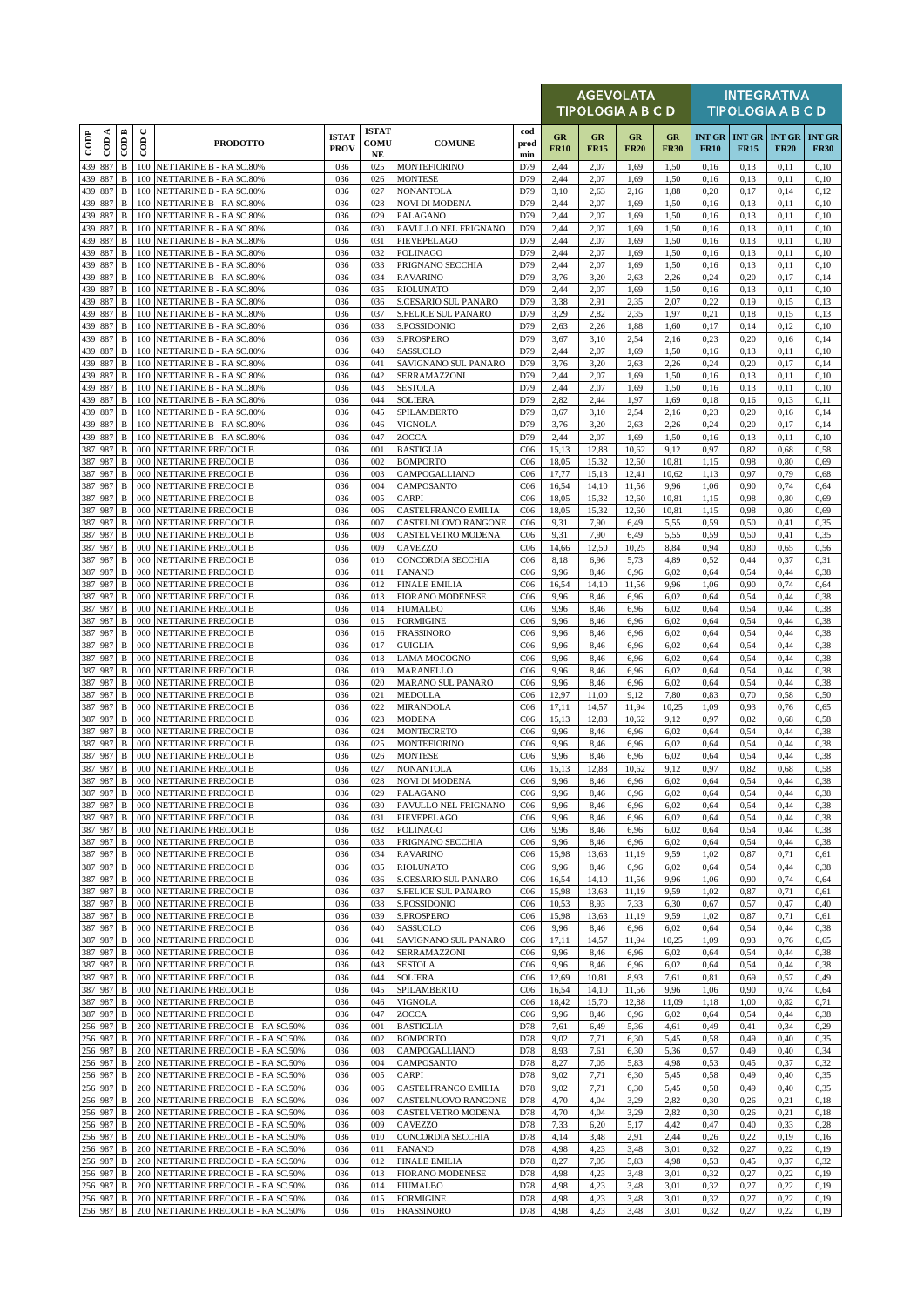|                    |                    |                              |                      |                                                                        |                             |                                     |                                                    |                                    |                   | <b>AGEVOLATA</b><br><b>TIPOLOGIA A B C D</b> |                          |                   |              |              | <b>INTEGRATIVA</b><br><b>TIPOLOGIA A B C D</b> |                              |
|--------------------|--------------------|------------------------------|----------------------|------------------------------------------------------------------------|-----------------------------|-------------------------------------|----------------------------------------------------|------------------------------------|-------------------|----------------------------------------------|--------------------------|-------------------|--------------|--------------|------------------------------------------------|------------------------------|
| $_{\rm{cop}}$      | $\cos A$           | $\overline{\mathrm{COD}}$ B  | $\cup$<br>$\epsilon$ | <b>PRODOTTO</b>                                                        | <b>ISTAT</b><br><b>PROV</b> | <b>ISTAT</b><br>COMU<br>$_{\rm NE}$ | <b>COMUNE</b>                                      | cod<br>prod<br>min                 | GR<br><b>FR10</b> | GR<br><b>FR15</b>                            | <b>GR</b><br><b>FR20</b> | GR<br><b>FR30</b> | <b>FR10</b>  | <b>FR15</b>  | <b>INT GR   INT GR   INT GR</b><br><b>FR20</b> | <b>INT GR</b><br><b>FR30</b> |
| 439 887            |                    | $\, {\bf B}$                 |                      | 100 NETTARINE B - RA SC.80%                                            | 036                         | 025                                 | <b>MONTEFIORINO</b>                                | D79                                | 2,44              | 2,07                                         | 1,69                     | 1,50              | 0,16         | 0,13         | 0,11                                           | 0,10                         |
| 439 887<br>439 887 |                    | $\, {\bf B}$<br>$\, {\bf B}$ | 100<br>100           | NETTARINE B - RA SC.80%<br>NETTARINE B - RA SC.80%                     | 036<br>036                  | 026<br>027                          | <b>MONTESE</b><br>NONANTOLA                        | D79<br>D79                         | 2,44<br>3,10      | 2,07<br>2,63                                 | 1,69<br>2,16             | 1,50<br>1,88      | 0,16<br>0,20 | 0,13<br>0,17 | 0,11<br>0,14                                   | 0,10<br>0,12                 |
| 439 887            |                    | $\, {\bf B}$                 | 100                  | NETTARINE B - RA SC.80%                                                | 036                         | 028                                 | <b>NOVI DI MODENA</b>                              | D79                                | 2,44              | 2,07                                         | 1,69                     | 1,50              | 0,16         | 0,13         | 0,11                                           | 0,10                         |
| 439 887            |                    | $\, {\bf B}$                 | 100                  | NETTARINE B - RA SC.80%                                                | 036                         | 029                                 | PALAGANO                                           | D79                                | 2,44              | 2,07                                         | 1,69                     | 1,50              | 0,16         | 0,13         | 0,11                                           | 0,10                         |
| 439 887            |                    | $\, {\bf B}$                 | 100                  | NETTARINE B - RA SC.80%                                                | 036                         | 030                                 | PAVULLO NEL FRIGNANO                               | D79                                | 2,44              | 2,07                                         | 1,69                     | 1,50              | 0,16         | 0,13         | 0,11                                           | 0,10                         |
| 439 887<br>439 887 |                    | $\, {\bf B}$<br>$\, {\bf B}$ | 100<br>100           | NETTARINE B - RA SC.80%<br>NETTARINE B - RA SC.80%                     | 036<br>036                  | 031<br>032                          | PIEVEPELAGO<br>POLINAGO                            | D79<br>D79                         | 2,44<br>2,44      | 2,07<br>2.07                                 | 1.69<br>1,69             | 1,50<br>1,50      | 0,16<br>0,16 | 0,13<br>0.13 | 0,11<br>0,11                                   | 0,10<br>0,10                 |
| 439 887            |                    | $\, {\bf B}$                 | 100                  | NETTARINE B - RA SC.80%                                                | 036                         | 033                                 | PRIGNANO SECCHIA                                   | D79                                | 2,44              | 2,07                                         | 1,69                     | 1,50              | 0,16         | 0,13         | 0,11                                           | 0,10                         |
| 439 887            |                    | $\, {\bf B}$                 | 100                  | NETTARINE B - RA SC.80%                                                | 036                         | 034                                 | <b>RAVARINO</b>                                    | D79                                | 3,76              | 3,20                                         | 2,63                     | 2,26              | 0,24         | 0,20         | 0,17                                           | 0,14                         |
| 439 887            |                    | $\, {\bf B}$                 | 100                  | NETTARINE B - RA SC.80%                                                | 036                         | 035                                 | <b>RIOLUNATO</b>                                   | D79                                | 2,44              | 2,07                                         | 1,69                     | 1,50              | 0,16         | 0,13         | 0,11                                           | 0,10                         |
| 439 887<br>439 887 |                    | $\, {\bf B}$<br>$\, {\bf B}$ | 100<br>100           | NETTARINE B - RA SC.80%<br><b>NETTARINE B - RA SC.80%</b>              | 036<br>036                  | 036<br>037                          | S.CESARIO SUL PANARO<br><b>S.FELICE SUL PANARO</b> | D79<br>D79                         | 3,38<br>3,29      | 2,91<br>2,82                                 | 2,35<br>2,35             | 2,07<br>1,97      | 0,22<br>0.21 | 0,19<br>0,18 | 0,15<br>0,15                                   | 0,13<br>0,13                 |
| 439 887            |                    | B                            | 100                  | NETTARINE B - RA SC.80%                                                | 036                         | 038                                 | S.POSSIDONIO                                       | D79                                | 2,63              | 2,26                                         | 1,88                     | 1,60              | 0,17         | 0,14         | 0,12                                           | 0,10                         |
| 439 887            |                    | $\, {\bf B}$                 |                      | 100 NETTARINE B - RA SC.80%                                            | 036                         | 039                                 | S.PROSPERO                                         | D79                                | 3,67              | 3,10                                         | 2,54                     | 2,16              | 0,23         | 0,20         | 0,16                                           | 0,14                         |
| 439 887            |                    | $\, {\bf B}$                 | 100                  | NETTARINE B - RA SC.80%                                                | 036                         | 040                                 | SASSUOLO                                           | D79                                | 2,44              | 2,07                                         | 1,69                     | 1,50              | 0,16         | 0,13         | 0,11                                           | 0,10                         |
| 439 887<br>439 887 |                    | $\, {\bf B}$<br>$\, {\bf B}$ | 100<br>100           | NETTARINE B - RA SC.80%<br>NETTARINE B - RA SC.80%                     | 036<br>036                  | 041<br>042                          | SAVIGNANO SUL PANARO<br>SERRAMAZZONI               | D79<br>D79                         | 3,76<br>2,44      | 3,20<br>2.07                                 | 2,63<br>1,69             | 2,26<br>1,50      | 0,24<br>0,16 | 0,20<br>0,13 | 0,17<br>0,11                                   | 0,14<br>0,10                 |
| 439 887            |                    | $\, {\bf B}$                 | 100                  | NETTARINE B - RA SC.80%                                                | 036                         | 043                                 | <b>SESTOLA</b>                                     | D79                                | 2,44              | 2,07                                         | 1,69                     | 1,50              | 0,16         | 0,13         | 0,11                                           | 0,10                         |
| 439 887            |                    | B                            | 100                  | <b>NETTARINE B - RA SC.80%</b>                                         | 036                         | 044                                 | <b>SOLIERA</b>                                     | D79                                | 2,82              | 2,44                                         | 1,97                     | 1,69              | 0,18         | 0,16         | 0,13                                           | 0,11                         |
| 439 887            |                    | $\, {\bf B}$                 | 100                  | NETTARINE B - RA SC.80%                                                | 036                         | 045                                 | SPILAMBERTO                                        | D79                                | 3,67              | 3,10                                         | 2,54                     | 2,16              | 0,23         | 0,20         | 0,16                                           | 0,14                         |
| 439 887<br>439 887 |                    | $\, {\bf B}$<br>$\, {\bf B}$ | 100<br>100           | NETTARINE B - RA SC.80%<br>NETTARINE B - RA SC.80%                     | 036<br>036                  | 046<br>047                          | VIGNOLA<br>ZOCCA                                   | D79<br>D79                         | 3,76<br>2,44      | 3,20<br>2,07                                 | 2,63<br>1,69             | 2,26<br>1,50      | 0,24<br>0,16 | 0,20<br>0,13 | 0,17<br>0,11                                   | 0,14<br>0,10                 |
| 387 987            |                    | $\, {\bf B}$                 | 000                  | <b>NETTARINE PRECOCI B</b>                                             | 036                         | 001                                 | <b>BASTIGLIA</b>                                   | C <sub>06</sub>                    | 15,13             | 12,88                                        | 10,62                    | 9,12              | 0,97         | 0,82         | 0,68                                           | 0,58                         |
| 387 987            |                    | $\, {\bf B}$                 | 000                  | <b>NETTARINE PRECOCI B</b>                                             | 036                         | 002                                 | <b>BOMPORTO</b>                                    | C <sub>06</sub>                    | 18,05             | 15,32                                        | 12,60                    | 10,81             | 1,15         | 0,98         | 0,80                                           | 0,69                         |
| 387 987            |                    | B                            | 000                  | NETTARINE PRECOCI B                                                    | 036                         | 003                                 | CAMPOGALLIANO                                      | C <sub>06</sub>                    | 17,77             | 15,13                                        | 12,41                    | 10,62             | 1,13         | 0,97         | 0,79                                           | 0,68                         |
| 387<br>387 987     | 987                | $\, {\bf B}$<br>B            | 000<br>000           | NETTARINE PRECOCI B<br>NETTARINE PRECOCI B                             | 036<br>036                  | 004<br>005                          | CAMPOSANTO<br><b>CARPI</b>                         | C <sub>06</sub><br>C <sub>06</sub> | 16,54<br>18,05    | 14,10<br>15,32                               | 11,56<br>12,60           | 9,96<br>10,81     | 1,06<br>1,15 | 0,90<br>0,98 | 0,74<br>0,80                                   | 0,64<br>0,69                 |
| 387 987            |                    | $\mathbf B$                  | 000                  | NETTARINE PRECOCI B                                                    | 036                         | 006                                 | CASTELFRANCO EMILIA                                | C <sub>06</sub>                    | 18,05             | 15,32                                        | 12,60                    | 10,81             | 1,15         | 0,98         | 0,80                                           | 0,69                         |
| 387                | 987                | $\, {\bf B}$                 | 000                  | NETTARINE PRECOCI B                                                    | 036                         | 007                                 | CASTELNUOVO RANGONE                                | C <sub>06</sub>                    | 9,31              | 7,90                                         | 6,49                     | 5,55              | 0,59         | 0,50         | 0,41                                           | 0,35                         |
| 387 987<br>387 987 |                    | $\, {\bf B}$                 | 000                  | <b>NETTARINE PRECOCI B</b>                                             | 036                         | 008                                 | <b>CASTELVETRO MODENA</b>                          | CO <sub>6</sub>                    | 9,31              | 7,90                                         | 6,49                     | 5,55              | 0,59         | 0,50         | 0,41                                           | 0,35                         |
| 387                | 987                | B<br>$\, {\bf B}$            | 000<br>000           | <b>NETTARINE PRECOCI B</b><br>NETTARINE PRECOCI B                      | 036<br>036                  | 009<br>010                          | <b>CAVEZZO</b><br>CONCORDIA SECCHIA                | C <sub>06</sub><br>C <sub>06</sub> | 14,66<br>8,18     | 12,50<br>6,96                                | 10,25<br>5,73            | 8,84<br>4,89      | 0,94<br>0,52 | 0,80<br>0,44 | 0,65<br>0,37                                   | 0,56<br>0,31                 |
| 387 987            |                    | $\, {\bf B}$                 | 000                  | NETTARINE PRECOCI B                                                    | 036                         | 011                                 | <b>FANANO</b>                                      | C <sub>06</sub>                    | 9,96              | 8,46                                         | 6,96                     | 6,02              | 0,64         | 0,54         | 0,44                                           | 0,38                         |
| 387 987            |                    | $\, {\bf B}$                 | 000                  | NETTARINE PRECOCI B                                                    | 036                         | 012                                 | <b>FINALE EMILIA</b>                               | CO <sub>6</sub>                    | 16,54             | 14,10                                        | 11,56                    | 9,96              | 1,06         | 0,90         | 0,74                                           | 0,64                         |
| 387 987            |                    | $\, {\bf B}$                 | 000<br>000           | NETTARINE PRECOCI B                                                    | 036                         | 013                                 | <b>FIORANO MODENESE</b>                            | C <sub>06</sub>                    | 9,96              | 8,46                                         | 6,96                     | 6,02              | 0.64         | 0,54         | 0,44                                           | 0,38                         |
| 387 987<br>387 987 |                    | $\, {\bf B}$<br>$\, {\bf B}$ | 000                  | <b>NETTARINE PRECOCI B</b><br><b>NETTARINE PRECOCI B</b>               | 036<br>036                  | 014<br>015                          | <b>FIUMALBO</b><br><b>FORMIGINE</b>                | C <sub>06</sub><br>C <sub>06</sub> | 9,96<br>9,96      | 8,46<br>8,46                                 | 6,96<br>6,96             | 6,02<br>6,02      | 0,64<br>0.64 | 0,54<br>0,54 | 0,44<br>0,44                                   | 0,38<br>0,38                 |
| 387 987            |                    | B                            | 000                  | <b>NETTARINE PRECOCI B</b>                                             | 036                         | 016                                 | <b>FRASSINORO</b>                                  | C <sub>06</sub>                    | 9,96              | 8,46                                         | 6,96                     | 6,02              | 0.64         | 0,54         | 0,44                                           | 0,38                         |
| 387 987            |                    | $\, {\bf B}$                 |                      | 000 NETTARINE PRECOCI B                                                | 036                         | 017                                 | GUIGLIA                                            | C <sub>06</sub>                    | 9,96              | 8,46                                         | 6,96                     | 6,02              | 0.64         | 0,54         | 0,44                                           | 0,38                         |
| 387<br>387 987     | 987                | $\, {\bf B}$<br>B            | 000<br>000           | <b>NETTARINE PRECOCI B</b>                                             | 036<br>036                  | 018<br>019                          | <b>LAMA MOCOGNO</b><br>MARANELLO                   | C <sub>06</sub><br>C <sub>06</sub> | 9,96<br>9,96      | 8,46<br>8,46                                 | 6,96<br>6,96             | 6,02<br>6,02      | 0.64<br>0.64 | 0,54<br>0,54 | 0,44<br>0,44                                   | 0,38<br>0,38                 |
| 387 987            |                    | $\, {\bf B}$                 | 000                  | NETTARINE PRECOCI B<br><b>NETTARINE PRECOCI B</b>                      | 036                         | 020                                 | <b>MARANO SUL PANARO</b>                           | C <sub>06</sub>                    | 9,96              | 8,46                                         | 6,96                     | 6.02              | 0.64         | 0,54         | 0,44                                           | 0,38                         |
| 387 987            |                    | $\, {\bf B}$                 | 000                  | NETTARINE PRECOCI B                                                    | 036                         | 021                                 | <b>MEDOLLA</b>                                     | C <sub>06</sub>                    | 12,97             | 11,00                                        | 9,12                     | 7,80              | 0,83         | 0,70         | 0,58                                           | 0,50                         |
| 387 987            |                    | $\, {\bf B}$                 | 000                  | NETTARINE PRECOCI B                                                    | 036                         | 022                                 | MIRANDOLA                                          | C <sub>06</sub>                    | 17,11             | 14,57                                        | 11,94                    | 10,25             | 1,09         | 0.93         | 0,76                                           | 0,65                         |
| 387 987<br>387 987 |                    | $\, {\bf B}$<br>$\, {\bf B}$ | 000<br>000           | NETTARINE PRECOCI B<br>NETTARINE PRECOCI B                             | 036<br>036                  | 023<br>024                          | <b>MODENA</b><br><b>MONTECRETO</b>                 | C <sub>06</sub><br>C <sub>06</sub> | 15,13<br>9,96     | 12,88<br>8,46                                | 10,62<br>6,96            | 9,12<br>6,02      | 0,97<br>0.64 | 0.82<br>0,54 | 0,68<br>0,44                                   | 0,58<br>0,38                 |
| 387 987            |                    | B                            | 000                  | NETTARINE PRECOCI B                                                    | 036                         | 025                                 | <b>MONTEFIORINO</b>                                | C <sub>06</sub>                    | 9,96              | 8,46                                         | 6,96                     | 6,02              | 0,64         | 0,54         | 0,44                                           | 0,38                         |
| 387 987            |                    | $\, {\bf B}$                 | 000                  | <b>NETTARINE PRECOCI B</b>                                             | 036                         | 026                                 | <b>MONTESE</b>                                     | C <sub>06</sub>                    | 9,96              | 8,46                                         | 6,96                     | 6,02              | 0,64         | 0,54         | 0,44                                           | 0,38                         |
| 387 987            |                    | B                            | 000                  | <b>NETTARINE PRECOCI B</b>                                             | 036                         | 027                                 | <b>NONANTOLA</b>                                   | C <sub>06</sub>                    | 15,13             | 12,88                                        | 10,62                    | 9,12              | 0,97         | 0,82         | 0,68                                           | 0,58                         |
| 387 987            | 387 987            | $\, {\bf B}$<br>B            | 000                  | 000 NETTARINE PRECOCI B<br><b>NETTARINE PRECOCI B</b>                  | 036<br>036                  | 028<br>029                          | <b>NOVI DI MODENA</b><br><b>PALAGANO</b>           | C <sub>06</sub><br>C <sub>06</sub> | 9,96<br>9,96      | 8,46<br>8,46                                 | 6,96<br>6,96             | 6,02<br>6,02      | 0,64<br>0,64 | 0,54<br>0,54 | 0,44<br>0,44                                   | 0,38<br>0,38                 |
| 387 987            |                    | $\, {\bf B}$                 | 000                  | <b>NETTARINE PRECOCI B</b>                                             | 036                         | 030                                 | PAVULLO NEL FRIGNANO                               | C <sub>06</sub>                    | 9,96              | 8,46                                         | 6,96                     | 6,02              | 0,64         | 0,54         | 0,44                                           | 0,38                         |
|                    | 387 987            | B                            |                      | 000 NETTARINE PRECOCI B                                                | 036                         | 031                                 | PIEVEPELAGO                                        | C <sub>06</sub>                    | 9,96              | 8,46                                         | 6,96                     | 6,02              | 0,64         | 0,54         | 0,44                                           | 0,38                         |
| 387 987            |                    | $\, {\bf B}$                 | 000                  | NETTARINE PRECOCI B                                                    | 036                         | 032                                 | POLINAGO                                           | C <sub>06</sub>                    | 9,96              | 8,46                                         | 6,96                     | 6,02              | 0,64         | 0,54         | 0,44                                           | 0,38                         |
| 387 987            | 387 987            | B<br>B                       | 000<br>000           | NETTARINE PRECOCI B<br><b>NETTARINE PRECOCI B</b>                      | 036<br>036                  | 033<br>034                          | PRIGNANO SECCHIA<br><b>RAVARINO</b>                | C <sub>06</sub><br>C <sub>06</sub> | 9,96<br>15,98     | 8,46<br>13,63                                | 6,96<br>11,19            | 6,02<br>9,59      | 0,64<br>1,02 | 0,54<br>0,87 | 0,44<br>0,71                                   | 0,38<br>0,61                 |
| 387 987            |                    | $\, {\bf B}$                 | 000                  | NETTARINE PRECOCI B                                                    | 036                         | 035                                 | <b>RIOLUNATO</b>                                   | C <sub>06</sub>                    | 9,96              | 8,46                                         | 6,96                     | 6,02              | 0,64         | 0,54         | 0,44                                           | 0,38                         |
| 387 987            |                    | B                            | 000                  | <b>NETTARINE PRECOCI B</b>                                             | 036                         | 036                                 | S.CESARIO SUL PANARO                               | C <sub>06</sub>                    | 16,54             | 14,10                                        | 11,56                    | 9,96              | 1,06         | 0,90         | 0,74                                           | 0,64                         |
| 387 987            |                    | B                            | 000                  | <b>NETTARINE PRECOCI B</b>                                             | 036                         | 037                                 | S.FELICE SUL PANARO                                | C <sub>06</sub>                    | 15,98             | 13,63                                        | 11,19                    | 9,59              | 1,02         | 0,87         | 0,71                                           | 0,61                         |
| 387 987<br>387 987 |                    | $\, {\bf B}$<br>B            | 000                  | <b>NETTARINE PRECOCI B</b><br>000 NETTARINE PRECOCI B                  | 036<br>036                  | 038<br>039                          | S.POSSIDONIO<br>S.PROSPERO                         | C <sub>06</sub><br>C <sub>06</sub> | 10,53<br>15,98    | 8,93<br>13,63                                | 7,33<br>11,19            | 6,30<br>9,59      | 0,67<br>1,02 | 0,57<br>0,87 | 0,47<br>0,71                                   | 0,40<br>0,61                 |
| 387 987            |                    | $\, {\bf B}$                 | 000                  | NETTARINE PRECOCI B                                                    | 036                         | 040                                 | SASSUOLO                                           | C <sub>06</sub>                    | 9,96              | 8,46                                         | 6,96                     | 6,02              | 0,64         | 0,54         | 0,44                                           | 0,38                         |
| 387 987            |                    | $\, {\bf B}$                 | 000                  | NETTARINE PRECOCI B                                                    | 036                         | 041                                 | SAVIGNANO SUL PANARO                               | C <sub>06</sub>                    | 17,11             | 14,57                                        | 11,94                    | 10,25             | 1,09         | 0,93         | 0,76                                           | 0,65                         |
| 387 987            |                    | B                            |                      | 000 NETTARINE PRECOCI B                                                | 036                         | 042                                 | SERRAMAZZONI                                       | C <sub>06</sub>                    | 9,96              | 8,46                                         | 6,96                     | 6,02              | 0,64         | 0,54         | 0,44                                           | 0,38                         |
| 387 987<br>387 987 |                    | $\, {\bf B}$<br>$\, {\bf B}$ | 000<br>000           | NETTARINE PRECOCI B<br>NETTARINE PRECOCI B                             | 036<br>036                  | 043<br>044                          | <b>SESTOLA</b><br><b>SOLIERA</b>                   | C <sub>06</sub><br>C <sub>06</sub> | 9,96<br>12,69     | 8,46<br>10,81                                | 6,96<br>8.93             | 6,02<br>7,61      | 0,64<br>0.81 | 0,54<br>0.69 | 0,44<br>0,57                                   | 0,38<br>0,49                 |
| 387 987            |                    | $\, {\bf B}$                 |                      | 000 NETTARINE PRECOCI B                                                | 036                         | 045                                 | SPILAMBERTO                                        | C <sub>06</sub>                    | 16,54             | 14,10                                        | 11,56                    | 9,96              | 1,06         | 0,90         | 0,74                                           | 0,64                         |
|                    | 387 987            | $\, {\bf B}$                 | 000                  | NETTARINE PRECOCI B                                                    | 036                         | 046                                 | <b>VIGNOLA</b>                                     | C <sub>06</sub>                    | 18,42             | 15,70                                        | 12,88                    | 11,09             | 1,18         | 1,00         | 0,82                                           | 0,71                         |
| 387 987<br>256 987 |                    | $\, {\bf B}$                 | 000<br>200           | NETTARINE PRECOCI B                                                    | 036<br>036                  | 047<br>001                          | ZOCCA<br><b>BASTIGLIA</b>                          | C <sub>06</sub><br>D78             | 9,96<br>7,61      | 8,46<br>6,49                                 | 6,96                     | 6,02<br>4,61      | 0,64<br>0.49 | 0,54<br>0,41 | 0,44<br>0,34                                   | 0,38<br>0,29                 |
|                    | 256 987            | B<br>B                       | 200                  | NETTARINE PRECOCI B - RA SC.50%<br>NETTARINE PRECOCI B - RA SC.50%     | 036                         | 002                                 | <b>BOMPORTO</b>                                    | D78                                | 9,02              | 7,71                                         | 5,36<br>6,30             | 5,45              | 0,58         | 0,49         | 0,40                                           | 0,35                         |
| 256 987            |                    | В                            | 200                  | NETTARINE PRECOCI B - RA SC.50%                                        | 036                         | 003                                 | CAMPOGALLIANO                                      | D78                                | 8,93              | 7,61                                         | 6,30                     | 5,36              | 0,57         | 0,49         | 0,40                                           | 0,34                         |
| 256 987            |                    | В                            | 200                  | NETTARINE PRECOCI B - RA SC.50%                                        | 036                         | 004                                 | CAMPOSANTO                                         | D78                                | 8,27              | 7,05                                         | 5,83                     | 4,98              | 0,53         | 0,45         | 0,37                                           | 0,32                         |
|                    | 256 987            | $\, {\bf B}$                 | 200                  | NETTARINE PRECOCI B - RA SC.50%                                        | 036                         | 005                                 | CARPI                                              | D78                                | 9,02              | 7,71                                         | 6,30                     | 5,45              | 0,58         | 0,49         | 0,40                                           | 0,35                         |
| 256 987<br>256 987 |                    | $\, {\bf B}$<br>B            | 200<br>200           | NETTARINE PRECOCI B - RA SC.50%<br>NETTARINE PRECOCI B - RA SC.50%     | 036<br>036                  | 006<br>007                          | CASTELFRANCO EMILIA<br>CASTELNUOVO RANGONE         | D78<br>D78                         | 9,02<br>4,70      | 7,71<br>4,04                                 | 6,30<br>3.29             | 5,45<br>2,82      | 0,58<br>0,30 | 0,49<br>0,26 | 0,40<br>0,21                                   | 0,35<br>0,18                 |
| 256 987            |                    | $\, {\bf B}$                 | 200                  | NETTARINE PRECOCI B - RA SC.50%                                        | 036                         | 008                                 | CASTELVETRO MODENA                                 | D78                                | 4,70              | 4,04                                         | 3,29                     | 2,82              | 0,30         | 0,26         | 0,21                                           | 0,18                         |
|                    | 256 987            | $\, {\bf B}$                 |                      | 200 NETTARINE PRECOCI B - RA SC.50%                                    | 036                         | 009                                 | CAVEZZO                                            | D78                                | 7,33              | 6,20                                         | 5,17                     | 4,42              | 0,47         | 0,40         | 0,33                                           | 0,28                         |
| 256 987            |                    | B                            | 200                  | NETTARINE PRECOCI B - RA SC.50%                                        | 036                         | 010                                 | CONCORDIA SECCHIA                                  | D78                                | 4,14              | 3,48                                         | 2,91                     | 2,44              | 0,26         | 0,22         | 0,19                                           | 0,16                         |
|                    | 256 987<br>256 987 | $\, {\bf B}$<br>B            | 200                  | NETTARINE PRECOCI B - RA SC.50%<br>200 NETTARINE PRECOCI B - RA SC.50% | 036<br>036                  | 011<br>012                          | <b>FANANO</b><br><b>FINALE EMILIA</b>              | D78<br>D78                         | 4,98<br>8,27      | 4,23<br>7,05                                 | 3,48<br>5,83             | 3,01<br>4,98      | 0,32<br>0,53 | 0,27<br>0,45 | 0,22<br>0,37                                   | 0,19<br>0,32                 |
| 256 987            |                    | $\, {\bf B}$                 | 200                  | NETTARINE PRECOCI B - RA SC.50%                                        | 036                         | 013                                 | <b>FIORANO MODENESE</b>                            | D78                                | 4,98              | 4,23                                         | 3,48                     | 3,01              | 0,32         | 0,27         | 0,22                                           | 0,19                         |
| 256 987            |                    | B                            | 200                  | NETTARINE PRECOCI B - RA SC.50%                                        | 036                         | 014                                 | <b>FIUMALBO</b>                                    | D78                                | 4,98              | 4,23                                         | 3,48                     | 3,01              | 0,32         | 0,27         | 0,22                                           | 0,19                         |
| 256 987            |                    | В                            |                      | 200 NETTARINE PRECOCI B - RA SC.50%                                    | 036                         | 015                                 | <b>FORMIGINE</b>                                   | D78                                | 4,98              | 4,23                                         | 3,48                     | 3,01              | 0,32         | 0,27         | 0,22                                           | 0,19                         |
|                    | 256 987            | B                            |                      | 200 NETTARINE PRECOCI B - RA SC.50%                                    | 036                         | 016                                 | <b>FRASSINORO</b>                                  | D78                                | 4,98              | 4,23                                         | 3,48                     | 3,01              | 0,32         | 0,27         | 0,22                                           | 0,19                         |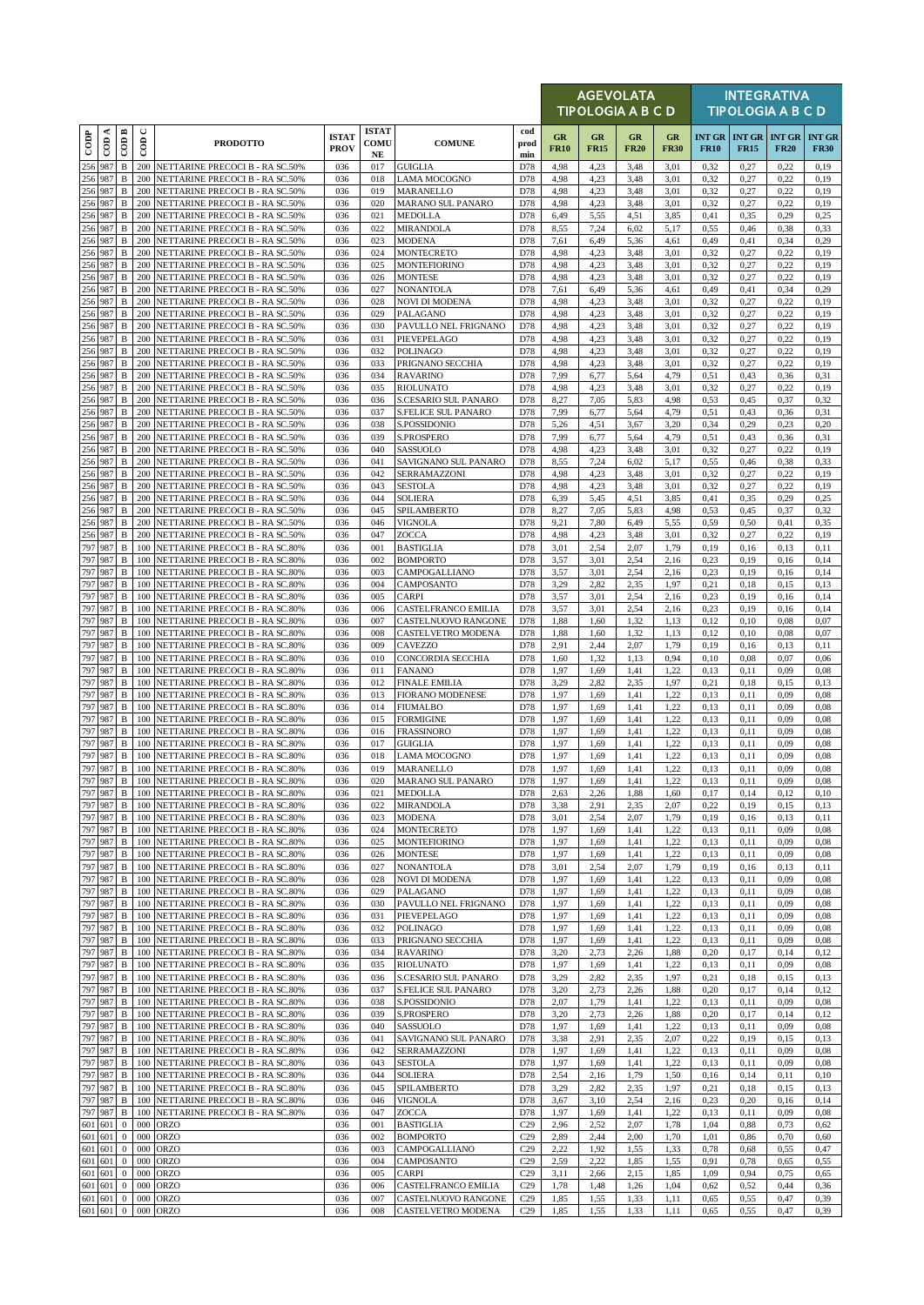|                          |                     |                              |                      |                                                                        |                             |                                  |                                                           |                        |                   | <b>AGEVOLATA</b><br>TIPOLOGIA A B C D |                   |                   |              |                                           | <b>INTEGRATIVA</b><br><b>TIPOLOGIA A B C D</b> |                              |
|--------------------------|---------------------|------------------------------|----------------------|------------------------------------------------------------------------|-----------------------------|----------------------------------|-----------------------------------------------------------|------------------------|-------------------|---------------------------------------|-------------------|-------------------|--------------|-------------------------------------------|------------------------------------------------|------------------------------|
| $\overline{\text{cone}}$ | ≺<br>$\overline{c}$ | $\overline{CDB}$             | $\cup$<br>$\epsilon$ | <b>PRODOTTO</b>                                                        | <b>ISTAT</b><br><b>PROV</b> | <b>ISTAT</b><br>COMU<br>$\bf NE$ | <b>COMUNE</b>                                             | cod<br>prod<br>min     | GR<br><b>FR10</b> | GR<br><b>FR15</b>                     | GR<br><b>FR20</b> | GR<br><b>FR30</b> | <b>FR10</b>  | INT GR $\overline{INT}$ GR<br><b>FR15</b> | <b>INT GR</b><br><b>FR20</b>                   | <b>INT GR</b><br><b>FR30</b> |
| 256 987                  |                     | $\, {\bf B}$                 | 200                  | NETTARINE PRECOCI B - RA SC.50%                                        | 036                         | 017                              | <b>GUIGLIA</b>                                            | D78                    | 4,98              | 4,23                                  | 3,48              | 3,01              | 0,32         | 0,27                                      | 0,22                                           | 0,19                         |
|                          | 256 987<br>256 987  | $\, {\bf B}$<br>$\, {\bf B}$ | 200<br>200           | NETTARINE PRECOCI B - RA SC.50%<br>NETTARINE PRECOCI B - RA SC.50%     | 036<br>036                  | 018<br>019                       | <b>LAMA MOCOGNO</b><br>MARANELLO                          | D78<br>D78             | 4,98<br>4,98      | 4,23<br>4,23                          | 3,48<br>3,48      | 3,01<br>3,01      | 0,32<br>0,32 | 0,27<br>0,27                              | 0,22<br>0,22                                   | 0,19<br>0,19                 |
|                          | 256 987             | $\, {\bf B}$                 | 200                  | NETTARINE PRECOCI B - RA SC.50%                                        | 036                         | 020                              | MARANO SUL PANARO                                         | D78                    | 4,98              | 4,23                                  | 3,48              | 3,01              | 0,32         | 0,27                                      | 0,22                                           | 0,19                         |
|                          | 256 987<br>256 987  | $\, {\bf B}$<br>$\, {\bf B}$ | 200<br>200           | NETTARINE PRECOCI B - RA SC.50%<br>NETTARINE PRECOCI B - RA SC.50%     | 036<br>036                  | 021<br>022                       | <b>MEDOLLA</b><br><b>MIRANDOLA</b>                        | D78<br>D78             | 6,49<br>8,55      | 5,55<br>7,24                          | 4,51<br>6,02      | 3,85<br>5,17      | 0,41<br>0,55 | 0.35<br>0,46                              | 0,29<br>0,38                                   | 0,25<br>0,33                 |
|                          | 256 987             | $\, {\bf B}$                 | 200                  | NETTARINE PRECOCI B - RA SC.50%                                        | 036                         | 023                              | <b>MODENA</b>                                             | D78                    | 7,61              | 6,49                                  | 5,36              | 4,61              | 0,49         | 0,41                                      | 0,34                                           | 0,29                         |
|                          | 256 987<br>256 987  | $\, {\bf B}$<br>$\, {\bf B}$ | 200<br>200           | NETTARINE PRECOCI B - RA SC.50%<br>NETTARINE PRECOCI B - RA SC.50%     | 036<br>036                  | 024<br>025                       | <b>MONTECRETO</b><br><b>MONTEFIORINO</b>                  | D78<br>D78             | 4,98<br>4,98      | 4,23<br>4,23                          | 3,48<br>3,48      | 3,01<br>3,01      | 0,32<br>0,32 | 0,27<br>0,27                              | 0,22<br>0,22                                   | 0,19<br>0,19                 |
|                          | 256 987             | B                            | 200                  | NETTARINE PRECOCI B - RA SC.50%                                        | 036                         | 026                              | <b>MONTESE</b>                                            | D78                    | 4,98              | 4,23                                  | 3,48              | 3,01              | 0,32         | 0,27                                      | 0,22                                           | 0,19                         |
|                          | 256 987<br>256 987  | $\, {\bf B}$<br>$\, {\bf B}$ | 200<br>200           | NETTARINE PRECOCI B - RA SC.50%<br>NETTARINE PRECOCI B - RA SC.50%     | 036<br>036                  | 027<br>028                       | <b>NONANTOLA</b><br><b>NOVI DI MODENA</b>                 | D78<br>D78             | 7,61<br>4,98      | 6,49<br>4,23                          | 5,36<br>3,48      | 4,61<br>3,01      | 0,49<br>0,32 | 0,41<br>0,27                              | 0,34<br>0,22                                   | 0,29<br>0,19                 |
|                          | 256 987             | $\, {\bf B}$                 | 200                  | NETTARINE PRECOCI B - RA SC.50%                                        | 036                         | 029                              | PALAGANO                                                  | D78                    | 4,98              | 4,23                                  | 3,48              | 3,01              | 0,32         | 0,27                                      | 0,22                                           | 0,19                         |
|                          | 256 987<br>256 987  | $\, {\bf B}$<br>$\, {\bf B}$ | 200<br>200           | NETTARINE PRECOCI B - RA SC.50%<br>NETTARINE PRECOCI B - RA SC.50%     | 036<br>036                  | 030<br>031                       | PAVULLO NEL FRIGNANO<br>PIEVEPELAGO                       | D78<br>D78             | 4,98<br>4,98      | 4,23<br>4,23                          | 3,48<br>3,48      | 3,01<br>3,01      | 0,32<br>0,32 | 0,27<br>0,27                              | 0,22<br>0,22                                   | 0,19<br>0,19                 |
|                          | 256 987             | $\, {\bf B}$                 | 200                  | NETTARINE PRECOCI B - RA SC.50%                                        | 036                         | 032                              | <b>POLINAGO</b>                                           | D78                    | 4,98              | 4,23                                  | 3,48              | 3,01              | 0,32         | 0,27                                      | 0,22                                           | 0,19                         |
|                          | 256 987<br>256 987  | $\, {\bf B}$<br>$\, {\bf B}$ | 200                  | NETTARINE PRECOCI B - RA SC.50%<br>200 NETTARINE PRECOCI B - RA SC.50% | 036<br>036                  | 033<br>034                       | PRIGNANO SECCHIA<br><b>RAVARINO</b>                       | D78<br>D78             | 4,98<br>7,99      | 4,23<br>6,77                          | 3,48<br>5,64      | 3,01<br>4,79      | 0,32<br>0,51 | 0,27<br>0,43                              | 0,22<br>0,36                                   | 0,19<br>0,31                 |
|                          | 256 987             | $\, {\bf B}$                 | 200                  | NETTARINE PRECOCI B - RA SC.50%                                        | 036                         | 035                              | <b>RIOLUNATO</b>                                          | D78                    | 4,98              | 4,23                                  | 3,48              | 3,01              | 0,32         | 0,27                                      | 0,22                                           | 0,19                         |
| 256 987                  | 256 987             | B<br>$\, {\bf B}$            | 200<br>200           | NETTARINE PRECOCI B - RA SC.50%<br>NETTARINE PRECOCI B - RA SC.50%     | 036<br>036                  | 036<br>037                       | <b>S.CESARIO SUL PANARO</b><br><b>S.FELICE SUL PANARO</b> | D78<br>D78             | 8,27<br>7,99      | 7,05<br>6,77                          | 5,83<br>5,64      | 4,98<br>4.79      | 0,53<br>0,51 | 0,45<br>0,43                              | 0,37<br>0,36                                   | 0,32<br>0,31                 |
|                          | 256 987             | $\, {\bf B}$                 | 200                  | NETTARINE PRECOCI B - RA SC.50%                                        | 036                         | 038                              | S.POSSIDONIO                                              | D78                    | 5,26              | 4,51                                  | 3,67              | 3,20              | 0,34         | 0,29                                      | 0,23                                           | 0,20                         |
|                          | 256 987<br>256 987  | B<br>B                       | 200<br>200           | NETTARINE PRECOCI B - RA SC.50%<br>NETTARINE PRECOCI B - RA SC.50%     | 036<br>036                  | 039<br>040                       | S.PROSPERO<br>SASSUOLO                                    | D78<br>D78             | 7,99<br>4,98      | 6,77<br>4,23                          | 5,64<br>3,48      | 4,79<br>3,01      | 0.51<br>0,32 | 0,43<br>0,27                              | 0,36<br>0,22                                   | 0,31<br>0,19                 |
|                          | 256 987             | $\, {\bf B}$                 | 200                  | NETTARINE PRECOCI B - RA SC.50%                                        | 036                         | 041                              | SAVIGNANO SUL PANARO                                      | D78                    | 8,55              | 7,24                                  | 6,02              | 5,17              | 0,55         | 0,46                                      | 0,38                                           | 0,33                         |
|                          | 256 987<br>256 987  | $\, {\bf B}$<br>B            | 200<br>200           | NETTARINE PRECOCI B - RA SC.50%<br>NETTARINE PRECOCI B - RA SC.50%     | 036<br>036                  | 042<br>043                       | SERRAMAZZONI<br><b>SESTOLA</b>                            | D78<br>D78             | 4,98<br>4,98      | 4,23<br>4,23                          | 3,48<br>3,48      | 3,01<br>3,01      | 0,32<br>0,32 | 0,27<br>0,27                              | 0,22<br>0,22                                   | 0,19<br>0,19                 |
|                          | 256 987             | $\, {\bf B}$                 | 200                  | NETTARINE PRECOCI B - RA SC.50%                                        | 036                         | 044                              | <b>SOLIERA</b>                                            | D78                    | 6,39              | 5,45                                  | 4,51              | 3,85              | 0,41         | 0,35                                      | 0,29                                           | 0,25                         |
|                          | 256 987             | $\, {\bf B}$                 | 200                  | NETTARINE PRECOCI B - RA SC.50%                                        | 036                         | 045                              | SPILAMBERTO                                               | D78                    | 8,27              | 7,05                                  | 5,83              | 4,98              | 0,53         | 0,45                                      | 0,37                                           | 0,32                         |
|                          | 256 987<br>256 987  | $\, {\bf B}$<br>$\, {\bf B}$ | 200<br>200           | NETTARINE PRECOCI B - RA SC.50%<br>NETTARINE PRECOCI B - RA SC.50%     | 036<br>036                  | 046<br>047                       | <b>VIGNOLA</b><br>ZOCCA                                   | D78<br>D78             | 9,21<br>4,98      | 7,80<br>4,23                          | 6,49<br>3,48      | 5,55<br>3,01      | 0,59<br>0,32 | 0,50<br>0,27                              | 0,41<br>0,22                                   | 0.35<br>0,19                 |
|                          | 797 987             | $\, {\bf B}$                 |                      | 100 NETTARINE PRECOCI B - RA SC.80%                                    | 036                         | 001                              | <b>BASTIGLIA</b>                                          | D78                    | 3,01              | 2,54                                  | 2,07              | 1,79              | 0,19         | 0,16                                      | 0,13                                           | 0,11                         |
|                          | 797 987<br>797 987  | $\, {\bf B}$<br>$\, {\bf B}$ | 100<br>100           | NETTARINE PRECOCI B - RA SC.80%<br>NETTARINE PRECOCI B - RA SC.80%     | 036<br>036                  | 002<br>003                       | <b>BOMPORTO</b><br>CAMPOGALLIANO                          | D78<br>D78             | 3,57<br>3,57      | 3,01<br>3,01                          | 2.54<br>2,54      | 2,16<br>2,16      | 0,23<br>0,23 | 0,19<br>0,19                              | 0,16<br>0,16                                   | 0,14<br>0,14                 |
|                          | 797 987             | $\mathbf B$                  | 100                  | NETTARINE PRECOCI B - RA SC.80%                                        | 036                         | 004                              | CAMPOSANTO                                                | D78                    | 3,29              | 2,82                                  | 2,35              | 1,97              | 0,21         | 0,18                                      | 0,15                                           | 0,13                         |
|                          | 797 987<br>797 987  | $\, {\bf B}$<br>B            | 100<br>100           | NETTARINE PRECOCI B - RA SC.80%<br>NETTARINE PRECOCI B - RA SC.80%     | 036<br>036                  | 005<br>006                       | <b>CARPI</b><br>CASTELFRANCO EMILIA                       | D78<br>D78             | 3,57<br>3,57      | 3,01<br>3,01                          | 2,54<br>2,54      | 2,16<br>2,16      | 0,23<br>0.23 | 0,19<br>0,19                              | 0,16<br>0,16                                   | 0,14<br>0,14                 |
| 797 987                  |                     | B                            | 100                  | NETTARINE PRECOCI B - RA SC.80%                                        | 036                         | 007                              | CASTELNUOVO RANGONE                                       | D78                    | 1,88              | 1,60                                  | 1,32              | 1,13              | 0,12         | 0,10                                      | 0,08                                           | 0,07                         |
|                          | 797 987<br>797 987  | $\, {\bf B}$<br>$\, {\bf B}$ | 100<br>100           | NETTARINE PRECOCI B - RA SC.80%<br>NETTARINE PRECOCI B - RA SC.80%     | 036<br>036                  | 008<br>009                       | CASTELVETRO MODENA<br><b>CAVEZZO</b>                      | D78<br>D78             | 1,88<br>2,91      | 1,60<br>2,44                          | 1,32<br>2,07      | 1,13<br>1,79      | 0,12<br>0,19 | 0,10<br>0,16                              | 0,08<br>0,13                                   | 0,07<br>0,11                 |
|                          | 797 987             | $\, {\bf B}$                 | 100                  | NETTARINE PRECOCI B - RA SC.80%                                        | 036                         | 010                              | CONCORDIA SECCHIA                                         | D78                    | 1,60              | 1,32                                  | 1,13              | 0,94              | 0,10         | 0.08                                      | 0,07                                           | 0,06                         |
| 797 987                  | 797 987             | $\, {\bf B}$<br>$\, {\bf B}$ | 100                  | NETTARINE PRECOCI B - RA SC.80%<br>100 NETTARINE PRECOCI B - RA SC.80% | 036<br>036                  | 011<br>012                       | <b>FANANO</b><br><b>FINALE EMILIA</b>                     | D78<br>D78             | 1,97<br>3,29      | 1,69<br>2,82                          | 1,41<br>2,35      | 1,22<br>1,97      | 0.13<br>0,21 | 0,11<br>0,18                              | 0,09<br>0,15                                   | 0.08<br>0,13                 |
| 797 987                  |                     | $\, {\bf B}$                 | 100                  | NETTARINE PRECOCI B - RA SC.80%                                        | 036                         | 013                              | <b>FIORANO MODENESE</b>                                   | D78                    | 1,97              | 1,69                                  | 1,41              | 1,22              | 0.13         | 0,11                                      | 0,09                                           | 0.08                         |
| 797 987                  | 797 987             | $\, {\bf B}$<br>B            | 100                  | NETTARINE PRECOCI B - RA SC.80%<br>100 NETTARINE PRECOCI B - RA SC.80% | 036<br>036                  | 014<br>015                       | <b>FIUMALBO</b><br><b>FORMIGINE</b>                       | D78<br>D78             | 1,97<br>1,97      | 1,69<br>1,69                          | 1,41<br>1,41      | 1,22<br>1,22      | 0,13<br>0,13 | 0,11<br>0,11                              | 0,09<br>0,09                                   | 0.08<br>0.08                 |
|                          | 797 987             | $\, {\bf B}$                 | 100                  | NETTARINE PRECOCI B - RA SC.80%                                        | 036                         | 016                              | <b>FRASSINORO</b>                                         | D78                    | 1,97              | 1,69                                  | 1,41              | 1,22              | 0,13         | 0,11                                      | 0,09                                           | 0.08                         |
|                          | 797 987<br>797 987  | B<br>$\, {\bf B}$            | 100<br>100           | NETTARINE PRECOCI B - RA SC.80%<br>NETTARINE PRECOCI B - RA SC.80%     | 036<br>036                  | 017<br>018                       | <b>GUIGLIA</b><br><b>LAMA MOCOGNO</b>                     | D78<br>D78             | 1,97<br>1,97      | 1,69<br>1,69                          | 1,41<br>1,41      | 1,22<br>1.22      | 0,13<br>0.13 | 0,11<br>0,11                              | 0,09<br>0.09                                   | 0,08<br>0.08                 |
|                          | 797 987             | $\, {\bf B}$                 |                      | 100 NETTARINE PRECOCI B - RA SC.80%                                    | 036                         | 019                              | MARANELLO                                                 | D78                    | 1,97              | 1,69                                  | 1,41              | 1,22              | 0,13         | 0,11                                      | 0,09                                           | 0.08                         |
|                          | 797 987<br>797 987  | $\, {\bf B}$                 |                      | 100 NETTARINE PRECOCI B - RA SC.80%                                    | 036                         | 020                              | <b>MARANO SUL PANARO</b>                                  | D78                    | 1,97              | 1,69                                  | 1,41              | 1,22              | 0,13         | 0,11                                      | 0,09                                           | 0.08                         |
|                          | 797 987             | $\, {\bf B}$<br>B            | 100                  | 100 NETTARINE PRECOCI B - RA SC.80%<br>NETTARINE PRECOCI B - RA SC.80% | 036<br>036                  | 021<br>022                       | <b>MEDOLLA</b><br><b>MIRANDOLA</b>                        | D78<br>D78             | 2,63<br>3,38      | 2,26<br>2,91                          | 1,88<br>2.35      | 1,60<br>2,07      | 0,17<br>0,22 | 0,14<br>0,19                              | 0,12<br>0,15                                   | 0,10<br>0,13                 |
|                          | 797 987<br>797 987  | B                            |                      | 100 NETTARINE PRECOCI B - RA SC.80%                                    | 036                         | 023                              | <b>MODENA</b>                                             | D78                    | 3,01              | 2,54                                  | 2,07              | 1,79              | 0,19         | 0,16                                      | 0,13                                           | 0,11                         |
|                          | 797 987             | B<br>B                       | 100<br>100           | NETTARINE PRECOCI B - RA SC.80%<br>NETTARINE PRECOCI B - RA SC.80%     | 036<br>036                  | 024<br>025                       | <b>MONTECRETO</b><br><b>MONTEFIORINO</b>                  | D78<br>D78             | 1,97<br>1,97      | 1,69<br>1,69                          | 1,41<br>1,41      | 1,22<br>1,22      | 0,13<br>0,13 | 0,11<br>0,11                              | 0,09<br>0,09                                   | 0.08<br>0.08                 |
|                          | 797 987             | $\, {\bf B}$                 | 100                  | NETTARINE PRECOCI B - RA SC.80%                                        | 036                         | 026                              | <b>MONTESE</b>                                            | D78                    | 1,97              | 1,69                                  | 1,41              | 1,22              | 0,13         | 0,11                                      | 0,09                                           | 0.08                         |
| 797 987                  | 797 987             | $\, {\bf B}$<br>$\, {\bf B}$ | 100<br>100           | NETTARINE PRECOCI B - RA SC.80%<br>NETTARINE PRECOCI B - RA SC.80%     | 036<br>036                  | 027<br>028                       | <b>NONANTOLA</b><br><b>NOVI DI MODENA</b>                 | D78<br>D78             | 3,01<br>1,97      | 2,54<br>1,69                          | 2,07<br>1,41      | 1,79<br>1,22      | 0,19<br>0,13 | 0,16<br>0,11                              | 0,13<br>0,09                                   | 0,11<br>0,08                 |
|                          | 797 987             | B                            |                      | 100 NETTARINE PRECOCI B - RA SC.80%                                    | 036                         | 029                              | PALAGANO                                                  | D78                    | 1,97              | 1,69                                  | 1,41              | 1,22              | 0,13         | 0,11                                      | 0,09                                           | 0,08                         |
|                          | 797 987<br>797 987  | $\, {\bf B}$<br>B            | 100<br>100           | NETTARINE PRECOCI B - RA SC.80%<br>NETTARINE PRECOCI B - RA SC.80%     | 036<br>036                  | 030<br>031                       | PAVULLO NEL FRIGNANO<br>PIEVEPELAGO                       | D78<br>D78             | 1,97<br>1,97      | 1,69<br>1,69                          | 1,41<br>1,41      | 1,22<br>1,22      | 0,13<br>0,13 | 0,11<br>0,11                              | 0,09<br>0,09                                   | 0.08<br>0,08                 |
|                          | 797 987             | B                            | 100                  | NETTARINE PRECOCI B - RA SC.80%                                        | 036                         | 032                              | <b>POLINAGO</b>                                           | D78                    | 1,97              | 1,69                                  | 1,41              | 1,22              | 0,13         | 0,11                                      | 0,09                                           | 0.08                         |
| 797 987                  | 797 987             | $\, {\bf B}$<br>B            | 100<br>100           | NETTARINE PRECOCI B - RA SC.80%<br>NETTARINE PRECOCI B - RA SC.80%     | 036<br>036                  | 033<br>034                       | PRIGNANO SECCHIA<br><b>RAVARINO</b>                       | D78<br>D78             | 1,97<br>3,20      | 1,69<br>2,73                          | 1,41<br>2,26      | 1,22<br>1,88      | 0,13<br>0,20 | 0,11<br>0,17                              | 0,09<br>0,14                                   | 0,08<br>0,12                 |
|                          | 797 987             | B                            | 100                  | NETTARINE PRECOCI B - RA SC.80%                                        | 036                         | 035                              | <b>RIOLUNATO</b>                                          | D78                    | 1,97              | 1,69                                  | 1,41              | 1,22              | 0,13         | 0,11                                      | 0,09                                           | 0,08                         |
|                          | 797 987<br>797 987  | $\, {\bf B}$<br>B            | 100<br>100           | NETTARINE PRECOCI B - RA SC.80%<br>NETTARINE PRECOCI B - RA SC.80%     | 036<br>036                  | 036<br>037                       | S.CESARIO SUL PANARO<br>S.FELICE SUL PANARO               | D78<br>D78             | 3,29<br>3,20      | 2,82<br>2,73                          | 2,35<br>2,26      | 1,97<br>1,88      | 0,21<br>0,20 | 0,18<br>0,17                              | 0,15<br>0,14                                   | 0,13<br>0,12                 |
|                          | 797 987             | $\, {\bf B}$                 | 100                  | NETTARINE PRECOCI B - RA SC.80%                                        | 036                         | 038                              | S.POSSIDONIO                                              | D78                    | 2,07              | 1,79                                  | 1,41              | 1,22              | 0,13         | 0,11                                      | 0,09                                           | 0,08                         |
|                          | 797 987<br>797 987  | $\, {\bf B}$<br>B            | 100                  | NETTARINE PRECOCI B - RA SC.80%<br>100 NETTARINE PRECOCI B - RA SC.80% | 036<br>036                  | 039<br>040                       | S.PROSPERO<br>SASSUOLO                                    | D78<br>D78             | 3,20<br>1,97      | 2,73<br>1,69                          | 2,26<br>1,41      | 1,88<br>1,22      | 0,20<br>0,13 | 0,17<br>0,11                              | 0,14<br>0,09                                   | 0,12<br>0,08                 |
| 797 987                  |                     | $\, {\bf B}$                 | 100                  | NETTARINE PRECOCI B - RA SC.80%                                        | 036                         | 041                              | SAVIGNANO SUL PANARO                                      | D78                    | 3,38              | 2,91                                  | 2,35              | 2,07              | 0,22         | 0,19                                      | 0,15                                           | 0,13                         |
| 797 987                  | 797 987             | $\, {\bf B}$<br>B            | 100                  | NETTARINE PRECOCI B - RA SC.80%<br>100 NETTARINE PRECOCI B - RA SC.80% | 036<br>036                  | 042<br>043                       | SERRAMAZZONI<br><b>SESTOLA</b>                            | D78<br>D78             | 1,97<br>1,97      | 1,69<br>1,69                          | 1,41<br>1,41      | 1,22<br>1,22      | 0,13<br>0,13 | 0,11<br>0,11                              | 0,09<br>0,09                                   | 0.08<br>0.08                 |
|                          | 797 987             | $\, {\bf B}$                 | 100                  | NETTARINE PRECOCI B - RA SC.80%                                        | 036                         | 044                              | <b>SOLIERA</b>                                            | D78                    | 2,54              | 2,16                                  | 1,79              | 1,50              | 0,16         | 0,14                                      | 0,11                                           | 0,10                         |
| 797 987                  | 797 987             | $\, {\bf B}$<br>В            | 100<br>100           | NETTARINE PRECOCI B - RA SC.80%<br>NETTARINE PRECOCI B - RA SC.80%     | 036<br>036                  | 045<br>046                       | SPILAMBERTO<br>VIGNOLA                                    | D78<br>D78             | 3,29<br>3,67      | 2,82<br>3,10                          | 2.35<br>2,54      | 1,97<br>2,16      | 0.21<br>0,23 | 0,18<br>0,20                              | 0,15<br>0,16                                   | 0,13<br>0,14                 |
|                          | 797 987             | $\, {\bf B}$                 | 100                  | NETTARINE PRECOCI B - RA SC.80%                                        | 036                         | 047                              | ZOCCA                                                     | D78                    | 1,97              | 1,69                                  | 1,41              | 1,22              | 0,13         | 0,11                                      | 0,09                                           | 0,08                         |
|                          | 601 601<br>601 601  | $\bf{0}$<br>$\bf{0}$         | 000<br>000           | <b>ORZO</b><br><b>ORZO</b>                                             | 036<br>036                  | 001<br>002                       | <b>BASTIGLIA</b><br><b>BOMPORTO</b>                       | C29<br>C29             | 2,96              | 2,52<br>2,44                          | 2,07<br>2,00      | 1,78<br>1,70      | 1,04<br>1,01 | 0,88<br>0,86                              | 0,73<br>0,70                                   | 0,62<br>0,60                 |
|                          | 601 601             | $\mathbf{0}$                 | 000                  | <b>ORZO</b>                                                            | 036                         | 003                              | CAMPOGALLIANO                                             | C29                    | 2,89<br>2,22      | 1,92                                  | 1,55              | 1,33              | 0,78         | 0,68                                      | 0,55                                           | 0,47                         |
|                          | 601 601             | $\mathbf{0}$                 | 000                  | <b>ORZO</b>                                                            | 036                         | 004                              | CAMPOSANTO                                                | C29                    | 2,59              | 2,22                                  | 1,85              | 1,55              | 0,91         | 0,78                                      | 0,65                                           | 0,55                         |
|                          | 601 601<br>601 601  | $\bf{0}$<br>$\mathbf{0}$     | 000<br>000           | <b>ORZO</b><br><b>ORZO</b>                                             | 036<br>036                  | 005<br>006                       | <b>CARPI</b><br>CASTELFRANCO EMILIA                       | C29<br>C29             | 3,11<br>1,78      | 2,66<br>1,48                          | 2,15<br>1,26      | 1,85<br>1,04      | 1,09<br>0,62 | 0,94<br>0,52                              | 0,75<br>0,44                                   | 0,65<br>0,36                 |
|                          | 601 601<br>601 601  | $\mathbf{0}$<br>$\mathbf{0}$ |                      | 000 ORZO<br>000 ORZO                                                   | 036<br>036                  | 007<br>008                       | CASTELNUOVO RANGONE<br>CASTELVETRO MODENA                 | C29<br>C <sub>29</sub> | 1,85<br>1,85      | 1,55<br>1,55                          | 1,33<br>1,33      | 1,11<br>1,11      | 0,65<br>0,65 | 0,55<br>0,55                              | 0,47<br>0,47                                   | 0,39<br>0,39                 |
|                          |                     |                              |                      |                                                                        |                             |                                  |                                                           |                        |                   |                                       |                   |                   |              |                                           |                                                |                              |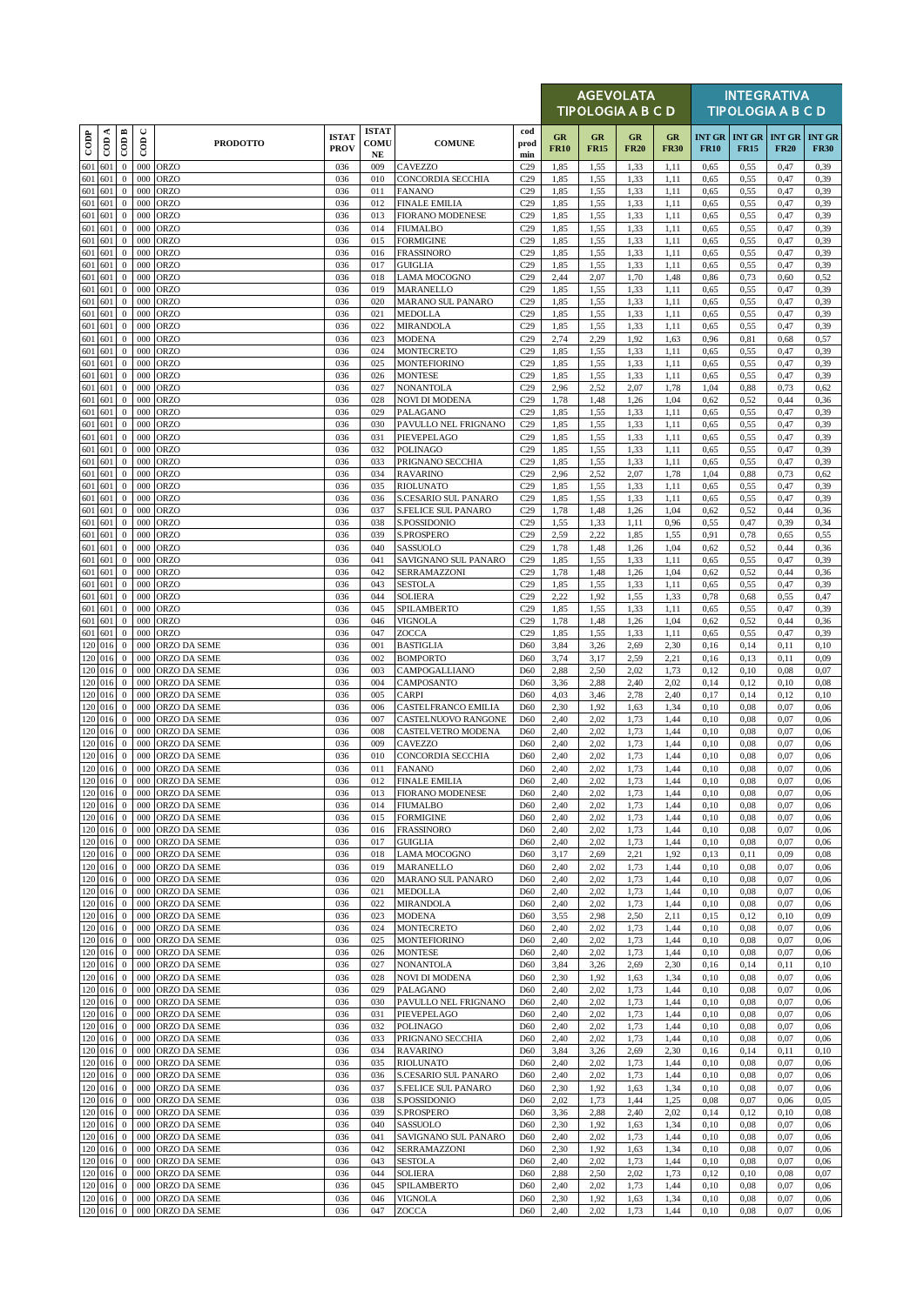|                    |                    |                              |             |                                          |                             |                                     |                                                  |                                    |                   | <b>AGEVOLATA</b><br><b>TIPOLOGIA A B C D</b> |                   |                   |                              |                              | <b>INTEGRATIVA</b><br><b>TIPOLOGIA A B C D</b> |                              |
|--------------------|--------------------|------------------------------|-------------|------------------------------------------|-----------------------------|-------------------------------------|--------------------------------------------------|------------------------------------|-------------------|----------------------------------------------|-------------------|-------------------|------------------------------|------------------------------|------------------------------------------------|------------------------------|
| $_{\rm{cop}}$      | $\cos A$           | CODB                         | $\cup$<br>6 | <b>PRODOTTO</b>                          | <b>ISTAT</b><br><b>PROV</b> | <b>ISTAT</b><br>COMU<br>$_{\rm NE}$ | <b>COMUNE</b>                                    | cod<br>prod<br>min                 | GR<br><b>FR10</b> | GR<br><b>FR15</b>                            | GR<br><b>FR20</b> | GR<br><b>FR30</b> | <b>INT GR</b><br><b>FR10</b> | <b>INT GR</b><br><b>FR15</b> | <b>INT GR</b><br><b>FR20</b>                   | <b>INT GR</b><br><b>FR30</b> |
| 601                | 601                | $\mathbf{0}$                 | 000         | ORZO                                     | 036                         | 009                                 | <b>CAVEZZO</b>                                   | C29                                | 1,85              | 1,55                                         | 1,33              | 1,11              | 0,65                         | 0,55                         | 0,47                                           | 0,39                         |
| 601 601<br>601 601 |                    | $\bf{0}$<br>$\mathbf{0}$     | 000<br>000  | ORZO<br><b>ORZO</b>                      | 036<br>036                  | 010<br>011                          | CONCORDIA SECCHIA<br><b>FANANO</b>               | C29<br>C29                         | 1,85<br>1,85      | 1,55<br>1,55                                 | 1,33<br>1.33      | 1,11<br>1,11      | 0.65<br>0,65                 | 0,55<br>0,55                 | 0,47<br>0,47                                   | 0,39<br>0,39                 |
| 601 601            |                    | $\mathbf{0}$                 | 000         | <b>ORZO</b>                              | 036                         | 012                                 | <b>FINALE EMILIA</b>                             | C29                                | 1,85              | 1,55                                         | 1,33              | 1,11              | 0,65                         | 0,55                         | 0,47                                           | 0,39                         |
| 601                | 601                | $\bf{0}$                     | 000         | ORZO                                     | 036                         | 013                                 | <b>FIORANO MODENESE</b>                          | C29                                | 1,85              | 1,55                                         | 1,33              | 1,11              | 0.65                         | 0,55                         | 0,47                                           | 0,39                         |
| 601<br>601 601     | 601                | $\mathbf{0}$<br>$\mathbf{0}$ | 000<br>000  | ORZO<br>ORZO                             | 036<br>036                  | 014<br>015                          | <b>FIUMALBO</b><br><b>FORMIGINE</b>              | C29<br>C <sub>29</sub>             | 1,85<br>1,85      | 1,55<br>1,55                                 | 1.33<br>1,33      | 1,11<br>1,11      | 0.65<br>0,65                 | 0,55<br>0,55                 | 0,47<br>0,47                                   | 0,39<br>0,39                 |
| 601                | 601                | $\bf{0}$                     | 000         | ORZO                                     | 036                         | 016                                 | <b>FRASSINORO</b>                                | C29                                | 1,85              | 1,55                                         | 1.33              | 1,11              | 0.65                         | 0,55                         | 0,47                                           | 0,39                         |
| 601 601<br>601 601 |                    | $\mathbf{0}$<br>$\mathbf{0}$ | 000<br>000  | ORZO                                     | 036<br>036                  | 017<br>018                          | <b>GUIGLIA</b><br><b>LAMA MOCOGNO</b>            | C29<br>C29                         | 1,85              | 1,55                                         | 1.33<br>1,70      | 1,11<br>1,48      | 0.65                         | 0,55                         | 0,47                                           | 0,39<br>0,52                 |
| 601 601            |                    | $\mathbf{0}$                 | 000         | <b>ORZO</b><br><b>ORZO</b>               | 036                         | 019                                 | <b>MARANELLO</b>                                 | C29                                | 2,44<br>1,85      | 2,07<br>1,55                                 | 1,33              | 1,11              | 0,86<br>0.65                 | 0,73<br>0,55                 | 0,60<br>0,47                                   | 0,39                         |
| 601 601            |                    | $\mathbf{0}$                 | 000         | <b>ORZO</b>                              | 036                         | 020                                 | MARANO SUL PANARO                                | C29                                | 1,85              | 1,55                                         | 1,33              | 1,11              | 0,65                         | 0,55                         | 0,47                                           | 0,39                         |
| 601 601<br>601 601 |                    | $\mathbf{0}$<br>$\mathbf{0}$ | 000<br>000  | <b>ORZO</b><br>ORZO                      | 036<br>036                  | 021<br>022                          | <b>MEDOLLA</b><br><b>MIRANDOLA</b>               | C29<br>C29                         | 1,85<br>1,85      | 1,55<br>1,55                                 | 1,33<br>1,33      | 1,11<br>1,11      | 0.65<br>0,65                 | 0,55<br>0,55                 | 0,47<br>0,47                                   | 0,39<br>0,39                 |
| 601 601            |                    | $\mathbf{0}$                 | 000         | ORZO                                     | 036                         | 023                                 | <b>MODENA</b>                                    | C29                                | 2,74              | 2,29                                         | 1,92              | 1,63              | 0,96                         | 0,81                         | 0,68                                           | 0,57                         |
| 601 601            |                    | $\mathbf{0}$                 | 000         | <b>ORZO</b>                              | 036                         | 024                                 | <b>MONTECRETO</b>                                | C29                                | 1,85              | 1,55                                         | 1.33              | 1,11              | 0,65                         | 0,55                         | 0,47                                           | 0,39                         |
| 601 601<br>601 601 |                    | $\mathbf{0}$<br>$\mathbf{0}$ | 000<br>000  | <b>ORZO</b><br>ORZO                      | 036<br>036                  | 025<br>026                          | <b>MONTEFIORINO</b><br><b>MONTESE</b>            | C29<br>C29                         | 1,85<br>1,85      | 1,55<br>1,55                                 | 1.33<br>1,33      | 1,11<br>1,11      | 0,65<br>0.65                 | 0,55<br>0,55                 | 0,47<br>0,47                                   | 0,39<br>0,39                 |
| 601 601            |                    | $\bf{0}$                     | 000         | ORZO                                     | 036                         | 027                                 | NONANTOLA                                        | C29                                | 2,96              | 2,52                                         | 2,07              | 1,78              | 1,04                         | 0,88                         | 0,73                                           | 0,62                         |
| 601 601            |                    | $\mathbf{0}$                 | 000         | ORZO                                     | 036                         | 028                                 | <b>NOVI DI MODENA</b>                            | C29                                | 1,78              | 1,48                                         | 1,26              | 1,04              | 0.62                         | 0,52                         | 0,44                                           | 0,36                         |
| 601 601<br>601     | 601                | $\mathbf{0}$<br>$\mathbf{0}$ | 000<br>000  | ORZO<br><b>ORZO</b>                      | 036<br>036                  | 029<br>030                          | PALAGANO<br>PAVULLO NEL FRIGNANO                 | C29<br>C29                         | 1,85<br>1,85      | 1,55<br>1,55                                 | 1,33<br>1,33      | 1,11<br>1,11      | 0,65<br>0,65                 | 0,55<br>0,55                 | 0,47<br>0,47                                   | 0,39<br>0,39                 |
| 601 601            |                    | $\mathbf{0}$                 | 000         | <b>ORZO</b>                              | 036                         | 031                                 | PIEVEPELAGO                                      | C29                                | 1,85              | 1,55                                         | 1.33              | 1,11              | 0.65                         | 0,55                         | 0,47                                           | 0,39                         |
| 601 601            |                    | $\mathbf{0}$                 | 000         | <b>ORZO</b>                              | 036                         | 032                                 | <b>POLINAGO</b>                                  | C29                                | 1,85              | 1,55                                         | 1,33              | 1,11              | 0,65                         | 0,55                         | 0,47                                           | 0,39                         |
| 601 601<br>601 601 |                    | $\mathbf{0}$<br>$\mathbf{0}$ | 000         | ORZO<br>ORZO                             | 036<br>036                  | 033                                 | PRIGNANO SECCHIA                                 | C29<br>C29                         | 1,85              | 1,55                                         | 1.33              | 1,11              | 0,65<br>1,04                 | 0,55                         | 0,47                                           | 0,39                         |
| 601 601            |                    | $\mathbf{0}$                 | 000<br>000  | <b>ORZO</b>                              | 036                         | 034<br>035                          | <b>RAVARINO</b><br><b>RIOLUNATO</b>              | C29                                | 2,96<br>1,85      | 2,52<br>1,55                                 | 2,07<br>1,33      | 1,78<br>1,11      | 0.65                         | 0,88<br>0,55                 | 0,73<br>0,47                                   | 0,62<br>0,39                 |
| 601 601            |                    | $\mathbf{0}$                 | 000         | <b>ORZO</b>                              | 036                         | 036                                 | S.CESARIO SUL PANARO                             | C29                                | 1,85              | 1,55                                         | 1,33              | 1,11              | 0,65                         | 0,55                         | 0,47                                           | 0,39                         |
| 601 601            |                    | $\mathbf{0}$                 | 000         | ORZO                                     | 036                         | 037                                 | <b>S.FELICE SUL PANARO</b>                       | C29                                | 1,78              | 1,48                                         | 1,26              | 1,04              | 0,62                         | 0,52                         | 0,44                                           | 0,36                         |
| 601 601<br>601     | 601                | $\mathbf{0}$<br>$\mathbf{0}$ | 000<br>000  | ORZO<br>ORZO                             | 036<br>036                  | 038<br>039                          | S.POSSIDONIO<br>S.PROSPERO                       | C <sub>29</sub><br>C29             | 1,55<br>2,59      | 1,33<br>2,22                                 | 1,11<br>1,85      | 0,96<br>1,55      | 0,55<br>0,91                 | 0,47<br>0,78                 | 0,39<br>0,65                                   | 0,34<br>0,55                 |
| 601 601            |                    | $\mathbf{0}$                 | 000         | <b>ORZO</b>                              | 036                         | 040                                 | SASSUOLO                                         | C29                                | 1,78              | 1,48                                         | 1,26              | 1,04              | 0,62                         | 0,52                         | 0,44                                           | 0,36                         |
| 601                | 601                | $\bf{0}$                     | 000         | ORZO                                     | 036                         | 041                                 | SAVIGNANO SUL PANARO                             | C29                                | 1,85              | 1,55                                         | 1.33              | 1,11              | 0.65                         | 0,55                         | 0,47                                           | 0,39                         |
| 601 601<br>601 601 |                    | $\mathbf{0}$<br>$\mathbf{0}$ | 000<br>000  | <b>ORZO</b><br>ORZO                      | 036<br>036                  | 042<br>043                          | SERRAMAZZONI<br><b>SESTOLA</b>                   | C29<br>C <sub>29</sub>             | 1,78<br>1,85      | 1,48<br>1,55                                 | 1,26<br>1,33      | 1,04<br>1,11      | 0,62<br>0,65                 | 0,52<br>0,55                 | 0,44<br>0,47                                   | 0,36<br>0,39                 |
| 601                | 601                | $\bf{0}$                     | 000         | ORZO                                     | 036                         | 044                                 | <b>SOLIERA</b>                                   | C29                                | 2,22              | 1,92                                         | 1,55              | 1,33              | 0,78                         | 0,68                         | 0,55                                           | 0,47                         |
| 601 601            |                    | $\mathbf{0}$                 | 000         | ORZO                                     | 036                         | 045                                 | SPILAMBERTO                                      | C29                                | 1,85              | 1,55                                         | 1.33              | 1,11              | 0.65                         | 0,55                         | 0,47                                           | 0,39                         |
| 601 601<br>601 601 |                    | $\mathbf{0}$<br>$\mathbf{0}$ | 000<br>000  | <b>ORZO</b><br>ORZO                      | 036<br>036                  | 046<br>047                          | VIGNOLA<br><b>ZOCCA</b>                          | C29<br>C29                         | 1,78<br>1,85      | 1,48<br>1,55                                 | 1,26<br>1,33      | 1,04<br>1,11      | 0,62<br>0,65                 | 0,52<br>0,55                 | 0,44<br>0,47                                   | 0,36<br>0,39                 |
| 120 016            |                    | $\bf{0}$                     | 000         | ORZO DA SEME                             | 036                         | 001                                 | <b>BASTIGLIA</b>                                 | D <sub>60</sub>                    | 3,84              | 3,26                                         | 2.69              | 2,30              | 0,16                         | 0,14                         | 0,11                                           | 0,10                         |
| 120 016            |                    | $\mathbf{0}$                 | 000         | ORZO DA SEME                             | 036                         | 002                                 | <b>BOMPORTO</b>                                  | D <sub>60</sub>                    | 3,74              | 3,17                                         | 2.59              | 2,21              | 0,16                         | 0,13                         | 0,11                                           | 0,09                         |
| 120 016<br>120 016 |                    | $\mathbf{0}$<br>$\bf{0}$     | 000<br>000  | ORZO DA SEME<br>ORZO DA SEME             | 036<br>036                  | 003<br>004                          | CAMPOGALLIANO<br>CAMPOSANTO                      | D60<br>D <sub>60</sub>             | 2,88<br>3,36      | 2,50<br>2,88                                 | 2,02<br>2,40      | 1,73<br>2,02      | 0,12<br>0,14                 | 0,10<br>0,12                 | 0,08<br>0,10                                   | 0,07<br>0,08                 |
| 120 016            |                    | $\mathbf{0}$                 | 000         | ORZO DA SEME                             | 036                         | 005                                 | <b>CARPI</b>                                     | D60                                | 4,03              | 3,46                                         | 2,78              | 2,40              | 0,17                         | 0,14                         | 0,12                                           | 0,10                         |
| 120 016            |                    | $\mathbf{0}$                 | 000         | ORZO DA SEME                             | 036                         | 006                                 | <b>CASTELFRANCO EMILIA</b>                       | D <sub>60</sub>                    | 2,30              | 1,92                                         | 1,63              | 1,34              | 0,10                         | 0.08                         | 0,07                                           | 0,06                         |
| 120 016<br>120 016 |                    | $\mathbf{0}$<br>$\mathbf{0}$ | 000<br>000  | ORZO DA SEME<br>ORZO DA SEME             | 036<br>036                  | 007<br>008                          | CASTELNUOVO RANGONE<br><b>CASTELVETRO MODENA</b> | D <sub>60</sub><br>D <sub>60</sub> | 2,40<br>2,40      | 2,02<br>2,02                                 | 1,73<br>1,73      | 1,44<br>1,44      | 0,10<br>0,10                 | 0,08<br>0.08                 | 0,07<br>0,07                                   | 0,06<br>0,06                 |
| 120 016            |                    | $\mathbf{0}$                 | 000         | ORZO DA SEME                             | 036                         | 009                                 | <b>CAVEZZO</b>                                   | D <sub>60</sub>                    | 2,40              | 2,02                                         | 1,73              | 1,44              | 0,10                         | 0.08                         | 0,07                                           | 0,06                         |
|                    | 120 016            | $\mathbf{0}$                 | 000         | ORZO DA SEME                             | 036                         | 010                                 | CONCORDIA SECCHIA                                | D60                                | 2,40              | 2,02                                         | 1,73              | 1,44              | 0,10                         | 0,08                         | 0,07                                           | 0,06                         |
| 120 016<br>120 016 |                    | $\mathbf{0}$                 |             | 000 ORZO DA SEME<br>$0$ 000 ORZO DA SEME | 036<br>036                  | 011<br>012                          | <b>FANANO</b><br>FINALE EMILIA                   | D60<br>D60                         | 2,40<br>2.40      | 2,02<br>2.02                                 | 1,73<br>1.73      | 1,44<br>1.44      | 0,10<br>0.10                 | 0,08<br>0.08                 | 0,07<br>0.07                                   | 0,06<br>0.06                 |
|                    | 120 016            | $\overline{0}$               |             | 000 ORZO DA SEME                         | 036                         | 013                                 | <b>FIORANO MODENESE</b>                          | D <sub>60</sub>                    | 2,40              | 2,02                                         | 1,73              | 1,44              | 0,10                         | 0,08                         | 0,07                                           | 0,06                         |
| 120 016            |                    | $\mathbf{0}$                 | 000         | ORZO DA SEME                             | 036                         | 014                                 | <b>FIUMALBO</b>                                  | D <sub>60</sub>                    | 2,40              | 2,02                                         | 1,73              | 1,44              | 0,10                         | 0.08                         | 0,07                                           | 0,06                         |
| 120 016            | 120 016            | $\mathbf{0}$<br>$\bf{0}$     | 000<br>000  | ORZO DA SEME<br>ORZO DA SEME             | 036<br>036                  | 015<br>016                          | <b>FORMIGINE</b><br><b>FRASSINORO</b>            | D <sub>60</sub><br>D60             | 2,40<br>2,40      | 2,02<br>2,02                                 | 1,73<br>1,73      | 1,44<br>1,44      | 0,10<br>0,10                 | 0.08<br>0,08                 | 0,07<br>0,07                                   | 0,06<br>0,06                 |
|                    | 120 016            | $\bf{0}$                     | 000         | ORZO DA SEME                             | 036                         | 017                                 | <b>GUIGLIA</b>                                   | D <sub>60</sub>                    | 2,40              | 2,02                                         | 1,73              | 1,44              | 0,10                         | 0,08                         | 0,07                                           | 0,06                         |
|                    | 120 016            | $\mathbf{0}$                 | 000         | ORZO DA SEME                             | 036                         | 018                                 | <b>LAMA MOCOGNO</b>                              | D60                                | 3,17              | 2,69                                         | 2,21              | 1,92              | 0,13                         | 0,11                         | 0,09                                           | 0,08                         |
| 120 016            | 120 016            | $\bf{0}$<br>$\mathbf{0}$     | 000<br>000  | ORZO DA SEME<br>ORZO DA SEME             | 036<br>036                  | 019<br>020                          | <b>MARANELLO</b><br>MARANO SUL PANARO            | D <sub>60</sub><br>D <sub>60</sub> | 2,40<br>2,40      | 2,02<br>2,02                                 | 1,73<br>1,73      | 1,44<br>1,44      | 0,10<br>0,10                 | 0.08<br>0,08                 | 0,07<br>0,07                                   | 0,06<br>0,06                 |
|                    | 120 016            | $\mathbf{0}$                 | 000         | ORZO DA SEME                             | 036                         | 021                                 | <b>MEDOLLA</b>                                   | D60                                | 2,40              | 2,02                                         | 1,73              | 1,44              | 0,10                         | 0.08                         | 0,07                                           | 0,06                         |
| 120 016            |                    | $\bf{0}$                     | 000         | ORZO DA SEME                             | 036                         | 022                                 | <b>MIRANDOLA</b>                                 | D <sub>60</sub>                    | 2,40              | 2,02                                         | 1,73              | 1,44              | 0,10                         | 0.08                         | 0,07                                           | 0,06                         |
|                    | 120 016<br>120 016 | $\bf{0}$<br>$\mathbf{0}$     | 000         | ORZO DA SEME<br>000 ORZO DA SEME         | 036<br>036                  | 023<br>024                          | <b>MODENA</b><br><b>MONTECRETO</b>               | D60<br>D <sub>60</sub>             | 3,55<br>2,40      | 2,98<br>2,02                                 | 2,50<br>1,73      | 2,11<br>1,44      | 0,15<br>0,10                 | 0,12<br>0,08                 | 0,10<br>0,07                                   | 0,09<br>0,06                 |
| 120 016            |                    | $\mathbf{0}$                 | 000         | ORZO DA SEME                             | 036                         | 025                                 | <b>MONTEFIORINO</b>                              | D <sub>60</sub>                    | 2,40              | 2,02                                         | 1,73              | 1,44              | 0,10                         | 0.08                         | 0,07                                           | 0,06                         |
|                    | 120 016<br>120 016 | $\mathbf{0}$<br>$\mathbf{0}$ | 000<br>000  | ORZO DA SEME                             | 036<br>036                  | 026<br>027                          | <b>MONTESE</b><br><b>NONANTOLA</b>               | D <sub>60</sub><br>D <sub>60</sub> | 2,40              | 2,02                                         | 1,73<br>2,69      | 1,44<br>2,30      | 0,10<br>0,16                 | 0,08                         | 0,07                                           | 0,06                         |
| 120 016            |                    | $\mathbf{0}$                 | 000         | ORZO DA SEME<br>ORZO DA SEME             | 036                         | 028                                 | <b>NOVI DI MODENA</b>                            | D <sub>60</sub>                    | 3,84<br>2,30      | 3,26<br>1,92                                 | 1,63              | 1,34              | 0,10                         | 0,14<br>0.08                 | 0,11<br>0,07                                   | 0,10<br>0,06                 |
|                    | 120 016            | $\bf{0}$                     | 000         | ORZO DA SEME                             | 036                         | 029                                 | PALAGANO                                         | D <sub>60</sub>                    | 2,40              | 2,02                                         | 1,73              | 1,44              | 0,10                         | 0,08                         | 0,07                                           | 0,06                         |
|                    | 120 016            | $\mathbf{0}$                 | 000         | ORZO DA SEME                             | 036                         | 030                                 | PAVULLO NEL FRIGNANO                             | D <sub>60</sub>                    | 2,40              | 2,02                                         | 1,73              | 1,44              | 0,10                         | 0,08                         | 0,07                                           | 0,06                         |
| 120 016            | 120 016            | $\mathbf{0}$<br>$\bf{0}$     | 000<br>000  | ORZO DA SEME<br>ORZO DA SEME             | 036<br>036                  | 031<br>032                          | PIEVEPELAGO<br><b>POLINAGO</b>                   | D <sub>60</sub><br>D <sub>60</sub> | 2,40<br>2,40      | 2,02<br>2,02                                 | 1,73<br>1,73      | 1,44<br>1,44      | 0,10<br>0,10                 | 0.08<br>0,08                 | 0,07<br>0,07                                   | 0,06<br>0,06                 |
| 120 016            |                    | $\bf{0}$                     | 000         | ORZO DA SEME                             | 036                         | 033                                 | PRIGNANO SECCHIA                                 | D60                                | 2,40              | 2,02                                         | 1,73              | 1,44              | 0,10                         | 0,08                         | 0,07                                           | 0,06                         |
| 120 016            |                    | $\mathbf{0}$                 | 000         | ORZO DA SEME                             | 036                         | 034                                 | <b>RAVARINO</b>                                  | D <sub>60</sub>                    | 3,84              | 3,26                                         | 2,69              | 2,30              | 0,16                         | 0,14                         | 0,11                                           | 0,10                         |
|                    | 120 016<br>120 016 | $\mathbf{0}$<br>$\mathbf{0}$ | 000         | 000 ORZO DA SEME<br>ORZO DA SEME         | 036<br>036                  | 035<br>036                          | <b>RIOLUNATO</b><br>S.CESARIO SUL PANARO         | D <sub>60</sub><br>D <sub>60</sub> | 2,40<br>2,40      | 2,02<br>2,02                                 | 1,73<br>1,73      | 1,44<br>1,44      | 0,10<br>0,10                 | 0,08<br>0.08                 | 0,07<br>0,07                                   | 0,06<br>0,06                 |
| 120 016            |                    | $\mathbf{0}$                 | 000         | ORZO DA SEME                             | 036                         | 037                                 | <b>S.FELICE SUL PANARO</b>                       | D <sub>60</sub>                    | 2,30              | 1,92                                         | 1,63              | 1,34              | 0,10                         | 0,08                         | 0,07                                           | 0,06                         |
|                    | 120 016            | $\mathbf{0}$                 |             | 000 ORZO DA SEME                         | 036                         | 038                                 | S.POSSIDONIO                                     | D <sub>60</sub>                    | 2,02              | 1,73                                         | 1,44              | 1,25              | 0,08                         | 0,07                         | 0,06                                           | 0,05                         |
|                    | 120 016<br>120 016 | $\bf{0}$<br>$\mathbf{0}$     | 000<br>000  | ORZO DA SEME<br>ORZO DA SEME             | 036<br>036                  | 039<br>040                          | S.PROSPERO<br><b>SASSUOLO</b>                    | D <sub>60</sub><br>D <sub>60</sub> | 3,36<br>2,30      | 2,88<br>1,92                                 | 2,40<br>1,63      | 2,02<br>1,34      | 0,14<br>0,10                 | 0,12<br>0,08                 | 0,10<br>0,07                                   | 0.08<br>0,06                 |
|                    | 120 016            | $\mathbf{0}$                 | 000         | ORZO DA SEME                             | 036                         | 041                                 | SAVIGNANO SUL PANARO                             | D <sub>60</sub>                    | 2,40              | 2,02                                         | 1,73              | 1,44              | 0,10                         | 0,08                         | 0,07                                           | 0,06                         |
|                    | 120 016            | $\mathbf{0}$                 | 000         | ORZO DA SEME                             | 036                         | 042                                 | SERRAMAZZONI                                     | D <sub>60</sub>                    | 2,30              | 1,92                                         | 1,63              | 1,34              | 0,10                         | 0,08                         | 0,07                                           | 0,06                         |
|                    | 120 016<br>120 016 | $\mathbf{0}$<br>$\bf{0}$     | 000<br>000  | ORZO DA SEME<br>ORZO DA SEME             | 036<br>036                  | 043<br>044                          | <b>SESTOLA</b><br><b>SOLIERA</b>                 | D <sub>60</sub><br>D <sub>60</sub> | 2,40<br>2,88      | 2,02<br>2,50                                 | 1,73<br>2,02      | 1,44<br>1,73      | 0,10<br>0,12                 | 0.08<br>0,10                 | 0,07<br>0,08                                   | 0,06<br>0,07                 |
|                    | 120 016            | $\mathbf{0}$                 | 000         | ORZO DA SEME                             | 036                         | 045                                 | SPILAMBERTO                                      | D60                                | 2,40              | 2,02                                         | 1,73              | 1,44              | 0,10                         | 0,08                         | 0,07                                           | 0,06                         |
|                    | 120 016            | $\bf{0}$                     |             | 000 ORZO DA SEME                         | 036                         | 046                                 | <b>VIGNOLA</b>                                   | D <sub>60</sub>                    | 2,30              | 1,92                                         | 1,63              | 1,34              | 0,10                         | 0.08                         | 0,07                                           | 0,06                         |
|                    | 120 016 0          |                              |             | 000 ORZO DA SEME                         | 036                         | 047                                 | <b>ZOCCA</b>                                     | D60                                | 2,40              | 2,02                                         | 1,73              | 1,44              | 0,10                         | 0,08                         | 0,07                                           | 0,06                         |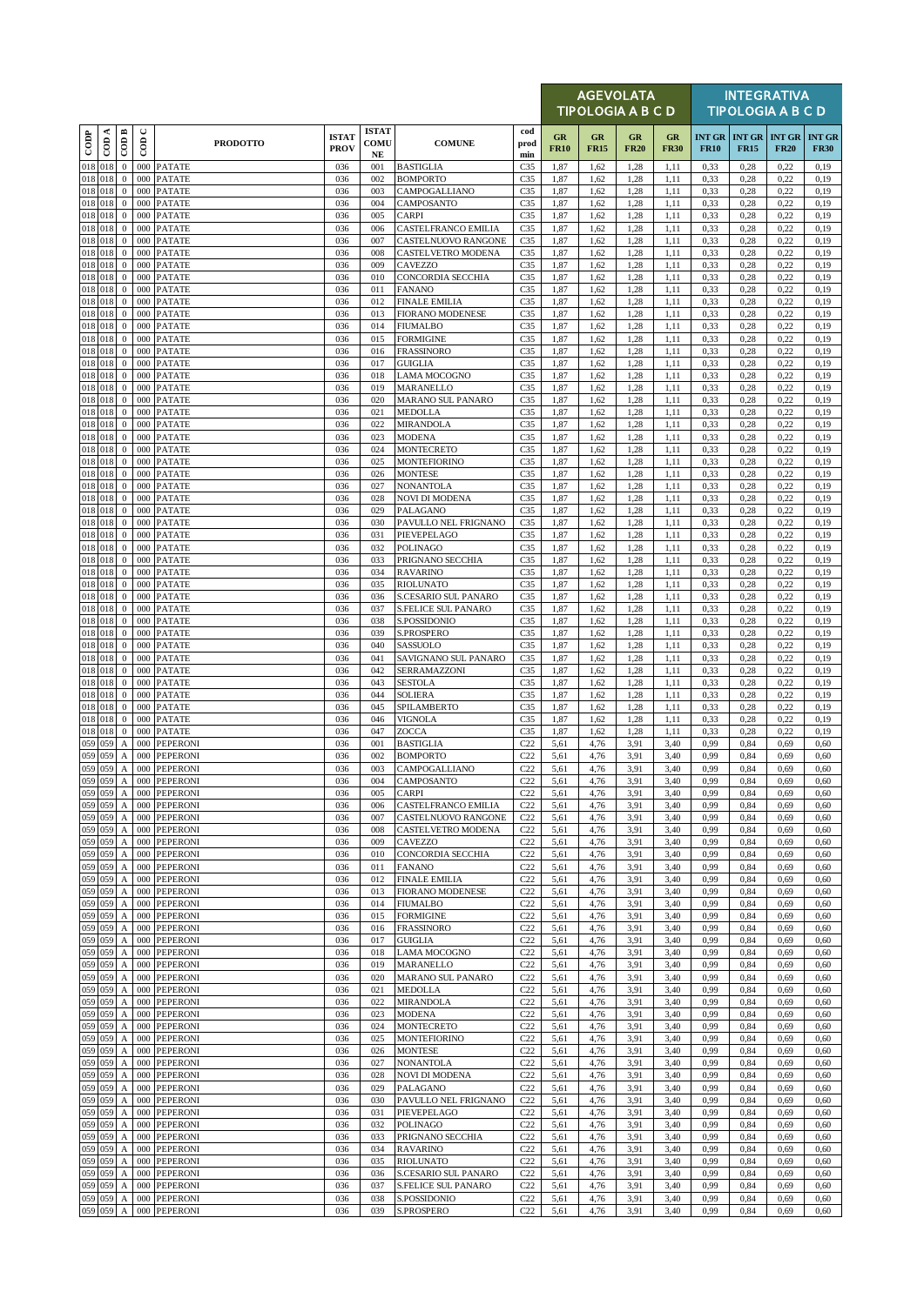|               |                    |                                                    |                         |                                    |                             |                                  |                                                    |                                    |                   | <b>AGEVOLATA</b><br><b>TIPOLOGIA A B C D</b> |                   |                   |                              |                              | <b>INTEGRATIVA</b><br><b>TIPOLOGIA A B C D</b> |                              |
|---------------|--------------------|----------------------------------------------------|-------------------------|------------------------------------|-----------------------------|----------------------------------|----------------------------------------------------|------------------------------------|-------------------|----------------------------------------------|-------------------|-------------------|------------------------------|------------------------------|------------------------------------------------|------------------------------|
| $_{\rm{cop}}$ | CDA                | CODB                                               | $\mathrel{\cup}$<br>COD | <b>PRODOTTO</b>                    | <b>ISTAT</b><br><b>PROV</b> | <b>ISTAT</b><br>COMU<br>$\bf NE$ | <b>COMUNE</b>                                      | cod<br>prod<br>min                 | GR<br><b>FR10</b> | GR<br><b>FR15</b>                            | GR<br><b>FR20</b> | GR<br><b>FR30</b> | <b>INT GR</b><br><b>FR10</b> | <b>INT GR</b><br><b>FR15</b> | <b>INT GR</b><br><b>FR20</b>                   | <b>INT GR</b><br><b>FR30</b> |
|               | 018 018            | $\mathbf{0}$                                       | 000                     | <b>PATATE</b>                      | 036                         | 001                              | <b>BASTIGLIA</b>                                   | C <sub>35</sub>                    | 1,87              | 1,62                                         | 1.28              | 1,11              | 0,33                         | 0,28                         | 0,22                                           | 0,19                         |
|               | 018 018<br>018 018 | $\mathbf{0}$<br>$\mathbf{0}$                       | 000<br>000              | <b>PATATE</b><br><b>PATATE</b>     | 036<br>036                  | 002<br>003                       | <b>BOMPORTO</b><br>CAMPOGALLIANO                   | C <sub>35</sub><br>C <sub>35</sub> | 1,87<br>1,87      | 1,62<br>1,62                                 | 1,28<br>1,28      | 1,11<br>1,11      | 0.33<br>0,33                 | 0,28<br>0,28                 | 0,22<br>0,22                                   | 0,19<br>0,19                 |
|               | 018 018            | $\mathbf{0}$                                       | 000                     | <b>PATATE</b>                      | 036                         | 004                              | CAMPOSANTO                                         | C <sub>35</sub>                    | 1,87              | 1,62                                         | 1,28              | 1,11              | 0,33                         | 0,28                         | 0,22                                           | 0,19                         |
| 018           | 018                | $\boldsymbol{0}$                                   | 000                     | <b>PATATE</b>                      | 036                         | 005                              | CARPI                                              | C <sub>35</sub>                    | 1,87              | 1,62                                         | 1,28              | 1,11              | 0,33                         | 0,28                         | 0,22                                           | 0,19                         |
| 018           | 018<br>018 018     | $\mathbf{0}$<br>$\mathbf{0}$                       | 000<br>000              | <b>PATATE</b><br><b>PATATE</b>     | 036<br>036                  | 006<br>007                       | CASTELFRANCO EMILIA<br>CASTELNUOVO RANGONE         | C <sub>35</sub><br>C <sub>35</sub> | 1,87<br>1,87      | 1,62<br>1,62                                 | 1.28<br>1,28      | 1,11<br>1,11      | 0.33<br>0,33                 | 0,28<br>0,28                 | 0,22<br>0,22                                   | 0,19<br>0,19                 |
| 018           | 018                | $\bf{0}$                                           | 000                     | <b>PATATE</b>                      | 036                         | 008                              | CASTELVETRO MODENA                                 | C <sub>35</sub>                    | 1,87              | 1,62                                         | 1,28              | 1,11              | 0.33                         | 0,28                         | 0,22                                           | 0,19                         |
|               | 018 018<br>018 018 | $\boldsymbol{0}$<br>$\mathbf{0}$                   | 000                     | <b>PATATE</b>                      | 036<br>036                  | 009<br>010                       | <b>CAVEZZO</b><br>CONCORDIA SECCHIA                | C <sub>35</sub><br>C <sub>35</sub> | 1,87              | 1,62<br>1,62                                 | 1.28<br>1,28      | 1,11<br>1,11      | 0,33<br>0,33                 | 0,28<br>0,28                 | 0,22<br>0,22                                   | 0,19<br>0,19                 |
|               | 018 018            | $\mathbf{0}$                                       | 000                     | 000 PATATE<br><b>PATATE</b>        | 036                         | 011                              | <b>FANANO</b>                                      | C <sub>35</sub>                    | 1,87<br>1,87      | 1,62                                         | 1.28              | 1,11              | 0.33                         | 0,28                         | 0,22                                           | 0,19                         |
|               | 018 018            | $\mathbf{0}$                                       | 000                     | <b>PATATE</b>                      | 036                         | 012                              | <b>FINALE EMILIA</b>                               | C <sub>35</sub>                    | 1,87              | 1,62                                         | 1,28              | 1,11              | 0,33                         | 0,28                         | 0,22                                           | 0,19                         |
|               | 018 018<br>018 018 | $\mathbf{0}$<br>$\mathbf{0}$                       | 000<br>000              | <b>PATATE</b><br><b>PATATE</b>     | 036<br>036                  | 013<br>014                       | <b>FIORANO MODENESE</b><br><b>FIUMALBO</b>         | C <sub>35</sub><br>C <sub>35</sub> | 1,87<br>1,87      | 1,62<br>1,62                                 | 1,28<br>1,28      | 1,11<br>1,11      | 0.33<br>0,33                 | 0,28<br>0,28                 | 0,22<br>0,22                                   | 0,19<br>0,19                 |
|               | 018 018            | $\bf{0}$                                           | 000                     | <b>PATATE</b>                      | 036                         | 015                              | <b>FORMIGINE</b>                                   | C <sub>35</sub>                    | 1,87              | 1,62                                         | 1.28              | 1,11              | 0,33                         | 0,28                         | 0,22                                           | 0,19                         |
|               | 018 018            | $\mathbf{0}$                                       | 000                     | <b>PATATE</b>                      | 036                         | 016                              | FRASSINORO                                         | C <sub>35</sub>                    | 1,87              | 1,62                                         | 1,28              | 1,11              | 0,33                         | 0,28                         | 0,22                                           | 0,19                         |
|               | 018 018<br>018 018 | $\mathbf{0}$<br>$\bf{0}$                           | 000<br>000              | <b>PATATE</b><br><b>PATATE</b>     | 036<br>036                  | 017<br>018                       | <b>GUIGLIA</b><br>LAMA MOCOGNO                     | C <sub>35</sub><br>C <sub>35</sub> | 1,87<br>1,87      | 1,62<br>1,62                                 | 1,28<br>1,28      | 1,11<br>1,11      | 0,33<br>0.33                 | 0,28<br>0,28                 | 0,22<br>0,22                                   | 0,19<br>0,19                 |
|               | 018 018            | $\mathbf{0}$                                       | 000                     | <b>PATATE</b>                      | 036                         | 019                              | <b>MARANELLO</b>                                   | C <sub>35</sub>                    | 1,87              | 1,62                                         | 1,28              | 1,11              | 0.33                         | 0,28                         | 0,22                                           | 0,19                         |
|               | 018 018            | $\mathbf{0}$                                       | 000                     | <b>PATATE</b>                      | 036                         | 020                              | MARANO SUL PANARO                                  | C <sub>35</sub>                    | 1,87              | 1,62                                         | 1,28              | 1,11              | 0.33                         | 0,28                         | 0,22                                           | 0,19                         |
| 018           | 018 018<br>018     | $\bf{0}$<br>$\mathbf{0}$                           | 000<br>000              | <b>PATATE</b><br><b>PATATE</b>     | 036<br>036                  | 021<br>022                       | <b>MEDOLLA</b><br>MIRANDOLA                        | C <sub>35</sub><br>C <sub>35</sub> | 1,87<br>1,87      | 1,62<br>1,62                                 | 1,28<br>1,28      | 1,11<br>1,11      | 0,33<br>0,33                 | 0,28<br>0,28                 | 0,22<br>0,22                                   | 0,19<br>0,19                 |
|               | 018 018            | $\mathbf{0}$                                       | 000                     | <b>PATATE</b>                      | 036                         | 023                              | <b>MODENA</b>                                      | C <sub>35</sub>                    | 1,87              | 1,62                                         | 1,28              | 1,11              | 0,33                         | 0,28                         | 0,22                                           | 0,19                         |
|               | 018 018            | $\mathbf{0}$                                       |                         | 000 PATATE                         | 036                         | 024                              | MONTECRETO                                         | C <sub>35</sub>                    | 1,87              | 1,62                                         | 1,28              | 1,11              | 0,33                         | 0,28                         | 0,22                                           | 0,19                         |
|               | 018 018<br>018 018 | $\mathbf{0}$<br>$\bf{0}$                           | 000<br>000              | <b>PATATE</b><br><b>PATATE</b>     | 036<br>036                  | 025<br>026                       | <b>MONTEFIORINO</b><br><b>MONTESE</b>              | C <sub>35</sub><br>C <sub>35</sub> | 1,87<br>1,87      | 1,62<br>1,62                                 | 1,28<br>1,28      | 1,11<br>1,11      | 0.33<br>0,33                 | 0,28<br>0,28                 | 0,22<br>0,22                                   | 0,19<br>0,19                 |
|               | 018 018            | $\mathbf{0}$                                       | 000                     | <b>PATATE</b>                      | 036                         | 027                              | <b>NONANTOLA</b>                                   | C <sub>35</sub>                    | 1,87              | 1,62                                         | 1,28              | 1,11              | 0.33                         | 0,28                         | 0,22                                           | 0,19                         |
| 018           | 018 018<br>018     | $\bf{0}$                                           | 000                     | <b>PATATE</b>                      | 036                         | 028                              | <b>NOVI DI MODENA</b>                              | C <sub>35</sub>                    | 1,87              | 1,62                                         | 1,28              | 1,11              | 0,33                         | 0,28                         | 0,22                                           | 0,19                         |
|               | 018 018            | $\bf{0}$<br>$\boldsymbol{0}$                       | 000<br>000              | <b>PATATE</b><br><b>PATATE</b>     | 036<br>036                  | 029<br>030                       | PALAGANO<br>PAVULLO NEL FRIGNANO                   | C <sub>35</sub><br>C <sub>35</sub> | 1,87<br>1,87      | 1,62<br>1,62                                 | 1,28<br>1,28      | 1,11<br>1,11      | 0,33<br>0.33                 | 0,28<br>0,28                 | 0,22<br>0,22                                   | 0,19<br>0,19                 |
|               | 018 018            | $\mathbf{0}$                                       | 000                     | <b>PATATE</b>                      | 036                         | 031                              | PIEVEPELAGO                                        | C <sub>35</sub>                    | 1,87              | 1,62                                         | 1,28              | 1,11              | 0,33                         | 0,28                         | 0,22                                           | 0,19                         |
| 018           | 018 018<br>018     | $\bf{0}$                                           |                         | 000 PATATE                         | 036                         | 032                              | POLINAGO                                           | C <sub>35</sub>                    | 1,87              | 1,62                                         | 1,28              | 1,11              | 0,33                         | 0,28                         | 0,22                                           | 0,19                         |
|               | 018 018            | $\bf{0}$<br>$\bf{0}$                               | 000<br>000              | <b>PATATE</b><br><b>PATATE</b>     | 036<br>036                  | 033<br>034                       | PRIGNANO SECCHIA<br><b>RAVARINO</b>                | C <sub>35</sub><br>C <sub>35</sub> | 1,87<br>1,87      | 1,62<br>1,62                                 | 1,28<br>1.28      | 1,11<br>1,11      | 0.33<br>0,33                 | 0,28<br>0,28                 | 0,22<br>0,22                                   | 0,19<br>0,19                 |
|               | 018 018            | $\mathbf{0}$                                       | 000                     | <b>PATATE</b>                      | 036                         | 035                              | <b>RIOLUNATO</b>                                   | C <sub>35</sub>                    | 1,87              | 1,62                                         | 1,28              | 1,11              | 0,33                         | 0,28                         | 0,22                                           | 0,19                         |
| 018           | 018<br>018 018     | $\mathbf{0}$<br>$\boldsymbol{0}$                   | 000<br>000              | <b>PATATE</b><br><b>PATATE</b>     | 036<br>036                  | 036<br>037                       | S.CESARIO SUL PANARO<br><b>S.FELICE SUL PANARO</b> | C <sub>35</sub><br>C <sub>35</sub> | 1,87<br>1,87      | 1,62<br>1,62                                 | 1,28<br>1.28      | 1,11<br>1,11      | 0.33<br>0,33                 | 0,28<br>0,28                 | 0,22<br>0,22                                   | 0,19<br>0,19                 |
|               | 018 018            | $\mathbf{0}$                                       |                         | 000 PATATE                         | 036                         | 038                              | S.POSSIDONIO                                       | C <sub>35</sub>                    | 1,87              | 1,62                                         | 1,28              | 1,11              | 0,33                         | 0,28                         | 0,22                                           | 0,19                         |
|               | 018 018            | $\mathbf{0}$                                       | 000                     | <b>PATATE</b>                      | 036                         | 039                              | S.PROSPERO                                         | C <sub>35</sub>                    | 1,87              | 1,62                                         | 1,28              | 1,11              | 0,33                         | 0,28                         | 0,22                                           | 0,19                         |
|               | 018 018<br>018 018 | $\mathbf{0}$<br>$\mathbf{0}$                       | 000                     | 000 PATATE<br><b>PATATE</b>        | 036<br>036                  | 040<br>041                       | SASSUOLO<br>SAVIGNANO SUL PANARO                   | C <sub>35</sub><br>C <sub>35</sub> | 1,87<br>1,87      | 1,62<br>1,62                                 | 1.28<br>1.28      | 1,11<br>1,11      | 0,33<br>0.33                 | 0,28<br>0,28                 | 0,22<br>0,22                                   | 0,19<br>0,19                 |
|               | 018 018            | $\boldsymbol{0}$                                   | 000                     | <b>PATATE</b>                      | 036                         | 042                              | SERRAMAZZONI                                       | C <sub>35</sub>                    | 1,87              | 1,62                                         | 1,28              | 1,11              | 0,33                         | 0,28                         | 0,22                                           | 0,19                         |
|               | 018 018            | $\bf{0}$                                           | 000                     | <b>PATATE</b>                      | 036                         | 043                              | <b>SESTOLA</b>                                     | C <sub>35</sub>                    | 1,87              | 1,62                                         | 1,28              | 1,11              | 0,33                         | 0,28                         | 0,22                                           | 0,19                         |
| 018           | 018 018<br>018     | $\mathbf{0}$<br>$\mathbf{0}$                       | 000<br>000              | <b>PATATE</b><br><b>PATATE</b>     | 036<br>036                  | 044<br>045                       | SOLIERA<br>SPILAMBERTO                             | C <sub>35</sub><br>C <sub>35</sub> | 1,87<br>1,87      | 1,62<br>1,62                                 | 1,28<br>1,28      | 1,11<br>1,11      | 0,33<br>0,33                 | 0,28<br>0,28                 | 0,22<br>0,22                                   | 0,19<br>0,19                 |
|               | 018 018            | $\mathbf{0}$                                       | 000                     | <b>PATATE</b>                      | 036                         | 046                              | <b>VIGNOLA</b>                                     | C <sub>35</sub>                    | 1,87              | 1,62                                         | 1,28              | 1,11              | 0.33                         | 0,28                         | 0,22                                           | 0,19                         |
| 018           | 018                | $\mathbf{0}$                                       | 000                     | <b>PATATE</b>                      | 036                         | 047                              | ZOCCA                                              | C <sub>35</sub>                    | 1,87              | 1,62                                         | 1.28              | 1,11              | 0.33                         | 0,28                         | 0,22                                           | 0,19                         |
| 059<br>059    | 059<br>059         | A<br>$\boldsymbol{A}$                              | 000<br>000              | <b>PEPERONI</b><br><b>PEPERONI</b> | 036<br>036                  | 001<br>002                       | <b>BASTIGLIA</b><br><b>BOMPORTO</b>                | C22<br>C22                         | 5,61<br>5,61      | 4,76<br>4,76                                 | 3.91<br>3,91      | 3,40<br>3,40      | 0,99<br>0,99                 | 0,84<br>0,84                 | 0,69<br>0,69                                   | 0,60<br>0,60                 |
| 059           | 059                | $\boldsymbol{\mathsf{A}}$                          |                         | 000 PEPERONI                       | 036                         | 003                              | CAMPOGALLIANO                                      | C22                                | 5,61              | 4,76                                         | 3,91              | 3,40              | 0,99                         | 0,84                         | 0,69                                           | 0,60                         |
|               | 059 059            | $\mathbf{A}$                                       |                         | 000 PEPERONI                       | 036                         | 004                              | <b>CAMPOSANTO</b>                                  | C22                                | 5.61              | 4.76                                         | 3.91              | 3.40              | 0.99                         | 0.84                         | 0.69                                           | 0.60                         |
| 059<br>059    | 059<br>059         | $\boldsymbol{A}$<br>А                              | 000                     | 000 PEPERONI<br><b>PEPERONI</b>    | 036<br>036                  | 005<br>006                       | CARPI<br>CASTELFRANCO EMILIA                       | C22<br>C22                         | 5,61<br>5,61      | 4,76<br>4,76                                 | 3,91<br>3.91      | 3,40<br>3,40      | 0,99<br>0,99                 | 0,84<br>0.84                 | 0,69<br>0,69                                   | 0,60<br>0,60                 |
| 059           | 059                | A                                                  | 000                     | <b>PEPERONI</b>                    | 036                         | 007                              | CASTELNUOVO RANGONE                                | C22                                | 5,61              | 4,76                                         | 3.91              | 3,40              | 0,99                         | 0,84                         | 0,69                                           | 0,60                         |
| 059<br>059    | 059<br>059         | $\boldsymbol{\mathsf{A}}$                          | 000<br>000              | PEPERONI                           | 036                         | 008<br>009                       | CASTELVETRO MODENA                                 | C <sub>22</sub><br>C22             | 5,61              | 4,76                                         | 3,91              | 3,40              | 0,99<br>0,99                 | 0,84                         | 0,69                                           | 0,60<br>0,60                 |
| 059           | 059                | $\boldsymbol{A}$<br>$\boldsymbol{\mathsf{A}}$      | 000                     | PEPERONI<br><b>PEPERONI</b>        | 036<br>036                  | 010                              | CAVEZZO<br><b>CONCORDIA SECCHIA</b>                | C22                                | 5,61<br>5,61      | 4,76<br>4,76                                 | 3,91<br>3.91      | 3,40<br>3,40      | 0,99                         | 0,84<br>0,84                 | 0,69<br>0,69                                   | 0,60                         |
| 059           | 059                | А                                                  | 000                     | <b>PEPERONI</b>                    | 036                         | 011                              | <b>FANANO</b>                                      | C22                                | 5,61              | 4,76                                         | 3.91              | 3,40              | 0,99                         | 0,84                         | 0,69                                           | 0,60                         |
| 059<br>059    | 059<br>059         | $\boldsymbol{A}$<br>А                              | 000<br>000              | <b>PEPERONI</b><br>PEPERONI        | 036<br>036                  | 012<br>013                       | <b>FINALE EMILIA</b><br>FIORANO MODENESE           | C22<br>C22                         | 5,61<br>5,61      | 4,76<br>4,76                                 | 3,91<br>3.91      | 3,40<br>3,40      | 0,99<br>0,99                 | 0,84<br>0,84                 | 0,69<br>0,69                                   | 0,60<br>0,60                 |
| 059           | 059                | A                                                  | 000                     | <b>PEPERONI</b>                    | 036                         | 014                              | <b>FIUMALBO</b>                                    | C22                                | 5,61              | 4,76                                         | 3.91              | 3,40              | 0,99                         | 0,84                         | 0,69                                           | 0,60                         |
| 059           | 059                | $\boldsymbol{A}$                                   | 000                     | <b>PEPERONI</b>                    | 036                         | 015                              | <b>FORMIGINE</b>                                   | C22                                | 5,61              | 4,76                                         | 3.91              | 3,40              | 0,99                         | 0,84                         | 0,69                                           | 0,60                         |
| 059<br>059    | 059<br>059         | $\boldsymbol{\rm{A}}$<br>$\boldsymbol{\mathsf{A}}$ | 000<br>000              | PEPERONI<br><b>PEPERONI</b>        | 036<br>036                  | 016<br>017                       | <b>FRASSINORO</b><br><b>GUIGLIA</b>                | C22<br>C22                         | 5,61<br>5,61      | 4,76<br>4,76                                 | 3.91<br>3,91      | 3,40<br>3,40      | 0,99<br>0,99                 | 0,84<br>0.84                 | 0,69<br>0,69                                   | 0,60<br>0,60                 |
|               | 059 059            | $\mathbf A$                                        | 000                     | <b>PEPERONI</b>                    | 036                         | 018                              | LAMA MOCOGNO                                       | C22                                | 5,61              | 4,76                                         | 3.91              | 3,40              | 0,99                         | 0,84                         | 0,69                                           | 0,60                         |
| 059           | 059                | $\boldsymbol{\rm{A}}$                              | 000                     | PEPERONI                           | 036                         | 019                              | <b>MARANELLO</b>                                   | C22                                | 5,61              | 4,76                                         | 3,91              | 3,40              | 0,99                         | 0,84                         | 0,69                                           | 0,60                         |
| 059<br>059    | 059<br>059         | $\boldsymbol{\mathsf{A}}$<br>$\boldsymbol{A}$      | 000<br>000              | <b>PEPERONI</b><br><b>PEPERONI</b> | 036<br>036                  | 020<br>021                       | MARANO SUL PANARO<br>MEDOLLA                       | C22<br>C22                         | 5,61<br>5,61      | 4,76<br>4,76                                 | 3.91<br>3.91      | 3,40<br>3,40      | 0,99<br>0,99                 | 0.84<br>0,84                 | 0,69<br>0,69                                   | 0,60<br>0,60                 |
| 059           | 059                | $\boldsymbol{\mathsf{A}}$                          | 000                     | <b>PEPERONI</b>                    | 036                         | 022                              | MIRANDOLA                                          | C22                                | 5,61              | 4,76                                         | 3,91              | 3,40              | 0,99                         | 0.84                         | 0,69                                           | 0,60                         |
| 059           | 059                | $\boldsymbol{A}$                                   | 000                     | PEPERONI                           | 036                         | 023                              | MODENA                                             | C22                                | 5,61              | 4,76                                         | 3.91              | 3,40              | 0,99                         | 0,84                         | 0,69                                           | 0,60                         |
| 059<br>059    | 059<br>059         | $\boldsymbol{A}$<br>$\boldsymbol{\mathsf{A}}$      | 000<br>000              | <b>PEPERONI</b><br><b>PEPERONI</b> | 036<br>036                  | 024<br>025                       | MONTECRETO<br>MONTEFIORINO                         | C22<br>C22                         | 5,61<br>5,61      | 4,76<br>4,76                                 | 3,91<br>3.91      | 3,40<br>3,40      | 0,99<br>0,99                 | 0,84<br>0.84                 | 0,69<br>0,69                                   | 0,60<br>0,60                 |
| 059           | 059                | $\boldsymbol{A}$                                   | 000                     | PEPERONI                           | 036                         | 026                              | <b>MONTESE</b>                                     | C22                                | 5,61              | 4,76                                         | 3.91              | 3,40              | 0,99                         | 0,84                         | 0,69                                           | 0,60                         |
| 059           | 059                | $\boldsymbol{A}$                                   |                         | 000 PEPERONI                       | 036                         | 027                              | <b>NONANTOLA</b>                                   | C22                                | 5,61              | 4,76                                         | 3,91              | 3,40              | 0,99                         | 0,84                         | 0,69                                           | 0,60                         |
| 059<br>059    | 059<br>059         | $\mathbf{A}$<br>$\boldsymbol{\mathsf{A}}$          | 000<br>000              | <b>PEPERONI</b><br>PEPERONI        | 036<br>036                  | 028<br>029                       | <b>NOVI DI MODENA</b><br>PALAGANO                  | C22<br>C22                         | 5,61<br>5,61      | 4,76<br>4,76                                 | 3.91<br>3.91      | 3,40<br>3,40      | 0,99<br>0,99                 | 0,84<br>0.84                 | 0,69<br>0,69                                   | 0,60<br>0,60                 |
| 059           | 059                | $\boldsymbol{A}$                                   | 000                     | PEPERONI                           | 036                         | 030                              | PAVULLO NEL FRIGNANO                               | C22                                | 5,61              | 4,76                                         | 3,91              | 3,40              | 0,99                         | 0,84                         | 0,69                                           | 0,60                         |
| 059           | 059                | $\boldsymbol{\mathsf{A}}$                          | 000                     | <b>PEPERONI</b>                    | 036                         | 031                              | PIEVEPELAGO                                        | C22                                | 5,61              | 4,76                                         | 3.91              | 3,40              | 0,99                         | 0,84                         | 0,69                                           | 0,60                         |
| 059<br>059    | 059<br>059         | $\boldsymbol{A}$<br>$\boldsymbol{\mathsf{A}}$      | 000<br>000              | <b>PEPERONI</b><br>PEPERONI        | 036<br>036                  | 032<br>033                       | POLINAGO<br>PRIGNANO SECCHIA                       | C22<br>C22                         | 5,61<br>5,61      | 4,76<br>4,76                                 | 3.91<br>3,91      | 3,40<br>3,40      | 0,99<br>0.99                 | 0,84<br>0,84                 | 0,69<br>0,69                                   | 0,60<br>0,60                 |
| 059           | 059                | A                                                  | 000                     | PEPERONI                           | 036                         | 034                              | <b>RAVARINO</b>                                    | C22                                | 5,61              | 4,76                                         | 3,91              | 3,40              | 0,99                         | 0,84                         | 0,69                                           | 0,60                         |
| 059           | 059                | A                                                  | 000                     | <b>PEPERONI</b>                    | 036                         | 035                              | <b>RIOLUNATO</b>                                   | C22                                | 5,61              | 4,76                                         | 3.91              | 3,40              | 0,99                         | 0,84                         | 0,69                                           | 0,60                         |
| 059           | 059<br>059 059     | $\boldsymbol{A}$<br>$\boldsymbol{A}$               | 000<br>000              | PEPERONI<br>PEPERONI               | 036<br>036                  | 036<br>037                       | S.CESARIO SUL PANARO<br>S.FELICE SUL PANARO        | C22<br>C22                         | 5,61<br>5,61      | 4,76<br>4,76                                 | 3,91<br>3.91      | 3,40<br>3,40      | 0,99<br>0,99                 | 0,84<br>0,84                 | 0,69<br>0,69                                   | 0,60<br>0,60                 |
|               | 059 059            | A                                                  |                         | 000 PEPERONI                       | 036                         | 038                              | S.POSSIDONIO                                       | C22                                | 5,61              | 4,76                                         | 3.91              | 3,40              | 0,99                         | 0,84                         | 0,69                                           | 0,60                         |
|               | 059 059            | A                                                  |                         | 000 PEPERONI                       | 036                         | 039                              | S.PROSPERO                                         | C22                                | 5,61              | 4,76                                         | 3,91              | 3,40              | 0,99                         | 0,84                         | 0,69                                           | 0,60                         |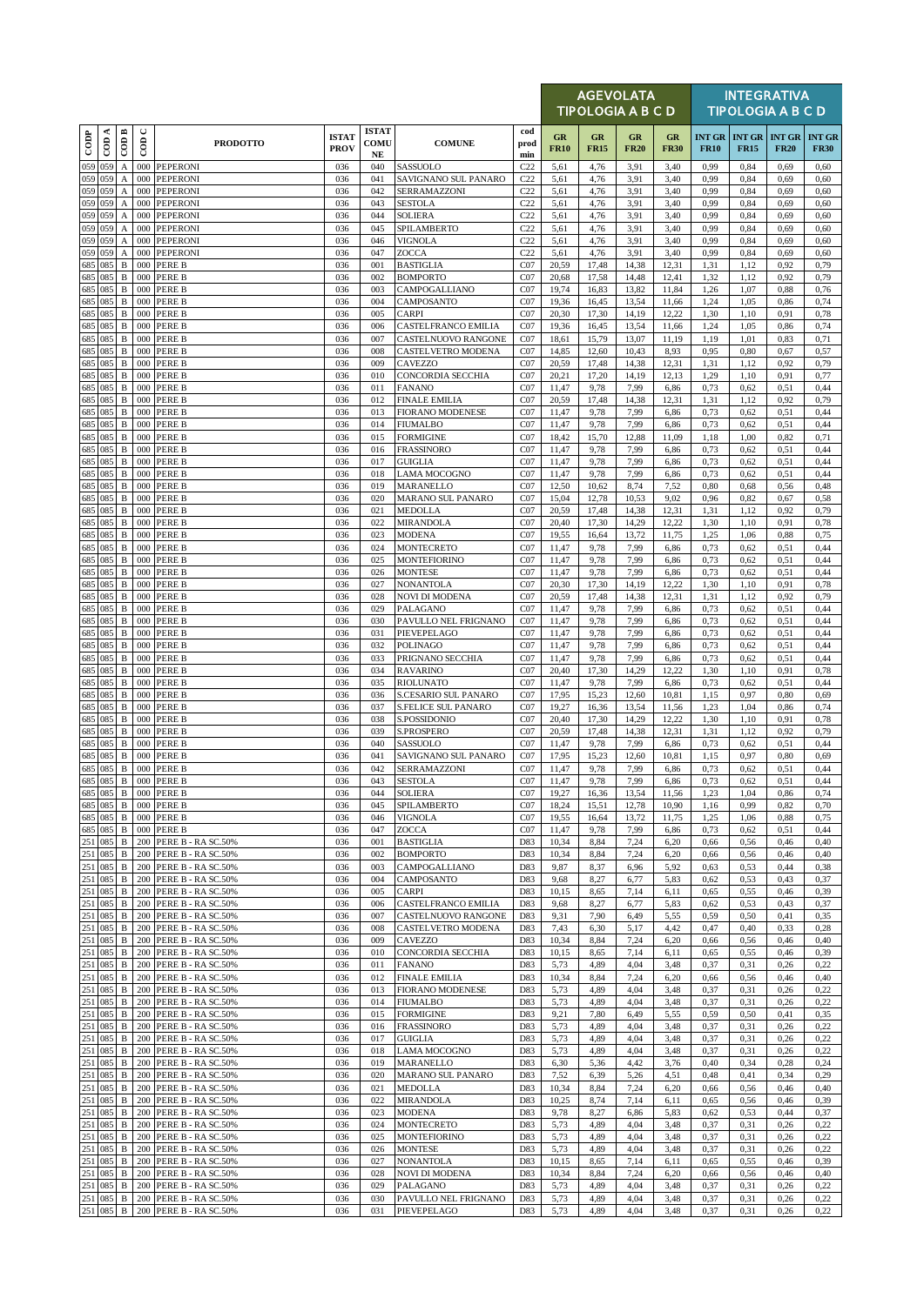|                                  |          |                                           |             |                                              |                             |                                            |                                                           |                    |                   |                   | <b>AGEVOLATA</b><br><b>TIPOLOGIA A B C D</b> |                   |                              |                              | <b>INTEGRATIVA</b><br><b>TIPOLOGIA A B C D</b> |                              |
|----------------------------------|----------|-------------------------------------------|-------------|----------------------------------------------|-----------------------------|--------------------------------------------|-----------------------------------------------------------|--------------------|-------------------|-------------------|----------------------------------------------|-------------------|------------------------------|------------------------------|------------------------------------------------|------------------------------|
| $\overline{\text{cone}}$         | $\cos A$ | CODB                                      | $\cup$<br>6 | <b>PRODOTTO</b>                              | <b>ISTAT</b><br><b>PROV</b> | <b>ISTAT</b><br><b>COMU</b><br>$_{\rm NE}$ | <b>COMUNE</b>                                             | cod<br>prod<br>min | GR<br><b>FR10</b> | GR<br><b>FR15</b> | GR<br><b>FR20</b>                            | GR<br><b>FR30</b> | <b>INT GR</b><br><b>FR10</b> | <b>INT GR</b><br><b>FR15</b> | <b>INT GR</b><br><b>FR20</b>                   | <b>INT GR</b><br><b>FR30</b> |
| 059 059<br>059 059               |          | A                                         | 000<br>000  | <b>PEPERONI</b>                              | 036                         | 040                                        | <b>SASSUOLO</b>                                           | C22                | 5,61              | 4,76              | 3.91                                         | 3,40              | 0,99                         | 0,84                         | 0,69                                           | 0,60                         |
| 059 059                          |          | A<br>$\boldsymbol{\mathsf{A}}$            | 000         | PEPERONI<br><b>PEPERONI</b>                  | 036<br>036                  | 041<br>042                                 | SAVIGNANO SUL PANARO<br>SERRAMAZZONI                      | C22<br>C22         | 5,61<br>5,61      | 4,76<br>4,76      | 3,91<br>3.91                                 | 3,40<br>3,40      | 0,99<br>0,99                 | 0.84<br>0,84                 | 0,69<br>0,69                                   | 0,60<br>0,60                 |
| 059 059                          |          | A                                         | 000         | PEPERONI                                     | 036                         | 043                                        | <b>SESTOLA</b>                                            | C22                | 5,61              | 4,76              | 3,91                                         | 3,40              | 0,99                         | 0,84                         | 0,69                                           | 0,60                         |
| 059 059<br>059 059               |          | $\boldsymbol{\mathsf{A}}$<br>$\mathbf{A}$ | 000<br>000  | <b>PEPERONI</b><br><b>PEPERONI</b>           | 036<br>036                  | 044<br>045                                 | <b>SOLIERA</b><br>SPILAMBERTO                             | C22<br>C22         | 5,61<br>5,61      | 4,76<br>4,76      | 3.91<br>3.91                                 | 3,40<br>3,40      | 0,99<br>0,99                 | 0.84<br>0,84                 | 0,69<br>0,69                                   | 0,60<br>0,60                 |
| 059 059                          |          | $\boldsymbol{A}$                          | 000         | <b>PEPERONI</b>                              | 036                         | 046                                        | <b>VIGNOLA</b>                                            | C22                | 5,61              | 4,76              | 3,91                                         | 3,40              | 0,99                         | 0,84                         | 0,69                                           | 0,60                         |
| 059                              | 059      | А                                         | 000         | <b>PEPERONI</b>                              | 036                         | 047                                        | ZOCCA                                                     | C22                | 5,61              | 4,76              | 3.91                                         | 3,40              | 0,99                         | 0.84                         | 0,69                                           | 0,60                         |
| 685 085<br>685 085               |          | $\, {\bf B}$<br>B                         | 000         | <b>PERE B</b><br>000 PERE B                  | 036<br>036                  | 001<br>002                                 | <b>BASTIGLIA</b><br><b>BOMPORTO</b>                       | CO7<br>CO7         | 20,59<br>20,68    | 17,48<br>17,58    | 14,38<br>14,48                               | 12,31<br>12,41    | 1,31<br>1,32                 | 1,12<br>1,12                 | 0,92<br>0,92                                   | 0,79<br>0,79                 |
| 685 085                          |          | $\, {\bf B}$                              | 000         | PERE B                                       | 036                         | 003                                        | CAMPOGALLIANO                                             | CO7                | 19,74             | 16,83             | 13,82                                        | 11,84             | 1,26                         | 1,07                         | 0,88                                           | 0,76                         |
| 685 085                          |          | $\, {\bf B}$                              | 000         | <b>PERE B</b>                                | 036                         | 004                                        | CAMPOSANTO                                                | CO7                | 19,36             | 16,45             | 13,54                                        | 11,66             | 1,24                         | 1,05                         | 0,86                                           | 0,74                         |
| 685 085<br>685 085               |          | $\, {\bf B}$<br>$\, {\bf B}$              | 000<br>000  | <b>PERE B</b><br><b>PERE B</b>               | 036<br>036                  | 005<br>006                                 | <b>CARPI</b><br>CASTELFRANCO EMILIA                       | CO7<br>CO7         | 20,30<br>19,36    | 17,30<br>16,45    | 14,19<br>13,54                               | 12,22<br>11,66    | 1,30<br>1,24                 | 1,10<br>1,05                 | 0,91<br>0,86                                   | 0,78<br>0,74                 |
| 685 085                          |          | B                                         | 000         | <b>PERE B</b>                                | 036                         | 007                                        | CASTELNUOVO RANGONE                                       | CO7                | 18,61             | 15,79             | 13,07                                        | 11,19             | 1,19                         | 1,01                         | 0,83                                           | 0,71                         |
| 685 085                          |          | B                                         | 000         | <b>PERE B</b>                                | 036                         | 008                                        | CASTELVETRO MODENA                                        | CO7                | 14,85             | 12,60             | 10,43                                        | 8,93              | 0,95                         | 0,80                         | 0,67                                           | 0,57                         |
| 685 085<br>685 085               |          | $\, {\bf B}$<br>$\, {\bf B}$              | 000<br>000  | <b>PERE B</b><br><b>PERE B</b>               | 036<br>036                  | 009<br>010                                 | CAVEZZO<br>CONCORDIA SECCHIA                              | CO7<br>CO7         | 20,59<br>20,21    | 17,48<br>17,20    | 14,38<br>14,19                               | 12,31<br>12,13    | 1,31<br>1,29                 | 1,12<br>1,10                 | 0,92<br>0,91                                   | 0,79<br>0,77                 |
| 685 085                          |          | $\, {\bf B}$                              | 000         | <b>PERE B</b>                                | 036                         | 011                                        | <b>FANANO</b>                                             | CO7                | 11,47             | 9,78              | 7,99                                         | 6,86              | 0,73                         | 0,62                         | 0,51                                           | 0,44                         |
| 685 085                          |          | $\, {\bf B}$                              | 000         | <b>PERE B</b>                                | 036                         | 012                                        | <b>FINALE EMILIA</b>                                      | CO7                | 20,59             | 17,48             | 14,38                                        | 12,31             | 1,31                         | 1,12                         | 0,92                                           | 0,79                         |
| 685 085<br>685 085               |          | $\, {\bf B}$<br>$\, {\bf B}$              | 000<br>000  | <b>PERE B</b><br><b>PERE B</b>               | 036<br>036                  | 013<br>014                                 | <b>FIORANO MODENESE</b><br><b>FIUMALBO</b>                | CO7<br>CO7         | 11,47<br>11,47    | 9,78<br>9,78      | 7,99<br>7,99                                 | 6,86<br>6,86      | 0,73<br>0,73                 | 0,62<br>0,62                 | 0,51<br>0,51                                   | 0,44<br>0,44                 |
| 685 085                          |          | $\, {\bf B}$                              | 000         | <b>PERE B</b>                                | 036                         | 015                                        | <b>FORMIGINE</b>                                          | CO7                | 18,42             | 15,70             | 12,88                                        | 11,09             | 1,18                         | 1,00                         | 0,82                                           | 0,71                         |
| 685 085<br>685 085               |          | $\, {\bf B}$                              | 000         | 000 PERE B                                   | 036                         | 016                                        | <b>FRASSINORO</b>                                         | CO7<br>CO7         | 11,47             | 9,78              | 7,99<br>7,99                                 | 6,86              | 0,73                         | 0,62                         | 0,51                                           | 0,44                         |
| 685 085                          |          | $\, {\bf B}$<br>$\, {\bf B}$              | 000         | <b>PERE B</b><br><b>PERE B</b>               | 036<br>036                  | 017<br>018                                 | <b>GUIGLIA</b><br><b>LAMA MOCOGNO</b>                     | CO7                | 11,47<br>11,47    | 9,78<br>9,78      | 7,99                                         | 6,86<br>6,86      | 0,73<br>0,73                 | 0,62<br>0.62                 | 0,51<br>0,51                                   | 0,44<br>0,44                 |
| 685 085                          |          | $\, {\bf B}$                              | 000         | <b>PERE B</b>                                | 036                         | 019                                        | MARANELLO                                                 | CO7                | 12,50             | 10,62             | 8,74                                         | 7,52              | 0,80                         | 0.68                         | 0,56                                           | 0,48                         |
| 685 085<br>685 085               |          | $\, {\bf B}$<br>B                         | 000<br>000  | <b>PERE B</b><br><b>PERE B</b>               | 036<br>036                  | 020<br>021                                 | <b>MARANO SUL PANARO</b><br><b>MEDOLLA</b>                | CO7<br>CO7         | 15,04<br>20,59    | 12,78<br>17,48    | 10,53<br>14,38                               | 9,02<br>12,31     | 0,96<br>1,31                 | 0,82<br>1,12                 | 0,67<br>0,92                                   | 0,58<br>0,79                 |
| 685                              | 085      | B                                         | 000         | <b>PERE B</b>                                | 036                         | 022                                        | MIRANDOLA                                                 | CO7                | 20,40             | 17,30             | 14,29                                        | 12,22             | 1,30                         | 1,10                         | 0,91                                           | 0,78                         |
| 685 085                          |          | $\, {\bf B}$                              | 000         | <b>PERE B</b>                                | 036                         | 023                                        | <b>MODENA</b>                                             | CO7                | 19,55             | 16,64             | 13,72                                        | 11,75             | 1,25                         | 1,06                         | 0,88                                           | 0,75                         |
| 685 085<br>685 085               |          | $\, {\bf B}$<br>$\, {\bf B}$              | 000<br>000  | <b>PERE B</b><br><b>PERE B</b>               | 036<br>036                  | 024<br>025                                 | <b>MONTECRETO</b><br><b>MONTEFIORINO</b>                  | CO7<br>CO7         | 11,47<br>11,47    | 9,78<br>9,78      | 7,99<br>7,99                                 | 6,86<br>6,86      | 0,73<br>0,73                 | 0,62<br>0,62                 | 0,51<br>0,51                                   | 0,44<br>0,44                 |
| 685 085                          |          | $\, {\bf B}$                              | 000         | <b>PERE B</b>                                | 036                         | 026                                        | <b>MONTESE</b>                                            | CO7                | 11,47             | 9,78              | 7,99                                         | 6,86              | 0,73                         | 0.62                         | 0,51                                           | 0,44                         |
| 685 085                          |          | $\, {\bf B}$                              | 000         | <b>PERE B</b>                                | 036                         | 027                                        | <b>NONANTOLA</b>                                          | CO7                | 20,30             | 17,30             | 14,19                                        | 12,22             | 1,30                         | 1,10                         | 0,91                                           | 0,78                         |
| 685<br>685 085                   | 085      | $\, {\bf B}$<br>$\, {\bf B}$              | 000<br>000  | <b>PERE B</b><br><b>PERE B</b>               | 036<br>036                  | 028<br>029                                 | <b>NOVI DI MODENA</b><br>PALAGANO                         | CO7<br>CO7         | 20,59<br>11,47    | 17,48<br>9,78     | 14,38<br>7,99                                | 12,31<br>6,86     | 1,31<br>0,73                 | 1,12<br>0.62                 | 0,92<br>0,51                                   | 0,79<br>0,44                 |
| 685 085                          |          | $\, {\bf B}$                              |             | 000 PERE B                                   | 036                         | 030                                        | PAVULLO NEL FRIGNANO                                      | CO7                | 11,47             | 9,78              | 7,99                                         | 6,86              | 0,73                         | 0,62                         | 0,51                                           | 0,44                         |
| 685 085                          |          | $\, {\bf B}$                              | 000         | <b>PERE B</b>                                | 036                         | 031                                        | PIEVEPELAGO                                               | CO7                | 11,47             | 9,78              | 7,99                                         | 6,86              | 0,73                         | 0,62                         | 0,51                                           | 0,44                         |
| 685 085<br>685 085               |          | $\, {\bf B}$<br>B                         | 000<br>000  | <b>PERE B</b><br><b>PERE B</b>               | 036<br>036                  | 032<br>033                                 | <b>POLINAGO</b><br>PRIGNANO SECCHIA                       | CO7<br>CO7         | 11,47<br>11,47    | 9,78<br>9,78      | 7,99<br>7,99                                 | 6,86<br>6,86      | 0,73<br>0,73                 | 0.62<br>0,62                 | 0,51<br>0,51                                   | 0,44<br>0,44                 |
| 685 085                          |          | $\, {\bf B}$                              | 000         | <b>PERE B</b>                                | 036                         | 034                                        | <b>RAVARINO</b>                                           | CO7                | 20,40             | 17,30             | 14,29                                        | 12,22             | 1,30                         | 1,10                         | 0,91                                           | 0,78                         |
| 685 085<br>685 085               |          | $\, {\bf B}$                              | 000         | <b>PERE B</b>                                | 036                         | 035                                        | <b>RIOLUNATO</b>                                          | CO7                | 11,47             | 9,78              | 7,99                                         | 6,86              | 0,73                         | 0,62                         | 0,51                                           | 0,44                         |
| 685 085                          |          | B<br>B                                    | 000<br>000  | <b>PERE B</b><br><b>PERE B</b>               | 036<br>036                  | 036<br>037                                 | <b>S.CESARIO SUL PANARO</b><br><b>S.FELICE SUL PANARO</b> | CO7<br>CO7         | 17,95<br>19,27    | 15,23<br>16,36    | 12,60<br>13,54                               | 10,81<br>11,56    | 1,15<br>1,23                 | 0,97<br>1,04                 | 0,80<br>0,86                                   | 0,69<br>0,74                 |
| 685 085                          |          | $\, {\bf B}$                              | 000         | <b>PERE B</b>                                | 036                         | 038                                        | S.POSSIDONIO                                              | CO7                | 20,40             | 17,30             | 14,29                                        | 12,22             | 1,30                         | 1,10                         | 0,91                                           | 0,78                         |
| 685 085<br>685 085               |          | $\, {\bf B}$<br>$\, {\bf B}$              | 000<br>000  | <b>PERE B</b><br><b>PERE B</b>               | 036<br>036                  | 039<br>040                                 | <b>S.PROSPERO</b><br><b>SASSUOLO</b>                      | CO7<br>CO7         | 20,59<br>11,47    | 17,48<br>9,78     | 14,38<br>7,99                                | 12,31<br>6,86     | 1,31<br>0,73                 | 1,12<br>0.62                 | 0,92<br>0,51                                   | 0,79<br>0,44                 |
| 685 085                          |          | $\, {\bf B}$                              |             | 000 PERE B                                   | 036                         | 041                                        | SAVIGNANO SUL PANARO                                      | CO7                | 17,95             | 15,23             | 12,60                                        | 10,81             | 1,15                         | 0,97                         | 0,80                                           | 0,69                         |
| 685 085                          |          | B                                         |             | 000 PERE B                                   | 036                         | 042                                        | SERRAMAZZONI                                              | CO7                | 11,47             | 9,78              | 7,99                                         | 6,86              | 0,73                         | 0,62                         | 0,51                                           | 0,44                         |
| 685 085<br>685 085               |          | $\mathbf B$                               |             | B 000 PERE B<br>000 PERE B                   | 036<br>036                  | 043<br>044                                 | <b>SESTOLA</b><br><b>SOLIERA</b>                          | CO7<br>CO7         | 11.47<br>19,27    | 9.78              | 7.99<br>13,54                                | 6.86              | 0.73<br>1,23                 | 0.62<br>1,04                 | 0.51                                           | 0.44<br>0,74                 |
| 685 085                          |          | B                                         | 000         | <b>PERE B</b>                                | 036                         | 045                                        | SPILAMBERTO                                               | CO7                | 18,24             | 16,36<br>15,51    | 12,78                                        | 11,56<br>10,90    | 1,16                         | 0,99                         | 0,86<br>0,82                                   | 0,70                         |
| 685 085                          |          | B                                         | 000         | PERE B                                       | 036                         | 046                                        | VIGNOLA                                                   | CO7                | 19,55             | 16,64             | 13,72                                        | 11,75             | 1,25                         | 1,06                         | 0,88                                           | 0,75                         |
| 685 085<br>251 085               |          | B<br>B                                    | 200         | 000 PERE B<br>PERE B - RA SC.50%             | 036<br>036                  | 047<br>001                                 | ZOCCA<br><b>BASTIGLIA</b>                                 | CO7<br>D83         | 11,47<br>10,34    | 9,78<br>8,84      | 7,99<br>7,24                                 | 6,86<br>6,20      | 0,73<br>0,66                 | 0,62<br>0,56                 | 0,51<br>0,46                                   | 0,44<br>0,40                 |
| 251 085                          |          | B                                         | 200         | PERE B - RA SC.50%                           | 036                         | 002                                        | <b>BOMPORTO</b>                                           | D83                | 10,34             | 8,84              | 7,24                                         | 6,20              | 0,66                         | 0,56                         | 0,46                                           | 0,40                         |
| 251 085                          |          | B                                         | 200         | PERE B - RA SC.50%                           | 036                         | 003                                        | CAMPOGALLIANO                                             | D83                | 9,87              | 8,37              | 6,96                                         | 5,92              | 0,63                         | 0,53                         | 0,44                                           | 0,38                         |
| 251 085<br>251 085               |          | B<br>B                                    | 200<br>200  | PERE B - RA SC.50%<br>PERE B - RA SC.50%     | 036<br>036                  | 004<br>005                                 | CAMPOSANTO<br><b>CARPI</b>                                | D83<br>D83         | 9,68<br>10,15     | 8,27<br>8,65      | 6,77<br>7,14                                 | 5,83<br>6,11      | 0,62<br>0,65                 | 0,53<br>0,55                 | 0,43<br>0,46                                   | 0,37<br>0,39                 |
| 251 085                          |          | B                                         | 200         | PERE B - RA SC.50%                           | 036                         | 006                                        | CASTELFRANCO EMILIA                                       | D83                | 9,68              | 8,27              | 6,77                                         | 5,83              | 0,62                         | 0.53                         | 0,43                                           | 0,37                         |
| 251 085                          |          | $\, {\bf B}$                              | 200         | PERE B - RA SC.50%                           | 036                         | 007                                        | CASTELNUOVO RANGONE                                       | D83                | 9,31              | 7,90              | 6,49                                         | 5,55              | 0,59                         | 0,50                         | 0,41                                           | 0,35                         |
| 251 085<br>251 085               |          | В<br>B                                    | 200         | 200 PERE B - RA SC.50%<br>PERE B - RA SC.50% | 036<br>036                  | 008<br>009                                 | CASTELVETRO MODENA<br><b>CAVEZZO</b>                      | D83<br>D83         | 7,43<br>10,34     | 6,30<br>8,84      | 5,17<br>7,24                                 | 4,42<br>6,20      | 0,47<br>0,66                 | 0,40<br>0,56                 | 0,33<br>0,46                                   | 0,28<br>0,40                 |
| 251 085                          |          | B                                         | 200         | PERE B - RA SC.50%                           | 036                         | 010                                        | CONCORDIA SECCHIA                                         | D83                | 10,15             | 8,65              | 7,14                                         | 6,11              | 0,65                         | 0,55                         | 0,46                                           | 0,39                         |
| 251 085                          |          | В                                         |             | 200 PERE B - RA SC.50%                       | 036                         | 011                                        | <b>FANANO</b>                                             | D83                | 5,73              | 4,89              | 4,04                                         | 3,48              | 0,37                         | 0,31                         | 0,26                                           | 0,22                         |
| 251 085<br>251 085               |          | $\, {\bf B}$<br>B                         | 200<br>200  | PERE B - RA SC.50%<br>PERE B - RA SC.50%     | 036<br>036                  | 012<br>013                                 | <b>FINALE EMILIA</b><br><b>FIORANO MODENESE</b>           | D83<br>D83         | 10,34<br>5,73     | 8,84<br>4,89      | 7,24<br>4,04                                 | 6,20<br>3,48      | 0,66<br>0,37                 | 0,56<br>0,31                 | 0,46<br>0,26                                   | 0,40<br>0,22                 |
| 251 085                          |          | В                                         |             | 200 PERE B - RA SC.50%                       | 036                         | 014                                        | <b>FIUMALBO</b>                                           | D83                | 5,73              | 4,89              | 4,04                                         | 3,48              | 0,37                         | 0,31                         | 0,26                                           | 0,22                         |
| 251 085                          |          | B                                         |             | 200 PERE B - RA SC.50%                       | 036                         | 015                                        | <b>FORMIGINE</b>                                          | D83                | 9,21              | 7,80              | 6,49                                         | 5,55              | 0,59                         | 0,50                         | 0,41                                           | 0,35                         |
| 251 085<br>$\frac{251}{251}$ 085 |          | B<br>B                                    | 200<br>200  | PERE B - RA SC.50%<br>PERE B - RA SC.50%     | 036<br>036                  | 016<br>017                                 | <b>FRASSINORO</b><br>GUIGLIA                              | D83<br>D83         | 5,73<br>5,73      | 4,89<br>4,89      | 4,04<br>4,04                                 | 3,48<br>3,48      | 0,37<br>0,37                 | 0,31<br>0,31                 | 0,26<br>0,26                                   | 0,22<br>0,22                 |
| 251 085                          |          | B                                         | 200         | PERE B - RA SC.50%                           | 036                         | 018                                        | LAMA MOCOGNO                                              | D83                | 5,73              | 4,89              | 4,04                                         | 3,48              | 0,37                         | 0,31                         | 0,26                                           | 0,22                         |
| 251 085                          |          | B                                         |             | 200 PERE B - RA SC.50%                       | 036                         | 019                                        | MARANELLO                                                 | D83                | 6,30              | 5,36              | 4,42                                         | 3,76              | 0,40                         | 0,34                         | 0,28                                           | 0,24                         |
| 251 085<br>251 085               |          | B<br>$\, {\bf B}$                         | 200<br>200  | PERE B - RA SC.50%<br>PERE B - RA SC.50%     | 036<br>036                  | 020<br>021                                 | <b>MARANO SUL PANARO</b><br>MEDOLLA                       | D83<br>D83         | 7,52<br>10,34     | 6,39<br>8,84      | 5,26<br>7,24                                 | 4,51<br>6,20      | 0,48<br>0,66                 | 0,41<br>0,56                 | 0,34<br>0,46                                   | 0,29<br>0,40                 |
| 251 085                          |          | B                                         |             | 200 PERE B - RA SC.50%                       | 036                         | 022                                        | MIRANDOLA                                                 | D83                | 10,25             | 8,74              | 7,14                                         | 6,11              | 0,65                         | 0,56                         | 0,46                                           | 0,39                         |
| 251 085                          |          | B                                         | 200         | PERE B - RA SC.50%                           | 036                         | 023                                        | MODENA                                                    | D83                | 9,78              | 8,27              | 6,86                                         | 5,83              | 0,62                         | 0,53                         | 0,44                                           | 0,37                         |
| 251 085<br>251 085               |          | B<br>B                                    | 200         | PERE B - RA SC.50%<br>200 PERE B - RA SC.50% | 036<br>036                  | 024<br>025                                 | MONTECRETO<br><b>MONTEFIORINO</b>                         | D83<br>D83         | 5,73<br>5,73      | 4,89<br>4,89      | 4,04<br>4,04                                 | 3,48<br>3,48      | 0,37<br>0,37                 | 0,31<br>0,31                 | 0,26<br>0,26                                   | 0,22<br>0,22                 |
| 251 085                          |          | B                                         | 200         | PERE B - RA SC.50%                           | 036                         | 026                                        | MONTESE                                                   | D83                | 5,73              | 4,89              | 4,04                                         | 3,48              | 0,37                         | 0,31                         | 0,26                                           | 0,22                         |
| 251 085<br>251 085               |          | B                                         | 200         | PERE B - RA SC.50%                           | 036                         | 027                                        | <b>NONANTOLA</b>                                          | D83<br>D83         | 10,15             | 8,65              | 7,14                                         | 6,11              | 0,65                         | 0.55                         | 0,46                                           | 0,39<br>0,40                 |
| 251 085                          |          | B<br>B                                    | 200         | 200 PERE B - RA SC.50%<br>PERE B - RA SC.50% | 036<br>036                  | 028<br>029                                 | <b>NOVI DI MODENA</b><br>PALAGANO                         | D83                | 10,34<br>5,73     | 8,84<br>4,89      | 7,24<br>4,04                                 | 6,20<br>3,48      | 0,66<br>0,37                 | 0,56<br>0,31                 | 0,46<br>0,26                                   | 0,22                         |
| 251 085                          |          | B                                         |             | 200 PERE B - RA SC.50%                       | 036                         | 030                                        | PAVULLO NEL FRIGNANO                                      | D83                | 5,73              | 4,89              | 4,04                                         | 3,48              | 0,37                         | 0,31                         | 0,26                                           | 0,22                         |
| 251 085                          |          | B                                         |             | 200 PERE B - RA SC.50%                       | 036                         | 031                                        | PIEVEPELAGO                                               | D83                | 5,73              | 4,89              | 4,04                                         | 3,48              | 0,37                         | 0,31                         | 0,26                                           | 0,22                         |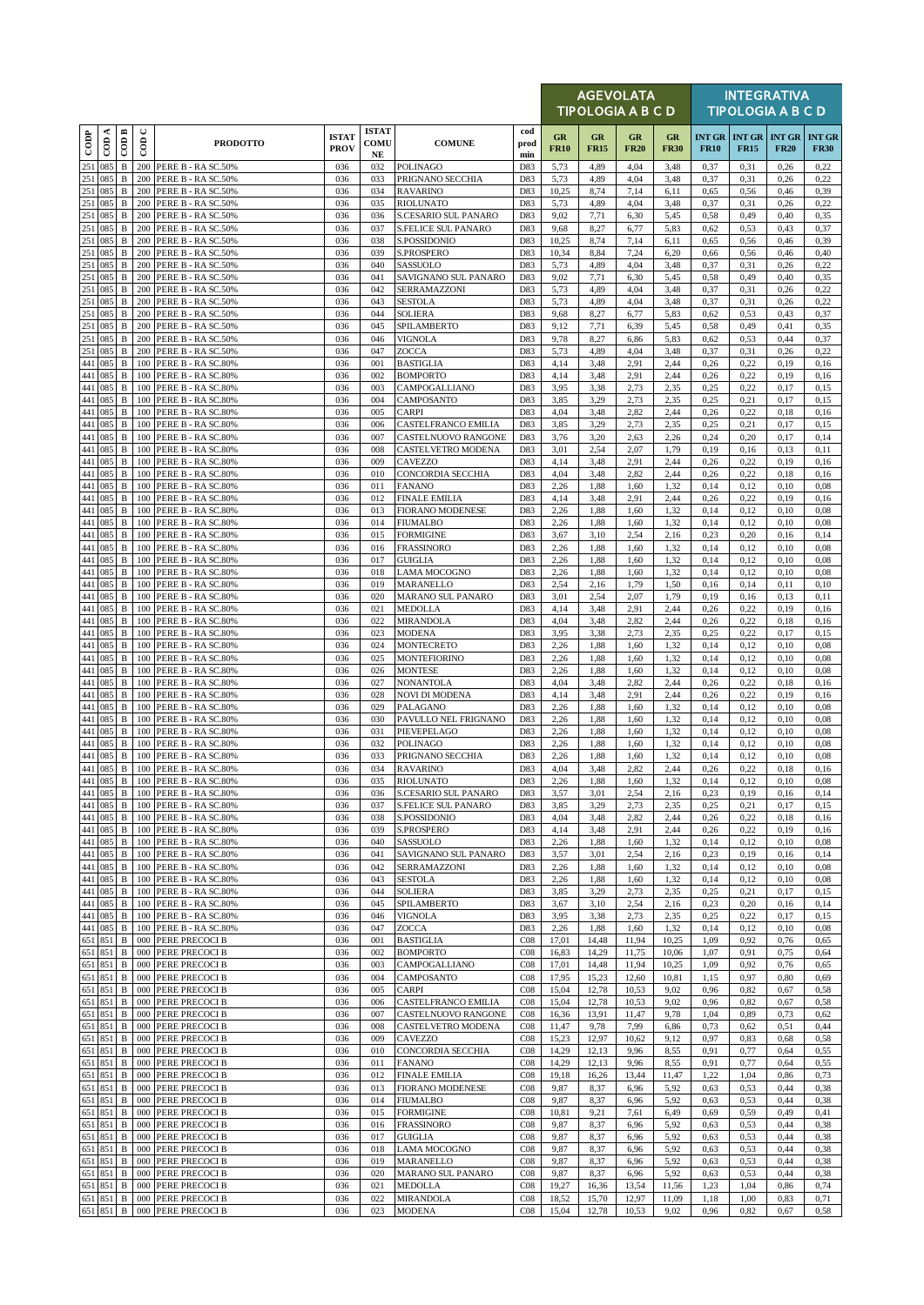|                   |                           |                              |               |                                                  |                             |                                  |                                             |                    |                          | <b>AGEVOLATA</b><br>TIPOLOGIA A B C D |                   |                   |              |                                                | <b>INTEGRATIVA</b><br><b>TIPOLOGIA A B C D</b> |                              |
|-------------------|---------------------------|------------------------------|---------------|--------------------------------------------------|-----------------------------|----------------------------------|---------------------------------------------|--------------------|--------------------------|---------------------------------------|-------------------|-------------------|--------------|------------------------------------------------|------------------------------------------------|------------------------------|
| $\overline{1000}$ | $\overline{\text{con A}}$ | COD B                        | $\cup$<br>600 | <b>PRODOTTO</b>                                  | <b>ISTAT</b><br><b>PROV</b> | <b>ISTAT</b><br>COMU<br>$\bf NE$ | <b>COMUNE</b>                               | cod<br>prod<br>min | <b>GR</b><br><b>FR10</b> | GR<br><b>FR15</b>                     | GR<br><b>FR20</b> | GR<br><b>FR30</b> | <b>FR10</b>  | <b>INT GR   INT GR   INT GR</b><br><b>FR15</b> | <b>FR20</b>                                    | <b>INT GR</b><br><b>FR30</b> |
| 251               | 085                       | $\, {\bf B}$                 | 200           | PERE B - RA SC.50%                               | 036                         | 032                              | POLINAGO                                    | D83                | 5,73                     | 4,89                                  | 4,04              | 3,48              | 0,37         | 0,31                                           | 0,26                                           | 0,22                         |
| 251<br>251        | 085<br>085                | $\, {\bf B}$<br>$\, {\bf B}$ | 200<br>200    | PERE B - RA SC.50%<br>PERE B - RA SC.50%         | 036<br>036                  | 033<br>034                       | PRIGNANO SECCHIA<br><b>RAVARINO</b>         | D83<br>D83         | 5,73<br>10,25            | 4,89<br>8,74                          | 4,04<br>7,14      | 3,48<br>6,11      | 0,37<br>0,65 | 0,31<br>0,56                                   | 0,26<br>0,46                                   | 0,22<br>0,39                 |
| 251               | 085                       | $\, {\bf B}$                 | 200           | PERE B - RA SC.50%                               | 036                         | 035                              | <b>RIOLUNATO</b>                            | D83                | 5,73                     | 4,89                                  | 4,04              | 3,48              | 0,37         | 0,31                                           | 0,26                                           | 0,22                         |
| 251<br>251        | 085<br>085                | $\, {\bf B}$<br>$\, {\bf B}$ | 200<br>200    | PERE B - RA SC.50%<br>PERE B - RA SC.50%         | 036<br>036                  | 036<br>037                       | S.CESARIO SUL PANARO<br>S.FELICE SUL PANARO | D83<br>D83         | 9,02<br>9,68             | 7,71<br>8,27                          | 6,30<br>6,77      | 5,45<br>5,83      | 0,58<br>0,62 | 0,49<br>0,53                                   | 0,40<br>0,43                                   | 0,35<br>0,37                 |
| 251               | 085                       | $\, {\bf B}$                 | 200           | PERE B - RA SC.50%                               | 036                         | 038                              | S.POSSIDONIO                                | D83                | 10,25                    | 8,74                                  | 7,14              | 6,11              | 0,65         | 0,56                                           | 0,46                                           | 0,39                         |
| 251               | 085                       | $\, {\bf B}$                 | 200           | PERE B - RA SC.50%<br>PERE B - RA SC.50%         | 036                         | 039                              | S.PROSPERO                                  | D83                | 10,34                    | 8,84                                  | 7,24              | 6,20              | 0,66         | 0,56                                           | 0,46                                           | 0,40                         |
| 251<br>251        | 085<br>085                | $\, {\bf B}$<br>$\, {\bf B}$ | 200<br>200    | PERE B - RA SC.50%                               | 036<br>036                  | 040<br>041                       | SASSUOLO<br>SAVIGNANO SUL PANARO            | D83<br>D83         | 5,73<br>9,02             | 4,89<br>7,71                          | 4,04<br>6,30      | 3,48<br>5,45      | 0,37<br>0,58 | 0,31<br>0,49                                   | 0,26<br>0,40                                   | 0,22<br>0,35                 |
| 251               | 085                       | B                            | 200           | PERE B - RA SC.50%                               | 036                         | 042                              | SERRAMAZZONI                                | D83                | 5,73                     | 4,89                                  | 4,04              | 3,48              | 0,37         | 0,31                                           | 0,26                                           | 0,22                         |
| 251<br>251        | 085<br>085                | B<br>$\, {\bf B}$            | 200<br>200    | PERE B - RA SC.50%<br>PERE B - RA SC.50%         | 036<br>036                  | 043<br>044                       | <b>SESTOLA</b><br><b>SOLIERA</b>            | D83<br>D83         | 5,73<br>9,68             | 4,89<br>8,27                          | 4,04<br>6,77      | 3,48<br>5,83      | 0,37<br>0.62 | 0,31<br>0,53                                   | 0,26<br>0,43                                   | 0,22<br>0,37                 |
| 251               | 085                       | $\, {\bf B}$                 | 200           | PERE B - RA SC.50%                               | 036                         | 045                              | SPILAMBERTO                                 | D83                | 9,12                     | 7,71                                  | 6,39              | 5,45              | 0,58         | 0,49                                           | 0,41                                           | 0.35                         |
| 251               | 085                       | B                            | 200           | PERE B - RA SC.50%                               | 036                         | 046                              | VIGNOLA                                     | D83                | 9,78                     | 8,27                                  | 6,86              | 5,83              | 0,62         | 0,53                                           | 0,44                                           | 0,37                         |
| 251<br>441        | 085<br>085                | $\, {\bf B}$<br>B            | 200<br>100    | PERE B - RA SC.50%<br>PERE B - RA SC.80%         | 036<br>036                  | 047<br>001                       | ZOCCA<br><b>BASTIGLIA</b>                   | D83<br>D83         | 5,73<br>4,14             | 4,89<br>3,48                          | 4,04<br>2.91      | 3,48<br>2,44      | 0,37<br>0,26 | 0,31<br>0,22                                   | 0,26<br>0,19                                   | 0,22<br>0,16                 |
|                   | 441 085                   | B                            | 100           | PERE B - RA SC.80%                               | 036                         | 002                              | <b>BOMPORTO</b>                             | D83                | 4,14                     | 3,48                                  | 2,91              | 2,44              | 0,26         | 0,22                                           | 0,19                                           | 0,16                         |
| 441               | 441 085<br>085            | $\, {\bf B}$<br>$\, {\bf B}$ | 100<br>100    | PERE B - RA SC.80%<br>PERE B - RA SC.80%         | 036<br>036                  | 003<br>004                       | CAMPOGALLIANO<br>CAMPOSANTO                 | D83<br>D83         | 3,95<br>3,85             | 3,38<br>3,29                          | 2,73<br>2,73      | 2,35<br>2,35      | 0,25<br>0,25 | 0,22<br>0,21                                   | 0,17<br>0,17                                   | 0.15<br>0.15                 |
| 441               | 085                       | B                            | 100           | PERE B - RA SC.80%                               | 036                         | 005                              | CARPI                                       | D83                | 4,04                     | 3,48                                  | 2,82              | 2,44              | 0,26         | 0,22                                           | 0,18                                           | 0,16                         |
|                   | 441 085                   | $\, {\bf B}$                 | 100           | PERE B - RA SC.80%                               | 036                         | 006                              | CASTELFRANCO EMILIA                         | D83                | 3,85                     | 3,29                                  | 2,73              | 2,35              | 0,25         | 0,21                                           | 0,17                                           | 0,15                         |
| 441<br>441        | 085<br>085                | $\, {\bf B}$<br>B            | 100<br>100    | PERE B - RA SC.80%<br>PERE B - RA SC.80%         | 036<br>036                  | 007<br>008                       | CASTELNUOVO RANGONE<br>CASTELVETRO MODENA   | D83<br>D83         | 3,76<br>3,01             | 3,20<br>2,54                          | 2,63<br>2,07      | 2,26<br>1,79      | 0,24<br>0,19 | 0,20<br>0,16                                   | 0,17<br>0,13                                   | 0,14<br>0,11                 |
| 441               | 085                       | B                            | 100           | PERE B - RA SC.80%                               | 036                         | 009                              | CAVEZZO                                     | D83                | 4,14                     | 3,48                                  | 2.91              | 2,44              | 0,26         | 0,22                                           | 0,19                                           | 0,16                         |
| 441<br>441        | 085<br>085                | B<br>$\, {\bf B}$            | 100<br>100    | PERE B - RA SC.80%<br>PERE B - RA SC.80%         | 036<br>036                  | 010<br>011                       | CONCORDIA SECCHIA<br><b>FANANO</b>          | D83<br>D83         | 4,04<br>2,26             | 3,48<br>1,88                          | 2,82<br>1,60      | 2,44<br>1,32      | 0,26<br>0,14 | 0,22<br>0,12                                   | 0,18<br>0,10                                   | 0,16<br>0.08                 |
| 441               | 085                       | $\, {\bf B}$                 | 100           | PERE B - RA SC.80%                               | 036                         | 012                              | <b>FINALE EMILIA</b>                        | D83                | 4,14                     | 3,48                                  | 2.91              | 2,44              | 0,26         | 0,22                                           | 0,19                                           | 0,16                         |
|                   | 441 085                   | B                            | 100           | PERE B - RA SC.80%                               | 036                         | 013                              | FIORANO MODENESE                            | D83                | 2,26                     | 1,88                                  | 1,60              | 1,32              | 0,14         | 0,12                                           | 0,10                                           | 0.08                         |
| 441               | 085<br>441 085            | $\, {\bf B}$<br>B            | 100<br>100    | PERE B - RA SC.80%<br>PERE B - RA SC.80%         | 036<br>036                  | 014<br>015                       | <b>FIUMALBO</b><br><b>FORMIGINE</b>         | D83<br>D83         | 2,26<br>3,67             | 1,88<br>3,10                          | 1,60<br>2.54      | 1,32<br>2,16      | 0,14<br>0,23 | 0,12<br>0,20                                   | 0,10<br>0,16                                   | 0.08<br>0,14                 |
|                   | 441 085                   | $\, {\bf B}$                 | 100           | PERE B - RA SC.80%                               | 036                         | 016                              | <b>FRASSINORO</b>                           | D83                | 2,26                     | 1,88                                  | 1,60              | 1,32              | 0,14         | 0,12                                           | 0,10                                           | 0.08                         |
|                   | 441 085<br>441 085        | $\, {\bf B}$                 | 100           | PERE B - RA SC.80%                               | 036                         | 017                              | <b>GUIGLIA</b>                              | D83                | 2,26                     | 1,88                                  | 1,60              | 1,32              | 0,14         | 0,12                                           | 0,10                                           | 0.08                         |
|                   | 441 085                   | $\, {\bf B}$<br>B            | 100           | PERE B - RA SC.80%<br>100 PERE B - RA SC.80%     | 036<br>036                  | 018<br>019                       | LAMA MOCOGNO<br>MARANELLO                   | D83<br>D83         | 2,26<br>2,54             | 1,88<br>2,16                          | 1,60<br>1,79      | 1,32<br>1,50      | 0,14<br>0,16 | 0,12<br>0,14                                   | 0,10<br>0,11                                   | 0,08<br>0,10                 |
| 441               | 085                       | B                            | 100           | PERE B - RA SC.80%                               | 036                         | 020                              | MARANO SUL PANARO                           | D83                | 3,01                     | 2,54                                  | 2,07              | 1,79              | 0,19         | 0,16                                           | 0,13                                           | 0,11                         |
|                   | 441 085<br>441 085        | B<br>B                       | 100<br>100    | PERE B - RA SC.80%<br>PERE B - RA SC.80%         | 036<br>036                  | 021<br>022                       | MEDOLLA<br>MIRANDOLA                        | D83<br>D83         | 4,14<br>4,04             | 3,48<br>3,48                          | 2.91<br>2,82      | 2,44<br>2,44      | 0,26<br>0,26 | 0,22<br>0,22                                   | 0,19<br>0,18                                   | 0,16<br>0,16                 |
| 441               | 085                       | B                            | 100           | PERE B - RA SC.80%                               | 036                         | 023                              | <b>MODENA</b>                               | D83                | 3,95                     | 3,38                                  | 2.73              | 2,35              | 0,25         | 0,22                                           | 0,17                                           | 0,15                         |
|                   | 441 085                   | B                            | 100           | PERE B - RA SC.80%                               | 036                         | 024                              | <b>MONTECRETO</b>                           | D83                | 2,26                     | 1,88                                  | 1,60              | 1,32              | 0,14         | 0,12                                           | 0,10                                           | 0.08                         |
| 441<br>441        | 085<br>085                | $\, {\bf B}$<br>$\, {\bf B}$ | 100<br>100    | PERE B - RA SC.80%<br>PERE B - RA SC.80%         | 036<br>036                  | 025<br>026                       | <b>MONTEFIORINO</b><br><b>MONTESE</b>       | D83<br>D83         | 2,26<br>2,26             | 1,88<br>1,88                          | 1,60<br>1,60      | 1,32<br>1,32      | 0,14<br>0,14 | 0,12<br>0,12                                   | 0,10<br>0,10                                   | 0.08<br>0.08                 |
|                   | 441 085                   | $\, {\bf B}$                 | 100           | PERE B - RA SC.80%                               | 036                         | 027                              | <b>NONANTOLA</b>                            | D83                | 4,04                     | 3,48                                  | 2,82              | 2,44              | 0,26         | 0,22                                           | 0,18                                           | 0,16                         |
| 441               | 441 085<br>085            | B<br>B                       | 100<br>100    | PERE B - RA SC.80%<br>PERE B - RA SC.80%         | 036<br>036                  | 028<br>029                       | NOVI DI MODENA<br>PALAGANO                  | D83<br>D83         | 4,14<br>2,26             | 3,48<br>1,88                          | 2,91<br>1,60      | 2,44<br>1,32      | 0,26<br>0,14 | 0,22<br>0,12                                   | 0,19<br>0,10                                   | 0,16<br>0.08                 |
|                   | 441 085                   | B                            | 100           | PERE B - RA SC.80%                               | 036                         | 030                              | PAVULLO NEL FRIGNANO                        | D83                | 2,26                     | 1,88                                  | 1,60              | 1,32              | 0,14         | 0,12                                           | 0,10                                           | 0.08                         |
|                   | 441 085                   | $\, {\bf B}$                 | 100           | PERE B - RA SC.80%                               | 036                         | 031                              | PIEVEPELAGO                                 | D83                | 2,26                     | 1,88                                  | 1,60              | 1,32              | 0,14         | 0,12                                           | 0,10                                           | 0.08                         |
| 441<br>441        | 085<br>085                | $\, {\bf B}$<br>$\, {\bf B}$ | 100<br>100    | PERE B - RA SC.80%<br>PERE B - RA SC.80%         | 036<br>036                  | 032<br>033                       | <b>POLINAGO</b><br>PRIGNANO SECCHIA         | D83<br>D83         | 2,26<br>2,26             | 1,88<br>1,88                          | 1,60<br>1,60      | 1,32<br>1,32      | 0,14<br>0,14 | 0,12<br>0,12                                   | 0,10<br>0,10                                   | 0,08<br>0.08                 |
|                   | 441 085                   | $\, {\bf B}$                 |               | 100 PERE B - RA SC.80%                           | 036                         | 034                              | <b>RAVARINO</b>                             | D83                | 4,04                     | 3,48                                  | 2,82              | 2,44              | 0,26         | 0,22                                           | 0,18                                           | 0,16                         |
|                   | 441 085<br>441 085        | $\, {\bf B}$<br>B            |               | 100 PERE B - RA SC.80%<br>100 PERE B - RA SC.80% | 036<br>036                  | 035<br>036                       | <b>RIOLUNATO</b><br>S.CESARIO SUL PANARO    | D83<br>D83         | 2,26<br>3,57             | 1,88<br>3,01                          | 1,60<br>2,54      | 1,32<br>2,16      | 0,14<br>0.23 | 0,12<br>0,19                                   | 0,10<br>0,16                                   | 0.08<br>0,14                 |
| 441               | 085                       | $\, {\bf B}$                 | 100           | PERE B - RA SC.80%                               | 036                         | 037                              | <b>S.FELICE SUL PANARO</b>                  | D83                | 3,85                     | 3,29                                  | 2,73              | 2,35              | 0,25         | 0,21                                           | 0,17                                           | 0,15                         |
|                   | 441 085                   | B                            |               | 100 PERE B - RA SC.80%                           | 036                         | 038                              | S.POSSIDONIO                                | D83                | 4,04                     | 3,48                                  | 2,82              | 2,44              | 0,26         | 0,22                                           | 0,18                                           | 0,16                         |
| 441               | 085<br>441 085            | $\, {\bf B}$<br>$\, {\bf B}$ | 100<br>100    | PERE B - RA SC.80%<br>PERE B - RA SC.80%         | 036<br>036                  | 039<br>040                       | S.PROSPERO<br>SASSUOLO                      | D83<br>D83         | 4,14<br>2,26             | 3,48<br>1,88                          | 2,91<br>1,60      | 2,44<br>1,32      | 0,26<br>0,14 | 0,22<br>0,12                                   | 0,19<br>0,10                                   | 0,16<br>0,08                 |
|                   | 441 085                   | B                            | 100           | PERE B - RA SC.80%                               | 036                         | 041                              | SAVIGNANO SUL PANARO                        | D83                | 3,57                     | 3,01                                  | 2,54              | 2,16              | 0,23         | 0,19                                           | 0,16                                           | 0,14                         |
|                   | 441 085<br>441 085        | B<br>$\, {\bf B}$            | 100<br>100    | PERE B - RA SC.80%<br>PERE B - RA SC.80%         | 036<br>036                  | 042<br>043                       | SERRAMAZZONI<br><b>SESTOLA</b>              | D83<br>D83         | 2,26<br>2,26             | 1,88<br>1,88                          | 1,60<br>1,60      | 1,32<br>1,32      | 0,14<br>0,14 | 0,12<br>0,12                                   | 0,10<br>0,10                                   | 0.08<br>0,08                 |
|                   | 441 085                   | $\, {\bf B}$                 |               | 100 PERE B - RA SC.80%                           | 036                         | 044                              | SOLIERA                                     | D83                | 3,85                     | 3,29                                  | 2,73              | 2,35              | 0,25         | 0,21                                           | 0,17                                           | 0,15                         |
|                   | 441 085                   | B                            | 100           | PERE B - RA SC.80%                               | 036                         | 045                              | SPILAMBERTO                                 | D83                | 3,67                     | 3,10                                  | 2.54              | 2,16              | 0,23         | 0,20                                           | 0,16                                           | 0,14                         |
|                   | 441 085<br>441 085        | B<br>B                       | 100<br>100    | PERE B - RA SC.80%<br>PERE B - RA SC.80%         | 036<br>036                  | 046<br>047                       | VIGNOLA<br>ZOCCA                            | D83<br>D83         | 3,95<br>2,26             | 3,38<br>1,88                          | 2,73<br>1,60      | 2,35<br>1,32      | 0,25<br>0,14 | 0,22<br>0,12                                   | 0,17<br>0,10                                   | 0,15<br>0.08                 |
| 651               | 851                       | $\, {\bf B}$                 | 000           | PERE PRECOCI B                                   | 036                         | 001                              | <b>BASTIGLIA</b>                            | CO8                | 17,01                    | 14,48                                 | 11,94             | 10,25             | 1,09         | 0,92                                           | 0,76                                           | 0,65                         |
|                   | 651 851<br>651 851        | B<br>B                       | 000<br>000    | PERE PRECOCI B<br>PERE PRECOCI B                 | 036<br>036                  | 002<br>003                       | <b>BOMPORTO</b><br>CAMPOGALLIANO            | CO8<br>CO8         | 16,83<br>17,01           | 14,29<br>14,48                        | 11,75<br>11,94    | 10,06<br>10,25    | 1,07<br>1,09 | 0,91<br>0,92                                   | 0,75<br>0,76                                   | 0,64<br>0,65                 |
| 651               | 851                       | B                            | 000           | PERE PRECOCI B                                   | 036                         | 004                              | CAMPOSANTO                                  | CO8                | 17,95                    | 15,23                                 | 12,60             | 10,81             | 1,15         | 0,97                                           | 0,80                                           | 0,69                         |
|                   | 651 851                   | $\, {\bf B}$                 | 000           | PERE PRECOCI B                                   | 036                         | 005                              | <b>CARPI</b>                                | CO8                | 15,04                    | 12,78                                 | 10,53             | 9,02              | 0,96         | 0,82                                           | 0,67                                           | 0,58                         |
|                   | 651 851<br>651 851        | $\, {\bf B}$<br>$\, {\bf B}$ | 000<br>000    | PERE PRECOCI B<br>PERE PRECOCI B                 | 036<br>036                  | 006<br>007                       | CASTELFRANCO EMILIA<br>CASTELNUOVO RANGONE  | CO8<br>CO8         | 15,04<br>16,36           | 12,78<br>13,91                        | 10,53<br>11,47    | 9,02<br>9,78      | 0,96<br>1,04 | 0,82<br>0,89                                   | 0,67<br>0,73                                   | 0,58<br>0,62                 |
|                   | 651 851                   | B                            | 000           | PERE PRECOCI B                                   | 036                         | 008                              | CASTELVETRO MODENA                          | CO8                | 11,47                    | 9,78                                  | 7,99              | 6,86              | 0,73         | 0,62                                           | 0,51                                           | 0,44                         |
| 651               | 651 851<br>851            | B<br>$\, {\bf B}$            | 000<br>000    | PERE PRECOCI B<br>PERE PRECOCI B                 | 036<br>036                  | 009<br>010                       | CAVEZZO<br>CONCORDIA SECCHIA                | CO8<br>CO8         | 15,23<br>14,29           | 12,97<br>12,13                        | 10,62<br>9,96     | 9,12<br>8,55      | 0,97<br>0,91 | 0,83<br>0,77                                   | 0,68<br>0,64                                   | 0,58<br>0,55                 |
|                   | 651 851                   | $\, {\bf B}$                 |               | 000 PERE PRECOCI B                               | 036                         | 011                              | <b>FANANO</b>                               | CO8                | 14,29                    | 12,13                                 | 9,96              | 8,55              | 0,91         | 0,77                                           | 0,64                                           | 0,55                         |
| 651               | 851                       | B                            | 000           | PERE PRECOCI B                                   | 036                         | 012                              | <b>FINALE EMILIA</b>                        | CO8                | 19,18                    | 16,26                                 | 13,44             | 11,47             | 1,22         | 1,04                                           | 0,86                                           | 0,73                         |
| 651               | 851<br>651 851            | $\, {\bf B}$<br>$\, {\bf B}$ | 000<br>000    | PERE PRECOCI B<br>PERE PRECOCI B                 | 036<br>036                  | 013<br>014                       | <b>FIORANO MODENESE</b><br>FIUMALBO         | CO8<br>CO8         | 9,87<br>9,87             | 8,37<br>8,37                          | 6,96<br>6,96      | 5,92<br>5,92      | 0,63<br>0,63 | 0,53<br>0,53                                   | 0,44<br>0,44                                   | 0,38<br>0,38                 |
| 651               | 851                       | $\, {\bf B}$                 | 000           | PERE PRECOCI B                                   | 036                         | 015                              | <b>FORMIGINE</b>                            | CO8                | 10,81                    | 9,21                                  | 7,61              | 6,49              | 0,69         | 0,59                                           | 0,49                                           | 0,41                         |
| 651               | 851                       | B                            | 000           | PERE PRECOCI B                                   | 036                         | 016                              | <b>FRASSINORO</b>                           | CO8                | 9,87                     | 8,37                                  | 6,96              | 5,92              | 0,63         | 0,53                                           | 0,44                                           | 0,38                         |
| 651<br>651        | 851<br>851                | $\, {\bf B}$<br>B            | 000<br>000    | PERE PRECOCI B<br>PERE PRECOCI B                 | 036<br>036                  | 017<br>018                       | <b>GUIGLIA</b><br>LAMA MOCOGNO              | CO8<br>CO8         | 9,87<br>9,87             | 8,37<br>8,37                          | 6,96<br>6,96      | 5,92<br>5,92      | 0.63<br>0,63 | 0,53<br>0,53                                   | 0,44<br>0,44                                   | 0,38<br>0,38                 |
|                   | 651 851                   | B                            | 000           | PERE PRECOCI B                                   | 036                         | 019                              | <b>MARANELLO</b>                            | CO8                | 9,87                     | 8,37                                  | 6,96              | 5,92              | 0,63         | 0,53                                           | 0,44                                           | 0,38                         |
| 651               | 851<br>651 851            | B<br>B                       | 000<br>000    | PERE PRECOCI B<br>PERE PRECOCI B                 | 036<br>036                  | 020<br>021                       | MARANO SUL PANARO<br>MEDOLLA                | CO8<br>CO8         | 9,87<br>19,27            | 8,37<br>16,36                         | 6,96<br>13,54     | 5,92<br>11,56     | 0.63<br>1,23 | 0,53<br>1,04                                   | 0,44<br>0,86                                   | 0,38<br>0,74                 |
|                   | 651 851                   | $\, {\bf B}$                 |               | 000 PERE PRECOCI B                               | 036                         | 022                              | MIRANDOLA                                   | C08                | 18,52                    | 15,70                                 | 12,97             | 11,09             | 1,18         | 1,00                                           | 0,83                                           | 0,71                         |
|                   | 651 851                   | B                            |               | 000 PERE PRECOCI B                               | 036                         | 023                              | <b>MODENA</b>                               | C08                | 15,04                    | 12,78                                 | 10,53             | 9,02              | 0,96         | 0,82                                           | 0,67                                           | 0,58                         |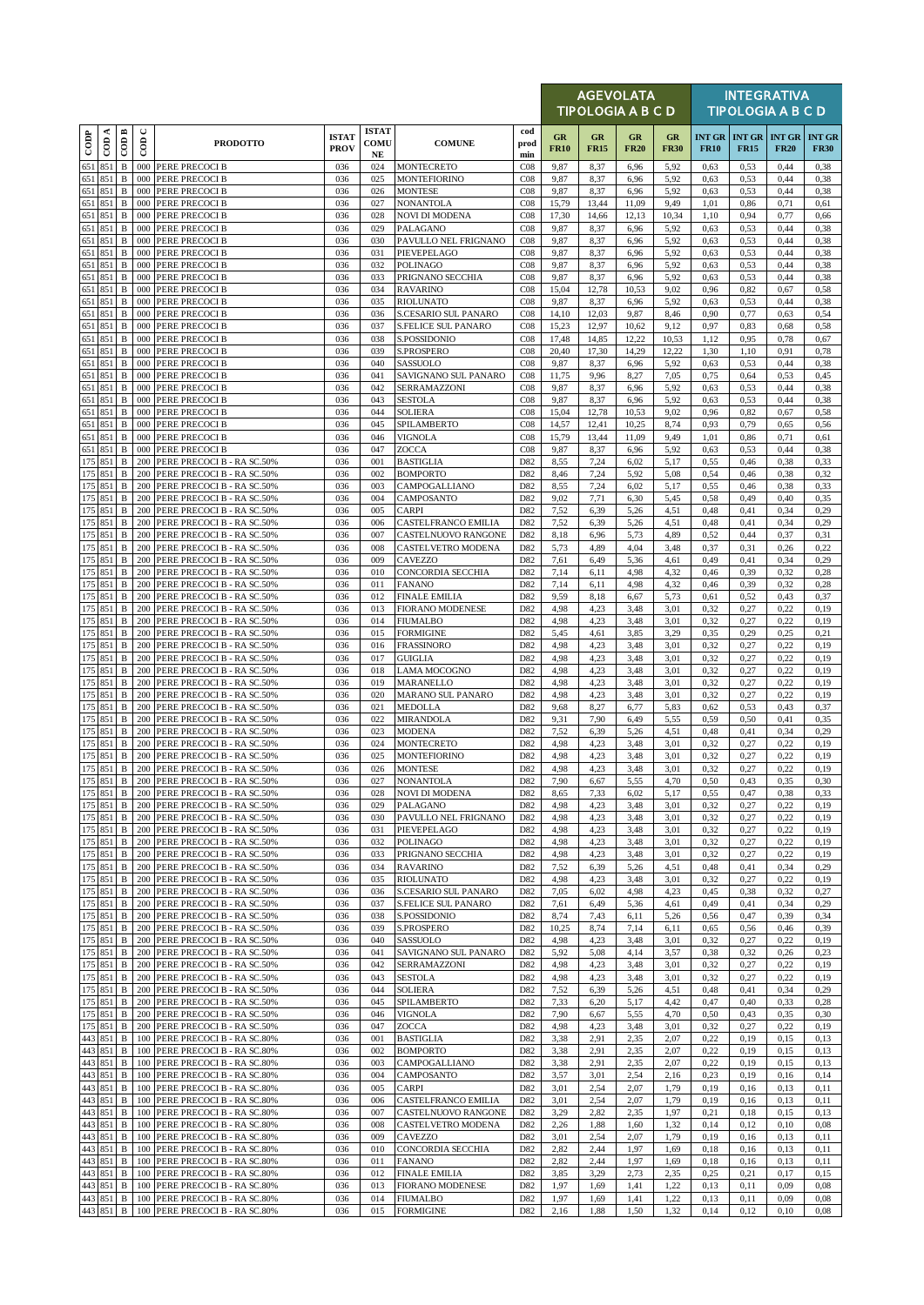|                    |                    |                              |                      |                                                              |                             |                                  |                                                   |                                    |                   |                   | <b>AGEVOLATA</b><br>TIPOLOGIA A B C D |                   |                              |              | <b>INTEGRATIVA</b><br><b>TIPOLOGIA A B C D</b> |                              |
|--------------------|--------------------|------------------------------|----------------------|--------------------------------------------------------------|-----------------------------|----------------------------------|---------------------------------------------------|------------------------------------|-------------------|-------------------|---------------------------------------|-------------------|------------------------------|--------------|------------------------------------------------|------------------------------|
| $_{\rm{cop}}$      | ≺<br>$\epsilon$    | $\overline{CDB}$             | $\cup$<br>$\epsilon$ | <b>PRODOTTO</b>                                              | <b>ISTAT</b><br><b>PROV</b> | <b>ISTAT</b><br>COMU<br>$\bf NE$ | <b>COMUNE</b>                                     | cod<br>prod<br>min                 | GR<br><b>FR10</b> | GR<br><b>FR15</b> | GR<br><b>FR20</b>                     | GR<br><b>FR30</b> | <b>INT GR</b><br><b>FR10</b> | <b>FR15</b>  | <b>INT GR INT GR</b><br><b>FR20</b>            | <b>INT GR</b><br><b>FR30</b> |
| 651 851            |                    | $\, {\bf B}$                 |                      | 000 PERE PRECOCI B                                           | 036                         | 024                              | <b>MONTECRETO</b>                                 | C <sub>08</sub>                    | 9,87              | 8,37              | 6,96                                  | 5,92              | 0,63                         | 0,53         | 0,44                                           | 0,38                         |
| 651                | 851<br>651 851     | B<br>$\, {\bf B}$            | 000<br>000           | <b>PERE PRECOCI B</b><br>PERE PRECOCI B                      | 036<br>036                  | 025<br>026                       | <b>MONTEFIORINO</b><br><b>MONTESE</b>             | CO8<br>CO8                         | 9,87<br>9,87      | 8,37<br>8,37      | 6,96<br>6,96                          | 5,92<br>5,92      | 0.63<br>0,63                 | 0,53<br>0,53 | 0,44<br>0,44                                   | 0,38<br>0,38                 |
|                    | 651 851            | $\, {\bf B}$                 |                      | 000 PERE PRECOCI B                                           | 036                         | 027                              | <b>NONANTOLA</b>                                  | C <sub>08</sub>                    | 15,79             | 13,44             | 11,09                                 | 9,49              | 1,01                         | 0,86         | 0,71                                           | 0,61                         |
| 651 851            | 651 851            | $\, {\bf B}$<br>$\, {\bf B}$ | 000<br>000           | PERE PRECOCI B<br><b>PERE PRECOCI B</b>                      | 036<br>036                  | 028<br>029                       | <b>NOVI DI MODENA</b><br>PALAGANO                 | CO8<br>C <sub>08</sub>             | 17,30<br>9,87     | 14,66<br>8,37     | 12,13<br>6,96                         | 10,34<br>5,92     | 1,10<br>0,63                 | 0,94<br>0,53 | 0,77<br>0,44                                   | 0,66<br>0,38                 |
|                    | 651 851            | $\mathbf B$                  |                      | 000 PERE PRECOCI B                                           | 036                         | 030                              | PAVULLO NEL FRIGNANO                              | CO8                                | 9,87              | 8,37              | 6,96                                  | 5,92              | 0.63                         | 0,53         | 0,44                                           | 0,38                         |
| 651 851            | 651 851            | $\, {\bf B}$<br>$\, {\bf B}$ | 000<br>000           | PERE PRECOCI B<br>PERE PRECOCI B                             | 036<br>036                  | 031<br>032                       | PIEVEPELAGO<br><b>POLINAGO</b>                    | CO8<br>CO8                         | 9,87<br>9,87      | 8,37<br>8,37      | 6,96<br>6,96                          | 5,92<br>5,92      | 0,63<br>0,63                 | 0,53<br>0,53 | 0,44<br>0,44                                   | 0,38<br>0,38                 |
| 651 851            |                    | B                            |                      | 000 PERE PRECOCI B                                           | 036                         | 033                              | PRIGNANO SECCHIA                                  | CO8                                | 9,87              | 8,37              | 6,96                                  | 5,92              | 0,63                         | 0,53         | 0,44                                           | 0,38                         |
|                    | 651 851<br>651 851 | $\, {\bf B}$<br>$\, {\bf B}$ | 000<br>000           | PERE PRECOCI B<br>PERE PRECOCI B                             | 036<br>036                  | 034<br>035                       | <b>RAVARINO</b><br><b>RIOLUNATO</b>               | C <sub>08</sub><br>CO8             | 15,04<br>9,87     | 12,78<br>8,37     | 10,53<br>6,96                         | 9,02<br>5,92      | 0,96<br>0,63                 | 0,82<br>0,53 | 0,67<br>0,44                                   | 0,58<br>0,38                 |
|                    | 651 851            | $\, {\bf B}$                 | 000                  | <b>PERE PRECOCI B</b>                                        | 036                         | 036                              | S.CESARIO SUL PANARO                              | CO8                                | 14,10             | 12,03             | 9,87                                  | 8,46              | 0,90                         | 0,77         | 0,63                                           | 0,54                         |
| 651 851<br>651 851 |                    | $\, {\bf B}$<br>$\, {\bf B}$ | 000                  | PERE PRECOCI B<br>000 PERE PRECOCI B                         | 036<br>036                  | 037<br>038                       | <b>S.FELICE SUL PANARO</b><br>S.POSSIDONIO        | C <sub>08</sub><br>C <sub>08</sub> | 15,23<br>17,48    | 12,97<br>14,85    | 10,62<br>12,22                        | 9,12<br>10,53     | 0,97<br>1,12                 | 0.83<br>0,95 | 0,68<br>0,78                                   | 0,58<br>0,67                 |
|                    | 651 851            | $\, {\bf B}$                 | 000                  | <b>PERE PRECOCI B</b>                                        | 036                         | 039                              | S.PROSPERO                                        | CO8                                | 20,40             | 17,30             | 14,29                                 | 12,22             | 1,30                         | 1,10         | 0,91                                           | 0,78                         |
|                    | 651 851<br>651 851 | $\, {\bf B}$<br>B            | 000                  | PERE PRECOCI B<br>000 PERE PRECOCI B                         | 036<br>036                  | 040<br>041                       | SASSUOLO<br>SAVIGNANO SUL PANARO                  | C <sub>08</sub><br>CO8             | 9,87<br>11,75     | 8,37<br>9,96      | 6,96<br>8,27                          | 5,92<br>7,05      | 0,63<br>0,75                 | 0,53<br>0,64 | 0,44<br>0,53                                   | 0,38<br>0,45                 |
|                    | 651 851            | $\, {\bf B}$                 | 000                  | <b>PERE PRECOCI B</b>                                        | 036                         | 042                              | SERRAMAZZONI                                      | C <sub>08</sub>                    | 9,87              | 8,37              | 6,96                                  | 5,92              | 0.63                         | 0,53         | 0,44                                           | 0,38                         |
| 651 851            | 651 851            | $\, {\bf B}$<br>$\, {\bf B}$ | 000<br>000           | PERE PRECOCI B<br><b>PERE PRECOCI B</b>                      | 036<br>036                  | 043<br>044                       | <b>SESTOLA</b><br><b>SOLIERA</b>                  | C <sub>08</sub><br>C <sub>08</sub> | 9,87<br>15,04     | 8,37<br>12,78     | 6,96<br>10,53                         | 5,92<br>9.02      | 0.63<br>0,96                 | 0,53<br>0,82 | 0,44<br>0,67                                   | 0,38<br>0,58                 |
|                    | 651 851            | B                            | 000                  | PERE PRECOCI B                                               | 036                         | 045                              | SPILAMBERTO                                       | C <sub>08</sub>                    | 14,57             | 12,41             | 10,25                                 | 8,74              | 0,93                         | 0,79         | 0,65                                           | 0,56                         |
| 651 851            | 651 851            | $\, {\bf B}$<br>$\, {\bf B}$ | 000<br>000           | <b>PERE PRECOCI B</b><br><b>PERE PRECOCI B</b>               | 036<br>036                  | 046<br>047                       | <b>VIGNOLA</b><br>ZOCCA                           | C <sub>08</sub><br>C <sub>08</sub> | 15,79<br>9,87     | 13,44<br>8,37     | 11,09<br>6,96                         | 9,49<br>5,92      | 1,01<br>0.63                 | 0,86<br>0,53 | 0,71<br>0,44                                   | 0.61<br>0,38                 |
|                    | 175 851            | B                            | 200                  | PERE PRECOCI B - RA SC.50%                                   | 036                         | 001                              | <b>BASTIGLIA</b>                                  | D82                                | 8,55              | 7,24              | 6,02                                  | 5,17              | 0,55                         | 0,46         | 0,38                                           | 0,33                         |
| 175 851<br>175 851 |                    | $\, {\bf B}$<br>$\, {\bf B}$ | 200<br>200           | PERE PRECOCI B - RA SC.50%<br>PERE PRECOCI B - RA SC.50%     | 036<br>036                  | 002<br>003                       | <b>BOMPORTO</b><br>CAMPOGALLIANO                  | D82<br>D82                         | 8,46<br>8,55      | 7,24<br>7,24      | 5,92<br>6,02                          | 5,08<br>5,17      | 0,54<br>0,55                 | 0,46<br>0,46 | 0,38<br>0,38                                   | 0,32<br>0,33                 |
|                    | 175 851            | $\, {\bf B}$                 | 200                  | PERE PRECOCI B - RA SC.50%                                   | 036                         | 004                              | CAMPOSANTO                                        | D82                                | 9,02              | 7,71              | 6,30                                  | 5,45              | 0,58                         | 0,49         | 0,40                                           | 0,35                         |
|                    | 175 851            | $\, {\bf B}$                 | 200                  | PERE PRECOCI B - RA SC.50%                                   | 036                         | 005                              | <b>CARPI</b>                                      | D82                                | 7,52              | 6,39              | 5,26                                  | 4,51              | 0,48                         | 0,41         | 0,34                                           | 0,29                         |
| 175<br>175 851     | 851                | $\, {\bf B}$<br>$\, {\bf B}$ | 200<br>200           | PERE PRECOCI B - RA SC.50%<br>PERE PRECOCI B - RA SC.50%     | 036<br>036                  | 006<br>007                       | <b>CASTELFRANCO EMILIA</b><br>CASTELNUOVO RANGONE | D82<br>D82                         | 7,52<br>8,18      | 6,39<br>6,96      | 5,26<br>5,73                          | 4,51<br>4,89      | 0,48<br>0,52                 | 0,41<br>0,44 | 0,34<br>0,37                                   | 0,29<br>0,31                 |
|                    | 175 851            | $\, {\bf B}$                 |                      | 200 PERE PRECOCI B - RA SC.50%                               | 036                         | 008                              | CASTELVETRO MODENA                                | D82                                | 5,73              | 4,89              | 4,04                                  | 3,48              | 0,37                         | 0,31         | 0,26                                           | 0,22                         |
| 175 851            | 175 851            | $\, {\bf B}$<br>$\, {\bf B}$ | 200<br>200           | PERE PRECOCI B - RA SC.50%<br>PERE PRECOCI B - RA SC.50%     | 036<br>036                  | 009<br>010                       | CAVEZZO<br>CONCORDIA SECCHIA                      | D82<br>D82                         | 7,61<br>7,14      | 6,49<br>6,11      | 5,36<br>4,98                          | 4,61<br>4,32      | 0,49<br>0,46                 | 0,41<br>0,39 | 0,34<br>0,32                                   | 0,29<br>0,28                 |
|                    | 175 851            | $\mathbf B$                  | 200                  | PERE PRECOCI B - RA SC.50%                                   | 036                         | 011                              | <b>FANANO</b>                                     | D82                                | 7,14              | 6,11              | 4,98                                  | 4,32              | 0,46                         | 0,39         | 0,32                                           | 0,28                         |
| 175 851            | 175 851            | $\, {\bf B}$<br>$\, {\bf B}$ | 200<br>200           | PERE PRECOCI B - RA SC.50%<br>PERE PRECOCI B - RA SC.50%     | 036<br>036                  | 012<br>013                       | <b>FINALE EMILIA</b><br><b>FIORANO MODENESE</b>   | D82<br>D82                         | 9,59<br>4,98      | 8,18<br>4,23      | 6,67<br>3,48                          | 5,73<br>3,01      | 0,61<br>0,32                 | 0,52<br>0,27 | 0,43<br>0,22                                   | 0,37<br>0,19                 |
|                    | 175 851            | $\, {\bf B}$                 | 200                  | PERE PRECOCI B - RA SC.50%                                   | 036                         | 014                              | <b>FIUMALBO</b>                                   | D82                                | 4,98              | 4,23              | 3,48                                  | 3,01              | 0,32                         | 0,27         | 0,22                                           | 0,19                         |
| 175 851            | 175 851            | $\, {\bf B}$<br>$\, {\bf B}$ | 200                  | PERE PRECOCI B - RA SC.50%<br>200 PERE PRECOCI B - RA SC.50% | 036<br>036                  | 015<br>016                       | <b>FORMIGINE</b><br><b>FRASSINORO</b>             | D82<br>D82                         | 5,45<br>4,98      | 4,61<br>4,23      | 3,85<br>3,48                          | 3,29<br>3,01      | 0,35<br>0,32                 | 0,29<br>0,27 | 0,25<br>0,22                                   | 0,21<br>0,19                 |
| 175 851            |                    | B                            | 200                  | PERE PRECOCI B - RA SC.50%                                   | 036                         | 017                              | GUIGLIA                                           | D82                                | 4,98              | 4,23              | 3,48                                  | 3,01              | 0,32                         | 0,27         | 0,22                                           | 0,19                         |
| 175 851            | 175 851            | $\, {\bf B}$<br>B            | 200                  | PERE PRECOCI B - RA SC.50%<br>200 PERE PRECOCI B - RA SC.50% | 036<br>036                  | 018<br>019                       | <b>LAMA MOCOGNO</b><br>MARANELLO                  | D82<br>D82                         | 4,98<br>4,98      | 4,23<br>4,23      | 3,48<br>3,48                          | 3,01<br>3,01      | 0,32<br>0,32                 | 0,27<br>0,27 | 0,22<br>0,22                                   | 0,19<br>0,19                 |
| 175 851            |                    | $\, {\bf B}$                 | 200                  | PERE PRECOCI B - RA SC.50%                                   | 036                         | 020                              | <b>MARANO SUL PANARO</b>                          | D82                                | 4,98              | 4,23              | 3,48                                  | 3,01              | 0,32                         | 0,27         | 0,22                                           | 0,19                         |
| 175 851<br>175 851 |                    | $\, {\bf B}$<br>B            | 200                  | PERE PRECOCI B - RA SC.50%<br>200 PERE PRECOCI B - RA SC.50% | 036<br>036                  | 021<br>022                       | <b>MEDOLLA</b>                                    | D82<br>D82                         | 9,68              | 8,27<br>7,90      | 6,77                                  | 5,83              | 0.62                         | 0,53         | 0,43<br>0,41                                   | 0,37                         |
|                    | 175 851            | $\, {\bf B}$                 | 200                  | PERE PRECOCI B - RA SC.50%                                   | 036                         | 023                              | MIRANDOLA<br><b>MODENA</b>                        | D82                                | 9,31<br>7,52      | 6,39              | 6,49<br>5,26                          | 5,55<br>4,51      | 0,59<br>0,48                 | 0,50<br>0,41 | 0,34                                           | 0,35<br>0,29                 |
| 175 851            | 175 851            | B                            | 200                  | PERE PRECOCI B - RA SC.50%                                   | 036                         | 024                              | MONTECRETO                                        | D82                                | 4,98              | 4,23              | 3,48                                  | 3,01              | 0,32                         | 0,27         | 0,22                                           | 0,19                         |
|                    | 175 851            | $\, {\bf B}$<br>$\, {\bf B}$ | 200                  | PERE PRECOCI B - RA SC.50%<br>200 PERE PRECOCI B - RA SC.50% | 036<br>036                  | 025<br>026                       | <b>MONTEFIORINO</b><br><b>MONTESE</b>             | D82<br>D82                         | 4,98<br>4,98      | 4,23<br>4,23      | 3,48<br>3,48                          | 3,01<br>3,01      | 0,32<br>0,32                 | 0,27<br>0,27 | 0.22<br>0,22                                   | 0.19<br>0,19                 |
|                    | 175 851            |                              |                      | B 200 PERE PRECOCI B - RA SC.50%                             | 036                         | 027                              | <b>NONANTOLA</b>                                  | D82                                | 7,90              | 6,67              | 5,55                                  | 4,70              | 0,50                         | 0,43         | 0,35                                           | 0,30                         |
|                    | 175 851<br>175 851 | B<br>B                       | 200                  | 200 PERE PRECOCI B - RA SC.50%<br>PERE PRECOCI B - RA SC.50% | 036<br>036                  | 028<br>029                       | <b>NOVI DI MODENA</b><br>PALAGANO                 | D82<br>D82                         | 8,65<br>4,98      | 7,33<br>4,23      | 6,02<br>3,48                          | 5,17<br>3,01      | 0,55<br>0,32                 | 0,47<br>0,27 | 0,38<br>0,22                                   | 0,33<br>0,19                 |
|                    | 175 851            | $\, {\bf B}$                 |                      | 200 PERE PRECOCI B - RA SC.50%                               | 036                         | 030                              | PAVULLO NEL FRIGNANO                              | D82                                | 4,98              | 4,23              | 3,48                                  | 3,01              | 0,32                         | 0,27         | 0,22                                           | 0,19                         |
|                    | 175 851<br>175 851 | B<br>B                       | 200<br>200           | PERE PRECOCI B - RA SC.50%<br>PERE PRECOCI B - RA SC.50%     | 036<br>036                  | 031<br>032                       | PIEVEPELAGO<br>POLINAGO                           | D82<br>D82                         | 4,98<br>4,98      | 4,23<br>4,23      | 3,48<br>3,48                          | 3,01<br>3,01      | 0,32<br>0,32                 | 0,27<br>0,27 | 0,22<br>0,22                                   | 0,19<br>0,19                 |
|                    | 175 851            | B                            |                      | 200 PERE PRECOCI B - RA SC.50%                               | 036                         | 033                              | PRIGNANO SECCHIA                                  | D82                                | 4,98              | 4,23              | 3,48                                  | 3,01              | 0,32                         | 0,27         | 0,22                                           | 0,19                         |
|                    | 175 851<br>175 851 | B<br>$\, {\bf B}$            | 200<br>200           | PERE PRECOCI B - RA SC.50%<br>PERE PRECOCI B - RA SC.50%     | 036<br>036                  | 034<br>035                       | <b>RAVARINO</b><br><b>RIOLUNATO</b>               | D82<br>D82                         | 7,52<br>4,98      | 6,39<br>4,23      | 5,26<br>3,48                          | 4,51<br>3,01      | 0,48<br>0,32                 | 0,41<br>0,27 | 0,34<br>0,22                                   | 0,29<br>0,19                 |
|                    | 175 851            | $\, {\bf B}$                 |                      | 200 PERE PRECOCI B - RA SC.50%                               | 036                         | 036                              | S.CESARIO SUL PANARO                              | D82                                | 7,05              | 6,02              | 4,98                                  | 4,23              | 0,45                         | 0,38         | 0,32                                           | 0,27                         |
| 175 851            | 175 851            | $\, {\bf B}$<br>B            | 200<br>200           | PERE PRECOCI B - RA SC.50%<br>PERE PRECOCI B - RA SC.50%     | 036<br>036                  | 037<br>038                       | <b>S.FELICE SUL PANARO</b><br>S.POSSIDONIO        | D82<br>D82                         | 7,61<br>8,74      | 6,49<br>7,43      | 5,36<br>6,11                          | 4,61<br>5,26      | 0,49<br>0,56                 | 0,41<br>0,47 | 0,34<br>0,39                                   | 0,29<br>0,34                 |
|                    | 175 851            | B                            |                      | 200 PERE PRECOCI B - RA SC.50%                               | 036                         | 039                              | S.PROSPERO                                        | D82                                | 10,25             | 8,74              | 7,14                                  | 6,11              | 0,65                         | 0,56         | 0,46                                           | 0,39                         |
|                    | 175 851<br>175 851 | B<br>$\, {\bf B}$            | 200<br>200           | PERE PRECOCI B - RA SC.50%<br>PERE PRECOCI B - RA SC.50%     | 036<br>036                  | 040<br>041                       | SASSUOLO<br>SAVIGNANO SUL PANARO                  | D82<br>D82                         | 4,98<br>5,92      | 4,23<br>5,08      | 3,48<br>4,14                          | 3,01<br>3,57      | 0,32<br>0,38                 | 0,27<br>0,32 | 0,22<br>0,26                                   | 0,19<br>0,23                 |
|                    | 175 851            | $\, {\bf B}$                 | 200                  | PERE PRECOCI B - RA SC.50%                                   | 036                         | 042                              | SERRAMAZZONI                                      | D82                                | 4,98              | 4,23              | 3,48                                  | 3,01              | 0,32                         | 0,27         | 0,22                                           | 0,19                         |
|                    | 175 851<br>175 851 | B<br>B                       | 200                  | PERE PRECOCI B - RA SC.50%<br>200 PERE PRECOCI B - RA SC.50% | 036<br>036                  | 043<br>044                       | <b>SESTOLA</b><br>SOLIERA                         | D82<br>D82                         | 4,98<br>7,52      | 4,23<br>6,39      | 3,48<br>5,26                          | 3,01<br>4,51      | 0,32<br>0,48                 | 0,27<br>0,41 | 0,22<br>0,34                                   | 0,19<br>0,29                 |
|                    | 175 851            | B                            | 200                  | PERE PRECOCI B - RA SC.50%                                   | 036                         | 045                              | SPILAMBERTO                                       | D82                                | 7,33              | 6,20              | 5,17                                  | 4,42              | 0,47                         | 0,40         | 0,33                                           | 0,28                         |
|                    | 175 851<br>175 851 | $\, {\bf B}$<br>B            | 200                  | PERE PRECOCI B - RA SC.50%<br>200 PERE PRECOCI B - RA SC.50% | 036<br>036                  | 046<br>047                       | <b>VIGNOLA</b><br>ZOCCA                           | D82<br>D82                         | 7,90<br>4,98      | 6,67<br>4,23      | 5,55<br>3,48                          | 4,70<br>3,01      | 0,50<br>0,32                 | 0,43<br>0,27 | 0,35<br>0,22                                   | 0,30<br>0,19                 |
|                    | 443 851            | B                            | 100                  | PERE PRECOCI B - RA SC.80%                                   | 036                         | 001                              | <b>BASTIGLIA</b>                                  | D82                                | 3,38              | 2,91              | 2,35                                  | 2,07              | 0,22                         | 0,19         | 0,15                                           | 0,13                         |
| 443 851            |                    | $\, {\bf B}$                 | 100                  | PERE PRECOCI B - RA SC.80%                                   | 036                         | 002                              | <b>BOMPORTO</b>                                   | D82                                | 3,38              | 2,91              | 2,35                                  | 2,07              | 0,22                         | 0,19         | 0,15                                           | 0,13                         |
|                    | 443 851<br>443 851 | B<br>B                       | 100                  | 100 PERE PRECOCI B - RA SC.80%<br>PERE PRECOCI B - RA SC.80% | 036<br>036                  | 003<br>004                       | CAMPOGALLIANO<br>CAMPOSANTO                       | D82<br>D82                         | 3,38<br>3,57      | 2,91<br>3,01      | 2,35<br>2,54                          | 2,07<br>2,16      | 0,22<br>0,23                 | 0,19<br>0,19 | 0,15<br>0,16                                   | 0,13<br>0,14                 |
|                    | 443 851            | B                            | 100                  | PERE PRECOCI B - RA SC.80%                                   | 036                         | 005                              | CARPI                                             | D82                                | 3,01              | 2,54              | 2,07                                  | 1,79              | 0,19                         | 0,16         | 0,13                                           | 0,11                         |
|                    | 443 851<br>443 851 | B<br>B                       | 100                  | 100 PERE PRECOCI B - RA SC.80%<br>PERE PRECOCI B - RA SC.80% | 036<br>036                  | 006<br>007                       | CASTELFRANCO EMILIA<br>CASTELNUOVO RANGONE        | D82<br>D82                         | 3,01<br>3,29      | 2,54<br>2,82      | 2,07<br>2,35                          | 1,79<br>1,97      | 0,19<br>0,21                 | 0,16<br>0,18 | 0,13<br>0,15                                   | 0,11<br>0,13                 |
| 443 851            |                    | B                            |                      | 100 PERE PRECOCI B - RA SC.80%                               | 036                         | 008                              | CASTELVETRO MODENA                                | D82                                | 2,26              | 1,88              | 1,60                                  | 1,32              | 0,14                         | 0,12         | 0,10                                           | 0,08                         |
| 443 851            | 443 851            | В<br>B                       | 100<br>100           | PERE PRECOCI B - RA SC.80%<br>PERE PRECOCI B - RA SC.80%     | 036<br>036                  | 009<br>010                       | CAVEZZO<br>CONCORDIA SECCHIA                      | D82<br>D82                         | 3,01<br>2,82      | 2,54<br>2,44      | 2,07<br>1,97                          | 1,79<br>1,69      | 0,19<br>0,18                 | 0,16<br>0,16 | 0,13<br>0,13                                   | 0,11<br>0,11                 |
|                    | 443 851            | B                            |                      | 100 PERE PRECOCI B - RA SC.80%                               | 036                         | 011                              | <b>FANANO</b>                                     | D82                                | 2,82              | 2,44              | 1,97                                  | 1,69              | 0,18                         | 0,16         | 0,13                                           | 0,11                         |
|                    | 443 851<br>443 851 | B<br>B                       | 100<br>100           | PERE PRECOCI B - RA SC.80%<br>PERE PRECOCI B - RA SC.80%     | 036<br>036                  | 012<br>013                       | <b>FINALE EMILIA</b><br><b>FIORANO MODENESE</b>   | D82<br>D82                         | 3,85<br>1,97      | 3,29<br>1,69      | 2.73<br>1,41                          | 2,35<br>1,22      | 0,25<br>0,13                 | 0,21<br>0,11 | 0,17<br>0,09                                   | 0,15<br>0,08                 |
|                    | 443 851            | В                            |                      | 100 PERE PRECOCI B - RA SC.80%                               | 036                         | 014                              | <b>FIUMALBO</b>                                   | D82                                | 1,97              | 1,69              | 1,41                                  | 1,22              | 0,13                         | 0,11         | 0,09                                           | 0,08                         |
|                    | 443 851            | B                            |                      | 100 PERE PRECOCI B - RA SC.80%                               | 036                         | 015                              | <b>FORMIGINE</b>                                  | D82                                | 2,16              | 1,88              | 1,50                                  | 1,32              | 0,14                         | 0,12         | 0,10                                           | 0,08                         |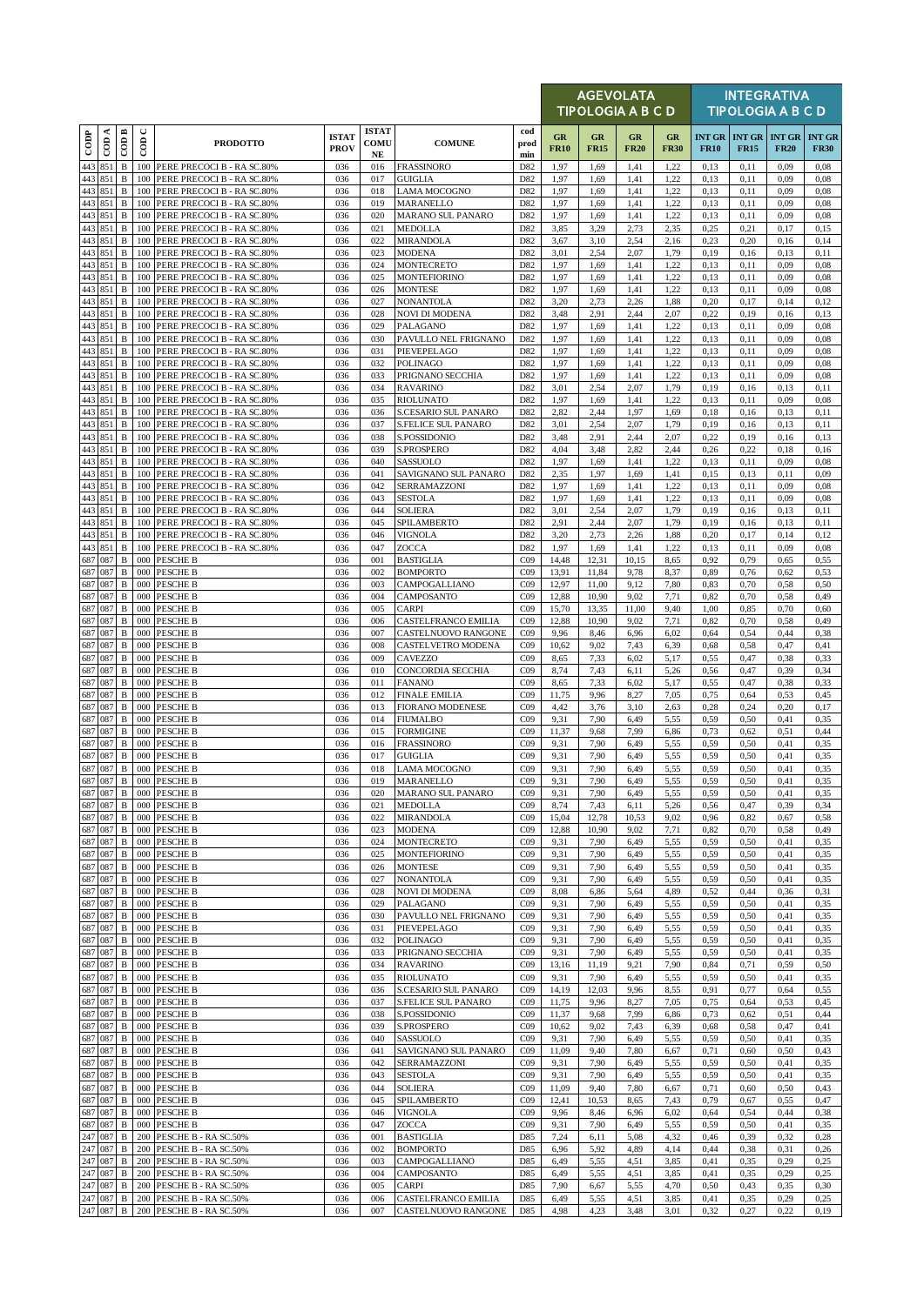|                    |                    |                              |             |                                                              |                             |                                  |                                            |                                    |                   | <b>AGEVOLATA</b><br>TIPOLOGIA A B C D |                   |                   |                              |              | <b>INTEGRATIVA</b><br><b>TIPOLOGIA A B C D</b> |                              |
|--------------------|--------------------|------------------------------|-------------|--------------------------------------------------------------|-----------------------------|----------------------------------|--------------------------------------------|------------------------------------|-------------------|---------------------------------------|-------------------|-------------------|------------------------------|--------------|------------------------------------------------|------------------------------|
| $_{\rm{cop}}$      | ≺<br>$\epsilon$    | $\overline{CDB}$             | $\cup$<br>6 | <b>PRODOTTO</b>                                              | <b>ISTAT</b><br><b>PROV</b> | <b>ISTAT</b><br>COMU<br>$\bf NE$ | <b>COMUNE</b>                              | cod<br>prod<br>min                 | GR<br><b>FR10</b> | GR<br><b>FR15</b>                     | GR<br><b>FR20</b> | GR<br><b>FR30</b> | <b>INT GR</b><br><b>FR10</b> | <b>FR15</b>  | <b>INT GR INT GR</b><br><b>FR20</b>            | <b>INT GR</b><br><b>FR30</b> |
| 443                | 851                | $\, {\bf B}$                 | 100         | PERE PRECOCI B - RA SC.80%                                   | 036                         | 016                              | <b>FRASSINORO</b>                          | D82                                | 1,97              | 1,69                                  | 1,41              | 1,22              | 0,13                         | 0,11         | 0,09                                           | 0.08                         |
| 443<br>443 851     | 851                | B<br>$\, {\bf B}$            | 100<br>100  | PERE PRECOCI B - RA SC.80%<br>PERE PRECOCI B - RA SC.80%     | 036<br>036                  | 017<br>018                       | <b>GUIGLIA</b><br><b>LAMA MOCOGNO</b>      | D82<br>D82                         | 1,97<br>1,97      | 1,69<br>1,69                          | 1,41<br>1,41      | 1,22<br>1,22      | 0.13<br>0,13                 | 0,11<br>0,11 | 0.09<br>0,09                                   | 0,08<br>0.08                 |
| 443 851<br>443     | 851                | $\, {\bf B}$<br>$\, {\bf B}$ | 100<br>100  | PERE PRECOCI B - RA SC.80%                                   | 036<br>036                  | 019<br>020                       | MARANELLO                                  | D82<br>D82                         | 1,97<br>1,97      | 1,69<br>1,69                          | 1,41<br>1,41      | 1,22<br>1,22      | 0,13<br>0.13                 | 0,11<br>0,11 | 0,09<br>0,09                                   | 0.08<br>0.08                 |
| 443 851            |                    | $\, {\bf B}$                 | 100         | PERE PRECOCI B - RA SC.80%<br>PERE PRECOCI B - RA SC.80%     | 036                         | 021                              | <b>MARANO SUL PANARO</b><br><b>MEDOLLA</b> | D82                                | 3,85              | 3,29                                  | 2,73              | 2,35              | 0,25                         | 0,21         | 0,17                                           | 0,15                         |
|                    | 443 851<br>851     | $\, {\bf B}$                 | 100<br>100  | PERE PRECOCI B - RA SC.80%                                   | 036                         | 022                              | MIRANDOLA<br><b>MODENA</b>                 | D82                                | 3,67              | 3,10<br>2,54                          | 2,54<br>2,07      | 2,16<br>1,79      | 0,23                         | 0,20         | 0,16                                           | 0,14                         |
| 443<br>443 851     |                    | $\, {\bf B}$<br>$\, {\bf B}$ | 100         | PERE PRECOCI B - RA SC.80%<br>PERE PRECOCI B - RA SC.80%     | 036<br>036                  | 023<br>024                       | MONTECRETO                                 | D82<br>D82                         | 3,01<br>1,97      | 1,69                                  | 1,41              | 1,22              | 0,19<br>0,13                 | 0,16<br>0,11 | 0,13<br>0,09                                   | 0,11<br>0,08                 |
| 443 851            |                    | B                            |             | 100 PERE PRECOCI B - RA SC.80%                               | 036                         | 025                              | <b>MONTEFIORINO</b>                        | D82                                | 1,97              | 1,69                                  | 1,41              | 1,22              | 0,13                         | 0,11         | 0,09                                           | 0.08                         |
| 443 851<br>443 851 |                    | $\, {\bf B}$<br>$\, {\bf B}$ | 100<br>100  | PERE PRECOCI B - RA SC.80%<br>PERE PRECOCI B - RA SC.80%     | 036<br>036                  | 026<br>027                       | <b>MONTESE</b><br><b>NONANTOLA</b>         | D82<br>D82                         | 1,97<br>3,20      | 1,69<br>2,73                          | 1,41<br>2,26      | 1,22<br>1,88      | 0,13<br>0,20                 | 0,11<br>0,17 | 0,09<br>0,14                                   | 0.08<br>0,12                 |
| 443 851            |                    | $\, {\bf B}$                 | 100         | PERE PRECOCI B - RA SC.80%                                   | 036                         | 028                              | NOVI DI MODENA                             | D82                                | 3,48              | 2,91                                  | 2,44              | 2,07              | 0,22                         | 0,19         | 0,16                                           | 0,13                         |
| 443 851<br>443 851 |                    | $\, {\bf B}$<br>$\, {\bf B}$ | 100<br>100  | PERE PRECOCI B - RA SC.80%<br>PERE PRECOCI B - RA SC.80%     | 036<br>036                  | 029<br>030                       | PALAGANO<br>PAVULLO NEL FRIGNANO           | D82<br>D82                         | 1,97<br>1,97      | 1,69<br>1,69                          | 1,41<br>1,41      | 1,22<br>1,22      | 0.13<br>0,13                 | 0,11<br>0,11 | 0,09<br>0,09                                   | 0.08<br>0.08                 |
| 443 851            |                    | $\, {\bf B}$                 | 100         | PERE PRECOCI B - RA SC.80%                                   | 036                         | 031                              | PIEVEPELAGO                                | D82                                | 1,97              | 1,69                                  | 1,41              | 1,22              | 0.13                         | 0,11         | 0,09                                           | 0.08                         |
| 443 851<br>443 851 |                    | $\, {\bf B}$<br>B            | 100         | PERE PRECOCI B - RA SC.80%<br>100 PERE PRECOCI B - RA SC.80% | 036<br>036                  | 032<br>033                       | <b>POLINAGO</b><br>PRIGNANO SECCHIA        | D82<br>D82                         | 1,97<br>1,97      | 1,69<br>1,69                          | 1,41<br>1,41      | 1,22<br>1,22      | 0,13<br>0.13                 | 0,11<br>0,11 | 0,09<br>0,09                                   | 0.08<br>0.08                 |
| 443 851            |                    | $\, {\bf B}$                 | 100         | PERE PRECOCI B - RA SC.80%                                   | 036                         | 034                              | <b>RAVARINO</b>                            | D82                                | 3,01              | 2,54                                  | 2,07              | 1,79              | 0,19                         | 0,16         | 0,13                                           | 0,11                         |
| 443 851<br>443 851 |                    | $\, {\bf B}$<br>$\, {\bf B}$ | 100<br>100  | PERE PRECOCI B - RA SC.80%<br>PERE PRECOCI B - RA SC.80%     | 036<br>036                  | 035<br>036                       | <b>RIOLUNATO</b><br>S.CESARIO SUL PANARO   | D82<br>D82                         | 1,97<br>2,82      | 1,69<br>2,44                          | 1,41<br>1,97      | 1,22<br>1,69      | 0,13<br>0,18                 | 0,11<br>0,16 | 0,09<br>0,13                                   | 0.08<br>0,11                 |
| 443 851            |                    | $\, {\bf B}$                 | 100         | PERE PRECOCI B - RA SC.80%                                   | 036                         | 037                              | <b>S.FELICE SUL PANARO</b>                 | D82                                | 3,01              | 2,54                                  | 2,07              | 1,79              | 0,19                         | 0,16         | 0,13                                           | 0,11                         |
| 443 851            |                    | $\, {\bf B}$                 | 100         | PERE PRECOCI B - RA SC.80%                                   | 036                         | 038                              | S.POSSIDONIO                               | D82                                | 3,48              | 2,91                                  | 2,44              | 2,07              | 0,22                         | 0,19         | 0,16                                           | 0,13                         |
| 443 851<br>443 851 |                    | $\, {\bf B}$<br>B            | 100<br>100  | PERE PRECOCI B - RA SC.80%<br>PERE PRECOCI B - RA SC.80%     | 036<br>036                  | 039<br>040                       | S.PROSPERO<br><b>SASSUOLO</b>              | D82<br>D82                         | 4,04<br>1,97      | 3,48<br>1,69                          | 2,82<br>1,41      | 2.44<br>1,22      | 0,26<br>0,13                 | 0,22<br>0,11 | 0,18<br>0,09                                   | 0,16<br>0.08                 |
| 443 851            |                    | $\, {\bf B}$                 | 100         | PERE PRECOCI B - RA SC.80%                                   | 036                         | 041                              | SAVIGNANO SUL PANARO                       | D82                                | 2,35              | 1,97                                  | 1,69              | 1,41              | 0,15                         | 0,13         | 0,11                                           | 0,09                         |
| 443 851<br>443 851 |                    | $\, {\bf B}$<br>$\, {\bf B}$ | 100<br>100  | PERE PRECOCI B - RA SC.80%<br>PERE PRECOCI B - RA SC.80%     | 036<br>036                  | 042<br>043                       | SERRAMAZZONI<br><b>SESTOLA</b>             | D82<br>D82                         | 1,97<br>1,97      | 1,69<br>1,69                          | 1,41<br>1,41      | 1,22<br>1,22      | 0.13<br>0,13                 | 0,11<br>0,11 | 0,09<br>0,09                                   | 0.08<br>0.08                 |
| 443 851            |                    | $\, {\bf B}$                 |             | 100 PERE PRECOCI B - RA SC.80%                               | 036                         | 044                              | <b>SOLIERA</b>                             | D82                                | 3,01              | 2,54                                  | 2,07              | 1,79              | 0,19                         | 0,16         | 0,13                                           | 0,11                         |
| 443<br>443 851     | 851                | $\, {\bf B}$<br>$\, {\bf B}$ | 100<br>100  | PERE PRECOCI B - RA SC.80%<br>PERE PRECOCI B - RA SC.80%     | 036<br>036                  | 045<br>046                       | SPILAMBERTO<br><b>VIGNOLA</b>              | D82<br>D82                         | 2,91<br>3,20      | 2,44<br>2,73                          | 2,07<br>2,26      | 1,79<br>1,88      | 0,19<br>0,20                 | 0,16<br>0,17 | 0,13<br>0,14                                   | 0,11<br>0,12                 |
| 443 851            |                    | $\mathbf B$                  |             | 100 PERE PRECOCI B - RA SC.80%                               | 036                         | 047                              | ZOCCA                                      | D82                                | 1,97              | 1,69                                  | 1,41              | 1,22              | 0,13                         | 0,11         | 0,09                                           | 0.08                         |
| 687 087            | 687 087            | $\, {\bf B}$                 | 000         | <b>PESCHE B</b>                                              | 036                         | 001                              | <b>BASTIGLIA</b>                           | CO9                                | 14,48             | 12,31                                 | 10,15             | 8,65              | 0,92                         | 0,79         | 0,65                                           | 0,55                         |
|                    | 687 087            | $\, {\bf B}$<br>B            |             | 000 PESCHE B<br>000 PESCHE B                                 | 036<br>036                  | 002<br>003                       | <b>BOMPORTO</b><br>CAMPOGALLIANO           | CO9<br>C <sub>09</sub>             | 13,91<br>12,97    | 11,84<br>11,00                        | 9,78<br>9,12      | 8,37<br>7,80      | 0,89<br>0.83                 | 0,76<br>0,70 | 0,62<br>0,58                                   | 0,53<br>0,50                 |
| 687 087            |                    | $\, {\bf B}$                 | 000         | <b>PESCHE B</b>                                              | 036                         | 004                              | CAMPOSANTO                                 | CO9                                | 12,88             | 10,90                                 | 9,02              | 7,71              | 0,82                         | 0,70         | 0,58                                           | 0,49                         |
| 687 087<br>687 087 |                    | $\, {\bf B}$<br>B            | 000         | <b>PESCHE B</b><br>000 PESCHE B                              | 036<br>036                  | 005<br>006                       | <b>CARPI</b><br>CASTELFRANCO EMILIA        | CO9<br>CO9                         | 15,70<br>12,88    | 13,35<br>10,90                        | 11,00<br>9,02     | 9,40<br>7,71      | 1,00<br>0.82                 | 0,85<br>0,70 | 0,70<br>0,58                                   | 0,60<br>0,49                 |
| 687 087            |                    | $\, {\bf B}$                 | 000         | <b>PESCHE B</b>                                              | 036                         | 007                              | CASTELNUOVO RANGONE                        | CO9                                | 9,96              | 8,46                                  | 6,96              | 6,02              | 0,64                         | 0,54         | 0,44                                           | 0,38                         |
| 687 087            | 687 087            | $\, {\bf B}$<br>B            | 000         | 000 PESCHE B<br><b>PESCHE B</b>                              | 036<br>036                  | 008<br>009                       | CASTELVETRO MODENA<br><b>CAVEZZO</b>       | C <sub>09</sub><br>CO9             | 10,62<br>8,65     | 9,02<br>7,33                          | 7,43<br>6,02      | 6,39<br>5,17      | 0,68<br>0,55                 | 0,58<br>0,47 | 0,47<br>0,38                                   | 0,41<br>0.33                 |
| 687 087            |                    | $\, {\bf B}$                 | 000         | <b>PESCHE B</b>                                              | 036                         | 010                              | CONCORDIA SECCHIA                          | CO9                                | 8,74              | 7,43                                  | 6,11              | 5,26              | 0,56                         | 0,47         | 0,39                                           | 0,34                         |
| 687 087<br>687 087 |                    | $\, {\bf B}$<br>$\, {\bf B}$ | 000         | 000 PESCHE B<br><b>PESCHE B</b>                              | 036<br>036                  | 011<br>012                       | <b>FANANO</b><br><b>FINALE EMILIA</b>      | CO9<br>CO9                         | 8,65<br>11,75     | 7,33<br>9,96                          | 6,02<br>8,27      | 5,17<br>7,05      | 0,55<br>0,75                 | 0,47<br>0.64 | 0,38<br>0,53                                   | 0,33<br>0,45                 |
| 687 087            |                    | $\, {\bf B}$                 | 000         | <b>PESCHE B</b>                                              | 036                         | 013                              | <b>FIORANO MODENESE</b>                    | CO9                                | 4,42              | 3,76                                  | 3,10              | 2,63              | 0,28                         | 0,24         | 0,20                                           | 0,17                         |
| 687 087            |                    | $\, {\bf B}$                 |             | 000 PESCHE B                                                 | 036                         | 014                              | <b>FIUMALBO</b>                            | C <sub>09</sub>                    | 9,31              | 7,90                                  | 6,49              | 5,55              | 0,59                         | 0,50         | 0,41                                           | 0,35                         |
| 687 087<br>687 087 |                    | $\, {\bf B}$<br>B            | 000<br>000  | <b>PESCHE B</b><br><b>PESCHE B</b>                           | 036<br>036                  | 015<br>016                       | <b>FORMIGINE</b><br><b>FRASSINORO</b>      | C <sub>09</sub><br>C <sub>09</sub> | 11,37<br>9,31     | 9,68<br>7,90                          | 7,99<br>6,49      | 6,86<br>5,55      | 0,73<br>0,59                 | 0,62<br>0,50 | 0,51<br>0,41                                   | 0,44<br>0,35                 |
| 687 087            |                    | $\, {\bf B}$                 | 000         | <b>PESCHE B</b>                                              | 036                         | 017                              | <b>GUIGLIA</b>                             | CO9                                | 9,31              | 7,90                                  | 6,49              | 5,55              | 0,59                         | 0,50         | 0,41                                           | 0.35                         |
| 687 087            | 687 087            | $\, {\bf B}$                 |             | 000 PESCHE B<br><b>B</b> 000 PESCHE B                        | 036<br>036                  | 018<br>019                       | <b>LAMA MOCOGNO</b><br><b>MARANELLO</b>    | C <sub>09</sub><br>C <sub>09</sub> | 9,31<br>9,31      | 7,90<br>7,90                          | 6,49<br>6,49      | 5,55<br>5,55      | 0,59<br>0,59                 | 0,50<br>0,50 | 0,41<br>0,41                                   | 0,35<br>0,35                 |
| 687 087            |                    | B                            |             | 000 PESCHE B                                                 | 036                         | 020                              | MARANO SUL PANARO                          | CO9                                | 9,31              | 7,90                                  | 6,49              | 5,55              | 0,59                         | 0,50         | 0,41                                           | 0,35                         |
|                    | 687 087<br>687 087 | $\, {\bf B}$<br>B            |             | 000 PESCHE B<br>000 PESCHE B                                 | 036<br>036                  | 021<br>022                       | MEDOLLA<br>MIRANDOLA                       | CO9<br>C <sub>09</sub>             | 8,74<br>15,04     | 7,43<br>12,78                         | 6,11<br>10,53     | 5,26<br>9,02      | 0,56<br>0,96                 | 0,47<br>0,82 | 0,39<br>0,67                                   | 0,34<br>0,58                 |
| 687 087            |                    | B                            |             | 000 PESCHE B                                                 | 036                         | 023                              | <b>MODENA</b>                              | CO9                                | 12,88             | 10,90                                 | 9,02              | 7,71              | 0.82                         | 0,70         | 0,58                                           | 0,49                         |
| 687 087            | 687 087            | $\, {\bf B}$<br>$\, {\bf B}$ |             | 000 PESCHE B<br>000 PESCHE B                                 | 036<br>036                  | 024<br>025                       | MONTECRETO<br><b>MONTEFIORINO</b>          | CO9<br>CO9                         | 9,31<br>9,31      | 7,90<br>7,90                          | 6,49<br>6,49      | 5,55<br>5,55      | 0,59<br>0,59                 | 0,50<br>0,50 | 0,41<br>0,41                                   | 0,35<br>0,35                 |
| 687 087            |                    | B                            | 000         | <b>PESCHE B</b>                                              | 036                         | 026                              | <b>MONTESE</b>                             | CO9                                | 9,31              | 7,90                                  | 6,49              | 5,55              | 0,59                         | 0,50         | 0,41                                           | 0,35                         |
|                    | 687 087<br>687 087 | $\, {\bf B}$<br>B            |             | 000 PESCHE B<br>000 PESCHE B                                 | 036<br>036                  | 027<br>028                       | NONANTOLA<br><b>NOVI DI MODENA</b>         | CO9<br>C <sub>09</sub>             | 9,31<br>8,08      | 7,90<br>6,86                          | 6,49<br>5,64      | 5,55<br>4,89      | 0,59<br>0,52                 | 0,50<br>0,44 | 0,41<br>0,36                                   | 0,35<br>0,31                 |
| 687 087            |                    | $\, {\bf B}$                 |             | 000 PESCHE B                                                 | 036                         | 029                              | PALAGANO                                   | CO9                                | 9,31              | 7,90                                  | 6,49              | 5,55              | 0,59                         | 0,50         | 0,41                                           | 0,35                         |
| 687 087            | 687 087            | В<br>B                       | 000         | <b>PESCHE B</b><br>000 PESCHE B                              | 036<br>036                  | 030<br>031                       | PAVULLO NEL FRIGNANO<br>PIEVEPELAGO        | CO9<br>C <sub>09</sub>             | 9,31<br>9,31      | 7,90<br>7,90                          | 6,49<br>6,49      | 5,55<br>5,55      | 0,59<br>0,59                 | 0,50<br>0,50 | 0,41<br>0,41                                   | 0,35<br>0,35                 |
| 687 087            |                    | B                            |             | 000 PESCHE B                                                 | 036                         | 032                              | <b>POLINAGO</b>                            | CO9                                | 9,31              | 7,90                                  | 6,49              | 5,55              | 0,59                         | 0,50         | 0,41                                           | 0,35                         |
| 687 087<br>687 087 |                    | B<br>$\, {\bf B}$            |             | 000 PESCHE B<br>000 PESCHE B                                 | 036<br>036                  | 033<br>034                       | PRIGNANO SECCHIA                           | CO <sub>9</sub><br>CO9             | 9,31<br>13,16     | 7,90<br>11,19                         | 6,49<br>9.21      | 5,55<br>7,90      | 0,59<br>0.84                 | 0,50<br>0,71 | 0,41<br>0,59                                   | 0,35<br>0,50                 |
| 687 087            |                    | $\, {\bf B}$                 |             | 000 PESCHE B                                                 | 036                         | 035                              | <b>RAVARINO</b><br><b>RIOLUNATO</b>        | CO9                                | 9,31              | 7,90                                  | 6,49              | 5,55              | 0,59                         | 0,50         | 0,41                                           | 0,35                         |
|                    | 687 087            | B                            |             | 000 PESCHE B                                                 | 036                         | 036                              | S.CESARIO SUL PANARO                       | C <sub>09</sub>                    | 14,19             | 12,03                                 | 9,96              | 8,55              | 0.91                         | 0,77         | 0,64                                           | 0,55                         |
| 687 087            | 687 087            | B<br>$\, {\bf B}$            |             | 000 PESCHE B<br>000 PESCHE B                                 | 036<br>036                  | 037<br>038                       | <b>S.FELICE SUL PANARO</b><br>S.POSSIDONIO | CO9<br>CO9                         | 11,75<br>11,37    | 9,96<br>9,68                          | 8,27<br>7,99      | 7,05<br>6,86      | 0,75<br>0,73                 | 0.64<br>0,62 | 0,53<br>0,51                                   | 0,45<br>0,44                 |
| 687 087            |                    | B                            |             | 000 PESCHE B                                                 | 036                         | 039                              | S.PROSPERO                                 | CO9                                | 10,62             | 9,02                                  | 7,43              | 6,39              | 0,68                         | 0,58         | 0,47                                           | 0,41                         |
| 687 087<br>687 087 |                    | B<br>$\, {\bf B}$            | 000         | <b>PESCHE B</b><br>000 PESCHE B                              | 036<br>036                  | 040<br>041                       | SASSUOLO<br>SAVIGNANO SUL PANARO           | CO9<br>C <sub>09</sub>             | 9,31<br>11,09     | 7,90<br>9,40                          | 6,49<br>7,80      | 5,55<br>6,67      | 0,59<br>0,71                 | 0,50<br>0,60 | 0,41<br>0,50                                   | 0,35<br>0,43                 |
| 687 087            |                    | B                            |             | 000 PESCHE B                                                 | 036                         | 042                              | SERRAMAZZONI                               | C <sub>09</sub>                    | 9,31              | 7,90                                  | 6,49              | 5,55              | 0,59                         | 0,50         | 0,41                                           | 0,35                         |
| 687 087<br>687 087 |                    | $\, {\bf B}$<br>B            | 000<br>000  | <b>PESCHE B</b><br><b>PESCHE B</b>                           | 036<br>036                  | 043<br>044                       | <b>SESTOLA</b>                             | CO9<br>CO9                         | 9,31<br>11,09     | 7,90<br>9,40                          | 6,49<br>7,80      | 5,55<br>6,67      | 0,59<br>0,71                 | 0,50<br>0,60 | 0,41<br>0,50                                   | 0,35<br>0,43                 |
| 687 087            |                    | B                            |             | 000 PESCHE B                                                 | 036                         | 045                              | SOLIERA<br>SPILAMBERTO                     | CO9                                | 12,41             | 10,53                                 | 8,65              | 7,43              | 0,79                         | 0,67         | 0,55                                           | 0,47                         |
|                    | 687 087            | B                            |             | 000 PESCHE B                                                 | 036                         | 046                              | <b>VIGNOLA</b>                             | CO9                                | 9,96              | 8,46                                  | 6,96              | 6,02              | 0,64                         | 0,54         | 0,44                                           | 0,38                         |
| 687 087<br>247 087 |                    | $\, {\bf B}$<br>В            | 200         | 000 PESCHE B<br>PESCHE B - RA SC.50%                         | 036<br>036                  | 047<br>001                       | ZOCCA<br><b>BASTIGLIA</b>                  | C <sub>09</sub><br>D85             | 9,31<br>7,24      | 7,90<br>6,11                          | 6,49<br>5,08      | 5,55<br>4,32      | 0,59<br>0,46                 | 0,50<br>0,39 | 0,41<br>0,32                                   | 0,35<br>0,28                 |
| 247 087            |                    | $\, {\bf B}$                 | 200         | PESCHE B - RA SC.50%                                         | 036                         | 002                              | <b>BOMPORTO</b>                            | D85                                | 6,96              | 5,92                                  | 4,89              | 4,14              | 0,44                         | 0,38         | 0,31                                           | 0,26                         |
| 247 087            | 247 087            | $\, {\bf B}$<br>В            | 200         | 200 PESCHE B - RA SC.50%<br>PESCHE B - RA SC.50%             | 036<br>036                  | 003<br>004                       | CAMPOGALLIANO<br>CAMPOSANTO                | D85<br>D85                         | 6,49<br>6,49      | 5,55<br>5,55                          | 4,51<br>4,51      | 3,85<br>3,85      | 0,41<br>0,41                 | 0,35<br>0,35 | 0,29<br>0,29                                   | 0,25<br>0,25                 |
| 247 087            |                    | $\, {\bf B}$                 | 200         | PESCHE B - RA SC.50%                                         | 036                         | 005                              | CARPI                                      | D85                                | 7,90              | 6,67                                  | 5,55              | 4,70              | 0,50                         | 0,43         | 0,35                                           | 0,30                         |
|                    | 247 087<br>247 087 | B<br>$\, {\bf B}$            |             | 200 PESCHE B - RA SC.50%<br>200 PESCHE B - RA SC.50%         | 036<br>036                  | 006<br>007                       | CASTELFRANCO EMILIA<br>CASTELNUOVO RANGONE | D85<br>D85                         | 6,49<br>4,98      | 5,55<br>4,23                          | 4,51<br>3,48      | 3,85<br>3,01      | 0,41<br>0,32                 | 0,35<br>0,27 | 0,29<br>0,22                                   | 0,25<br>0,19                 |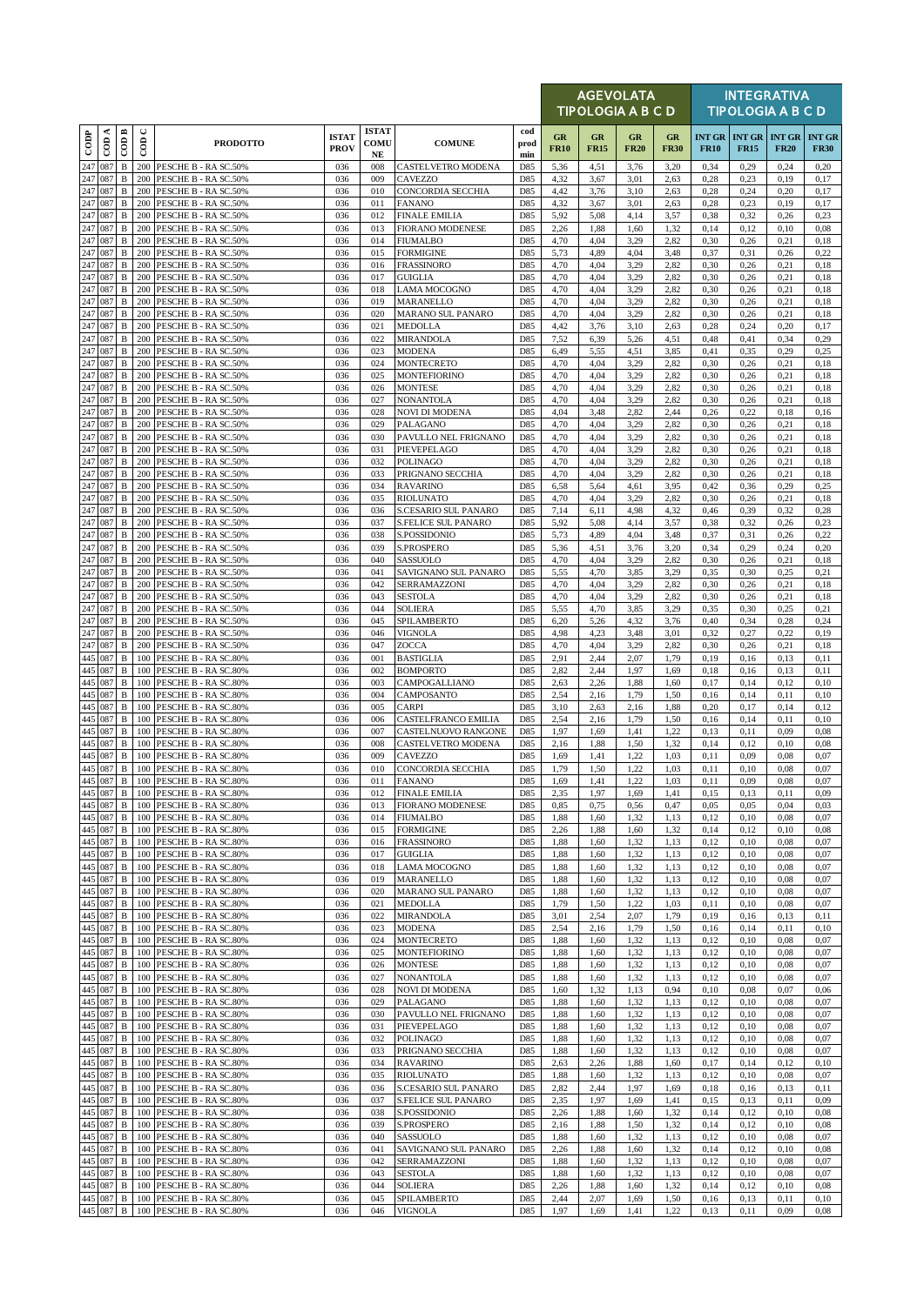|                   |                    |                              |                      |                                                      |                             |                                  |                                                 |                    |                          | <b>AGEVOLATA</b><br>TIPOLOGIA A B C D |                   |                   |              |                                                | <b>INTEGRATIVA</b><br><b>TIPOLOGIA A B C D</b> |                              |
|-------------------|--------------------|------------------------------|----------------------|------------------------------------------------------|-----------------------------|----------------------------------|-------------------------------------------------|--------------------|--------------------------|---------------------------------------|-------------------|-------------------|--------------|------------------------------------------------|------------------------------------------------|------------------------------|
| $\overline{1000}$ | CDA                | COD B                        | $\cup$<br>$\epsilon$ | <b>PRODOTTO</b>                                      | <b>ISTAT</b><br><b>PROV</b> | <b>ISTAT</b><br>COMU<br>$\bf NE$ | <b>COMUNE</b>                                   | cod<br>prod<br>min | <b>GR</b><br><b>FR10</b> | GR<br><b>FR15</b>                     | GR<br><b>FR20</b> | GR<br><b>FR30</b> | <b>FR10</b>  | <b>INT GR   INT GR   INT GR</b><br><b>FR15</b> | <b>FR20</b>                                    | <b>INT GR</b><br><b>FR30</b> |
| 247               | 087                | $\, {\bf B}$                 |                      | 200 PESCHE B - RA SC.50%                             | 036                         | 008                              | CASTELVETRO MODENA                              | D85                | 5,36                     | 4,51                                  | 3,76              | 3,20              | 0,34         | 0,29                                           | 0,24                                           | 0,20                         |
| 247<br>247        | 087<br>087         | $\, {\bf B}$<br>$\, {\bf B}$ | 200<br>200           | PESCHE B - RA SC.50%<br>PESCHE B - RA SC.50%         | 036<br>036                  | 009<br>010                       | CAVEZZO<br>CONCORDIA SECCHIA                    | D85<br>D85         | 4,32<br>4,42             | 3,67<br>3,76                          | 3.01<br>3,10      | 2,63<br>2,63      | 0,28<br>0,28 | 0.23<br>0,24                                   | 0,19<br>0,20                                   | 0,17<br>0,17                 |
| 247               | 087                | $\, {\bf B}$                 | 200                  | PESCHE B - RA SC.50%                                 | 036                         | 011                              | <b>FANANO</b>                                   | D85                | 4,32                     | 3,67                                  | 3,01              | 2,63              | 0,28         | 0,23                                           | 0,19                                           | 0,17                         |
| 247<br>247        | 087<br>087         | $\, {\bf B}$<br>$\, {\bf B}$ | 200<br>200           | PESCHE B - RA SC.50%<br>PESCHE B - RA SC.50%         | 036<br>036                  | 012<br>013                       | <b>FINALE EMILIA</b><br><b>FIORANO MODENESE</b> | D85<br>D85         | 5,92<br>2,26             | 5,08<br>1,88                          | 4,14<br>1,60      | 3,57<br>1,32      | 0,38<br>0,14 | 0,32<br>0,12                                   | 0,26<br>0,10                                   | 0,23<br>0,08                 |
| 247               | 087                | $\, {\bf B}$                 |                      | 200 PESCHE B - RA SC.50%                             | 036                         | 014                              | <b>FIUMALBO</b>                                 | D85                | 4,70                     | 4,04                                  | 3,29              | 2,82              | 0,30         | 0,26                                           | 0,21                                           | 0.18                         |
| 247               | 087                | $\, {\bf B}$                 | 200                  | PESCHE B - RA SC.50%                                 | 036                         | 015                              | <b>FORMIGINE</b>                                | D85                | 5,73                     | 4,89                                  | 4,04              | 3,48              | 0,37         | 0,31                                           | 0,26                                           | 0,22                         |
| 247<br>247        | 087<br>087         | $\, {\bf B}$<br>$\, {\bf B}$ | 200<br>200           | PESCHE B - RA SC.50%<br>PESCHE B - RA SC.50%         | 036<br>036                  | 016<br>017                       | <b>FRASSINORO</b><br><b>GUIGLIA</b>             | D85<br>D85         | 4,70<br>4,70             | 4,04<br>4,04                          | 3,29<br>3,29      | 2,82<br>2,82      | 0,30<br>0,30 | 0,26<br>0,26                                   | 0,21<br>0,21                                   | 0,18<br>0.18                 |
| 247               | 087                | B                            | 200                  | PESCHE B - RA SC.50%                                 | 036                         | 018                              | LAMA MOCOGNO                                    | D85                | 4,70                     | 4,04                                  | 3,29              | 2,82              | 0,30         | 0,26                                           | 0,21                                           | 0,18                         |
| 247<br>247        | 087<br>087         | B<br>$\, {\bf B}$            | 200<br>200           | PESCHE B - RA SC.50%<br>PESCHE B - RA SC.50%         | 036<br>036                  | 019<br>020                       | MARANELLO<br>MARANO SUL PANARO                  | D85<br>D85         | 4,70<br>4,70             | 4,04<br>4,04                          | 3,29<br>3,29      | 2,82<br>2,82      | 0,30<br>0,30 | 0,26<br>0,26                                   | 0,21<br>0,21                                   | 0,18<br>0,18                 |
| 247               | 087                | $\, {\bf B}$                 | 200                  | PESCHE B - RA SC.50%                                 | 036                         | 021                              | <b>MEDOLLA</b>                                  | D85                | 4,42                     | 3,76                                  | 3,10              | 2,63              | 0,28         | 0,24                                           | 0,20                                           | 0,17                         |
| 247               | 087                | B                            | 200                  | PESCHE B - RA SC.50%                                 | 036                         | 022                              | MIRANDOLA                                       | D85                | 7,52                     | 6,39                                  | 5,26              | 4,51              | 0,48         | 0,41                                           | 0,34                                           | 0,29                         |
| 247<br>247        | 087<br>087         | $\, {\bf B}$<br>B            | 200<br>200           | PESCHE B - RA SC.50%<br>PESCHE B - RA SC.50%         | 036<br>036                  | 023<br>024                       | MODENA<br>MONTECRETO                            | D85<br>D85         | 6,49<br>4,70             | 5,55<br>4,04                          | 4,51<br>3,29      | 3,85<br>2,82      | 0,41<br>0,30 | 0,35<br>0,26                                   | 0,29<br>0,21                                   | 0,25<br>0.18                 |
| 247               | 087                | B                            | 200                  | PESCHE B - RA SC.50%                                 | 036                         | 025                              | <b>MONTEFIORINO</b>                             | D85                | 4,70                     | 4,04                                  | 3,29              | 2,82              | 0,30         | 0,26                                           | 0,21                                           | 0,18                         |
| 247 087           |                    | $\, {\bf B}$                 | 200                  | PESCHE B - RA SC.50%                                 | 036                         | 026                              | <b>MONTESE</b>                                  | D85                | 4,70                     | 4,04                                  | 3,29              | 2,82              | 0,30         | 0,26                                           | 0,21                                           | 0.18                         |
| 247<br>247        | 087<br>087         | $\, {\bf B}$<br>$\, {\bf B}$ | 200<br>200           | PESCHE B - RA SC.50%<br>PESCHE B - RA SC.50%         | 036<br>036                  | 027<br>028                       | NONANTOLA<br>NOVI DI MODENA                     | D85<br>D85         | 4,70<br>4,04             | 4,04<br>3,48                          | 3,29<br>2,82      | 2,82<br>2,44      | 0,30<br>0,26 | 0,26<br>0,22                                   | 0,21<br>0,18                                   | 0.18<br>0,16                 |
| 247 087           |                    | $\, {\bf B}$                 | 200                  | PESCHE B - RA SC.50%                                 | 036                         | 029                              | PALAGANO                                        | D85                | 4,70                     | 4,04                                  | 3,29              | 2,82              | 0,30         | 0,26                                           | 0,21                                           | 0,18                         |
| 247               | 087                | $\, {\bf B}$                 | 200                  | PESCHE B - RA SC.50%                                 | 036                         | 030                              | PAVULLO NEL FRIGNANO                            | D85                | 4,70                     | 4,04                                  | 3,29              | 2,82              | 0,30         | 0,26                                           | 0,21                                           | 0,18                         |
| 247<br>247        | 087<br>087         | $\, {\bf B}$<br>B            | 200<br>200           | PESCHE B - RA SC.50%<br>PESCHE B - RA SC.50%         | 036<br>036                  | 031<br>032                       | PIEVEPELAGO<br>POLINAGO                         | D85<br>D85         | 4,70<br>4,70             | 4,04<br>4,04                          | 3.29<br>3,29      | 2,82<br>2,82      | 0,30<br>0,30 | 0,26<br>0,26                                   | 0,21<br>0,21                                   | 0.18<br>0,18                 |
| 247               | 087                | B                            | 200                  | PESCHE B - RA SC.50%                                 | 036                         | 033                              | PRIGNANO SECCHIA                                | D85                | 4,70                     | 4,04                                  | 3,29              | 2,82              | 0,30         | 0,26                                           | 0,21                                           | 0,18                         |
| 247<br>247        | 087<br>087         | $\, {\bf B}$<br>$\, {\bf B}$ | 200<br>200           | PESCHE B - RA SC.50%<br>PESCHE B - RA SC.50%         | 036<br>036                  | 034<br>035                       | <b>RAVARINO</b><br><b>RIOLUNATO</b>             | D85<br>D85         | 6,58<br>4,70             | 5,64<br>4,04                          | 4,61<br>3,29      | 3,95<br>2,82      | 0,42<br>0,30 | 0,36<br>0,26                                   | 0,29<br>0,21                                   | 0,25<br>0,18                 |
| 247               | 087                | $\, {\bf B}$                 | 200                  | PESCHE B - RA SC.50%                                 | 036                         | 036                              | S.CESARIO SUL PANARO                            | D85                | 7,14                     | 6,11                                  | 4,98              | 4,32              | 0,46         | 0,39                                           | 0,32                                           | 0,28                         |
| 247               | 087                | $\, {\bf B}$                 | 200                  | PESCHE B - RA SC.50%                                 | 036                         | 037                              | <b>S.FELICE SUL PANARO</b>                      | D85                | 5,92                     | 5,08                                  | 4,14              | 3,57              | 0,38         | 0,32                                           | 0,26                                           | 0,23                         |
| 247<br>247        | 087<br>087         | B<br>$\, {\bf B}$            | 200<br>200           | PESCHE B - RA SC.50%<br>PESCHE B - RA SC.50%         | 036<br>036                  | 038<br>039                       | S.POSSIDONIO<br>S.PROSPERO                      | D85<br>D85         | 5,73<br>5,36             | 4,89<br>4,51                          | 4,04<br>3,76      | 3,48<br>3,20      | 0,37<br>0,34 | 0,31<br>0,29                                   | 0,26<br>0,24                                   | 0,22<br>0,20                 |
| 247 087           |                    | $\, {\bf B}$                 | 200                  | PESCHE B - RA SC.50%                                 | 036                         | 040                              | SASSUOLO                                        | D85                | 4,70                     | 4,04                                  | 3,29              | 2,82              | 0,30         | 0,26                                           | 0,21                                           | 0,18                         |
|                   | 247 087            | $\, {\bf B}$                 | 200                  | PESCHE B - RA SC.50%                                 | 036                         | 041                              | SAVIGNANO SUL PANARO                            | D85                | 5,55                     | 4,70                                  | 3,85              | 3,29              | 0,35         | 0,30                                           | 0,25                                           | 0,21                         |
| 247<br>247        | 087<br>087         | $\mathbf B$<br>B             | 200                  | 200 PESCHE B - RA SC.50%<br>PESCHE B - RA SC.50%     | 036<br>036                  | 042<br>043                       | SERRAMAZZONI<br><b>SESTOLA</b>                  | D85<br>D85         | 4,70<br>4,70             | 4,04<br>4,04                          | 3,29<br>3,29      | 2,82<br>2,82      | 0,30<br>0,30 | 0,26<br>0,26                                   | 0,21<br>0,21                                   | 0,18<br>0,18                 |
| 247               | 087                | B                            | 200                  | PESCHE B - RA SC.50%                                 | 036                         | 044                              | SOLIERA                                         | D85                | 5,55                     | 4,70                                  | 3,85              | 3,29              | 0,35         | 0,30                                           | 0,25                                           | 0,21                         |
| 247               | 087                | $\, {\bf B}$                 | 200                  | PESCHE B - RA SC.50%                                 | 036                         | 045                              | SPILAMBERTO                                     | D85                | 6,20                     | 5,26                                  | 4,32              | 3,76              | 0,40         | 0,34                                           | 0,28                                           | 0,24                         |
| 247               | 087<br>247 087     | B<br>B                       | 200                  | PESCHE B - RA SC.50%<br>200 PESCHE B - RA SC.50%     | 036<br>036                  | 046<br>047                       | VIGNOLA<br>ZOCCA                                | D85<br>D85         | 4,98<br>4,70             | 4,23<br>4,04                          | 3,48<br>3,29      | 3,01<br>2,82      | 0,32<br>0,30 | 0,27<br>0,26                                   | 0,22<br>0,21                                   | 0,19<br>0,18                 |
| 445               | 087                | $\, {\bf B}$                 | 100                  | PESCHE B - RA SC.80%                                 | 036                         | 001                              | <b>BASTIGLIA</b>                                | D85                | 2,91                     | 2,44                                  | 2,07              | 1,79              | 0,19         | 0,16                                           | 0,13                                           | 0,11                         |
| 445               | 087<br>445 087     | B<br>$\, {\bf B}$            | 100<br>100           | PESCHE B - RA SC.80%<br>PESCHE B - RA SC.80%         | 036<br>036                  | 002<br>003                       | <b>BOMPORTO</b><br>CAMPOGALLIANO                | D85<br>D85         | 2,82<br>2,63             | 2,44<br>2,26                          | 1,97<br>1,88      | 1,69<br>1,60      | 0,18<br>0,17 | 0,16<br>0,14                                   | 0,13<br>0,12                                   | 0,11<br>0,10                 |
|                   | 445 087            | B                            | 100                  | PESCHE B - RA SC.80%                                 | 036                         | 004                              | CAMPOSANTO                                      | D85                | 2,54                     | 2,16                                  | 1,79              | 1,50              | 0,16         | 0,14                                           | 0,11                                           | 0,10                         |
| 445               | 087                | B                            | 100                  | PESCHE B - RA SC.80%                                 | 036                         | 005                              | <b>CARPI</b>                                    | D85                | 3,10                     | 2,63                                  | 2,16              | 1,88              | 0,20         | 0,17                                           | 0,14                                           | 0,12                         |
| 445               | 087<br>445 087     | B<br>$\, {\bf B}$            | 100                  | 100 PESCHE B - RA SC.80%<br>PESCHE B - RA SC.80%     | 036<br>036                  | 006<br>007                       | CASTELFRANCO EMILIA<br>CASTELNUOVO RANGONE      | D85<br>D85         | 2,54<br>1,97             | 2,16<br>1,69                          | 1,79<br>1,41      | 1,50<br>1,22      | 0,16<br>0,13 | 0,14<br>0,11                                   | 0,11<br>0,09                                   | 0,10<br>0.08                 |
| 445               | 087                | $\, {\bf B}$                 | 100                  | PESCHE B - RA SC.80%                                 | 036                         | 008                              | CASTELVETRO MODENA                              | D85                | 2,16                     | 1,88                                  | 1,50              | 1,32              | 0,14         | 0,12                                           | 0,10                                           | 0,08                         |
| 445               | 087                | $\, {\bf B}$                 | 100                  | PESCHE B - RA SC.80%                                 | 036                         | 009                              | <b>CAVEZZO</b>                                  | D85                | 1,69                     | 1,41                                  | 1,22              | 1,03              | 0,11         | 0.09                                           | 0,08                                           | 0.07                         |
| 445 087           | 445 087            | $\, {\bf B}$<br>$\, {\bf B}$ |                      | 100 PESCHE B - RA SC.80%<br>100 PESCHE B - RA SC.80% | 036<br>036                  | 010<br>011                       | CONCORDIA SECCHIA<br><b>FANANO</b>              | D85<br>D85         | 1,79<br>1,69             | 1,50<br>1,41                          | 1,22<br>1,22      | 1,03<br>1,03      | 0,11<br>0,11 | 0,10<br>0,09                                   | 0,08<br>0,08                                   | 0,07<br>0,07                 |
| 445 087           |                    | B                            |                      | 100 PESCHE B - RA SC.80%                             | 036                         | 012                              | <b>FINALE EMILIA</b>                            | D85                | 2,35                     | 1,97                                  | 1,69              | 1,41              | 0,15         | 0,13                                           | 0,11                                           | 0,09                         |
| 445               | 087<br>445 087     | B                            | 100                  | PESCHE B - RA SC.80%                                 | 036                         | 013                              | <b>FIORANO MODENESE</b>                         | D85                | 0,85                     | 0,75                                  | 0,56              | 0,47              | 0,05         | 0,05                                           | 0,04                                           | 0.03                         |
| 445               | 087                | $\, {\bf B}$<br>B            | 100                  | 100 PESCHE B - RA SC.80%<br>PESCHE B - RA SC.80%     | 036<br>036                  | 014<br>015                       | <b>FIUMALBO</b><br><b>FORMIGINE</b>             | D85<br>D85         | 1,88<br>2,26             | 1,60<br>1,88                          | 1,32<br>1,60      | 1,13<br>1,32      | 0,12<br>0,14 | 0,10<br>0,12                                   | 0,08<br>0,10                                   | 0,07<br>0.08                 |
|                   | 445 087            | $\, {\bf B}$                 | 100                  | PESCHE B - RA SC.80%                                 | 036                         | 016                              | <b>FRASSINORO</b>                               | D85                | 1,88                     | 1,60                                  | 1,32              | 1,13              | 0,12         | 0,10                                           | 0,08                                           | 0,07                         |
|                   | 445 087<br>445 087 | B<br>B                       | 100<br>100           | PESCHE B - RA SC.80%<br>PESCHE B - RA SC.80%         | 036<br>036                  | 017<br>018                       | <b>GUIGLIA</b><br>LAMA MOCOGNO                  | D85<br>D85         | 1,88<br>1,88             | 1,60<br>1,60                          | 1,32<br>1,32      | 1,13<br>1,13      | 0,12<br>0,12 | 0,10<br>0,10                                   | 0,08<br>0,08                                   | 0,07<br>0,07                 |
|                   | 445 087            | $\, {\bf B}$                 | 100                  | PESCHE B - RA SC.80%                                 | 036                         | 019                              | MARANELLO                                       | D85                | 1,88                     | 1,60                                  | 1,32              | 1,13              | 0,12         | 0,10                                           | 0,08                                           | 0,07                         |
|                   | 445 087            | $\, {\bf B}$                 |                      | 100 PESCHE B - RA SC.80%                             | 036                         | 020                              | MARANO SUL PANARO                               | D85                | 1,88                     | 1,60                                  | 1,32              | 1,13              | 0,12         | 0,10                                           | 0,08                                           | 0,07                         |
| 445               | 087<br>445 087     | B<br>B                       | 100<br>100           | PESCHE B - RA SC.80%<br>PESCHE B - RA SC.80%         | 036<br>036                  | 021<br>022                       | MEDOLLA<br>MIRANDOLA                            | D85<br>D85         | 1,79<br>3,01             | 1,50<br>2,54                          | 1,22<br>2,07      | 1,03<br>1,79      | 0,11<br>0,19 | 0,10<br>0,16                                   | 0,08<br>0,13                                   | 0,07<br>0,11                 |
|                   | 445 087            | B                            | 100                  | PESCHE B - RA SC.80%                                 | 036                         | 023                              | <b>MODENA</b>                                   | D85                | 2,54                     | 2,16                                  | 1,79              | 1,50              | 0,16         | 0,14                                           | 0,11                                           | 0,10                         |
|                   | 445 087<br>445 087 | $\, {\bf B}$<br>B            | 100<br>100           | PESCHE B - RA SC.80%<br>PESCHE B - RA SC.80%         | 036<br>036                  | 024<br>025                       | MONTECRETO<br><b>MONTEFIORINO</b>               | D85<br>D85         | 1,88<br>1,88             | 1,60<br>1,60                          | 1,32<br>1,32      | 1,13<br>1,13      | 0,12<br>0,12 | 0,10<br>0,10                                   | 0,08<br>0,08                                   | 0,07<br>0,07                 |
|                   | 445 087            | B                            | 100                  | PESCHE B - RA SC.80%                                 | 036                         | 026                              | <b>MONTESE</b>                                  | D85                | 1,88                     | 1,60                                  | 1,32              | 1,13              | 0,12         | 0,10                                           | 0,08                                           | 0,07                         |
| 445               | 087                | B                            | 100                  | PESCHE B - RA SC.80%                                 | 036                         | 027                              | NONANTOLA                                       | D85                | 1,88                     | 1,60                                  | 1,32              | 1,13              | 0,12         | 0,10                                           | 0,08                                           | 0,07                         |
|                   | 445 087<br>445 087 | B<br>B                       | 100<br>100           | PESCHE B - RA SC.80%<br>PESCHE B - RA SC.80%         | 036<br>036                  | 028<br>029                       | NOVI DI MODENA<br>PALAGANO                      | D85<br>D85         | 1,60<br>1,88             | 1,32<br>1,60                          | 1,13<br>1.32      | 0,94<br>1,13      | 0,10<br>0,12 | 0.08<br>0,10                                   | 0,07<br>0,08                                   | 0,06<br>0,07                 |
|                   | 445 087            | B                            | 100                  | PESCHE B - RA SC.80%                                 | 036                         | 030                              | PAVULLO NEL FRIGNANO                            | D85                | 1,88                     | 1,60                                  | 1,32              | 1,13              | 0,12         | 0,10                                           | 0,08                                           | 0,07                         |
|                   | 445 087            | B                            | 100                  | PESCHE B - RA SC.80%                                 | 036                         | 031                              | PIEVEPELAGO                                     | D85                | 1,88                     | 1,60                                  | 1,32              | 1,13              | 0,12         | 0,10                                           | 0,08                                           | 0,07                         |
| 445               | 445 087<br>087     | B<br>$\, {\bf B}$            | 100<br>100           | PESCHE B - RA SC.80%<br>PESCHE B - RA SC.80%         | 036<br>036                  | 032<br>033                       | <b>POLINAGO</b><br>PRIGNANO SECCHIA             | D85<br>D85         | 1,88<br>1,88             | 1,60<br>1,60                          | 1,32<br>1,32      | 1,13<br>1,13      | 0,12<br>0,12 | 0,10<br>0,10                                   | 0,08<br>0,08                                   | 0,07<br>0,07                 |
| 445               | 087                | B                            |                      | 100 PESCHE B - RA SC.80%                             | 036                         | 034                              | <b>RAVARINO</b>                                 | D85                | 2,63                     | 2,26                                  | 1,88              | 1,60              | 0,17         | 0,14                                           | 0,12                                           | 0,10                         |
|                   | 445 087            | B                            | 100                  | PESCHE B - RA SC.80%                                 | 036                         | 035                              | <b>RIOLUNATO</b>                                | D85                | 1,88                     | 1,60                                  | 1,32              | 1,13              | 0,12         | 0,10                                           | 0,08                                           | 0,07                         |
|                   | 445 087<br>445 087 | B<br>B                       | 100<br>100           | PESCHE B - RA SC.80%<br>PESCHE B - RA SC.80%         | 036<br>036                  | 036<br>037                       | S.CESARIO SUL PANARO<br>S.FELICE SUL PANARO     | D85<br>D85         | 2,82<br>2,35             | 2,44<br>1,97                          | 1,97<br>1.69      | 1,69<br>1,41      | 0,18<br>0,15 | 0,16<br>0,13                                   | 0,13<br>0,11                                   | 0,11<br>0,09                 |
|                   | 445 087            | B                            | 100                  | PESCHE B - RA SC.80%                                 | 036                         | 038                              | S.POSSIDONIO                                    | D85                | 2,26                     | 1,88                                  | 1,60              | 1,32              | 0,14         | 0,12                                           | 0,10                                           | 0.08                         |
|                   | 445 087            | B                            | 100                  | PESCHE B - RA SC.80%                                 | 036                         | 039                              | S.PROSPERO                                      | D85                | 2,16                     | 1,88                                  | 1,50              | 1,32              | 0,14         | 0,12                                           | 0,10                                           | 0.08                         |
| 445               | 087<br>445 087     | B<br>B                       | 100<br>100           | PESCHE B - RA SC.80%<br>PESCHE B - RA SC.80%         | 036<br>036                  | 040<br>041                       | SASSUOLO<br>SAVIGNANO SUL PANARO                | D85<br>D85         | 1,88<br>2,26             | 1,60<br>1,88                          | 1,32<br>1,60      | 1,13<br>1,32      | 0,12<br>0,14 | 0,10<br>0,12                                   | 0,08<br>0,10                                   | 0,07<br>0,08                 |
|                   | 445 087            | B                            | 100                  | PESCHE B - RA SC.80%                                 | 036                         | 042                              | SERRAMAZZONI                                    | D85                | 1,88                     | 1,60                                  | 1,32              | 1,13              | 0,12         | 0,10                                           | 0,08                                           | 0,07                         |
| 445               | 087                | B                            | 100                  | PESCHE B - RA SC.80%                                 | 036                         | 043                              | <b>SESTOLA</b>                                  | D85                | 1,88                     | 1,60                                  | 1.32              | 1,13              | 0,12         | 0,10                                           | 0,08                                           | 0,07                         |
|                   | 445 087<br>445 087 | B<br>$\, {\bf B}$            | 100                  | PESCHE B - RA SC.80%<br>100 PESCHE B - RA SC.80%     | 036<br>036                  | 044<br>045                       | SOLIERA<br>SPILAMBERTO                          | D85<br>D85         | 2,26<br>2,44             | 1,88<br>2,07                          | 1,60<br>1,69      | 1,32<br>1,50      | 0,14<br>0,16 | 0,12<br>0,13                                   | 0,10<br>0,11                                   | 0,08<br>0,10                 |
|                   | 445 087            | B                            |                      | 100 PESCHE B - RA SC.80%                             | 036                         | 046                              | VIGNOLA                                         | D85                | 1,97                     | 1,69                                  | 1,41              | 1,22              | 0,13         | 0,11                                           | 0,09                                           | 0,08                         |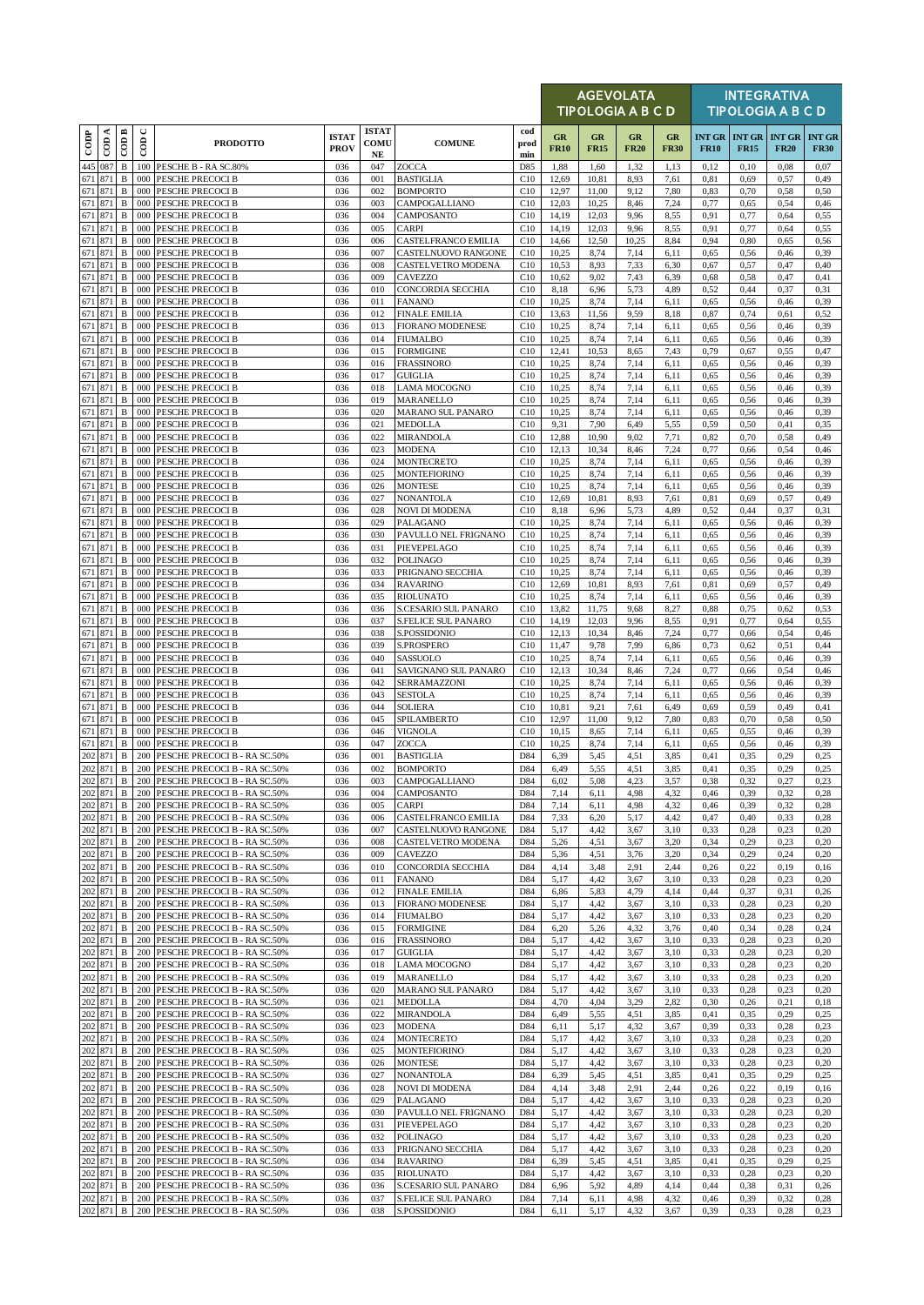|                   |                             |                              |               |                                                                      |                             |                                  |                                           |                    |                   | <b>AGEVOLATA</b><br><b>TIPOLOGIA A B C D</b> |                   |                   |                              |                                     | <b>INTEGRATIVA</b><br><b>TIPOLOGIA A B C D</b> |                              |
|-------------------|-----------------------------|------------------------------|---------------|----------------------------------------------------------------------|-----------------------------|----------------------------------|-------------------------------------------|--------------------|-------------------|----------------------------------------------|-------------------|-------------------|------------------------------|-------------------------------------|------------------------------------------------|------------------------------|
| $\overline{1000}$ | $\overline{\mathrm{con}}$ A | $\overline{\mathrm{COD}}$ B  | $\cup$<br>600 | <b>PRODOTTO</b>                                                      | <b>ISTAT</b><br><b>PROV</b> | <b>ISTAT</b><br>COMU<br>$\bf NE$ | <b>COMUNE</b>                             | cod<br>prod<br>min | GR<br><b>FR10</b> | GR<br><b>FR15</b>                            | GR<br><b>FR20</b> | GR<br><b>FR30</b> | <b>INT GR</b><br><b>FR10</b> | <b>INT GR INT GR</b><br><b>FR15</b> | <b>FR20</b>                                    | <b>INT GR</b><br><b>FR30</b> |
| 445               | 087                         | $\, {\bf B}$                 |               | 100 PESCHE B - RA SC.80%                                             | 036                         | 047                              | ZOCCA                                     | D85                | 1,88              | 1,60                                         | 1,32              | 1,13              | 0,12                         | 0,10                                | 0,08                                           | 0,07                         |
| 671<br>671        | 871<br>871                  | $\, {\bf B}$<br>$\, {\bf B}$ | 000<br>000    | PESCHE PRECOCI B<br>PESCHE PRECOCI B                                 | 036<br>036                  | 001<br>002                       | <b>BASTIGLIA</b><br><b>BOMPORTO</b>       | C10<br>C10         | 12,69<br>12,97    | 10,81<br>11,00                               | 8.93<br>9,12      | 7,61<br>7,80      | 0,81<br>0,83                 | 0.69<br>0,70                        | 0,57<br>0,58                                   | 0,49<br>0,50                 |
| 671               | 871                         | $\, {\bf B}$                 | 000           | PESCHE PRECOCI B                                                     | 036                         | 003                              | CAMPOGALLIANO                             | C10                | 12,03             | 10,25                                        | 8,46              | 7,24              | 0,77                         | 0,65                                | 0,54                                           | 0,46                         |
| 671<br>671        | 871<br>871                  | B<br>$\, {\bf B}$            | 000<br>000    | PESCHE PRECOCI B<br>PESCHE PRECOCI B                                 | 036<br>036                  | 004<br>005                       | CAMPOSANTO<br><b>CARPI</b>                | C10<br>C10         | 14,19<br>14,19    | 12,03<br>12,03                               | 9,96<br>9,96      | 8,55<br>8,55      | 0,91<br>0,91                 | 0,77<br>0,77                        | 0,64<br>0,64                                   | 0,55<br>0,55                 |
| 671               | 871                         | B                            | 000           | <b>PESCHE PRECOCI B</b>                                              | 036                         | 006                              | CASTELFRANCO EMILIA                       | C10                | 14,66             | 12,50                                        | 10,25             | 8,84              | 0,94                         | 0,80                                | 0,65                                           | 0,56                         |
| 671               | 871                         | B                            | 000           | PESCHE PRECOCI B                                                     | 036                         | 007                              | CASTELNUOVO RANGONE                       | C10                | 10,25             | 8,74                                         | 7,14              | 6,11              | 0,65                         | 0,56                                | 0,46                                           | 0,39                         |
| 671<br>671        | 871<br>871                  | B<br>$\, {\bf B}$            | 000<br>000    | PESCHE PRECOCI B<br>PESCHE PRECOCI B                                 | 036<br>036                  | 008<br>009                       | CASTELVETRO MODENA<br>CAVEZZO             | C10<br>C10         | 10,53<br>10,62    | 8,93<br>9,02                                 | 7,33<br>7,43      | 6,30<br>6,39      | 0,67<br>0,68                 | 0,57<br>0,58                        | 0,47<br>0,47                                   | 0,40<br>0,41                 |
| 671               | 871                         | B                            | 000           | PESCHE PRECOCI B                                                     | 036                         | 010                              | <b>CONCORDIA SECCHIA</b>                  | C10                | 8,18              | 6,96                                         | 5,73              | 4,89              | 0,52                         | 0,44                                | 0,37                                           | 0,31                         |
| 671<br>671        | 871<br>871                  | B<br>$\, {\bf B}$            | 000<br>000    | PESCHE PRECOCI B<br><b>PESCHE PRECOCI B</b>                          | 036<br>036                  | 011<br>012                       | <b>FANANO</b><br><b>FINALE EMILIA</b>     | C10<br>C10         | 10,25<br>13,63    | 8,74<br>11,56                                | 7,14<br>9,59      | 6,11<br>8,18      | 0,65<br>0,87                 | 0,56<br>0,74                        | 0,46<br>0,61                                   | 0,39<br>0,52                 |
| 671               | 871                         | B                            | 000           | PESCHE PRECOCI B                                                     | 036                         | 013                              | <b>FIORANO MODENESE</b>                   | C10                | 10,25             | 8,74                                         | 7,14              | 6,11              | 0,65                         | 0,56                                | 0,46                                           | 0,39                         |
|                   | 671 871                     | B                            | 000           | PESCHE PRECOCI B                                                     | 036                         | 014                              | <b>FIUMALBO</b>                           | C10                | 10,25             | 8,74                                         | 7,14              | 6,11              | 0,65                         | 0,56                                | 0,46                                           | 0,39                         |
| 671<br>671        | 871<br>871                  | $\, {\bf B}$<br>$\, {\bf B}$ | 000<br>000    | <b>PESCHE PRECOCI B</b><br>PESCHE PRECOCI B                          | 036<br>036                  | 015<br>016                       | <b>FORMIGINE</b><br><b>FRASSINORO</b>     | C10<br>C10         | 12,41<br>10,25    | 10,53<br>8,74                                | 8,65<br>7,14      | 7,43<br>6,11      | 0,79<br>0,65                 | 0,67<br>0,56                        | 0,55<br>0,46                                   | 0,47<br>0,39                 |
| 671               | 871                         | B                            |               | 000 PESCHE PRECOCI B                                                 | 036                         | 017                              | <b>GUIGLIA</b>                            | C10                | 10,25             | 8,74                                         | 7,14              | 6,11              | 0,65                         | 0,56                                | 0,46                                           | 0,39                         |
|                   | 671 871                     | $\, {\bf B}$                 | 000           | PESCHE PRECOCI B                                                     | 036                         | 018                              | <b>LAMA MOCOGNO</b>                       | C10                | 10,25             | 8,74                                         | 7,14              | 6,11              | 0,65                         | 0,56                                | 0,46                                           | 0,39                         |
| 671               | 671 871<br>871              | $\, {\bf B}$<br>B            | 000<br>000    | PESCHE PRECOCI B<br>PESCHE PRECOCI B                                 | 036<br>036                  | 019<br>020                       | MARANELLO<br>MARANO SUL PANARO            | C10<br>C10         | 10,25<br>10,25    | 8,74<br>8,74                                 | 7,14<br>7,14      | 6,11<br>6,11      | 0,65<br>0.65                 | 0,56<br>0,56                        | 0,46<br>0,46                                   | 0,39<br>0,39                 |
|                   | 671 871                     | $\, {\bf B}$                 | 000           | PESCHE PRECOCI B                                                     | 036                         | 021                              | <b>MEDOLLA</b>                            | C10                | 9,31              | 7,90                                         | 6,49              | 5,55              | 0,59                         | 0,50                                | 0,41                                           | 0,35                         |
| 671               | 871                         | $\, {\bf B}$                 | 000           | PESCHE PRECOCI B                                                     | 036                         | 022                              | <b>MIRANDOLA</b>                          | C10                | 12,88             | 10,90                                        | 9,02              | 7,71              | 0,82                         | 0,70                                | 0,58                                           | 0,49                         |
| 671<br>671        | 871<br>871                  | $\, {\bf B}$<br>$\, {\bf B}$ | 000<br>000    | PESCHE PRECOCI B<br>PESCHE PRECOCI B                                 | 036<br>036                  | 023<br>024                       | <b>MODENA</b><br><b>MONTECRETO</b>        | C10<br>C10         | 12,13<br>10,25    | 10,34<br>8,74                                | 8,46<br>7,14      | 7,24<br>6,11      | 0,77<br>0,65                 | 0,66<br>0,56                        | 0,54<br>0,46                                   | 0,46<br>0,39                 |
| 671               | 871                         | $\, {\bf B}$                 | 000           | PESCHE PRECOCI B                                                     | 036                         | 025                              | <b>MONTEFIORINO</b>                       | C10                | 10,25             | 8,74                                         | 7,14              | 6,11              | 0,65                         | 0,56                                | 0,46                                           | 0,39                         |
| 671               | 871                         | $\, {\bf B}$                 | 000           | PESCHE PRECOCI B                                                     | 036                         | 026                              | <b>MONTESE</b>                            | C10                | 10,25             | 8,74                                         | 7,14              | 6,11              | 0.65                         | 0,56                                | 0,46                                           | 0,39                         |
| 671               | 871<br>671 871              | B<br>B                       | 000<br>000    | PESCHE PRECOCI B<br>PESCHE PRECOCI B                                 | 036<br>036                  | 027<br>028                       | <b>NONANTOLA</b><br><b>NOVI DI MODENA</b> | C10<br>C10         | 12,69<br>8,18     | 10,81<br>6,96                                | 8,93<br>5,73      | 7,61<br>4,89      | 0,81<br>0,52                 | 0.69<br>0,44                        | 0,57<br>0,37                                   | 0,49<br>0,31                 |
| 671               | 871                         | $\, {\bf B}$                 | 000           | PESCHE PRECOCI B                                                     | 036                         | 029                              | <b>PALAGANO</b>                           | C10                | 10,25             | 8,74                                         | 7,14              | 6,11              | 0,65                         | 0,56                                | 0,46                                           | 0,39                         |
| 671               | 871<br>671 871              | $\, {\bf B}$<br>$\, {\bf B}$ | 000           | PESCHE PRECOCI B<br>000 PESCHE PRECOCI B                             | 036                         | 030                              | PAVULLO NEL FRIGNANO                      | C10                | 10,25             | 8,74                                         | 7,14              | 6,11              | 0,65                         | 0,56                                | 0,46                                           | 0,39                         |
|                   | 671 871                     | $\, {\bf B}$                 | 000           | PESCHE PRECOCI B                                                     | 036<br>036                  | 031<br>032                       | PIEVEPELAGO<br><b>POLINAGO</b>            | C10<br>C10         | 10,25<br>10,25    | 8,74<br>8,74                                 | 7,14<br>7,14      | 6,11<br>6,11      | 0,65<br>0,65                 | 0,56<br>0,56                        | 0,46<br>0,46                                   | 0,39<br>0,39                 |
|                   | 671 871                     | $\, {\bf B}$                 | 000           | PESCHE PRECOCI B                                                     | 036                         | 033                              | PRIGNANO SECCHIA                          | C10                | 10,25             | 8,74                                         | 7,14              | 6,11              | 0,65                         | 0,56                                | 0,46                                           | 0,39                         |
| 671               | 871<br>671 871              | B<br>B                       | 000<br>000    | <b>PESCHE PRECOCI B</b><br>PESCHE PRECOCI B                          | 036<br>036                  | 034<br>035                       | <b>RAVARINO</b><br><b>RIOLUNATO</b>       | C10<br>C10         | 12,69<br>10,25    | 10,81<br>8,74                                | 8.93<br>7,14      | 7,61<br>6,11      | 0,81<br>0,65                 | 0.69<br>0,56                        | 0,57<br>0,46                                   | 0,49<br>0,39                 |
| 671               | 871                         | B                            | 000           | PESCHE PRECOCI B                                                     | 036                         | 036                              | S.CESARIO SUL PANARO                      | C10                | 13,82             | 11,75                                        | 9,68              | 8,27              | 0,88                         | 0,75                                | 0,62                                           | 0,53                         |
| 671               | 871                         | B                            | 000           | <b>PESCHE PRECOCI B</b>                                              | 036                         | 037                              | <b>S.FELICE SUL PANARO</b>                | C10                | 14,19             | 12,03                                        | 9,96              | 8,55              | 0.91                         | 0,77                                | 0,64                                           | 0,55                         |
| 671               | 871<br>671 871              | B<br>B                       | 000<br>000    | PESCHE PRECOCI B<br>PESCHE PRECOCI B                                 | 036<br>036                  | 038<br>039                       | S.POSSIDONIO<br>S.PROSPERO                | C10<br>C10         | 12,13<br>11,47    | 10,34<br>9,78                                | 8,46<br>7,99      | 7,24<br>6,86      | 0,77<br>0,73                 | 0,66<br>0,62                        | 0,54<br>0,51                                   | 0,46<br>0,44                 |
| 671               | 871                         | $\, {\bf B}$                 | 000           | <b>PESCHE PRECOCI B</b>                                              | 036                         | 040                              | SASSUOLO                                  | C10                | 10,25             | 8,74                                         | 7,14              | 6,11              | 0,65                         | 0,56                                | 0,46                                           | 0,39                         |
| 671               | 871                         | B                            | 000           | PESCHE PRECOCI B                                                     | 036                         | 041                              | SAVIGNANO SUL PANARO                      | C10                | 12,13             | 10,34                                        | 8,46              | 7,24              | 0,77                         | 0,66                                | 0,54                                           | 0,46                         |
|                   | 671 871<br>671 871          | B<br>$\, {\bf B}$            | 000<br>000    | PESCHE PRECOCI B<br>PESCHE PRECOCI B                                 | 036<br>036                  | 042<br>043                       | SERRAMAZZONI<br><b>SESTOLA</b>            | C10<br>C10         | 10,25<br>10,25    | 8,74<br>8,74                                 | 7,14<br>7,14      | 6,11<br>6,11      | 0,65<br>0,65                 | 0,56<br>0,56                        | 0,46<br>0,46                                   | 0,39<br>0,39                 |
| 671               | 871                         | B                            | 000           | PESCHE PRECOCI B                                                     | 036                         | 044                              | <b>SOLIERA</b>                            | C10                | 10,81             | 9,21                                         | 7,61              | 6,49              | 0,69                         | 0,59                                | 0,49                                           | 0,41                         |
| 671               | 871                         | B                            | 000           | PESCHE PRECOCI B                                                     | 036                         | 045                              | SPILAMBERTO                               | C10                | 12,97             | 11,00                                        | 9,12              | 7,80              | 0,83                         | 0,70                                | 0,58                                           | 0,50                         |
| 671               | 671 871<br>871              | $\, {\bf B}$<br>$\, {\bf B}$ | 000<br>000    | PESCHE PRECOCI B<br>PESCHE PRECOCI B                                 | 036<br>036                  | 046<br>047                       | <b>VIGNOLA</b><br><b>ZOCCA</b>            | C10<br>C10         | 10,15<br>10,25    | 8,65<br>8,74                                 | 7,14<br>7,14      | 6,11<br>6,11      | 0,65<br>0.65                 | 0,55<br>0,56                        | 0,46<br>0,46                                   | 0,39<br>0,39                 |
| 202               | 871                         | $\, {\bf B}$                 | 200           | PESCHE PRECOCI B - RA SC.50%                                         | 036                         | 001                              | <b>BASTIGLIA</b>                          | D84                | 6,39              | 5,45                                         | 4,51              | 3,85              | 0,41                         | 0.35                                | 0.29                                           | 0.25                         |
|                   | 202 871<br>202 871          | $\, {\bf B}$                 |               | 200 PESCHE PRECOCI B - RA SC.50%                                     | 036                         | 002                              | <b>BOMPORTO</b>                           | D84                | 6,49              | 5,55                                         | 4,51              | 3,85              | 0,41                         | 0,35                                | 0,29                                           | 0,25                         |
|                   | 202 871                     | $\, {\bf B} \,$<br>B         |               | 200 PESCHE PRECOCI B - RA SC.50%<br>200 PESCHE PRECOCI B - RA SC.50% | 036<br>036                  | 003<br>004                       | <b>CAMPOGALLIANO</b><br>CAMPOSANTO        | D84<br>D84         | 6,02<br>7,14      | 5,08<br>6,11                                 | 4,23<br>4,98      | 3,57<br>4,32      | 0,38<br>0,46                 | 0,32<br>0,39                        | 0,27<br>0,32                                   | 0,23<br>0,28                 |
| 202               | 871                         | B                            | 200           | PESCHE PRECOCI B - RA SC.50%                                         | 036                         | 005                              | <b>CARPI</b>                              | D84                | 7,14              | 6,11                                         | 4,98              | 4,32              | 0,46                         | 0,39                                | 0,32                                           | 0,28                         |
|                   | 202 871                     | B                            |               | 200 PESCHE PRECOCI B - RA SC.50%                                     | 036                         | 006                              | CASTELFRANCO EMILIA                       | D84                | 7,33              | 6,20                                         | 5,17              | 4,42              | 0,47                         | 0,40                                | 0,33                                           | 0,28                         |
| 202               | 871<br>202 871              | B<br>B                       | 200           | PESCHE PRECOCI B - RA SC.50%<br>200 PESCHE PRECOCI B - RA SC.50%     | 036<br>036                  | 007<br>008                       | CASTELNUOVO RANGONE<br>CASTELVETRO MODENA | D84<br>D84         | 5,17<br>5,26      | 4,42<br>4,51                                 | 3,67<br>3,67      | 3,10<br>3,20      | 0,33<br>0,34                 | 0,28<br>0,29                        | 0,23<br>0,23                                   | 0,20<br>0,20                 |
|                   | 202 871                     | B                            | 200           | PESCHE PRECOCI B - RA SC.50%                                         | 036                         | 009                              | CAVEZZO                                   | D84                | 5,36              | 4,51                                         | 3,76              | 3,20              | 0,34                         | 0,29                                | 0,24                                           | 0,20                         |
|                   | 202 871                     | B                            | 200           | PESCHE PRECOCI B - RA SC.50%                                         | 036<br>036                  | 010<br>011                       | CONCORDIA SECCHIA                         | D84<br>D84         | 4,14              | 3,48                                         | 2,91<br>3,67      | 2,44<br>3,10      | 0,26                         | 0,22                                | 0,19                                           | 0,16                         |
|                   | 202 871<br>202 871          | B<br>B                       |               | 200 PESCHE PRECOCI B - RA SC.50%<br>200 PESCHE PRECOCI B - RA SC.50% | 036                         | 012                              | <b>FANANO</b><br><b>FINALE EMILIA</b>     | D84                | 5,17<br>6,86      | 4,42<br>5,83                                 | 4,79              | 4,14              | 0,33<br>0,44                 | 0,28<br>0,37                        | 0,23<br>0,31                                   | 0,20<br>0,26                 |
| 202               | 871                         | B                            | 200           | PESCHE PRECOCI B - RA SC.50%                                         | 036                         | 013                              | <b>FIORANO MODENESE</b>                   | D84                | 5,17              | 4,42                                         | 3,67              | 3,10              | 0,33                         | 0,28                                | 0,23                                           | 0,20                         |
| 202               | 871<br>202 871              | B<br>B                       | 200           | PESCHE PRECOCI B - RA SC.50%<br>200 PESCHE PRECOCI B - RA SC.50%     | 036<br>036                  | 014<br>015                       | <b>FIUMALBO</b><br><b>FORMIGINE</b>       | D84<br>D84         | 5,17<br>6,20      | 4,42<br>5,26                                 | 3,67<br>4,32      | 3,10<br>3,76      | 0,33<br>0,40                 | 0,28<br>0,34                        | 0,23<br>0,28                                   | 0,20<br>0,24                 |
|                   | 202 871                     | B                            |               | 200 PESCHE PRECOCI B - RA SC.50%                                     | 036                         | 016                              | <b>FRASSINORO</b>                         | D84                | 5,17              | 4,42                                         | 3,67              | 3,10              | 0,33                         | 0,28                                | 0,23                                           | 0,20                         |
|                   | 202 871                     | B                            | 200           | PESCHE PRECOCI B - RA SC.50%                                         | 036                         | 017                              | <b>GUIGLIA</b>                            | D84                | 5,17              | 4,42                                         | 3,67              | 3,10              | 0,33                         | 0,28                                | 0,23                                           | 0,20                         |
| 202               | 202 871<br>871              | B<br>B                       | 200           | 200 PESCHE PRECOCI B - RA SC.50%<br>PESCHE PRECOCI B - RA SC.50%     | 036<br>036                  | 018<br>019                       | <b>LAMA MOCOGNO</b><br>MARANELLO          | D84<br>D84         | 5,17<br>5,17      | 4,42<br>4,42                                 | 3,67<br>3,67      | 3,10<br>3,10      | 0,33<br>0,33                 | 0,28<br>0,28                        | 0,23<br>0,23                                   | 0,20<br>0,20                 |
|                   | 202 871                     | B                            |               | 200 PESCHE PRECOCI B - RA SC.50%                                     | 036                         | 020                              | MARANO SUL PANARO                         | D84                | 5,17              | 4,42                                         | 3,67              | 3,10              | 0,33                         | 0,28                                | 0,23                                           | 0,20                         |
|                   | 202 871                     | B                            | 200           | PESCHE PRECOCI B - RA SC.50%                                         | 036                         | 021                              | <b>MEDOLLA</b>                            | D84                | 4,70              | 4,04                                         | 3,29              | 2,82              | 0,30                         | 0,26                                | 0,21                                           | 0,18                         |
| 202               | 871<br>202 871              | B<br>B                       |               | 200 PESCHE PRECOCI B - RA SC.50%<br>200 PESCHE PRECOCI B - RA SC.50% | 036<br>036                  | 022<br>023                       | <b>MIRANDOLA</b><br><b>MODENA</b>         | D84<br>D84         | 6,49<br>6,11      | 5,55<br>5,17                                 | 4,51<br>4,32      | 3,85<br>3,67      | 0,41<br>0,39                 | 0,35<br>0,33                        | 0,29<br>0,28                                   | 0,25<br>0,23                 |
|                   | 202 871                     | B                            | 200           | PESCHE PRECOCI B - RA SC.50%                                         | 036                         | 024                              | <b>MONTECRETO</b>                         | D84                | 5,17              | 4,42                                         | 3,67              | 3,10              | 0,33                         | 0,28                                | 0,23                                           | 0,20                         |
|                   | 202 871                     | B                            |               | 200 PESCHE PRECOCI B - RA SC.50%                                     | 036                         | 025                              | <b>MONTEFIORINO</b>                       | D84                | 5,17              | 4,42                                         | 3,67              | 3,10              | 0,33                         | 0,28                                | 0,23                                           | 0,20                         |
|                   | 202 871<br>202 871          | B<br>B                       | 200           | 200 PESCHE PRECOCI B - RA SC.50%<br>PESCHE PRECOCI B - RA SC.50%     | 036<br>036                  | 026<br>027                       | <b>MONTESE</b><br><b>NONANTOLA</b>        | D84<br>D84         | 5,17<br>6,39      | 4,42<br>5,45                                 | 3,67<br>4,51      | 3,10<br>3,85      | 0,33<br>0,41                 | 0,28<br>0,35                        | 0,23<br>0,29                                   | 0,20<br>0,25                 |
| 202               | 871                         | B                            | 200           | PESCHE PRECOCI B - RA SC.50%                                         | 036                         | 028                              | <b>NOVI DI MODENA</b>                     | D84                | 4,14              | 3,48                                         | 2.91              | 2,44              | 0,26                         | 0,22                                | 0,19                                           | 0,16                         |
| 202               | 871                         | B                            |               | 200 PESCHE PRECOCI B - RA SC.50%                                     | 036                         | 029                              | PALAGANO                                  | D84                | 5,17              | 4,42                                         | 3,67              | 3,10              | 0,33                         | 0,28                                | 0,23                                           | 0,20                         |
|                   | 202 871<br>202 871          | $\, {\bf B}$<br>B            | 200<br>200    | PESCHE PRECOCI B - RA SC.50%<br>PESCHE PRECOCI B - RA SC.50%         | 036<br>036                  | 030<br>031                       | PAVULLO NEL FRIGNANO<br>PIEVEPELAGO       | D84<br>D84         | 5,17<br>5,17      | 4,42<br>4,42                                 | 3,67<br>3,67      | 3,10<br>3,10      | 0,33<br>0,33                 | 0,28<br>0,28                        | 0,23<br>0,23                                   | 0,20<br>0,20                 |
|                   | 202 871                     | B                            |               | 200 PESCHE PRECOCI B - RA SC.50%                                     | 036                         | 032                              | <b>POLINAGO</b>                           | D84                | 5,17              | 4,42                                         | 3,67              | 3,10              | 0,33                         | 0,28                                | 0,23                                           | 0,20                         |
|                   | 202 871                     | B                            | 200           | PESCHE PRECOCI B - RA SC.50%                                         | 036                         | 033                              | PRIGNANO SECCHIA                          | D84                | 5,17              | 4,42                                         | 3,67              | 3,10              | 0,33                         | 0,28                                | 0,23                                           | 0,20                         |
| 202               | 202 871<br>871              | B<br>B                       | 200<br>200    | PESCHE PRECOCI B - RA SC.50%<br>PESCHE PRECOCI B - RA SC.50%         | 036<br>036                  | 034<br>035                       | <b>RAVARINO</b><br><b>RIOLUNATO</b>       | D84<br>D84         | 6,39<br>5,17      | 5,45<br>4,42                                 | 4,51<br>3,67      | 3,85<br>3,10      | 0,41<br>0,33                 | 0,35<br>0,28                        | 0,29<br>0,23                                   | 0,25<br>0,20                 |
|                   | 202 871                     | B                            |               | 200 PESCHE PRECOCI B - RA SC.50%                                     | 036                         | 036                              | S.CESARIO SUL PANARO                      | D84                | 6,96              | 5,92                                         | 4,89              | 4,14              | 0,44                         | 0,38                                | 0,31                                           | 0,26                         |
|                   | 202 871                     | $\mathbf{B}$                 |               | 200 PESCHE PRECOCI B - RA SC.50%                                     | 036                         | 037                              | <b>S.FELICE SUL PANARO</b>                | D84                | 7,14              | 6,11                                         | 4,98              | 4,32              | 0,46                         | 0,39                                | 0,32                                           | 0,28                         |
|                   | 202 871                     | B                            |               | 200 PESCHE PRECOCI B - RA SC.50%                                     | 036                         | 038                              | S.POSSIDONIO                              | D84                | 6,11              | 5,17                                         | 4,32              | 3,67              | 0,39                         | 0,33                                | 0,28                                           | 0,23                         |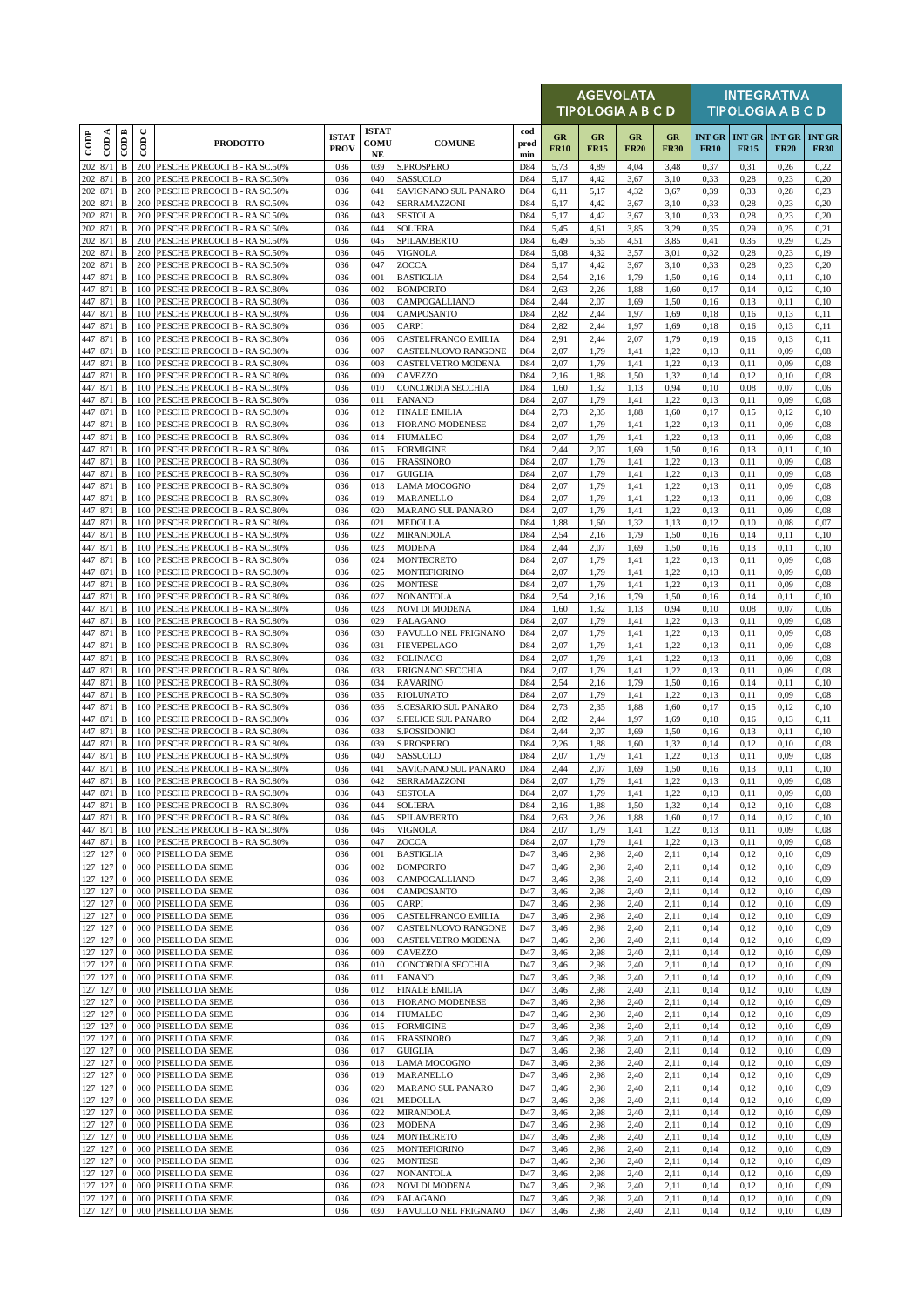|                    |                    |                              |               |                                                                      |                             |                            |                                                 |                    |                   | <b>AGEVOLATA</b><br><b>TIPOLOGIA A B C D</b> |                   |                   |              |                                     | <b>INTEGRATIVA</b><br><b>TIPOLOGIA A B C D</b> |                              |
|--------------------|--------------------|------------------------------|---------------|----------------------------------------------------------------------|-----------------------------|----------------------------|-------------------------------------------------|--------------------|-------------------|----------------------------------------------|-------------------|-------------------|--------------|-------------------------------------|------------------------------------------------|------------------------------|
| $_{\rm{cop}}$      | ≺<br>$\epsilon$    | $\overline{CDB}$             | $\cup$<br>600 | <b>PRODOTTO</b>                                                      | <b>ISTAT</b><br><b>PROV</b> | <b>ISTAT</b><br>COMU<br>NE | <b>COMUNE</b>                                   | cod<br>prod<br>min | GR<br><b>FR10</b> | GR<br><b>FR15</b>                            | GR<br><b>FR20</b> | GR<br><b>FR30</b> | <b>FR10</b>  | <b>INT GR INT GR</b><br><b>FR15</b> | <b>INT GR</b><br><b>FR20</b>                   | <b>INT GR</b><br><b>FR30</b> |
| 202                | 871                | $\, {\bf B}$                 |               | 200 PESCHE PRECOCI B - RA SC.50%                                     | 036                         | 039                        | S.PROSPERO                                      | D84                | 5,73              | 4,89                                         | 4,04              | 3,48              | 0,37         | 0,31                                | 0,26                                           | 0,22                         |
| 202<br>202 871     | 871                | B<br>$\, {\bf B}$            | 200<br>200    | PESCHE PRECOCI B - RA SC.50%<br>PESCHE PRECOCI B - RA SC.50%         | 036<br>036                  | 040<br>041                 | SASSUOLO<br>SAVIGNANO SUL PANARO                | D84<br>D84         | 5,17<br>6,11      | 4,42<br>5,17                                 | 3,67<br>4,32      | 3,10<br>3,67      | 0.33<br>0,39 | 0,28<br>0,33                        | 0,23<br>0,28                                   | 0,20<br>0,23                 |
|                    | 202 871            | $\, {\bf B}$                 | 200           | PESCHE PRECOCI B - RA SC.50%                                         | 036                         | 042                        | SERRAMAZZONI                                    | D84                | 5,17              | 4,42                                         | 3,67              | 3,10              | 0,33         | 0,28                                | 0,23                                           | 0,20                         |
| 202                | 871<br>202 871     | $\, {\bf B}$<br>$\, {\bf B}$ | 200<br>200    | PESCHE PRECOCI B - RA SC.50%                                         | 036<br>036                  | 043<br>044                 | <b>SESTOLA</b><br><b>SOLIERA</b>                | D84<br>D84         | 5,17              | 4,42                                         | 3,67              | 3,10              | 0.33         | 0,28                                | 0,23                                           | 0,20                         |
|                    | 202 871            | $\, {\bf B}$                 |               | PESCHE PRECOCI B - RA SC.50%<br>200 PESCHE PRECOCI B - RA SC.50%     | 036                         | 045                        | SPILAMBERTO                                     | D84                | 5,45<br>6,49      | 4,61<br>5,55                                 | 3,85<br>4,51      | 3,29<br>3,85      | 0,35<br>0,41 | 0,29<br>0,35                        | 0,25<br>0,29                                   | 0,21<br>0,25                 |
| 202                | 871                | $\, {\bf B}$                 | 200           | PESCHE PRECOCI B - RA SC.50%                                         | 036                         | 046                        | <b>VIGNOLA</b>                                  | D84                | 5,08              | 4,32                                         | 3,57              | 3,01              | 0,32         | 0,28                                | 0,23                                           | 0,19                         |
| 202 871            | 447 871            | $\, {\bf B}$<br>$\, {\bf B}$ | 200           | PESCHE PRECOCI B - RA SC.50%<br>100 PESCHE PRECOCI B - RA SC.80%     | 036<br>036                  | 047<br>001                 | ZOCCA<br><b>BASTIGLIA</b>                       | D84<br>D84         | 5,17<br>2,54      | 4,42<br>2,16                                 | 3,67<br>1,79      | 3,10<br>1,50      | 0,33<br>0,16 | 0,28<br>0,14                        | 0,23<br>0,11                                   | 0,20<br>0,10                 |
|                    | 447 871            | $\, {\bf B}$                 | 100           | PESCHE PRECOCI B - RA SC.80%                                         | 036                         | 002                        | <b>BOMPORTO</b>                                 | D84                | 2,63              | 2,26                                         | 1,88              | 1,60              | 0,17         | 0,14                                | 0,12                                           | 0,10                         |
| 447 871            |                    | $\, {\bf B}$                 | 100           | PESCHE PRECOCI B - RA SC.80%                                         | 036                         | 003                        | CAMPOGALLIANO                                   | D84                | 2,44              | 2,07                                         | 1,69              | 1,50              | 0,16         | 0,13                                | 0,11                                           | 0,10                         |
| 447 871<br>447 871 |                    | $\, {\bf B}$<br>$\, {\bf B}$ | 100<br>100    | PESCHE PRECOCI B - RA SC.80%<br>PESCHE PRECOCI B - RA SC.80%         | 036<br>036                  | 004<br>005                 | CAMPOSANTO<br><b>CARPI</b>                      | D84<br>D84         | 2,82<br>2,82      | 2,44<br>2,44                                 | 1,97<br>1,97      | 1,69<br>1,69      | 0.18<br>0,18 | 0,16<br>0,16                        | 0,13<br>0,13                                   | 0,11<br>0,11                 |
|                    | 447 871            | $\, {\bf B}$                 | 100           | PESCHE PRECOCI B - RA SC.80%                                         | 036                         | 006                        | CASTELFRANCO EMILIA                             | D84                | 2,91              | 2,44                                         | 2,07              | 1,79              | 0,19         | 0,16                                | 0,13                                           | 0,11                         |
| 447 871            |                    | $\, {\bf B}$                 | 100           | PESCHE PRECOCI B - RA SC.80%                                         | 036                         | 007                        | CASTELNUOVO RANGONE                             | D84                | 2,07              | 1,79                                         | 1,41              | 1,22              | 0,13         | 0,11                                | 0,09                                           | 0.08                         |
| 447 871            | 447 871            | $\, {\bf B}$<br>$\, {\bf B}$ | 100           | PESCHE PRECOCI B - RA SC.80%<br>100 PESCHE PRECOCI B - RA SC.80%     | 036<br>036                  | 008<br>009                 | <b>CASTELVETRO MODENA</b><br>CAVEZZO            | D84<br>D84         | 2,07<br>2,16      | 1,79<br>1,88                                 | 1,41<br>1,50      | 1,22<br>1,32      | 0.13<br>0,14 | 0,11<br>0,12                        | 0,09<br>0,10                                   | 0.08<br>0.08                 |
| 447 871            |                    | $\, {\bf B}$                 | 100           | PESCHE PRECOCI B - RA SC.80%                                         | 036                         | 010                        | CONCORDIA SECCHIA                               | D84                | 1,60              | 1,32                                         | 1,13              | 0,94              | 0,10         | 0.08                                | 0,07                                           | 0,06                         |
| 447 871            |                    | B                            | 100           | PESCHE PRECOCI B - RA SC.80%                                         | 036                         | 011                        | <b>FANANO</b>                                   | D84                | 2,07              | 1,79                                         | 1,41              | 1,22              | 0,13         | 0,11                                | 0,09                                           | 0.08                         |
| 447 871            | 447 871            | $\, {\bf B}$<br>B            | 100<br>100    | PESCHE PRECOCI B - RA SC.80%<br>PESCHE PRECOCI B - RA SC.80%         | 036<br>036                  | 012<br>013                 | <b>FINALE EMILIA</b><br><b>FIORANO MODENESE</b> | D84<br>D84         | 2,73<br>2,07      | 2,35<br>1,79                                 | 1,88<br>1,41      | 1,60<br>1,22      | 0,17<br>0,13 | 0,15<br>0,11                        | 0,12<br>0,09                                   | 0,10<br>0.08                 |
| 447 871            |                    | $\, {\bf B}$                 | 100           | PESCHE PRECOCI B - RA SC.80%                                         | 036                         | 014                        | <b>FIUMALBO</b>                                 | D84                | 2,07              | 1,79                                         | 1,41              | 1,22              | 0.13         | 0,11                                | 0,09                                           | 0,08                         |
| 447 871            |                    | $\, {\bf B}$                 | 100           | PESCHE PRECOCI B - RA SC.80%                                         | 036                         | 015                        | <b>FORMIGINE</b>                                | D84                | 2,44              | 2,07                                         | 1.69              | 1,50              | 0,16         | 0,13                                | 0,11                                           | 0,10                         |
| 447 871            | 447 871            | $\, {\bf B}$<br>$\, {\bf B}$ | 100           | 100 PESCHE PRECOCI B - RA SC.80%<br>PESCHE PRECOCI B - RA SC.80%     | 036<br>036                  | 016<br>017                 | <b>FRASSINORO</b><br><b>GUIGLIA</b>             | D84<br>D84         | 2,07<br>2,07      | 1,79<br>1,79                                 | 1,41<br>1,41      | 1,22<br>1,22      | 0,13<br>0,13 | 0,11<br>0,11                        | 0,09<br>0,09                                   | 0.08<br>0.08                 |
| 447 871            |                    | $\, {\bf B}$                 | 100           | PESCHE PRECOCI B - RA SC.80%                                         | 036                         | 018                        | <b>LAMA MOCOGNO</b>                             | D84                | 2,07              | 1,79                                         | 1,41              | 1,22              | 0,13         | 0,11                                | 0,09                                           | 0,08                         |
| 447 871            |                    | B                            | 100           | PESCHE PRECOCI B - RA SC.80%                                         | 036                         | 019                        | MARANELLO                                       | D84                | 2,07              | 1,79                                         | 1,41              | 1,22              | 0,13         | 0,11                                | 0,09                                           | 0.08                         |
| 447 871            | 447 871            | $\, {\bf B}$                 |               | 100 PESCHE PRECOCI B - RA SC.80%                                     | 036                         | 020                        | MARANO SUL PANARO                               | D84                | 2,07              | 1,79                                         | 1,41              | 1,22              | 0,13         | 0,11                                | 0,09                                           | 0.08                         |
| 447 871            |                    | $\, {\bf B}$<br>$\, {\bf B}$ | 100<br>100    | PESCHE PRECOCI B - RA SC.80%<br>PESCHE PRECOCI B - RA SC.80%         | 036<br>036                  | 021<br>022                 | <b>MEDOLLA</b><br><b>MIRANDOLA</b>              | D84<br>D84         | 1,88<br>2,54      | 1,60<br>2,16                                 | 1,32<br>1,79      | 1,13<br>1,50      | 0,12<br>0,16 | 0,10<br>0,14                        | 0,08<br>0,11                                   | 0,07<br>0,10                 |
|                    | 447 871            | $\, {\bf B}$                 |               | 100 PESCHE PRECOCI B - RA SC.80%                                     | 036                         | 023                        | <b>MODENA</b>                                   | D84                | 2,44              | 2,07                                         | 1,69              | 1,50              | 0,16         | 0,13                                | 0,11                                           | 0,10                         |
|                    | 447 871            | $\, {\bf B}$                 | 100           | PESCHE PRECOCI B - RA SC.80%                                         | 036                         | 024                        | <b>MONTECRETO</b>                               | D84                | 2,07              | 1,79                                         | 1,41              | 1,22              | 0,13         | 0,11                                | 0,09                                           | 0.08                         |
|                    | 447 871<br>447 871 | $\, {\bf B}$<br>$\mathbf B$  | 100           | PESCHE PRECOCI B - RA SC.80%<br>100 PESCHE PRECOCI B - RA SC.80%     | 036<br>036                  | 025<br>026                 | <b>MONTEFIORINO</b><br><b>MONTESE</b>           | D84<br>D84         | 2,07<br>2,07      | 1,79<br>1,79                                 | 1,41<br>1,41      | 1,22<br>1,22      | 0,13<br>0,13 | 0,11<br>0,11                        | 0,09<br>0,09                                   | 0,08<br>0.08                 |
|                    | 447 871            | $\, {\bf B}$                 | 100           | PESCHE PRECOCI B - RA SC.80%                                         | 036                         | 027                        | <b>NONANTOLA</b>                                | D84                | 2,54              | 2,16                                         | 1,79              | 1,50              | 0,16         | 0,14                                | 0,11                                           | 0,10                         |
| 447 871            |                    | $\, {\bf B}$                 | 100           | PESCHE PRECOCI B - RA SC.80%                                         | 036                         | 028                        | <b>NOVI DI MODENA</b>                           | D84                | 1,60              | 1,32                                         | 1,13              | 0,94              | 0,10         | 0,08                                | 0,07                                           | 0,06                         |
| 447 871            | 447 871            | B<br>B                       | 100           | 100 PESCHE PRECOCI B - RA SC.80%<br>PESCHE PRECOCI B - RA SC.80%     | 036<br>036                  | 029<br>030                 | PALAGANO<br>PAVULLO NEL FRIGNANO                | D84<br>D84         | 2,07<br>2,07      | 1,79<br>1,79                                 | 1,41<br>1,41      | 1,22<br>1,22      | 0,13<br>0.13 | 0,11<br>0,11                        | 0,09<br>0,09                                   | 0,08<br>0.08                 |
|                    | 447 871            | $\, {\bf B}$                 |               | 100 PESCHE PRECOCI B - RA SC.80%                                     | 036                         | 031                        | PIEVEPELAGO                                     | D84                | 2,07              | 1,79                                         | 1,41              | 1,22              | 0,13         | 0,11                                | 0,09                                           | 0.08                         |
| 447 871            |                    | $\, {\bf B}$                 | 100           | PESCHE PRECOCI B - RA SC.80%                                         | 036                         | 032                        | <b>POLINAGO</b>                                 | D84                | 2,07              | 1,79                                         | 1,41              | 1,22              | 0,13         | 0,11                                | 0,09                                           | 0.08                         |
| 447 871            | 447 871            | $\, {\bf B}$<br>B            | 100           | PESCHE PRECOCI B - RA SC.80%<br>100 PESCHE PRECOCI B - RA SC.80%     | 036<br>036                  | 033<br>034                 | PRIGNANO SECCHIA<br><b>RAVARINO</b>             | D84<br>D84         | 2,07<br>2,54      | 1,79<br>2,16                                 | 1,41<br>1,79      | 1,22<br>1,50      | 0.13<br>0,16 | 0,11<br>0,14                        | 0,09<br>0,11                                   | 0.08<br>0,10                 |
| 447 871            |                    | $\, {\bf B}$                 | 100           | PESCHE PRECOCI B - RA SC.80%                                         | 036                         | 035                        | <b>RIOLUNATO</b>                                | D84                | 2,07              | 1,79                                         | 1,41              | 1,22              | 0.13         | 0,11                                | 0,09                                           | 0.08                         |
| 447 871            |                    | $\, {\bf B}$                 | 100           | PESCHE PRECOCI B - RA SC.80%                                         | 036                         | 036                        | S.CESARIO SUL PANARO                            | D84                | 2,73              | 2,35                                         | 1,88              | 1,60              | 0,17         | 0,15                                | 0,12                                           | 0,10                         |
| 447 871            | 447 871            | B<br>$\, {\bf B}$            | 100           | 100 PESCHE PRECOCI B - RA SC.80%<br>PESCHE PRECOCI B - RA SC.80%     | 036<br>036                  | 037<br>038                 | <b>S.FELICE SUL PANARO</b><br>S.POSSIDONIO      | D84<br>D84         | 2,82<br>2,44      | 2,44<br>2,07                                 | 1,97<br>1,69      | 1,69<br>1,50      | 0,18<br>0,16 | 0,16<br>0,13                        | 0,13<br>0,11                                   | 0,11<br>0,10                 |
| 447 871            |                    | B                            | 100           | PESCHE PRECOCI B - RA SC.80%                                         | 036                         | 039                        | <b>S.PROSPERO</b>                               | D84                | 2,26              | 1,88                                         | 1,60              | 1,32              | 0,14         | 0,12                                | 0,10                                           | 0,08                         |
|                    | 447 871            | $\, {\bf B}$                 | 100           | PESCHE PRECOCI B - RA SC.80%                                         | 036                         | 040                        | SASSUOLO                                        | D84                | 2,07              | 1,79                                         | 1,41              | 1.22              | 0.13         | 0,11                                | 0.09                                           | 0.08                         |
| 447 871            | 447 871            | $\, {\bf B}$<br>$\, {\bf B}$ |               | 100 PESCHE PRECOCI B - RA SC.80%<br>100 PESCHE PRECOCI B - RA SC.80% | 036<br>036                  | 041<br>042                 | SAVIGNANO SUL PANARO<br><b>SERRAMAZZONI</b>     | D84<br>D84         | 2,44<br>2,07      | 2,07<br>1,79                                 | 1,69<br>1,41      | 1,50<br>1,22      | 0,16<br>0,13 | 0,13<br>0,11                        | 0,11<br>0,09                                   | 0,10<br>0.08                 |
|                    | 447 871            | $\, {\bf B}$                 |               | 100 PESCHE PRECOCI B - RA SC.80%                                     | 036                         | 043                        | <b>SESTOLA</b>                                  | D84                | 2,07              | 1,79                                         | 1,41              | 1,22              | 0.13         | 0,11                                | 0,09                                           | 0,08                         |
| 447 871            |                    | B                            | 100           | PESCHE PRECOCI B - RA SC.80%                                         | 036                         | 044                        | <b>SOLIERA</b>                                  | D84                | 2,16              | 1,88                                         | 1,50              | 1,32              | 0,14         | 0,12                                | 0,10                                           | 0,08                         |
| 447 871            | 447 871            | $\, {\bf B}$<br>B            | 100           | 100 PESCHE PRECOCI B - RA SC.80%<br>PESCHE PRECOCI B - RA SC.80%     | 036<br>036                  | 045<br>046                 | SPILAMBERTO<br><b>VIGNOLA</b>                   | D84<br>D84         | 2,63<br>2,07      | 2,26<br>1,79                                 | 1,88<br>1,41      | 1,60<br>1,22      | 0,17<br>0.13 | 0,14<br>0,11                        | 0,12<br>0,09                                   | 0,10<br>0.08                 |
|                    | 447 871            | B                            | 100           | PESCHE PRECOCI B - RA SC.80%                                         | 036                         | 047                        | ZOCCA                                           | D84                | 2,07              | 1,79                                         | 1,41              | 1,22              | 0,13         | 0,11                                | 0,09                                           | 0.08                         |
|                    | 127 127            | $\mathbf{0}$                 | 000           | PISELLO DA SEME                                                      | 036                         | 001                        | <b>BASTIGLIA</b>                                | D47                | 3,46              | 2,98                                         | 2,40              | 2,11              | 0,14         | 0,12                                | 0,10                                           | 0,09                         |
| 127 127            | 127 127            | $\bf{0}$<br>$\bf{0}$         | 000<br>000    | PISELLO DA SEME<br>PISELLO DA SEME                                   | 036<br>036                  | 002<br>003                 | <b>BOMPORTO</b><br>CAMPOGALLIANO                | D47<br>D47         | 3,46<br>3,46      | 2,98<br>2,98                                 | 2,40<br>2,40      | 2,11<br>2,11      | 0,14<br>0,14 | 0,12<br>0,12                        | 0,10<br>0,10                                   | 0,09<br>0,09                 |
|                    | 127 127            | $\mathbf{0}$                 |               | 000 PISELLO DA SEME                                                  | 036                         | 004                        | CAMPOSANTO                                      | D47                | 3,46              | 2,98                                         | 2,40              | 2,11              | 0,14         | 0,12                                | 0,10                                           | 0,09                         |
|                    | 127 127            | $\mathbf{0}$                 | 000           | PISELLO DA SEME                                                      | 036                         | 005                        | <b>CARPI</b>                                    | D47                | 3,46              | 2,98                                         | 2,40              | 2,11              | 0,14         | 0,12                                | 0,10                                           | 0,09                         |
|                    | 127 127<br>127 127 | $\mathbf{0}$<br>$\mathbf{0}$ | 000<br>000    | PISELLO DA SEME<br>PISELLO DA SEME                                   | 036<br>036                  | 006<br>007                 | CASTELFRANCO EMILIA<br>CASTELNUOVO RANGONE      | D47<br>D47         | 3,46<br>3,46      | 2,98<br>2,98                                 | 2,40<br>2,40      | 2,11<br>2,11      | 0,14<br>0,14 | 0,12<br>0,12                        | 0,10<br>0,10                                   | 0,09<br>0,09                 |
|                    | 127 127            | $\mathbf{0}$                 | 000           | PISELLO DA SEME                                                      | 036                         | 008                        | CASTELVETRO MODENA                              | D47                | 3,46              | 2,98                                         | 2,40              | 2,11              | 0,14         | 0,12                                | 0,10                                           | 0,09                         |
|                    | 127 127            | $\mathbf{0}$                 | 000           | PISELLO DA SEME                                                      | 036                         | 009                        | <b>CAVEZZO</b>                                  | D47                | 3,46              | 2,98                                         | 2,40              | 2,11              | 0,14         | 0,12                                | 0,10                                           | 0,09                         |
|                    | 127 127<br>127 127 | $\mathbf{0}$<br>$\mathbf{0}$ | 000<br>000    | PISELLO DA SEME<br>PISELLO DA SEME                                   | 036<br>036                  | 010<br>011                 | CONCORDIA SECCHIA<br><b>FANANO</b>              | D47<br>D47         | 3,46<br>3,46      | 2,98<br>2,98                                 | 2,40<br>2,40      | 2,11<br>2,11      | 0,14<br>0,14 | 0,12<br>0,12                        | 0,10<br>0,10                                   | 0,09<br>0,09                 |
|                    | 127 127            | $\mathbf{0}$                 | 000           | PISELLO DA SEME                                                      | 036                         | 012                        | <b>FINALE EMILIA</b>                            | D47                | 3,46              | 2,98                                         | 2,40              | 2,11              | 0,14         | 0,12                                | 0,10                                           | 0,09                         |
|                    | 127 127            | $\mathbf{0}$                 | 000           | PISELLO DA SEME                                                      | 036                         | 013                        | <b>FIORANO MODENESE</b>                         | D47                | 3,46              | 2,98                                         | 2,40              | 2,11              | 0,14         | 0,12                                | 0,10                                           | 0,09                         |
|                    | 127 127<br>127 127 | $\mathbf{0}$<br>$\bf{0}$     | 000           | PISELLO DA SEME<br>000 PISELLO DA SEME                               | 036<br>036                  | 014<br>015                 | <b>FIUMALBO</b><br><b>FORMIGINE</b>             | D47<br>D47         | 3,46<br>3,46      | 2,98<br>2,98                                 | 2,40<br>2,40      | 2,11<br>2,11      | 0,14<br>0,14 | 0,12<br>0,12                        | 0,10<br>0,10                                   | 0,09<br>0,09                 |
|                    | 127 127            | $\bf{0}$                     | 000           | PISELLO DA SEME                                                      | 036                         | 016                        | <b>FRASSINORO</b>                               | D47                | 3,46              | 2,98                                         | 2,40              | 2,11              | 0,14         | 0,12                                | 0,10                                           | 0,09                         |
|                    | 127 127            | $\mathbf{0}$                 | 000           | PISELLO DA SEME                                                      | 036                         | 017                        | <b>GUIGLIA</b>                                  | D47                | 3,46              | 2,98                                         | 2,40              | 2,11              | 0,14         | 0,12                                | 0,10                                           | 0,09                         |
|                    | 127 127<br>127 127 | $\bf{0}$<br>$\mathbf{0}$     | 000           | 000 PISELLO DA SEME                                                  | 036<br>036                  | 018<br>019                 | <b>LAMA MOCOGNO</b>                             | D47<br>D47         | 3,46              | 2,98<br>2,98                                 | 2,40              | 2,11<br>2,11      | 0,14<br>0,14 | 0,12                                | 0,10                                           | 0,09<br>0,09                 |
|                    | 127 127            | $\mathbf{0}$                 | 000           | PISELLO DA SEME<br>PISELLO DA SEME                                   | 036                         | 020                        | MARANELLO<br><b>MARANO SUL PANARO</b>           | D47                | 3,46<br>3,46      | 2,98                                         | 2,40<br>2,40      | 2,11              | 0,14         | 0,12<br>0,12                        | 0,10<br>0,10                                   | 0,09                         |
|                    | 127 127            | $\bf{0}$                     | 000           | PISELLO DA SEME                                                      | 036                         | 021                        | <b>MEDOLLA</b>                                  | D47                | 3,46              | 2,98                                         | 2,40              | 2,11              | 0,14         | 0,12                                | 0,10                                           | 0,09                         |
|                    | 127 127<br>127 127 | $\mathbf{0}$<br>$\mathbf{0}$ | 000<br>000    | PISELLO DA SEME                                                      | 036                         | 022                        | <b>MIRANDOLA</b>                                | D47<br>D47         | 3,46              | 2,98                                         | 2,40              | 2,11              | 0,14         | 0,12                                | 0,10                                           | 0,09                         |
|                    | 127 127            | $\bf{0}$                     | 000           | PISELLO DA SEME<br>PISELLO DA SEME                                   | 036<br>036                  | 023<br>024                 | <b>MODENA</b><br><b>MONTECRETO</b>              | D47                | 3,46<br>3,46      | 2,98<br>2,98                                 | 2,40<br>2,40      | 2,11<br>2,11      | 0,14<br>0,14 | 0,12<br>0,12                        | 0,10<br>0,10                                   | 0,09<br>0,09                 |
|                    | 127 127            | $\mathbf{0}$                 | 000           | PISELLO DA SEME                                                      | 036                         | 025                        | <b>MONTEFIORINO</b>                             | D47                | 3,46              | 2,98                                         | 2,40              | 2,11              | 0,14         | 0,12                                | 0,10                                           | 0,09                         |
|                    | 127 127            | $\mathbf{0}$                 | 000           | PISELLO DA SEME                                                      | 036                         | 026                        | <b>MONTESE</b>                                  | D47                | 3,46              | 2,98                                         | 2,40              | 2,11              | 0,14         | 0,12                                | 0,10                                           | 0,09                         |
|                    | 127 127<br>127 127 | $\bf{0}$<br>$\bf{0}$         | 000<br>000    | PISELLO DA SEME<br>PISELLO DA SEME                                   | 036<br>036                  | 027<br>028                 | <b>NONANTOLA</b><br><b>NOVI DI MODENA</b>       | D47<br>D47         | 3,46<br>3,46      | 2,98<br>2,98                                 | 2,40<br>2,40      | 2,11<br>2,11      | 0,14<br>0,14 | 0,12<br>0,12                        | 0,10<br>0,10                                   | 0,09<br>0,09                 |
|                    | 127 127            | $\overline{0}$               |               | 000 PISELLO DA SEME                                                  | 036                         | 029                        | PALAGANO                                        | D47                | 3,46              | 2,98                                         | 2,40              | 2,11              | 0,14         | 0,12                                | 0,10                                           | 0,09                         |
|                    | 127 127            | $\mathbf{0}$                 |               | 000 PISELLO DA SEME                                                  | 036                         | 030                        | PAVULLO NEL FRIGNANO                            | D47                | 3,46              | 2,98                                         | 2,40              | 2,11              | 0,14         | 0,12                                | 0,10                                           | 0,09                         |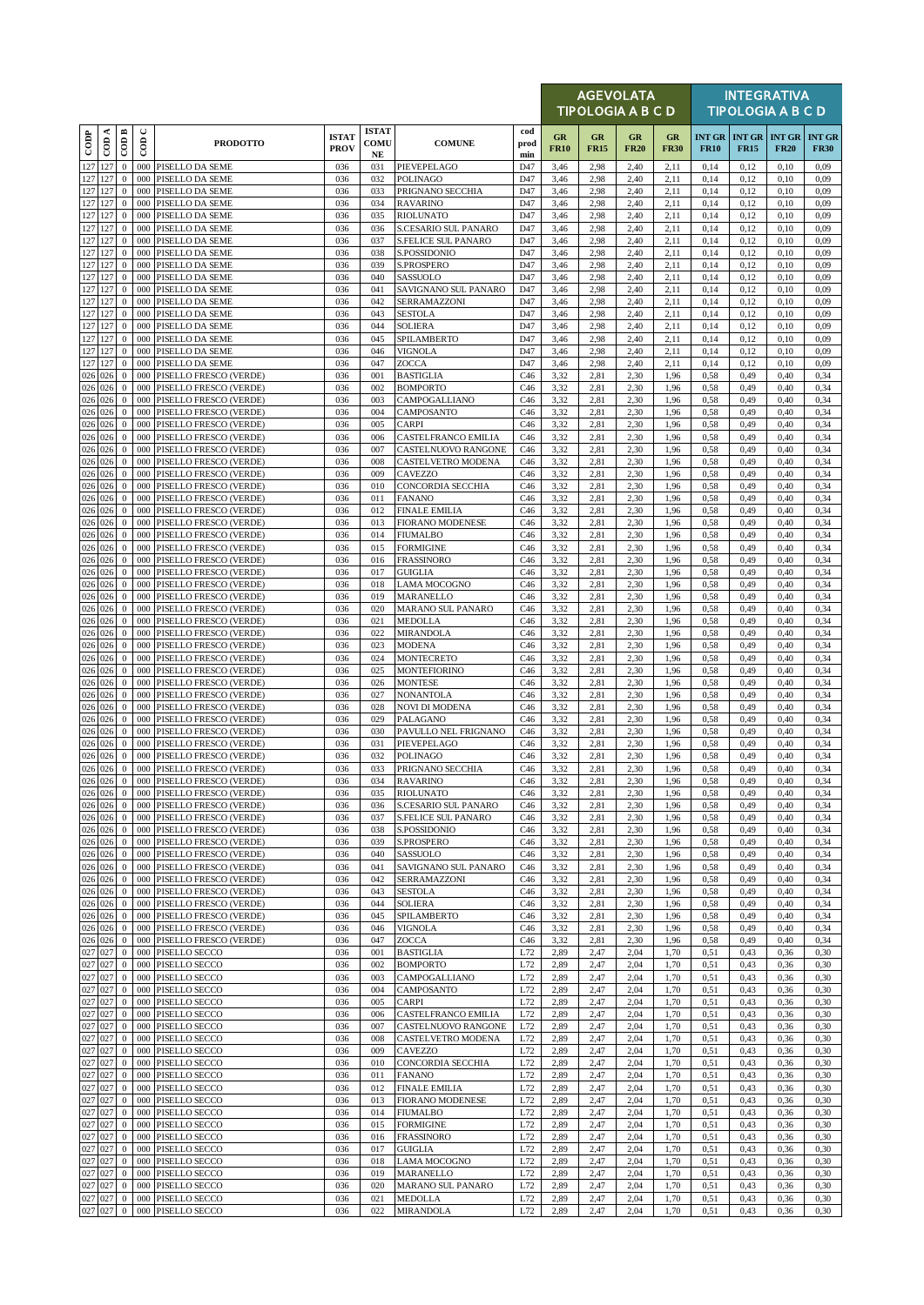|                    |                    |                                  |                          |                                                            |                             |                            |                                                    |                    |                   | <b>AGEVOLATA</b><br><b>TIPOLOGIA A B C D</b> |                   |                   |                              |                              | <b>INTEGRATIVA</b><br><b>TIPOLOGIA A B C D</b> |                              |
|--------------------|--------------------|----------------------------------|--------------------------|------------------------------------------------------------|-----------------------------|----------------------------|----------------------------------------------------|--------------------|-------------------|----------------------------------------------|-------------------|-------------------|------------------------------|------------------------------|------------------------------------------------|------------------------------|
| $_{\rm{cop}}$      | CDA                | CODB                             | $\cup$<br>$\overline{5}$ | <b>PRODOTTO</b>                                            | <b>ISTAT</b><br><b>PROV</b> | <b>ISTAT</b><br>COMU<br>NE | <b>COMUNE</b>                                      | cod<br>prod<br>min | GR<br><b>FR10</b> | GR<br><b>FR15</b>                            | GR<br><b>FR20</b> | GR<br><b>FR30</b> | <b>INT GR</b><br><b>FR10</b> | <b>INT GR</b><br><b>FR15</b> | <b>INT GR</b><br><b>FR20</b>                   | <b>INT GR</b><br><b>FR30</b> |
| 127 127            |                    | $\mathbf{0}$                     | 000                      | PISELLO DA SEME                                            | 036                         | 031                        | PIEVEPELAGO                                        | D47                | 3,46              | 2,98                                         | 2,40              | 2,11              | 0,14                         | 0,12                         | 0,10                                           | 0,09                         |
| 127 127            | 127 127            | $\mathbf{0}$<br>$\mathbf{0}$     | 000                      | 000 PISELLO DA SEME<br>PISELLO DA SEME                     | 036<br>036                  | 032<br>033                 | <b>POLINAGO</b><br>PRIGNANO SECCHIA                | D47<br>D47         | 3,46<br>3,46      | 2,98<br>2,98                                 | 2,40<br>2,40      | 2,11<br>2,11      | 0,14<br>0,14                 | 0,12<br>0,12                 | 0,10<br>0,10                                   | 0,09<br>0,09                 |
|                    | 127 127            | $\mathbf{0}$                     | 000                      | PISELLO DA SEME                                            | 036                         | 034                        | <b>RAVARINO</b>                                    | D47                | 3,46              | 2,98                                         | 2,40              | 2,11              | 0,14                         | 0,12                         | 0,10                                           | 0,09                         |
|                    | 127 127            | $\mathbf{0}$                     | 000                      | PISELLO DA SEME                                            | 036                         | 035                        | <b>RIOLUNATO</b>                                   | D47                | 3,46              | 2,98                                         | 2,40              | 2,11              | 0,14                         | 0,12                         | 0,10                                           | 0,09                         |
| 127 127<br>127 127 |                    | $\mathbf{0}$<br>$\mathbf{0}$     | 000                      | PISELLO DA SEME<br>000 PISELLO DA SEME                     | 036<br>036                  | 036<br>037                 | S.CESARIO SUL PANARO<br><b>S.FELICE SUL PANARO</b> | D47<br>D47         | 3,46<br>3,46      | 2,98<br>2,98                                 | 2,40<br>2,40      | 2,11<br>2,11      | 0,14<br>0,14                 | 0,12<br>0,12                 | 0,10<br>0,10                                   | 0.09<br>0,09                 |
| 127 127            |                    | $\mathbf{0}$                     | 000                      | PISELLO DA SEME                                            | 036                         | 038                        | S.POSSIDONIO                                       | D47                | 3,46              | 2,98                                         | 2,40              | 2,11              | 0,14                         | 0,12                         | 0,10                                           | 0,09                         |
| 127 127            |                    | $\mathbf{0}$                     | 000                      | PISELLO DA SEME                                            | 036                         | 039                        | <b>S.PROSPERO</b>                                  | D47                | 3,46              | 2,98                                         | 2,40              | 2,11              | 0,14                         | 0,12                         | 0,10                                           | 0,09                         |
| 127 127            | 127 127            | $\boldsymbol{0}$<br>$\mathbf{0}$ | 000                      | 000 PISELLO DA SEME<br>PISELLO DA SEME                     | 036<br>036                  | 040<br>041                 | SASSUOLO<br>SAVIGNANO SUL PANARO                   | D47<br>D47         | 3,46<br>3,46      | 2,98<br>2,98                                 | 2,40<br>2,40      | 2,11<br>2,11      | 0,14<br>0,14                 | 0,12<br>0,12                 | 0,10<br>0,10                                   | 0,09<br>0,09                 |
|                    | 127 127            | $\mathbf{0}$                     | 000                      | PISELLO DA SEME                                            | 036                         | 042                        | SERRAMAZZONI                                       | D47                | 3,46              | 2,98                                         | 2,40              | 2,11              | 0,14                         | 0,12                         | 0,10                                           | 0,09                         |
|                    | 127 127            | $\mathbf{0}$                     | 000<br>000               | PISELLO DA SEME                                            | 036<br>036                  | 043                        | <b>SESTOLA</b>                                     | D47                | 3,46              | 2,98                                         | 2,40              | 2,11              | 0,14                         | 0,12                         | 0,10                                           | 0,09                         |
|                    | 127 127<br>127 127 | $\mathbf{0}$<br>$\mathbf{0}$     | 000                      | PISELLO DA SEME<br>PISELLO DA SEME                         | 036                         | 044<br>045                 | <b>SOLIERA</b><br>SPILAMBERTO                      | D47<br>D47         | 3,46<br>3,46      | 2,98<br>2,98                                 | 2,40<br>2,40      | 2,11<br>2,11      | 0,14<br>0,14                 | 0,12<br>0,12                 | 0,10<br>0,10                                   | 0,09<br>0,09                 |
|                    | 127 127            | $\boldsymbol{0}$                 | 000                      | PISELLO DA SEME                                            | 036                         | 046                        | VIGNOLA                                            | D47                | 3,46              | 2,98                                         | 2,40              | 2,11              | 0,14                         | 0,12                         | 0,10                                           | 0.09                         |
|                    | 127 127<br>026 026 | $\mathbf{0}$<br>$\mathbf{0}$     | 000<br>000               | PISELLO DA SEME<br>PISELLO FRESCO (VERDE)                  | 036<br>036                  | 047<br>001                 | ZOCCA<br><b>BASTIGLIA</b>                          | D47<br>C46         | 3,46<br>3,32      | 2,98<br>2,81                                 | 2,40<br>2,30      | 2,11<br>1,96      | 0,14<br>0,58                 | 0,12<br>0,49                 | 0,10<br>0,40                                   | 0,09<br>0,34                 |
| 026 026            |                    | $\mathbf{0}$                     | 000                      | PISELLO FRESCO (VERDE)                                     | 036                         | 002                        | <b>BOMPORTO</b>                                    | C46                | 3,32              | 2,81                                         | 2,30              | 1,96              | 0,58                         | 0,49                         | 0,40                                           | 0,34                         |
|                    | 026 026            | $\mathbf{0}$                     | 000                      | PISELLO FRESCO (VERDE)                                     | 036                         | 003                        | CAMPOGALLIANO                                      | C46                | 3,32              | 2,81                                         | 2,30              | 1,96              | 0,58                         | 0,49                         | 0,40                                           | 0,34                         |
| 026 026            | 026 026            | $\mathbf{0}$<br>$\mathbf{0}$     | 000<br>000               | PISELLO FRESCO (VERDE)<br>PISELLO FRESCO (VERDE)           | 036<br>036                  | 004<br>005                 | CAMPOSANTO<br><b>CARPI</b>                         | C46<br>C46         | 3,32<br>3,32      | 2,81<br>2,81                                 | 2,30<br>2,30      | 1,96<br>1,96      | 0,58<br>0,58                 | 0,49<br>0,49                 | 0,40<br>0,40                                   | 0,34<br>0,34                 |
| 026 026            |                    | $\mathbf{0}$                     | 000                      | PISELLO FRESCO (VERDE)                                     | 036                         | 006                        | CASTELFRANCO EMILIA                                | C46                | 3,32              | 2,81                                         | 2,30              | 1,96              | 0,58                         | 0,49                         | 0,40                                           | 0,34                         |
|                    | 026 026            | $\mathbf{0}$                     |                          | 000 PISELLO FRESCO (VERDE)                                 | 036                         | 007                        | CASTELNUOVO RANGONE                                | C46                | 3,32              | 2,81                                         | 2,30              | 1,96              | 0,58                         | 0,49                         | 0,40                                           | 0,34                         |
|                    | 026 026<br>026 026 | $\mathbf{0}$<br>$\mathbf{0}$     | 000<br>000               | PISELLO FRESCO (VERDE)<br>PISELLO FRESCO (VERDE)           | 036<br>036                  | 008<br>009                 | CASTELVETRO MODENA<br>CAVEZZO                      | C46<br>C46         | 3,32<br>3,32      | 2,81<br>2,81                                 | 2,30<br>2,30      | 1,96<br>1,96      | 0,58<br>0,58                 | 0,49<br>0,49                 | 0,40<br>0,40                                   | 0,34<br>0,34                 |
|                    | 026 026            | $\mathbf{0}$                     | 000                      | PISELLO FRESCO (VERDE)                                     | 036                         | 010                        | <b>CONCORDIA SECCHIA</b>                           | C46                | 3,32              | 2,81                                         | 2,30              | 1,96              | 0,58                         | 0,49                         | 0,40                                           | 0,34                         |
| 026 026            |                    | $\mathbf{0}$                     | 000                      | PISELLO FRESCO (VERDE)                                     | 036                         | 011                        | <b>FANANO</b>                                      | C46                | 3,32              | 2,81                                         | 2,30              | 1,96              | 0,58                         | 0,49                         | 0,40                                           | 0,34                         |
|                    | 026 026<br>026 026 | $\mathbf{0}$                     | 000<br>000               | PISELLO FRESCO (VERDE)                                     | 036                         | 012                        | <b>FINALE EMILIA</b><br><b>FIORANO MODENESE</b>    | C46                | 3,32              | 2,81                                         | 2,30              | 1,96              | 0,58                         | 0,49                         | 0,40                                           | 0,34                         |
|                    | 026 026            | $\mathbf{0}$<br>$\mathbf{0}$     | 000                      | PISELLO FRESCO (VERDE)<br>PISELLO FRESCO (VERDE)           | 036<br>036                  | 013<br>014                 | <b>FIUMALBO</b>                                    | C46<br>C46         | 3,32<br>3,32      | 2,81<br>2,81                                 | 2,30<br>2,30      | 1,96<br>1,96      | 0,58<br>0,58                 | 0,49<br>0,49                 | 0,40<br>0,40                                   | 0,34<br>0,34                 |
|                    | 026 026            | $\mathbf{0}$                     | 000                      | PISELLO FRESCO (VERDE)                                     | 036                         | 015                        | <b>FORMIGINE</b>                                   | C46                | 3,32              | 2,81                                         | 2,30              | 1,96              | 0,58                         | 0,49                         | 0,40                                           | 0,34                         |
|                    | 026 026            | $\mathbf{0}$                     | 000<br>000               | PISELLO FRESCO (VERDE)                                     | 036                         | 016                        | <b>FRASSINORO</b>                                  | C46                | 3,32              | 2,81                                         | 2,30              | 1,96              | 0,58                         | 0,49                         | 0,40                                           | 0,34                         |
| 026 026            | $026$ 026          | $\mathbf{0}$<br>$\mathbf{0}$     | 000                      | PISELLO FRESCO (VERDE)<br>PISELLO FRESCO (VERDE)           | 036<br>036                  | 017<br>018                 | <b>GUIGLIA</b><br><b>LAMA MOCOGNO</b>              | C46<br>C46         | 3,32<br>3,32      | 2,81<br>2,81                                 | 2,30<br>2,30      | 1,96<br>1,96      | 0,58<br>0,58                 | 0,49<br>0,49                 | 0,40<br>0,40                                   | 0,34<br>0,34                 |
|                    | 026 026            | $\mathbf{0}$                     | 000                      | PISELLO FRESCO (VERDE)                                     | 036                         | 019                        | MARANELLO                                          | C46                | 3,32              | 2,81                                         | 2,30              | 1,96              | 0,58                         | 0,49                         | 0,40                                           | 0,34                         |
|                    | 026 026            | $\mathbf{0}$                     | 000                      | PISELLO FRESCO (VERDE)                                     | 036                         | 020                        | <b>MARANO SUL PANARO</b>                           | C46                | 3,32              | 2,81                                         | 2,30              | 1,96              | 0,58                         | 0,49                         | 0,40                                           | 0,34                         |
|                    | 026 026<br>026 026 | $\mathbf{0}$<br>$\mathbf{0}$     | 000                      | 000 PISELLO FRESCO (VERDE)<br>PISELLO FRESCO (VERDE)       | 036<br>036                  | 021<br>022                 | <b>MEDOLLA</b><br><b>MIRANDOLA</b>                 | C46<br>C46         | 3,32<br>3,32      | 2,81<br>2,81                                 | 2,30<br>2,30      | 1,96<br>1,96      | 0,58<br>0,58                 | 0,49<br>0,49                 | 0,40<br>0,40                                   | 0,34<br>0,34                 |
|                    | 026 026            | $\mathbf{0}$                     | 000                      | PISELLO FRESCO (VERDE)                                     | 036                         | 023                        | <b>MODENA</b>                                      | C46                | 3,32              | 2,81                                         | 2,30              | 1,96              | 0,58                         | 0,49                         | 0,40                                           | 0,34                         |
|                    | 026 026            | $\mathbf{0}$                     | 000                      | PISELLO FRESCO (VERDE)                                     | 036                         | 024                        | <b>MONTECRETO</b>                                  | C46                | 3,32              | 2,81                                         | 2,30              | 1,96              | 0,58                         | 0,49                         | 0,40                                           | 0,34                         |
| 026 026            | 026 026            | $\mathbf{0}$<br>$\bf{0}$         | 000<br>000               | PISELLO FRESCO (VERDE)<br>PISELLO FRESCO (VERDE)           | 036<br>036                  | 025<br>026                 | <b>MONTEFIORINO</b><br><b>MONTESE</b>              | C46<br>C46         | 3,32<br>3,32      | 2,81<br>2,81                                 | 2,30<br>2,30      | 1,96<br>1,96      | 0,58<br>0,58                 | 0,49<br>0,49                 | 0,40<br>0,40                                   | 0,34<br>0,34                 |
|                    | 026 026            | $\mathbf{0}$                     | 000                      | PISELLO FRESCO (VERDE)                                     | 036                         | 027                        | <b>NONANTOLA</b>                                   | C46                | 3,32              | 2,81                                         | 2,30              | 1,96              | 0,58                         | 0,49                         | 0,40                                           | 0,34                         |
|                    | 026 026            | $\mathbf{0}$                     | 000                      | PISELLO FRESCO (VERDE)                                     | 036                         | 028                        | <b>NOVI DI MODENA</b>                              | C46                | 3,32              | 2,81                                         | 2,30              | 1,96              | 0,58                         | 0,49                         | 0,40                                           | 0,34                         |
| 026 026            | 026 026            | $\mathbf{0}$<br>$\mathbf{0}$     | 000<br>000               | PISELLO FRESCO (VERDE)<br>PISELLO FRESCO (VERDE)           | 036<br>036                  | 029<br>030                 | PALAGANO<br>PAVULLO NEL FRIGNANO                   | C46<br>C46         | 3,32<br>3,32      | 2,81<br>2,81                                 | 2,30<br>2,30      | 1,96<br>1,96      | 0,58<br>0,58                 | 0,49<br>0,49                 | 0,40<br>0,40                                   | 0,34<br>0,34                 |
|                    | 026 026            | $\mathbf{0}$                     | 000                      | PISELLO FRESCO (VERDE)                                     | 036                         | 031                        | PIEVEPELAGO                                        | C46                | 3,32              | 2,81                                         | 2,30              | 1,96              | 0,58                         | 0,49                         | 0,40                                           | 0,34                         |
|                    | 026 026            | $\mathbf{0}$                     |                          | 000 PISELLO FRESCO (VERDE)                                 | 036                         | 032                        | <b>POLINAGO</b>                                    | C46                | 3,32              | 2,81                                         | 2,30              | 1,96              | 0,58                         | 0,49                         | 0,40                                           | 0,34                         |
|                    | 026 026<br>026 026 | $\mathbf{0}$                     |                          | 000 PISELLO FRESCO (VERDE)<br>0 000 PISELLO FRESCO (VERDE) | 036<br>036                  | 033<br>034                 | PRIGNANO SECCHIA<br><b>RAVARINO</b>                | C46<br>C46         | 3,32<br>3.32      | 2,81<br>2.81                                 | 2,30<br>2.30      | 1,96<br>1.96      | 0,58<br>0.58                 | 0,49<br>0.49                 | 0,40<br>0.40                                   | 0,34<br>0.34                 |
|                    | 026 026            | $\mathbf{0}$                     |                          | 000 PISELLO FRESCO (VERDE)                                 | 036                         | 035                        | <b>RIOLUNATO</b>                                   | C46                | 3,32              | 2,81                                         | 2,30              | 1,96              | 0,58                         | 0,49                         | 0,40                                           | 0,34                         |
| 026 026            |                    | $\mathbf{0}$                     | 000                      | PISELLO FRESCO (VERDE)                                     | 036                         | 036                        | S.CESARIO SUL PANARO                               | C46                | 3,32              | 2,81                                         | 2,30              | 1,96              | 0,58                         | 0,49                         | 0,40                                           | 0,34                         |
|                    | 026 026<br>026 026 | $\mathbf{0}$<br>$\bf{0}$         | 000<br>000               | PISELLO FRESCO (VERDE)<br>PISELLO FRESCO (VERDE)           | 036<br>036                  | 037<br>038                 | S.FELICE SUL PANARO<br>S.POSSIDONIO                | C46<br>C46         | 3,32<br>3,32      | 2,81<br>2,81                                 | 2,30<br>2,30      | 1,96<br>1,96      | 0,58<br>0,58                 | 0,49<br>0,49                 | 0,40<br>0,40                                   | 0,34<br>0,34                 |
|                    | 026 026            | $\bf{0}$                         | 000                      | PISELLO FRESCO (VERDE)                                     | 036                         | 039                        | S.PROSPERO                                         | C46                | 3,32              | 2,81                                         | 2,30              | 1,96              | 0,58                         | 0,49                         | 0,40                                           | 0,34                         |
|                    | 026 026            | $\bf{0}$                         | 000                      | PISELLO FRESCO (VERDE)                                     | 036                         | 040                        | SASSUOLO                                           | C46                | 3,32              | 2,81                                         | 2,30              | 1,96              | 0,58                         | 0,49                         | 0,40                                           | 0,34                         |
|                    | 026 026<br>026 026 | $\bf{0}$<br>$\mathbf{0}$         | 000<br>000               | PISELLO FRESCO (VERDE)<br>PISELLO FRESCO (VERDE)           | 036<br>036                  | 041<br>042                 | SAVIGNANO SUL PANARO<br>SERRAMAZZONI               | C46<br>C46         | 3,32<br>3,32      | 2,81<br>2,81                                 | 2,30<br>2,30      | 1,96<br>1,96      | 0,58<br>0,58                 | 0,49<br>0,49                 | 0,40<br>0,40                                   | 0,34<br>0,34                 |
|                    | 026 026            | $\mathbf{0}$                     | 000                      | PISELLO FRESCO (VERDE)                                     | 036                         | 043                        | <b>SESTOLA</b>                                     | C46                | 3,32              | 2,81                                         | 2,30              | 1,96              | 0,58                         | 0,49                         | 0,40                                           | 0,34                         |
|                    | 026 026            | $\bf{0}$                         | 000                      | PISELLO FRESCO (VERDE)                                     | 036                         | 044                        | <b>SOLIERA</b>                                     | C46                | 3,32              | 2,81                                         | 2,30              | 1,96              | 0,58                         | 0,49                         | 0,40                                           | 0,34                         |
|                    | 026 026<br>026 026 | $\mathbf{0}$<br>$\mathbf{0}$     | 000                      | PISELLO FRESCO (VERDE)<br>000 PISELLO FRESCO (VERDE)       | 036<br>036                  | 045<br>046                 | SPILAMBERTO<br><b>VIGNOLA</b>                      | C46<br>C46         | 3,32<br>3,32      | 2,81<br>2,81                                 | 2,30<br>2,30      | 1,96<br>1,96      | 0,58<br>0,58                 | 0,49<br>0,49                 | 0,40<br>0,40                                   | 0,34<br>0,34                 |
| 026 026            |                    | $\mathbf{0}$                     | 000                      | PISELLO FRESCO (VERDE)                                     | 036                         | 047                        | <b>ZOCCA</b>                                       | C46                | 3,32              | 2,81                                         | 2,30              | 1,96              | 0,58                         | 0,49                         | 0,40                                           | 0,34                         |
| 027 027            |                    | $\mathbf{0}$                     | 000                      | PISELLO SECCO                                              | 036                         | 001                        | <b>BASTIGLIA</b>                                   | L72                | 2,89              | 2,47                                         | 2,04              | 1,70              | 0,51                         | 0,43                         | 0,36                                           | 0,30                         |
| 027 027            | 027 027            | $\mathbf{0}$<br>$\mathbf{0}$     | 000<br>000               | PISELLO SECCO<br>PISELLO SECCO                             | 036<br>036                  | 002<br>003                 | <b>BOMPORTO</b><br>CAMPOGALLIANO                   | L72<br>L72         | 2,89<br>2,89      | 2,47<br>2,47                                 | 2,04<br>2,04      | 1,70<br>1,70      | 0,51<br>0,51                 | 0,43<br>0,43                 | 0,36<br>0,36                                   | 0,30<br>0,30                 |
| 027 027            |                    | $\bf{0}$                         | 000                      | PISELLO SECCO                                              | 036                         | 004                        | CAMPOSANTO                                         | L72                | 2,89              | 2,47                                         | 2,04              | 1,70              | 0,51                         | 0,43                         | 0,36                                           | 0,30                         |
|                    | 027 027            | $\mathbf{0}$                     | 000                      | PISELLO SECCO                                              | 036                         | 005                        | <b>CARPI</b>                                       | L72                | 2,89              | 2,47                                         | 2,04              | 1,70              | 0.51                         | 0,43                         | 0,36                                           | 0,30                         |
| 027 027<br>027 027 |                    | $\mathbf{0}$<br>$\mathbf{0}$     | 000<br>000               | PISELLO SECCO<br>PISELLO SECCO                             | 036<br>036                  | 006<br>007                 | CASTELFRANCO EMILIA<br>CASTELNUOVO RANGONE         | L72<br>L72         | 2,89<br>2,89      | 2,47<br>2,47                                 | 2,04<br>2,04      | 1,70<br>1,70      | 0,51<br>0,51                 | 0,43<br>0,43                 | 0,36<br>0,36                                   | 0,30<br>0,30                 |
| 027 027            |                    | $\mathbf{0}$                     | 000                      | PISELLO SECCO                                              | 036                         | 008                        | CASTELVETRO MODENA                                 | L72                | 2,89              | 2,47                                         | 2,04              | 1,70              | 0,51                         | 0,43                         | 0,36                                           | 0,30                         |
| 027 027            |                    | $\mathbf{0}$                     | 000                      | PISELLO SECCO                                              | 036                         | 009                        | CAVEZZO                                            | L72                | 2,89              | 2,47                                         | 2,04              | 1,70              | 0.51                         | 0,43                         | 0,36                                           | 0,30                         |
|                    | 027 027<br>027 027 | $\bf{0}$<br>$\mathbf{0}$         | 000                      | 000 PISELLO SECCO<br>PISELLO SECCO                         | 036<br>036                  | 010<br>011                 | CONCORDIA SECCHIA<br><b>FANANO</b>                 | L72<br>L72         | 2,89<br>2,89      | 2,47<br>2,47                                 | 2,04<br>2,04      | 1,70<br>1,70      | 0,51<br>0.51                 | 0,43<br>0,43                 | 0,36<br>0,36                                   | 0,30<br>0,30                 |
| 027 027            |                    | $\mathbf{0}$                     | 000                      | PISELLO SECCO                                              | 036                         | 012                        | <b>FINALE EMILIA</b>                               | L72                | 2,89              | 2,47                                         | 2,04              | 1,70              | 0,51                         | 0,43                         | 0,36                                           | 0,30                         |
| 027 027            |                    | $\mathbf{0}$                     |                          | 000 PISELLO SECCO                                          | 036                         | 013                        | <b>FIORANO MODENESE</b>                            | L72                | 2,89              | 2,47                                         | 2,04              | 1,70              | 0,51                         | 0,43                         | 0,36                                           | 0,30                         |
| 027 027            | 027 027            | $\mathbf{0}$<br>$\mathbf{0}$     | 000<br>000               | PISELLO SECCO<br>PISELLO SECCO                             | 036<br>036                  | 014<br>015                 | <b>FIUMALBO</b><br><b>FORMIGINE</b>                | L72<br>L72         | 2,89<br>2,89      | 2,47<br>2,47                                 | 2,04<br>2,04      | 1,70<br>1,70      | 0,51<br>0,51                 | 0,43<br>0,43                 | 0,36<br>0,36                                   | 0,30<br>0,30                 |
|                    | 027 027            | $\bf{0}$                         | 000                      | PISELLO SECCO                                              | 036                         | 016                        | <b>FRASSINORO</b>                                  | L72                | 2,89              | 2,47                                         | 2,04              | 1,70              | 0.51                         | 0,43                         | 0,36                                           | 0,30                         |
| 027 027            |                    | $\mathbf{0}$                     | 000                      | PISELLO SECCO                                              | 036                         | 017                        | <b>GUIGLIA</b>                                     | L72                | 2,89              | 2,47                                         | 2,04              | 1,70              | 0,51                         | 0,43                         | 0,36                                           | 0,30                         |
| 027 027            | 027 027            | $\mathbf{0}$                     | 000<br>000               | PISELLO SECCO<br>PISELLO SECCO                             | 036<br>036                  | 018<br>019                 | <b>LAMA MOCOGNO</b><br>MARANELLO                   | L72<br>L72         | 2,89              | 2,47<br>2,47                                 | 2,04<br>2,04      | 1,70<br>1,70      | 0,51<br>0,51                 | 0,43<br>0,43                 | 0,36<br>0,36                                   | 0,30<br>0,30                 |
|                    | 027 027            | $\bf{0}$<br>$\mathbf{0}$         | 000                      | PISELLO SECCO                                              | 036                         | 020                        | MARANO SUL PANARO                                  | L72                | 2,89<br>2,89      | 2,47                                         | 2,04              | 1,70              | 0,51                         | 0,43                         | 0,36                                           | 0,30                         |
|                    | 027 027            | $\mathbf{0}$                     |                          | 000 PISELLO SECCO                                          | 036                         | 021                        | <b>MEDOLLA</b>                                     | L72                | 2,89              | 2,47                                         | 2,04              | 1,70              | 0,51                         | 0,43                         | 0,36                                           | 0,30                         |
|                    | 027 027            | $\bf{0}$                         |                          | 000 PISELLO SECCO                                          | 036                         | 022                        | <b>MIRANDOLA</b>                                   | L72                | 2,89              | 2,47                                         | 2,04              | 1,70              | 0,51                         | 0,43                         | 0,36                                           | 0,30                         |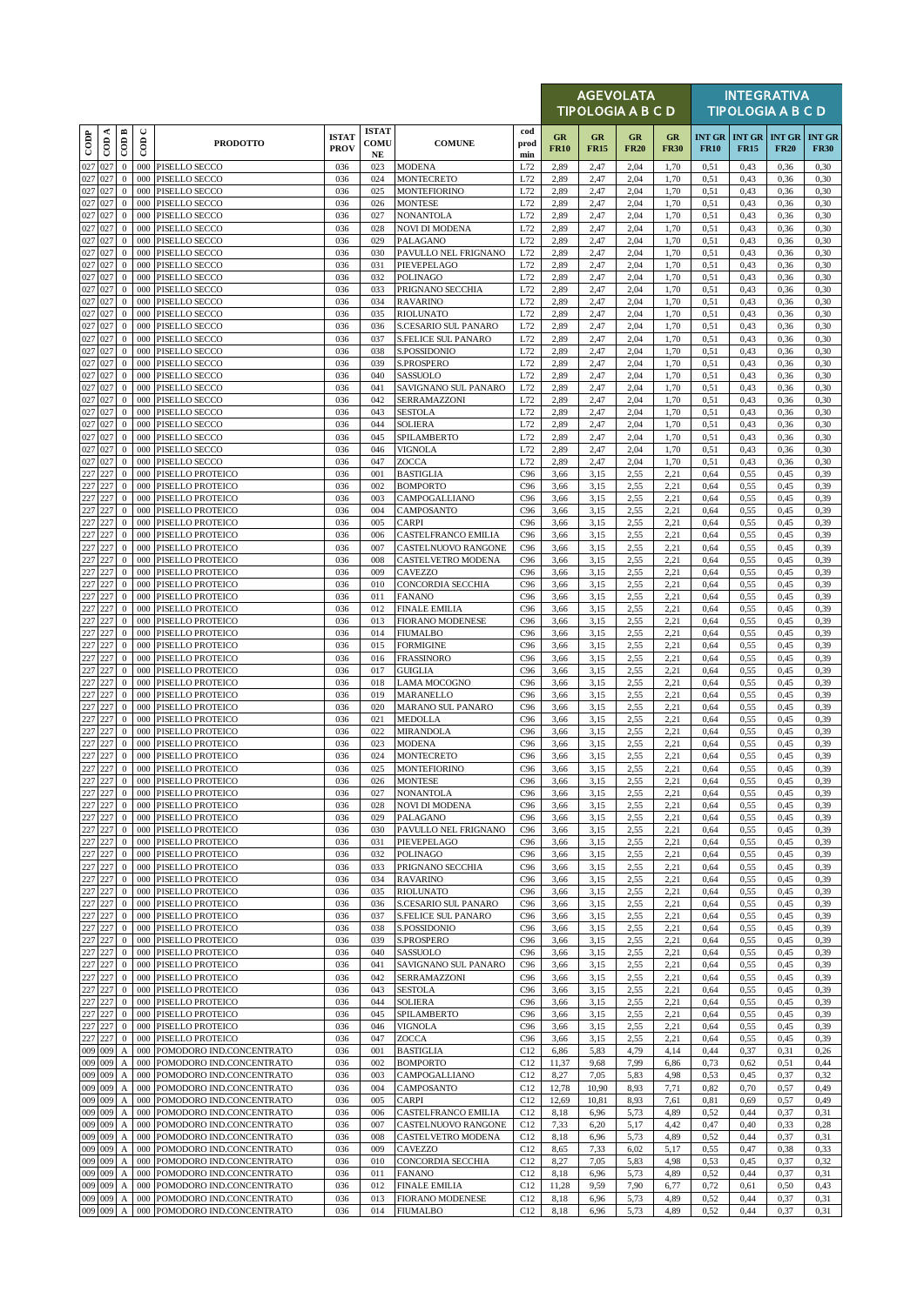|                    |     |                                      |                          |                                                      |                             |                            |                                             |                    |                   | <b>AGEVOLATA</b><br>TIPOLOGIA A B C D |                   |                   |                              |                              | <b>INTEGRATIVA</b><br><b>TIPOLOGIA A B C D</b> |                              |
|--------------------|-----|--------------------------------------|--------------------------|------------------------------------------------------|-----------------------------|----------------------------|---------------------------------------------|--------------------|-------------------|---------------------------------------|-------------------|-------------------|------------------------------|------------------------------|------------------------------------------------|------------------------------|
| $_{\rm{cop}}$      | CDA | CODB                                 | $\cup$<br>$\overline{5}$ | <b>PRODOTTO</b>                                      | <b>ISTAT</b><br><b>PROV</b> | <b>ISTAT</b><br>COMU<br>NE | <b>COMUNE</b>                               | cod<br>prod<br>min | GR<br><b>FR10</b> | $_{GR}$<br><b>FR15</b>                | GR<br><b>FR20</b> | GR<br><b>FR30</b> | <b>INT GR</b><br><b>FR10</b> | <b>INT GR</b><br><b>FR15</b> | <b>INT GR</b><br><b>FR20</b>                   | <b>INT GR</b><br><b>FR30</b> |
| 027                | 027 | $\mathbf{0}$                         | 000                      | PISELLO SECCO                                        | 036                         | 023                        | <b>MODENA</b>                               | L72                | 2,89              | 2,47                                  | 2,04              | 1,70              | 0,51                         | 0,43                         | 0,36                                           | 0,30                         |
| 027 027<br>027 027 |     | $\boldsymbol{0}$<br>$\mathbf{0}$     | 000<br>000               | PISELLO SECCO                                        | 036<br>036                  | 024<br>025                 | <b>MONTECRETO</b>                           | L72<br>L72         | 2,89              | 2,47                                  | 2,04<br>2,04      | 1,70<br>1,70      | 0.51                         | 0,43                         | 0,36<br>0,36                                   | 0,30<br>0,30                 |
| 027 027            |     | $\mathbf{0}$                         | 000                      | PISELLO SECCO<br>PISELLO SECCO                       | 036                         | 026                        | <b>MONTEFIORINO</b><br><b>MONTESE</b>       | L72                | 2,89<br>2,89      | 2,47<br>2,47                          | 2,04              | 1,70              | 0,51<br>0,51                 | 0,43<br>0,43                 | 0,36                                           | 0,30                         |
| 027 027            |     | $\mathbf{0}$                         | 000                      | PISELLO SECCO                                        | 036                         | 027                        | <b>NONANTOLA</b>                            | L72                | 2,89              | 2,47                                  | 2,04              | 1,70              | 0.51                         | 0,43                         | 0,36                                           | 0,30                         |
| 027 027<br>027 027 |     | $\mathbf{0}$<br>$\mathbf{0}$         | 000<br>000               | PISELLO SECCO<br>PISELLO SECCO                       | 036<br>036                  | 028<br>029                 | <b>NOVI DI MODENA</b><br>PALAGANO           | L72<br>L72         | 2,89<br>2,89      | 2,47<br>2,47                          | 2,04<br>2,04      | 1,70<br>1,70      | 0,51<br>0,51                 | 0,43<br>0,43                 | 0,36<br>0,36                                   | 0,30<br>0,30                 |
| 027                | 027 | $\mathbf{0}$                         | 000                      | PISELLO SECCO                                        | 036                         | 030                        | PAVULLO NEL FRIGNANO                        | L72                | 2,89              | 2,47                                  | 2,04              | 1,70              | 0,51                         | 0,43                         | 0,36                                           | 0,30                         |
| 027 027            |     | $\boldsymbol{0}$                     | 000                      | PISELLO SECCO                                        | 036                         | 031                        | PIEVEPELAGO                                 | L72                | 2,89              | 2,47                                  | 2,04              | 1,70              | 0,51                         | 0,43                         | 0,36                                           | 0,30                         |
| 027 027<br>027 027 |     | $\mathbf{0}$<br>$\mathbf{0}$         | 000                      | 000 PISELLO SECCO<br>PISELLO SECCO                   | 036<br>036                  | 032<br>033                 | <b>POLINAGO</b><br>PRIGNANO SECCHIA         | L72<br>L72         | 2,89<br>2,89      | 2,47<br>2,47                          | 2,04<br>2,04      | 1,70<br>1,70      | 0,51<br>0.51                 | 0,43<br>0,43                 | 0,36<br>0,36                                   | 0,30<br>0,30                 |
| 027 027            |     | $\mathbf{0}$                         | 000                      | PISELLO SECCO                                        | 036                         | 034                        | <b>RAVARINO</b>                             | L72                | 2,89              | 2,47                                  | 2,04              | 1,70              | 0,51                         | 0,43                         | 0,36                                           | 0,30                         |
| 027 027            |     | $\mathbf{0}$                         | 000                      | PISELLO SECCO                                        | 036                         | 035                        | <b>RIOLUNATO</b>                            | L72                | 2,89              | 2,47                                  | 2,04              | 1,70              | 0.51                         | 0,43                         | 0,36                                           | 0,30                         |
| 027 027<br>027 027 |     | $\mathbf{0}$<br>$\mathbf{0}$         | 000<br>000               | PISELLO SECCO<br>PISELLO SECCO                       | 036<br>036                  | 036<br>037                 | S.CESARIO SUL PANARO<br>S.FELICE SUL PANARO | L72<br>L72         | 2,89<br>2,89      | 2,47<br>2,47                          | 2,04<br>2,04      | 1,70<br>1,70      | 0,51<br>0,51                 | 0,43<br>0,43                 | 0,36<br>0,36                                   | 0,30<br>0,30                 |
| 027 027            |     | $\mathbf{0}$                         | 000                      | PISELLO SECCO                                        | 036                         | 038                        | S.POSSIDONIO                                | L72                | 2,89              | 2,47                                  | 2.04              | 1,70              | 0,51                         | 0,43                         | 0,36                                           | 0,30                         |
| 027 027            |     | $\mathbf{0}$                         | 000                      | PISELLO SECCO                                        | 036                         | 039                        | S.PROSPERO                                  | L72                | 2,89              | 2,47                                  | 2,04              | 1,70              | 0,51                         | 0,43                         | 0,36                                           | 0,30                         |
| 027 027<br>027 027 |     | $\mathbf{0}$<br>$\mathbf{0}$         | 000<br>000               | PISELLO SECCO<br>PISELLO SECCO                       | 036<br>036                  | 040<br>041                 | SASSUOLO<br>SAVIGNANO SUL PANARO            | L72<br>L72         | 2,89<br>2,89      | 2,47<br>2,47                          | 2,04<br>2,04      | 1,70<br>1,70      | 0,51<br>0,51                 | 0,43<br>0,43                 | 0,36<br>0,36                                   | 0,30<br>0,30                 |
| 027 027            |     | $\mathbf{0}$                         | 000                      | PISELLO SECCO                                        | 036                         | 042                        | SERRAMAZZONI                                | L72                | 2,89              | 2,47                                  | 2.04              | 1,70              | 0.51                         | 0,43                         | 0,36                                           | 0,30                         |
| 027 027            |     | $\mathbf{0}$                         | 000                      | PISELLO SECCO                                        | 036                         | 043                        | <b>SESTOLA</b>                              | L72                | 2,89              | 2,47                                  | 2,04              | 1,70              | 0,51                         | 0,43                         | 0,36                                           | 0,30                         |
| 027 027<br>027 027 |     | $\mathbf{0}$<br>$\mathbf{0}$         | 000<br>000               | PISELLO SECCO<br>PISELLO SECCO                       | 036<br>036                  | 044<br>045                 | <b>SOLIERA</b><br>SPILAMBERTO               | L72<br>L72         | 2,89<br>2,89      | 2,47<br>2,47                          | 2,04<br>2,04      | 1,70<br>1,70      | 0,51<br>0.51                 | 0,43<br>0,43                 | 0,36<br>0,36                                   | 0,30<br>0,30                 |
| 027 027            |     | $\mathbf{0}$                         |                          | 000 PISELLO SECCO                                    | 036                         | 046                        | VIGNOLA                                     | L72                | 2,89              | 2,47                                  | 2,04              | 1,70              | 0,51                         | 0,43                         | 0,36                                           | 0,30                         |
| 027 027            |     | $\boldsymbol{0}$                     | 000                      | PISELLO SECCO                                        | 036                         | 047                        | ZOCCA                                       | L72                | 2,89              | 2,47                                  | 2,04              | 1,70              | 0,51                         | 0,43                         | 0,36                                           | 0,30                         |
| 227 227<br>227 227 |     | $\mathbf{0}$<br>$\mathbf{0}$         | 000<br>000               | PISELLO PROTEICO<br>PISELLO PROTEICO                 | 036<br>036                  | 001<br>002                 | <b>BASTIGLIA</b><br><b>BOMPORTO</b>         | C96<br>C96         | 3,66<br>3,66      | 3,15<br>3,15                          | 2,55<br>2.55      | 2,21<br>2,21      | 0,64<br>0.64                 | 0,55<br>0,55                 | 0,45<br>0,45                                   | 0,39<br>0,39                 |
| 227 227            |     | $\mathbf{0}$                         | 000                      | PISELLO PROTEICO                                     | 036                         | 003                        | CAMPOGALLIANO                               | C96                | 3,66              | 3,15                                  | 2,55              | 2,21              | 0,64                         | 0,55                         | 0,45                                           | 0,39                         |
| 227 227            |     | $\mathbf{0}$                         | 000                      | PISELLO PROTEICO                                     | 036                         | 004                        | CAMPOSANTO                                  | C96                | 3,66              | 3,15                                  | 2,55              | 2,21              | 0,64                         | 0,55                         | 0,45                                           | 0,39                         |
| 227<br>227 227     | 227 | $\mathbf{0}$<br>$\mathbf{0}$         | 000<br>000               | PISELLO PROTEICO<br>PISELLO PROTEICO                 | 036<br>036                  | 005<br>006                 | CARPI                                       | C96<br>C96         | 3,66              | 3,15                                  | 2,55              | 2,21<br>2,21      | 0.64<br>0.64                 | 0,55                         | 0,45<br>0,45                                   | 0,39<br>0,39                 |
| 227 227            |     | $\mathbf{0}$                         | 000                      | PISELLO PROTEICO                                     | 036                         | 007                        | CASTELFRANCO EMILIA<br>CASTELNUOVO RANGONE  | C96                | 3,66<br>3,66      | 3,15<br>3,15                          | 2,55<br>2,55      | 2,21              | 0.64                         | 0,55<br>0,55                 | 0,45                                           | 0,39                         |
| 227                | 227 | $\mathbf{0}$                         | 000                      | PISELLO PROTEICO                                     | 036                         | 008                        | CASTELVETRO MODENA                          | C96                | 3,66              | 3,15                                  | 2,55              | 2,21              | 0.64                         | 0,55                         | 0,45                                           | 0,39                         |
| 227 227<br>227 227 |     | $\mathbf{0}$<br>$\mathbf{0}$         | 000<br>000               | PISELLO PROTEICO                                     | 036<br>036                  | 009<br>010                 | <b>CAVEZZO</b>                              | C96<br>C96         | 3,66              | 3,15                                  | 2.55              | 2,21<br>2,21      | 0.64<br>0.64                 | 0,55                         | 0,45                                           | 0,39<br>0,39                 |
| 227                | 227 | $\mathbf{0}$                         | 000                      | PISELLO PROTEICO<br>PISELLO PROTEICO                 | 036                         | 011                        | CONCORDIA SECCHIA<br><b>FANANO</b>          | C96                | 3,66<br>3,66      | 3,15<br>3,15                          | 2,55<br>2,55      | 2,21              | 0.64                         | 0,55<br>0,55                 | 0,45<br>0,45                                   | 0,39                         |
| 227 227            |     | $\mathbf{0}$                         | 000                      | PISELLO PROTEICO                                     | 036                         | 012                        | <b>FINALE EMILIA</b>                        | C96                | 3,66              | 3,15                                  | 2,55              | 2,21              | 0.64                         | 0,55                         | 0,45                                           | 0,39                         |
| 227 227            |     | $\mathbf{0}$                         | 000                      | PISELLO PROTEICO                                     | 036                         | 013                        | <b>FIORANO MODENESE</b>                     | C96                | 3,66              | 3,15                                  | 2,55              | 2,21              | 0.64                         | 0,55                         | 0,45                                           | 0,39                         |
| 227 227<br>227 227 |     | $\mathbf 0$<br>$\mathbf{0}$          | 000<br>000               | PISELLO PROTEICO<br>PISELLO PROTEICO                 | 036<br>036                  | 014<br>015                 | <b>FIUMALBO</b><br><b>FORMIGINE</b>         | C96<br>C96         | 3,66<br>3,66      | 3,15<br>3,15                          | 2,55<br>2,55      | 2,21<br>2,21      | 0.64<br>0,64                 | 0,55<br>0,55                 | 0,45<br>0,45                                   | 0,39<br>0,39                 |
| 227 227            |     | $\mathbf{0}$                         | 000                      | PISELLO PROTEICO                                     | 036                         | 016                        | <b>FRASSINORO</b>                           | C96                | 3,66              | 3,15                                  | 2,55              | 2,21              | 0.64                         | 0,55                         | 0,45                                           | 0,39                         |
| 227 227<br>227     |     | $\mathbf{0}$                         | 000                      | PISELLO PROTEICO                                     | 036                         | 017                        | <b>GUIGLIA</b>                              | C96                | 3,66              | 3,15                                  | 2,55              | 2,21              | 0,64                         | 0,55                         | 0,45                                           | 0,39                         |
| 227 227            | 227 | $\bf{0}$<br>$\mathbf{0}$             | 000<br>000               | PISELLO PROTEICO<br>PISELLO PROTEICO                 | 036<br>036                  | 018<br>019                 | <b>LAMA MOCOGNO</b><br>MARANELLO            | C96<br>C96         | 3,66<br>3,66      | 3,15<br>3,15                          | 2,55<br>2,55      | 2,21<br>2,21      | 0,64<br>0.64                 | 0,55<br>0,55                 | 0,45<br>0,45                                   | 0,39<br>0,39                 |
| 227 227            |     | $\mathbf{0}$                         | 000                      | PISELLO PROTEICO                                     | 036                         | 020                        | MARANO SUL PANARO                           | C96                | 3,66              | 3,15                                  | 2.55              | 2,21              | 0.64                         | 0,55                         | 0,45                                           | 0,39                         |
| 227                | 227 | $\mathbf{0}$                         | 000                      | PISELLO PROTEICO                                     | 036                         | 021                        | <b>MEDOLLA</b>                              | C96                | 3,66              | 3,15                                  | 2,55              | 2,21              | 0.64                         | 0,55                         | 0,45                                           | 0,39                         |
| 227 227<br>227 227 |     | $\mathbf{0}$<br>$\mathbf{0}$         | 000<br>000               | PISELLO PROTEICO<br>PISELLO PROTEICO                 | 036<br>036                  | 022<br>023                 | <b>MIRANDOLA</b><br><b>MODENA</b>           | C96<br>C96         | 3,66<br>3,66      | 3,15<br>3,15                          | 2,55<br>2.55      | 2,21<br>2,21      | 0,64<br>0.64                 | 0.55<br>0,55                 | 0,45<br>0,45                                   | 0,39<br>0,39                 |
| 227 227            |     | $\mathbf{0}$                         | 000                      | PISELLO PROTEICO                                     | 036                         | 024                        | <b>MONTECRETO</b>                           | C96                | 3,66              | 3,15                                  | 2,55              | 2,21              | 0,64                         | 0,55                         | 0,45                                           | 0,39                         |
| 227 227<br>227 227 |     | $\mathbf{0}$<br>$\overline{0}$       |                          | 000 PISELLO PROTEICO<br>000 PISELLO PROTEICO         | 036<br>036                  | 025<br>026                 | <b>MONTEFIORINO</b><br><b>MONTESE</b>       | C96<br>C96         | 3,66<br>3.66      | 3,15<br>3.15                          | 2,55<br>2.55      | 2,21<br>2.21      | 0,64<br>0.64                 | 0,55<br>0.55                 | 0,45<br>0.45                                   | 0,39<br>0.39                 |
| 227 227            |     | $\mathbf{0}$                         |                          | 000 PISELLO PROTEICO                                 | 036                         | 027                        | <b>NONANTOLA</b>                            | C96                | 3,66              | 3,15                                  | 2,55              | 2,21              | 0,64                         | 0,55                         | 0,45                                           | 0,39                         |
| 227 227            |     | $\mathbf{0}$                         | 000                      | PISELLO PROTEICO                                     | 036                         | 028                        | <b>NOVI DI MODENA</b>                       | C96                | 3,66              | 3,15                                  | 2,55              | 2,21              | 0,64                         | 0,55                         | 0,45                                           | 0,39                         |
| 227 227<br>227 227 |     | $\mathbf{0}$                         | 000<br>000               | PISELLO PROTEICO<br>PISELLO PROTEICO                 | 036                         | 029                        | PALAGANO                                    | C96                | 3,66              | 3,15                                  | 2,55              | 2,21              | 0,64<br>0.64                 | 0,55                         | 0,45                                           | 0,39                         |
| 227 227            |     | $\bf{0}$<br>$\bf{0}$                 | 000                      | PISELLO PROTEICO                                     | 036<br>036                  | 030<br>031                 | PAVULLO NEL FRIGNANO<br>PIEVEPELAGO         | C96<br>C96         | 3,66<br>3,66      | 3,15<br>3,15                          | 2,55<br>2,55      | 2,21<br>2,21      | 0,64                         | 0,55<br>0,55                 | 0,45<br>0,45                                   | 0,39<br>0,39                 |
| 227 227            |     | $\bf{0}$                             | 000                      | PISELLO PROTEICO                                     | 036                         | 032                        | POLINAGO                                    | C96                | 3,66              | 3,15                                  | 2,55              | 2,21              | 0,64                         | 0,55                         | 0,45                                           | 0,39                         |
| 227 227<br>227 227 |     | $\bf{0}$<br>$\mathbf{0}$             | 000<br>000               | PISELLO PROTEICO<br>PISELLO PROTEICO                 | 036<br>036                  | 033<br>034                 | PRIGNANO SECCHIA<br><b>RAVARINO</b>         | C96<br>C96         | 3,66<br>3,66      | 3,15<br>3,15                          | 2,55<br>2,55      | 2,21<br>2,21      | 0.64<br>0,64                 | 0,55<br>0,55                 | 0,45<br>0,45                                   | 0,39<br>0,39                 |
| 227 227            |     | $\mathbf{0}$                         | 000                      | PISELLO PROTEICO                                     | 036                         | 035                        | <b>RIOLUNATO</b>                            | C96                | 3,66              | 3,15                                  | 2,55              | 2,21              | 0,64                         | 0,55                         | 0,45                                           | 0,39                         |
| 227                | 227 | $\bf{0}$                             | 000                      | PISELLO PROTEICO                                     | 036                         | 036                        | S.CESARIO SUL PANARO                        | C96                | 3,66              | 3,15                                  | 2,55              | 2,21              | 0,64                         | 0.55                         | 0,45                                           | 0,39                         |
| 227 227<br>227 227 |     | $\mathbf{0}$<br>$\mathbf{0}$         | 000                      | PISELLO PROTEICO<br>000 PISELLO PROTEICO             | 036<br>036                  | 037<br>038                 | <b>S.FELICE SUL PANARO</b><br>S.POSSIDONIO  | C96<br>C96         | 3,66<br>3,66      | 3,15<br>3,15                          | 2,55<br>2,55      | 2,21<br>2,21      | 0,64<br>0,64                 | 0,55<br>0,55                 | 0,45<br>0,45                                   | 0,39<br>0,39                 |
| 227 227            |     | $\mathbf{0}$                         | 000                      | PISELLO PROTEICO                                     | 036                         | 039                        | S.PROSPERO                                  | C96                | 3,66              | 3,15                                  | 2,55              | 2,21              | 0,64                         | 0,55                         | 0,45                                           | 0,39                         |
| 227 227            |     | $\mathbf{0}$                         | 000                      | PISELLO PROTEICO                                     | 036                         | 040                        | <b>SASSUOLO</b>                             | C96                | 3,66              | 3,15                                  | 2,55              | 2,21              | 0,64                         | 0,55                         | 0,45                                           | 0,39                         |
| 227 227<br>227 227 |     | $\mathbf{0}$<br>$\mathbf{0}$         | 000<br>000               | PISELLO PROTEICO                                     | 036                         | 041<br>042                 | SAVIGNANO SUL PANARO                        | C96                | 3,66              | 3,15                                  | 2,55<br>2,55      | 2,21<br>2,21      | 0,64<br>0.64                 | 0,55                         | 0,45                                           | 0,39<br>0,39                 |
| 227 227            |     | $\mathbf{0}$                         | 000                      | PISELLO PROTEICO<br>PISELLO PROTEICO                 | 036<br>036                  | 043                        | SERRAMAZZONI<br><b>SESTOLA</b>              | C96<br>C96         | 3,66<br>3,66      | 3,15<br>3,15                          | 2,55              | 2,21              | 0,64                         | 0,55<br>0,55                 | 0,45<br>0,45                                   | 0,39                         |
| 227 227            |     | $\mathbf{0}$                         | 000                      | PISELLO PROTEICO                                     | 036                         | 044                        | <b>SOLIERA</b>                              | C96                | 3,66              | 3,15                                  | 2,55              | 2,21              | 0.64                         | 0,55                         | 0,45                                           | 0,39                         |
| 227 227<br>227 227 |     | $\mathbf{0}$                         | 000                      | PISELLO PROTEICO                                     | 036                         | 045                        | SPILAMBERTO                                 | C96                | 3,66              | 3,15                                  | 2,55              | 2,21              | 0,64                         | 0,55                         | 0,45                                           | 0,39                         |
| 227 227            |     | $\mathbf{0}$<br>$\mathbf{0}$         | 000<br>000               | PISELLO PROTEICO<br>PISELLO PROTEICO                 | 036<br>036                  | 046<br>047                 | VIGNOLA<br>ZOCCA                            | C96<br>C96         | 3,66<br>3,66      | 3,15<br>3,15                          | 2,55<br>2,55      | 2,21<br>2,21      | 0,64<br>0.64                 | 0,55<br>0,55                 | 0,45<br>0,45                                   | 0,39<br>0,39                 |
| 009 009            |     | A                                    | 000                      | POMODORO IND.CONCENTRATO                             | 036                         | 001                        | <b>BASTIGLIA</b>                            | C12                | 6,86              | 5,83                                  | 4,79              | 4,14              | 0,44                         | 0,37                         | 0,31                                           | 0,26                         |
| 009 009<br>009 009 |     | $\boldsymbol{A}$                     | 000                      | POMODORO IND.CONCENTRATO                             | 036                         | 002                        | <b>BOMPORTO</b>                             | C12                | 11,37             | 9,68                                  | 7,99              | 6,86              | 0,73                         | 0,62                         | 0,51                                           | 0,44                         |
| 009 009            |     | A<br>$\boldsymbol{A}$                | 000<br>000               | POMODORO IND.CONCENTRATO<br>POMODORO IND.CONCENTRATO | 036<br>036                  | 003<br>004                 | CAMPOGALLIANO<br>CAMPOSANTO                 | C12<br>C12         | 8,27<br>12,78     | 7,05<br>10,90                         | 5,83<br>8.93      | 4,98<br>7,71      | 0,53<br>0,82                 | 0,45<br>0,70                 | 0,37<br>0,57                                   | 0,32<br>0,49                 |
| 009 009            |     | $\boldsymbol{A}$                     |                          | 000 POMODORO IND.CONCENTRATO                         | 036                         | 005                        | CARPI                                       | C12                | 12,69             | 10,81                                 | 8,93              | 7,61              | 0,81                         | 0,69                         | 0,57                                           | 0,49                         |
| 009 009            |     | $\boldsymbol{\mathsf{A}}$            | 000                      | POMODORO IND.CONCENTRATO                             | 036                         | 006                        | CASTELFRANCO EMILIA                         | C12                | 8,18              | 6,96                                  | 5,73              | 4,89              | 0,52                         | 0,44                         | 0,37                                           | 0,31                         |
| 009 009<br>009 009 |     | $\boldsymbol{A}$<br>$\boldsymbol{A}$ | 000<br>000               | POMODORO IND.CONCENTRATO<br>POMODORO IND.CONCENTRATO | 036<br>036                  | 007<br>008                 | CASTELNUOVO RANGONE<br>CASTELVETRO MODENA   | C12<br>C12         | 7,33<br>8,18      | 6,20<br>6,96                          | 5,17<br>5,73      | 4,42<br>4,89      | 0,47<br>0,52                 | 0,40<br>0,44                 | 0,33<br>0,37                                   | 0,28<br>0,31                 |
| 009 009            |     | $\boldsymbol{A}$                     | 000                      | POMODORO IND.CONCENTRATO                             | 036                         | 009                        | CAVEZZO                                     | C12                | 8,65              | 7,33                                  | 6,02              | 5,17              | 0,55                         | 0,47                         | 0,38                                           | 0,33                         |
| 009 009            |     | $\boldsymbol{A}$                     | 000                      | POMODORO IND.CONCENTRATO                             | 036                         | 010                        | CONCORDIA SECCHIA                           | C12                | 8,27              | 7,05                                  | 5,83              | 4,98              | 0,53                         | 0,45                         | 0,37                                           | 0,32                         |
| 009 009<br>009 009 |     | A<br>$\boldsymbol{A}$                | 000<br>000               | POMODORO IND.CONCENTRATO<br>POMODORO IND.CONCENTRATO | 036<br>036                  | 011<br>012                 | <b>FANANO</b><br><b>FINALE EMILIA</b>       | C12<br>C12         | 8,18<br>11,28     | 6,96<br>9,59                          | 5,73<br>7,90      | 4,89<br>6,77      | 0,52<br>0,72                 | 0,44<br>0,61                 | 0,37<br>0,50                                   | 0,31<br>0,43                 |
| 009 009            |     | A                                    |                          | 000 POMODORO IND.CONCENTRATO                         | 036                         | 013                        | <b>FIORANO MODENESE</b>                     | C12                | 8,18              | 6,96                                  | 5,73              | 4,89              | 0,52                         | 0,44                         | 0,37                                           | 0,31                         |
| 009 009            |     | А                                    |                          | 000 POMODORO IND.CONCENTRATO                         | 036                         | 014                        | <b>FIUMALBO</b>                             | C12                | 8,18              | 6,96                                  | 5,73              | 4,89              | 0,52                         | 0,44                         | 0,37                                           | 0,31                         |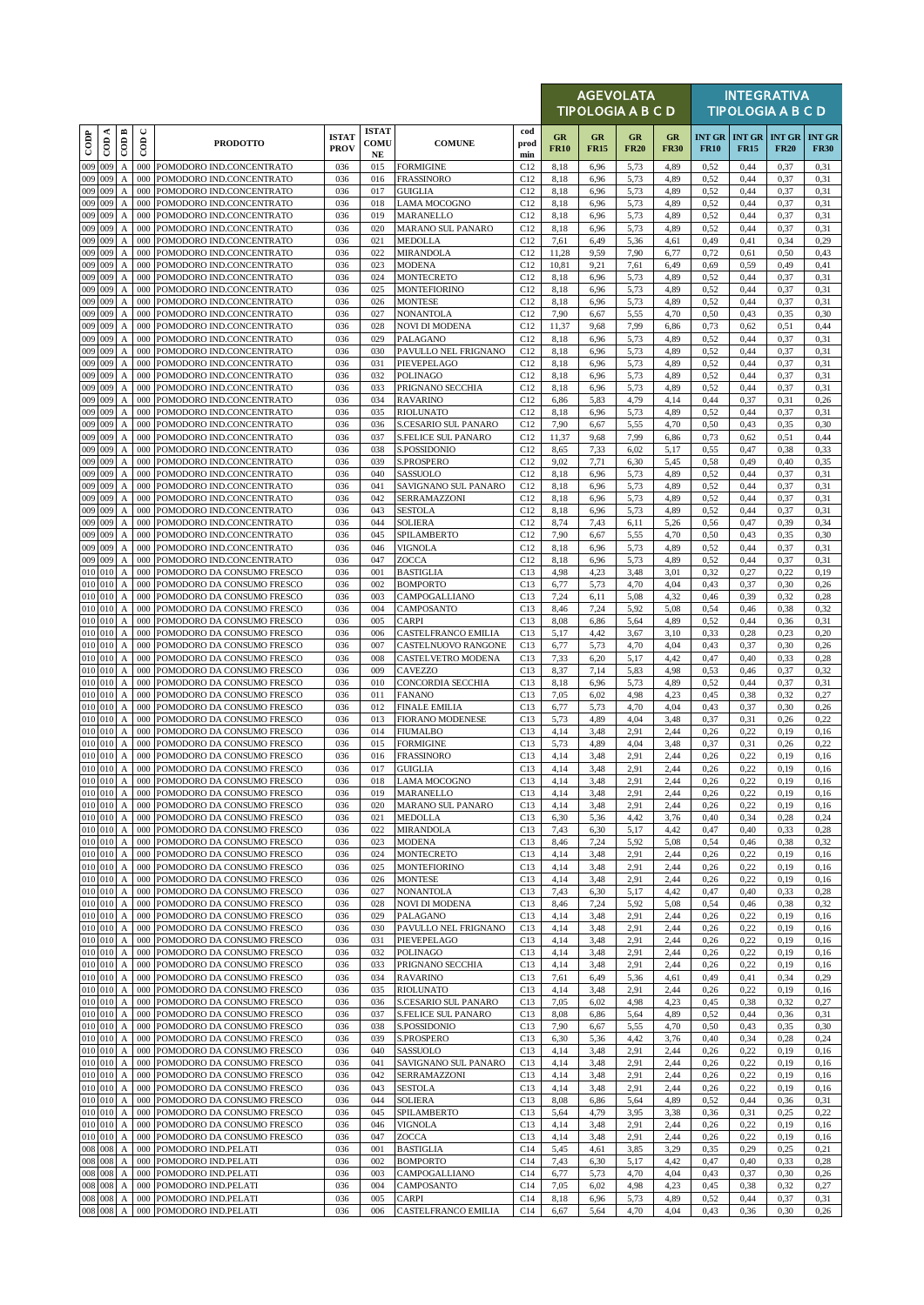|                      |                      |                                           |                 |                                                                  |                             |                            |                                            |                    |                   | AGEVOLATA<br>TIPOLOGIA A B C D |                   |                   |              |                                       | <b>INTEGRATIVA</b><br><b>TIPOLOGIA A B C D</b> |                              |
|----------------------|----------------------|-------------------------------------------|-----------------|------------------------------------------------------------------|-----------------------------|----------------------------|--------------------------------------------|--------------------|-------------------|--------------------------------|-------------------|-------------------|--------------|---------------------------------------|------------------------------------------------|------------------------------|
| $_{\rm{cop}}$        | $\cos A$             | $\overline{CDB}$                          | ပ<br>$\epsilon$ | <b>PRODOTTO</b>                                                  | <b>ISTAT</b><br><b>PROV</b> | <b>ISTAT</b><br>COMU<br>NE | <b>COMUNE</b>                              | cod<br>prod<br>min | GR<br><b>FR10</b> | GR<br><b>FR15</b>              | GR<br><b>FR20</b> | GR<br><b>FR30</b> | <b>FR10</b>  | <b>INT GR   INT GR</b><br><b>FR15</b> | <b>INT GR</b><br><b>FR20</b>                   | <b>INT GR</b><br><b>FR30</b> |
| 009 009              |                      | $\mathbf{A}$                              |                 | 000 POMODORO IND.CONCENTRATO                                     | 036                         | 015                        | <b>FORMIGINE</b>                           | C12                | 8,18              | 6,96                           | 5,73              | 4,89              | 0,52         | 0,44                                  | 0,37                                           | 0,31                         |
| 009                  | 009                  | $\mathbf{A}$                              | 000             | POMODORO IND.CONCENTRATO                                         | 036                         | 016                        | <b>FRASSINORO</b>                          | C12                | 8,18              | 6,96                           | 5,73              | 4,89              | 0,52         | 0,44                                  | 0,37                                           | 0,31                         |
| 009 009<br>009 009   |                      | $\mathbf{A}$<br>A                         | 000<br>000      | POMODORO IND.CONCENTRATO<br>POMODORO IND.CONCENTRATO             | 036<br>036                  | 017<br>018                 | <b>GUIGLIA</b><br><b>LAMA MOCOGNO</b>      | C12<br>C12         | 8,18<br>8,18      | 6,96<br>6,96                   | 5,73<br>5,73      | 4,89<br>4,89      | 0,52<br>0,52 | 0,44<br>0,44                          | 0,37<br>0,37                                   | 0.31<br>0,31                 |
| 009 009              |                      | A                                         | 000             | POMODORO IND.CONCENTRATO                                         | 036                         | 019                        | MARANELLO                                  | C12                | 8,18              | 6,96                           | 5,73              | 4,89              | 0,52         | 0,44                                  | 0,37                                           | 0,31                         |
| 009 009              |                      | A                                         | 000             | POMODORO IND.CONCENTRATO                                         | 036                         | 020                        | <b>MARANO SUL PANARO</b>                   | C12                | 8,18              | 6,96                           | 5,73              | 4,89              | 0,52         | 0,44                                  | 0,37                                           | 0,31                         |
| $009$ 009<br>009 009 |                      | $\boldsymbol{\mathsf{A}}$<br>$\mathbf{A}$ | 000<br>000      | POMODORO IND.CONCENTRATO<br>POMODORO IND.CONCENTRATO             | 036<br>036                  | 021<br>022                 | <b>MEDOLLA</b><br><b>MIRANDOLA</b>         | C12<br>C12         | 7,61<br>11,28     | 6,49<br>9,59                   | 5,36<br>7,90      | 4,61<br>6,77      | 0,49<br>0,72 | 0,41<br>0,61                          | 0,34<br>0,50                                   | 0,29<br>0,43                 |
| 009 009              |                      | $\mathbf{A}$                              | 000             | POMODORO IND.CONCENTRATO                                         | 036                         | 023                        | <b>MODENA</b>                              | C12                | 10,81             | 9,21                           | 7,61              | 6,49              | 0,69         | 0,59                                  | 0,49                                           | 0,41                         |
| 009 009<br>009 009   |                      | A                                         | 000<br>000      | POMODORO IND.CONCENTRATO                                         | 036                         | 024                        | <b>MONTECRETO</b>                          | C12                | 8,18              | 6,96                           | 5,73              | 4,89              | 0,52         | 0,44                                  | 0,37                                           | 0,31                         |
| 009 009              |                      | $\mathbf{A}$<br>$\boldsymbol{A}$          | 000             | POMODORO IND.CONCENTRATO<br>POMODORO IND.CONCENTRATO             | 036<br>036                  | 025<br>026                 | <b>MONTEFIORINO</b><br><b>MONTESE</b>      | C12<br>C12         | 8,18<br>8,18      | 6,96<br>6,96                   | 5,73<br>5,73      | 4,89<br>4,89      | 0,52<br>0,52 | 0,44<br>0,44                          | 0,37<br>0,37                                   | 0,31<br>0,31                 |
| 009                  | 009                  | A                                         | 000             | POMODORO IND.CONCENTRATO                                         | 036                         | 027                        | <b>NONANTOLA</b>                           | C12                | 7,90              | 6,67                           | 5,55              | 4,70              | 0,50         | 0,43                                  | 0,35                                           | 0,30                         |
| 009 009<br>009 009   |                      | $\boldsymbol{A}$<br>$\mathbf{A}$          | 000<br>000      | POMODORO IND.CONCENTRATO<br>POMODORO IND.CONCENTRATO             | 036<br>036                  | 028<br>029                 | <b>NOVI DI MODENA</b><br>PALAGANO          | C12<br>C12         | 11,37             | 9,68<br>6,96                   | 7,99              | 6,86<br>4,89      | 0,73<br>0,52 | 0,62<br>0,44                          | 0,51                                           | 0,44<br>0,31                 |
| 009 009              |                      | $\mathbf{A}$                              | 000             | POMODORO IND.CONCENTRATO                                         | 036                         | 030                        | PAVULLO NEL FRIGNANO                       | C12                | 8,18<br>8,18      | 6,96                           | 5,73<br>5,73      | 4,89              | 0,52         | 0,44                                  | 0,37<br>0,37                                   | 0,31                         |
| 009 009              |                      | A                                         | 000             | POMODORO IND.CONCENTRATO                                         | 036                         | 031                        | PIEVEPELAGO                                | C12                | 8,18              | 6,96                           | 5,73              | 4,89              | 0,52         | 0,44                                  | 0,37                                           | 0,31                         |
| 009 009              |                      | A                                         | 000             | POMODORO IND.CONCENTRATO                                         | 036                         | 032                        | <b>POLINAGO</b>                            | C12                | 8,18              | 6,96                           | 5,73              | 4,89              | 0,52         | 0,44                                  | 0,37                                           | 0,31                         |
| 009 009<br>009 009   |                      | $\boldsymbol{\mathsf{A}}$<br>$\mathbf{A}$ | 000<br>000      | POMODORO IND.CONCENTRATO<br>POMODORO IND.CONCENTRATO             | 036<br>036                  | 033<br>034                 | PRIGNANO SECCHIA<br><b>RAVARINO</b>        | C12<br>C12         | 8,18<br>6,86      | 6,96<br>5,83                   | 5,73<br>4,79      | 4,89<br>4,14      | 0,52<br>0,44 | 0,44<br>0,37                          | 0,37<br>0,31                                   | 0,31<br>0,26                 |
| 009 009              |                      | $\mathbf{A}$                              | 000             | POMODORO IND.CONCENTRATO                                         | 036                         | 035                        | <b>RIOLUNATO</b>                           | C12                | 8,18              | 6,96                           | 5,73              | 4,89              | 0,52         | 0,44                                  | 0,37                                           | 0,31                         |
| 009 009              |                      | $\mathbf{A}$                              | 000             | POMODORO IND.CONCENTRATO                                         | 036                         | 036                        | S.CESARIO SUL PANARO                       | C12                | 7,90              | 6,67                           | 5,55              | 4,70              | 0,50         | 0,43                                  | 0,35                                           | 0,30                         |
| 009 009<br>009       | 009                  | $\mathbf{A}$<br>A                         | 000<br>000      | POMODORO IND.CONCENTRATO<br>POMODORO IND.CONCENTRATO             | 036<br>036                  | 037<br>038                 | <b>S.FELICE SUL PANARO</b><br>S.POSSIDONIO | C12<br>C12         | 11,37<br>8,65     | 9,68<br>7,33                   | 7,99<br>6,02      | 6,86<br>5,17      | 0,73<br>0,55 | 0,62<br>0,47                          | 0, 51<br>0,38                                  | 0,44<br>0,33                 |
| 009 009              |                      | A                                         | 000             | POMODORO IND.CONCENTRATO                                         | 036                         | 039                        | <b>S.PROSPERO</b>                          | C12                | 9,02              | 7,71                           | 6,30              | 5,45              | 0,58         | 0,49                                  | 0,40                                           | 0,35                         |
| 009 009              |                      | A                                         | 000             | POMODORO IND.CONCENTRATO                                         | 036                         | 040                        | SASSUOLO                                   | C12                | 8,18              | 6,96                           | 5,73              | 4,89              | 0,52         | 0,44                                  | 0,37                                           | 0,31                         |
| 009<br>009 009       | 009                  | $\mathbf{A}$<br>$\boldsymbol{A}$          | 000<br>000      | POMODORO IND.CONCENTRATO<br>POMODORO IND.CONCENTRATO             | 036<br>036                  | 041<br>042                 | SAVIGNANO SUL PANARO<br>SERRAMAZZONI       | C12<br>C12         | 8,18<br>8,18      | 6,96<br>6,96                   | 5,73<br>5,73      | 4,89<br>4,89      | 0,52<br>0,52 | 0,44<br>0,44                          | 0,37<br>0,37                                   | 0,31<br>0,31                 |
| 009 009              |                      | A                                         | 000             | POMODORO IND.CONCENTRATO                                         | 036                         | 043                        | <b>SESTOLA</b>                             | C12                | 8,18              | 6,96                           | 5,73              | 4,89              | 0,52         | 0,44                                  | 0,37                                           | 0,31                         |
| 009                  | 009                  | A                                         | 000             | POMODORO IND.CONCENTRATO                                         | 036                         | 044                        | <b>SOLIERA</b>                             | C12                | 8,74              | 7,43                           | 6,11              | 5,26              | 0,56         | 0,47                                  | 0,39                                           | 0,34                         |
| 009 009<br>009 009   |                      | A<br>$\mathbf{A}$                         | 000<br>000      | POMODORO IND.CONCENTRATO<br>POMODORO IND.CONCENTRATO             | 036<br>036                  | 045<br>046                 | SPILAMBERTO<br>VIGNOLA                     | C12<br>C12         | 7,90<br>8,18      | 6,67<br>6,96                   | 5,55<br>5,73      | 4,70<br>4,89      | 0,50<br>0,52 | 0,43<br>0,44                          | 0,35<br>0,37                                   | 0,30<br>0,31                 |
| 009 009              |                      | $\boldsymbol{A}$                          | 000             | POMODORO IND.CONCENTRATO                                         | 036                         | 047                        | ZOCCA                                      | C12                | 8,18              | 6,96                           | 5,73              | 4,89              | 0,52         | 0,44                                  | 0,37                                           | 0,31                         |
| 010 010              |                      | $\mathbf{A}$                              | 000             | POMODORO DA CONSUMO FRESCO                                       | 036                         | 001                        | <b>BASTIGLIA</b>                           | C13                | 4,98              | 4,23                           | 3,48              | 3,01              | 0,32         | 0,27                                  | 0,22                                           | 0,19                         |
| 010 010<br>010 010   |                      | $\boldsymbol{\mathsf{A}}$<br>A            | 000<br>000      | POMODORO DA CONSUMO FRESCO<br>POMODORO DA CONSUMO FRESCO         | 036<br>036                  | 002<br>003                 | <b>BOMPORTO</b><br>CAMPOGALLIANO           | C13<br>C13         | 6,77<br>7,24      | 5,73<br>6,11                   | 4,70<br>5,08      | 4,04<br>4,32      | 0,43<br>0,46 | 0,37<br>0,39                          | 0,30<br>0,32                                   | 0,26<br>0,28                 |
| 010 010              |                      | $\mathbf{A}$                              | 000             | POMODORO DA CONSUMO FRESCO                                       | 036                         | 004                        | CAMPOSANTO                                 | C13                | 8,46              | 7,24                           | 5,92              | 5,08              | 0,54         | 0,46                                  | 0,38                                           | 0,32                         |
| 010 010              |                      | A                                         | 000             | POMODORO DA CONSUMO FRESCO                                       | 036                         | 005                        | <b>CARPI</b>                               | C13                | 8,08              | 6,86                           | 5,64              | 4,89              | 0,52         | 0,44                                  | 0,36                                           | 0,31                         |
| 010 010<br>010 010   |                      | $\boldsymbol{A}$<br>$\mathbf{A}$          | 000<br>000      | POMODORO DA CONSUMO FRESCO<br>POMODORO DA CONSUMO FRESCO         | 036<br>036                  | 006<br>007                 | CASTELFRANCO EMILIA<br>CASTELNUOVO RANGONE | C13<br>C13         | 5,17<br>6,77      | 4,42<br>5,73                   | 3,67<br>4,70      | 3,10<br>4,04      | 0.33<br>0,43 | 0,28<br>0,37                          | 0,23<br>0,30                                   | 0,20<br>0,26                 |
| 010 010              |                      | $\boldsymbol{A}$                          | 000             | POMODORO DA CONSUMO FRESCO                                       | 036                         | 008                        | CASTELVETRO MODENA                         | C13                | 7,33              | 6,20                           | 5,17              | 4,42              | 0,47         | 0,40                                  | 0,33                                           | 0,28                         |
| 010 010              |                      | $\boldsymbol{A}$                          | 000             | POMODORO DA CONSUMO FRESCO                                       | 036                         | 009                        | <b>CAVEZZO</b>                             | C13                | 8,37              | 7,14                           | 5,83              | 4,98              | 0,53         | 0,46                                  | 0,37                                           | 0,32                         |
| 010 010<br>010 010   |                      | $\mathbf{A}$<br>$\boldsymbol{A}$          | 000<br>000      | POMODORO DA CONSUMO FRESCO<br>POMODORO DA CONSUMO FRESCO         | 036<br>036                  | 010<br>011                 | CONCORDIA SECCHIA<br><b>FANANO</b>         | C13<br>C13         | 8,18<br>7,05      | 6,96<br>6,02                   | 5,73<br>4,98      | 4,89<br>4,23      | 0.52<br>0,45 | 0,44<br>0,38                          | 0,37<br>0,32                                   | 0,31<br>0,27                 |
| 010 010              |                      | $\mathbf{A}$                              | 000             | POMODORO DA CONSUMO FRESCO                                       | 036                         | 012                        | <b>FINALE EMILIA</b>                       | C13                | 6,77              | 5,73                           | 4,70              | 4,04              | 0,43         | 0,37                                  | 0,30                                           | 0,26                         |
| 010 010              |                      | A                                         | 000             | POMODORO DA CONSUMO FRESCO                                       | 036                         | 013                        | <b>FIORANO MODENESE</b>                    | C13                | 5,73              | 4,89                           | 4,04              | 3,48              | 0,37         | 0,31                                  | 0,26                                           | 0,22                         |
| 010 010<br>010 010   |                      | $\boldsymbol{\mathsf{A}}$<br>$\mathbf{A}$ | 000<br>000      | POMODORO DA CONSUMO FRESCO<br>POMODORO DA CONSUMO FRESCO         | 036<br>036                  | 014<br>015                 | <b>FIUMALBO</b><br><b>FORMIGINE</b>        | C13<br>C13         | 4,14<br>5,73      | 3,48<br>4,89                   | 2.91<br>4,04      | 2,44<br>3,48      | 0,26<br>0,37 | 0,22<br>0,31                          | 0,19<br>0,26                                   | 0,16<br>0,22                 |
| 010 010              |                      | A                                         | 000             | POMODORO DA CONSUMO FRESCO                                       | 036                         | 016                        | <b>FRASSINORO</b>                          | C13                | 4,14              | 3,48                           | 2,91              | 2,44              | 0,26         | 0,22                                  | 0,19                                           | 0,16                         |
| 010 010              |                      | $\mathbf{A}$                              |                 | 000 POMODORO DA CONSUMO FRESCO                                   | 036                         | 017                        | <b>GUIGLIA</b>                             | C13                | 4,14              | 3,48                           | 2.91              | 2,44              | 0,26         | 0,22                                  | 0,19                                           | 0,16                         |
| 010 010<br>010 010   |                      | $\mathbf A$<br>$\mathbf{A}$               |                 | 000 POMODORO DA CONSUMO FRESCO<br>000 POMODORO DA CONSUMO FRESCO | 036<br>036                  | 018<br>019                 | <b>LAMA MOCOGNO</b><br>MARANELLO           | C13<br>C13         | 4,14<br>4,14      | 3,48<br>3,48                   | 2,91<br>2,91      | 2,44<br>2,44      | 0,26<br>0,26 | 0,22<br>0,22                          | 0,19<br>0,19                                   | 0,16<br>0,16                 |
| 010 010              |                      | $\boldsymbol{A}$                          | 000             | POMODORO DA CONSUMO FRESCO                                       | 036                         | 020                        | <b>MARANO SUL PANARO</b>                   | C13                | 4,14              | 3,48                           | 2.91              | 2,44              | 0,26         | 0,22                                  | 0,19                                           | 0,16                         |
|                      | 010 010              | $\mathbf{A}$                              |                 | 000 POMODORO DA CONSUMO FRESCO                                   | 036                         | 021                        | <b>MEDOLLA</b>                             | C13                | 6,30              | 5,36                           | 4,42              | 3,76              | 0,40         | 0,34                                  | 0,28                                           | 0,24                         |
|                      | 010 010<br>010 010 A | $\boldsymbol{A}$                          | 000             | 000 POMODORO DA CONSUMO FRESCO<br>POMODORO DA CONSUMO FRESCO     | 036<br>036                  | 022<br>023                 | <b>MIRANDOLA</b><br><b>MODENA</b>          | C13<br>C13         | 7,43<br>8,46      | 6,30<br>7,24                   | 5,17<br>5,92      | 4,42<br>5,08      | 0,47<br>0,54 | 0,40<br>0,46                          | 0,33<br>0,38                                   | 0,28<br>0,32                 |
|                      | 010 010              | $\mathbf{A}$                              | 000             | POMODORO DA CONSUMO FRESCO                                       | 036                         | 024                        | <b>MONTECRETO</b>                          | C13                | 4,14              | 3,48                           | 2,91              | 2,44              | 0,26         | 0,22                                  | 0,19                                           | 0,16                         |
| 010 010<br>010 010   |                      | $\boldsymbol{A}$                          | 000<br>000      | POMODORO DA CONSUMO FRESCO<br>POMODORO DA CONSUMO FRESCO         | 036<br>036                  | 025<br>026                 | <b>MONTEFIORINO</b><br><b>MONTESE</b>      | C13                | 4,14              | 3,48                           | 2,91              | 2,44              | 0,26<br>0,26 | 0,22<br>0,22                          | 0,19                                           | 0,16                         |
| 010 010              |                      | $\mathbf{A}$<br>$\boldsymbol{A}$          | 000             | POMODORO DA CONSUMO FRESCO                                       | 036                         | 027                        | <b>NONANTOLA</b>                           | C13<br>C13         | 4,14<br>7,43      | 3,48<br>6,30                   | 2,91<br>5,17      | 2,44<br>4,42      | 0,47         | 0,40                                  | 0,19<br>0,33                                   | 0,16<br>0,28                 |
|                      | 010 010              | $\boldsymbol{A}$                          | 000             | POMODORO DA CONSUMO FRESCO                                       | 036                         | 028                        | <b>NOVI DI MODENA</b>                      | C13                | 8,46              | 7,24                           | 5,92              | 5,08              | 0,54         | 0,46                                  | 0,38                                           | 0,32                         |
| 010 010 A            | 010 010              |                                           |                 | 000 POMODORO DA CONSUMO FRESCO                                   | 036                         | 029                        | PALAGANO                                   | C13                | 4,14              | 3,48                           | 2,91              | 2,44              | 0,26         | 0,22                                  | 0,19                                           | 0,16                         |
| $010$ 010            |                      | $\boldsymbol{A}$<br>$\boldsymbol{A}$      | 000<br>000      | POMODORO DA CONSUMO FRESCO<br>POMODORO DA CONSUMO FRESCO         | 036<br>036                  | 030<br>031                 | PAVULLO NEL FRIGNANO<br>PIEVEPELAGO        | C13<br>C13         | 4,14<br>4,14      | 3,48<br>3,48                   | 2.91<br>2.91      | 2,44<br>2,44      | 0,26<br>0,26 | 0,22<br>0,22                          | 0,19<br>0,19                                   | 0,16<br>0,16                 |
| 010 010 A            |                      |                                           |                 | 000 POMODORO DA CONSUMO FRESCO                                   | 036                         | 032                        | <b>POLINAGO</b>                            | C13                | 4,14              | 3,48                           | 2,91              | 2,44              | 0,26         | 0,22                                  | 0,19                                           | 0,16                         |
| 010 010              |                      | A                                         | 000             | POMODORO DA CONSUMO FRESCO                                       | 036                         | 033                        | PRIGNANO SECCHIA                           | C13                | 4,14              | 3,48                           | 2,91              | 2,44              | 0,26         | 0,22                                  | 0,19                                           | 0,16                         |
| 010 010              | 010 010              | $\boldsymbol{A}$<br>$\mathbf{A}$          | 000             | POMODORO DA CONSUMO FRESCO<br>000 POMODORO DA CONSUMO FRESCO     | 036<br>036                  | 034<br>035                 | <b>RAVARINO</b><br><b>RIOLUNATO</b>        | C13<br>C13         | 7,61<br>4,14      | 6,49<br>3,48                   | 5,36<br>2.91      | 4,61<br>2,44      | 0,49<br>0,26 | 0,41<br>0,22                          | 0,34<br>0,19                                   | 0,29<br>0,16                 |
|                      | 010 010              | $\boldsymbol{A}$                          | 000             | POMODORO DA CONSUMO FRESCO                                       | 036                         | 036                        | S.CESARIO SUL PANARO                       | C13                | 7,05              | 6,02                           | 4,98              | 4,23              | 0,45         | 0,38                                  | 0,32                                           | 0,27                         |
| 010 010              | 010 010              | $\boldsymbol{A}$                          | 000             | POMODORO DA CONSUMO FRESCO                                       | 036                         | 037                        | S.FELICE SUL PANARO                        | C13                | 8,08              | 6,86                           | 5,64              | 4,89              | 0,52         | 0,44                                  | 0,36                                           | 0.31                         |
| 010 010              |                      | $\mathbf{A}$<br>$\boldsymbol{A}$          | 000<br>000      | POMODORO DA CONSUMO FRESCO<br>POMODORO DA CONSUMO FRESCO         | 036<br>036                  | 038<br>039                 | S.POSSIDONIO<br>S.PROSPERO                 | C13<br>C13         | 7,90<br>6,30      | 6,67<br>5,36                   | 5,55<br>4,42      | 4,70<br>3,76      | 0,50<br>0,40 | 0,43<br>0,34                          | 0,35<br>0,28                                   | 0,30<br>0,24                 |
| 010 010              |                      | $\boldsymbol{A}$                          | 000             | POMODORO DA CONSUMO FRESCO                                       | 036                         | 040                        | SASSUOLO                                   | C13                | 4,14              | 3,48                           | 2,91              | 2,44              | 0,26         | 0,22                                  | 0,19                                           | 0,16                         |
| 010 010              |                      | A                                         | 000             | POMODORO DA CONSUMO FRESCO                                       | 036                         | 041                        | SAVIGNANO SUL PANARO                       | C13                | 4,14              | 3,48                           | 2,91              | 2,44              | 0,26         | 0,22                                  | 0,19                                           | 0,16                         |
| 010 010              | 010 010              | $\boldsymbol{A}$<br>$\mathbf{A}$          | 000<br>000      | POMODORO DA CONSUMO FRESCO<br>POMODORO DA CONSUMO FRESCO         | 036<br>036                  | 042<br>043                 | SERRAMAZZONI<br><b>SESTOLA</b>             | C13<br>C13         | 4,14<br>4,14      | 3,48<br>3,48                   | 2.91<br>2.91      | 2,44<br>2,44      | 0,26<br>0,26 | 0,22<br>0,22                          | 0,19<br>0,19                                   | 0,16<br>0,16                 |
| 010 010              |                      | A                                         | 000             | POMODORO DA CONSUMO FRESCO                                       | 036                         | 044                        | <b>SOLIERA</b>                             | C13                | 8,08              | 6,86                           | 5,64              | 4,89              | 0,52         | 0,44                                  | 0,36                                           | 0,31                         |
|                      | $010$ $010$          | $\boldsymbol{A}$                          | 000             | POMODORO DA CONSUMO FRESCO                                       | 036                         | 045                        | SPILAMBERTO                                | C13                | 5,64              | 4,79                           | 3,95              | 3,38              | 0,36         | 0,31                                  | 0,25                                           | 0,22                         |
| 010 010              | 010 010              | $\mathbf{A}$<br>$\mathbf{A}$              | 000<br>000      | POMODORO DA CONSUMO FRESCO<br>POMODORO DA CONSUMO FRESCO         | 036<br>036                  | 046<br>047                 | <b>VIGNOLA</b><br><b>ZOCCA</b>             | C13<br>C13         | 4,14<br>4,14      | 3,48<br>3,48                   | 2,91<br>2,91      | 2,44<br>2,44      | 0,26<br>0,26 | 0,22<br>0,22                          | 0,19<br>0,19                                   | 0,16<br>0,16                 |
| 008 008              |                      | $\mathbf{A}$                              | 000             | POMODORO IND.PELATI                                              | 036                         | 001                        | <b>BASTIGLIA</b>                           | C14                | 5,45              | 4,61                           | 3,85              | 3,29              | 0,35         | 0,29                                  | 0,25                                           | 0,21                         |
| 008 008              |                      | $\boldsymbol{\mathsf{A}}$                 |                 | 000 POMODORO IND.PELATI                                          | 036                         | 002                        | <b>BOMPORTO</b>                            | C14                | 7,43              | 6,30                           | 5,17              | 4,42              | 0,47         | 0,40                                  | 0,33                                           | 0,28                         |
| 008 008<br>008 008   |                      | A<br>A                                    | 000<br>000      | POMODORO IND.PELATI<br>POMODORO IND.PELATI                       | 036<br>036                  | 003<br>004                 | CAMPOGALLIANO<br>CAMPOSANTO                | C14<br>C14         | 6,77<br>7,05      | 5,73<br>6,02                   | 4,70<br>4,98      | 4,04<br>4,23      | 0,43<br>0,45 | 0,37<br>0,38                          | 0,30<br>0,32                                   | 0,26<br>0,27                 |
| 008 008              |                      | A                                         |                 | 000 POMODORO IND.PELATI                                          | 036                         | 005                        | <b>CARPI</b>                               | C14                | 8,18              | 6,96                           | 5,73              | 4,89              | 0,52         | 0,44                                  | 0,37                                           | 0,31                         |
| 008 008              |                      | $\boldsymbol{A}$                          |                 | 000 POMODORO IND.PELATI                                          | 036                         | 006                        | CASTELFRANCO EMILIA                        | C14                | 6,67              | 5,64                           | 4,70              | 4,04              | 0,43         | 0,36                                  | 0,30                                           | 0,26                         |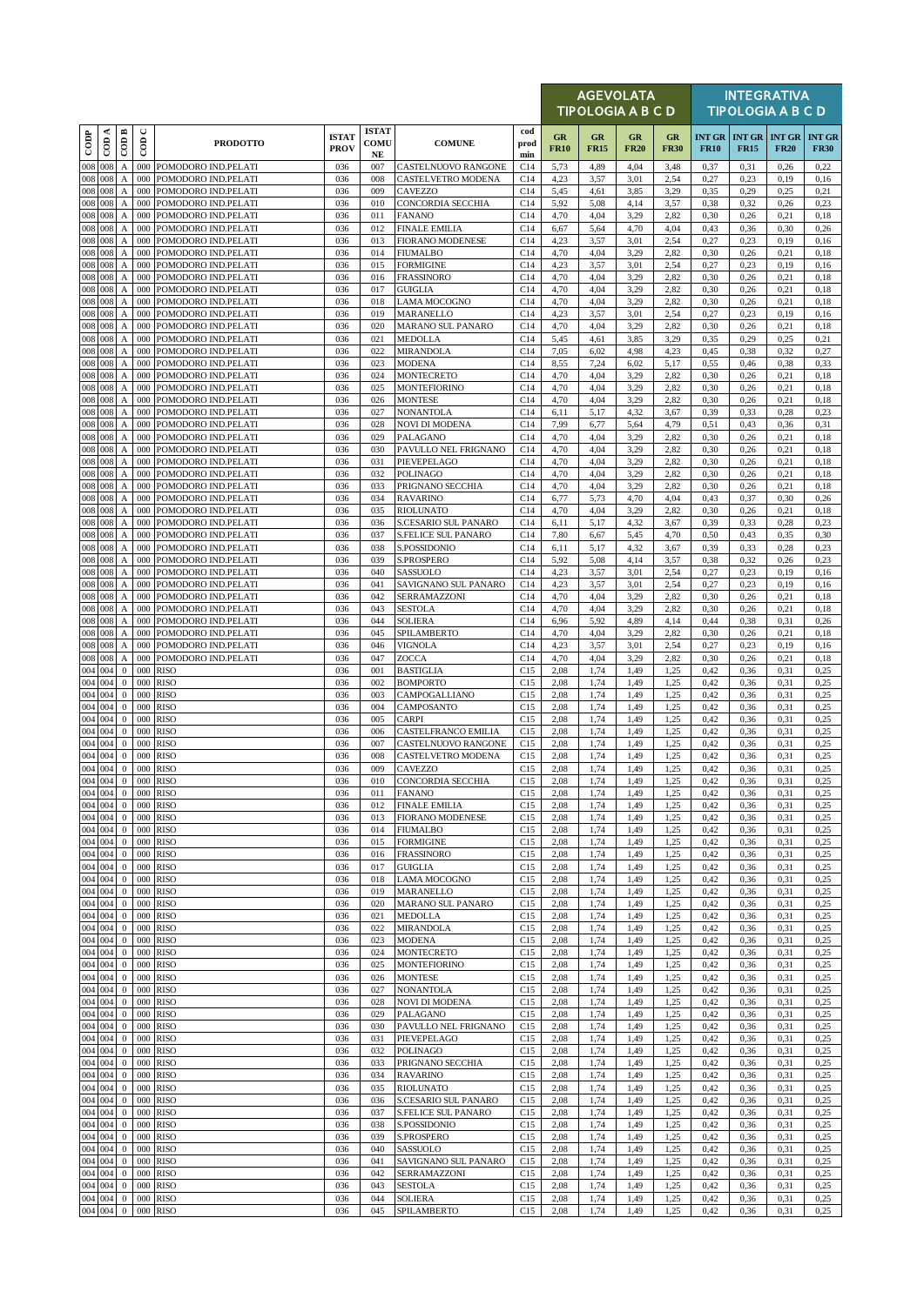|                             |          |                                           |                      |                                            |                             |                                     |                                                 |                    |                   |                   | <b>AGEVOLATA</b><br><b>TIPOLOGIA A B C D</b> |                   |                              |              | <b>INTEGRATIVA</b><br><b>TIPOLOGIA A B C D</b> |                              |
|-----------------------------|----------|-------------------------------------------|----------------------|--------------------------------------------|-----------------------------|-------------------------------------|-------------------------------------------------|--------------------|-------------------|-------------------|----------------------------------------------|-------------------|------------------------------|--------------|------------------------------------------------|------------------------------|
| $_{\rm{cop}}$               | $\cos A$ | $\overline{\mathrm{COD}}$ B               | $\cup$<br>$\epsilon$ | <b>PRODOTTO</b>                            | <b>ISTAT</b><br><b>PROV</b> | <b>ISTAT</b><br>COMU<br>$_{\rm NE}$ | <b>COMUNE</b>                                   | cod<br>prod<br>min | GR<br><b>FR10</b> | GR<br><b>FR15</b> | <b>GR</b><br><b>FR20</b>                     | GR<br><b>FR30</b> | <b>INT GR</b><br><b>FR10</b> | <b>FR15</b>  | <b>INT GR   INT GR</b><br><b>FR20</b>          | <b>INT GR</b><br><b>FR30</b> |
| 008                         | 008      | A                                         |                      | 000 POMODORO IND.PELATI                    | 036                         | 007                                 | CASTELNUOVO RANGONE                             | C14                | 5,73              | 4,89              | 4,04                                         | 3,48              | 0,37                         | 0,31         | 0,26                                           | 0,22                         |
| 008<br>008 008              | 008      | A<br>A                                    | 000<br>000           | POMODORO IND.PELATI<br>POMODORO IND.PELATI | 036<br>036                  | 008<br>009                          | CASTELVETRO MODENA<br>CAVEZZO                   | C14<br>C14         | 4,23<br>5,45      | 3,57<br>4,61      | 3.01<br>3,85                                 | 2,54<br>3,29      | 0,27<br>0,35                 | 0.23<br>0,29 | 0,19<br>0,25                                   | 0,16<br>0,21                 |
| 008 008                     |          | A                                         | 000                  | POMODORO IND.PELATI                        | 036                         | 010                                 | CONCORDIA SECCHIA                               | C14                | 5,92              | 5,08              | 4,14                                         | 3,57              | 0,38                         | 0,32         | 0,26                                           | 0,23                         |
| 008 008                     |          | A                                         | 000                  | POMODORO IND.PELATI                        | 036                         | 011                                 | <b>FANANO</b>                                   | C14                | 4,70              | 4,04              | 3,29                                         | 2,82              | 0,30                         | 0,26         | 0,21                                           | 0,18                         |
| 008 008<br>$\overline{0}08$ | 008      | $\mathbf{A}$<br>A                         | 000<br>000           | POMODORO IND.PELATI<br>POMODORO IND.PELATI | 036<br>036                  | 012<br>013                          | <b>FINALE EMILIA</b><br><b>FIORANO MODENESE</b> | C14<br>C14         | 6,67<br>4,23      | 5,64<br>3,57      | 4,70<br>3.01                                 | 4,04<br>2,54      | 0,43<br>0,27                 | 0,36<br>0,23 | 0,30<br>0,19                                   | 0,26<br>0,16                 |
| 008                         | 008      | A                                         | 000                  | POMODORO IND.PELATI                        | 036                         | 014                                 | <b>FIUMALBO</b>                                 | C14                | 4,70              | 4,04              | 3,29                                         | 2,82              | 0,30                         | 0,26         | 0,21                                           | 0,18                         |
| 008 008                     |          | $\mathbf{A}$                              | 000                  | POMODORO IND.PELATI                        | 036                         | 015                                 | <b>FORMIGINE</b>                                | C14                | 4,23              | 3,57              | 3,01                                         | 2,54              | 0,27                         | 0,23         | 0,19                                           | 0,16                         |
| 008<br>008 008              | 008      | A<br>$\mathbf{A}$                         | 000<br>000           | POMODORO IND.PELATI<br>POMODORO IND.PELATI | 036<br>036                  | 016<br>017                          | <b>FRASSINORO</b><br><b>GUIGLIA</b>             | C14<br>C14         | 4,70<br>4,70      | 4,04<br>4,04      | 3.29<br>3,29                                 | 2,82<br>2,82      | 0,30<br>0,30                 | 0,26<br>0,26 | 0,21<br>0,21                                   | 0,18<br>0,18                 |
| 008 008                     |          | $\boldsymbol{A}$                          | 000                  | POMODORO IND.PELATI                        | 036                         | 018                                 | <b>LAMA MOCOGNO</b>                             | C14                | 4,70              | 4,04              | 3,29                                         | 2,82              | 0,30                         | 0,26         | 0,21                                           | 0,18                         |
| $\,008$                     | 008      | $\mathbf{A}$                              | 000                  | POMODORO IND.PELATI                        | 036                         | 019                                 | MARANELLO                                       | C14                | 4,23              | 3,57              | 3.01                                         | 2,54              | 0,27                         | 0.23         | 0,19                                           | 0,16                         |
| 008<br>008 008              | 008      | A<br>$\mathbf{A}$                         | 000<br>000           | POMODORO IND.PELATI<br>POMODORO IND.PELATI | 036<br>036                  | 020<br>021                          | MARANO SUL PANARO<br>MEDOLLA                    | C14<br>C14         | 4,70<br>5,45      | 4,04<br>4,61      | 3,29<br>3,85                                 | 2,82<br>3,29      | 0,30<br>0,35                 | 0,26<br>0,29 | 0,21<br>0,25                                   | 0,18<br>0,21                 |
| 008                         | 008      | A                                         | 000                  | POMODORO IND.PELATI                        | 036                         | 022                                 | MIRANDOLA                                       | C14                | 7,05              | 6,02              | 4,98                                         | 4,23              | 0,45                         | 0,38         | 0,32                                           | 0,27                         |
| 008 008                     |          | $\mathbf{A}$                              | 000                  | POMODORO IND.PELATI                        | 036                         | 023                                 | <b>MODENA</b>                                   | C14                | 8,55              | 7,24              | 6,02                                         | 5,17              | 0,55                         | 0,46         | 0,38                                           | 0,33                         |
| 008 008<br>008 008          |          | A<br>A                                    | 000<br>000           | POMODORO IND.PELATI<br>POMODORO IND.PELATI | 036<br>036                  | 024<br>025                          | MONTECRETO<br><b>MONTEFIORINO</b>               | C14<br>C14         | 4,70<br>4,70      | 4.04<br>4,04      | 3,29<br>3,29                                 | 2,82<br>2,82      | 0,30<br>0,30                 | 0,26<br>0,26 | 0,21<br>0,21                                   | 0,18<br>0,18                 |
| 008 008                     |          | $\mathbf{A}$                              | 000                  | POMODORO IND.PELATI                        | 036                         | 026                                 | <b>MONTESE</b>                                  | C14                | 4,70              | 4,04              | 3,29                                         | 2,82              | 0,30                         | 0,26         | 0,21                                           | 0,18                         |
| 008                         | 008      | A                                         | 000                  | POMODORO IND.PELATI                        | 036                         | 027                                 | NONANTOLA                                       | C14                | 6,11              | 5,17              | 4,32                                         | 3,67              | 0,39                         | 0,33         | 0,28                                           | 0,23                         |
| 008 008<br>008 008          |          | A<br>$\mathbf{A}$                         | 000<br>000           | POMODORO IND.PELATI<br>POMODORO IND.PELATI | 036<br>036                  | 028<br>029                          | <b>NOVI DI MODENA</b><br>PALAGANO               | C14<br>C14         | 7,99<br>4,70      | 6,77<br>4,04      | 5,64<br>3.29                                 | 4,79<br>2,82      | 0.51<br>0,30                 | 0,43<br>0,26 | 0,36<br>0,21                                   | 0,31<br>0,18                 |
| 008                         | 008      | A                                         | 000                  | POMODORO IND.PELATI                        | 036                         | 030                                 | PAVULLO NEL FRIGNANO                            | C14                | 4,70              | 4,04              | 3.29                                         | 2,82              | 0,30                         | 0,26         | 0,21                                           | 0,18                         |
| 008 008                     |          | $\boldsymbol{A}$                          | 000                  | POMODORO IND.PELATI                        | 036                         | 031                                 | PIEVEPELAGO                                     | C14                | 4,70              | 4,04              | 3,29                                         | 2,82              | 0,30                         | 0,26         | 0,21                                           | 0,18                         |
| 008 008                     |          | A                                         | 000                  | POMODORO IND.PELATI                        | 036                         | 032                                 | <b>POLINAGO</b>                                 | C14                | 4,70              | 4,04              | 3,29                                         | 2,82              | 0,30                         | 0,26         | 0,21                                           | 0,18                         |
| 008<br>008 008              | 008      | A<br>A                                    | 000<br>000           | POMODORO IND.PELATI<br>POMODORO IND.PELATI | 036<br>036                  | 033<br>034                          | PRIGNANO SECCHIA<br><b>RAVARINO</b>             | C14<br>C14         | 4,70<br>6,77      | 4,04<br>5,73      | 3,29<br>4,70                                 | 2,82<br>4,04      | 0,30<br>0,43                 | 0,26<br>0,37 | 0,21<br>0,30                                   | 0,18<br>0,26                 |
| 008 008                     |          | A                                         | 000                  | POMODORO IND.PELATI                        | 036                         | 035                                 | <b>RIOLUNATO</b>                                | C14                | 4,70              | 4,04              | 3,29                                         | 2,82              | 0,30                         | 0,26         | 0,21                                           | 0,18                         |
| 008                         | 008      | A                                         | 000                  | POMODORO IND.PELATI                        | 036                         | 036                                 | S.CESARIO SUL PANARO                            | C14                | 6,11              | 5,17              | 4,32                                         | 3,67              | 0,39                         | 0,33         | 0,28                                           | 0,23                         |
| 008 008<br>008 008          |          | $\mathbf{A}$<br>A                         | 000<br>000           | POMODORO IND.PELATI<br>POMODORO IND.PELATI | 036<br>036                  | 037<br>038                          | <b>S.FELICE SUL PANARO</b><br>S.POSSIDONIO      | C14<br>C14         | 7,80<br>6,11      | 6,67<br>5,17      | 5,45<br>4,32                                 | 4,70<br>3,67      | 0,50<br>0,39                 | 0,43<br>0,33 | 0,35<br>0,28                                   | 0,30<br>0,23                 |
| 008                         | 008      | $\mathbf{A}$                              | 000                  | POMODORO IND.PELATI                        | 036                         | 039                                 | S.PROSPERO                                      | C14                | 5,92              | 5,08              | 4,14                                         | 3,57              | 0,38                         | 0,32         | 0,26                                           | 0,23                         |
| 008 008                     |          | A                                         | 000                  | POMODORO IND.PELATI                        | 036                         | 040                                 | SASSUOLO                                        | C14                | 4,23              | 3,57              | 3,01                                         | 2,54              | 0,27                         | 0,23         | 0,19                                           | 0,16                         |
| 008<br>008 008              | 008      | $\boldsymbol{\mathsf{A}}$<br>$\mathbf{A}$ | 000<br>000           | POMODORO IND.PELATI<br>POMODORO IND.PELATI | 036<br>036                  | 041<br>042                          | SAVIGNANO SUL PANARO<br>SERRAMAZZONI            | C14<br>C14         | 4,23<br>4,70      | 3,57<br>4,04      | 3.01<br>3,29                                 | 2,54<br>2,82      | 0,27<br>0,30                 | 0,23<br>0,26 | 0,19<br>0,21                                   | 0,16<br>0,18                 |
| 008 008                     |          | $\mathbf{A}$                              | 000                  | POMODORO IND.PELATI                        | 036                         | 043                                 | <b>SESTOLA</b>                                  | C14                | 4,70              | 4,04              | 3.29                                         | 2,82              | 0,30                         | 0,26         | 0,21                                           | 0,18                         |
| 008 008                     |          | A                                         | 000                  | POMODORO IND.PELATI                        | 036                         | 044                                 | <b>SOLIERA</b>                                  | C14                | 6,96              | 5,92              | 4,89                                         | 4,14              | 0,44                         | 0,38         | 0,31                                           | 0,26                         |
| 008 008<br>008 008          |          | $\mathbf{A}$<br>$\mathbf{A}$              | 000<br>000           | POMODORO IND.PELATI<br>POMODORO IND.PELATI | 036<br>036                  | 045<br>046                          | SPILAMBERTO<br>VIGNOLA                          | C14<br>C14         | 4,70<br>4,23      | 4,04<br>3,57      | 3,29<br>3,01                                 | 2,82<br>2,54      | 0,30<br>0,27                 | 0,26<br>0,23 | 0,21<br>0,19                                   | 0,18<br>0,16                 |
| 008 008                     |          | A                                         | 000                  | POMODORO IND.PELATI                        | 036                         | 047                                 | ZOCCA                                           | C14                | 4,70              | 4,04              | 3,29                                         | 2,82              | 0,30                         | 0,26         | 0,21                                           | 0,18                         |
| 004                         | 004      | $\mathbf{0}$                              | 000                  | <b>RISO</b>                                | 036                         | 001                                 | <b>BASTIGLIA</b>                                | C15                | 2,08              | 1,74              | 1,49                                         | 1,25              | 0,42                         | 0,36         | 0,31                                           | 0,25                         |
| 004 004<br>004              | 004      | $\mathbf{0}$<br>$\mathbf{0}$              | 000<br>000           | <b>RISO</b><br><b>RISO</b>                 | 036<br>036                  | 002<br>003                          | <b>BOMPORTO</b><br>CAMPOGALLIANO                | C15<br>C15         | 2,08<br>2,08      | 1,74<br>1,74      | 1,49<br>1,49                                 | 1,25<br>1,25      | 0,42<br>0,42                 | 0,36<br>0,36 | 0,31<br>0,31                                   | 0,25<br>0,25                 |
| 004                         | 004      | $\mathbf{0}$                              | 000                  | <b>RISO</b>                                | 036                         | 004                                 | CAMPOSANTO                                      | C15                | 2,08              | 1,74              | 1,49                                         | 1,25              | 0,42                         | 0,36         | 0,31                                           | 0,25                         |
| 004 004                     |          | $\mathbf{0}$                              | 000                  | <b>RISO</b>                                | 036                         | 005                                 | CARPI                                           | C15                | 2,08              | 1,74              | 1,49                                         | 1,25              | 0,42                         | 0,36         | 0,31                                           | 0,25                         |
| 004<br>004 004              | 004      | $\mathbf{0}$<br>$\mathbf{0}$              | 000<br>000           | <b>RISO</b><br><b>RISO</b>                 | 036<br>036                  | 006                                 | CASTELFRANCO EMILIA                             | C15<br>C15         | 2,08<br>2,08      | 1,74<br>1,74      | 1,49<br>1,49                                 | 1,25<br>1,25      | 0,42                         | 0,36         | 0,31<br>0,31                                   | 0,25<br>0,25                 |
| 004                         | 004      | $\bf{0}$                                  | 000                  | <b>RISO</b>                                | 036                         | 007<br>008                          | CASTELNUOVO RANGONE<br>CASTELVETRO MODENA       | C15                | 2,08              | 1,74              | 1,49                                         | 1,25              | 0,42<br>0,42                 | 0,36<br>0,36 | 0,31                                           | 0,25                         |
| 004 004                     |          | $\mathbf{0}$                              | 000                  | <b>RISO</b>                                | 036                         | 009                                 | CAVEZZO                                         | C15                | 2,08              | 1,74              | 1,49                                         | 1,25              | 0,42                         | 0,36         | 0,31                                           | 0,25                         |
| 004 004                     |          |                                           |                      | 0 000 RISO                                 | 036                         | 010                                 | CONCORDIA SECCHIA                               | C15                | 2,08              | 1,74              | 1,49                                         | 1,25              | 0,42                         | 0,36         | 0,31                                           | 0,25                         |
| 004 004<br>004 004          |          | $\bf{0}$<br>$\bf{0}$                      | 000<br>000           | <b>RISO</b><br><b>RISO</b>                 | 036<br>036                  | 011<br>012                          | <b>FANANO</b><br><b>FINALE EMILIA</b>           | C15<br>C15         | 2,08<br>2,08      | 1,74<br>1,74      | 1,49<br>1,49                                 | 1,25<br>1,25      | 0,42<br>0,42                 | 0,36<br>0,36 | 0,31<br>0,31                                   | 0,25<br>0,25                 |
| 004 004                     |          | $\overline{0}$                            |                      | 000 RISO                                   | 036                         | 013                                 | FIORANO MODENESE                                | C15                | 2,08              | 1,74              | 1,49                                         | 1,25              | 0,42                         | 0,36         | 0,31                                           | 0,25                         |
| 004 004                     |          | $\mathbf{0}$                              | 000                  | <b>RISO</b>                                | 036                         | 014                                 | <b>FIUMALBO</b>                                 | C15                | 2,08              | 1,74              | 1,49                                         | 1,25              | 0,42                         | 0,36         | 0,31                                           | 0,25                         |
| 004 004<br>004 004          |          | $\bf{0}$<br>$\mathbf{0}$                  | 000<br>000           | <b>RISO</b><br><b>RISO</b>                 | 036<br>036                  | 015<br>016                          | <b>FORMIGINE</b><br><b>FRASSINORO</b>           | C15<br>C15         | 2,08<br>2,08      | 1,74<br>1,74      | 1,49<br>1,49                                 | 1,25<br>1,25      | 0,42<br>0,42                 | 0,36<br>0,36 | 0,31<br>0,31                                   | 0,25<br>0,25                 |
| 004 004                     |          | $\mathbf{0}$                              | 000                  | <b>RISO</b>                                | 036                         | 017                                 | <b>GUIGLIA</b>                                  | C15                | 2,08              | 1,74              | 1,49                                         | 1,25              | 0,42                         | 0,36         | 0,31                                           | 0,25                         |
| 004 004<br>004 004          |          | $\bf{0}$                                  | 000                  | <b>RISO</b>                                | 036                         | 018                                 | <b>LAMA MOCOGNO</b>                             | C15                | 2,08              | 1,74              | 1,49                                         | 1,25              | 0,42                         | 0,36         | 0,31                                           | 0,25                         |
| 004 004                     |          | $\mathbf{0}$<br>$\mathbf{0}$              | 000<br>000           | <b>RISO</b><br><b>RISO</b>                 | 036<br>036                  | 019<br>020                          | MARANELLO<br>MARANO SUL PANARO                  | C15<br>C15         | 2,08<br>2,08      | 1,74<br>1,74      | 1,49<br>1,49                                 | 1,25<br>1,25      | 0,42<br>0,42                 | 0,36<br>0,36 | 0,31<br>0,31                                   | 0,25<br>0,25                 |
| 004 004                     |          | $\bf{0}$                                  | 000                  | <b>RISO</b>                                | 036                         | 021                                 | MEDOLLA                                         | C15                | 2,08              | 1,74              | 1,49                                         | 1,25              | 0,42                         | 0,36         | 0,31                                           | 0,25                         |
| 004 004                     |          | $\bf{0}$                                  | 000                  | <b>RISO</b>                                | 036                         | 022                                 | MIRANDOLA                                       | C15                | 2,08              | 1,74              | 1,49                                         | 1,25              | 0,42                         | 0,36         | 0,31                                           | 0,25                         |
| 004 004<br>004 004          |          | $\mathbf{0}$<br>$\bf{0}$                  | 000<br>000           | <b>RISO</b><br><b>RISO</b>                 | 036<br>036                  | 023<br>024                          | <b>MODENA</b><br><b>MONTECRETO</b>              | C15<br>C15         | 2,08<br>2,08      | 1,74<br>1,74      | 1,49<br>1,49                                 | 1,25<br>1,25      | 0,42<br>0,42                 | 0,36<br>0,36 | 0,31<br>0,31                                   | 0,25<br>0,25                 |
| 004 004                     |          | $\bf{0}$                                  | 000                  | <b>RISO</b>                                | 036                         | 025                                 | MONTEFIORINO                                    | C15                | 2,08              | 1,74              | 1,49                                         | 1,25              | 0,42                         | 0,36         | 0,31                                           | 0,25                         |
| 004 004                     |          | $\mathbf{0}$                              | 000                  | <b>RISO</b>                                | 036                         | 026                                 | <b>MONTESE</b>                                  | C15                | 2,08              | 1,74              | 1,49                                         | 1,25              | 0,42                         | 0,36         | 0,31                                           | 0,25                         |
| 004 004<br>004 004          |          | $\mathbf{0}$<br>$\mathbf{0}$              | 000<br>000           | <b>RISO</b><br><b>RISO</b>                 | 036<br>036                  | 027<br>028                          | <b>NONANTOLA</b><br>NOVI DI MODENA              | C15<br>C15         | 2,08<br>2,08      | 1,74<br>1,74      | 1,49<br>1,49                                 | 1,25<br>1,25      | 0,42<br>0,42                 | 0,36<br>0,36 | 0,31<br>0,31                                   | 0,25<br>0,25                 |
| 004 004                     |          | $\mathbf{0}$                              | 000                  | <b>RISO</b>                                | 036                         | 029                                 | PALAGANO                                        | C15                | 2,08              | 1,74              | 1,49                                         | 1,25              | 0,42                         | 0,36         | 0,31                                           | 0,25                         |
| 004 004                     |          | $\bf{0}$                                  | 000                  | <b>RISO</b>                                | 036                         | 030                                 | PAVULLO NEL FRIGNANO                            | C15                | 2,08              | 1,74              | 1,49                                         | 1,25              | 0,42                         | 0,36         | 0,31                                           | 0,25                         |
| 004 004<br>004 004          |          | $\bf{0}$<br>$\bf{0}$                      | 000<br>000           | <b>RISO</b><br><b>RISO</b>                 | 036<br>036                  | 031<br>032                          | PIEVEPELAGO<br><b>POLINAGO</b>                  | C15<br>C15         | 2,08<br>2,08      | 1,74<br>1,74      | 1,49<br>1,49                                 | 1,25<br>1,25      | 0,42<br>0,42                 | 0,36<br>0,36 | 0,31<br>0,31                                   | 0,25<br>0,25                 |
| 004 004                     |          | $\bf{0}$                                  | 000                  | <b>RISO</b>                                | 036                         | 033                                 | PRIGNANO SECCHIA                                | C15                | 2,08              | 1,74              | 1,49                                         | 1,25              | 0,42                         | 0,36         | 0,31                                           | 0,25                         |
| 004 004                     |          | $\mathbf{0}$                              | 000                  | <b>RISO</b>                                | 036                         | 034                                 | <b>RAVARINO</b>                                 | C15                | 2,08              | 1,74              | 1,49                                         | 1,25              | 0,42                         | 0,36         | 0,31                                           | 0,25                         |
| 004 004<br>004 004          |          | $\mathbf{0}$<br>$\bf{0}$                  | 000<br>000           | <b>RISO</b><br><b>RISO</b>                 | 036<br>036                  | 035<br>036                          | <b>RIOLUNATO</b><br><b>S.CESARIO SUL PANARO</b> | C15<br>C15         | 2,08<br>2,08      | 1,74<br>1,74      | 1,49<br>1,49                                 | 1,25<br>1,25      | 0,42<br>0,42                 | 0,36<br>0,36 | 0,31<br>0,31                                   | 0,25<br>0,25                 |
| 004 004                     |          | $\bf{0}$                                  | 000                  | <b>RISO</b>                                | 036                         | 037                                 | S.FELICE SUL PANARO                             | C15                | 2,08              | 1,74              | 1,49                                         | 1,25              | 0,42                         | 0,36         | 0,31                                           | 0,25                         |
| 004 004                     |          | $\mathbf{0}$                              | 000                  | <b>RISO</b>                                | 036                         | 038                                 | S.POSSIDONIO                                    | C15                | 2,08              | 1,74              | 1,49                                         | 1,25              | 0,42                         | 0,36         | 0,31                                           | 0,25                         |
| 004 004<br>004 004          |          | $\bf{0}$<br>$\bf{0}$                      | 000<br>000           | <b>RISO</b><br><b>RISO</b>                 | 036<br>036                  | 039<br>040                          | S.PROSPERO<br>SASSUOLO                          | C15<br>C15         | 2,08<br>2,08      | 1,74<br>1,74      | 1,49<br>1,49                                 | 1,25<br>1,25      | 0,42<br>0,42                 | 0,36<br>0,36 | 0,31<br>0,31                                   | 0,25                         |
| 004 004                     |          | $\mathbf{0}$                              | 000                  | <b>RISO</b>                                | 036                         | 041                                 | SAVIGNANO SUL PANARO                            | C15                | 2,08              | 1,74              | 1,49                                         | 1,25              | 0,42                         | 0,36         | 0,31                                           | 0,25<br>0,25                 |
| 004 004                     |          | $\mathbf{0}$                              | 000                  | <b>RISO</b>                                | 036                         | 042                                 | SERRAMAZZONI                                    | C15                | 2,08              | 1,74              | 1,49                                         | 1,25              | 0,42                         | 0,36         | 0,31                                           | 0,25                         |
| 004 004<br>004 004          |          | $\bf{0}$<br>$\bf{0}$                      | 000<br>000           | <b>RISO</b><br><b>RISO</b>                 | 036<br>036                  | 043<br>044                          | SESTOLA<br>SOLIERA                              | C15<br>C15         | 2,08<br>2,08      | 1,74<br>1,74      | 1,49<br>1,49                                 | 1,25<br>1,25      | 0,42<br>0,42                 | 0,36<br>0,36 | 0,31<br>0,31                                   | 0,25<br>0,25                 |
| 004 004                     |          | $\mathbf{0}$                              | 000                  | <b>RISO</b>                                | 036                         | 045                                 | SPILAMBERTO                                     | C15                | 2,08              | 1,74              | 1,49                                         | 1,25              | 0,42                         | 0,36         | 0,31                                           | 0,25                         |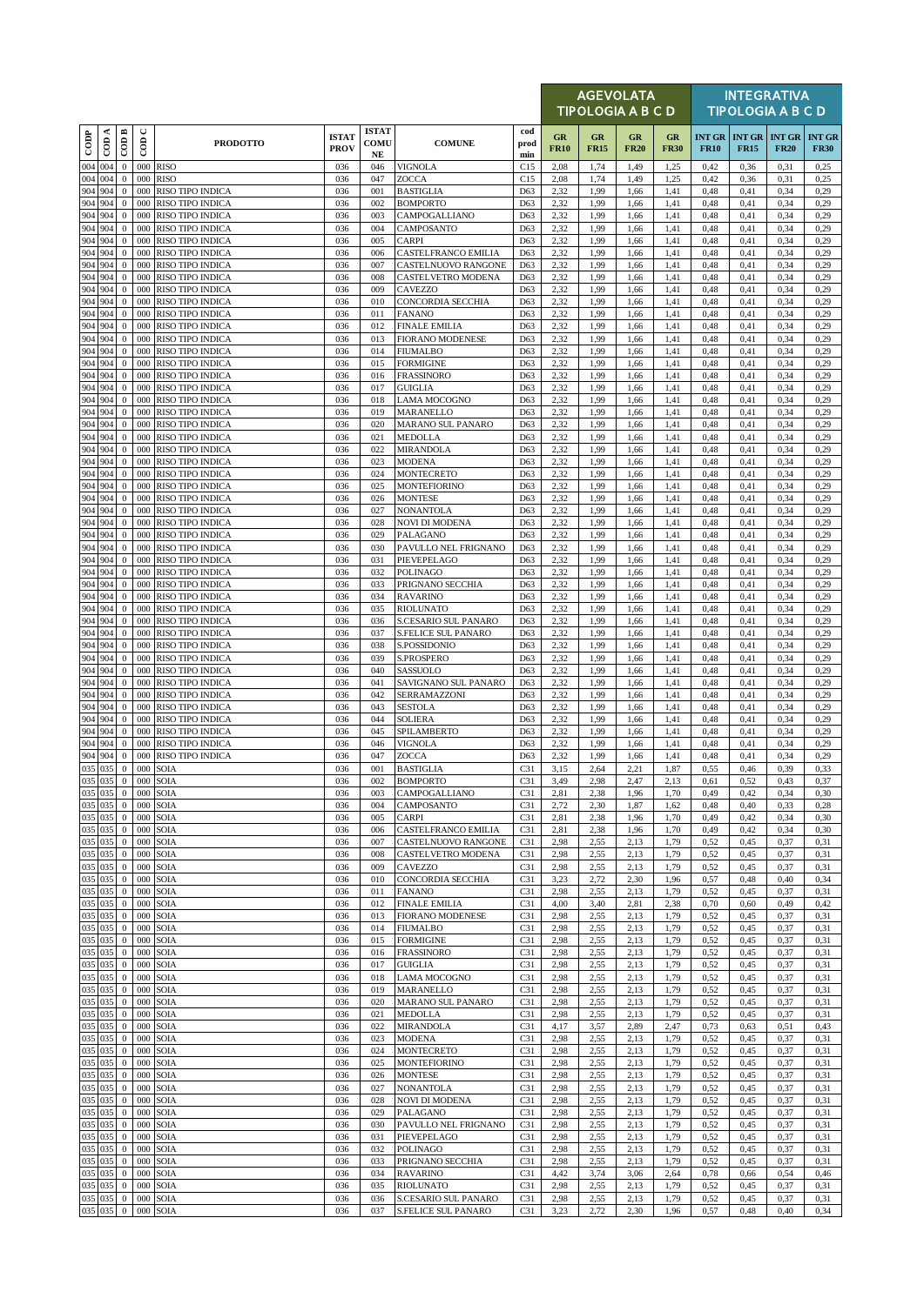|                    |            |                                  |                |                                             |                             |                            |                                                          |                        |                   | <b>AGEVOLATA</b><br>TIPOLOGIA A B C D |                   |                   |              |                                     | <b>INTEGRATIVA</b><br><b>TIPOLOGIA A B C D</b> |                              |
|--------------------|------------|----------------------------------|----------------|---------------------------------------------|-----------------------------|----------------------------|----------------------------------------------------------|------------------------|-------------------|---------------------------------------|-------------------|-------------------|--------------|-------------------------------------|------------------------------------------------|------------------------------|
| $_{\rm{cop}}$      | ≺<br>දි    | $\overline{CDB}$                 | $\cup$<br>600  | <b>PRODOTTO</b>                             | <b>ISTAT</b><br><b>PROV</b> | <b>ISTAT</b><br>COMU<br>NE | <b>COMUNE</b>                                            | cod<br>prod<br>min     | GR<br><b>FR10</b> | GR<br><b>FR15</b>                     | GR<br><b>FR20</b> | GR<br><b>FR30</b> | <b>FR10</b>  | <b>INT GR INT GR</b><br><b>FR15</b> | <b>INT GR</b><br><b>FR20</b>                   | <b>INT GR</b><br><b>FR30</b> |
| 004 004            |            | $\mathbf{0}$                     | 000            | <b>RISO</b>                                 | 036                         | 046                        | <b>VIGNOLA</b>                                           | C15                    | 2,08              | 1,74                                  | 1,49              | 1,25              | 0,42         | 0,36                                | 0,31                                           | 0,25                         |
| 004<br>904 904     | 004        | $\mathbf{0}$<br>$\boldsymbol{0}$ | 000<br>000     | <b>RISO</b><br>RISO TIPO INDICA             | 036<br>036                  | 047<br>001                 | ZOCCA<br><b>BASTIGLIA</b>                                | C15<br>D63             | 2,08<br>2,32      | 1,74<br>1,99                          | 1,49<br>1,66      | 1,25<br>1,41      | 0,42<br>0,48 | 0,36<br>0,41                        | 0,31<br>0,34                                   | 0,25<br>0,29                 |
| 904                | 904        | $\mathbf{0}$                     | 000            | <b>RISO TIPO INDICA</b>                     | 036                         | 002                        | <b>BOMPORTO</b>                                          | D63                    | 2,32              | 1,99                                  | 1,66              | 1,41              | 0,48         | 0,41                                | 0,34                                           | 0,29                         |
| 904<br>904 904     | 904        | $\mathbf{0}$<br>$\mathbf{0}$     | 000<br>000     | <b>RISO TIPO INDICA</b><br>RISO TIPO INDICA | 036<br>036                  | 003<br>004                 | CAMPOGALLIANO<br>CAMPOSANTO                              | D63<br>D63             | 2,32<br>2,32      | 1,99<br>1,99                          | 1,66<br>1,66      | 1,41<br>1,41      | 0,48<br>0,48 | 0,41<br>0,41                        | 0,34<br>0,34                                   | 0,29<br>0,29                 |
| 904 904            |            | $\mathbf{0}$                     | 000            | RISO TIPO INDICA                            | 036                         | 005                        | <b>CARPI</b>                                             | D63                    | 2,32              | 1,99                                  | 1,66              | 1,41              | 0,48         | 0,41                                | 0,34                                           | 0,29                         |
| 904<br>904 904     | 904        | $\mathbf{0}$<br>$\bf{0}$         | 000<br>000     | RISO TIPO INDICA<br>RISO TIPO INDICA        | 036<br>036                  | 006<br>007                 | <b>CASTELFRANCO EMILIA</b><br><b>CASTELNUOVO RANGONE</b> | D63<br>D63             | 2,32<br>2,32      | 1,99<br>1,99                          | 1,66<br>1,66      | 1,41<br>1,41      | 0,48<br>0,48 | 0,41<br>0,41                        | 0,34<br>0,34                                   | 0,29<br>0,29                 |
| 904 904            |            | $\mathbf{0}$                     | 000            | RISO TIPO INDICA                            | 036                         | 008                        | <b>CASTELVETRO MODENA</b>                                | D63                    | 2,32              | 1,99                                  | 1,66              | 1,41              | 0,48         | 0,41                                | 0,34                                           | 0,29                         |
| 904<br>904 904     | 904        | $\mathbf{0}$<br>$\bf{0}$         | 000<br>000     | RISO TIPO INDICA<br>RISO TIPO INDICA        | 036<br>036                  | 009<br>010                 | CAVEZZO<br><b>CONCORDIA SECCHIA</b>                      | D63<br>D63             | 2,32<br>2,32      | 1,99<br>1,99                          | 1,66<br>1,66      | 1,41<br>1,41      | 0,48<br>0,48 | 0,41<br>0,41                        | 0,34<br>0,34                                   | 0,29<br>0,29                 |
| 904                | 904        | $\mathbf{0}$                     | 000            | RISO TIPO INDICA                            | 036                         | 011                        | <b>FANANO</b>                                            | D63                    | 2,32              | 1,99                                  | 1,66              | 1,41              | 0,48         | 0,41                                | 0,34                                           | 0,29                         |
| 904<br>904 904     | 904        | $\mathbf{0}$<br>$\mathbf{0}$     | 000<br>000     | RISO TIPO INDICA<br>RISO TIPO INDICA        | 036<br>036                  | 012<br>013                 | <b>FINALE EMILIA</b><br><b>FIORANO MODENESE</b>          | D63<br>D63             | 2,32<br>2,32      | 1,99<br>1,99                          | 1,66<br>1,66      | 1,41<br>1,41      | 0,48<br>0,48 | 0,41<br>0,41                        | 0,34<br>0,34                                   | 0,29<br>0,29                 |
| 904 904            |            | $\mathbf{0}$                     | 000            | <b>RISO TIPO INDICA</b>                     | 036                         | 014                        | <b>FIUMALBO</b>                                          | D63                    | 2,32              | 1,99                                  | 1,66              | 1,41              | 0,48         | 0,41                                | 0,34                                           | 0,29                         |
| 904 904<br>904 904 |            | $\mathbf{0}$<br>$\mathbf{0}$     | 000<br>000     | RISO TIPO INDICA<br>RISO TIPO INDICA        | 036<br>036                  | 015<br>016                 | <b>FORMIGINE</b><br><b>FRASSINORO</b>                    | D63<br>D63             | 2,32<br>2,32      | 1,99<br>1,99                          | 1,66<br>1,66      | 1,41<br>1,41      | 0,48<br>0,48 | 0,41<br>0,41                        | 0,34<br>0,34                                   | 0,29<br>0,29                 |
| 904 904            |            | $\mathbf{0}$                     | 000            | RISO TIPO INDICA                            | 036                         | 017                        | <b>GUIGLIA</b>                                           | D63                    | 2,32              | 1,99                                  | 1,66              | 1,41              | 0,48         | 0,41                                | 0,34                                           | 0,29                         |
| 904 904<br>904 904 |            | $\mathbf{0}$<br>$\mathbf{0}$     | 000<br>000     | RISO TIPO INDICA<br><b>RISO TIPO INDICA</b> | 036<br>036                  | 018<br>019                 | <b>LAMA MOCOGNO</b><br>MARANELLO                         | D63<br>D63             | 2,32<br>2,32      | 1,99<br>1,99                          | 1,66<br>1,66      | 1,41<br>1,41      | 0,48<br>0,48 | 0,41<br>0,41                        | 0,34<br>0,34                                   | 0,29<br>0,29                 |
| 904                | 904        | $\mathbf{0}$                     | 000            | RISO TIPO INDICA                            | 036                         | 020                        | MARANO SUL PANARO                                        | D63                    | 2,32              | 1,99                                  | 1,66              | 1,41              | 0,48         | 0,41                                | 0,34                                           | 0,29                         |
| 904<br>904         | 904<br>904 | $\mathbf{0}$<br>$\mathbf{0}$     | 000<br>000     | RISO TIPO INDICA<br>RISO TIPO INDICA        | 036<br>036                  | 021<br>022                 | <b>MEDOLLA</b><br><b>MIRANDOLA</b>                       | D63<br>D63             | 2,32<br>2,32      | 1,99<br>1,99                          | 1,66<br>1,66      | 1,41<br>1,41      | 0,48<br>0,48 | 0,41<br>0,41                        | 0,34<br>0,34                                   | 0,29<br>0,29                 |
| 904                | 904        | $\mathbf{0}$                     | 000            | RISO TIPO INDICA                            | 036                         | 023                        | <b>MODENA</b>                                            | D63                    | 2,32              | 1,99                                  | 1,66              | 1,41              | 0,48         | 0,41                                | 0,34                                           | 0,29                         |
| 904 904<br>904     | 904        | $\mathbf{0}$<br>$\mathbf{0}$     | 000<br>000     | RISO TIPO INDICA<br><b>RISO TIPO INDICA</b> | 036<br>036                  | 024<br>025                 | <b>MONTECRETO</b><br><b>MONTEFIORINO</b>                 | D63<br>D63             | 2,32<br>2,32      | 1,99<br>1,99                          | 1,66<br>1,66      | 1,41<br>1,41      | 0,48<br>0,48 | 0,41<br>0,41                        | 0,34<br>0,34                                   | 0,29<br>0,29                 |
| 904                | 904        | $\mathbf{0}$                     | 000            | RISO TIPO INDICA                            | 036                         | 026                        | <b>MONTESE</b>                                           | D63                    | 2,32              | 1,99                                  | 1,66              | 1,41              | 0,48         | 0,41                                | 0,34                                           | 0,29                         |
| 904 904<br>904     | 904        | $\mathbf{0}$<br>$\mathbf{0}$     | 000<br>000     | RISO TIPO INDICA<br>RISO TIPO INDICA        | 036<br>036                  | 027<br>028                 | <b>NONANTOLA</b><br><b>NOVI DI MODENA</b>                | D63<br>D63             | 2,32<br>2,32      | 1,99<br>1,99                          | 1,66<br>1,66      | 1,41<br>1,41      | 0,48<br>0,48 | 0,41<br>0,41                        | 0,34<br>0,34                                   | 0,29<br>0,29                 |
| 904 904            |            | $\mathbf{0}$                     | 000            | RISO TIPO INDICA                            | 036                         | 029                        | PALAGANO                                                 | D63                    | 2,32              | 1,99                                  | 1,66              | 1,41              | 0,48         | 0,41                                | 0,34                                           | 0,29                         |
| 904 904<br>904     | 904        | $\mathbf{0}$<br>$\boldsymbol{0}$ | 000<br>000     | RISO TIPO INDICA<br>RISO TIPO INDICA        | 036<br>036                  | 030<br>031                 | PAVULLO NEL FRIGNANO<br>PIEVEPELAGO                      | D63<br>D63             | 2,32<br>2,32      | 1,99<br>1,99                          | 1,66<br>1,66      | 1,41<br>1,41      | 0,48<br>0,48 | 0,41<br>0,41                        | 0,34<br>0,34                                   | 0,29<br>0,29                 |
| 904 904            |            | $\mathbf{0}$                     | 000            | RISO TIPO INDICA                            | 036                         | 032                        | <b>POLINAGO</b>                                          | D63                    | 2,32              | 1,99                                  | 1,66              | 1,41              | 0,48         | 0,41                                | 0,34                                           | 0,29                         |
| 904 904<br>904     | 904        | $\mathbf{0}$<br>$\mathbf{0}$     | 000<br>000     | <b>RISO TIPO INDICA</b><br>RISO TIPO INDICA | 036<br>036                  | 033<br>034                 | PRIGNANO SECCHIA<br><b>RAVARINO</b>                      | D63<br>D63             | 2,32<br>2,32      | 1,99<br>1,99                          | 1,66<br>1,66      | 1,41<br>1,41      | 0,48<br>0,48 | 0,41<br>0,41                        | 0,34<br>0,34                                   | 0,29<br>0,29                 |
| 904                | 904        | $\mathbf{0}$                     | 000            | RISO TIPO INDICA                            | 036                         | 035                        | <b>RIOLUNATO</b>                                         | D63                    | 2,32              | 1,99                                  | 1,66              | 1,41              | 0,48         | 0,41                                | 0,34                                           | 0,29                         |
| 904 904            |            | $\mathbf{0}$                     | 000            | RISO TIPO INDICA                            | 036                         | 036                        | S.CESARIO SUL PANARO                                     | D63                    | 2,32              | 1,99                                  | 1,66              | 1,41              | 0,48         | 0,41                                | 0,34                                           | 0,29                         |
| 904<br>904 904     | 904        | $\mathbf{0}$<br>$\mathbf{0}$     | 000<br>000     | RISO TIPO INDICA<br>RISO TIPO INDICA        | 036<br>036                  | 037<br>038                 | <b>S.FELICE SUL PANARO</b><br>S.POSSIDONIO               | D63<br>D63             | 2,32<br>2,32      | 1,99<br>1,99                          | 1,66<br>1,66      | 1,41<br>1,41      | 0,48<br>0,48 | 0,41<br>0,41                        | 0,34<br>0,34                                   | 0,29<br>0,29                 |
| 904<br>904         | 904        | $\mathbf{0}$                     | 000            | <b>RISO TIPO INDICA</b>                     | 036                         | 039                        | <b>S.PROSPERO</b>                                        | D63                    | 2,32              | 1,99                                  | 1,66              | 1,41              | 0,48         | 0,41                                | 0,34                                           | 0,29                         |
| 904 904            | 904        | $\mathbf{0}$<br>$\mathbf{0}$     | 000<br>000     | RISO TIPO INDICA<br>RISO TIPO INDICA        | 036<br>036                  | 040<br>041                 | SASSUOLO<br>SAVIGNANO SUL PANARO                         | D63<br>D63             | 2,32<br>2,32      | 1,99<br>1,99                          | 1,66<br>1,66      | 1,41<br>1,41      | 0,48<br>0,48 | 0,41<br>0,41                        | 0,34<br>0,34                                   | 0,29<br>0,29                 |
| 904                | 904        | $\mathbf{0}$                     | 000            | RISO TIPO INDICA                            | 036                         | 042                        | SERRAMAZZONI                                             | D63                    | 2,32              | 1,99                                  | 1,66              | 1,41              | 0,48         | 0,41                                | 0,34                                           | 0,29                         |
| 904 904<br>904 904 |            | $\mathbf{0}$<br>$\mathbf{0}$     | 000<br>000     | RISO TIPO INDICA<br><b>RISO TIPO INDICA</b> | 036<br>036                  | 043<br>044                 | <b>SESTOLA</b><br><b>SOLIERA</b>                         | D63<br>D63             | 2,32<br>2,32      | 1,99<br>1,99                          | 1,66<br>1,66      | 1,41<br>1,41      | 0,48<br>0,48 | 0,41<br>0,41                        | 0,34<br>0,34                                   | 0.29<br>0,29                 |
| 904 904            |            | $\mathbf{0}$                     | 000            | RISO TIPO INDICA                            | 036                         | 045                        | SPILAMBERTO                                              | D63                    | 2,32              | 1,99                                  | 1,66              | 1,41              | 0,48         | 0,41                                | 0,34                                           | 0,29                         |
| 904<br>904 904     | 904        | $\mathbf{0}$<br>$\mathbf{0}$     | 000<br>000     | <b>RISO TIPO INDICA</b><br>RISO TIPO INDICA | 036<br>036                  | 046<br>047                 | <b>VIGNOLA</b><br>ZOCCA                                  | D63<br>D63             | 2,32<br>2,32      | 1,99<br>1,99                          | 1,66<br>1,66      | 1,41<br>1,41      | 0,48<br>0,48 | 0,41<br>0,41                        | 0,34<br>0,34                                   | 0,29<br>0.29                 |
| 035 035<br>035 035 |            | $\mathbf{0}$                     | 000            | SOIA                                        | 036                         | 001                        | <b>BASTIGLIA</b>                                         | C31                    | 3,15              | 2,64                                  | 2,21              | 1,87              | 0,55         | 0,46                                | 0,39                                           | 0,33                         |
| 035 035            |            | $\mathbf{0}$<br>$\mathbf{0}$     | 000            | 000 SOIA<br>SOIA                            | 036<br>036                  | 002<br>003                 | <b>BOMPORTO</b><br>CAMPOGALLIANO                         | C31<br>C31             | 3,49<br>2,81      | 2,98<br>2,38                          | 2,47<br>1,96      | 2,13<br>1,70      | 0,61<br>0,49 | 0,52<br>0,42                        | 0,43<br>0,34                                   | 0,37<br>0,30                 |
| 035 035            |            | $\mathbf{0}$                     | 000            | SOIA                                        | 036                         | 004                        | CAMPOSANTO                                               | C31                    | 2,72              | 2,30                                  | 1,87              | 1,62              | 0,48         | 0,40                                | 0,33                                           | 0,28                         |
| 035 035<br>035 035 |            | $\mathbf{0}$<br>$\bf{0}$         | 000<br>000     | SOIA<br>SOIA                                | 036<br>036                  | 005<br>006                 | <b>CARPI</b><br>CASTELFRANCO EMILIA                      | C31<br>C <sub>31</sub> | 2,81<br>2,81      | 2,38<br>2,38                          | 1,96<br>1,96      | 1,70<br>1,70      | 0,49<br>0,49 | 0,42<br>0,42                        | 0,34<br>0,34                                   | 0,30<br>0,30                 |
| 035 035            |            | $\mathbf{0}$                     | 000            | SOIA                                        | 036                         | 007                        | CASTELNUOVO RANGONE                                      | C31                    | 2,98              | 2,55                                  | 2.13              | 1,79              | 0,52         | 0,45                                | 0,37                                           | 0,31                         |
| 035 035<br>035 035 |            | $\mathbf{0}$<br>$\bf{0}$         | 000<br>000     | SOIA<br>SOIA                                | 036<br>036                  | 008<br>009                 | CASTELVETRO MODENA<br><b>CAVEZZO</b>                     | C31<br>C31             | 2,98<br>2,98      | 2,55<br>2,55                          | 2,13<br>2,13      | 1,79<br>1,79      | 0,52<br>0,52 | 0,45<br>0,45                        | 0,37<br>0,37                                   | 0,31<br>0,31                 |
| 035 035            |            | $\bf{0}$                         | 000            | SOIA                                        | 036                         | 010                        | CONCORDIA SECCHIA                                        | C31                    | 3,23              | 2,72                                  | 2,30              | 1,96              | 0,57         | 0,48                                | 0,40                                           | 0,34                         |
| 035 035<br>035 035 |            | $\mathbf{0}$<br>$\mathbf{0}$     | 000<br>000     | SOIA<br>SOIA                                | 036<br>036                  | 011<br>012                 | <b>FANANO</b><br><b>FINALE EMILIA</b>                    | C31<br>C31             | 2,98<br>4,00      | 2,55<br>3,40                          | 2,13<br>2,81      | 1,79<br>2,38      | 0,52<br>0,70 | 0,45<br>0,60                        | 0,37<br>0,49                                   | 0,31<br>0,42                 |
| 035 035            |            | $\bf{0}$                         | 000            | SOIA                                        | 036                         | 013                        | <b>FIORANO MODENESE</b>                                  | C <sub>31</sub>        | 2,98              | 2,55                                  | 2,13              | 1,79              | 0,52         | 0,45                                | 0,37                                           | 0,31                         |
| 035 035<br>035 035 |            | $\mathbf{0}$<br>$\mathbf{0}$     | 000<br>000     | SOIA<br>SOIA                                | 036<br>036                  | 014<br>015                 | <b>FIUMALBO</b><br><b>FORMIGINE</b>                      | C31<br>C31             | 2,98<br>2,98      | 2,55<br>2,55                          | 2,13<br>2,13      | 1,79<br>1,79      | 0,52<br>0,52 | 0,45<br>0,45                        | 0,37<br>0,37                                   | 0,31<br>0,31                 |
| 035 035            |            | $\bf{0}$                         | 000            | SOIA                                        | 036                         | 016                        | <b>FRASSINORO</b>                                        | C31                    | 2,98              | 2,55                                  | 2,13              | 1,79              | 0,52         | 0,45                                | 0,37                                           | 0,31                         |
| 035 035<br>035 035 |            | $\bf{0}$<br>$\mathbf{0}$         | 000<br>000     | SOIA<br>SOIA                                | 036<br>036                  | 017<br>018                 | <b>GUIGLIA</b><br>LAMA MOCOGNO                           | C31<br>C31             | 2,98<br>2,98      | 2,55<br>2,55                          | 2,13<br>2.13      | 1,79<br>1,79      | 0,52<br>0,52 | 0,45<br>0,45                        | 0,37<br>0,37                                   | 0,31<br>0,31                 |
| 035 035            |            | $\bf{0}$                         | 000            | SOIA                                        | 036                         | 019                        | MARANELLO                                                | C31                    | 2,98              | 2,55                                  | 2,13              | 1,79              | 0,52         | 0,45                                | 0,37                                           | 0,31                         |
| 035 035<br>035 035 |            | $\bf{0}$<br>$\mathbf{0}$         | 000<br>000     | SOIA<br>SOIA                                | 036<br>036                  | 020<br>021                 | <b>MARANO SUL PANARO</b><br><b>MEDOLLA</b>               | C31<br>C31             | 2,98<br>2,98      | 2,55<br>2,55                          | 2,13<br>2.13      | 1,79<br>1,79      | 0,52<br>0,52 | 0,45<br>0,45                        | 0,37<br>0,37                                   | 0,31<br>0,31                 |
| 035 035            |            | $\bf{0}$                         | 000            | SOIA                                        | 036                         | 022                        | <b>MIRANDOLA</b>                                         | C31                    | 4,17              | 3,57                                  | 2,89              | 2,47              | 0,73         | 0,63                                | 0,51                                           | 0,43                         |
| 035 035<br>035 035 |            | $\bf{0}$<br>$\mathbf{0}$         | 000<br>000     | SOIA<br>SOIA                                | 036<br>036                  | 023<br>024                 | <b>MODENA</b><br><b>MONTECRETO</b>                       | C31<br>C31             | 2,98<br>2,98      | 2,55<br>2,55                          | 2,13<br>2,13      | 1,79<br>1,79      | 0,52<br>0,52 | 0,45<br>0,45                        | 0,37<br>0,37                                   | 0,31<br>0,31                 |
| 035 035            |            | $\bf{0}$                         | 000            | SOIA                                        | 036                         | 025                        | <b>MONTEFIORINO</b>                                      | C31                    | 2,98              | 2,55                                  | 2,13              | 1,79              | 0,52         | 0,45                                | 0,37                                           | 0,31                         |
| 035 035<br>035 035 |            | $\mathbf{0}$<br>$\bf{0}$         | 000<br>000     | SOIA<br><b>SOIA</b>                         | 036<br>036                  | 026<br>027                 | <b>MONTESE</b><br><b>NONANTOLA</b>                       | C31<br>C <sub>31</sub> | 2,98<br>2,98      | 2,55<br>2,55                          | 2,13<br>2,13      | 1,79<br>1,79      | 0,52<br>0,52 | 0,45<br>0,45                        | 0,37<br>0,37                                   | 0,31<br>0,31                 |
| 035 035            |            | $\bf{0}$                         | 000            | SOIA                                        | 036                         | 028                        | <b>NOVI DI MODENA</b>                                    | C31                    | 2,98              | 2,55                                  | 2,13              | 1,79              | 0,52         | 0,45                                | 0,37                                           | 0,31                         |
| 035 035<br>035 035 |            | $\mathbf{0}$<br>$\bf{0}$         | 000<br>000     | SOIA<br><b>SOIA</b>                         | 036<br>036                  | 029<br>030                 | PALAGANO<br>PAVULLO NEL FRIGNANO                         | C31<br>C31             | 2,98<br>2,98      | 2,55<br>2,55                          | 2,13<br>2,13      | 1,79<br>1,79      | 0,52<br>0,52 | 0,45<br>0,45                        | 0,37<br>0,37                                   | 0,31<br>0,31                 |
| 035 035            |            | $\bf{0}$                         | 000            | SOIA                                        | 036                         | 031                        | PIEVEPELAGO                                              | C31                    | 2,98              | 2,55                                  | 2.13              | 1,79              | 0,52         | 0,45                                | 0,37                                           | 0,31                         |
| 035 035<br>035 035 |            | $\bf{0}$<br>$\mathbf{0}$         | 000<br>000     | SOIA<br>SOIA                                | 036<br>036                  | 032<br>033                 | <b>POLINAGO</b><br>PRIGNANO SECCHIA                      | C31<br>C31             | 2,98<br>2,98      | 2,55<br>2,55                          | 2,13<br>2,13      | 1,79<br>1,79      | 0,52<br>0,52 | 0,45<br>0,45                        | 0,37<br>0,37                                   | 0,31<br>0,31                 |
| 035 035            |            | $\bf{0}$                         | 000            | SOIA                                        | 036                         | 034                        | <b>RAVARINO</b>                                          | C <sub>31</sub>        | 4,42              | 3,74                                  | 3,06              | 2,64              | 0,78         | 0,66                                | 0,54                                           | 0,46                         |
| 035 035<br>035 035 |            | $\mathbf{0}$<br>$\overline{0}$   | 000<br>$000\,$ | SOIA<br>SOIA                                | 036<br>036                  | 035<br>036                 | <b>RIOLUNATO</b><br>S.CESARIO SUL PANARO                 | C31<br>C31             | 2,98<br>2,98      | 2,55<br>2,55                          | 2,13<br>2,13      | 1,79<br>1,79      | 0,52<br>0,52 | 0,45<br>0,45                        | 0,37<br>0,37                                   | 0,31<br>0,31                 |
|                    | 035 035    | $\mathbf{0}$                     | 000            | <b>SOIA</b>                                 | 036                         | 037                        | <b>S.FELICE SUL PANARO</b>                               | C31                    | 3,23              | 2,72                                  | 2,30              | 1,96              | 0,57         | 0,48                                | 0,40                                           | 0,34                         |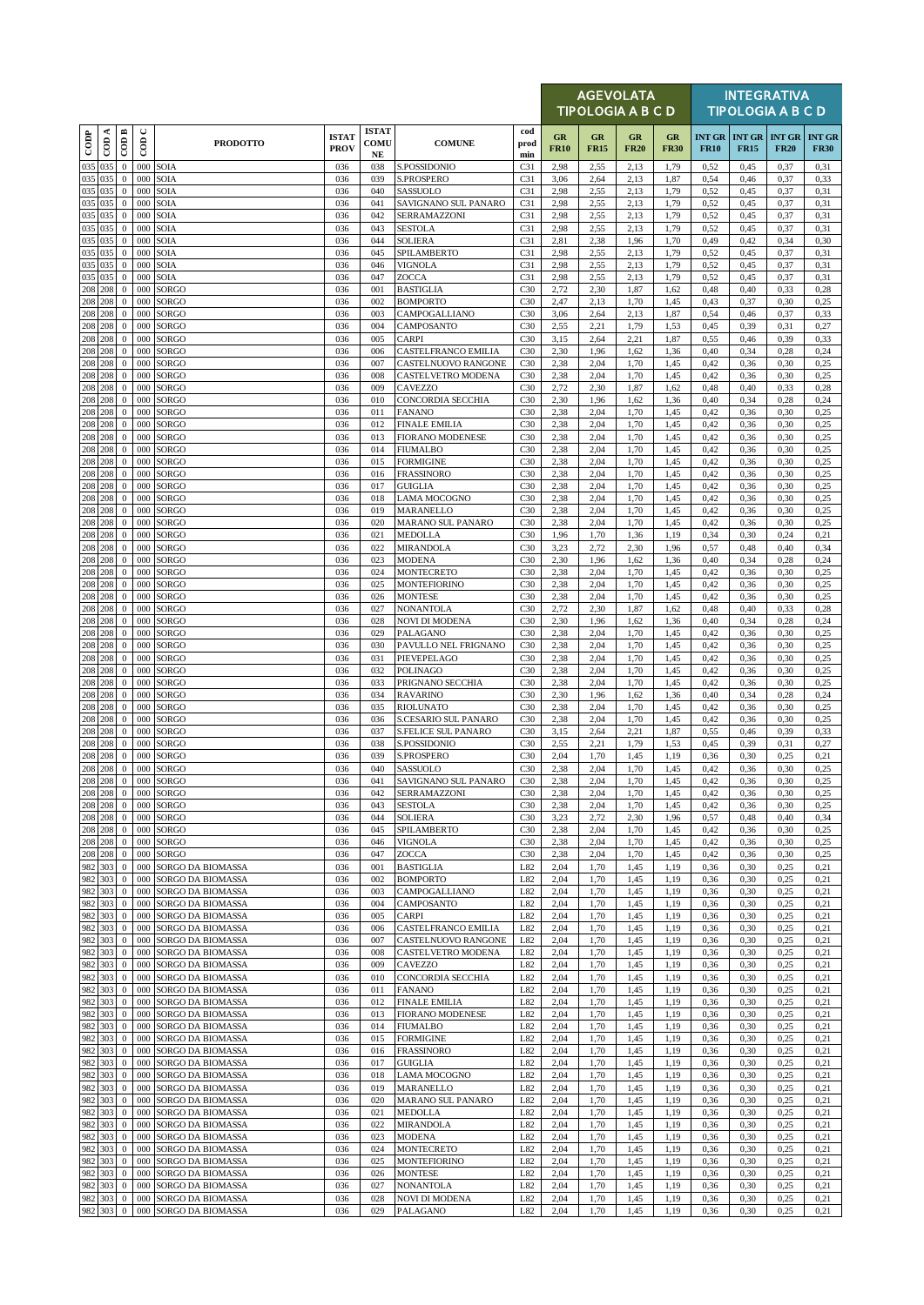|                          |                                   |                                    |                              |                                        |                             |                                  |                                            |                                    |                   | <b>AGEVOLATA</b><br><b>TIPOLOGIA A B C D</b> |                   |                   |                              |                              | <b>INTEGRATIVA</b><br><b>TIPOLOGIA A B C D</b> |                              |
|--------------------------|-----------------------------------|------------------------------------|------------------------------|----------------------------------------|-----------------------------|----------------------------------|--------------------------------------------|------------------------------------|-------------------|----------------------------------------------|-------------------|-------------------|------------------------------|------------------------------|------------------------------------------------|------------------------------|
| $\overline{\text{cone}}$ | ≺<br>$\overline{5}$               | CODB                               | $\mathbf{\mathsf{C}}$<br>COD | <b>PRODOTTO</b>                        | <b>ISTAT</b><br><b>PROV</b> | <b>ISTAT</b><br>COMU<br>$\bf NE$ | <b>COMUNE</b>                              | cod<br>prod<br>min                 | GR<br><b>FR10</b> | GR<br><b>FR15</b>                            | GR<br><b>FR20</b> | GR<br><b>FR30</b> | <b>INT GR</b><br><b>FR10</b> | <b>INT GR</b><br><b>FR15</b> | <b>INT GR</b><br><b>FR20</b>                   | <b>INT GR</b><br><b>FR30</b> |
| 035                      | 035                               | $\bf{0}$                           | 000                          | SOIA                                   | 036                         | 038                              | S.POSSIDONIO                               | C31                                | 2,98              | 2,55                                         | 2.13              | 1,79              | 0,52                         | 0,45                         | 0,37                                           | 0.31                         |
| 035<br>035               | 035<br>035                        | $\boldsymbol{0}$<br>$\mathbf{0}$   | 000<br>000                   | SOIA<br>SOIA                           | 036<br>036                  | 039<br>040                       | S.PROSPERO<br>SASSUOLO                     | C31<br>C31                         | 3,06<br>2,98      | 2,64<br>2,55                                 | 2,13<br>2,13      | 1,87<br>1,79      | 0,54<br>0,52                 | 0,46<br>0,45                 | 0,37<br>0,37                                   | 0,33<br>0,31                 |
| 035                      | 035                               | $\bf{0}$                           | 000                          | SOIA                                   | 036                         | 041                              | SAVIGNANO SUL PANARO                       | C31                                | 2,98              | 2,55                                         | 2,13              | 1,79              | 0,52                         | 0,45                         | 0,37                                           | 0,31                         |
| 035                      | 035                               | $\bf{0}$                           | 000                          | SOIA                                   | 036                         | 042                              | SERRAMAZZONI                               | C31                                | 2,98              | 2,55                                         | 2,13              | 1,79              | 0,52                         | 0,45                         | 0,37                                           | 0,31                         |
| 035<br>035               | 035<br>035                        | $\mathbf{0}$<br>$\mathbf{0}$       | 000<br>000                   | SOIA<br>SOIA                           | 036<br>036                  | 043<br>044                       | <b>SESTOLA</b><br><b>SOLIERA</b>           | C31<br>C31                         | 2,98<br>2,81      | 2,55<br>2,38                                 | 2.13<br>1,96      | 1,79<br>1,70      | 0,52<br>0,49                 | 0,45<br>0,42                 | 0,37<br>0,34                                   | 0,31<br>0,30                 |
| 035                      | 035                               | $\bf{0}$                           | 000                          | SOIA                                   | 036                         | 045                              | SPILAMBERTO                                | C31                                | 2,98              | 2,55                                         | 2.13              | 1,79              | 0,52                         | 0,45                         | 0,37                                           | 0,31                         |
| 035<br>035               | 035<br>035                        | $\boldsymbol{0}$<br>$\overline{0}$ | 000<br>000                   | SOIA<br>SOIA                           | 036<br>036                  | 046<br>047                       | <b>VIGNOLA</b>                             | C31<br>C31                         | 2,98              | 2,55                                         | 2.13<br>2,13      | 1,79<br>1,79      | 0,52                         | 0,45<br>0,45                 | 0,37                                           | 0,31<br>0,31                 |
| 208                      | 208                               | $\mathbf{0}$                       | 000                          | SORGO                                  | 036                         | 001                              | ZOCCA<br><b>BASTIGLIA</b>                  | C30                                | 2,98<br>2,72      | 2,55<br>2,30                                 | 1,87              | 1,62              | 0,52<br>0,48                 | 0,40                         | 0,37<br>0,33                                   | 0,28                         |
| 208                      | 208                               | $\mathbf{0}$                       | 000                          | SORGO                                  | 036                         | 002                              | <b>BOMPORTO</b>                            | C30                                | 2,47              | 2,13                                         | 1,70              | 1,45              | 0,43                         | 0,37                         | 0,30                                           | 0,25                         |
| 208<br>208               | 208<br>208                        | $\mathbf{0}$<br>$\mathbf{0}$       | 000<br>000                   | SORGO<br>SORGO                         | 036<br>036                  | 003<br>004                       | CAMPOGALLIANO<br>CAMPOSANTO                | C <sub>30</sub><br>C30             | 3,06<br>2,55      | 2,64<br>2,21                                 | 2.13<br>1,79      | 1,87<br>1,53      | 0,54<br>0,45                 | 0,46<br>0,39                 | 0,37<br>0,31                                   | 0,33<br>0,27                 |
| 208                      | 208                               | $\bf{0}$                           | 000                          | SORGO                                  | 036                         | 005                              | CARPI                                      | C30                                | 3,15              | 2,64                                         | 2.21              | 1,87              | 0,55                         | 0,46                         | 0,39                                           | 0,33                         |
| 208                      | 208                               | $\mathbf{0}$                       | 000                          | SORGO                                  | 036                         | 006                              | CASTELFRANCO EMILIA                        | C30                                | 2,30              | 1,96                                         | 1,62              | 1,36              | 0,40                         | 0,34                         | 0,28                                           | 0,24                         |
| 208<br>208               | 208<br>208                        | $\mathbf{0}$<br>$\bf{0}$           | 000<br>000                   | SORGO<br>SORGO                         | 036<br>036                  | 007<br>008                       | CASTELNUOVO RANGONE<br>CASTELVETRO MODENA  | C30<br>C30                         | 2,38<br>2,38      | 2,04<br>2,04                                 | 1,70<br>1,70      | 1,45<br>1,45      | 0,42<br>0,42                 | 0,36<br>0,36                 | 0,30<br>0,30                                   | 0,25<br>0,25                 |
| 208                      | 208                               | $\boldsymbol{0}$                   | 000                          | SORGO                                  | 036                         | 009                              | <b>CAVEZZO</b>                             | C30                                | 2,72              | 2,30                                         | 1,87              | 1,62              | 0,48                         | 0,40                         | 0,33                                           | 0,28                         |
| 208                      | 208                               | $\mathbf{0}$                       | 000                          | SORGO                                  | 036                         | 010                              | <b>CONCORDIA SECCHIA</b>                   | C30                                | 2,30              | 1,96                                         | 1,62              | 1,36              | 0,40                         | 0,34                         | 0,28                                           | 0,24                         |
| 208<br>208               | 208<br>208                        | $\bf{0}$<br>$\boldsymbol{0}$       | 000<br>000                   | SORGO<br>SORGO                         | 036<br>036                  | 011<br>012                       | <b>FANANO</b><br><b>FINALE EMILIA</b>      | C30<br>C <sub>30</sub>             | 2,38<br>2,38      | 2,04<br>2,04                                 | 1,70<br>1,70      | 1,45<br>1,45      | 0,42<br>0,42                 | 0,36<br>0,36                 | 0,30<br>0,30                                   | 0,25<br>0,25                 |
| 208                      | 208                               | $\mathbf{0}$                       | 000                          | SORGO                                  | 036                         | 013                              | <b>FIORANO MODENESE</b>                    | C <sub>30</sub>                    | 2,38              | 2,04                                         | 1,70              | 1,45              | 0,42                         | 0,36                         | 0,30                                           | 0,25                         |
| 208                      | 208                               | $\mathbf{0}$                       | 000                          | SORGO                                  | 036                         | 014                              | <b>FIUMALBO</b>                            | C30                                | 2,38              | 2,04                                         | 1,70              | 1,45              | 0,42                         | 0,36                         | 0,30                                           | 0,25                         |
| 208<br>208               | 208<br>208                        | $\mathbf{0}$<br>$\bf{0}$           | 000<br>000                   | SORGO<br>SORGO                         | 036<br>036                  | 015<br>016                       | <b>FORMIGINE</b><br><b>FRASSINORO</b>      | C <sub>30</sub><br>C30             | 2,38<br>2,38      | 2,04<br>2,04                                 | 1,70<br>1,70      | 1,45<br>1,45      | 0,42<br>0,42                 | 0,36<br>0,36                 | 0,30<br>0,30                                   | 0,25<br>0,25                 |
| 208                      | 208                               | $\mathbf{0}$                       | 000                          | <b>SORGO</b>                           | 036                         | 017                              | <b>GUIGLIA</b>                             | C30                                | 2,38              | 2,04                                         | 1,70              | 1,45              | 0,42                         | 0,36                         | 0,30                                           | 0,25                         |
| 208                      | 208                               | $\boldsymbol{0}$                   | 000                          | SORGO                                  | 036                         | 018                              | <b>LAMA MOCOGNO</b>                        | C30                                | 2,38              | 2,04                                         | 1,70              | 1,45              | 0,42                         | 0,36                         | 0,30                                           | 0,25                         |
| 208<br>208               | 208<br>208                        | $\bf{0}$<br>$\boldsymbol{0}$       | 000<br>000                   | SORGO<br>SORGO                         | 036<br>036                  | 019<br>020                       | <b>MARANELLO</b><br>MARANO SUL PANARO      | C <sub>30</sub><br>C30             | 2,38<br>2,38      | 2,04<br>2.04                                 | 1,70<br>1,70      | 1,45<br>1,45      | 0,42<br>0,42                 | 0,36<br>0,36                 | 0,30<br>0,30                                   | 0,25<br>0,25                 |
| 208                      | 208                               | $\mathbf{0}$                       | 000                          | SORGO                                  | 036                         | 021                              | MEDOLLA                                    | C30                                | 1,96              | 1,70                                         | 1,36              | 1,19              | 0,34                         | 0,30                         | 0,24                                           | 0,21                         |
| 208                      | 208                               | $\bf{0}$                           | 000                          | SORGO                                  | 036                         | 022                              | MIRANDOLA                                  | C30                                | 3,23              | 2,72                                         | 2,30              | 1,96              | 0,57                         | 0,48                         | 0,40                                           | 0,34                         |
| 208<br>208               | 208<br>208                        | $\bf{0}$<br>$\mathbf{0}$           | 000<br>000                   | SORGO<br>SORGO                         | 036<br>036                  | 023<br>024                       | <b>MODENA</b><br>MONTECRETO                | C <sub>30</sub><br>C <sub>30</sub> | 2,30<br>2,38      | 1,96<br>2,04                                 | 1,62<br>1,70      | 1,36<br>1,45      | 0,40<br>0,42                 | 0,34<br>0,36                 | 0,28<br>0,30                                   | 0,24<br>0,25                 |
| 208                      | 208                               | $\mathbf{0}$                       | 000                          | <b>SORGO</b>                           | 036                         | 025                              | <b>MONTEFIORINO</b>                        | C30                                | 2,38              | 2,04                                         | 1,70              | 1,45              | 0,42                         | 0,36                         | 0,30                                           | 0,25                         |
| 208                      | 208<br>208                        | $\boldsymbol{0}$                   | 000                          | SORGO                                  | 036                         | 026                              | <b>MONTESE</b>                             | C30                                | 2,38              | 2,04                                         | 1,70              | 1,45              | 0,42                         | 0,36                         | 0,30                                           | 0,25                         |
| 208<br>208               | 208                               | $\boldsymbol{0}$<br>$\overline{0}$ | 000<br>000                   | SORGO<br>SORGO                         | 036<br>036                  | 027<br>028                       | NONANTOLA<br><b>NOVI DI MODENA</b>         | C30<br>C30                         | 2,72<br>2,30      | 2,30<br>1,96                                 | 1,87<br>1,62      | 1,62<br>1,36      | 0,48<br>0,40                 | 0,40<br>0,34                 | 0,33<br>0,28                                   | 0,28<br>0,24                 |
| 208                      | 208                               | $\mathbf{0}$                       | 000                          | SORGO                                  | 036                         | 029                              | PALAGANO                                   | C30                                | 2,38              | 2,04                                         | 1,70              | 1,45              | 0,42                         | 0,36                         | 0,30                                           | 0,25                         |
| 208<br>208               | 208<br>208                        | $\mathbf{0}$<br>$\boldsymbol{0}$   | 000<br>000                   | SORGO<br>SORGO                         | 036<br>036                  | 030<br>031                       | PAVULLO NEL FRIGNANO<br>PIEVEPELAGO        | C30<br>C30                         | 2,38<br>2,38      | 2,04<br>2,04                                 | 1,70<br>1,70      | 1,45<br>1,45      | 0,42<br>0,42                 | 0,36<br>0,36                 | 0,30<br>0,30                                   | 0,25<br>0,25                 |
| 208                      | 208                               | $\mathbf{0}$                       | 000                          | SORGO                                  | 036                         | 032                              | <b>POLINAGO</b>                            | C30                                | 2,38              | 2,04                                         | 1,70              | 1,45              | 0,42                         | 0,36                         | 0,30                                           | 0,25                         |
| 208                      | 208                               | $\bf{0}$                           | 000                          | SORGO                                  | 036                         | 033                              | PRIGNANO SECCHIA                           | C30                                | 2,38              | 2,04                                         | 1,70              | 1,45              | 0,42                         | 0,36                         | 0,30                                           | 0,25                         |
| 208<br>208               | 208<br>208                        | $\boldsymbol{0}$<br>$\mathbf{0}$   | 000<br>000                   | SORGO<br>SORGO                         | 036<br>036                  | 034<br>035                       | <b>RAVARINO</b><br><b>RIOLUNATO</b>        | C30<br>C30                         | 2,30<br>2,38      | 1,96<br>2,04                                 | 1,62<br>1,70      | 1,36<br>1,45      | 0,40<br>0,42                 | 0,34<br>0,36                 | 0,28<br>0,30                                   | 0,24<br>0,25                 |
| 208                      | 208                               | $\mathbf{0}$                       | 000                          | SORGO                                  | 036                         | 036                              | S.CESARIO SUL PANARO                       | C30                                | 2,38              | 2,04                                         | 1,70              | 1,45              | 0,42                         | 0,36                         | 0,30                                           | 0,25                         |
| 208                      | 208                               | $\boldsymbol{0}$                   | 000                          | SORGO                                  | 036                         | 037                              | <b>S.FELICE SUL PANARO</b>                 | C <sub>30</sub>                    | 3,15              | 2,64                                         | 2.21              | 1,87              | 0,55                         | 0,46                         | 0,39                                           | 0,33                         |
| 208<br>208               | 208<br>208                        | $\mathbf{0}$<br>$\mathbf{0}$       | 000<br>000                   | SORGO<br>SORGO                         | 036<br>036                  | 038<br>039                       | S.POSSIDONIO<br>S.PROSPERO                 | C30<br>C30                         | 2,55<br>2,04      | 2,21<br>1,70                                 | 1,79<br>1,45      | 1,53<br>1,19      | 0,45<br>0,36                 | 0,39<br>0,30                 | 0,31<br>0,25                                   | 0,27<br>0,21                 |
|                          | $\frac{208}{208} \frac{208}{208}$ | $\mathbf{0}$                       | 000                          | SORGO                                  | 036                         | 040                              | SASSUOLO                                   | C <sub>30</sub>                    | 2,38              | 2,04                                         | 1,70              | 1,45              | 0,42                         | 0,36                         | 0,30                                           | 0,25                         |
|                          |                                   | $\overline{0}$                     |                              | 000 SORGO                              | 036                         | 041                              | SAVIGNANO SUL PANARO                       | C30                                | 2.38              | 2.04                                         | 1.70              | 1.45              | 0.42                         | 0.36                         | 0.30                                           | 0.25                         |
| 208                      | 208 208<br>208                    | $\overline{0}$<br>$\bf{0}$         | 000<br>000                   | SORGO<br>SORGO                         | 036<br>036                  | 042<br>043                       | SERRAMAZZONI<br>SESTOLA                    | C <sub>30</sub><br>C <sub>30</sub> | 2,38<br>2,38      | 2,04<br>2,04                                 | 1,70<br>1,70      | 1,45<br>1,45      | 0,42<br>0,42                 | 0,36<br>0,36                 | 0,30<br>0,30                                   | 0,25<br>0,25                 |
| 208                      | 208                               | $\bf{0}$                           | 000                          | SORGO                                  | 036                         | 044                              | SOLIERA                                    | C <sub>30</sub>                    | 3,23              | 2,72                                         | 2,30              | 1,96              | 0,57                         | 0,48                         | 0,40                                           | 0,34                         |
| $208\,$                  | 208                               | $\bf{0}$                           | 000                          | SORGO                                  | 036                         | 045                              | SPILAMBERTO                                | C30                                | 2,38              | 2,04                                         | 1,70              | 1,45              | 0,42                         | 0,36                         | 0,30                                           | 0,25                         |
| 208<br>208               | 208<br>208                        | $\bf{0}$<br>$\bf{0}$               | 000<br>000                   | SORGO<br>SORGO                         | 036<br>036                  | 046<br>047                       | <b>VIGNOLA</b><br><b>ZOCCA</b>             | C30<br>C30                         | 2,38<br>2,38      | 2,04<br>2,04                                 | 1,70<br>1,70      | 1,45<br>1,45      | 0,42<br>0,42                 | 0,36<br>0,36                 | 0,30<br>0,30                                   | 0,25<br>0,25                 |
| 982                      | 303                               | $\bf{0}$                           | 000                          | SORGO DA BIOMASSA                      | 036                         | 001                              | <b>BASTIGLIA</b>                           | L82                                | 2,04              | 1,70                                         | 1,45              | 1,19              | 0,36                         | 0,30                         | 0,25                                           | 0,21                         |
| 982                      | 303                               | $\mathbf{0}$                       | 000                          | SORGO DA BIOMASSA                      | 036                         | 002                              | <b>BOMPORTO</b>                            | L82                                | 2,04              | 1,70                                         | 1.45              | 1,19              | 0,36                         | 0,30                         | 0,25                                           | 0,21                         |
| 982<br>982               | 303<br>303                        | $\bf{0}$<br>$\bf{0}$               | 000<br>000                   | SORGO DA BIOMASSA<br>SORGO DA BIOMASSA | 036<br>036                  | 003<br>004                       | CAMPOGALLIANO<br>CAMPOSANTO                | L82<br>L82                         | 2,04<br>2,04      | 1,70<br>1,70                                 | 1,45<br>1,45      | 1,19<br>1,19      | 0,36<br>0,36                 | 0,30<br>0,30                 | 0,25<br>0,25                                   | 0,21<br>0,21                 |
| 982                      | 303                               | $\boldsymbol{0}$                   | 000                          | SORGO DA BIOMASSA                      | 036                         | 005                              | CARPI                                      | L82                                | 2,04              | 1,70                                         | 1.45              | 1,19              | 0,36                         | 0,30                         | 0,25                                           | 0,21                         |
| 982<br>982               | 303<br>303                        | $\mathbf{0}$<br>$\mathbf{0}$       | 000<br>000                   | SORGO DA BIOMASSA<br>SORGO DA BIOMASSA | 036<br>036                  | 006<br>007                       | CASTELFRANCO EMILIA<br>CASTELNUOVO RANGONE | L82<br>L82                         | 2,04<br>2,04      | 1,70<br>1,70                                 | 1,45<br>1.45      | 1,19<br>1,19      | 0,36<br>0,36                 | 0,30<br>0,30                 | 0,25<br>0,25                                   | 0,21<br>0,21                 |
|                          | 982 303                           | $\bf{0}$                           | 000                          | SORGO DA BIOMASSA                      | 036                         | 008                              | CASTELVETRO MODENA                         | L82                                | 2,04              | 1,70                                         | 1.45              | 1,19              | 0,36                         | 0,30                         | 0,25                                           | 0,21                         |
| 982                      | 303                               | $\mathbf{0}$                       | 000                          | SORGO DA BIOMASSA                      | 036                         | 009                              | CAVEZZO                                    | L82                                | 2,04              | 1,70                                         | 1,45              | 1,19              | 0,36                         | 0,30                         | 0,25                                           | 0,21                         |
| 982<br>982               | 303<br>303                        | $\mathbf{0}$<br>$\bf{0}$           | 000<br>000                   | SORGO DA BIOMASSA<br>SORGO DA BIOMASSA | 036<br>036                  | 010<br>011                       | CONCORDIA SECCHIA<br><b>FANANO</b>         | L82<br>L82                         | 2,04<br>2,04      | 1,70<br>1,70                                 | 1.45<br>1,45      | 1,19<br>1,19      | 0,36<br>0,36                 | 0,30<br>0,30                 | 0,25<br>0,25                                   | 0,21<br>0,21                 |
| 982                      | 303                               | $\mathbf{0}$                       | 000                          | SORGO DA BIOMASSA                      | 036                         | 012                              | <b>FINALE EMILIA</b>                       | L82                                | 2,04              | 1,70                                         | 1,45              | 1,19              | 0,36                         | 0,30                         | 0,25                                           | 0,21                         |
| 982                      | 303                               | $\mathbf{0}$                       | 000                          | SORGO DA BIOMASSA                      | 036                         | 013                              | FIORANO MODENESE                           | L82                                | 2,04              | 1,70                                         | 1,45              | 1,19              | 0,36                         | 0,30                         | 0,25                                           | 0,21                         |
| 982<br>982               | 303<br>303                        | $\bf{0}$<br>$\boldsymbol{0}$       | 000<br>000                   | SORGO DA BIOMASSA<br>SORGO DA BIOMASSA | 036<br>036                  | 014<br>015                       | <b>FIUMALBO</b><br><b>FORMIGINE</b>        | L82<br>L82                         | 2,04<br>2,04      | 1,70<br>1,70                                 | 1,45<br>1,45      | 1,19<br>1,19      | 0,36<br>0,36                 | 0,30<br>0,30                 | 0,25<br>0,25                                   | 0,21<br>0,21                 |
| 982                      | 303                               | $\mathbf{0}$                       | 000                          | SORGO DA BIOMASSA                      | 036                         | 016                              | <b>FRASSINORO</b>                          | L82                                | 2,04              | 1,70                                         | 1.45              | 1,19              | 0,36                         | 0,30                         | 0,25                                           | 0,21                         |
| 982                      | 303                               | $\bf{0}$                           | 000                          | SORGO DA BIOMASSA                      | 036                         | 017                              | <b>GUIGLIA</b>                             | L82                                | 2,04              | 1,70                                         | 1,45              | 1,19              | 0,36                         | 0,30                         | 0,25                                           | 0,21                         |
| 982<br>982               | 303<br>303                        | $\bf{0}$<br>$\mathbf{0}$           | 000<br>000                   | SORGO DA BIOMASSA<br>SORGO DA BIOMASSA | 036<br>036                  | 018<br>019                       | <b>LAMA MOCOGNO</b><br>MARANELLO           | L82<br>L82                         | 2,04<br>2,04      | 1,70<br>1,70                                 | 1,45<br>1,45      | 1,19<br>1,19      | 0,36<br>0,36                 | 0,30<br>0,30                 | 0,25<br>0,25                                   | 0,21<br>0,21                 |
| 982                      | 303                               | $\mathbf{0}$                       | 000                          | SORGO DA BIOMASSA                      | 036                         | 020                              | MARANO SUL PANARO                          | L82                                | 2,04              | 1,70                                         | 1,45              | 1,19              | 0,36                         | 0,30                         | 0,25                                           | 0,21                         |
| 982                      | 303                               | $\mathbf{0}$                       | 000                          | SORGO DA BIOMASSA                      | 036                         | 021                              | MEDOLLA                                    | L82                                | 2,04              | 1,70                                         | 1,45              | 1,19              | 0,36                         | 0,30                         | 0,25                                           | 0,21                         |
| 982<br>982               | 303<br>303                        | $\bf{0}$<br>$\mathbf{0}$           | 000<br>000                   | SORGO DA BIOMASSA<br>SORGO DA BIOMASSA | 036<br>036                  | 022<br>023                       | MIRANDOLA<br>MODENA                        | L82<br>L82                         | 2,04<br>2,04      | 1,70<br>1,70                                 | 1,45<br>1,45      | 1,19<br>1,19      | 0,36<br>0,36                 | 0,30<br>0,30                 | 0,25<br>0,25                                   | 0,21<br>0,21                 |
| 982                      | 303                               | $\boldsymbol{0}$                   | 000                          | SORGO DA BIOMASSA                      | 036                         | 024                              | MONTECRETO                                 | L82                                | 2,04              | 1,70                                         | 1,45              | 1,19              | 0,36                         | 0,30                         | 0,25                                           | 0,21                         |
| 982                      | 303                               | $\bf{0}$                           | 000                          | SORGO DA BIOMASSA                      | 036                         | 025                              | <b>MONTEFIORINO</b>                        | L82                                | 2,04              | 1,70                                         | 1,45              | 1,19              | 0,36                         | 0,30                         | 0,25                                           | 0,21                         |
| 982<br>982               | 303<br>303                        | $\bf{0}$<br>$\mathbf{0}$           | 000<br>000                   | SORGO DA BIOMASSA<br>SORGO DA BIOMASSA | 036<br>036                  | 026<br>027                       | <b>MONTESE</b><br>NONANTOLA                | L82<br>L82                         | 2,04<br>2,04      | 1,70<br>1,70                                 | 1,45<br>1,45      | 1,19<br>1,19      | 0,36<br>0,36                 | 0,30<br>0,30                 | 0,25<br>0,25                                   | 0,21<br>0,21                 |
|                          | 982 303                           | $\bf{0}$                           | 000                          | SORGO DA BIOMASSA                      | 036                         | 028                              | NOVI DI MODENA                             | L82                                | 2,04              | 1,70                                         | 1,45              | 1,19              | 0,36                         | 0,30                         | 0,25                                           | 0,21                         |
|                          | 982 303                           | $\bf{0}$                           |                              | 000 SORGO DA BIOMASSA                  | 036                         | 029                              | PALAGANO                                   | L82                                | 2,04              | 1,70                                         | 1,45              | 1,19              | 0,36                         | 0,30                         | 0,25                                           | 0,21                         |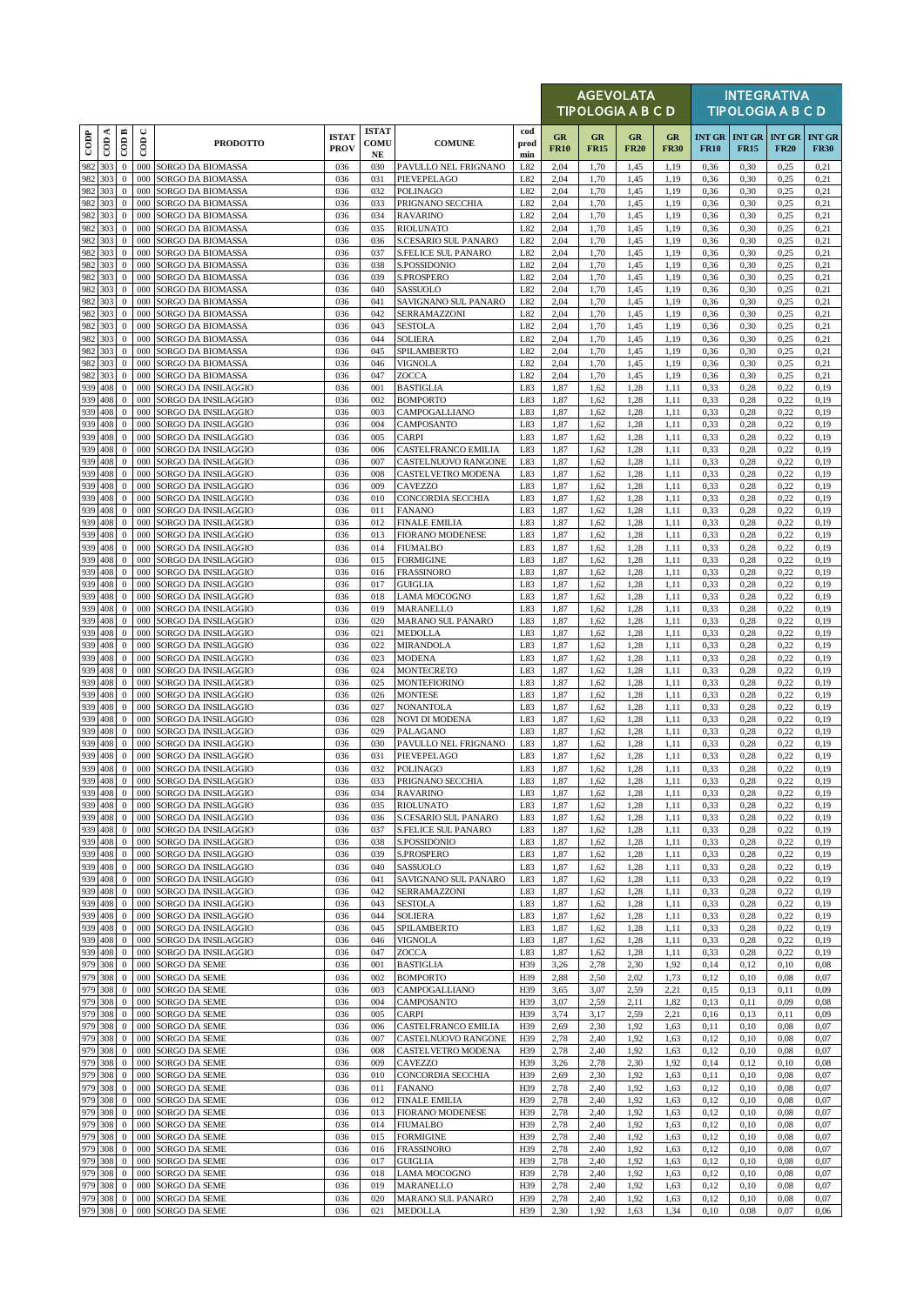|               |                     |                                  |               |                                                |                             |                                  |                                                 |                    |                   |                   | <b>AGEVOLATA</b><br>TIPOLOGIA A B C D |                   |              |                                       | <b>INTEGRATIVA</b><br><b>TIPOLOGIA A B C D</b> |                              |
|---------------|---------------------|----------------------------------|---------------|------------------------------------------------|-----------------------------|----------------------------------|-------------------------------------------------|--------------------|-------------------|-------------------|---------------------------------------|-------------------|--------------|---------------------------------------|------------------------------------------------|------------------------------|
| $_{\rm{cop}}$ | ≺<br>$\overline{c}$ | $\overline{CDB}$                 | $\cup$<br>600 | <b>PRODOTTO</b>                                | <b>ISTAT</b><br><b>PROV</b> | <b>ISTAT</b><br>COMU<br>$\bf NE$ | <b>COMUNE</b>                                   | cod<br>prod<br>min | GR<br><b>FR10</b> | GR<br><b>FR15</b> | GR<br><b>FR20</b>                     | GR<br><b>FR30</b> | <b>FR10</b>  | <b>INT GR   INT GR</b><br><b>FR15</b> | <b>INT GR</b><br><b>FR20</b>                   | <b>INT GR</b><br><b>FR30</b> |
| 982           | 303                 | $\boldsymbol{0}$                 | 000           | SORGO DA BIOMASSA                              | 036                         | 030                              | PAVULLO NEL FRIGNANO                            | L82                | 2,04              | 1,70              | 1,45                                  | 1,19              | 0,36         | 0,30                                  | 0,25                                           | 0,21                         |
| 982           | 303<br>982 303      | $\mathbf{0}$<br>$\mathbf{0}$     | 000<br>000    | SORGO DA BIOMASSA<br>SORGO DA BIOMASSA         | 036<br>036                  | 031<br>032                       | PIEVEPELAGO<br><b>POLINAGO</b>                  | L82<br>L82         | 2,04<br>2,04      | 1,70<br>1,70      | 1.45<br>1,45                          | 1,19<br>1,19      | 0,36<br>0,36 | 0,30<br>0,30                          | 0,25<br>0,25                                   | 0,21<br>0,21                 |
|               | 982 303             | $\mathbf{0}$                     | 000           | SORGO DA BIOMASSA                              | 036                         | 033                              | PRIGNANO SECCHIA                                | L82                | 2,04              | 1,70              | 1,45                                  | 1,19              | 0,36         | 0,30                                  | 0,25                                           | 0,21                         |
| 982 303       | 982 303             | $\mathbf{0}$<br>$\mathbf{0}$     | 000<br>000    | SORGO DA BIOMASSA<br>SORGO DA BIOMASSA         | 036<br>036                  | 034<br>035                       | <b>RAVARINO</b><br><b>RIOLUNATO</b>             | L82<br>L82         | 2,04<br>2,04      | 1,70<br>1,70      | 1,45<br>1,45                          | 1,19<br>1,19      | 0,36<br>0,36 | 0,30<br>0,30                          | 0,25<br>0,25                                   | 0,21<br>0,21                 |
|               | 982 303             | $\mathbf{0}$                     | 000           | SORGO DA BIOMASSA                              | 036                         | 036                              | <b>S.CESARIO SUL PANARO</b>                     | L82                | 2,04              | 1,70              | 1,45                                  | 1,19              | 0,36         | 0,30                                  | 0,25                                           | 0,21                         |
| 982           | 303                 | $\boldsymbol{0}$                 | 000           | SORGO DA BIOMASSA                              | 036                         | 037                              | <b>S.FELICE SUL PANARO</b>                      | L82                | 2,04              | 1,70              | 1,45                                  | 1,19              | 0,36         | 0,30                                  | 0,25                                           | 0,21                         |
|               | 982 303<br>982 303  | $\mathbf{0}$<br>$\mathbf{0}$     | 000<br>000    | SORGO DA BIOMASSA<br>SORGO DA BIOMASSA         | 036<br>036                  | 038<br>039                       | S.POSSIDONIO<br>S.PROSPERO                      | L82<br>L82         | 2,04<br>2,04      | 1,70<br>1,70      | 1,45<br>1,45                          | 1,19<br>1,19      | 0,36<br>0,36 | 0,30<br>0,30                          | 0,25<br>0,25                                   | 0,21<br>0,21                 |
| 982           | 303                 | $\mathbf{0}$                     | 000           | SORGO DA BIOMASSA                              | 036                         | 040                              | SASSUOLO                                        | L82                | 2,04              | 1,70              | 1,45                                  | 1,19              | 0,36         | 0,30                                  | 0,25                                           | 0,21                         |
| 982 303       | 982 303             | $\bf{0}$<br>$\mathbf{0}$         | 000<br>000    | SORGO DA BIOMASSA<br>SORGO DA BIOMASSA         | 036<br>036                  | 041<br>042                       | SAVIGNANO SUL PANARO<br>SERRAMAZZONI            | L82<br>L82         | 2,04<br>2,04      | 1,70<br>1,70      | 1,45<br>1,45                          | 1,19<br>1,19      | 0,36<br>0,36 | 0,30<br>0,30                          | 0,25<br>0,25                                   | 0,21<br>0,21                 |
|               | 982 303             | $\mathbf{0}$                     | 000           | SORGO DA BIOMASSA                              | 036                         | 043                              | <b>SESTOLA</b>                                  | L82                | 2,04              | 1,70              | 1,45                                  | 1,19              | 0,36         | 0,30                                  | 0,25                                           | 0,21                         |
|               | 982 303             | $\mathbf{0}$                     | 000           | SORGO DA BIOMASSA                              | 036                         | 044                              | <b>SOLIERA</b>                                  | L82                | 2,04              | 1,70              | 1,45                                  | 1,19              | 0,36         | 0,30                                  | 0,25                                           | 0,21                         |
|               | 982 303<br>982 303  | $\mathbf{0}$<br>$\mathbf{0}$     | 000<br>000    | SORGO DA BIOMASSA<br>SORGO DA BIOMASSA         | 036<br>036                  | 045<br>046                       | SPILAMBERTO<br>VIGNOLA                          | L82<br>L82         | 2,04<br>2,04      | 1,70<br>1,70      | 1.45<br>1,45                          | 1,19<br>1,19      | 0,36<br>0,36 | 0,30<br>0,30                          | 0,25<br>0,25                                   | 0,21<br>0,21                 |
|               | 982 303             | $\mathbf{0}$                     | 000           | SORGO DA BIOMASSA                              | 036                         | 047                              | ZOCCA                                           | L82                | 2,04              | 1,70              | 1,45                                  | 1,19              | 0,36         | 0,30                                  | 0,25                                           | 0,21                         |
|               | 939 408<br>939 408  | $\boldsymbol{0}$<br>$\mathbf{0}$ | 000<br>000    | SORGO DA INSILAGGIO<br>SORGO DA INSILAGGIO     | 036<br>036                  | 001<br>002                       | <b>BASTIGLIA</b><br><b>BOMPORTO</b>             | L83<br>L83         | 1,87<br>1,87      | 1,62<br>1,62      | 1,28<br>1.28                          | 1,11<br>1,11      | 0,33<br>0,33 | 0,28<br>0,28                          | 0,22<br>0,22                                   | 0,19<br>0,19                 |
|               | 939 408             | $\mathbf{0}$                     | 000           | SORGO DA INSILAGGIO                            | 036                         | 003                              | CAMPOGALLIANO                                   | L83                | 1,87              | 1,62              | 1,28                                  | 1,11              | 0.33         | 0,28                                  | 0,22                                           | 0,19                         |
|               | 939 408             | $\mathbf{0}$                     | 000           | SORGO DA INSILAGGIO                            | 036                         | 004                              | CAMPOSANTO                                      | L83                | 1,87              | 1,62              | 1,28                                  | 1,11              | 0,33         | 0,28                                  | 0,22                                           | 0,19                         |
| 939           | 939 408<br>408      | $\mathbf{0}$<br>$\mathbf{0}$     | 000<br>000    | SORGO DA INSILAGGIO<br>SORGO DA INSILAGGIO     | 036<br>036                  | 005<br>006                       | <b>CARPI</b><br>CASTELFRANCO EMILIA             | L83<br>L83         | 1,87<br>1,87      | 1,62<br>1,62      | 1,28<br>1,28                          | 1,11<br>1,11      | 0.33<br>0,33 | 0,28<br>0,28                          | 0,22<br>0,22                                   | 0,19<br>0,19                 |
| 939           | 408                 | $\mathbf{0}$                     | 000           | SORGO DA INSILAGGIO                            | 036                         | 007                              | CASTELNUOVO RANGONE                             | L83                | 1,87              | 1,62              | 1,28                                  | 1,11              | 0,33         | 0,28                                  | 0,22                                           | 0,19                         |
| 939           | 939 408<br>408      | $\mathbf{0}$<br>$\mathbf{0}$     | 000<br>000    | SORGO DA INSILAGGIO                            | 036<br>036                  | 008<br>009                       | CASTELVETRO MODENA<br>CAVEZZO                   | L83<br>L83         | 1,87<br>1,87      | 1,62<br>1,62      | 1,28<br>1.28                          | 1,11<br>1,11      | 0,33<br>0.33 | 0,28<br>0,28                          | 0,22<br>0,22                                   | 0,19<br>0,19                 |
| 939 408       |                     | $\mathbf{0}$                     | 000           | SORGO DA INSILAGGIO<br>SORGO DA INSILAGGIO     | 036                         | 010                              | <b>CONCORDIA SECCHIA</b>                        | L83                | 1,87              | 1,62              | 1,28                                  | 1,11              | 0,33         | 0,28                                  | 0,22                                           | 0,19                         |
|               | 939 408             | $\mathbf{0}$                     | 000           | SORGO DA INSILAGGIO                            | 036                         | 011                              | <b>FANANO</b>                                   | L83                | 1,87              | 1,62              | 1,28                                  | 1,11              | 0,33         | 0,28                                  | 0,22                                           | 0,19                         |
| 939           | 408<br>939 408      | $\mathbf{0}$<br>$\mathbf{0}$     | 000<br>000    | SORGO DA INSILAGGIO<br>SORGO DA INSILAGGIO     | 036<br>036                  | 012<br>013                       | <b>FINALE EMILIA</b><br><b>FIORANO MODENESE</b> | L83<br>L83         | 1,87<br>1,87      | 1,62<br>1,62      | 1.28<br>1.28                          | 1,11<br>1,11      | 0.33<br>0,33 | 0,28<br>0,28                          | 0,22<br>0,22                                   | 0,19<br>0,19                 |
|               | 939 408             | $\mathbf{0}$                     | 000           | SORGO DA INSILAGGIO                            | 036                         | 014                              | <b>FIUMALBO</b>                                 | L83                | 1,87              | 1,62              | 1,28                                  | 1,11              | 0,33         | 0,28                                  | 0,22                                           | 0,19                         |
| 939           | 408                 | $\boldsymbol{0}$                 | 000           | SORGO DA INSILAGGIO                            | 036                         | 015                              | <b>FORMIGINE</b>                                | L83                | 1,87              | 1,62              | 1,28                                  | 1,11              | 0,33         | 0,28                                  | 0,22                                           | 0,19                         |
|               | 939 408<br>939 408  | $\mathbf{0}$<br>$\mathbf{0}$     | 000<br>000    | SORGO DA INSILAGGIO<br>SORGO DA INSILAGGIO     | 036<br>036                  | 016<br>017                       | <b>FRASSINORO</b><br><b>GUIGLIA</b>             | L83<br>L83         | 1,87<br>1,87      | 1,62<br>1,62      | 1,28<br>1,28                          | 1,11<br>1,11      | 0,33<br>0,33 | 0,28<br>0,28                          | 0,22<br>0,22                                   | 0,19<br>0,19                 |
| 939           | 408                 | $\mathbf{0}$                     | 000           | SORGO DA INSILAGGIO                            | 036                         | 018                              | <b>LAMA MOCOGNO</b>                             | L83                | 1,87              | 1,62              | 1,28                                  | 1,11              | 0,33         | 0,28                                  | 0,22                                           | 0,19                         |
|               | 939 408<br>939 408  | $\mathbf{0}$<br>$\mathbf{0}$     | 000<br>000    | SORGO DA INSILAGGIO<br>SORGO DA INSILAGGIO     | 036<br>036                  | 019<br>020                       | MARANELLO<br>MARANO SUL PANARO                  | L83<br>L83         | 1,87<br>1,87      | 1,62<br>1,62      | 1.28<br>1,28                          | 1,11<br>1,11      | 0,33<br>0,33 | 0,28<br>0,28                          | 0,22<br>0,22                                   | 0,19<br>0,19                 |
|               | 939 408             | $\mathbf{0}$                     | 000           | SORGO DA INSILAGGIO                            | 036                         | 021                              | <b>MEDOLLA</b>                                  | L83                | 1,87              | 1,62              | 1,28                                  | 1,11              | 0,33         | 0,28                                  | 0,22                                           | 0,19                         |
|               | 939 408             | $\mathbf{0}$                     | 000           | SORGO DA INSILAGGIO                            | 036                         | 022                              | <b>MIRANDOLA</b>                                | L83                | 1,87              | 1,62              | 1,28                                  | 1,11              | 0,33         | 0,28                                  | 0,22                                           | 0,19                         |
| 939           | 939 408<br>408      | $\mathbf{0}$<br>$\mathbf{0}$     | 000<br>000    | SORGO DA INSILAGGIO<br>SORGO DA INSILAGGIO     | 036<br>036                  | 023<br>024                       | <b>MODENA</b><br><b>MONTECRETO</b>              | L83<br>L83         | 1,87<br>1,87      | 1,62<br>1,62      | 1,28<br>1,28                          | 1,11<br>1,11      | 0.33<br>0.33 | 0,28<br>0,28                          | 0,22<br>0,22                                   | 0,19<br>0,19                 |
|               | 939 408             | $\mathbf{0}$                     | 000           | SORGO DA INSILAGGIO                            | 036                         | 025                              | <b>MONTEFIORINO</b>                             | L83                | 1,87              | 1,62              | 1,28                                  | 1,11              | 0,33         | 0,28                                  | 0,22                                           | 0,19                         |
| 939           | 408<br>939 408      | $\mathbf{0}$<br>$\mathbf{0}$     | 000<br>000    | SORGO DA INSILAGGIO<br>SORGO DA INSILAGGIO     | 036<br>036                  | 026<br>027                       | <b>MONTESE</b><br><b>NONANTOLA</b>              | L83<br>L83         | 1,87<br>1,87      | 1,62<br>1,62      | 1,28<br>1,28                          | 1,11<br>1,11      | 0,33<br>0.33 | 0,28<br>0,28                          | 0,22<br>0,22                                   | 0,19<br>0,19                 |
|               | 939 408             | $\mathbf{0}$                     | 000           | SORGO DA INSILAGGIO                            | 036                         | 028                              | <b>NOVI DI MODENA</b>                           | L83                | 1,87              | 1,62              | 1,28                                  | 1,11              | 0,33         | 0,28                                  | 0,22                                           | 0,19                         |
|               | 939 408             | $\mathbf{0}$                     | 000           | SORGO DA INSILAGGIO                            | 036                         | 029                              | PALAGANO                                        | L83                | 1,87              | 1,62              | 1,28                                  | 1,11              | 0,33         | 0,28                                  | 0,22                                           | 0,19                         |
| 939<br>939    | 408<br>408          | $\mathbf{0}$<br>$\mathbf{0}$     | 000<br>000    | SORGO DA INSILAGGIO<br>SORGO DA INSILAGGIO     | 036<br>036                  | 030<br>031                       | PAVULLO NEL FRIGNANO<br>PIEVEPELAGO             | L83<br>L83         | 1,87<br>1,87      | 1,62<br>1,62      | 1,28<br>1.28                          | 1,11<br>1,11      | 0.33<br>0,33 | 0,28<br>0,28                          | 0,22<br>0,22                                   | 0,19<br>0,19                 |
|               | 939 408             | $\mathbf 0$                      | 000           | SORGO DA INSILAGGIO                            | 036                         | 032                              | <b>POLINAGO</b>                                 | L83                | 1,87              | 1,62              | 1,28                                  | 1,11              | 0,33         | 0,28                                  | 0,22                                           | 0,19                         |
| 939 408       | 939 408             | $\mathbf{0}$<br>$\mathbf{0}$     | 000           | 000 SORGO DA INSILAGGIO<br>SORGO DA INSILAGGIO | 036<br>036                  | 033<br>034                       | PRIGNANO SECCHIA<br><b>RAVARINO</b>             | L83<br>L83         | 1,87<br>1,87      | 1,62<br>1,62      | 1.28<br>1,28                          | 1,11<br>1,11      | 0,33<br>0,33 | 0,28<br>0,28                          | 0,22<br>0,22                                   | 0,19<br>0,19                 |
|               | 939 408             | $\mathbf{0}$                     | 000           | SORGO DA INSILAGGIO                            | 036                         | 035                              | <b>RIOLUNATO</b>                                | L83                | 1,87              | 1,62              | 1,28                                  | 1,11              | 0,33         | 0,28                                  | 0,22                                           | 0,19                         |
|               | 939 408             | $\mathbf{0}$                     | 000           | SORGO DA INSILAGGIO                            | 036                         | 036                              | S.CESARIO SUL PANARO                            | L83                | 1,87              | 1,62              | 1,28                                  | 1,11              | 0,33         | 0,28                                  | 0,22                                           | 0,19                         |
| 939           | 408<br>939 408      | $\bf{0}$<br>$\mathbf{0}$         | 000<br>000    | SORGO DA INSILAGGIO<br>SORGO DA INSILAGGIO     | 036<br>036                  | 037<br>038                       | <b>S.FELICE SUL PANARO</b><br>S.POSSIDONIO      | L83<br>L83         | 1,87<br>1,87      | 1,62<br>1,62      | 1,28<br>1,28                          | 1,11<br>1,11      | 0,33<br>0,33 | 0,28<br>0,28                          | 0,22<br>0,22                                   | 0,19<br>0,19                 |
|               | 939 408             | $\mathbf{0}$                     | 000           | SORGO DA INSILAGGIO                            | 036                         | 039                              | S.PROSPERO                                      | L83                | 1,87              | 1,62              | 1,28                                  | 1,11              | 0,33         | 0,28                                  | 0,22                                           | 0,19                         |
| 939           | 408<br>939 408      | $\bf{0}$<br>$\bf{0}$             | 000<br>000    | SORGO DA INSILAGGIO<br>SORGO DA INSILAGGIO     | 036<br>036                  | 040<br>041                       | SASSUOLO<br>SAVIGNANO SUL PANARO                | L83<br>L83         | 1,87<br>1,87      | 1,62<br>1,62      | 1,28<br>1,28                          | 1,11<br>1,11      | 0,33<br>0,33 | 0,28<br>0,28                          | 0,22<br>0,22                                   | 0,19<br>0,19                 |
|               | 939 408             | $\mathbf{0}$                     | 000           | SORGO DA INSILAGGIO                            | 036                         | 042                              | SERRAMAZZONI                                    | L83                | 1,87              | 1,62              | 1,28                                  | 1,11              | 0,33         | 0,28                                  | 0,22                                           | 0,19                         |
| 939           | 408<br>939 408      | $\mathbf{0}$                     | 000           | SORGO DA INSILAGGIO                            | 036                         | 043                              | <b>SESTOLA</b>                                  | L83                | 1,87              | 1,62              | 1,28                                  | 1,11              | 0,33         | 0,28                                  | 0,22                                           | 0,19                         |
|               | 939 408             | $\bf{0}$<br>$\mathbf{0}$         | 000<br>000    | SORGO DA INSILAGGIO<br>SORGO DA INSILAGGIO     | 036<br>036                  | 044<br>045                       | SOLIERA<br>SPILAMBERTO                          | L83<br>L83         | 1,87<br>1,87      | 1,62<br>1,62      | 1,28<br>1,28                          | 1,11<br>1,11      | 0,33<br>0,33 | 0,28<br>0,28                          | 0,22<br>0,22                                   | 0,19<br>0,19                 |
|               | 939 408             | $\mathbf{0}$                     | 000           | SORGO DA INSILAGGIO                            | 036                         | 046                              | <b>VIGNOLA</b>                                  | L83                | 1,87              | 1,62              | 1,28                                  | 1,11              | 0,33         | 0,28                                  | 0,22                                           | 0,19                         |
|               | 939 408<br>979 308  | $\bf{0}$<br>$\bf{0}$             | 000<br>000    | SORGO DA INSILAGGIO<br>SORGO DA SEME           | 036<br>036                  | 047<br>001                       | ZOCCA<br><b>BASTIGLIA</b>                       | L83<br>H39         | 1,87<br>3,26      | 1,62<br>2,78      | 1,28<br>2,30                          | 1,11<br>1,92      | 0,33<br>0,14 | 0,28<br>0,12                          | 0,22<br>0,10                                   | 0,19<br>0,08                 |
|               | 979 308             | $\mathbf{0}$                     | 000           | SORGO DA SEME                                  | 036                         | 002                              | <b>BOMPORTO</b>                                 | H39                | 2,88              | 2,50              | 2,02                                  | 1,73              | 0,12         | 0,10                                  | 0,08                                           | 0,07                         |
|               | 979 308             | $\bf{0}$                         | 000           | SORGO DA SEME                                  | 036                         | 003                              | CAMPOGALLIANO                                   | H39                | 3,65              | 3,07              | 2,59                                  | 2,21              | 0,15         | 0,13                                  | 0,11                                           | 0,09                         |
|               | 979 308<br>979 308  | $\bf{0}$<br>$\mathbf{0}$         | 000<br>000    | SORGO DA SEME<br>SORGO DA SEME                 | 036<br>036                  | 004<br>005                       | CAMPOSANTO<br><b>CARPI</b>                      | H39<br>H39         | 3,07<br>3,74      | 2,59<br>3,17      | 2,11<br>2.59                          | 1,82<br>2,21      | 0,13<br>0,16 | 0,11<br>0,13                          | 0,09<br>0,11                                   | 0.08<br>0,09                 |
|               | 979 308             | $\bf{0}$                         | 000           | SORGO DA SEME                                  | 036                         | 006                              | CASTELFRANCO EMILIA                             | H39                | 2,69              | 2,30              | 1,92                                  | 1,63              | 0,11         | 0,10                                  | 0,08                                           | 0,07                         |
| 979 308       | 979 308             | $\bf{0}$<br>$\mathbf{0}$         | 000<br>000    | SORGO DA SEME<br>SORGO DA SEME                 | 036<br>036                  | 007<br>008                       | CASTELNUOVO RANGONE<br>CASTELVETRO MODENA       | H39<br>H39         | 2,78<br>2,78      | 2,40<br>2,40      | 1,92<br>1.92                          | 1,63<br>1,63      | 0,12<br>0,12 | 0,10<br>0,10                          | 0,08<br>0,08                                   | 0,07<br>0,07                 |
|               | 979 308             | $\bf{0}$                         | 000           | SORGO DA SEME                                  | 036                         | 009                              | CAVEZZO                                         | H39                | 3,26              | 2,78              | 2,30                                  | 1,92              | 0,14         | 0,12                                  | 0,10                                           | 0,08                         |
| 979 308       |                     | $\mathbf{0}$                     | 000           | SORGO DA SEME                                  | 036                         | 010                              | CONCORDIA SECCHIA                               | H39                | 2,69              | 2,30              | 1,92                                  | 1,63              | 0,11         | 0,10                                  | 0,08                                           | 0,07                         |
|               | 979 308<br>979 308  | $\bf{0}$<br>$\bf{0}$             | 000<br>000    | SORGO DA SEME<br>SORGO DA SEME                 | 036<br>036                  | 011<br>012                       | <b>FANANO</b><br><b>FINALE EMILIA</b>           | H39<br>H39         | 2,78<br>2,78      | 2,40<br>2,40      | 1,92<br>1,92                          | 1,63<br>1,63      | 0,12<br>0,12 | 0,10<br>0,10                          | 0,08<br>0,08                                   | 0,07<br>0,07                 |
|               | 979 308             | $\mathbf{0}$                     | 000           | SORGO DA SEME                                  | 036                         | 013                              | <b>FIORANO MODENESE</b>                         | H39                | 2,78              | 2,40              | 1,92                                  | 1,63              | 0,12         | 0,10                                  | 0,08                                           | 0,07                         |
|               | 979 308<br>979 308  | $\bf{0}$<br>$\bf{0}$             | 000<br>000    | SORGO DA SEME                                  | 036<br>036                  | 014<br>015                       | <b>FIUMALBO</b><br><b>FORMIGINE</b>             | H39<br>H39         | 2,78              | 2,40<br>2,40      | 1,92<br>1,92                          | 1,63<br>1,63      | 0,12<br>0,12 | 0,10<br>0,10                          | 0,08<br>0,08                                   | 0,07<br>0,07                 |
|               | 979 308             | $\bf{0}$                         | 000           | SORGO DA SEME<br>SORGO DA SEME                 | 036                         | 016                              | <b>FRASSINORO</b>                               | H39                | 2,78<br>2,78      | 2,40              | 1,92                                  | 1,63              | 0,12         | 0,10                                  | 0,08                                           | 0,07                         |
|               | 979 308             | $\mathbf{0}$                     | 000           | SORGO DA SEME                                  | 036                         | 017                              | <b>GUIGLIA</b>                                  | H39                | 2,78              | 2,40              | 1,92                                  | 1,63              | 0,12         | 0,10                                  | 0,08                                           | 0,07                         |
|               | 979 308<br>979 308  | $\bf{0}$<br>$\mathbf{0}$         | 000<br>000    | SORGO DA SEME<br>SORGO DA SEME                 | 036<br>036                  | 018<br>019                       | <b>LAMA MOCOGNO</b><br>MARANELLO                | H39<br>H39         | 2,78<br>2,78      | 2,40<br>2,40      | 1,92<br>1.92                          | 1,63<br>1,63      | 0,12<br>0,12 | 0,10<br>0,10                          | 0,08<br>0,08                                   | 0,07<br>0,07                 |
|               | 979 308             | $\overline{0}$                   |               | 000 SORGO DA SEME                              | 036                         | 020                              | MARANO SUL PANARO                               | H39                | 2,78              | 2,40              | 1,92                                  | 1,63              | 0,12         | 0,10                                  | 0,08                                           | 0,07                         |
|               | 979 308             | $\mathbf{0}$                     |               | 000 SORGO DA SEME                              | 036                         | 021                              | <b>MEDOLLA</b>                                  | H39                | 2,30              | 1,92              | 1,63                                  | 1,34              | 0,10         | 0,08                                  | 0,07                                           | 0,06                         |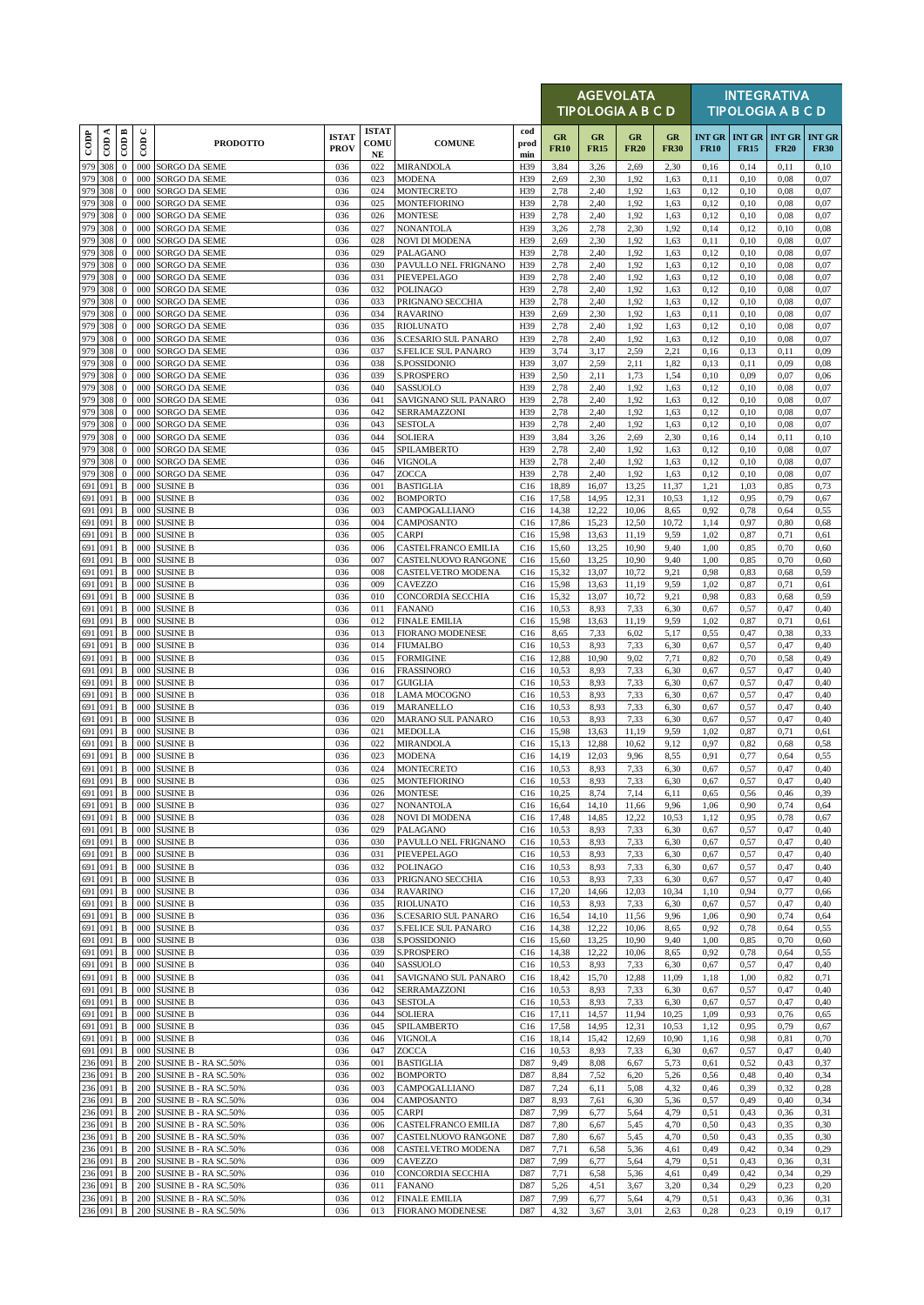|                          |         |                              |                      |                                                  |                             |                            |                                                  |                    |                   | <b>AGEVOLATA</b><br>TIPOLOGIA A B C D |                   |                   |              |                                     | <b>INTEGRATIVA</b><br><b>TIPOLOGIA A B C D</b> |                              |
|--------------------------|---------|------------------------------|----------------------|--------------------------------------------------|-----------------------------|----------------------------|--------------------------------------------------|--------------------|-------------------|---------------------------------------|-------------------|-------------------|--------------|-------------------------------------|------------------------------------------------|------------------------------|
| $\overline{\text{cone}}$ | ≺<br>දි | $\overline{CDB}$             | $\cup$<br>$\epsilon$ | <b>PRODOTTO</b>                                  | <b>ISTAT</b><br><b>PROV</b> | <b>ISTAT</b><br>COMU<br>NE | <b>COMUNE</b>                                    | cod<br>prod<br>min | GR<br><b>FR10</b> | GR<br><b>FR15</b>                     | GR<br><b>FR20</b> | GR<br><b>FR30</b> | <b>FR10</b>  | <b>INT GR INT GR</b><br><b>FR15</b> | <b>INT GR</b><br><b>FR20</b>                   | <b>INT GR</b><br><b>FR30</b> |
| 979 308<br>979           |         | $\mathbf{0}$                 | 000                  | SORGO DA SEME                                    | 036                         | 022                        | <b>MIRANDOLA</b>                                 | H39                | 3,84              | 3,26                                  | 2,69              | 2,30              | 0,16         | 0,14                                | 0,11                                           | 0,10                         |
| 979 308                  | 308     | $\mathbf{0}$<br>$\mathbf{0}$ | 000<br>000           | SORGO DA SEME<br>SORGO DA SEME                   | 036<br>036                  | 023<br>024                 | <b>MODENA</b><br><b>MONTECRETO</b>               | H39<br>H39         | 2,69<br>2,78      | 2,30<br>2,40                          | 1.92<br>1,92      | 1,63<br>1,63      | 0,11<br>0,12 | 0,10<br>0,10                        | 0,08<br>0,08                                   | 0,07<br>0,07                 |
| 979 308                  |         | $\mathbf{0}$                 | 000                  | SORGO DA SEME                                    | 036                         | 025                        | <b>MONTEFIORINO</b>                              | H39                | 2,78              | 2,40                                  | 1,92              | 1,63              | 0,12         | 0,10                                | 0,08                                           | 0,07                         |
| 979 308<br>979 308       |         | $\mathbf{0}$<br>$\mathbf{0}$ | 000<br>000           | SORGO DA SEME<br>SORGO DA SEME                   | 036<br>036                  | 026<br>027                 | <b>MONTESE</b><br><b>NONANTOLA</b>               | H39<br>H39         | 2,78<br>3,26      | 2,40<br>2,78                          | 1,92<br>2,30      | 1,63<br>1,92      | 0,12<br>0,14 | 0,10<br>0,12                        | 0,08<br>0,10                                   | 0,07<br>0.08                 |
| 979 308                  |         | $\mathbf{0}$                 | 000                  | SORGO DA SEME                                    | 036                         | 028                        | <b>NOVI DI MODENA</b>                            | H39                | 2,69              | 2,30                                  | 1,92              | 1,63              | 0,11         | 0,10                                | 0,08                                           | 0,07                         |
| 979 308<br>979 308       |         | $\mathbf{0}$<br>$\bf{0}$     | 000<br>000           | SORGO DA SEME<br>SORGO DA SEME                   | 036<br>036                  | 029<br>030                 | <b>PALAGANO</b><br>PAVULLO NEL FRIGNANO          | H39<br>H39         | 2,78<br>2,78      | 2,40<br>2,40                          | 1,92<br>1,92      | 1,63<br>1,63      | 0,12<br>0,12 | 0,10<br>0,10                        | 0,08<br>0,08                                   | 0,07<br>0,07                 |
| 979 308                  |         | $\mathbf{0}$                 | 000                  | SORGO DA SEME                                    | 036                         | 031                        | PIEVEPELAGO                                      | H39                | 2,78              | 2,40                                  | 1,92              | 1,63              | 0,12         | 0,10                                | 0,08                                           | 0,07                         |
| 979 308<br>979 308       |         | $\mathbf{0}$<br>$\bf{0}$     | 000<br>000           | SORGO DA SEME<br>SORGO DA SEME                   | 036<br>036                  | 032<br>033                 | <b>POLINAGO</b><br>PRIGNANO SECCHIA              | H39<br>H39         | 2,78<br>2,78      | 2,40<br>2,40                          | 1,92<br>1,92      | 1,63<br>1,63      | 0,12<br>0,12 | 0,10<br>0,10                        | 0,08<br>0,08                                   | 0,07<br>0,07                 |
| 979 308                  |         | $\mathbf{0}$                 | 000                  | SORGO DA SEME                                    | 036                         | 034                        | <b>RAVARINO</b>                                  | H39                | 2,69              | 2,30                                  | 1,92              | 1,63              | 0,11         | 0,10                                | 0,08                                           | 0,07                         |
| 979 308<br>979 308       |         | $\mathbf{0}$<br>$\mathbf{0}$ | 000<br>000           | SORGO DA SEME<br>SORGO DA SEME                   | 036<br>036                  | 035<br>036                 | <b>RIOLUNATO</b><br>S.CESARIO SUL PANARO         | H39<br>H39         | 2,78<br>2,78      | 2,40<br>2,40                          | 1,92<br>1,92      | 1,63<br>1,63      | 0,12<br>0,12 | 0,10<br>0,10                        | 0,08<br>0,08                                   | 0,07<br>0,07                 |
| 979 308                  |         | $\mathbf{0}$                 | 000                  | <b>SORGO DA SEME</b>                             | 036                         | 037                        | <b>S.FELICE SUL PANARO</b>                       | H39                | 3,74              | 3,17                                  | 2.59              | 2,21              | 0,16         | 0,13                                | 0,11                                           | 0,09                         |
| 979 308<br>979 308       |         | $\mathbf{0}$<br>$\mathbf{0}$ | 000<br>000           | SORGO DA SEME<br>SORGO DA SEME                   | 036<br>036                  | 038<br>039                 | S.POSSIDONIO<br>S.PROSPERO                       | H39<br>H39         | 3,07<br>2,50      | 2,59<br>2,11                          | 2,11<br>1,73      | 1,82<br>1,54      | 0.13<br>0,10 | 0,11<br>0,09                        | 0,09<br>0,07                                   | 0.08<br>0,06                 |
| 979 308                  |         | $\mathbf{0}$                 | 000                  | SORGO DA SEME                                    | 036                         | 040                        | SASSUOLO                                         | H39                | 2,78              | 2,40                                  | 1,92              | 1,63              | 0,12         | 0,10                                | 0,08                                           | 0,07                         |
| 979 308<br>979 308       |         | $\mathbf{0}$<br>$\mathbf{0}$ | 000<br>000           | <b>SORGO DA SEME</b><br>SORGO DA SEME            | 036<br>036                  | 041<br>042                 | SAVIGNANO SUL PANARO<br>SERRAMAZZONI             | H39<br>H39         | 2,78<br>2,78      | 2,40<br>2,40                          | 1.92<br>1,92      | 1,63<br>1,63      | 0,12<br>0,12 | 0,10<br>0,10                        | 0,08<br>0,08                                   | 0,07<br>0.07                 |
| 979 308                  |         | $\mathbf{0}$                 | 000                  | SORGO DA SEME                                    | 036                         | 043                        | <b>SESTOLA</b>                                   | H39                | 2,78              | 2,40                                  | 1,92              | 1,63              | 0,12         | 0,10                                | 0,08                                           | 0,07                         |
| 979 308                  |         | $\mathbf{0}$                 | 000                  | SORGO DA SEME                                    | 036                         | 044                        | <b>SOLIERA</b>                                   | H39                | 3,84              | 3,26                                  | 2,69              | 2,30              | 0,16         | 0,14                                | 0,11                                           | 0,10                         |
| 979 308<br>979 308       |         | $\mathbf{0}$<br>$\mathbf{0}$ | 000<br>000           | SORGO DA SEME<br>SORGO DA SEME                   | 036<br>036                  | 045<br>046                 | SPILAMBERTO<br>VIGNOLA                           | H39<br>H39         | 2,78<br>2,78      | 2,40<br>2,40                          | 1,92<br>1,92      | 1,63<br>1,63      | 0,12<br>0,12 | 0,10<br>0,10                        | 0,08<br>0,08                                   | 0,07<br>0,07                 |
| 979 308                  |         | $\mathbf{0}$                 | 000                  | SORGO DA SEME                                    | 036                         | 047                        | ZOCCA                                            | H39                | 2,78              | 2,40                                  | 1,92              | 1,63              | 0,12         | 0,10                                | 0,08                                           | 0,07                         |
| 691<br>691 091           | 091     | $\, {\bf B}$<br>$\, {\bf B}$ | 000<br>000           | <b>SUSINE B</b><br><b>SUSINE B</b>               | 036<br>036                  | 001<br>002                 | <b>BASTIGLIA</b><br><b>BOMPORTO</b>              | C16<br>C16         | 18,89<br>17,58    | 16,07<br>14,95                        | 13,25<br>12,31    | 11,37<br>10,53    | 1,21<br>1,12 | 1,03<br>0,95                        | 0,85<br>0,79                                   | 0,73<br>0,67                 |
| 691 091                  |         | $\, {\bf B}$                 | 000                  | <b>SUSINE B</b>                                  | 036                         | 003                        | CAMPOGALLIANO                                    | C16                | 14,38             | 12,22                                 | 10,06             | 8,65              | 0,92         | 0,78                                | 0,64                                           | 0,55                         |
| 691<br>691 091           | 091     | $\, {\bf B}$<br>B            | 000<br>000           | <b>SUSINE B</b><br><b>SUSINE B</b>               | 036<br>036                  | 004<br>005                 | CAMPOSANTO<br><b>CARPI</b>                       | C16<br>C16         | 17,86<br>15,98    | 15,23<br>13,63                        | 12,50<br>11,19    | 10,72<br>9,59     | 1,14<br>1,02 | 0,97<br>0,87                        | 0,80<br>0,71                                   | 0,68<br>0,61                 |
| 691 091                  |         | $\, {\bf B}$                 | 000                  | <b>SUSINE B</b>                                  | 036                         | 006                        | CASTELFRANCO EMILIA                              | C16                | 15,60             | 13,25                                 | 10,90             | 9,40              | 1,00         | 0,85                                | 0,70                                           | 0,60                         |
| 691 091<br>691 091       |         | $\, {\bf B}$<br>$\, {\bf B}$ | 000<br>000           | <b>SUSINE B</b><br><b>SUSINE B</b>               | 036<br>036                  | 007<br>008                 | CASTELNUOVO RANGONE<br><b>CASTELVETRO MODENA</b> | C16<br>C16         | 15,60<br>15,32    | 13,25<br>13,07                        | 10,90<br>10,72    | 9,40<br>9,21      | 1,00<br>0,98 | 0,85<br>0,83                        | 0,70<br>0,68                                   | 0,60<br>0,59                 |
| 691 091                  |         | $\, {\bf B}$                 | 000                  | <b>SUSINE B</b>                                  | 036                         | 009                        | CAVEZZO                                          | C16                | 15,98             | 13,63                                 | 11,19             | 9,59              | 1,02         | 0,87                                | 0,71                                           | 0.61                         |
| 691 091<br>691 091       |         | $\, {\bf B}$<br>B            | 000<br>000           | <b>SUSINE B</b><br><b>SUSINE B</b>               | 036<br>036                  | 010<br>011                 | CONCORDIA SECCHIA<br><b>FANANO</b>               | C16<br>C16         | 15,32<br>10,53    | 13,07<br>8,93                         | 10,72<br>7,33     | 9,21<br>6,30      | 0,98<br>0,67 | 0,83<br>0,57                        | 0,68<br>0,47                                   | 0,59<br>0,40                 |
| 691 091                  |         | B                            | 000                  | <b>SUSINE B</b>                                  | 036                         | 012                        | <b>FINALE EMILIA</b>                             | C16                | 15,98             | 13,63                                 | 11,19             | 9,59              | 1,02         | 0,87                                | 0,71                                           | 0,61                         |
| 691 091<br>691 091       |         | $\, {\bf B}$<br>$\, {\bf B}$ | 000<br>000           | <b>SUSINE B</b><br><b>SUSINE B</b>               | 036<br>036                  | 013                        | <b>FIORANO MODENESE</b>                          | C16                | 8,65              | 7,33<br>8,93                          | 6,02              | 5,17              | 0,55<br>0,67 | 0,47                                | 0,38                                           | 0,33<br>0,40                 |
| 691 091                  |         | $\, {\bf B}$                 | 000                  | <b>SUSINE B</b>                                  | 036                         | 014<br>015                 | <b>FIUMALBO</b><br><b>FORMIGINE</b>              | C16<br>C16         | 10,53<br>12,88    | 10,90                                 | 7,33<br>9,02      | 6,30<br>7,71      | 0.82         | 0,57<br>0,70                        | 0,47<br>0,58                                   | 0,49                         |
| 691 091                  |         | $\, {\bf B}$                 | 000                  | <b>SUSINE B</b>                                  | 036                         | 016                        | <b>FRASSINORO</b>                                | C16                | 10,53             | 8,93                                  | 7,33              | 6,30              | 0,67         | 0,57                                | 0,47                                           | 0,40                         |
| 691 091<br>691 091       |         | $\, {\bf B}$<br>$\, {\bf B}$ | 000<br>000           | <b>SUSINE B</b><br><b>SUSINE B</b>               | 036<br>036                  | 017<br>018                 | <b>GUIGLIA</b><br><b>LAMA MOCOGNO</b>            | C16<br>C16         | 10,53<br>10,53    | 8,93<br>8,93                          | 7,33<br>7,33      | 6,30<br>6,30      | 0,67<br>0,67 | 0,57<br>0,57                        | 0,47<br>0,47                                   | 0,40<br>0,40                 |
| 691 091                  |         | $\, {\bf B}$                 | 000                  | <b>SUSINE B</b>                                  | 036                         | 019                        | MARANELLO                                        | C16                | 10,53             | 8,93                                  | 7,33              | 6,30              | 0,67         | 0,57                                | 0,47                                           | 0,40                         |
| 691 091<br>691 091       |         | B<br>$\, {\bf B}$            | 000<br>000           | <b>SUSINE B</b><br><b>SUSINE B</b>               | 036<br>036                  | 020<br>021                 | MARANO SUL PANARO<br><b>MEDOLLA</b>              | C16<br>C16         | 10,53<br>15,98    | 8,93<br>13,63                         | 7,33<br>11,19     | 6,30<br>9,59      | 0,67<br>1,02 | 0,57<br>0,87                        | 0,47<br>0,71                                   | 0,40<br>0.61                 |
| 691 091                  |         | B                            | 000                  | <b>SUSINE B</b>                                  | 036                         | 022                        | <b>MIRANDOLA</b>                                 | C16                | 15,13             | 12,88                                 | 10,62             | 9,12              | 0,97         | 0,82                                | 0,68                                           | 0,58                         |
| 691 091<br>691 091       |         | $\, {\bf B}$<br>$\, {\bf B}$ | 000<br>000           | <b>SUSINE B</b><br><b>SUSINE B</b>               | 036<br>036                  | 023<br>024                 | <b>MODENA</b><br><b>MONTECRETO</b>               | C16<br>C16         | 14,19<br>10,53    | 12,03<br>8,93                         | 9,96<br>7,33      | 8,55<br>6,30      | 0,91<br>0,67 | 0,77<br>0,57                        | 0,64<br>0,47                                   | 0,55<br>0,40                 |
| 691 091                  |         | $\, {\bf B}$                 |                      | 000 SUSINE B                                     | 036                         | 025                        | <b>MONTEFIORINO</b>                              | C16                | 10,53             | 8,93                                  | 7,33              | 6,30              | 0,67         | 0,57                                | 0,47                                           | 0,40                         |
| 691 091<br>691 091       |         | $\, {\bf B}$<br>$\, {\bf B}$ | 000<br>000           | <b>SUSINE B</b><br><b>SUSINE B</b>               | 036<br>036                  | 026<br>027                 | <b>MONTESE</b><br><b>NONANTOLA</b>               | C16<br>C16         | 10,25<br>16,64    | 8,74<br>14,10                         | 7,14<br>11,66     | 6,11<br>9,96      | 0.65<br>1,06 | 0,56<br>0,90                        | 0,46<br>0,74                                   | 0,39<br>0,64                 |
| 691 091                  |         | $\, {\bf B}$                 | 000                  | <b>SUSINE B</b>                                  | 036                         | 028                        | <b>NOVI DI MODENA</b>                            | C16                | 17,48             | 14,85                                 | 12,22             | 10,53             | 1,12         | 0,95                                | 0,78                                           | 0,67                         |
| 691<br>691 091           | 091     | В<br>$\, {\bf B}$            | 000<br>000           | <b>SUSINE B</b><br><b>SUSINE B</b>               | 036<br>036                  | 029<br>030                 | PALAGANO<br>PAVULLO NEL FRIGNANO                 | C16<br>C16         | 10,53<br>10,53    | 8,93<br>8,93                          | 7,33<br>7,33      | 6,30<br>6,30      | 0,67<br>0,67 | 0,57<br>0,57                        | 0,47<br>0,47                                   | 0,40<br>0,40                 |
| 691 091                  |         | $\, {\bf B}$                 | 000                  | <b>SUSINE B</b>                                  | 036                         | 031                        | PIEVEPELAGO                                      | C16                | 10,53             | 8,93                                  | 7,33              | 6,30              | 0,67         | 0,57                                | 0,47                                           | 0,40                         |
| 691<br>691 091           | 091     | B<br>$\, {\bf B}$            | 000<br>000           | <b>SUSINE B</b><br><b>SUSINE B</b>               | 036<br>036                  | 032<br>033                 | POLINAGO<br>PRIGNANO SECCHIA                     | C16<br>C16         | 10,53<br>10,53    | 8,93<br>8,93                          | 7,33<br>7,33      | 6,30<br>6,30      | 0,67<br>0,67 | 0,57<br>0,57                        | 0,47<br>0,47                                   | 0,40<br>0,40                 |
| 691 091                  |         | B                            | 000                  | <b>SUSINE B</b>                                  | 036                         | 034                        | <b>RAVARINO</b>                                  | C16                | 17,20             | 14,66                                 | 12,03             | 10,34             | 1,10         | 0,94                                | 0,77                                           | 0,66                         |
| 691 091                  |         | $\, {\bf B}$                 | 000                  | <b>SUSINE B</b>                                  | 036                         | 035                        | <b>RIOLUNATO</b>                                 | C16                | 10,53             | 8,93                                  | 7,33              | 6,30              | 0,67         | 0,57                                | 0,47                                           | 0,40                         |
| 691 091<br>691 091       |         | B<br>B                       | 000<br>000           | <b>SUSINE B</b><br><b>SUSINE B</b>               | 036<br>036                  | 036<br>037                 | S.CESARIO SUL PANARO<br>S.FELICE SUL PANARO      | C16<br>C16         | 16,54<br>14,38    | 14,10<br>12,22                        | 11,56<br>10,06    | 9,96<br>8,65      | 1,06<br>0,92 | 0,90<br>0,78                        | 0,74<br>0,64                                   | 0,64<br>0,55                 |
| 691 091                  |         | $\, {\bf B}$                 | 000                  | <b>SUSINE B</b>                                  | 036                         | 038                        | S.POSSIDONIO                                     | C16                | 15,60             | 13,25                                 | 10,90             | 9,40              | 1,00         | 0,85                                | 0,70                                           | 0,60                         |
| 691 091<br>691 091       |         | B<br>B                       | 000<br>000           | <b>SUSINE B</b><br><b>SUSINE B</b>               | 036<br>036                  | 039<br>040                 | S.PROSPERO<br>SASSUOLO                           | C16<br>C16         | 14,38<br>10,53    | 12,22<br>8,93                         | 10,06<br>7,33     | 8,65<br>6,30      | 0,92<br>0,67 | 0,78<br>0,57                        | 0,64<br>0,47                                   | 0,55<br>0,40                 |
| 691 091                  |         | $\, {\bf B}$                 | 000                  | <b>SUSINE B</b>                                  | 036                         | 041                        | SAVIGNANO SUL PANARO                             | C16                | 18,42             | 15,70                                 | 12,88             | 11,09             | 1,18         | 1,00                                | 0,82                                           | 0,71                         |
| 691 091<br>691 091       |         | B<br>B                       | 000<br>000           | <b>SUSINE B</b><br><b>SUSINE B</b>               | 036<br>036                  | 042<br>043                 | SERRAMAZZONI<br><b>SESTOLA</b>                   | C16<br>C16         | 10,53<br>10,53    | 8,93<br>8,93                          | 7,33<br>7,33      | 6,30<br>6,30      | 0,67<br>0,67 | 0,57<br>0,57                        | 0,47<br>0,47                                   | 0,40<br>0,40                 |
| 691 091                  |         | $\, {\bf B}$                 | 000                  | <b>SUSINE B</b>                                  | 036                         | 044                        | <b>SOLIERA</b>                                   | C16                | 17,11             | 14,57                                 | 11,94             | 10,25             | 1,09         | 0,93                                | 0,76                                           | 0,65                         |
| 691 091<br>691 091       |         | B<br>В                       | 000<br>000           | <b>SUSINE B</b><br><b>SUSINE B</b>               | 036<br>036                  | 045<br>046                 | SPILAMBERTO<br>VIGNOLA                           | C16<br>C16         | 17,58<br>18,14    | 14,95<br>15,42                        | 12,31<br>12,69    | 10,53<br>10,90    | 1,12<br>1,16 | 0,95<br>0,98                        | 0,79<br>0,81                                   | 0,67<br>0,70                 |
| 691 091                  |         | B                            | 000                  | <b>SUSINE B</b>                                  | 036                         | 047                        | ZOCCA                                            | C16                | 10,53             | 8,93                                  | 7,33              | 6,30              | 0,67         | 0,57                                | 0,47                                           | 0,40                         |
| 236 091<br>236 091       |         | B<br>$\, {\bf B}$            | 200<br>200           | SUSINE B - RA SC.50%<br>SUSINE B - RA SC.50%     | 036<br>036                  | 001<br>002                 | <b>BASTIGLIA</b><br><b>BOMPORTO</b>              | D87<br>D87         | 9,49<br>8,84      | 8,08<br>7,52                          | 6,67<br>6,20      | 5,73<br>5,26      | 0.61<br>0,56 | 0,52<br>0,48                        | 0,43<br>0,40                                   | 0,37<br>0,34                 |
| 236 091                  |         | В                            | 200                  | SUSINE B - RA SC.50%                             | 036                         | 003                        | CAMPOGALLIANO                                    | D87                | 7,24              | 6,11                                  | 5,08              | 4,32              | 0,46         | 0.39                                | 0,32                                           | 0,28                         |
| 236 091                  |         | В                            | 200                  | SUSINE B - RA SC.50%                             | 036                         | 004                        | CAMPOSANTO                                       | D87                | 8,93              | 7,61                                  | 6,30              | 5,36              | 0,57         | 0,49                                | 0,40                                           | 0,34                         |
| 236 091<br>236 091       |         | B<br>В                       | 200<br>200           | SUSINE B - RA SC.50%<br>SUSINE B - RA SC.50%     | 036<br>036                  | 005<br>006                 | <b>CARPI</b><br>CASTELFRANCO EMILIA              | D87<br>D87         | 7,99<br>7,80      | 6,77<br>6,67                          | 5,64<br>5,45      | 4,79<br>4,70      | 0,51<br>0,50 | 0,43<br>0,43                        | 0,36<br>0,35                                   | 0,31<br>0,30                 |
| 236 091                  |         | В                            | 200                  | SUSINE B - RA SC.50%                             | 036                         | 007                        | CASTELNUOVO RANGONE                              | D87                | 7,80              | 6,67                                  | 5,45              | 4,70              | 0,50         | 0,43                                | 0,35                                           | 0,30                         |
| 236 091<br>236 091       |         | $\, {\bf B}$<br>$\, {\bf B}$ | 200<br>200           | SUSINE B - RA SC.50%<br>SUSINE B - RA SC.50%     | 036<br>036                  | 008<br>009                 | CASTELVETRO MODENA<br><b>CAVEZZO</b>             | D87<br>D87         | 7,71<br>7,99      | 6,58<br>6,77                          | 5,36<br>5,64      | 4,61<br>4,79      | 0,49<br>0.51 | 0,42<br>0,43                        | 0,34<br>0,36                                   | 0,29<br>0,31                 |
| 236 091                  |         | В                            | 200                  | SUSINE B - RA SC.50%                             | 036                         | 010                        | CONCORDIA SECCHIA                                | D87                | 7,71              | 6,58                                  | 5,36              | 4,61              | 0,49         | 0,42                                | 0,34                                           | 0,29                         |
| 236 091<br>236 091       |         | $\, {\bf B}$<br>B            | 200                  | SUSINE B - RA SC.50%<br>200 SUSINE B - RA SC.50% | 036<br>036                  | 011<br>012                 | <b>FANANO</b><br><b>FINALE EMILIA</b>            | D87<br>D87         | 5,26<br>7,99      | 4,51<br>6,77                          | 3,67<br>5,64      | 3,20<br>4,79      | 0,34<br>0,51 | 0,29<br>0,43                        | 0,23<br>0,36                                   | 0,20<br>0,31                 |
| 236 091                  |         | $\, {\bf B}$                 | 200                  | SUSINE B - RA SC.50%                             | 036                         | 013                        | <b>FIORANO MODENESE</b>                          | D87                | 4,32              | 3,67                                  | 3,01              | 2,63              | 0,28         | 0,23                                | 0,19                                           | 0,17                         |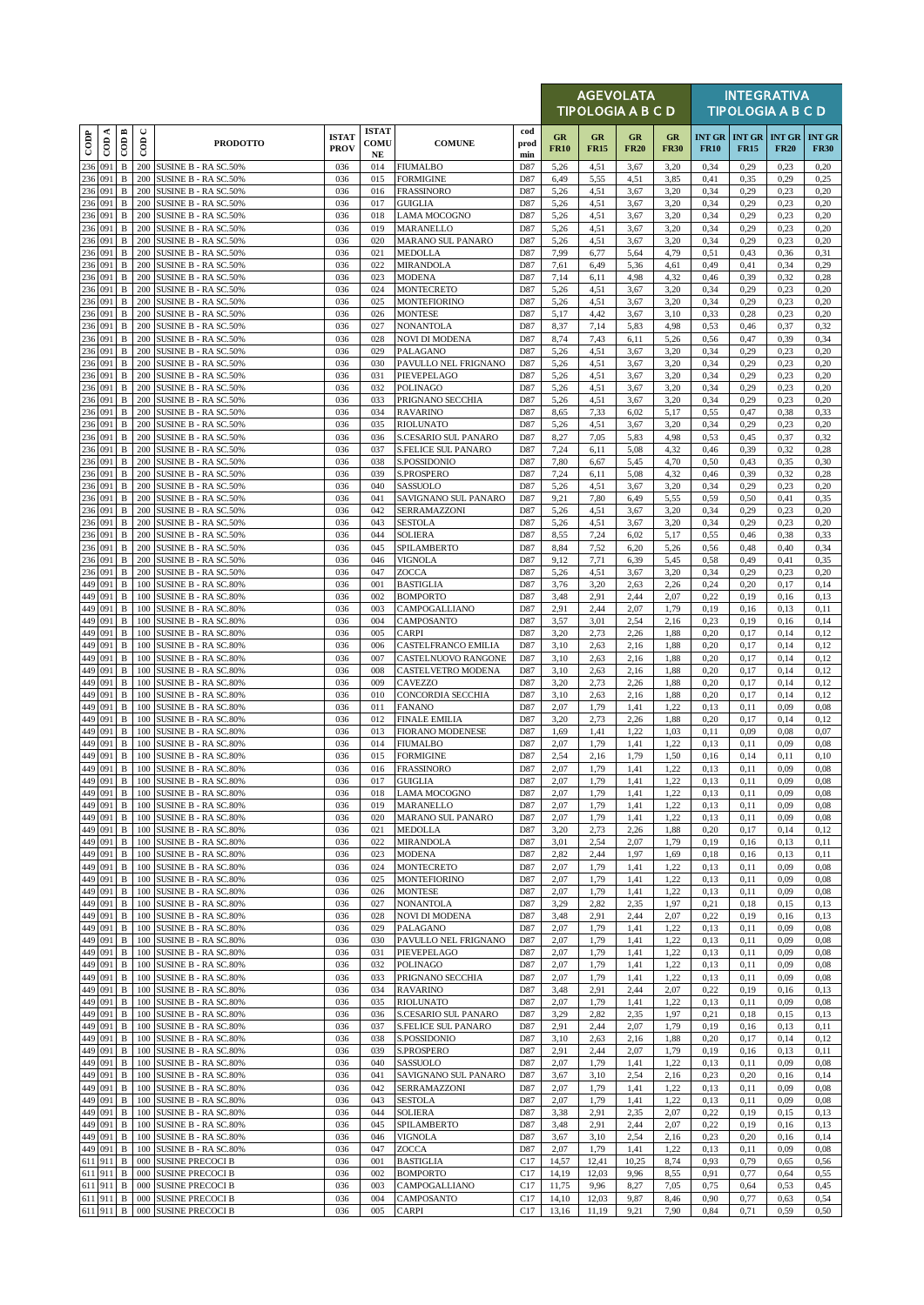|                   |                    |                              |               |                                                     |                             |                                  |                                            |                    |                   |                   | <b>AGEVOLATA</b><br><b>TIPOLOGIA A B C D</b> |                   |              |                                            | <b>INTEGRATIVA</b><br><b>TIPOLOGIA A B C D</b> |                              |
|-------------------|--------------------|------------------------------|---------------|-----------------------------------------------------|-----------------------------|----------------------------------|--------------------------------------------|--------------------|-------------------|-------------------|----------------------------------------------|-------------------|--------------|--------------------------------------------|------------------------------------------------|------------------------------|
| $\overline{1000}$ | CDA                | $\overline{\mathrm{COD}}$ B  | $\cup$<br>600 | <b>PRODOTTO</b>                                     | <b>ISTAT</b><br><b>PROV</b> | <b>ISTAT</b><br>COMU<br>$\bf NE$ | <b>COMUNE</b>                              | cod<br>prod<br>min | GR<br><b>FR10</b> | GR<br><b>FR15</b> | GR<br><b>FR20</b>                            | GR<br><b>FR30</b> | <b>FR10</b>  | <b>INT GR INT GR INT GR</b><br><b>FR15</b> | <b>FR20</b>                                    | <b>INT GR</b><br><b>FR30</b> |
| 236               | 091                | B                            | 200           | SUSINE B - RA SC.50%                                | 036                         | 014                              | <b>FIUMALBO</b>                            | D87                | 5,26              | 4,51              | 3,67                                         | 3,20              | 0,34         | 0,29                                       | 0,23                                           | 0,20                         |
| 236               | 091<br>236 091     | $\, {\bf B}$<br>$\, {\bf B}$ | 200<br>200    | <b>SUSINE B - RA SC.50%</b><br>SUSINE B - RA SC.50% | 036<br>036                  | 015<br>016                       | <b>FORMIGINE</b><br><b>FRASSINORO</b>      | D87<br>D87         | 6,49<br>5,26      | 5,55<br>4,51      | 4,51<br>3,67                                 | 3,85<br>3,20      | 0,41<br>0,34 | 0.35<br>0,29                               | 0,29<br>0,23                                   | 0,25<br>0,20                 |
|                   | 236 091            | $\, {\bf B}$                 | 200           | SUSINE B - RA SC.50%                                | 036                         | 017                              | <b>GUIGLIA</b>                             | D87                | 5,26              | 4,51              | 3,67                                         | 3,20              | 0,34         | 0,29                                       | 0,23                                           | 0,20                         |
| 236               | 091<br>236 091     | $\, {\bf B}$<br>$\, {\bf B}$ | 200<br>200    | SUSINE B - RA SC.50%<br>SUSINE B - RA SC.50%        | 036<br>036                  | 018<br>019                       | <b>LAMA MOCOGNO</b><br>MARANELLO           | D87<br>D87         | 5,26<br>5,26      | 4,51<br>4,51      | 3,67<br>3,67                                 | 3,20<br>3,20      | 0,34<br>0,34 | 0,29<br>0,29                               | 0,23<br>0,23                                   | 0,20<br>0,20                 |
| 236               | 091                | B                            | 200           | SUSINE B - RA SC.50%                                | 036                         | 020                              | <b>MARANO SUL PANARO</b>                   | D87                | 5,26              | 4,51              | 3,67                                         | 3,20              | 0,34         | 0,29                                       | 0,23                                           | 0,20                         |
| 236               | 091                | $\, {\bf B}$                 | 200           | SUSINE B - RA SC.50%                                | 036                         | 021                              | <b>MEDOLLA</b>                             | D87                | 7,99              | 6,77              | 5,64                                         | 4,79              | 0,51         | 0,43                                       | 0,36                                           | 0,31                         |
| 236               | 091<br>236 091     | $\, {\bf B}$<br>$\, {\bf B}$ | 200<br>200    | SUSINE B - RA SC.50%<br>SUSINE B - RA SC.50%        | 036<br>036                  | 022<br>023                       | <b>MIRANDOLA</b><br><b>MODENA</b>          | D87<br>D87         | 7,61<br>7,14      | 6,49<br>6,11      | 5,36<br>4,98                                 | 4,61<br>4,32      | 0,49<br>0,46 | 0,41<br>0,39                               | 0,34<br>0,32                                   | 0,29<br>0,28                 |
|                   | 236 091            | $\, {\bf B}$                 | 200           | <b>SUSINE B - RA SC.50%</b>                         | 036                         | 024                              | <b>MONTECRETO</b>                          | D87                | 5,26              | 4,51              | 3,67                                         | 3,20              | 0,34         | 0,29                                       | 0,23                                           | 0,20                         |
| 236               | 091                | B                            | 200           | SUSINE B - RA SC.50%                                | 036                         | 025                              | <b>MONTEFIORINO</b>                        | D87                | 5,26              | 4,51              | 3,67                                         | 3,20              | 0,34         | 0,29                                       | 0,23                                           | 0,20                         |
| 236               | 236 091<br>091     | $\, {\bf B}$<br>B            | 200<br>200    | SUSINE B - RA SC.50%<br>SUSINE B - RA SC.50%        | 036<br>036                  | 026<br>027                       | <b>MONTESE</b><br><b>NONANTOLA</b>         | D87<br>D87         | 5,17<br>8,37      | 4,42<br>7,14      | 3,67<br>5,83                                 | 3,10<br>4,98      | 0,33<br>0,53 | 0,28<br>0,46                               | 0,23<br>0,37                                   | 0,20<br>0,32                 |
| 236               | 091                | B                            | 200           | SUSINE B - RA SC.50%                                | 036                         | 028                              | <b>NOVI DI MODENA</b>                      | D87                | 8,74              | 7,43              | 6,11                                         | 5,26              | 0,56         | 0,47                                       | 0,39                                           | 0,34                         |
| 236               | 236 091            | $\, {\bf B}$                 | 200           | SUSINE B - RA SC.50%                                | 036<br>036                  | 029                              | PALAGANO                                   | D87                | 5,26              | 4,51              | 3,67                                         | 3,20              | 0,34         | 0,29                                       | 0,23                                           | 0,20                         |
|                   | 091<br>236 091     | $\, {\bf B}$<br>$\, {\bf B}$ | 200<br>200    | SUSINE B - RA SC.50%<br>SUSINE B - RA SC.50%        | 036                         | 030<br>031                       | PAVULLO NEL FRIGNANO<br>PIEVEPELAGO        | D87<br>D87         | 5,26<br>5,26      | 4,51<br>4,51      | 3,67<br>3,67                                 | 3,20<br>3,20      | 0,34<br>0,34 | 0,29<br>0,29                               | 0,23<br>0,23                                   | 0,20<br>0,20                 |
|                   | 236 091            | $\, {\bf B}$                 | 200           | SUSINE B - RA SC.50%                                | 036                         | 032                              | <b>POLINAGO</b>                            | D87                | 5,26              | 4,51              | 3,67                                         | 3,20              | 0,34         | 0,29                                       | 0,23                                           | 0,20                         |
| 236<br>236        | 091<br>091         | $\, {\bf B}$<br>B            | 200<br>200    | SUSINE B - RA SC.50%                                | 036<br>036                  | 033<br>034                       | PRIGNANO SECCHIA<br><b>RAVARINO</b>        | D87<br>D87         | 5,26<br>8,65      | 4,51<br>7,33      | 3,67<br>6,02                                 | 3,20<br>5,17      | 0,34<br>0,55 | 0,29<br>0,47                               | 0,23<br>0,38                                   | 0,20<br>0,33                 |
|                   | 236 091            | B                            | 200           | SUSINE B - RA SC.50%<br>SUSINE B - RA SC.50%        | 036                         | 035                              | <b>RIOLUNATO</b>                           | D87                | 5,26              | 4,51              | 3,67                                         | 3,20              | 0,34         | 0,29                                       | 0,23                                           | 0,20                         |
| 236               | 091                | $\, {\bf B}$                 | 200           | SUSINE B - RA SC.50%                                | 036                         | 036                              | S.CESARIO SUL PANARO                       | D87                | 8,27              | 7,05              | 5,83                                         | 4,98              | 0,53         | 0,45                                       | 0,37                                           | 0,32                         |
|                   | 236 091<br>236 091 | $\, {\bf B}$<br>$\, {\bf B}$ | 200<br>200    | SUSINE B - RA SC.50%<br>SUSINE B - RA SC.50%        | 036<br>036                  | 037<br>038                       | <b>S.FELICE SUL PANARO</b><br>S.POSSIDONIO | D87<br>D87         | 7,24<br>7,80      | 6,11<br>6,67      | 5,08<br>5,45                                 | 4,32<br>4,70      | 0,46<br>0,50 | 0,39<br>0,43                               | 0,32<br>0,35                                   | 0,28<br>0,30                 |
| 236               | 091                | $\, {\bf B}$                 | 200           | SUSINE B - RA SC.50%                                | 036                         | 039                              | S.PROSPERO                                 | D87                | 7,24              | 6,11              | 5,08                                         | 4,32              | 0,46         | 0,39                                       | 0,32                                           | 0,28                         |
| 236               | 091                | $\, {\bf B}$                 | 200           | SUSINE B - RA SC.50%                                | 036                         | 040                              | <b>SASSUOLO</b>                            | D87                | 5,26              | 4,51              | 3,67                                         | 3,20              | 0,34         | 0,29                                       | 0,23                                           | 0,20                         |
|                   | 236 091<br>236 091 | B<br>B                       | 200<br>200    | SUSINE B - RA SC.50%<br><b>SUSINE B - RA SC.50%</b> | 036<br>036                  | 041<br>042                       | SAVIGNANO SUL PANARO<br>SERRAMAZZONI       | D87<br>D87         | 9,21<br>5,26      | 7,80<br>4,51      | 6,49<br>3,67                                 | 5,55<br>3,20      | 0,59<br>0,34 | 0,50<br>0,29                               | 0,41<br>0,23                                   | 0,35<br>0,20                 |
| 236               | 091                | $\, {\bf B}$                 | 200           | SUSINE B - RA SC.50%                                | 036                         | 043                              | <b>SESTOLA</b>                             | D87                | 5,26              | 4,51              | 3,67                                         | 3,20              | 0,34         | 0,29                                       | 0,23                                           | 0,20                         |
| 236               | 091                | $\, {\bf B}$                 | 200           | SUSINE B - RA SC.50%                                | 036                         | 044                              | <b>SOLIERA</b>                             | D87                | 8,55              | 7,24              | 6,02                                         | 5,17              | 0,55         | 0,46                                       | 0,38                                           | 0,33                         |
| 236               | 236 091<br>091     | $\, {\bf B}$<br>$\, {\bf B}$ | 200<br>200    | SUSINE B - RA SC.50%<br>SUSINE B - RA SC.50%        | 036<br>036                  | 045<br>046                       | SPILAMBERTO<br><b>VIGNOLA</b>              | D87<br>D87         | 8,84<br>9,12      | 7,52<br>7,71      | 6,20<br>6,39                                 | 5,26<br>5,45      | 0,56<br>0,58 | 0,48<br>0,49                               | 0,40<br>0,41                                   | 0,34<br>0,35                 |
|                   | 236 091            | $\, {\bf B}$                 | 200           | SUSINE B - RA SC.50%                                | 036                         | 047                              | <b>ZOCCA</b>                               | D87                | 5,26              | 4,51              | 3,67                                         | 3,20              | 0,34         | 0,29                                       | 0,23                                           | 0,20                         |
| 449               | 091                | B                            | 100           | SUSINE B - RA SC.80%                                | 036                         | 001                              | <b>BASTIGLIA</b>                           | D87                | 3,76              | 3,20              | 2,63                                         | 2,26              | 0,24         | 0,20                                       | 0,17                                           | 0,14                         |
|                   | 449 091<br>449 091 | B<br>B                       | 100<br>100    | SUSINE B - RA SC.80%<br>SUSINE B - RA SC.80%        | 036<br>036                  | 002<br>003                       | <b>BOMPORTO</b><br>CAMPOGALLIANO           | D87<br>D87         | 3,48<br>2,91      | 2,91<br>2,44      | 2,44<br>2,07                                 | 2,07<br>1,79      | 0,22<br>0,19 | 0,19<br>0,16                               | 0,16<br>0,13                                   | 0,13<br>0,11                 |
|                   | 449 091            | $\, {\bf B}$                 | 100           | SUSINE B - RA SC.80%                                | 036                         | 004                              | CAMPOSANTO                                 | D87                | 3,57              | 3,01              | 2,54                                         | 2,16              | 0,23         | 0,19                                       | 0,16                                           | 0,14                         |
| 449               | 091                | B                            | 100           | SUSINE B - RA SC.80%                                | 036                         | 005                              | <b>CARPI</b>                               | D87                | 3,20              | 2,73              | 2,26                                         | 1,88              | 0,20         | 0,17                                       | 0,14                                           | 0,12                         |
|                   | 449 091<br>449 091 | B<br>$\, {\bf B}$            | 100<br>100    | SUSINE B - RA SC.80%<br>SUSINE B - RA SC.80%        | 036<br>036                  | 006<br>007                       | CASTELFRANCO EMILIA<br>CASTELNUOVO RANGONE | D87<br>D87         | 3,10<br>3,10      | 2,63<br>2,63      | 2,16<br>2,16                                 | 1,88<br>1,88      | 0,20<br>0,20 | 0,17<br>0,17                               | 0,14<br>0,14                                   | 0,12<br>0,12                 |
| 449               | 091                | B                            | 100           | SUSINE B - RA SC.80%                                | 036                         | 008                              | CASTELVETRO MODENA                         | D87                | 3,10              | 2,63              | 2,16                                         | 1,88              | 0,20         | 0,17                                       | 0,14                                           | 0,12                         |
|                   | 449 091            | B                            | 100           | SUSINE B - RA SC.80%                                | 036                         | 009                              | CAVEZZO                                    | D87                | 3,20              | 2,73              | 2,26                                         | 1,88              | 0,20         | 0,17                                       | 0,14                                           | 0,12                         |
| 449               | 449 091<br>091     | B<br>B                       | 100<br>100    | SUSINE B - RA SC.80%<br>SUSINE B - RA SC.80%        | 036<br>036                  | 010<br>011                       | CONCORDIA SECCHIA<br><b>FANANO</b>         | D87<br>D87         | 3,10<br>2,07      | 2,63<br>1,79      | 2,16<br>1,41                                 | 1,88<br>1,22      | 0,20<br>0,13 | 0,17<br>0,11                               | 0,14<br>0,09                                   | 0,12<br>0.08                 |
| 449               | 091                | $\, {\bf B}$                 | 100           | <b>SUSINE B - RA SC.80%</b>                         | 036                         | 012                              | <b>FINALE EMILIA</b>                       | D87                | 3,20              | 2,73              | 2,26                                         | 1,88              | 0,20         | 0,17                                       | 0,14                                           | 0,12                         |
| 449               | 449 091            | $\, {\bf B}$                 | 100           | SUSINE B - RA SC.80%                                | 036                         | 013                              | <b>FIORANO MODENESE</b>                    | D87                | 1,69              | 1,41              | 1,22                                         | 1,03              | 0,11         | 0,09                                       | 0,08                                           | 0,07                         |
| 449               | 091<br>091         | $\, {\bf B}$<br>$\, {\bf B}$ | 100<br>100    | SUSINE B - RA SC.80%<br>SUSINE B - RA SC.80%        | 036<br>036                  | 014<br>015                       | <b>FIUMALBO</b><br><b>FORMIGINE</b>        | D87<br>D87         | 2,07<br>2,54      | 1,79<br>2,16      | 1,41<br>1,79                                 | 1,22<br>1,50      | 0,13<br>0,16 | 0,11<br>0,14                               | 0,09<br>0,11                                   | 0,08<br>0.10                 |
|                   | 449 091            | $\, {\bf B}$                 | 100           | SUSINE B - RA SC.80%                                | 036                         | 016                              | <b>FRASSINORO</b>                          | D87                | 2,07              | 1,79              | 1,41                                         | 1,22              | 0,13         | 0,11                                       | 0,09                                           | 0.08                         |
|                   | 449 091<br>449 091 | $\, {\bf B}$<br>B            | 100           | 100 SUSINE B - RA SC.80%<br>SUSINE B - RA SC.80%    | 036<br>036                  | 017                              | <b>GUIGLIA</b>                             | D87<br>D87         | 2,07<br>2,07      | 1,79<br>1,79      | 1,41<br>1,41                                 | 1,22<br>1,22      | 0,13<br>0,13 | 0,11                                       | 0,09<br>0,09                                   | 0,08                         |
|                   | 449 091            | B                            | 100           | SUSINE B - RA SC.80%                                | 036                         | 018<br>019                       | <b>LAMA MOCOGNO</b><br>MARANELLO           | D87                | 2,07              | 1,79              | 1,41                                         | 1,22              | 0,13         | 0,11<br>0,11                               | 0,09                                           | 0.08<br>0.08                 |
|                   | 449 091            | B                            | 100           | <b>SUSINE B - RA SC.80%</b>                         | 036                         | 020                              | MARANO SUL PANARO                          | D87                | 2,07              | 1,79              | 1,41                                         | 1,22              | 0,13         | 0,11                                       | 0,09                                           | 0.08                         |
| 449               | 091<br>449 091     | B<br>B                       | 100<br>100    | SUSINE B - RA SC.80%<br>SUSINE B - RA SC.80%        | 036<br>036                  | 021<br>022                       | <b>MEDOLLA</b><br><b>MIRANDOLA</b>         | D87<br>D87         | 3,20<br>3,01      | 2,73<br>2,54      | 2,26<br>2,07                                 | 1,88<br>1,79      | 0,20<br>0,19 | 0,17<br>0,16                               | 0,14<br>0,13                                   | 0,12<br>0,11                 |
|                   | 449 091            | B                            | 100           | <b>SUSINE B - RA SC.80%</b>                         | 036                         | 023                              | <b>MODENA</b>                              | D87                | 2,82              | 2,44              | 1,97                                         | 1,69              | 0,18         | 0,16                                       | 0,13                                           | 0,11                         |
| 449               | 091                | B                            | 100           | SUSINE B - RA SC.80%                                | 036                         | 024                              | <b>MONTECRETO</b>                          | D87                | 2,07              | 1,79              | 1,41                                         | 1,22              | 0.13         | 0,11                                       | 0,09                                           | 0.08                         |
| 449               | 449 091<br>091     | B<br>B                       | 100<br>100    | SUSINE B - RA SC.80%<br><b>SUSINE B - RA SC.80%</b> | 036<br>036                  | 025<br>026                       | <b>MONTEFIORINO</b><br><b>MONTESE</b>      | D87<br>D87         | 2,07<br>2,07      | 1,79<br>1,79      | 1,41<br>1,41                                 | 1,22<br>1,22      | 0,13<br>0,13 | 0,11<br>0,11                               | 0,09<br>0,09                                   | 0,08<br>0.08                 |
| 449               | 091                | B                            | 100           | SUSINE B - RA SC.80%                                | 036                         | 027                              | <b>NONANTOLA</b>                           | D87                | 3,29              | 2,82              | 2,35                                         | 1,97              | 0.21         | 0,18                                       | 0,15                                           | 0,13                         |
| 449               | 091                | B                            | 100           | SUSINE B - RA SC.80%                                | 036                         | 028                              | <b>NOVI DI MODENA</b>                      | D87                | 3,48              | 2,91              | 2,44                                         | 2,07              | 0,22         | 0,19                                       | 0,16                                           | 0,13                         |
| 449<br>449        | 091<br>091         | $\, {\bf B}$<br>B            | 100<br>100    | SUSINE B - RA SC.80%<br>SUSINE B - RA SC.80%        | 036<br>036                  | 029<br>030                       | PALAGANO<br>PAVULLO NEL FRIGNANO           | D87<br>D87         | 2,07<br>2,07      | 1,79<br>1,79      | 1,41<br>1,41                                 | 1,22<br>1,22      | 0,13<br>0,13 | 0,11<br>0,11                               | 0,09<br>0,09                                   | 0.08<br>0.08                 |
|                   | 449 091            | B                            | 100           | SUSINE B - RA SC.80%                                | 036                         | 031                              | PIEVEPELAGO                                | D87                | 2,07              | 1,79              | 1,41                                         | 1,22              | 0,13         | 0,11                                       | 0,09                                           | 0,08                         |
|                   | 449 091            | B                            | 100           | SUSINE B - RA SC.80%                                | 036                         | 032                              | <b>POLINAGO</b>                            | D87                | 2,07              | 1,79              | 1,41                                         | 1,22              | 0,13         | 0,11                                       | 0,09                                           | 0.08                         |
| 449               | 091<br>449 091     | B<br>B                       | 100<br>100    | SUSINE B - RA SC.80%<br>SUSINE B - RA SC.80%        | 036<br>036                  | 033<br>034                       | PRIGNANO SECCHIA<br><b>RAVARINO</b>        | D87<br>D87         | 2,07<br>3,48      | 1,79<br>2,91      | 1,41<br>2,44                                 | 1,22<br>2,07      | 0.13<br>0,22 | 0,11<br>0,19                               | 0,09<br>0,16                                   | 0.08<br>0,13                 |
|                   | 449 091            | B                            | 100           | SUSINE B - RA SC.80%                                | 036                         | 035                              | <b>RIOLUNATO</b>                           | D87                | 2,07              | 1,79              | 1,41                                         | 1,22              | 0,13         | 0,11                                       | 0,09                                           | 0.08                         |
| 449               | 091                | $\, {\bf B}$                 | 100           | SUSINE B - RA SC.80%                                | 036                         | 036                              | S.CESARIO SUL PANARO                       | D87                | 3,29              | 2,82              | 2,35                                         | 1,97              | 0,21         | 0.18                                       | 0,15                                           | 0,13                         |
| 449<br>449        | 091<br>091         | B<br>B                       | 100<br>100    | SUSINE B - RA SC.80%<br>SUSINE B - RA SC.80%        | 036<br>036                  | 037<br>038                       | S.FELICE SUL PANARO<br>S.POSSIDONIO        | D87<br>D87         | 2,91<br>3,10      | 2,44<br>2,63      | 2,07<br>2,16                                 | 1,79<br>1,88      | 0,19<br>0,20 | 0,16<br>0,17                               | 0,13<br>0,14                                   | 0,11<br>0,12                 |
| 449               | 091                | $\, {\bf B}$                 | 100           | SUSINE B - RA SC.80%                                | 036                         | 039                              | <b>S.PROSPERO</b>                          | D87                | 2,91              | 2,44              | 2,07                                         | 1,79              | 0,19         | 0,16                                       | 0,13                                           | 0,11                         |
| 449               | 091                | B                            | 100           | SUSINE B - RA SC.80%                                | 036                         | 040                              | SASSUOLO                                   | D87                | 2,07              | 1,79              | 1,41                                         | 1,22              | 0,13         | 0,11                                       | 0,09                                           | 0,08                         |
| 449               | 449 091<br>091     | B<br>B                       | 100<br>100    | SUSINE B - RA SC.80%<br>SUSINE B - RA SC.80%        | 036<br>036                  | 041<br>042                       | SAVIGNANO SUL PANARO<br>SERRAMAZZONI       | D87<br>D87         | 3,67<br>2,07      | 3,10<br>1,79      | 2,54<br>1,41                                 | 2,16<br>1,22      | 0,23<br>0,13 | 0,20<br>0,11                               | 0,16<br>0,09                                   | 0,14<br>0,08                 |
| 449               | 091                | $\, {\bf B}$                 | 100           | SUSINE B - RA SC.80%                                | 036                         | 043                              | <b>SESTOLA</b>                             | D87                | 2,07              | 1,79              | 1,41                                         | 1,22              | 0,13         | 0,11                                       | 0,09                                           | 0,08                         |
|                   | 449 091            | $\, {\bf B}$                 | 100           | SUSINE B - RA SC.80%                                | 036                         | 044                              | <b>SOLIERA</b>                             | D87                | 3,38              | 2,91              | 2,35                                         | 2,07              | 0,22         | 0,19                                       | 0,15                                           | 0,13                         |
| 449<br>449        | 091<br>091         | $\, {\bf B}$<br>B            | 100<br>100    | <b>SUSINE B - RA SC.80%</b><br>SUSINE B - RA SC.80% | 036<br>036                  | 045<br>046                       | SPILAMBERTO<br><b>VIGNOLA</b>              | D87<br>D87         | 3,48<br>3,67      | 2,91<br>3,10      | 2,44<br>2,54                                 | 2,07<br>2,16      | 0,22<br>0,23 | 0,19<br>0,20                               | 0,16<br>0,16                                   | 0,13<br>0,14                 |
|                   | 449 091            | B                            | 100           | SUSINE B - RA SC.80%                                | 036                         | 047                              | ZOCCA                                      | D87                | 2,07              | 1,79              | 1,41                                         | 1,22              | 0,13         | 0,11                                       | 0,09                                           | 0,08                         |
|                   | 611 911            | B                            | 000           | <b>SUSINE PRECOCI B</b>                             | 036                         | 001                              | <b>BASTIGLIA</b>                           | C17                | 14,57             | 12,41             | 10,25                                        | 8,74              | 0,93         | 0,79                                       | 0,65                                           | 0,56                         |
|                   | 611 911<br>611 911 | B<br>$\, {\bf B}$            | 000<br>000    | <b>SUSINE PRECOCI B</b><br><b>SUSINE PRECOCI B</b>  | 036<br>036                  | 002<br>003                       | <b>BOMPORTO</b><br>CAMPOGALLIANO           | C17<br>C17         | 14,19<br>11,75    | 12,03<br>9,96     | 9,96<br>8,27                                 | 8,55<br>7,05      | 0.91<br>0,75 | 0,77<br>0,64                               | 0,64<br>0,53                                   | 0,55<br>0,45                 |
|                   | 611 911            | B                            | 000           | <b>SUSINE PRECOCI B</b>                             | 036                         | 004                              | CAMPOSANTO                                 | C17                | 14,10             | 12,03             | 9,87                                         | 8,46              | 0,90         | 0,77                                       | 0,63                                           | 0,54                         |
|                   | 611 911            | B                            |               | 000 SUSINE PRECOCI B                                | 036                         | 005                              | <b>CARPI</b>                               | C17                | 13,16             | 11,19             | 9,21                                         | 7,90              | 0,84         | 0,71                                       | 0,59                                           | 0,50                         |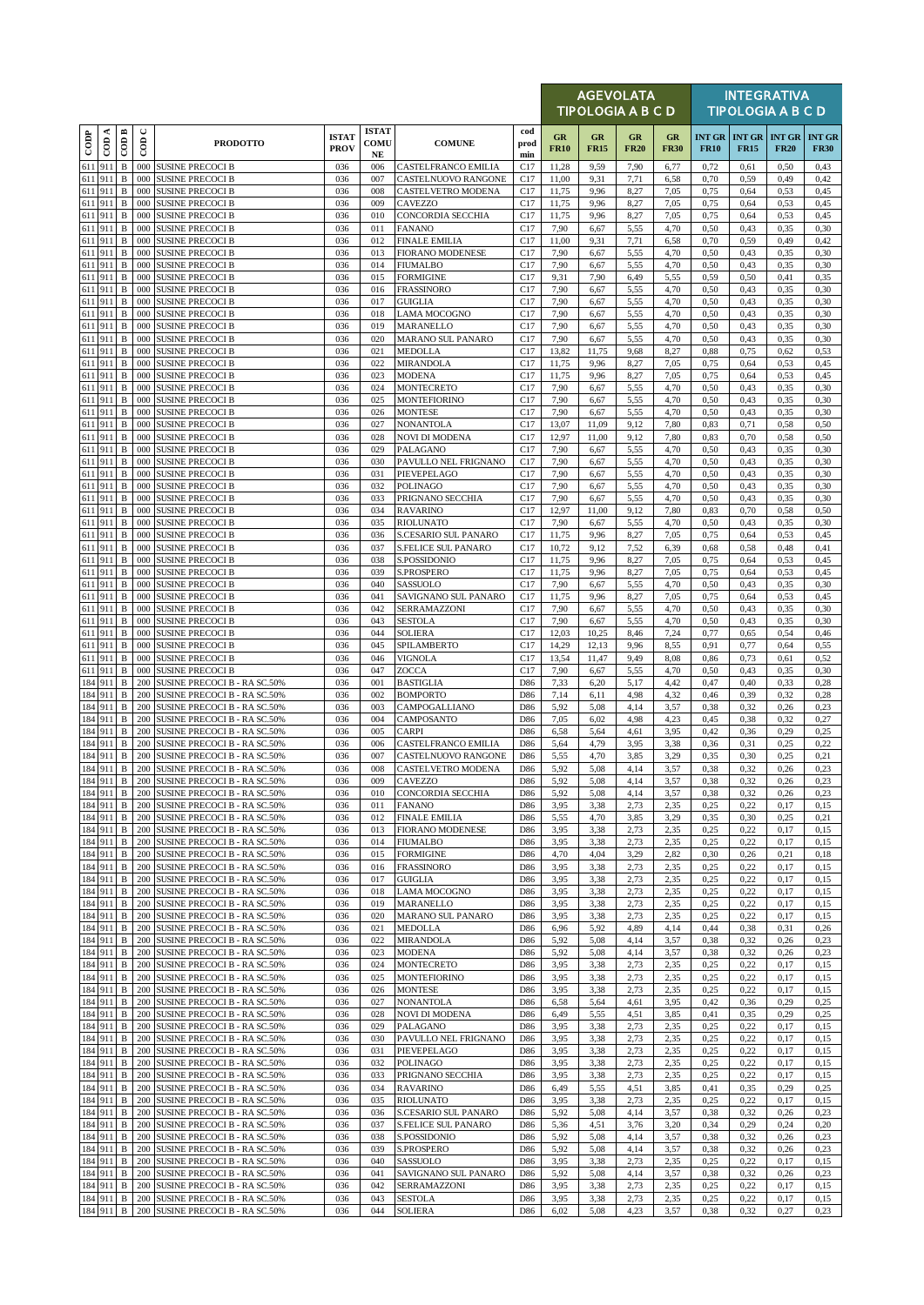|        |                             |                             |               |                                                                     |                             |                                     |                                                    |                        |                   | <b>AGEVOLATA</b><br><b>TIPOLOGIA A B C D</b> |                          |                   |              |              | <b>INTEGRATIVA</b><br><b>TIPOLOGIA A B C D</b> |                              |
|--------|-----------------------------|-----------------------------|---------------|---------------------------------------------------------------------|-----------------------------|-------------------------------------|----------------------------------------------------|------------------------|-------------------|----------------------------------------------|--------------------------|-------------------|--------------|--------------|------------------------------------------------|------------------------------|
| $\cos$ | $\overline{\mathrm{con}}$ A | COD B                       | $\cup$<br>600 | <b>PRODOTTO</b>                                                     | <b>ISTAT</b><br><b>PROV</b> | <b>ISTAT</b><br>COMU<br>$_{\rm NE}$ | <b>COMUNE</b>                                      | cod<br>prod<br>min     | GR<br><b>FR10</b> | GR<br><b>FR15</b>                            | <b>GR</b><br><b>FR20</b> | GR<br><b>FR30</b> | <b>FR10</b>  | <b>FR15</b>  | <b>INT GR   INT GR   INT GR</b><br><b>FR20</b> | <b>INT GR</b><br><b>FR30</b> |
|        | 611 911                     | $\, {\bf B}$                | 000           | <b>SUSINE PRECOCI B</b>                                             | 036                         | 006                                 | <b>CASTELFRANCO EMILIA</b>                         | C17                    | 11,28             | 9,59                                         | 7,90                     | 6,77              | 0,72         | 0,61         | 0,50                                           | 0,43                         |
|        | 611 911                     | $\, {\bf B}$                | 000           | <b>SUSINE PRECOCI B</b>                                             | 036                         | 007                                 | CASTELNUOVO RANGONE                                | C17                    | 11,00             | 9,31                                         | 7,71                     | 6,58              | 0,70         | 0,59         | 0,49                                           | 0,42                         |
|        | 611 911<br>611 911          | B<br>$\, {\bf B}$           | 000<br>000    | <b>SUSINE PRECOCI B</b><br><b>SUSINE PRECOCI B</b>                  | 036<br>036                  | 008<br>009                          | CASTELVETRO MODENA<br><b>CAVEZZO</b>               | C <sub>17</sub><br>C17 | 11,75<br>11,75    | 9,96<br>9,96                                 | 8,27<br>8,27             | 7,05<br>7,05      | 0,75<br>0,75 | 0.64<br>0.64 | 0,53<br>0,53                                   | 0,45<br>0,45                 |
|        | 611 911                     | B                           | 000           | <b>SUSINE PRECOCI B</b>                                             | 036                         | 010                                 | CONCORDIA SECCHIA                                  | C17                    | 11,75             | 9,96                                         | 8,27                     | 7,05              | 0,75         | 0,64         | 0,53                                           | 0,45                         |
|        | 611 911                     | B                           | 000           | <b>SUSINE PRECOCI B</b>                                             | 036                         | 011                                 | <b>FANANO</b>                                      | C17                    | 7,90              | 6,67                                         | 5,55                     | 4,70              | 0,50         | 0,43         | 0,35                                           | 0,30                         |
|        | 611 911<br>611 911          | $\, {\bf B}$<br>B           | 000<br>000    | <b>SUSINE PRECOCI B</b><br><b>SUSINE PRECOCI B</b>                  | 036<br>036                  | 012<br>013                          | <b>FINALE EMILIA</b><br><b>FIORANO MODENESE</b>    | C17<br>C17             | 11,00<br>7,90     | 9,31<br>6,67                                 | 7,71<br>5,55             | 6,58<br>4,70      | 0,70<br>0,50 | 0,59<br>0,43 | 0,49<br>0,35                                   | 0,42<br>0,30                 |
|        | 611 911                     | B                           | 000           | <b>SUSINE PRECOCI B</b>                                             | 036                         | 014                                 | <b>FIUMALBO</b>                                    | C17                    | 7,90              | 6,67                                         | 5,55                     | 4,70              | 0,50         | 0,43         | 0,35                                           | 0,30                         |
|        | 611 911                     | $\, {\bf B}$                | 000           | <b>SUSINE PRECOCI B</b>                                             | 036                         | 015                                 | <b>FORMIGINE</b>                                   | C17                    | 9,31              | 7,90                                         | 6,49                     | 5,55              | 0,59         | 0,50         | 0,41                                           | 0,35                         |
|        | 611 911<br>611 911          | B<br>B                      | 000<br>000    | <b>SUSINE PRECOCI B</b><br><b>SUSINE PRECOCI B</b>                  | 036<br>036                  | 016<br>017                          | <b>FRASSINORO</b><br><b>GUIGLIA</b>                | C17<br>C17             | 7,90<br>7,90      | 6,67<br>6,67                                 | 5,55<br>5,55             | 4,70<br>4,70      | 0,50<br>0,50 | 0,43<br>0,43 | 0,35<br>0,35                                   | 0,30<br>0,30                 |
|        | 611 911                     | B                           | 000           | <b>SUSINE PRECOCI B</b>                                             | 036                         | 018                                 | <b>LAMA MOCOGNO</b>                                | C17                    | 7,90              | 6,67                                         | 5,55                     | 4,70              | 0,50         | 0,43         | 0,35                                           | 0,30                         |
|        | 611 911<br>611 911          | $\, {\bf B}$                | 000<br>000    | <b>SUSINE PRECOCI B</b>                                             | 036                         | 019                                 | MARANELLO                                          | C17                    | 7,90              | 6,67                                         | 5,55                     | 4,70              | 0,50         | 0,43         | 0,35                                           | 0,30                         |
|        | 611 911                     | B<br>$\, {\bf B}$           | 000           | <b>SUSINE PRECOCI B</b><br><b>SUSINE PRECOCI B</b>                  | 036<br>036                  | 020<br>021                          | MARANO SUL PANARO<br><b>MEDOLLA</b>                | C17<br>C17             | 7,90<br>13,82     | 6,67<br>11,75                                | 5,55<br>9,68             | 4,70<br>8,27      | 0,50<br>0,88 | 0,43<br>0,75 | 0,35<br>0,62                                   | 0,30<br>0,53                 |
|        | 611 911                     | $\, {\bf B}$                | 000           | <b>SUSINE PRECOCI B</b>                                             | 036                         | 022                                 | <b>MIRANDOLA</b>                                   | C17                    | 11,75             | 9,96                                         | 8,27                     | 7,05              | 0,75         | 0.64         | 0,53                                           | 0,45                         |
|        | 611 911                     | B                           | 000           | <b>SUSINE PRECOCI B</b>                                             | 036                         | 023                                 | <b>MODENA</b>                                      | C17                    | 11,75             | 9,96                                         | 8,27                     | 7,05              | 0,75         | 0.64         | 0,53                                           | 0,45                         |
|        | 611 911<br>611 911          | $\, {\bf B}$<br>B           | 000<br>000    | <b>SUSINE PRECOCI B</b><br><b>SUSINE PRECOCI B</b>                  | 036<br>036                  | 024<br>025                          | <b>MONTECRETO</b><br><b>MONTEFIORINO</b>           | C17<br>C17             | 7,90<br>7,90      | 6,67<br>6,67                                 | 5,55<br>5,55             | 4,70<br>4,70      | 0,50<br>0,50 | 0,43<br>0,43 | 0,35<br>0,35                                   | 0,30<br>0,30                 |
|        | 611 911                     | $\, {\bf B}$                | 000           | <b>SUSINE PRECOCI B</b>                                             | 036                         | 026                                 | <b>MONTESE</b>                                     | C17                    | 7,90              | 6,67                                         | 5,55                     | 4,70              | 0,50         | 0,43         | 0,35                                           | 0,30                         |
|        | 611 911                     | B                           | 000           | <b>SUSINE PRECOCI B</b>                                             | 036                         | 027                                 | <b>NONANTOLA</b>                                   | C17                    | 13,07             | 11,09                                        | 9,12                     | 7,80              | 0,83         | 0,71         | 0,58                                           | 0,50                         |
|        | 611 911<br>611 911          | B<br>$\, {\bf B}$           | 000<br>000    | <b>SUSINE PRECOCI B</b><br><b>SUSINE PRECOCI B</b>                  | 036<br>036                  | 028<br>029                          | <b>NOVI DI MODENA</b><br>PALAGANO                  | C17<br>C17             | 12,97<br>7,90     | 11,00<br>6,67                                | 9,12<br>5,55             | 7,80<br>4,70      | 0,83<br>0,50 | 0,70<br>0,43 | 0,58<br>0,35                                   | 0,50<br>0,30                 |
|        | 611 911                     | $\, {\bf B}$                | 000           | <b>SUSINE PRECOCI B</b>                                             | 036                         | 030                                 | PAVULLO NEL FRIGNANO                               | C17                    | 7,90              | 6,67                                         | 5,55                     | 4,70              | 0,50         | 0,43         | 0,35                                           | 0,30                         |
|        | 611 911                     | B                           | 000           | <b>SUSINE PRECOCI B</b>                                             | 036                         | 031                                 | PIEVEPELAGO                                        | C17                    | 7,90              | 6,67                                         | 5,55                     | 4,70              | 0,50         | 0,43         | 0,35                                           | 0,30                         |
|        | 611 911<br>611 911          | B<br>B                      | 000<br>000    | <b>SUSINE PRECOCI B</b><br><b>SUSINE PRECOCI B</b>                  | 036<br>036                  | 032<br>033                          | <b>POLINAGO</b><br>PRIGNANO SECCHIA                | C17<br>C17             | 7,90<br>7,90      | 6,67<br>6,67                                 | 5,55<br>5,55             | 4,70<br>4,70      | 0,50<br>0,50 | 0,43<br>0,43 | 0,35<br>0,35                                   | 0,30<br>0,30                 |
|        | 611 911                     | B                           | 000           | <b>SUSINE PRECOCI B</b>                                             | 036                         | 034                                 | <b>RAVARINO</b>                                    | C17                    | 12,97             | 11,00                                        | 9,12                     | 7,80              | 0,83         | 0,70         | 0,58                                           | 0,50                         |
|        | 611 911                     | B                           | 000           | <b>SUSINE PRECOCI B</b>                                             | 036                         | 035                                 | <b>RIOLUNATO</b>                                   | C17                    | 7,90              | 6,67                                         | 5,55                     | 4,70              | 0,50         | 0,43         | 0,35                                           | 0,30                         |
|        | 611 911<br>611 911          | B<br>$\, {\bf B}$           | 000<br>000    | <b>SUSINE PRECOCI B</b><br><b>SUSINE PRECOCI B</b>                  | 036<br>036                  | 036<br>037                          | S.CESARIO SUL PANARO<br><b>S.FELICE SUL PANARO</b> | C <sub>17</sub><br>C17 | 11,75<br>10,72    | 9,96<br>9,12                                 | 8,27<br>7,52             | 7,05<br>6,39      | 0,75<br>0,68 | 0.64<br>0,58 | 0,53<br>0,48                                   | 0,45<br>0,41                 |
|        | 611 911                     | $\, {\bf B}$                | 000           | <b>SUSINE PRECOCI B</b>                                             | 036                         | 038                                 | S.POSSIDONIO                                       | C17                    | 11,75             | 9,96                                         | 8,27                     | 7,05              | 0,75         | 0,64         | 0,53                                           | 0,45                         |
|        | 611 911                     | B                           | 000           | <b>SUSINE PRECOCI B</b>                                             | 036                         | 039                                 | S.PROSPERO                                         | C17                    | 11,75             | 9,96                                         | 8,27                     | 7,05              | 0,75         | 0,64         | 0,53                                           | 0,45                         |
|        | 611 911<br>611 911          | $\, {\bf B}$<br>B           | 000<br>000    | <b>SUSINE PRECOCI B</b>                                             | 036<br>036                  | 040<br>041                          | SASSUOLO                                           | C17<br>C17             | 7,90              | 6,67<br>9,96                                 | 5,55<br>8,27             | 4,70              | 0,50         | 0,43<br>0,64 | 0,35<br>0,53                                   | 0,30<br>0,45                 |
|        | 611 911                     | B                           | 000           | <b>SUSINE PRECOCI B</b><br><b>SUSINE PRECOCI B</b>                  | 036                         | 042                                 | SAVIGNANO SUL PANARO<br>SERRAMAZZONI               | C17                    | 11,75<br>7,90     | 6,67                                         | 5,55                     | 7,05<br>4,70      | 0,75<br>0,50 | 0,43         | 0,35                                           | 0,30                         |
|        | 611 911                     | B                           | 000           | <b>SUSINE PRECOCI B</b>                                             | 036                         | 043                                 | <b>SESTOLA</b>                                     | C17                    | 7,90              | 6,67                                         | 5,55                     | 4,70              | 0,50         | 0,43         | 0,35                                           | 0,30                         |
|        | 611 911                     | $\, {\bf B}$                | 000           | <b>SUSINE PRECOCI B</b>                                             | 036                         | 044                                 | <b>SOLIERA</b>                                     | C17                    | 12,03             | 10,25                                        | 8,46                     | 7,24              | 0,77         | 0,65         | 0,54                                           | 0,46                         |
|        | 611 911<br>611 911          | B<br>$\, {\bf B}$           | 000<br>000    | <b>SUSINE PRECOCI B</b><br><b>SUSINE PRECOCI B</b>                  | 036<br>036                  | 045<br>046                          | SPILAMBERTO<br><b>VIGNOLA</b>                      | C17<br>C17             | 14,29<br>13,54    | 12,13<br>11,47                               | 9,96<br>9,49             | 8,55<br>8,08      | 0.91<br>0,86 | 0,77<br>0,73 | 0,64<br>0,61                                   | 0,55<br>0,52                 |
|        | 611 911                     | $\, {\bf B}$                | 000           | <b>SUSINE PRECOCI B</b>                                             | 036                         | 047                                 | ZOCCA                                              | C17                    | 7,90              | 6,67                                         | 5,55                     | 4,70              | 0,50         | 0,43         | 0,35                                           | 0,30                         |
|        | 184 911                     | B                           | 200           | SUSINE PRECOCI B - RA SC.50%                                        | 036                         | 001                                 | <b>BASTIGLIA</b>                                   | D86                    | 7,33              | 6,20                                         | 5,17                     | 4,42              | 0,47         | 0,40         | 0,33                                           | 0,28                         |
|        | 184 911<br>184 911          | $\, {\bf B}$<br>B           | 200<br>200    | SUSINE PRECOCI B - RA SC.50%<br>SUSINE PRECOCI B - RA SC.50%        | 036<br>036                  | 002<br>003                          | <b>BOMPORTO</b><br>CAMPOGALLIANO                   | D86<br>D86             | 7,14<br>5,92      | 6,11<br>5,08                                 | 4,98<br>4,14             | 4,32<br>3,57      | 0,46<br>0,38 | 0,39<br>0,32 | 0,32<br>0,26                                   | 0,28<br>0,23                 |
|        | 184 911                     | B                           | 200           | SUSINE PRECOCI B - RA SC.50%                                        | 036                         | 004                                 | CAMPOSANTO                                         | D86                    | 7,05              | 6,02                                         | 4,98                     | 4,23              | 0,45         | 0,38         | 0,32                                           | 0,27                         |
|        | 184 911                     | $\, {\bf B}$                | 200           | SUSINE PRECOCI B - RA SC.50%                                        | 036                         | 005                                 | <b>CARPI</b>                                       | D86                    | 6,58              | 5,64                                         | 4,61                     | 3,95              | 0,42         | 0,36         | 0,29                                           | 0,25                         |
|        | 184 911<br>184 911          | B<br>$\, {\bf B}$           | 200<br>200    | SUSINE PRECOCI B - RA SC.50%<br>SUSINE PRECOCI B - RA SC.50%        | 036<br>036                  | 006<br>007                          | <b>CASTELFRANCO EMILIA</b><br>CASTELNUOVO RANGONE  | D86<br>D86             | 5,64<br>5,55      | 4,79<br>4,70                                 | 3,95<br>3,85             | 3,38<br>3,29      | 0,36<br>0,35 | 0.31<br>0,30 | 0,25<br>0,25                                   | 0,22<br>0,21                 |
|        | 184 911                     | B                           | 200           | SUSINE PRECOCI B - RA SC.50%                                        | 036                         | 008                                 | CASTELVETRO MODENA                                 | D86                    | 5,92              | 5,08                                         | 4,14                     | 3,57              | 0,38         | 0,32         | 0,26                                           | 0,23                         |
|        |                             |                             |               | 184 911 B 200 SUSINE PRECOCI B - RA SC.50%                          | 036                         | 009                                 | CAVEZZO                                            | D86                    | 5,92              | 5,08                                         | 4,14                     | 3,57              | 0,38         | 0,32         | 0,26                                           | 0,23                         |
|        | 184 911<br>184 911          | $\mathbf B$<br>$\, {\bf B}$ | 200<br>200    | SUSINE PRECOCI B - RA SC.50%<br>SUSINE PRECOCI B - RA SC.50%        | 036<br>036                  | 010<br>011                          | CONCORDIA SECCHIA<br><b>FANANO</b>                 | D86<br>D86             | 5,92<br>3,95      | 5,08<br>3,38                                 | 4,14<br>2,73             | 3,57<br>2,35      | 0,38<br>0,25 | 0,32<br>0,22 | 0,26<br>0,17                                   | 0,23<br>0,15                 |
|        | 184 911                     | $\mathbf{B}$                |               | 200 SUSINE PRECOCI B - RA SC.50%                                    | 036                         | 012                                 | <b>FINALE EMILIA</b>                               | D86                    | 5,55              | 4,70                                         | 3,85                     | 3,29              | 0,35         | 0,30         | 0,25                                           | 0,21                         |
|        | 184 911                     | B                           |               | 200 SUSINE PRECOCI B - RA SC.50%                                    | 036                         | 013                                 | <b>FIORANO MODENESE</b>                            | D86                    | 3,95              | 3,38                                         | 2,73                     | 2,35              | 0,25         | 0,22         | 0,17                                           | 0,15                         |
|        | 184 911<br>184 911 B        | B                           | 200<br>200    | <b>SUSINE PRECOCI B - RA SC.50%</b><br>SUSINE PRECOCI B - RA SC.50% | 036<br>036                  | 014<br>015                          | <b>FIUMALBO</b><br><b>FORMIGINE</b>                | D86<br>D86             | 3,95<br>4,70      | 3,38<br>4,04                                 | 2,73<br>3,29             | 2,35<br>2,82      | 0,25<br>0,30 | 0,22<br>0,26 | 0,17<br>0,21                                   | 0,15<br>0,18                 |
|        | 184 911                     | B                           | 200           | SUSINE PRECOCI B - RA SC.50%                                        | 036                         | 016                                 | <b>FRASSINORO</b>                                  | D86                    | 3,95              | 3,38                                         | 2,73                     | 2,35              | 0,25         | 0,22         | 0,17                                           | 0,15                         |
|        | 184 911                     | B                           | 200<br>200    | SUSINE PRECOCI B - RA SC.50%<br><b>SUSINE PRECOCI B - RA SC.50%</b> | 036<br>036                  | 017                                 | <b>GUIGLIA</b>                                     | D86                    | 3,95              | 3,38                                         | 2,73                     | 2,35              | 0,25         | 0,22         | 0,17                                           | 0,15                         |
|        | 184 911<br>184 911          | B<br>B                      | 200           | SUSINE PRECOCI B - RA SC.50%                                        | 036                         | 018<br>019                          | LAMA MOCOGNO<br>MARANELLO                          | D86<br>D86             | 3,95<br>3,95      | 3,38<br>3,38                                 | 2,73<br>2,73             | 2,35<br>2,35      | 0,25<br>0,25 | 0,22<br>0,22 | 0,17<br>0,17                                   | 0,15<br>0,15                 |
|        | 184 911                     | B                           | 200           | SUSINE PRECOCI B - RA SC.50%                                        | 036                         | 020                                 | <b>MARANO SUL PANARO</b>                           | D86                    | 3,95              | 3,38                                         | 2,73                     | 2,35              | 0,25         | 0,22         | 0,17                                           | 0,15                         |
|        | 184 911                     | B                           | 200           | SUSINE PRECOCI B - RA SC.50%                                        | 036                         | 021                                 | <b>MEDOLLA</b>                                     | D86                    | 6,96              | 5,92                                         | 4,89                     | 4,14              | 0,44         | 0,38         | 0,31                                           | 0,26                         |
|        | 184 911<br>184 911          | B<br>B                      | 200<br>200    | SUSINE PRECOCI B - RA SC.50%<br>SUSINE PRECOCI B - RA SC.50%        | 036<br>036                  | 022<br>023                          | <b>MIRANDOLA</b><br><b>MODENA</b>                  | D86<br>D86             | 5,92<br>5,92      | 5,08<br>5,08                                 | 4,14<br>4,14             | 3,57<br>3,57      | 0,38<br>0,38 | 0,32<br>0,32 | 0,26<br>0,26                                   | 0,23<br>0,23                 |
|        | 184 911                     | B                           | 200           | SUSINE PRECOCI B - RA SC.50%                                        | 036                         | 024                                 | <b>MONTECRETO</b>                                  | D86                    | 3,95              | 3,38                                         | 2,73                     | 2,35              | 0,25         | 0,22         | 0,17                                           | 0,15                         |
|        | 184 911                     | B                           | 200           | SUSINE PRECOCI B - RA SC.50%                                        | 036                         | 025                                 | <b>MONTEFIORINO</b>                                | D86                    | 3,95              | 3,38                                         | 2,73                     | 2,35              | 0,25         | 0,22         | 0,17                                           | 0,15                         |
|        | 184 911<br>184 911          | $\mathbf B$<br>B            | 200<br>200    | SUSINE PRECOCI B - RA SC.50%<br>SUSINE PRECOCI B - RA SC.50%        | 036<br>036                  | 026<br>027                          | <b>MONTESE</b><br><b>NONANTOLA</b>                 | D86<br>D86             | 3,95<br>6,58      | 3,38<br>5,64                                 | 2,73<br>4,61             | 2,35<br>3,95      | 0,25<br>0,42 | 0,22<br>0,36 | 0,17<br>0,29                                   | 0,15<br>0,25                 |
|        | 184 911                     | B                           | 200           | SUSINE PRECOCI B - RA SC.50%                                        | 036                         | 028                                 | <b>NOVI DI MODENA</b>                              | D86                    | 6,49              | 5,55                                         | 4,51                     | 3,85              | 0,41         | 0,35         | 0,29                                           | 0,25                         |
|        | 184 911                     | B                           | 200           | SUSINE PRECOCI B - RA SC.50%                                        | 036                         | 029                                 | PALAGANO                                           | D86                    | 3,95              | 3,38                                         | 2,73                     | 2,35              | 0,25         | 0,22         | 0,17                                           | 0,15                         |
|        | 184 911<br>184 911          | $\mathbf B$<br>B            | 200<br>200    | SUSINE PRECOCI B - RA SC.50%<br>SUSINE PRECOCI B - RA SC.50%        | 036<br>036                  | 030<br>031                          | PAVULLO NEL FRIGNANO<br>PIEVEPELAGO                | D86<br>D86             | 3,95<br>3,95      | 3,38<br>3,38                                 | 2,73<br>2,73             | 2,35<br>2,35      | 0,25<br>0,25 | 0,22<br>0,22 | 0,17<br>0,17                                   | 0,15<br>0,15                 |
|        | 184 911                     | B                           | 200           | SUSINE PRECOCI B - RA SC.50%                                        | 036                         | 032                                 | <b>POLINAGO</b>                                    | D86                    | 3,95              | 3,38                                         | 2,73                     | 2,35              | 0,25         | 0,22         | 0,17                                           | 0,15                         |
|        | 184 911                     | B                           | 200           | SUSINE PRECOCI B - RA SC.50%                                        | 036                         | 033                                 | PRIGNANO SECCHIA                                   | D86                    | 3,95              | 3,38                                         | 2,73                     | 2,35              | 0,25         | 0,22         | 0,17                                           | 0,15                         |
|        | 184 911                     | B                           | 200           | SUSINE PRECOCI B - RA SC.50%                                        | 036                         | 034                                 | <b>RAVARINO</b>                                    | D86                    | 6,49              | 5,55                                         | 4,51                     | 3,85              | 0,41         | 0,35         | 0,29                                           | 0,25                         |
|        | 184 911<br>184 911          | B<br>B                      | 200<br>200    | SUSINE PRECOCI B - RA SC.50%<br>SUSINE PRECOCI B - RA SC.50%        | 036<br>036                  | 035<br>036                          | <b>RIOLUNATO</b><br>S.CESARIO SUL PANARO           | D86<br>D86             | 3,95<br>5,92      | 3,38<br>5,08                                 | 2,73<br>4,14             | 2,35<br>3,57      | 0.25<br>0,38 | 0,22<br>0,32 | 0,17<br>0,26                                   | 0,15<br>0,23                 |
|        | 184 911                     | B                           | 200           | SUSINE PRECOCI B - RA SC.50%                                        | 036                         | 037                                 | <b>S.FELICE SUL PANARO</b>                         | D86                    | 5,36              | 4,51                                         | 3,76                     | 3,20              | 0,34         | 0,29         | 0,24                                           | 0,20                         |
|        | 184 911                     | B                           | 200           | SUSINE PRECOCI B - RA SC.50%                                        | 036                         | 038                                 | S.POSSIDONIO                                       | D86                    | 5,92              | 5,08                                         | 4,14                     | 3,57              | 0,38         | 0,32         | 0,26                                           | 0,23                         |
|        | 184 911<br>184 911          | B<br>$\mathbf B$            | 200<br>200    | SUSINE PRECOCI B - RA SC.50%<br>SUSINE PRECOCI B - RA SC.50%        | 036<br>036                  | 039<br>040                          | S.PROSPERO<br><b>SASSUOLO</b>                      | D86<br>D86             | 5,92<br>3,95      | 5,08<br>3,38                                 | 4,14<br>2,73             | 3,57<br>2,35      | 0,38<br>0,25 | 0,32<br>0,22 | 0,26<br>0,17                                   | 0,23<br>0,15                 |
|        | 184 911                     | B                           | 200           | SUSINE PRECOCI B - RA SC.50%                                        | 036                         | 041                                 | SAVIGNANO SUL PANARO                               | D86                    | 5,92              | 5,08                                         | 4,14                     | 3,57              | 0,38         | 0,32         | 0,26                                           | 0,23                         |
|        | 184 911                     | B                           | 200           | SUSINE PRECOCI B - RA SC.50%                                        | 036                         | 042                                 | SERRAMAZZONI                                       | D86                    | 3,95              | 3,38                                         | 2,73                     | 2,35              | 0,25         | 0,22         | 0,17                                           | 0,15                         |
|        | 184 911<br>184 911          | $\, {\bf B}$<br>B           | 200           | SUSINE PRECOCI B - RA SC.50%<br>200 SUSINE PRECOCI B - RA SC.50%    | 036<br>036                  | 043<br>044                          | SESTOLA<br><b>SOLIERA</b>                          | D86<br>D86             | 3,95<br>6,02      | 3,38<br>5,08                                 | 2,73<br>4,23             | 2,35<br>3,57      | 0,25<br>0,38 | 0,22<br>0,32 | 0,17<br>0,27                                   | 0,15<br>0,23                 |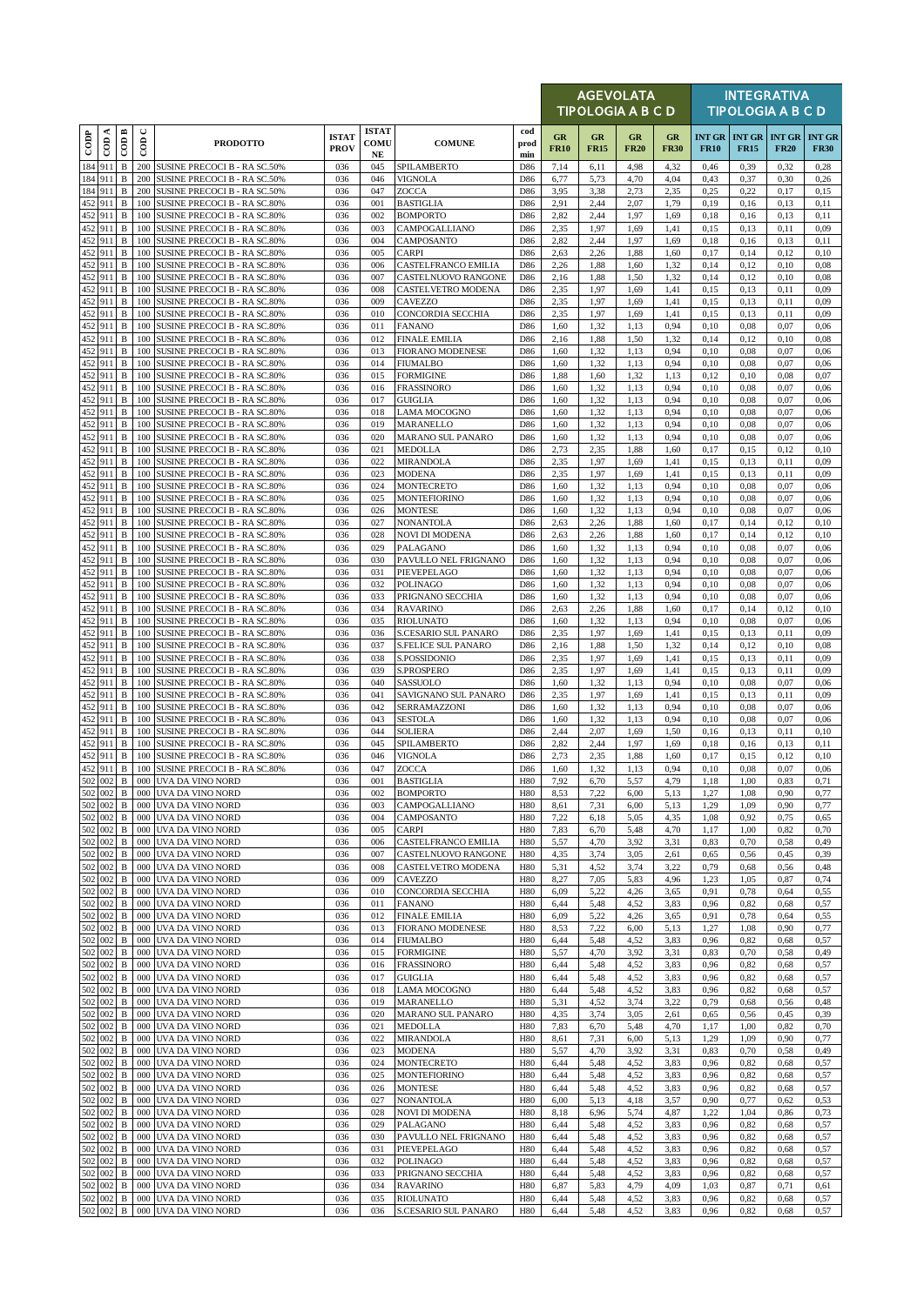|            |                    |                              |                      |                                                                     |                             |                                   |                                                 |                    |                   | <b>AGEVOLATA</b><br><b>TIPOLOGIA A B C D</b> |                          |                   |              |                                                | <b>INTEGRATIVA</b><br><b>TIPOLOGIA A B C D</b> |                              |
|------------|--------------------|------------------------------|----------------------|---------------------------------------------------------------------|-----------------------------|-----------------------------------|-------------------------------------------------|--------------------|-------------------|----------------------------------------------|--------------------------|-------------------|--------------|------------------------------------------------|------------------------------------------------|------------------------------|
| $\cos$     | CDA                | COD B                        | $\cup$<br>$\epsilon$ | <b>PRODOTTO</b>                                                     | <b>ISTAT</b><br><b>PROV</b> | <b>ISTAT</b><br><b>COMU</b><br>NE | <b>COMUNE</b>                                   | cod<br>prod<br>min | GR<br><b>FR10</b> | GR<br><b>FR15</b>                            | <b>GR</b><br><b>FR20</b> | GR<br><b>FR30</b> | <b>FR10</b>  | <b>INT GR   INT GR   INT GR</b><br><b>FR15</b> | <b>FR20</b>                                    | <b>INT GR</b><br><b>FR30</b> |
|            | 184 911            | $\, {\bf B}$                 | 200                  | <b>SUSINE PRECOCI B - RA SC.50%</b>                                 | 036                         | 045                               | SPILAMBERTO                                     | D86                | 7,14              | 6,11                                         | 4,98                     | 4,32              | 0,46         | 0,39                                           | 0,32                                           | 0,28                         |
|            | 184 911            | $\, {\bf B}$                 | 200                  | SUSINE PRECOCI B - RA SC.50%                                        | 036                         | 046                               | <b>VIGNOLA</b>                                  | D86                | 6,77              | 5,73                                         | 4,70                     | 4,04              | 0,43         | 0,37                                           | 0,30                                           | 0,26                         |
|            | 184 911<br>452 911 | B<br>B                       | 200<br>100           | SUSINE PRECOCI B - RA SC.50%<br>SUSINE PRECOCI B - RA SC.80%        | 036<br>036                  | 047<br>001                        | ZOCCA<br><b>BASTIGLIA</b>                       | D86<br>D86         | 3,95<br>2,91      | 3,38<br>2,44                                 | 2,73<br>2,07             | 2,35<br>1,79      | 0,25<br>0,19 | 0,22<br>0,16                                   | 0,17<br>0,13                                   | 0,15<br>0,11                 |
|            | 452 911            | B                            | 100                  | SUSINE PRECOCI B - RA SC.80%                                        | 036                         | 002                               | <b>BOMPORTO</b>                                 | D86                | 2,82              | 2,44                                         | 1,97                     | 1,69              | 0,18         | 0,16                                           | 0,13                                           | 0,11                         |
| 452        | 911                | B                            | 100                  | SUSINE PRECOCI B - RA SC.80%                                        | 036                         | 003                               | CAMPOGALLIANO                                   | D86                | 2,35              | 1,97                                         | 1,69                     | 1,41              | 0,15         | 0,13                                           | 0,11                                           | 0,09                         |
|            | 452 911            | $\, {\bf B}$                 | 100                  | SUSINE PRECOCI B - RA SC.80%                                        | 036                         | 004                               | CAMPOSANTO                                      | D86                | 2,82              | 2,44                                         | 1,97                     | 1,69              | 0,18         | 0,16                                           | 0,13                                           | 0,11                         |
| 452<br>452 | 911<br>911         | $\, {\bf B}$<br>B            | 100<br>100           | SUSINE PRECOCI B - RA SC.80%<br>SUSINE PRECOCI B - RA SC.80%        | 036<br>036                  | 005<br>006                        | CARPI<br>CASTELFRANCO EMILIA                    | D86<br>D86         | 2,63<br>2,26      | 2,26<br>1,88                                 | 1,88<br>1,60             | 1,60<br>1,32      | 0,17<br>0,14 | 0,14<br>0,12                                   | 0,12<br>0,10                                   | 0,10<br>0.08                 |
|            | 452 911            | $\, {\bf B}$                 | 100                  | SUSINE PRECOCI B - RA SC.80%                                        | 036                         | 007                               | CASTELNUOVO RANGONE                             | D86                | 2,16              | 1,88                                         | 1,50                     | 1,32              | 0,14         | 0,12                                           | 0,10                                           | 0.08                         |
|            | 452 911            | B                            | 100                  | <b>SUSINE PRECOCI B - RA SC.80%</b>                                 | 036                         | 008                               | CASTELVETRO MODENA                              | D86                | 2,35              | 1,97                                         | 1,69                     | 1,41              | 0,15         | 0,13                                           | 0,11                                           | 0,09                         |
|            | 452 911            | B                            | 100                  | SUSINE PRECOCI B - RA SC.80%                                        | 036                         | 009                               | CAVEZZO                                         | D86                | 2,35              | 1,97                                         | 1,69                     | 1,41              | 0,15         | 0,13                                           | 0,11                                           | 0,09                         |
| 452        | 452 911<br>911     | B<br>$\, {\bf B}$            | 100<br>100           | SUSINE PRECOCI B - RA SC.80%<br>SUSINE PRECOCI B - RA SC.80%        | 036<br>036                  | 010<br>011                        | CONCORDIA SECCHIA<br><b>FANANO</b>              | D86<br>D86         | 2,35<br>1,60      | 1,97<br>1,32                                 | 1,69<br>1,13             | 1,41<br>0,94      | 0,15<br>0,10 | 0,13<br>0,08                                   | 0,11<br>0,07                                   | 0,09<br>0,06                 |
|            | 452 911            | B                            | 100                  | SUSINE PRECOCI B - RA SC.80%                                        | 036                         | 012                               | <b>FINALE EMILIA</b>                            | D86                | 2,16              | 1,88                                         | 1,50                     | 1,32              | 0,14         | 0,12                                           | 0,10                                           | 0.08                         |
|            | 452 911            | $\, {\bf B}$                 | 100                  | SUSINE PRECOCI B - RA SC.80%                                        | 036                         | 013                               | <b>FIORANO MODENESE</b>                         | D86                | 1,60              | 1,32                                         | 1,13                     | 0,94              | 0,10         | 0,08                                           | 0,07                                           | 0,06                         |
|            | 452 911            | B                            | 100                  | SUSINE PRECOCI B - RA SC.80%                                        | 036                         | 014                               | <b>FIUMALBO</b>                                 | D86                | 1,60              | 1,32                                         | 1,13                     | 0,94              | 0,10         | 0,08                                           | 0,07                                           | 0,06                         |
| 452        | 911<br>452 911     | B<br>B                       | 100<br>100           | SUSINE PRECOCI B - RA SC.80%<br>SUSINE PRECOCI B - RA SC.80%        | 036<br>036                  | 015<br>016                        | <b>FORMIGINE</b><br><b>FRASSINORO</b>           | D86<br>D86         | 1,88<br>1,60      | 1,60<br>1,32                                 | 1,32<br>1,13             | 1,13<br>0,94      | 0,12<br>0,10 | 0,10<br>0,08                                   | 0,08<br>0,07                                   | 0,07<br>0,06                 |
| 452        | 911                | $\, {\bf B}$                 | 100                  | SUSINE PRECOCI B - RA SC.80%                                        | 036                         | 017                               | <b>GUIGLIA</b>                                  | D86                | 1,60              | 1,32                                         | 1,13                     | 0,94              | 0,10         | 0,08                                           | 0,07                                           | 0,06                         |
| 452        | 911                | $\, {\bf B}$                 | 100                  | SUSINE PRECOCI B - RA SC.80%                                        | 036                         | 018                               | LAMA MOCOGNO                                    | D86                | 1,60              | 1,32                                         | 1,13                     | 0,94              | 0,10         | 0.08                                           | 0,07                                           | 0,06                         |
|            | 452 911            | B                            | 100                  | <b>SUSINE PRECOCI B - RA SC.80%</b>                                 | 036                         | 019                               | <b>MARANELLO</b>                                | D86                | 1,60              | 1,32                                         | 1,13                     | 0,94              | 0,10         | 0,08                                           | 0,07                                           | 0,06                         |
| 452<br>452 | 911<br>911         | $\, {\bf B}$<br>$\, {\bf B}$ | 100<br>100           | <b>SUSINE PRECOCI B - RA SC.80%</b><br>SUSINE PRECOCI B - RA SC.80% | 036<br>036                  | 020<br>021                        | MARANO SUL PANARO<br>MEDOLLA                    | D86<br>D86         | 1,60<br>2,73      | 1,32<br>2,35                                 | 1,13<br>1,88             | 0,94<br>1,60      | 0,10<br>0,17 | 0,08<br>0,15                                   | 0,07<br>0,12                                   | 0,06<br>0,10                 |
| 452        | 911                | B                            | 100                  | SUSINE PRECOCI B - RA SC.80%                                        | 036                         | 022                               | MIRANDOLA                                       | D86                | 2,35              | 1,97                                         | 1,69                     | 1,41              | 0,15         | 0,13                                           | 0,11                                           | 0,09                         |
|            | 452 911            | $\, {\bf B}$                 | 100                  | <b>SUSINE PRECOCI B - RA SC.80%</b>                                 | 036                         | 023                               | <b>MODENA</b>                                   | D86                | 2,35              | 1,97                                         | 1,69                     | 1,41              | 0,15         | 0,13                                           | 0,11                                           | 0,09                         |
| 452        | 911                | $\, {\bf B}$                 | 100                  | SUSINE PRECOCI B - RA SC.80%                                        | 036                         | 024                               | <b>MONTECRETO</b>                               | D86                | 1,60              | 1,32                                         | 1,13                     | 0,94              | 0,10         | 0.08                                           | 0,07                                           | 0,06                         |
|            | 452 911<br>452 911 | $\, {\bf B}$<br>B            | 100<br>100           | SUSINE PRECOCI B - RA SC.80%<br>SUSINE PRECOCI B - RA SC.80%        | 036<br>036                  | 025<br>026                        | <b>MONTEFIORINO</b><br><b>MONTESE</b>           | D86<br>D86         | 1,60<br>1,60      | 1,32<br>1,32                                 | 1,13<br>1,13             | 0,94<br>0,94      | 0,10<br>0,10 | 0,08<br>0,08                                   | 0,07<br>0,07                                   | 0,06<br>0,06                 |
|            | 452 911            | $\, {\bf B}$                 | 100                  | SUSINE PRECOCI B - RA SC.80%                                        | 036                         | 027                               | NONANTOLA                                       | D86                | 2,63              | 2,26                                         | 1,88                     | 1,60              | 0,17         | 0,14                                           | 0,12                                           | 0,10                         |
|            | 452 911            | B                            | 100                  | SUSINE PRECOCI B - RA SC.80%                                        | 036                         | 028                               | NOVI DI MODENA                                  | D86                | 2,63              | 2,26                                         | 1,88                     | 1,60              | 0,17         | 0,14                                           | 0,12                                           | 0,10                         |
|            | 452 911            | B                            | 100                  | SUSINE PRECOCI B - RA SC.80%                                        | 036                         | 029                               | PALAGANO                                        | D86                | 1,60              | 1,32                                         | 1,13                     | 0,94              | 0,10         | 0.08                                           | 0,07                                           | 0,06                         |
| 452<br>452 | 911<br>911         | B<br>B                       | 100<br>100           | SUSINE PRECOCI B - RA SC.80%<br>SUSINE PRECOCI B - RA SC.80%        | 036<br>036                  | 030<br>031                        | PAVULLO NEL FRIGNANO<br>PIEVEPELAGO             | D86<br>D86         | 1,60<br>1,60      | 1,32<br>1,32                                 | 1,13<br>1,13             | 0,94<br>0,94      | 0,10<br>0,10 | 0,08<br>0,08                                   | 0,07<br>0,07                                   | 0,06<br>0,06                 |
|            | 452 911            | $\, {\bf B}$                 | 100                  | SUSINE PRECOCI B - RA SC.80%                                        | 036                         | 032                               | POLINAGO                                        | D86                | 1,60              | 1,32                                         | 1,13                     | 0,94              | 0,10         | 0.08                                           | 0,07                                           | 0,06                         |
| 452        | 911                | B                            | 100                  | SUSINE PRECOCI B - RA SC.80%                                        | 036                         | 033                               | PRIGNANO SECCHIA                                | D86                | 1,60              | 1,32                                         | 1,13                     | 0,94              | 0,10         | 0,08                                           | 0,07                                           | 0,06                         |
| 452        | 911                | $\mathbf B$                  | 100                  | SUSINE PRECOCI B - RA SC.80%                                        | 036                         | 034                               | <b>RAVARINO</b>                                 | D86                | 2,63              | 2,26                                         | 1,88                     | 1,60              | 0,17         | 0,14                                           | 0,12                                           | 0,10                         |
| 452        | 452 911<br>911     | B<br>$\, {\bf B}$            | 100<br>100           | <b>SUSINE PRECOCI B - RA SC.80%</b><br>SUSINE PRECOCI B - RA SC.80% | 036<br>036                  | 035<br>036                        | <b>RIOLUNATO</b><br>S.CESARIO SUL PANARO        | D86<br>D86         | 1,60<br>2,35      | 1,32<br>1,97                                 | 1,13<br>1,69             | 0,94<br>1,41      | 0,10<br>0,15 | 0.08<br>0,13                                   | 0,07<br>0,11                                   | 0,06<br>0,09                 |
|            | 452 911            | B                            | 100                  | SUSINE PRECOCI B - RA SC.80%                                        | 036                         | 037                               | <b>S.FELICE SUL PANARO</b>                      | D86                | 2,16              | 1,88                                         | 1,50                     | 1,32              | 0,14         | 0,12                                           | 0,10                                           | 0.08                         |
|            | 452 911            | $\, {\bf B}$                 | 100                  | SUSINE PRECOCI B - RA SC.80%                                        | 036                         | 038                               | S.POSSIDONIO                                    | D86                | 2,35              | 1,97                                         | 1,69                     | 1,41              | 0,15         | 0,13                                           | 0,11                                           | 0,09                         |
| 452        | 911                | $\, {\bf B}$                 | 100                  | SUSINE PRECOCI B - RA SC.80%                                        | 036                         | 039                               | S.PROSPERO                                      | D86                | 2,35              | 1,97                                         | 1,69                     | 1,41              | 0,15         | 0,13                                           | 0,11                                           | 0,09                         |
|            | 452 911<br>452 911 | B<br>$\, {\bf B}$            | 100<br>100           | SUSINE PRECOCI B - RA SC.80%<br>SUSINE PRECOCI B - RA SC.80%        | 036<br>036                  | 040<br>041                        | SASSUOLO<br>SAVIGNANO SUL PANARO                | D86<br>D86         | 1,60<br>2,35      | 1,32<br>1,97                                 | 1,13<br>1,69             | 0,94<br>1,41      | 0,10<br>0,15 | 0.08<br>0,13                                   | 0,07<br>0,11                                   | 0,06<br>0,09                 |
| 452        | 911                | B                            | 100                  | <b>SUSINE PRECOCI B - RA SC.80%</b>                                 | 036                         | 042                               | SERRAMAZZONI                                    | D86                | 1,60              | 1,32                                         | 1,13                     | 0,94              | 0,10         | 0.08                                           | 0,07                                           | 0,06                         |
| 452        | 911                | B                            | 100                  | SUSINE PRECOCI B - RA SC.80%                                        | 036                         | 043                               | <b>SESTOLA</b>                                  | D86                | 1,60              | 1,32                                         | 1,13                     | 0,94              | 0,10         | 0.08                                           | 0,07                                           | 0,06                         |
|            | 452 911<br>452 911 | $\, {\bf B}$<br>$\, {\bf B}$ | 100                  | SUSINE PRECOCI B - RA SC.80%                                        | 036                         | 044                               | SOLIERA                                         | D86                | 2,44              | 2,07                                         | 1,69                     | 1,50              | 0,16         | 0,13                                           | 0,11                                           | 0,10                         |
|            | 452 911            | $\, {\bf B}$                 | 100<br>100           | SUSINE PRECOCI B - RA SC.80%<br>SUSINE PRECOCI B - RA SC.80%        | 036<br>036                  | 045<br>046                        | SPILAMBERTO<br>VIGNOLA                          | D86<br>D86         | 2,82<br>2,73      | 2,44<br>2,35                                 | 1,97<br>1,88             | 1,69<br>1,60      | 0,18<br>0,17 | 0,16<br>0,15                                   | 0,13<br>0,12                                   | 0,11<br>0,10                 |
|            | 452 911            | B                            | 100                  | SUSINE PRECOCI B - RA SC.80%                                        | 036                         | 047                               | ZOCCA                                           | D86                | 1,60              | 1,32                                         | 1,13                     | 0,94              | 0,10         | 0,08                                           | 0,07                                           | 0,06                         |
|            | 502 002            |                              |                      | <b>B</b> 000 UVA DA VINO NORD                                       | 036                         | 001                               | <b>BASTIGLIA</b>                                | H80                | 7,92              | 6,70                                         | 5,57                     | 4,79              | 1,18         | 1,00                                           | 0,83                                           | 0,71                         |
| 502        | 502 002<br>002     | B<br>$\, {\bf B}$            | 000                  | 000 UVA DA VINO NORD<br>UVA DA VINO NORD                            | 036<br>036                  | 002<br>003                        | <b>BOMPORTO</b><br>CAMPOGALLIANO                | H80<br>H80         | 8,53<br>8,61      | 7,22                                         | 6,00<br>6,00             | 5,13<br>5,13      | 1,27<br>1,29 | 1,08<br>1,09                                   | 0,90<br>0,90                                   | 0,77<br>0,77                 |
|            | 502 002            | B                            |                      | 000 UVA DA VINO NORD                                                | 036                         | 004                               | CAMPOSANTO                                      | <b>H80</b>         | 7,22              | 7,31<br>6,18                                 | 5,05                     | 4,35              | 1,08         | 0,92                                           | 0,75                                           | 0,65                         |
|            | 502 002            | B                            |                      | 000 UVA DA VINO NORD                                                | 036                         | 005                               | CARPI                                           | <b>H80</b>         | 7,83              | 6,70                                         | 5,48                     | 4,70              | 1,17         | 1,00                                           | 0,82                                           | 0,70                         |
|            | 502 002            | B                            | 000                  | UVA DA VINO NORD                                                    | 036                         | 006                               | CASTELFRANCO EMILIA                             | H80                | 5,57              | 4,70                                         | 3,92                     | 3,31              | 0,83         | 0,70                                           | 0,58                                           | 0,49                         |
|            | 502 002<br>502 002 | B<br>B                       | 000<br>000           | UVA DA VINO NORD<br>UVA DA VINO NORD                                | 036<br>036                  | 007<br>008                        | CASTELNUOVO RANGONE<br>CASTELVETRO MODENA       | <b>H80</b><br>H80  | 4,35<br>5,31      | 3,74<br>4,52                                 | 3,05<br>3,74             | 2,61<br>3,22      | 0,65<br>0,79 | 0,56<br>0,68                                   | 0,45<br>0,56                                   | 0,39<br>0,48                 |
|            | 502 002            | B                            | 000                  | UVA DA VINO NORD                                                    | 036                         | 009                               | CAVEZZO                                         | H80                | 8,27              | 7,05                                         | 5,83                     | 4,96              | 1,23         | 1,05                                           | 0,87                                           | 0,74                         |
|            | 502 002            | B                            | 000                  | UVA DA VINO NORD                                                    | 036                         | 010                               | CONCORDIA SECCHIA                               | <b>H80</b>         | 6,09              | 5,22                                         | 4,26                     | 3,65              | 0,91         | 0,78                                           | 0,64                                           | 0,55                         |
| 502        | 002                | $\, {\bf B}$                 | 000                  | UVA DA VINO NORD                                                    | 036                         | 011                               | <b>FANANO</b>                                   | H80                | 6,44              | 5,48                                         | 4,52                     | 3,83              | 0,96         | 0,82                                           | 0,68                                           | 0,57                         |
|            | 502 002<br>502 002 | B<br>B                       | 000<br>000           | UVA DA VINO NORD<br>UVA DA VINO NORD                                | 036<br>036                  | 012<br>013                        | <b>FINALE EMILIA</b><br><b>FIORANO MODENESE</b> | H80<br>H80         | 6,09<br>8,53      | 5,22<br>7,22                                 | 4,26<br>6,00             | 3,65<br>5,13      | 0,91<br>1,27 | 0,78<br>1,08                                   | 0,64<br>0,90                                   | 0,55<br>0,77                 |
|            | 502 002            | B                            | 000                  | UVA DA VINO NORD                                                    | 036                         | 014                               | <b>FIUMALBO</b>                                 | <b>H80</b>         | 6,44              | 5,48                                         | 4,52                     | 3,83              | 0,96         | 0,82                                           | 0,68                                           | 0,57                         |
|            | 502 002            | B                            |                      | 000 UVA DA VINO NORD                                                | 036                         | 015                               | <b>FORMIGINE</b>                                | H80                | 5,57              | 4,70                                         | 3,92                     | 3,31              | 0,83         | 0,70                                           | 0,58                                           | 0,49                         |
|            | 502 002            | B                            | 000                  | UVA DA VINO NORD                                                    | 036                         | 016                               | <b>FRASSINORO</b>                               | H80                | 6,44              | 5,48                                         | 4,52                     | 3,83              | 0,96         | 0,82                                           | 0,68                                           | 0,57                         |
| 502        | 002<br>502 002     | $\, {\bf B}$<br>B            | 000                  | UVA DA VINO NORD<br>000 UVA DA VINO NORD                            | 036<br>036                  | 017<br>018                        | <b>GUIGLIA</b><br>LAMA MOCOGNO                  | H80<br>H80         | 6,44<br>6,44      | 5,48<br>5,48                                 | 4,52<br>4,52             | 3,83<br>3,83      | 0,96<br>0,96 | 0,82<br>0,82                                   | 0,68<br>0,68                                   | 0,57<br>0,57                 |
|            | 502 002            | $\, {\bf B}$                 | 000                  | UVA DA VINO NORD                                                    | 036                         | 019                               | MARANELLO                                       | H80                | 5,31              | 4,52                                         | 3,74                     | 3,22              | 0,79         | 0,68                                           | 0,56                                           | 0,48                         |
|            | 502 002            | B                            | 000                  | UVA DA VINO NORD                                                    | 036                         | 020                               | MARANO SUL PANARO                               | H80                | 4,35              | 3,74                                         | 3,05                     | 2,61              | 0,65         | 0,56                                           | 0,45                                           | 0,39                         |
|            | 502 002            | B                            | 000                  | UVA DA VINO NORD                                                    | 036                         | 021                               | MEDOLLA                                         | <b>H80</b>         | 7,83              | 6,70                                         | 5,48                     | 4,70              | 1,17         | 1,00                                           | 0,82                                           | 0,70                         |
| 502        | 502 002<br>002     | B<br>B                       | 000<br>000           | UVA DA VINO NORD<br>UVA DA VINO NORD                                | 036<br>036                  | 022<br>023                        | MIRANDOLA<br>MODENA                             | H80<br><b>H80</b>  | 8,61<br>5,57      | 7,31<br>4,70                                 | 6,00<br>3,92             | 5,13<br>3,31      | 1,29<br>0,83 | 1,09<br>0,70                                   | 0,90<br>0,58                                   | 0,77<br>0,49                 |
| 502        | 002                | B                            | 000                  | UVA DA VINO NORD                                                    | 036                         | 024                               | MONTECRETO                                      | H80                | 6,44              | 5,48                                         | 4,52                     | 3,83              | 0,96         | 0,82                                           | 0,68                                           | 0,57                         |
| 502        | 002                | $\, {\bf B}$                 | 000                  | UVA DA VINO NORD                                                    | 036                         | 025                               | <b>MONTEFIORINO</b>                             | H80                | 6,44              | 5,48                                         | 4,52                     | 3,83              | 0,96         | 0,82                                           | 0,68                                           | 0,57                         |
|            | 502 002            | $\, {\bf B}$                 | 000                  | UVA DA VINO NORD                                                    | 036                         | 026                               | <b>MONTESE</b>                                  | H80                | 6,44              | 5,48                                         | 4,52                     | 3,83              | 0,96         | 0,82                                           | 0,68                                           | 0,57                         |
| 502        | 002<br>502 002     | B<br>B                       | 000<br>000           | UVA DA VINO NORD<br>UVA DA VINO NORD                                | 036<br>036                  | 027<br>028                        | NONANTOLA<br>NOVI DI MODENA                     | H80<br>H80         | 6,00<br>8,18      | 5,13                                         | 4,18<br>5,74             | 3,57<br>4,87      | 0,90<br>1,22 | 0,77<br>1,04                                   | 0,62<br>0,86                                   | 0,53                         |
|            | 502 002            | $\, {\bf B}$                 | 000                  | UVA DA VINO NORD                                                    | 036                         | 029                               | PALAGANO                                        | H80                | 6,44              | 6,96<br>5,48                                 | 4,52                     | 3,83              | 0,96         | 0,82                                           | 0,68                                           | 0,73<br>0,57                 |
| 502        | 002                | B                            | 000                  | UVA DA VINO NORD                                                    | 036                         | 030                               | PAVULLO NEL FRIGNANO                            | H80                | 6,44              | 5,48                                         | 4,52                     | 3,83              | 0,96         | 0,82                                           | 0,68                                           | 0,57                         |
|            | 502 002            | B                            | 000                  | UVA DA VINO NORD                                                    | 036                         | 031                               | PIEVEPELAGO                                     | H80                | 6,44              | 5,48                                         | 4,52                     | 3,83              | 0,96         | 0,82                                           | 0,68                                           | 0,57                         |
| 502        | 502 002<br>002     | B<br>$\, {\bf B}$            | 000                  | 000 UVA DA VINO NORD<br>UVA DA VINO NORD                            | 036<br>036                  | 032<br>033                        | POLINAGO<br>PRIGNANO SECCHIA                    | H80<br>H80         | 6,44<br>6,44      | 5,48<br>5,48                                 | 4,52<br>4,52             | 3,83<br>3,83      | 0,96<br>0,96 | 0,82<br>0,82                                   | 0,68                                           | 0,57<br>0,57                 |
|            | 502 002            | B                            | 000                  | UVA DA VINO NORD                                                    | 036                         | 034                               | <b>RAVARINO</b>                                 | <b>H80</b>         | 6,87              | 5,83                                         | 4,79                     | 4,09              | 1,03         | 0,87                                           | 0,68<br>0,71                                   | 0,61                         |
|            | 502 002            | B                            | 000                  | UVA DA VINO NORD                                                    | 036                         | 035                               | RIOLUNATO                                       | H80                | 6,44              | 5,48                                         | 4,52                     | 3,83              | 0,96         | 0,82                                           | 0,68                                           | 0,57                         |
|            | 502 002            | $\, {\bf B}$                 |                      | 000 UVA DA VINO NORD                                                | 036                         | 036                               | S.CESARIO SUL PANARO                            | H80                | 6,44              | 5,48                                         | 4,52                     | 3,83              | 0,96         | 0,82                                           | 0,68                                           | 0,57                         |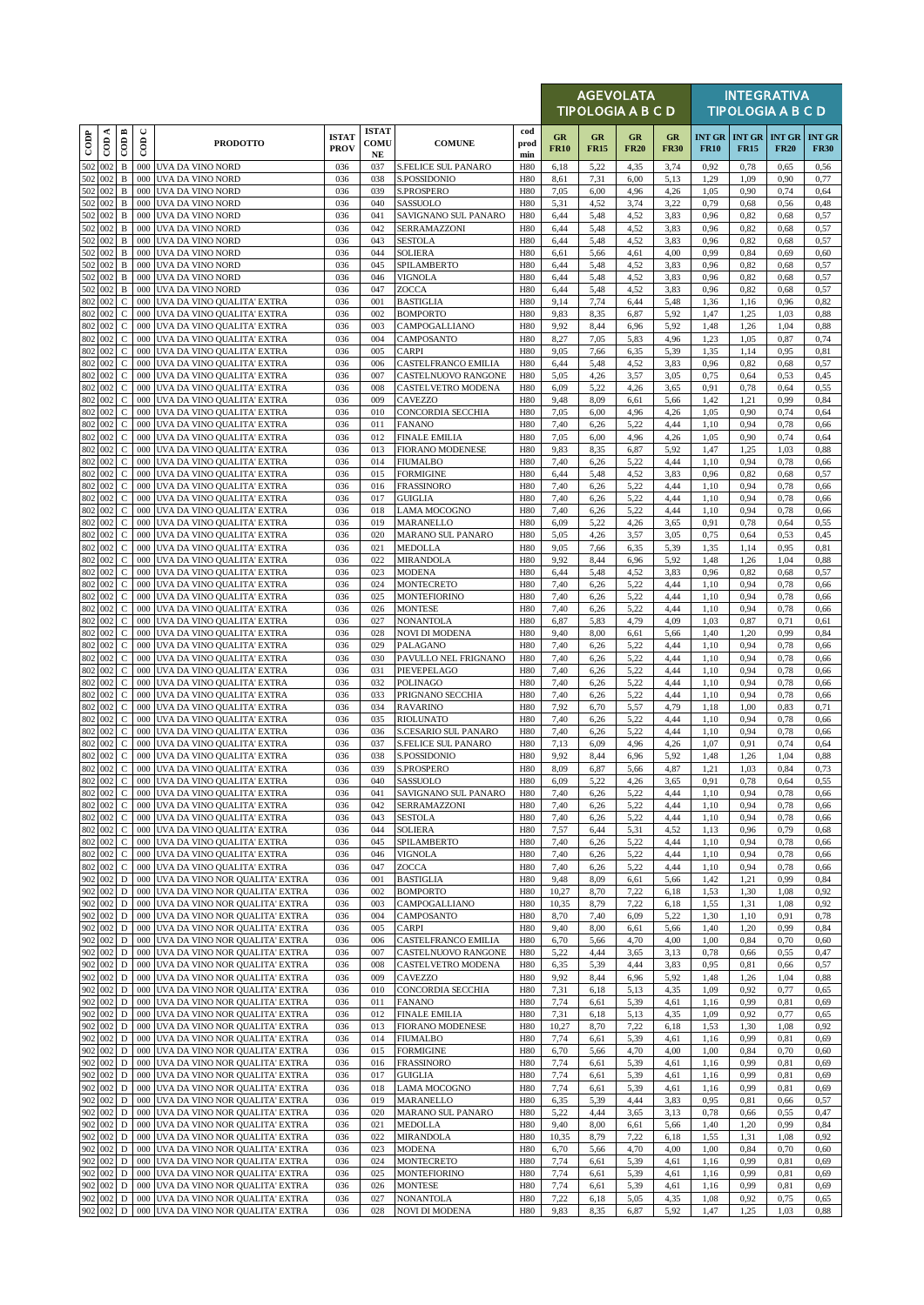|                   |                             |                              |               |                                                                          |                             |                                  |                                                 |                          |                   | <b>AGEVOLATA</b><br><b>TIPOLOGIA A B C D</b> |                   |                   | <b>INTEGRATIVA</b><br><b>TIPOLOGIA A B C D</b> |                                            |              |                              |  |
|-------------------|-----------------------------|------------------------------|---------------|--------------------------------------------------------------------------|-----------------------------|----------------------------------|-------------------------------------------------|--------------------------|-------------------|----------------------------------------------|-------------------|-------------------|------------------------------------------------|--------------------------------------------|--------------|------------------------------|--|
| $\overline{1000}$ | $\overline{\mathrm{con}}$ A | $\overline{\mathrm{COD}}$ B  | $\cup$<br>600 | <b>PRODOTTO</b>                                                          | <b>ISTAT</b><br><b>PROV</b> | <b>ISTAT</b><br>COMU<br>$\bf NE$ | <b>COMUNE</b>                                   | cod<br>prod<br>min       | GR<br><b>FR10</b> | GR<br><b>FR15</b>                            | GR<br><b>FR20</b> | GR<br><b>FR30</b> | <b>FR10</b>                                    | <b>INT GR INT GR INT GR</b><br><b>FR15</b> | <b>FR20</b>  | <b>INT GR</b><br><b>FR30</b> |  |
| 502               | 002                         | B                            |               | 000 UVA DA VINO NORD                                                     | 036                         | 037                              | <b>S.FELICE SUL PANARO</b>                      | <b>H80</b>               | 6,18              | 5,22                                         | 4,35              | 3,74              | 0,92                                           | 0,78                                       | 0,65         | 0,56                         |  |
| 502               | 002<br>502 002              | $\, {\bf B}$<br>$\, {\bf B}$ | 000           | 000 UVA DA VINO NORD<br>UVA DA VINO NORD                                 | 036<br>036                  | 038<br>039                       | S.POSSIDONIO<br><b>S.PROSPERO</b>               | H80<br><b>H80</b>        | 8,61<br>7,05      | 7,31<br>6,00                                 | 6,00<br>4,96      | 5,13<br>4,26      | 1,29<br>1,05                                   | 1,09<br>0,90                               | 0,90<br>0,74 | 0,77<br>0,64                 |  |
|                   | 502 002                     | B                            |               | 000 UVA DA VINO NORD                                                     | 036                         | 040                              | SASSUOLO                                        | <b>H80</b>               | 5,31              | 4,52                                         | 3,74              | 3,22              | 0,79                                           | 0,68                                       | 0,56         | 0,48                         |  |
| 502               | 002                         | B                            | 000           | UVA DA VINO NORD                                                         | 036                         | 041                              | SAVIGNANO SUL PANARO                            | <b>H80</b>               | 6,44              | 5,48                                         | 4,52              | 3,83              | 0,96                                           | 0.82                                       | 0,68         | 0,57                         |  |
| 502<br>502        | 002<br>002                  | B<br>B                       | 000<br>000    | UVA DA VINO NORD<br>UVA DA VINO NORD                                     | 036<br>036                  | 042<br>043                       | SERRAMAZZONI<br><b>SESTOLA</b>                  | <b>H80</b><br><b>H80</b> | 6,44<br>6,44      | 5,48<br>5,48                                 | 4,52<br>4,52      | 3,83<br>3,83      | 0,96<br>0,96                                   | 0,82<br>0,82                               | 0,68<br>0,68 | 0,57<br>0,57                 |  |
| 502               | 002                         | B                            | 000           | UVA DA VINO NORD                                                         | 036                         | 044                              | <b>SOLIERA</b>                                  | <b>H80</b>               | 6,61              | 5,66                                         | 4,61              | 4,00              | 0,99                                           | 0,84                                       | 0,69         | 0,60                         |  |
| 502               | 002                         | B                            | 000           | UVA DA VINO NORD                                                         | 036                         | 045                              | SPILAMBERTO                                     | H80                      | 6,44              | 5,48                                         | 4,52              | 3,83              | 0,96                                           | 0,82                                       | 0,68         | 0,57                         |  |
| 502               | 002                         | $\, {\bf B}$                 |               | 000 UVA DA VINO NORD                                                     | 036                         | 046                              | VIGNOLA                                         | <b>H80</b>               | 6,44              | 5,48                                         | 4,52              | 3,83              | 0,96                                           | 0,82                                       | 0,68         | 0,57                         |  |
| 502<br>802        | 002<br>002                  | B<br>$\mathsf{C}$            | 000           | 000 UVA DA VINO NORD<br>UVA DA VINO QUALITA' EXTRA                       | 036<br>036                  | 047<br>001                       | ZOCCA<br><b>BASTIGLIA</b>                       | <b>H80</b><br><b>H80</b> | 6,44<br>9,14      | 5,48<br>7,74                                 | 4,52<br>6,44      | 3,83<br>5,48      | 0,96<br>1,36                                   | 0,82<br>1,16                               | 0,68<br>0,96 | 0,57<br>0,82                 |  |
|                   | 802 002                     | $\mathbf C$                  | 000           | UVA DA VINO QUALITA' EXTRA                                               | 036                         | 002                              | <b>BOMPORTO</b>                                 | H80                      | 9,83              | 8,35                                         | 6,87              | 5,92              | 1,47                                           | 1,25                                       | 1,03         | 0,88                         |  |
| 802               | 002                         | $\mathsf{C}$                 | 000           | UVA DA VINO QUALITA' EXTRA                                               | 036                         | 003                              | CAMPOGALLIANO                                   | <b>H80</b>               | 9,92              | 8,44                                         | 6,96              | 5,92              | 1,48                                           | 1,26                                       | 1,04         | 0,88                         |  |
| 802               | 802 002<br>002              | $\mathbf C$<br>$\mathbf C$   |               | 000 UVA DA VINO QUALITA' EXTRA<br>000 UVA DA VINO QUALITA' EXTRA         | 036<br>036                  | 004<br>005                       | CAMPOSANTO<br><b>CARPI</b>                      | <b>H80</b><br><b>H80</b> | 8,27<br>9,05      | 7,05<br>7,66                                 | 5,83<br>6,35      | 4,96<br>5,39      | 1,23<br>1,35                                   | 1,05<br>1,14                               | 0,87<br>0,95 | 0,74<br>0.81                 |  |
| 802               | 002                         | $\mathbf C$                  | 000           | UVA DA VINO QUALITA' EXTRA                                               | 036                         | 006                              | CASTELFRANCO EMILIA                             | <b>H80</b>               | 6,44              | 5,48                                         | 4,52              | 3,83              | 0,96                                           | 0,82                                       | 0,68         | 0,57                         |  |
| 802               | 002                         | $\mathbf C$                  |               | 000 UVA DA VINO QUALITA' EXTRA                                           | 036                         | 007                              | CASTELNUOVO RANGONE                             | <b>H80</b>               | 5,05              | 4,26                                         | 3,57              | 3,05              | 0,75                                           | 0,64                                       | 0,53         | 0,45                         |  |
| 802               | 802 002<br>002              | $\mathbf C$                  | 000           | 000 UVA DA VINO QUALITA' EXTRA                                           | 036<br>036                  | 008                              | CASTELVETRO MODENA<br><b>CAVEZZO</b>            | <b>H80</b>               | 6,09              | 5,22                                         | 4,26              | 3,65              | 0,91                                           | 0,78                                       | 0,64<br>0,99 | 0,55                         |  |
| 802               | 002                         | $\mathbf C$<br>$\mathbf C$   | 000           | UVA DA VINO QUALITA' EXTRA<br>UVA DA VINO QUALITA' EXTRA                 | 036                         | 009<br>010                       | <b>CONCORDIA SECCHIA</b>                        | <b>H80</b><br><b>H80</b> | 9,48<br>7,05      | 8,09<br>6,00                                 | 6,61<br>4,96      | 5,66<br>4,26      | 1,42<br>1,05                                   | 1,21<br>0,90                               | 0,74         | 0,84<br>0,64                 |  |
|                   | 802 002                     | $\mathbf C$                  | 000           | UVA DA VINO QUALITA' EXTRA                                               | 036                         | 011                              | <b>FANANO</b>                                   | <b>H80</b>               | 7,40              | 6,26                                         | 5,22              | 4,44              | 1,10                                           | 0,94                                       | 0,78         | 0,66                         |  |
| 802               | 002                         | $\mathbf C$                  | 000           | UVA DA VINO QUALITA' EXTRA                                               | 036                         | 012                              | <b>FINALE EMILIA</b>                            | <b>H80</b>               | 7,05              | 6,00                                         | 4,96              | 4,26              | 1,05                                           | 0,90                                       | 0,74         | 0,64                         |  |
| 802<br>802        | 002<br>002                  | $\mathbf C$<br>$\mathbf C$   | 000<br>000    | UVA DA VINO QUALITA' EXTRA<br>UVA DA VINO QUALITA' EXTRA                 | 036<br>036                  | 013<br>014                       | <b>FIORANO MODENESE</b><br><b>FIUMALBO</b>      | <b>H80</b><br><b>H80</b> | 9,83<br>7,40      | 8,35<br>6,26                                 | 6,87<br>5,22      | 5,92<br>4,44      | 1,47<br>1,10                                   | 1,25<br>0,94                               | 1,03<br>0,78 | 0,88<br>0,66                 |  |
| 802               | 002                         | $\mathbf C$                  |               | 000 UVA DA VINO QUALITA' EXTRA                                           | 036                         | 015                              | <b>FORMIGINE</b>                                | <b>H80</b>               | 6,44              | 5,48                                         | 4,52              | 3,83              | 0,96                                           | 0,82                                       | 0,68         | 0,57                         |  |
| 802               | 002                         | $\mathbf C$                  | 000           | UVA DA VINO QUALITA' EXTRA                                               | 036                         | 016                              | <b>FRASSINORO</b>                               | H80                      | 7,40              | 6,26                                         | 5,22              | 4,44              | 1,10                                           | 0,94                                       | 0,78         | 0,66                         |  |
| 802               | 002<br>802 002              | $\mathsf{C}$<br>$\mathbf C$  | 000<br>000    | UVA DA VINO QUALITA' EXTRA<br>UVA DA VINO QUALITA' EXTRA                 | 036<br>036                  | 017<br>018                       | <b>GUIGLIA</b><br>LAMA MOCOGNO                  | <b>H80</b><br><b>H80</b> | 7,40<br>7,40      | 6,26<br>6,26                                 | 5,22<br>5,22      | 4,44<br>4,44      | 1,10<br>1,10                                   | 0,94<br>0,94                               | 0,78<br>0,78 | 0,66<br>0,66                 |  |
| 802               | 002                         | $\mathbf C$                  | 000           | UVA DA VINO QUALITA' EXTRA                                               | 036                         | 019                              | MARANELLO                                       | H80                      | 6,09              | 5,22                                         | 4,26              | 3,65              | 0.91                                           | 0,78                                       | 0,64         | 0,55                         |  |
| 802               | 002                         | $\mathsf{C}$                 | 000           | UVA DA VINO QUALITA' EXTRA                                               | 036                         | 020                              | MARANO SUL PANARO                               | <b>H80</b>               | 5,05              | 4,26                                         | 3,57              | 3,05              | 0,75                                           | 0,64                                       | 0,53         | 0,45                         |  |
| 802               | 002                         | $\mathbf C$                  |               | 000 UVA DA VINO QUALITA' EXTRA                                           | 036                         | 021                              | <b>MEDOLLA</b>                                  | <b>H80</b>               | 9,05              | 7,66                                         | 6,35              | 5,39              | 1,35                                           | 1,14                                       | 0,95         | 0,81                         |  |
| 802               | 002<br>802 002              | $\mathbf C$<br>$\mathbf C$   | 000           | 000 UVA DA VINO QUALITA' EXTRA<br>UVA DA VINO QUALITA' EXTRA             | 036<br>036                  | 022<br>023                       | <b>MIRANDOLA</b><br><b>MODENA</b>               | <b>H80</b><br><b>H80</b> | 9,92<br>6,44      | 8,44<br>5,48                                 | 6,96<br>4,52      | 5,92<br>3,83      | 1,48<br>0,96                                   | 1,26<br>0,82                               | 1,04<br>0,68 | 0,88<br>0,57                 |  |
|                   | 802 002                     | $\mathsf{C}$                 |               | 000 UVA DA VINO QUALITA' EXTRA                                           | 036                         | 024                              | <b>MONTECRETO</b>                               | <b>H80</b>               | 7,40              | 6,26                                         | 5,22              | 4,44              | 1,10                                           | 0,94                                       | 0,78         | 0,66                         |  |
|                   | 802 002                     | $\mathbf C$                  |               | 000 UVA DA VINO QUALITA' EXTRA                                           | 036                         | 025                              | <b>MONTEFIORINO</b>                             | <b>H80</b>               | 7,40              | 6,26                                         | 5,22              | 4,44              | 1,10                                           | 0,94                                       | 0,78         | 0,66                         |  |
| 802<br>802        | 002<br>002                  | $\mathbf C$<br>$\mathbf C$   | 000<br>000    | UVA DA VINO QUALITA' EXTRA                                               | 036<br>036                  | 026<br>027                       | <b>MONTESE</b><br><b>NONANTOLA</b>              | <b>H80</b><br><b>H80</b> | 7,40              | 6,26                                         | 5,22<br>4,79      | 4,44<br>4,09      | 1,10                                           | 0,94<br>0,87                               | 0,78         | 0,66<br>0.61                 |  |
| 802               | 002                         | $\mathbf C$                  | 000           | UVA DA VINO QUALITA' EXTRA<br>UVA DA VINO QUALITA' EXTRA                 | 036                         | 028                              | <b>NOVI DI MODENA</b>                           | <b>H80</b>               | 6,87<br>9,40      | 5,83<br>8,00                                 | 6,61              | 5,66              | 1,03<br>1,40                                   | 1,20                                       | 0,71<br>0,99 | 0,84                         |  |
|                   | 802 002                     | $\mathbf C$                  |               | 000 UVA DA VINO QUALITA' EXTRA                                           | 036                         | 029                              | PALAGANO                                        | <b>H80</b>               | 7,40              | 6,26                                         | 5,22              | 4,44              | 1,10                                           | 0,94                                       | 0,78         | 0,66                         |  |
|                   | 802 002                     | $\mathbf C$                  |               | 000 UVA DA VINO QUALITA' EXTRA                                           | 036                         | 030                              | PAVULLO NEL FRIGNANO                            | <b>H80</b>               | 7,40              | 6,26                                         | 5,22              | 4,44              | 1,10                                           | 0,94                                       | 0,78         | 0,66                         |  |
| 802               | 002<br>802 002              | $\mathsf{C}$<br>$\mathbf C$  | 000           | UVA DA VINO QUALITA' EXTRA<br>000 UVA DA VINO QUALITA' EXTRA             | 036<br>036                  | 031<br>032                       | PIEVEPELAGO<br><b>POLINAGO</b>                  | <b>H80</b><br><b>H80</b> | 7,40<br>7,40      | 6,26<br>6,26                                 | 5,22<br>5,22      | 4,44<br>4,44      | 1,10<br>1,10                                   | 0,94<br>0,94                               | 0,78<br>0,78 | 0,66<br>0,66                 |  |
|                   | 802 002                     | $\mathbf C$                  | 000           | UVA DA VINO QUALITA' EXTRA                                               | 036                         | 033                              | PRIGNANO SECCHIA                                | <b>H80</b>               | 7,40              | 6,26                                         | 5,22              | 4,44              | 1,10                                           | 0,94                                       | 0,78         | 0,66                         |  |
| 802               | 002                         | $\mathbf C$                  | 000           | UVA DA VINO QUALITA' EXTRA                                               | 036                         | 034                              | <b>RAVARINO</b>                                 | <b>H80</b>               | 7,92              | 6,70                                         | 5,57              | 4,79              | 1,18                                           | 1,00                                       | 0,83         | 0,71                         |  |
| 802<br>802        | 002<br>002                  | $\mathbf C$<br>$\mathbf C$   | 000           | 000 UVA DA VINO QUALITA' EXTRA<br>UVA DA VINO QUALITA' EXTRA             | 036<br>036                  | 035<br>036                       | <b>RIOLUNATO</b><br><b>S.CESARIO SUL PANARO</b> | <b>H80</b><br><b>H80</b> | 7,40<br>7,40      | 6,26<br>6,26                                 | 5,22<br>5,22      | 4,44<br>4,44      | 1,10<br>1,10                                   | 0,94<br>0,94                               | 0,78<br>0,78 | 0,66<br>0,66                 |  |
| 802               | 002                         | $\mathbf C$                  | 000           | UVA DA VINO QUALITA' EXTRA                                               | 036                         | 037                              | <b>S.FELICE SUL PANARO</b>                      | H80                      | 7,13              | 6,09                                         | 4,96              | 4,26              | 1,07                                           | 0.91                                       | 0,74         | 0,64                         |  |
| 802               | 002                         | $\mathbf C$                  | 000           | UVA DA VINO QUALITA' EXTRA                                               | 036                         | 038                              | S.POSSIDONIO                                    | H80                      | 9,92              | 8,44                                         | 6,96              | 5,92              | 1,48                                           | 1,26                                       | 1.04         | 0.88                         |  |
|                   | 802 002<br>$802\ 002$       | $\mathbf C$                  |               | 000 UVA DA VINO QUALITA' EXTRA<br>C 000 UVA DA VINO QUALITA' EXTRA       | 036<br>036                  | 039<br>040                       | S.PROSPERO<br>SASSUOLO                          | H80<br><b>H80</b>        | 8,09<br>6,09      | 6,87<br>5,22                                 | 5,66<br>4,26      | 4,87<br>3,65      | 1,21<br>0,91                                   | 1,03<br>0,78                               | 0,84<br>0,64 | 0,73<br>0,55                 |  |
|                   | 802 002                     | $\mathbf C$                  |               | 000 UVA DA VINO QUALITA' EXTRA                                           | 036                         | 041                              | SAVIGNANO SUL PANARO                            | <b>H80</b>               | 7,40              | 6,26                                         | 5,22              | 4,44              | 1,10                                           | 0,94                                       | 0,78         | 0,66                         |  |
| 802               | 002                         | $\mathsf{C}$                 | 000           | UVA DA VINO QUALITA' EXTRA                                               | 036                         | 042                              | SERRAMAZZONI                                    | <b>H80</b>               | 7,40              | 6,26                                         | 5,22              | 4,44              | 1,10                                           | 0,94                                       | 0,78         | 0,66                         |  |
|                   | 802 002                     | $\mathbf C$                  |               | 000 UVA DA VINO QUALITA' EXTRA                                           | 036                         | 043                              | <b>SESTOLA</b>                                  | <b>H80</b>               | 7,40              | 6,26                                         | 5,22              | 4,44              | 1,10                                           | 0,94                                       | 0,78         | 0,66                         |  |
| 802               | 002<br>802 002              | $\mathsf{C}$<br>$\mathsf{C}$ |               | 000 UVA DA VINO QUALITA' EXTRA<br>000 UVA DA VINO QUALITA' EXTRA         | 036<br>036                  | 044<br>045                       | <b>SOLIERA</b><br>SPILAMBERTO                   | H80<br>H80               | 7,57<br>7,40      | 6,44<br>6,26                                 | 5,31<br>5,22      | 4,52<br>4,44      | 1,13<br>1,10                                   | 0,96<br>0,94                               | 0,79<br>0,78 | 0.68<br>0,66                 |  |
|                   | 802 002                     | $\mathbf C$                  |               | 000 UVA DA VINO QUALITA' EXTRA                                           | 036                         | 046                              | <b>VIGNOLA</b>                                  | H80                      | 7,40              | 6,26                                         | 5,22              | 4,44              | 1,10                                           | 0,94                                       | 0,78         | 0,66                         |  |
| 802               | 002                         | $\mathbf C$                  | 000           | UVA DA VINO QUALITA' EXTRA                                               | 036                         | 047                              | ZOCCA                                           | <b>H80</b>               | 7,40              | 6,26                                         | 5,22              | 4,44              | 1,10                                           | 0,94                                       | 0,78         | 0,66                         |  |
|                   | 902 002<br>902 002          | D<br>D                       | 000<br>000    | UVA DA VINO NOR QUALITA' EXTRA<br>UVA DA VINO NOR QUALITA' EXTRA         | 036<br>036                  | 001<br>002                       | <b>BASTIGLIA</b><br><b>BOMPORTO</b>             | H80<br><b>H80</b>        | 9,48<br>10,27     | 8,09<br>8,70                                 | 6,61<br>7,22      | 5,66<br>6,18      | 1,42<br>1,53                                   | 1,21<br>1,30                               | 0,99<br>1,08 | 0,84<br>0,92                 |  |
| 902               | 002                         | D                            | 000           | UVA DA VINO NOR QUALITA' EXTRA                                           | 036                         | 003                              | CAMPOGALLIANO                                   | <b>H80</b>               | 10,35             | 8,79                                         | 7,22              | 6,18              | 1,55                                           | 1,31                                       | 1,08         | 0,92                         |  |
| 902               | 002                         | D                            | 000           | UVA DA VINO NOR QUALITA' EXTRA                                           | 036                         | 004                              | CAMPOSANTO                                      | H80                      | 8,70              | 7,40                                         | 6,09              | 5,22              | 1,30                                           | 1,10                                       | 0,91         | 0,78                         |  |
|                   | 902 002<br>902 002          | D<br>D                       |               | 000 UVA DA VINO NOR QUALITA' EXTRA<br>000 UVA DA VINO NOR QUALITA' EXTRA | 036<br>036                  | 005<br>006                       | <b>CARPI</b><br>CASTELFRANCO EMILIA             | <b>H80</b><br>H80        | 9,40<br>6,70      | 8,00<br>5,66                                 | 6,61<br>4,70      | 5,66<br>4,00      | 1,40<br>1,00                                   | 1,20<br>0,84                               | 0,99<br>0,70 | 0,84<br>0,60                 |  |
|                   | 902 002                     | D                            | 000           | UVA DA VINO NOR QUALITA' EXTRA                                           | 036                         | 007                              | CASTELNUOVO RANGONE                             | H80                      | 5,22              | 4,44                                         | 3,65              | 3,13              | 0,78                                           | 0,66                                       | 0,55         | 0,47                         |  |
|                   | 902 002                     | D                            | 000           | UVA DA VINO NOR QUALITA' EXTRA                                           | 036                         | 008                              | <b>CASTELVETRO MODENA</b>                       | H80                      | 6,35              | 5,39                                         | 4,44              | 3,83              | 0,95                                           | 0,81                                       | 0,66         | 0,57                         |  |
| 902               | 002                         | D                            | 000           | UVA DA VINO NOR QUALITA' EXTRA                                           | 036                         | 009                              | CAVEZZO                                         | <b>H80</b>               | 9,92              | 8,44                                         | 6,96              | 5,92              | 1,48                                           | 1,26                                       | 1,04         | 0,88                         |  |
|                   | 902 002<br>902 002          | D<br>D                       |               | 000 UVA DA VINO NOR QUALITA' EXTRA<br>000 UVA DA VINO NOR QUALITA' EXTRA | 036<br>036                  | 010<br>011                       | CONCORDIA SECCHIA<br><b>FANANO</b>              | <b>H80</b><br>H80        | 7,31<br>7,74      | 6,18<br>6,61                                 | 5,13<br>5,39      | 4,35<br>4,61      | 1,09<br>1,16                                   | 0,92<br>0,99                               | 0,77<br>0,81 | 0,65<br>0.69                 |  |
| 902               | 002                         | $\mathbf D$                  | 000           | UVA DA VINO NOR QUALITA' EXTRA                                           | 036                         | 012                              | <b>FINALE EMILIA</b>                            | <b>H80</b>               | 7,31              | 6,18                                         | 5,13              | 4,35              | 1,09                                           | 0,92                                       | 0,77         | 0,65                         |  |
|                   | 902 002                     | D                            |               | 000 UVA DA VINO NOR QUALITA' EXTRA                                       | 036                         | 013                              | <b>FIORANO MODENESE</b>                         | H80                      | 10,27             | 8,70                                         | 7,22              | 6,18              | 1,53                                           | 1,30                                       | 1,08         | 0,92                         |  |
|                   | 902 002<br>902 002          | D<br>D                       | 000<br>000    | UVA DA VINO NOR QUALITA' EXTRA<br>UVA DA VINO NOR QUALITA' EXTRA         | 036<br>036                  | 014<br>015                       | <b>FIUMALBO</b><br><b>FORMIGINE</b>             | <b>H80</b><br><b>H80</b> | 7,74<br>6,70      | 6,61<br>5,66                                 | 5,39<br>4,70      | 4,61<br>4,00      | 1,16<br>1,00                                   | 0,99<br>0.84                               | 0,81<br>0,70 | 0,69<br>0,60                 |  |
|                   | 902 002                     | D                            |               | 000 UVA DA VINO NOR QUALITA' EXTRA                                       | 036                         | 016                              | <b>FRASSINORO</b>                               | <b>H80</b>               | 7,74              | 6,61                                         | 5,39              | 4,61              | 1,16                                           | 0,99                                       | 0,81         | 0,69                         |  |
| 902               | 002                         | D                            | 000           | UVA DA VINO NOR QUALITA' EXTRA                                           | 036                         | 017                              | <b>GUIGLIA</b>                                  | <b>H80</b>               | 7,74              | 6,61                                         | 5,39              | 4,61              | 1,16                                           | 0,99                                       | 0,81         | 0.69                         |  |
| 902               | 002                         | D                            | 000           | UVA DA VINO NOR QUALITA' EXTRA                                           | 036                         | 018                              | <b>LAMA MOCOGNO</b>                             | H80                      | 7,74              | 6,61                                         | 5,39              | 4,61              | 1,16                                           | 0,99                                       | 0,81         | 0,69                         |  |
| 902               | 002<br>902 002              | D<br>D                       | 000           | 000 UVA DA VINO NOR QUALITA' EXTRA<br>UVA DA VINO NOR QUALITA' EXTRA     | 036<br>036                  | 019<br>020                       | MARANELLO<br>MARANO SUL PANARO                  | <b>H80</b><br>H80        | 6,35<br>5,22      | 5,39<br>4,44                                 | 4,44<br>3,65      | 3,83<br>3,13      | 0,95<br>0,78                                   | 0,81<br>0,66                               | 0,66<br>0,55 | 0,57<br>0,47                 |  |
| 902               | 002                         | D                            | 000           | UVA DA VINO NOR QUALITA' EXTRA                                           | 036                         | 021                              | <b>MEDOLLA</b>                                  | <b>H80</b>               | 9,40              | 8,00                                         | 6,61              | 5,66              | 1,40                                           | 1,20                                       | 0,99         | 0,84                         |  |
|                   | 902 002                     | D                            | 000           | UVA DA VINO NOR QUALITA' EXTRA                                           | 036                         | 022                              | <b>MIRANDOLA</b>                                | H80                      | 10,35             | 8,79                                         | 7,22              | 6,18              | 1,55                                           | 1,31                                       | 1,08         | 0,92                         |  |
|                   | 902 002<br>902 002          | D<br>D                       | 000<br>000    | UVA DA VINO NOR QUALITA' EXTRA<br>UVA DA VINO NOR QUALITA' EXTRA         | 036<br>036                  | 023<br>024                       | <b>MODENA</b><br><b>MONTECRETO</b>              | <b>H80</b><br><b>H80</b> | 6,70<br>7,74      | 5,66<br>6,61                                 | 4,70<br>5,39      | 4,00<br>4,61      | 1,00<br>1,16                                   | 0,84<br>0,99                               | 0,70<br>0,81 | 0,60<br>0,69                 |  |
|                   | 902 002                     | D                            |               | 000 UVA DA VINO NOR QUALITA' EXTRA                                       | 036                         | 025                              | <b>MONTEFIORINO</b>                             | H80                      | 7,74              | 6,61                                         | 5,39              | 4,61              | 1,16                                           | 0,99                                       | 0,81         | 0.69                         |  |
|                   | 902 002                     | D                            |               | 000 UVA DA VINO NOR QUALITA' EXTRA                                       | 036                         | 026                              | <b>MONTESE</b>                                  | <b>H80</b>               | 7,74              | 6,61                                         | 5,39              | 4,61              | 1,16                                           | 0,99                                       | 0,81         | 0,69                         |  |
|                   | 902 002<br>902 002          | D<br>D                       |               | 000 UVA DA VINO NOR QUALITA' EXTRA<br>000 UVA DA VINO NOR QUALITA' EXTRA | 036<br>036                  | 027<br>028                       | <b>NONANTOLA</b><br><b>NOVI DI MODENA</b>       | <b>H80</b><br><b>H80</b> | 7,22<br>9,83      | 6,18<br>8,35                                 | 5,05<br>6,87      | 4,35<br>5,92      | 1,08<br>1,47                                   | 0,92<br>1,25                               | 0,75<br>1,03 | 0,65<br>0,88                 |  |
|                   |                             |                              |               |                                                                          |                             |                                  |                                                 |                          |                   |                                              |                   |                   |                                                |                                            |              |                              |  |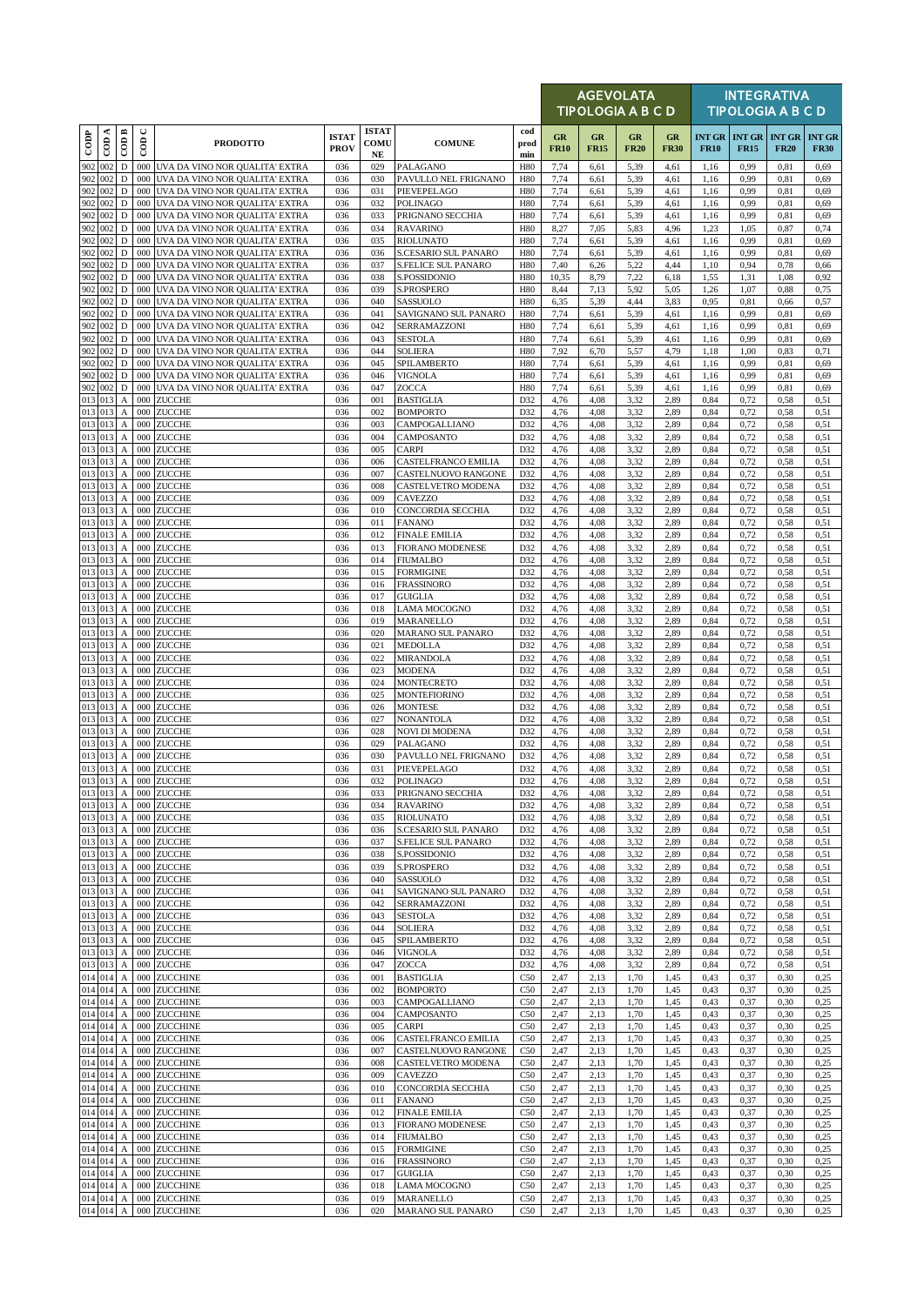|                   |                      |                                               |             |                                                                      |                             |                                  |                                             | <b>AGEVOLATA</b><br>TIPOLOGIA A B C D |                          |                   |                   |                   |              | <b>INTEGRATIVA</b><br><b>TIPOLOGIA A B C D</b> |                              |                              |  |  |
|-------------------|----------------------|-----------------------------------------------|-------------|----------------------------------------------------------------------|-----------------------------|----------------------------------|---------------------------------------------|---------------------------------------|--------------------------|-------------------|-------------------|-------------------|--------------|------------------------------------------------|------------------------------|------------------------------|--|--|
| $\overline{1000}$ | CDA                  | $\overline{\mathrm{COD}}$ B                   | $\cup$<br>6 | <b>PRODOTTO</b>                                                      | <b>ISTAT</b><br><b>PROV</b> | <b>ISTAT</b><br>COMU<br>$\bf NE$ | <b>COMUNE</b>                               | cod<br>prod<br>min                    | <b>GR</b><br><b>FR10</b> | GR<br><b>FR15</b> | GR<br><b>FR20</b> | GR<br><b>FR30</b> | <b>FR10</b>  | <b>INT GR   INT GR</b><br><b>FR15</b>          | <b>INT GR</b><br><b>FR20</b> | <b>INT GR</b><br><b>FR30</b> |  |  |
| 902               | 002                  | $\mathbf D$                                   |             | 000 UVA DA VINO NOR QUALITA' EXTRA                                   | 036                         | 029                              | PALAGANO                                    | H80                                   | 7,74                     | 6,61              | 5,39              | 4,61              | 1,16         | 0,99                                           | 0,81                         | 0,69                         |  |  |
| 902<br>902        | 002<br>002           | D<br>$\mathbf D$                              | 000<br>000  | UVA DA VINO NOR QUALITA' EXTRA<br>UVA DA VINO NOR QUALITA' EXTRA     | 036<br>036                  | 030<br>031                       | PAVULLO NEL FRIGNANO<br>PIEVEPELAGO         | H80<br><b>H80</b>                     | 7,74<br>7,74             | 6,61<br>6,61      | 5,39<br>5,39      | 4,61<br>4,61      | 1,16<br>1,16 | 0,99<br>0,99                                   | 0,81<br>0,81                 | 0,69<br>0,69                 |  |  |
| 902               | 002                  | $\mathbf D$                                   | 000         | UVA DA VINO NOR QUALITA' EXTRA                                       | 036                         | 032                              | <b>POLINAGO</b>                             | <b>H80</b>                            | 7,74                     | 6,61              | 5,39              | 4,61              | 1,16         | 0,99                                           | 0,81                         | 0,69                         |  |  |
| 902               | 002                  | D                                             | 000         | UVA DA VINO NOR QUALITA' EXTRA                                       | 036                         | 033                              | PRIGNANO SECCHIA                            | H80                                   | 7,74                     | 6,61              | 5,39              | 4,61              | 1,16         | 0,99                                           | 0,81                         | 0,69                         |  |  |
| 902<br>902        | 002<br>002           | D<br>D                                        | 000<br>000  | UVA DA VINO NOR QUALITA' EXTRA<br>UVA DA VINO NOR QUALITA' EXTRA     | 036<br>036                  | 034<br>035                       | <b>RAVARINO</b><br><b>RIOLUNATO</b>         | <b>H80</b><br><b>H80</b>              | 8,27<br>7,74             | 7,05<br>6,61      | 5,83<br>5,39      | 4,96<br>4,61      | 1,23<br>1,16 | 1,05<br>0,99                                   | 0,87<br>0,81                 | 0,74<br>0,69                 |  |  |
| 902               | 002                  | D                                             | 000         | UVA DA VINO NOR QUALITA' EXTRA                                       | 036                         | 036                              | S.CESARIO SUL PANARO                        | H80                                   | 7,74                     | 6,61              | 5,39              | 4,61              | 1,16         | 0,99                                           | 0,81                         | 0,69                         |  |  |
| 902               | 002                  | $\mathbf D$                                   | 000         | UVA DA VINO NOR QUALITA' EXTRA                                       | 036                         | 037                              | S.FELICE SUL PANARO                         | H80                                   | 7,40                     | 6,26              | 5,22              | 4,44              | 1,10         | 0,94                                           | 0,78                         | 0,66                         |  |  |
| 902<br>902        | 002<br>002           | $\mathbf D$<br>D                              | 000<br>000  | UVA DA VINO NOR QUALITA' EXTRA<br>UVA DA VINO NOR QUALITA' EXTRA     | 036<br>036                  | 038<br>039                       | S.POSSIDONIO<br>S.PROSPERO                  | H80<br>H80                            | 10,35<br>8,44            | 8,79<br>7,13      | 7.22<br>5,92      | 6,18<br>5,05      | 1,55<br>1,26 | 1,31<br>1,07                                   | 1,08<br>0,88                 | 0,92<br>0,75                 |  |  |
| 902               | 002                  | D                                             | 000         | UVA DA VINO NOR QUALITA' EXTRA                                       | 036                         | 040                              | SASSUOLO                                    | H80                                   | 6,35                     | 5,39              | 4,44              | 3,83              | 0,95         | 0,81                                           | 0,66                         | 0,57                         |  |  |
| 902               | 002                  | D                                             | 000         | UVA DA VINO NOR QUALITA' EXTRA                                       | 036                         | 041                              | SAVIGNANO SUL PANARO                        | H80                                   | 7,74                     | 6,61              | 5,39              | 4,61              | 1,16         | 0,99                                           | 0,81                         | 0,69                         |  |  |
| 902<br>902        | 002<br>002           | $\mathbf D$<br>D                              | 000<br>000  | UVA DA VINO NOR QUALITA' EXTRA<br>UVA DA VINO NOR QUALITA' EXTRA     | 036<br>036                  | 042<br>043                       | SERRAMAZZONI<br><b>SESTOLA</b>              | H80<br>H80                            | 7,74<br>7,74             | 6,61<br>6,61      | 5,39<br>5,39      | 4,61<br>4,61      | 1,16<br>1,16 | 0,99<br>0,99                                   | 0,81<br>0,81                 | 0,69<br>0,69                 |  |  |
| 902               | 002                  | $\mathbf D$                                   | 000         | UVA DA VINO NOR QUALITA' EXTRA                                       | 036                         | 044                              | SOLIERA                                     | H80                                   | 7,92                     | 6,70              | 5,57              | 4,79              | 1,18         | 1,00                                           | 0,83                         | 0,71                         |  |  |
| 902               | 002                  | $\mathbf D$                                   | 000         | UVA DA VINO NOR QUALITA' EXTRA                                       | 036                         | 045                              | SPILAMBERTO                                 | H80                                   | 7,74                     | 6,61              | 5,39              | 4,61              | 1,16         | 0,99                                           | 0,81                         | 0,69                         |  |  |
| 902               | 002<br>902 002       | D<br>$\mathbf D$                              | 000         | 000 UVA DA VINO NOR QUALITA' EXTRA<br>UVA DA VINO NOR QUALITA' EXTRA | 036<br>036                  | 046<br>047                       | VIGNOLA<br>ZOCCA                            | H80<br>H80                            | 7,74<br>7,74             | 6,61<br>6,61      | 5,39<br>5,39      | 4,61<br>4,61      | 1,16<br>1,16 | 0,99<br>0,99                                   | 0,81<br>0,81                 | 0.69<br>0,69                 |  |  |
| 013               | 013                  | $\boldsymbol{A}$                              | 000         | <b>ZUCCHE</b>                                                        | 036                         | 001                              | <b>BASTIGLIA</b>                            | D32                                   | 4,76                     | 4,08              | 3,32              | 2,89              | 0,84         | 0,72                                           | 0,58                         | 0,51                         |  |  |
| 013               | 013                  | $\mathbf{A}$                                  | 000         | <b>ZUCCHE</b>                                                        | 036                         | 002                              | <b>BOMPORTO</b>                             | D32                                   | 4,76                     | 4,08              | 3,32              | 2,89              | 0.84         | 0,72                                           | 0,58                         | 0,51                         |  |  |
| 013               | 013 013<br>013       | $\boldsymbol{A}$<br>$\mathbf{A}$              | 000<br>000  | ZUCCHE<br><b>ZUCCHE</b>                                              | 036<br>036                  | 003<br>004                       | CAMPOGALLIANO                               | D32<br>D32                            | 4,76<br>4,76             | 4,08<br>4,08      | 3,32<br>3,32      | 2,89<br>2,89      | 0,84<br>0,84 | 0,72<br>0,72                                   | 0,58<br>0,58                 | 0,51                         |  |  |
| 013               | 013                  | $\boldsymbol{A}$                              | 000         | ZUCCHE                                                               | 036                         | 005                              | CAMPOSANTO<br>CARPI                         | D32                                   | 4,76                     | 4,08              | 3,32              | 2,89              | 0.84         | 0,72                                           | 0,58                         | 0,51<br>0,51                 |  |  |
| 013               | 013                  | $\boldsymbol{A}$                              | 000         | <b>ZUCCHE</b>                                                        | 036                         | 006                              | CASTELFRANCO EMILIA                         | D32                                   | 4,76                     | 4,08              | 3,32              | 2,89              | 0,84         | 0,72                                           | 0,58                         | 0,51                         |  |  |
| 013<br>013        | 013                  | $\boldsymbol{A}$                              | 000         | ZUCCHE<br>ZUCCHE                                                     | 036<br>036                  | 007                              | CASTELNUOVO RANGONE                         | D32                                   | 4,76                     | 4,08<br>4,08      | 3,32              | 2,89<br>2,89      | 0,84<br>0,84 | 0,72                                           | 0,58                         | 0,51<br>0,51                 |  |  |
| 013               | 013<br>013           | A<br>$\boldsymbol{A}$                         | 000<br>000  | <b>ZUCCHE</b>                                                        | 036                         | 008<br>009                       | CASTELVETRO MODENA<br><b>CAVEZZO</b>        | D32<br>D32                            | 4,76<br>4,76             | 4,08              | 3,32<br>3,32      | 2,89              | 0,84         | 0,72<br>0,72                                   | 0,58<br>0,58                 | 0,51                         |  |  |
| 013               | 013                  | $\boldsymbol{A}$                              | 000         | <b>ZUCCHE</b>                                                        | 036                         | 010                              | CONCORDIA SECCHIA                           | D32                                   | 4,76                     | 4,08              | 3,32              | 2,89              | 0,84         | 0,72                                           | 0,58                         | 0,51                         |  |  |
| 013               | 013                  | $\mathbf{A}$                                  | 000         | <b>ZUCCHE</b>                                                        | 036                         | 011                              | <b>FANANO</b>                               | D32                                   | 4,76                     | 4,08              | 3.32              | 2,89              | 0.84         | 0,72                                           | 0,58                         | 0,51                         |  |  |
| 013               | 013<br>013 013       | $\boldsymbol{A}$<br>$\boldsymbol{A}$          | 000<br>000  | ZUCCHE<br>ZUCCHE                                                     | 036<br>036                  | 012<br>013                       | <b>FINALE EMILIA</b><br>FIORANO MODENESE    | D32<br>D32                            | 4,76<br>4,76             | 4,08<br>4,08      | 3,32<br>3,32      | 2,89<br>2,89      | 0,84<br>0,84 | 0,72<br>0,72                                   | 0,58<br>0,58                 | 0,51<br>0,51                 |  |  |
|                   | 013 013              | $\boldsymbol{A}$                              | 000         | <b>ZUCCHE</b>                                                        | 036                         | 014                              | <b>FIUMALBO</b>                             | D32                                   | 4,76                     | 4,08              | 3,32              | 2,89              | 0,84         | 0,72                                           | 0,58                         | 0,51                         |  |  |
|                   | 013 013              | $\mathbf A$                                   | 000         | <b>ZUCCHE</b>                                                        | 036                         | 015                              | <b>FORMIGINE</b>                            | D32                                   | 4,76                     | 4,08              | 3,32              | 2,89              | 0,84         | 0,72                                           | 0,58                         | 0,51                         |  |  |
| 013               | 013<br>013 013       | $\mathbf A$<br>$\boldsymbol{A}$               | 000<br>000  | <b>ZUCCHE</b><br>ZUCCHE                                              | 036<br>036                  | 016<br>017                       | <b>FRASSINORO</b><br><b>GUIGLIA</b>         | D32<br>D32                            | 4,76<br>4,76             | 4,08<br>4,08      | 3,32<br>3,32      | 2,89<br>2,89      | 0,84<br>0,84 | 0,72<br>0,72                                   | 0,58<br>0,58                 | 0,51<br>0,51                 |  |  |
| 013               | 013                  | $\mathbf{A}$                                  | 000         | <b>ZUCCHE</b>                                                        | 036                         | 018                              | LAMA MOCOGNO                                | D32                                   | 4,76                     | 4,08              | 3,32              | 2,89              | 0,84         | 0,72                                           | 0,58                         | 0.51                         |  |  |
| 013               | 013                  | $\boldsymbol{\mathsf{A}}$                     | 000         | <b>ZUCCHE</b>                                                        | 036                         | 019                              | MARANELLO                                   | D32                                   | 4,76                     | 4,08              | 3,32              | 2,89              | 0,84         | 0,72                                           | 0,58                         | 0,51                         |  |  |
| 013<br>013        | 013<br>013           | $\boldsymbol{A}$<br>$\boldsymbol{A}$          | 000<br>000  | <b>ZUCCHE</b><br>ZUCCHE                                              | 036<br>036                  | 020<br>021                       | <b>MARANO SUL PANARO</b><br><b>MEDOLLA</b>  | D32<br>D32                            | 4,76<br>4,76             | 4,08<br>4,08      | 3,32<br>3,32      | 2,89<br>2,89      | 0,84<br>0,84 | 0,72<br>0,72                                   | 0,58<br>0,58                 | 0,51<br>0,51                 |  |  |
| 013               | 013                  | $\boldsymbol{\mathsf{A}}$                     | 000         | <b>ZUCCHE</b>                                                        | 036                         | 022                              | MIRANDOLA                                   | D32                                   | 4,76                     | 4,08              | 3,32              | 2,89              | 0,84         | 0,72                                           | 0,58                         | 0,51                         |  |  |
| 013               | 013                  | $\boldsymbol{A}$                              | 000         | <b>ZUCCHE</b>                                                        | 036                         | 023                              | <b>MODENA</b>                               | D32                                   | 4,76                     | 4,08              | 3,32              | 2,89              | 0,84         | 0,72                                           | 0,58                         | 0,51                         |  |  |
|                   | 013 013<br>013 013   | $\boldsymbol{A}$<br>$\boldsymbol{A}$          | 000<br>000  | ZUCCHE<br>ZUCCHE                                                     | 036<br>036                  | 024<br>025                       | <b>MONTECRETO</b><br><b>MONTEFIORINO</b>    | D32<br>D32                            | 4,76<br>4,76             | 4,08<br>4,08      | 3,32<br>3,32      | 2,89<br>2,89      | 0,84<br>0,84 | 0,72<br>0,72                                   | 0,58<br>0,58                 | 0,51<br>0,51                 |  |  |
| 013               | 013                  | $\boldsymbol{A}$                              | 000         | <b>ZUCCHE</b>                                                        | 036                         | 026                              | <b>MONTESE</b>                              | D32                                   | 4,76                     | 4,08              | 3,32              | 2,89              | 0,84         | 0,72                                           | 0,58                         | 0,51                         |  |  |
|                   | 013 013              | $\boldsymbol{A}$                              | 000         | <b>ZUCCHE</b>                                                        | 036                         | 027                              | NONANTOLA                                   | D32                                   | 4,76                     | 4,08              | 3,32              | 2,89              | 0,84         | 0,72                                           | 0,58                         | 0,51                         |  |  |
| 013               | 013 013<br>013       | $\boldsymbol{\rm{A}}$<br>$\boldsymbol{A}$     | 000<br>000  | <b>ZUCCHE</b><br><b>ZUCCHE</b>                                       | 036<br>036                  | 028<br>029                       | NOVI DI MODENA<br>PALAGANO                  | D32<br>D32                            | 4,76<br>4,76             | 4,08<br>4,08      | 3,32<br>3,32      | 2,89<br>2,89      | 0,84<br>0,84 | 0,72<br>0,72                                   | 0,58<br>0,58                 | 0,51<br>0.51                 |  |  |
| 013               | 013                  | $\boldsymbol{A}$                              | 000         | <b>ZUCCHE</b>                                                        | 036                         | 030                              | PAVULLO NEL FRIGNANO                        | D32                                   | 4,76                     | 4,08              | 3,32              | 2,89              | 0.84         | 0,72                                           | 0,58                         | 0,51                         |  |  |
|                   | 013 013              | $\boldsymbol{A}$                              | 000         | ZUCCHE                                                               | 036                         | 031                              | PIEVEPELAGO                                 | D32                                   | 4,76                     | 4,08              | 3,32              | 2,89              | 0,84         | 0,72                                           | 0,58                         | 0,51                         |  |  |
|                   | 013 013<br>013 013   |                                               | 000         | A 000 ZUCCHE<br>ZUCCHE                                               | 036<br>036                  | 032                              | <b>POLINAGO</b>                             | D32<br>D32                            | 4,76                     | 4,08              | 3,32              | 2,89<br>2,89      | 0,84<br>0.84 | 0,72                                           | 0,58                         | 0,51                         |  |  |
| 013               | 013                  | $\boldsymbol{A}$<br>$\boldsymbol{A}$          | 000         | <b>ZUCCHE</b>                                                        | 036                         | 033<br>034                       | PRIGNANO SECCHIA<br><b>RAVARINO</b>         | D32                                   | 4,76<br>4,76             | 4,08<br>4,08      | 3,32<br>3,32      | 2,89              | 0,84         | 0,72<br>0,72                                   | 0,58<br>0,58                 | 0,51<br>0,51                 |  |  |
|                   | 013 013              | $\boldsymbol{A}$                              | 000         | ZUCCHE                                                               | 036                         | 035                              | <b>RIOLUNATO</b>                            | D32                                   | 4,76                     | 4,08              | 3,32              | 2,89              | 0,84         | 0,72                                           | 0,58                         | 0,51                         |  |  |
| 013               | 013<br>013 013       | $\boldsymbol{A}$                              | 000<br>000  | ZUCCHE<br>ZUCCHE                                                     | 036<br>036                  | 036<br>037                       | S.CESARIO SUL PANARO<br>S.FELICE SUL PANARO | D32<br>D32                            | 4,76<br>4,76             | 4,08<br>4,08      | 3,32<br>3,32      | 2,89<br>2,89      | 0,84<br>0,84 | 0,72<br>0,72                                   | 0,58<br>0,58                 | 0,51<br>0,51                 |  |  |
|                   | 013 013              | $\mathbf{A}$<br>$\boldsymbol{A}$              | 000         | <b>ZUCCHE</b>                                                        | 036                         | 038                              | S.POSSIDONIO                                | D32                                   | 4,76                     | 4,08              | 3,32              | 2,89              | 0,84         | 0,72                                           | 0,58                         | 0,51                         |  |  |
|                   | 013 013              | $\boldsymbol{A}$                              | 000         | <b>ZUCCHE</b>                                                        | 036                         | 039                              | S.PROSPERO                                  | D32                                   | 4,76                     | 4,08              | 3,32              | 2,89              | 0,84         | 0,72                                           | 0,58                         | 0,51                         |  |  |
|                   | 013 013<br>013 013   | $\mathbf{A}$<br>$\boldsymbol{\rm{A}}$         | 000<br>000  | <b>ZUCCHE</b><br>ZUCCHE                                              | 036<br>036                  | 040<br>041                       | SASSUOLO<br>SAVIGNANO SUL PANARO            | D32<br>D32                            | 4,76<br>4,76             | 4,08<br>4,08      | 3,32<br>3,32      | 2,89<br>2,89      | 0,84<br>0,84 | 0,72<br>0,72                                   | 0,58<br>0,58                 | 0,51<br>0,51                 |  |  |
|                   | 013 013              | $\boldsymbol{A}$                              | 000         | <b>ZUCCHE</b>                                                        | 036                         | 042                              | SERRAMAZZONI                                | D32                                   | 4,76                     | 4,08              | 3,32              | 2,89              | 0,84         | 0,72                                           | 0,58                         | 0,51                         |  |  |
|                   | 013 013              | A                                             | 000         | <b>ZUCCHE</b>                                                        | 036                         | 043                              | SESTOLA                                     | D32                                   | 4,76                     | 4,08              | 3,32              | 2,89              | 0,84         | 0,72                                           | 0,58                         | 0,51                         |  |  |
|                   | 013 013<br>013 013   | $\boldsymbol{\mathsf{A}}$<br>$\boldsymbol{A}$ | 000<br>000  | <b>ZUCCHE</b><br>ZUCCHE                                              | 036<br>036                  | 044<br>045                       | SOLIERA<br>SPILAMBERTO                      | D32<br>D32                            | 4,76<br>4,76             | 4,08<br>4,08      | 3,32<br>3,32      | 2,89<br>2,89      | 0,84<br>0,84 | 0,72<br>0,72                                   | 0,58<br>0,58                 | 0,51<br>0,51                 |  |  |
|                   | 013 013              | $\boldsymbol{A}$                              | 000         | ZUCCHE                                                               | 036                         | 046                              | VIGNOLA                                     | D32                                   | 4,76                     | 4,08              | 3,32              | 2,89              | 0,84         | 0,72                                           | 0,58                         | 0,51                         |  |  |
|                   | 013 013              | $\mathbf A$                                   | 000         | ZUCCHE                                                               | 036                         | 047                              | ZOCCA                                       | D32                                   | 4,76                     | 4,08              | 3,32              | 2,89              | 0,84         | 0,72                                           | 0,58                         | 0,51                         |  |  |
| 014               | 014                  | $\boldsymbol{A}$                              | 000         | ZUCCHINE                                                             | 036                         | 001                              | <b>BASTIGLIA</b>                            | C50                                   | 2,47                     | 2,13              | 1,70              | 1,45              | 0,43         | 0,37                                           | 0,30                         | 0,25                         |  |  |
|                   | 014 014<br>014 014   | $\boldsymbol{A}$<br>$\boldsymbol{\mathsf{A}}$ | 000<br>000  | <b>ZUCCHINE</b><br><b>ZUCCHINE</b>                                   | 036<br>036                  | 002<br>003                       | <b>BOMPORTO</b><br>CAMPOGALLIANO            | C50<br>C50                            | 2,47<br>2,47             | 2,13<br>2,13      | 1,70<br>1,70      | 1,45<br>1,45      | 0,43<br>0,43 | 0,37<br>0,37                                   | 0,30<br>0,30                 | 0,25<br>0,25                 |  |  |
|                   | 014 014              | $\mathbf A$                                   | 000         | ZUCCHINE                                                             | 036                         | 004                              | CAMPOSANTO                                  | C50                                   | 2,47                     | 2,13              | 1,70              | 1,45              | 0,43         | 0,37                                           | 0,30                         | 0,25                         |  |  |
|                   | 014 014              | A                                             | 000         | ZUCCHINE                                                             | 036                         | 005                              | CARPI                                       | C50                                   | 2,47                     | 2,13              | 1,70              | 1,45              | 0,43         | 0,37                                           | 0,30                         | 0,25                         |  |  |
|                   | 014 014<br>014 014   | $\boldsymbol{A}$<br>$\mathbf A$               | 000<br>000  | ZUCCHINE<br>ZUCCHINE                                                 | 036<br>036                  | 006<br>007                       | CASTELFRANCO EMILIA<br>CASTELNUOVO RANGONE  | C50<br>C50                            | 2,47<br>2,47             | 2,13<br>2,13      | 1,70<br>1,70      | 1,45<br>1,45      | 0,43<br>0,43 | 0,37<br>0,37                                   | 0,30<br>0,30                 | 0,25<br>0,25                 |  |  |
|                   | 014 014              | $\boldsymbol{A}$                              | 000         | ZUCCHINE                                                             | 036                         | 008                              | CASTELVETRO MODENA                          | C50                                   | 2,47                     | 2,13              | 1,70              | 1,45              | 0,43         | 0,37                                           | 0,30                         | 0,25                         |  |  |
|                   | 014 014              | $\boldsymbol{A}$                              | 000         | ZUCCHINE                                                             | 036                         | 009                              | CAVEZZO                                     | C50                                   | 2,47                     | 2,13              | 1,70              | 1,45              | 0,43         | 0,37                                           | 0,30                         | 0,25                         |  |  |
|                   | 014 014<br>014 014   | $\boldsymbol{A}$<br>$\boldsymbol{A}$          | 000<br>000  | ZUCCHINE<br>ZUCCHINE                                                 | 036<br>036                  | 010<br>011                       | CONCORDIA SECCHIA<br><b>FANANO</b>          | C50<br>C50                            | 2,47<br>2,47             | 2,13<br>2,13      | 1,70<br>1,70      | 1,45<br>1,45      | 0,43<br>0,43 | 0,37<br>0,37                                   | 0,30<br>0,30                 | 0,25<br>0,25                 |  |  |
|                   | 014 014              | $\boldsymbol{A}$                              | 000         | ZUCCHINE                                                             | 036                         | 012                              | <b>FINALE EMILIA</b>                        | C50                                   | 2,47                     | 2,13              | 1,70              | 1,45              | 0,43         | 0,37                                           | 0,30                         | 0,25                         |  |  |
|                   | 014 014              | $\boldsymbol{A}$                              | 000         | ZUCCHINE                                                             | 036                         | 013                              | FIORANO MODENESE                            | C50                                   | 2,47                     | 2,13              | 1,70              | 1,45              | 0,43         | 0,37                                           | 0,30                         | 0,25                         |  |  |
|                   | 014 014              | A                                             | 000<br>000  | ZUCCHINE                                                             | 036                         | 014<br>015                       | FIUMALBO                                    | C50<br>C50                            | 2,47                     | 2,13              | 1,70              | 1,45              | 0,43         | 0,37                                           | 0,30                         | 0,25                         |  |  |
|                   | 014 014<br>014 014   | $\boldsymbol{A}$<br>$\boldsymbol{A}$          | 000         | ZUCCHINE<br><b>ZUCCHINE</b>                                          | 036<br>036                  | 016                              | FORMIGINE<br><b>FRASSINORO</b>              | C50                                   | 2,47<br>2,47             | 2,13<br>2,13      | 1,70<br>1,70      | 1,45<br>1,45      | 0,43<br>0,43 | 0,37<br>0,37                                   | 0,30<br>0,30                 | 0,25<br>0,25                 |  |  |
|                   | 014 014              | $\boldsymbol{A}$                              | 000         | <b>ZUCCHINE</b>                                                      | 036                         | 017                              | <b>GUIGLIA</b>                              | C50                                   | 2,47                     | 2,13              | 1,70              | 1,45              | 0,43         | 0,37                                           | 0,30                         | 0,25                         |  |  |
|                   | 014 014              | $\overline{A}$                                | 000         | ZUCCHINE                                                             | 036                         | 018                              | LAMA MOCOGNO                                | C50                                   | 2,47                     | 2,13              | 1,70              | 1,45              | 0,43         | 0,37                                           | 0,30                         | 0,25                         |  |  |
|                   | 014 014<br>014 014 A | $\mathbf{A}$                                  |             | 000 ZUCCHINE<br>000 ZUCCHINE                                         | 036<br>036                  | 019<br>020                       | MARANELLO<br>MARANO SUL PANARO              | C50<br>C50                            | 2,47<br>2,47             | 2,13<br>2,13      | 1,70<br>1,70      | 1,45<br>1,45      | 0,43<br>0,43 | 0,37<br>0,37                                   | 0,30<br>0,30                 | 0,25<br>0,25                 |  |  |